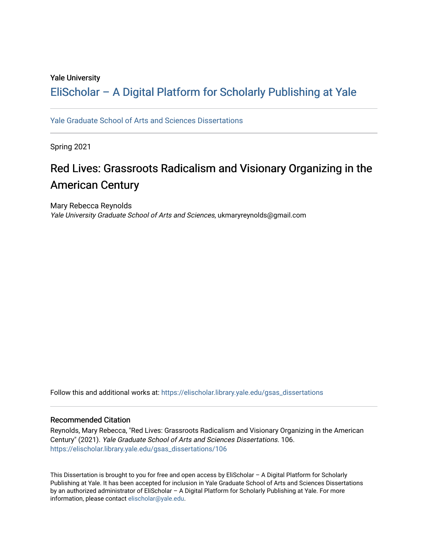### Yale University

## [EliScholar – A Digital Platform for Scholarly Publishing at Yale](https://elischolar.library.yale.edu/)

[Yale Graduate School of Arts and Sciences Dissertations](https://elischolar.library.yale.edu/gsas_dissertations) 

Spring 2021

# Red Lives: Grassroots Radicalism and Visionary Organizing in the American Century

Mary Rebecca Reynolds Yale University Graduate School of Arts and Sciences, ukmaryreynolds@gmail.com

Follow this and additional works at: [https://elischolar.library.yale.edu/gsas\\_dissertations](https://elischolar.library.yale.edu/gsas_dissertations?utm_source=elischolar.library.yale.edu%2Fgsas_dissertations%2F106&utm_medium=PDF&utm_campaign=PDFCoverPages) 

#### Recommended Citation

Reynolds, Mary Rebecca, "Red Lives: Grassroots Radicalism and Visionary Organizing in the American Century" (2021). Yale Graduate School of Arts and Sciences Dissertations. 106. [https://elischolar.library.yale.edu/gsas\\_dissertations/106](https://elischolar.library.yale.edu/gsas_dissertations/106?utm_source=elischolar.library.yale.edu%2Fgsas_dissertations%2F106&utm_medium=PDF&utm_campaign=PDFCoverPages) 

This Dissertation is brought to you for free and open access by EliScholar – A Digital Platform for Scholarly Publishing at Yale. It has been accepted for inclusion in Yale Graduate School of Arts and Sciences Dissertations by an authorized administrator of EliScholar – A Digital Platform for Scholarly Publishing at Yale. For more information, please contact [elischolar@yale.edu.](mailto:elischolar@yale.edu)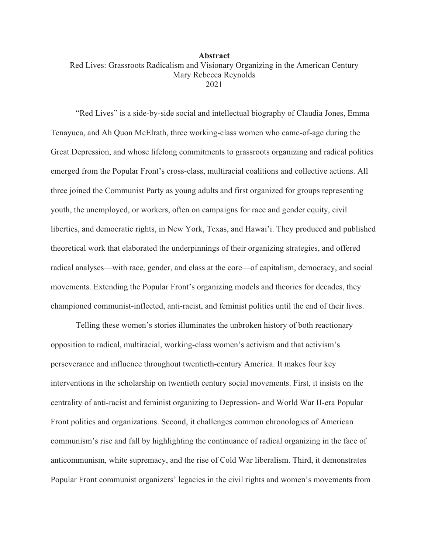### **Abstract**  Red Lives: Grassroots Radicalism and Visionary Organizing in the American Century Mary Rebecca Reynolds 2021

"Red Lives" is a side-by-side social and intellectual biography of Claudia Jones, Emma Tenayuca, and Ah Quon McElrath, three working-class women who came-of-age during the Great Depression, and whose lifelong commitments to grassroots organizing and radical politics emerged from the Popular Front's cross-class, multiracial coalitions and collective actions. All three joined the Communist Party as young adults and first organized for groups representing youth, the unemployed, or workers, often on campaigns for race and gender equity, civil liberties, and democratic rights, in New York, Texas, and Hawai'i. They produced and published theoretical work that elaborated the underpinnings of their organizing strategies, and offered radical analyses—with race, gender, and class at the core—of capitalism, democracy, and social movements. Extending the Popular Front's organizing models and theories for decades, they championed communist-inflected, anti-racist, and feminist politics until the end of their lives.

Telling these women's stories illuminates the unbroken history of both reactionary opposition to radical, multiracial, working-class women's activism and that activism's perseverance and influence throughout twentieth-century America. It makes four key interventions in the scholarship on twentieth century social movements. First, it insists on the centrality of anti-racist and feminist organizing to Depression- and World War II-era Popular Front politics and organizations. Second, it challenges common chronologies of American communism's rise and fall by highlighting the continuance of radical organizing in the face of anticommunism, white supremacy, and the rise of Cold War liberalism. Third, it demonstrates Popular Front communist organizers' legacies in the civil rights and women's movements from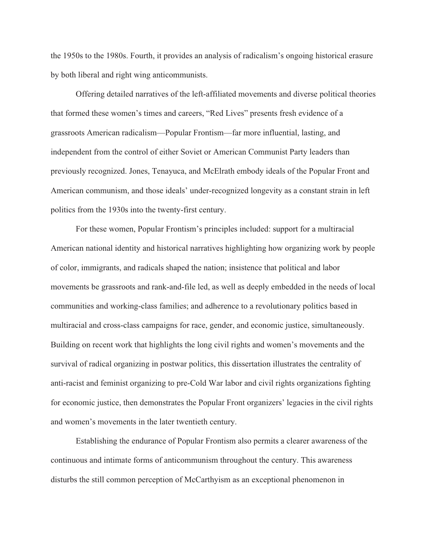the 1950s to the 1980s. Fourth, it provides an analysis of radicalism's ongoing historical erasure by both liberal and right wing anticommunists.

 Offering detailed narratives of the left-affiliated movements and diverse political theories that formed these women's times and careers, "Red Lives" presents fresh evidence of a grassroots American radicalism—Popular Frontism—far more influential, lasting, and independent from the control of either Soviet or American Communist Party leaders than previously recognized. Jones, Tenayuca, and McElrath embody ideals of the Popular Front and American communism, and those ideals' under-recognized longevity as a constant strain in left politics from the 1930s into the twenty-first century.

 For these women, Popular Frontism's principles included: support for a multiracial American national identity and historical narratives highlighting how organizing work by people of color, immigrants, and radicals shaped the nation; insistence that political and labor movements be grassroots and rank-and-file led, as well as deeply embedded in the needs of local communities and working-class families; and adherence to a revolutionary politics based in multiracial and cross-class campaigns for race, gender, and economic justice, simultaneously. Building on recent work that highlights the long civil rights and women's movements and the survival of radical organizing in postwar politics, this dissertation illustrates the centrality of anti-racist and feminist organizing to pre-Cold War labor and civil rights organizations fighting for economic justice, then demonstrates the Popular Front organizers' legacies in the civil rights and women's movements in the later twentieth century.

Establishing the endurance of Popular Frontism also permits a clearer awareness of the continuous and intimate forms of anticommunism throughout the century. This awareness disturbs the still common perception of McCarthyism as an exceptional phenomenon in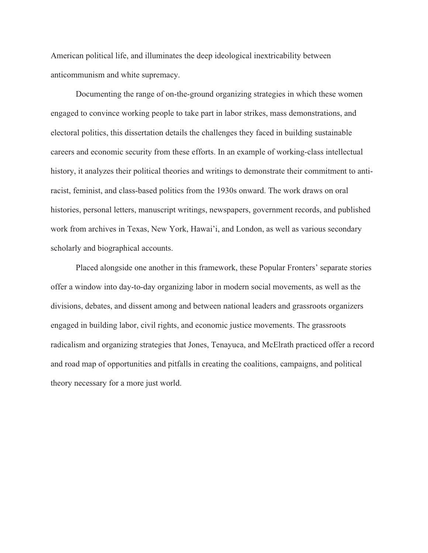American political life, and illuminates the deep ideological inextricability between anticommunism and white supremacy.

 Documenting the range of on-the-ground organizing strategies in which these women engaged to convince working people to take part in labor strikes, mass demonstrations, and electoral politics, this dissertation details the challenges they faced in building sustainable careers and economic security from these efforts. In an example of working-class intellectual history, it analyzes their political theories and writings to demonstrate their commitment to antiracist, feminist, and class-based politics from the 1930s onward. The work draws on oral histories, personal letters, manuscript writings, newspapers, government records, and published work from archives in Texas, New York, Hawai'i, and London, as well as various secondary scholarly and biographical accounts.

 Placed alongside one another in this framework, these Popular Fronters' separate stories offer a window into day-to-day organizing labor in modern social movements, as well as the divisions, debates, and dissent among and between national leaders and grassroots organizers engaged in building labor, civil rights, and economic justice movements. The grassroots radicalism and organizing strategies that Jones, Tenayuca, and McElrath practiced offer a record and road map of opportunities and pitfalls in creating the coalitions, campaigns, and political theory necessary for a more just world.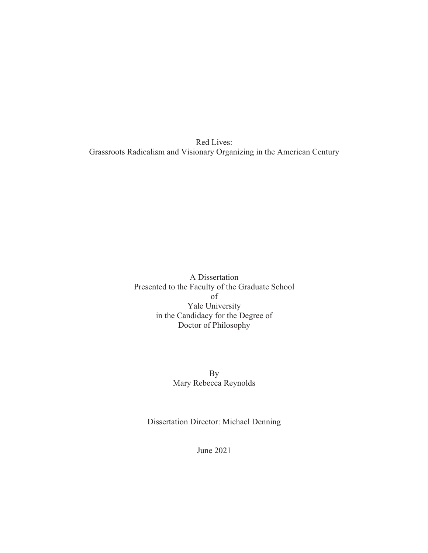Red Lives: Grassroots Radicalism and Visionary Organizing in the American Century

> A Dissertation Presented to the Faculty of the Graduate School of Yale University in the Candidacy for the Degree of Doctor of Philosophy

> > By Mary Rebecca Reynolds

Dissertation Director: Michael Denning

June 2021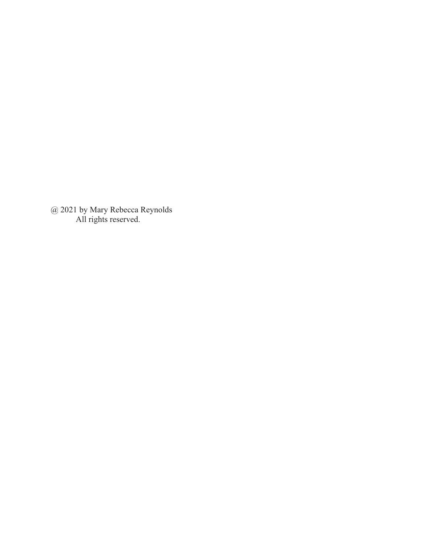@ 2021 by Mary Rebecca Reynolds All rights reserved.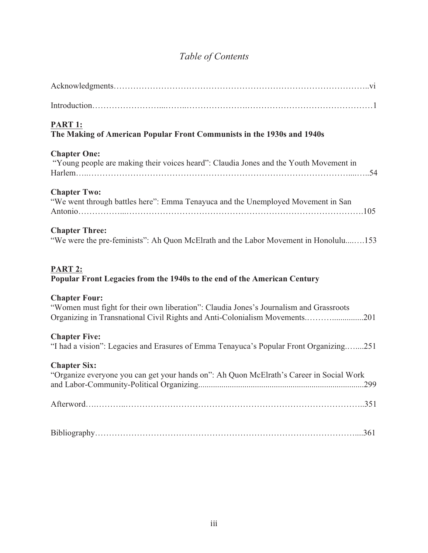# *Table of Contents*

| PART 1:<br>The Making of American Popular Front Communists in the 1930s and 1940s                                                                                                            |
|----------------------------------------------------------------------------------------------------------------------------------------------------------------------------------------------|
| <b>Chapter One:</b><br>"Young people are making their voices heard": Claudia Jones and the Youth Movement in                                                                                 |
| <b>Chapter Two:</b><br>"We went through battles here": Emma Tenayuca and the Unemployed Movement in San                                                                                      |
| <b>Chapter Three:</b><br>"We were the pre-feminists": Ah Quon McElrath and the Labor Movement in Honolulu153                                                                                 |
|                                                                                                                                                                                              |
| PART 2:<br>Popular Front Legacies from the 1940s to the end of the American Century                                                                                                          |
| <b>Chapter Four:</b><br>"Women must fight for their own liberation": Claudia Jones's Journalism and Grassroots<br>Organizing in Transnational Civil Rights and Anti-Colonialism Movements201 |
| <b>Chapter Five:</b><br>"I had a vision": Legacies and Erasures of Emma Tenayuca's Popular Front Organizing251                                                                               |
| <b>Chapter Six:</b><br>"Organize everyone you can get your hands on": Ah Quon McElrath's Career in Social Work                                                                               |
|                                                                                                                                                                                              |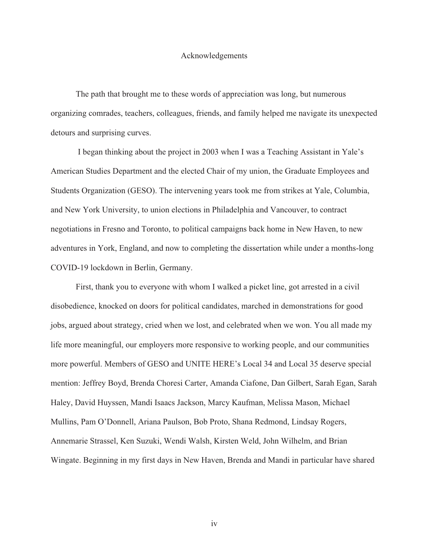#### Acknowledgements

 The path that brought me to these words of appreciation was long, but numerous organizing comrades, teachers, colleagues, friends, and family helped me navigate its unexpected detours and surprising curves.

 I began thinking about the project in 2003 when I was a Teaching Assistant in Yale's American Studies Department and the elected Chair of my union, the Graduate Employees and Students Organization (GESO). The intervening years took me from strikes at Yale, Columbia, and New York University, to union elections in Philadelphia and Vancouver, to contract negotiations in Fresno and Toronto, to political campaigns back home in New Haven, to new adventures in York, England, and now to completing the dissertation while under a months-long COVID-19 lockdown in Berlin, Germany.

 First, thank you to everyone with whom I walked a picket line, got arrested in a civil disobedience, knocked on doors for political candidates, marched in demonstrations for good jobs, argued about strategy, cried when we lost, and celebrated when we won. You all made my life more meaningful, our employers more responsive to working people, and our communities more powerful. Members of GESO and UNITE HERE's Local 34 and Local 35 deserve special mention: Jeffrey Boyd, Brenda Choresi Carter, Amanda Ciafone, Dan Gilbert, Sarah Egan, Sarah Haley, David Huyssen, Mandi Isaacs Jackson, Marcy Kaufman, Melissa Mason, Michael Mullins, Pam O'Donnell, Ariana Paulson, Bob Proto, Shana Redmond, Lindsay Rogers, Annemarie Strassel, Ken Suzuki, Wendi Walsh, Kirsten Weld, John Wilhelm, and Brian Wingate. Beginning in my first days in New Haven, Brenda and Mandi in particular have shared

iv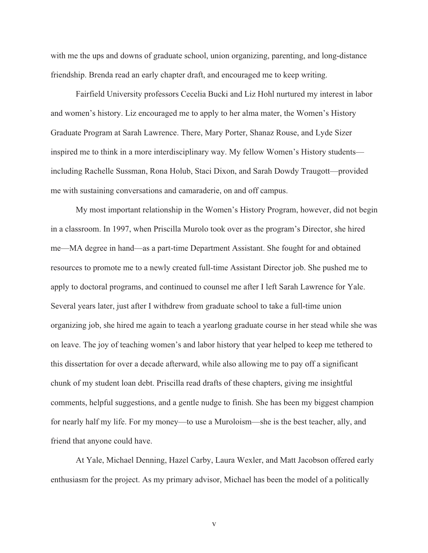with me the ups and downs of graduate school, union organizing, parenting, and long-distance friendship. Brenda read an early chapter draft, and encouraged me to keep writing.

 Fairfield University professors Cecelia Bucki and Liz Hohl nurtured my interest in labor and women's history. Liz encouraged me to apply to her alma mater, the Women's History Graduate Program at Sarah Lawrence. There, Mary Porter, Shanaz Rouse, and Lyde Sizer inspired me to think in a more interdisciplinary way. My fellow Women's History students including Rachelle Sussman, Rona Holub, Staci Dixon, and Sarah Dowdy Traugott—provided me with sustaining conversations and camaraderie, on and off campus.

 My most important relationship in the Women's History Program, however, did not begin in a classroom. In 1997, when Priscilla Murolo took over as the program's Director, she hired me—MA degree in hand—as a part-time Department Assistant. She fought for and obtained resources to promote me to a newly created full-time Assistant Director job. She pushed me to apply to doctoral programs, and continued to counsel me after I left Sarah Lawrence for Yale. Several years later, just after I withdrew from graduate school to take a full-time union organizing job, she hired me again to teach a yearlong graduate course in her stead while she was on leave. The joy of teaching women's and labor history that year helped to keep me tethered to this dissertation for over a decade afterward, while also allowing me to pay off a significant chunk of my student loan debt. Priscilla read drafts of these chapters, giving me insightful comments, helpful suggestions, and a gentle nudge to finish. She has been my biggest champion for nearly half my life. For my money—to use a Muroloism—she is the best teacher, ally, and friend that anyone could have.

 At Yale, Michael Denning, Hazel Carby, Laura Wexler, and Matt Jacobson offered early enthusiasm for the project. As my primary advisor, Michael has been the model of a politically

v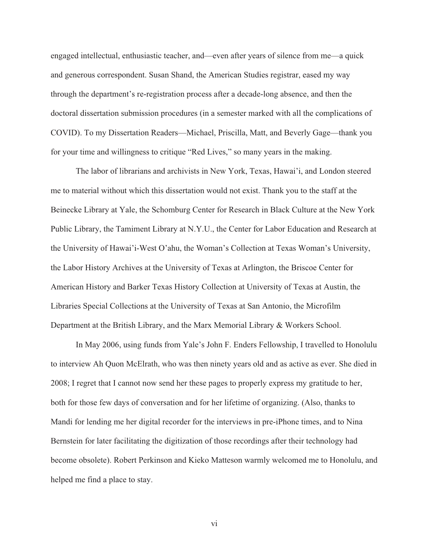engaged intellectual, enthusiastic teacher, and—even after years of silence from me—a quick and generous correspondent. Susan Shand, the American Studies registrar, eased my way through the department's re-registration process after a decade-long absence, and then the doctoral dissertation submission procedures (in a semester marked with all the complications of COVID). To my Dissertation Readers—Michael, Priscilla, Matt, and Beverly Gage—thank you for your time and willingness to critique "Red Lives," so many years in the making.

 The labor of librarians and archivists in New York, Texas, Hawai'i, and London steered me to material without which this dissertation would not exist. Thank you to the staff at the Beinecke Library at Yale, the Schomburg Center for Research in Black Culture at the New York Public Library, the Tamiment Library at N.Y.U., the Center for Labor Education and Research at the University of Hawai'i-West O'ahu, the Woman's Collection at Texas Woman's University, the Labor History Archives at the University of Texas at Arlington, the Briscoe Center for American History and Barker Texas History Collection at University of Texas at Austin, the Libraries Special Collections at the University of Texas at San Antonio, the Microfilm Department at the British Library, and the Marx Memorial Library & Workers School.

 In May 2006, using funds from Yale's John F. Enders Fellowship, I travelled to Honolulu to interview Ah Quon McElrath, who was then ninety years old and as active as ever. She died in 2008; I regret that I cannot now send her these pages to properly express my gratitude to her, both for those few days of conversation and for her lifetime of organizing. (Also, thanks to Mandi for lending me her digital recorder for the interviews in pre-iPhone times, and to Nina Bernstein for later facilitating the digitization of those recordings after their technology had become obsolete). Robert Perkinson and Kieko Matteson warmly welcomed me to Honolulu, and helped me find a place to stay.

vi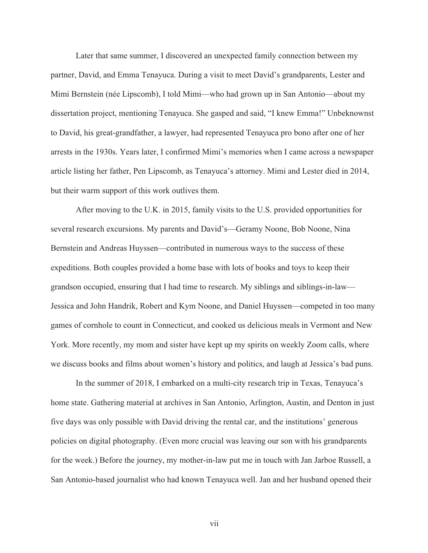Later that same summer, I discovered an unexpected family connection between my partner, David, and Emma Tenayuca. During a visit to meet David's grandparents, Lester and Mimi Bernstein (née Lipscomb), I told Mimi—who had grown up in San Antonio—about my dissertation project, mentioning Tenayuca. She gasped and said, "I knew Emma!" Unbeknownst to David, his great-grandfather, a lawyer, had represented Tenayuca pro bono after one of her arrests in the 1930s. Years later, I confirmed Mimi's memories when I came across a newspaper article listing her father, Pen Lipscomb, as Tenayuca's attorney. Mimi and Lester died in 2014, but their warm support of this work outlives them.

 After moving to the U.K. in 2015, family visits to the U.S. provided opportunities for several research excursions. My parents and David's—Geramy Noone, Bob Noone, Nina Bernstein and Andreas Huyssen—contributed in numerous ways to the success of these expeditions. Both couples provided a home base with lots of books and toys to keep their grandson occupied, ensuring that I had time to research. My siblings and siblings-in-law— Jessica and John Handrik, Robert and Kym Noone, and Daniel Huyssen—competed in too many games of cornhole to count in Connecticut, and cooked us delicious meals in Vermont and New York. More recently, my mom and sister have kept up my spirits on weekly Zoom calls, where we discuss books and films about women's history and politics, and laugh at Jessica's bad puns.

 In the summer of 2018, I embarked on a multi-city research trip in Texas, Tenayuca's home state. Gathering material at archives in San Antonio, Arlington, Austin, and Denton in just five days was only possible with David driving the rental car, and the institutions' generous policies on digital photography. (Even more crucial was leaving our son with his grandparents for the week.) Before the journey, my mother-in-law put me in touch with Jan Jarboe Russell, a San Antonio-based journalist who had known Tenayuca well. Jan and her husband opened their

vii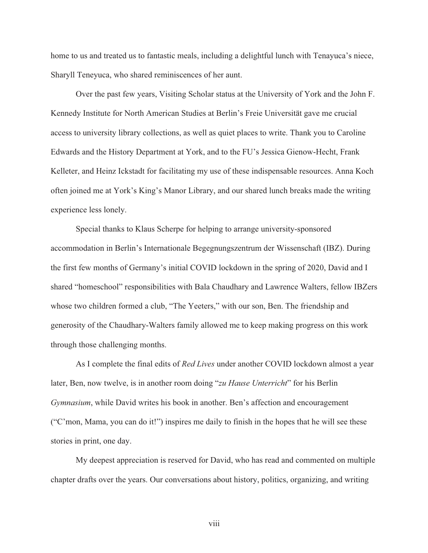home to us and treated us to fantastic meals, including a delightful lunch with Tenayuca's niece, Sharyll Teneyuca, who shared reminiscences of her aunt.

 Over the past few years, Visiting Scholar status at the University of York and the John F. Kennedy Institute for North American Studies at Berlin's Freie Universität gave me crucial access to university library collections, as well as quiet places to write. Thank you to Caroline Edwards and the History Department at York, and to the FU's Jessica Gienow-Hecht, Frank Kelleter, and Heinz Ickstadt for facilitating my use of these indispensable resources. Anna Koch often joined me at York's King's Manor Library, and our shared lunch breaks made the writing experience less lonely.

 Special thanks to Klaus Scherpe for helping to arrange university-sponsored accommodation in Berlin's Internationale Begegnungszentrum der Wissenschaft (IBZ). During the first few months of Germany's initial COVID lockdown in the spring of 2020, David and I shared "homeschool" responsibilities with Bala Chaudhary and Lawrence Walters, fellow IBZers whose two children formed a club, "The Yeeters," with our son, Ben. The friendship and generosity of the Chaudhary-Walters family allowed me to keep making progress on this work through those challenging months.

 As I complete the final edits of *Red Lives* under another COVID lockdown almost a year later, Ben, now twelve, is in another room doing "*zu Hause Unterricht*" for his Berlin *Gymnasium*, while David writes his book in another. Ben's affection and encouragement ("C'mon, Mama, you can do it!") inspires me daily to finish in the hopes that he will see these stories in print, one day.

 My deepest appreciation is reserved for David, who has read and commented on multiple chapter drafts over the years. Our conversations about history, politics, organizing, and writing

viii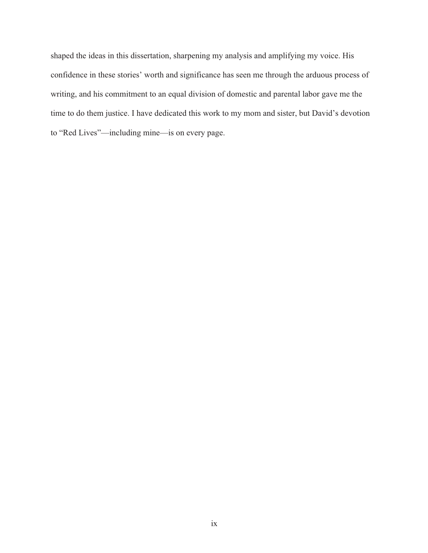shaped the ideas in this dissertation, sharpening my analysis and amplifying my voice. His confidence in these stories' worth and significance has seen me through the arduous process of writing, and his commitment to an equal division of domestic and parental labor gave me the time to do them justice. I have dedicated this work to my mom and sister, but David's devotion to "Red Lives"—including mine—is on every page.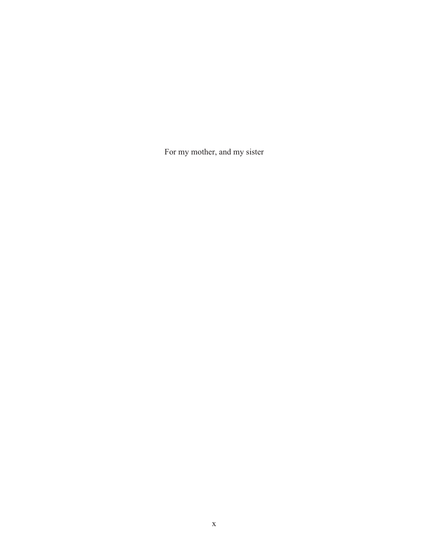For my mother, and my sister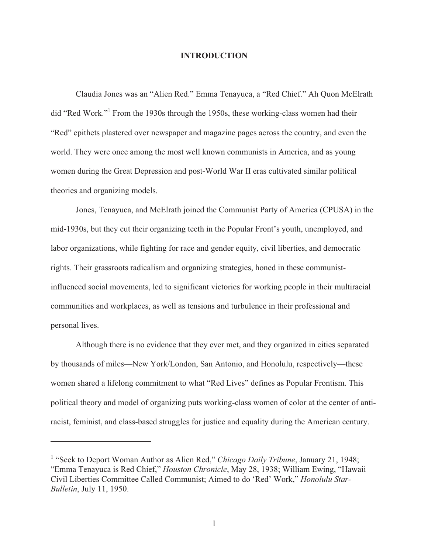#### **INTRODUCTION**

 Claudia Jones was an "Alien Red." Emma Tenayuca, a "Red Chief." Ah Quon McElrath did "Red Work."1 From the 1930s through the 1950s, these working-class women had their "Red" epithets plastered over newspaper and magazine pages across the country, and even the world. They were once among the most well known communists in America, and as young women during the Great Depression and post-World War II eras cultivated similar political theories and organizing models.

 Jones, Tenayuca, and McElrath joined the Communist Party of America (CPUSA) in the mid-1930s, but they cut their organizing teeth in the Popular Front's youth, unemployed, and labor organizations, while fighting for race and gender equity, civil liberties, and democratic rights. Their grassroots radicalism and organizing strategies, honed in these communistinfluenced social movements, led to significant victories for working people in their multiracial communities and workplaces, as well as tensions and turbulence in their professional and personal lives.

 Although there is no evidence that they ever met, and they organized in cities separated by thousands of miles—New York/London, San Antonio, and Honolulu, respectively—these women shared a lifelong commitment to what "Red Lives" defines as Popular Frontism. This political theory and model of organizing puts working-class women of color at the center of antiracist, feminist, and class-based struggles for justice and equality during the American century.

<sup>&</sup>lt;sup>1</sup> "Seek to Deport Woman Author as Alien Red," *Chicago Daily Tribune*, January 21, 1948; "Emma Tenayuca is Red Chief," *Houston Chronicle*, May 28, 1938; William Ewing, "Hawaii Civil Liberties Committee Called Communist; Aimed to do 'Red' Work," *Honolulu Star-Bulletin*, July 11, 1950.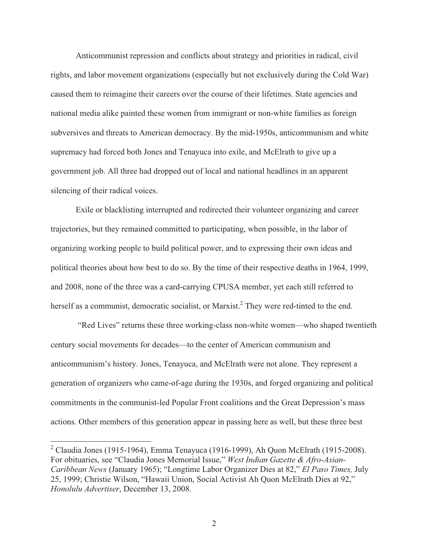Anticommunist repression and conflicts about strategy and priorities in radical, civil rights, and labor movement organizations (especially but not exclusively during the Cold War) caused them to reimagine their careers over the course of their lifetimes. State agencies and national media alike painted these women from immigrant or non-white families as foreign subversives and threats to American democracy. By the mid-1950s, anticommunism and white supremacy had forced both Jones and Tenayuca into exile, and McElrath to give up a government job. All three had dropped out of local and national headlines in an apparent silencing of their radical voices.

 Exile or blacklisting interrupted and redirected their volunteer organizing and career trajectories, but they remained committed to participating, when possible, in the labor of organizing working people to build political power, and to expressing their own ideas and political theories about how best to do so. By the time of their respective deaths in 1964, 1999, and 2008, none of the three was a card-carrying CPUSA member, yet each still referred to herself as a communist, democratic socialist, or Marxist.<sup>2</sup> They were red-tinted to the end.

 "Red Lives" returns these three working-class non-white women—who shaped twentieth century social movements for decades—to the center of American communism and anticommunism's history. Jones, Tenayuca, and McElrath were not alone. They represent a generation of organizers who came-of-age during the 1930s, and forged organizing and political commitments in the communist-led Popular Front coalitions and the Great Depression's mass actions. Other members of this generation appear in passing here as well, but these three best

 2 Claudia Jones (1915-1964), Emma Tenayuca (1916-1999), Ah Quon McElrath (1915-2008). For obituaries, see "Claudia Jones Memorial Issue," *West Indian Gazette & Afro-Asian-Caribbean News* (January 1965); "Longtime Labor Organizer Dies at 82," *El Paso Times,* July 25, 1999; Christie Wilson, "Hawaii Union, Social Activist Ah Quon McElrath Dies at 92," *Honolulu Advertiser*, December 13, 2008.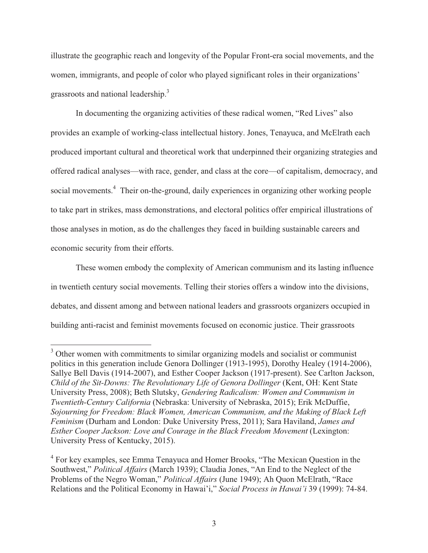illustrate the geographic reach and longevity of the Popular Front-era social movements, and the women, immigrants, and people of color who played significant roles in their organizations' grassroots and national leadership.<sup>3</sup>

In documenting the organizing activities of these radical women, "Red Lives" also provides an example of working-class intellectual history. Jones, Tenayuca, and McElrath each produced important cultural and theoretical work that underpinned their organizing strategies and offered radical analyses—with race, gender, and class at the core—of capitalism, democracy, and social movements.<sup>4</sup> Their on-the-ground, daily experiences in organizing other working people to take part in strikes, mass demonstrations, and electoral politics offer empirical illustrations of those analyses in motion, as do the challenges they faced in building sustainable careers and economic security from their efforts.

These women embody the complexity of American communism and its lasting influence in twentieth century social movements. Telling their stories offers a window into the divisions, debates, and dissent among and between national leaders and grassroots organizers occupied in building anti-racist and feminist movements focused on economic justice. Their grassroots

 $\overline{\phantom{a}}$ 

<sup>&</sup>lt;sup>3</sup> Other women with commitments to similar organizing models and socialist or communist politics in this generation include Genora Dollinger (1913-1995), Dorothy Healey (1914-2006), Sallye Bell Davis (1914-2007), and Esther Cooper Jackson (1917-present). See Carlton Jackson, *Child of the Sit-Downs: The Revolutionary Life of Genora Dollinger* (Kent, OH: Kent State University Press, 2008); Beth Slutsky, *Gendering Radicalism: Women and Communism in Twentieth-Century California* (Nebraska: University of Nebraska, 2015); Erik McDuffie, *Sojourning for Freedom: Black Women, American Communism, and the Making of Black Left Feminism* (Durham and London: Duke University Press, 2011); Sara Haviland, *James and Esther Cooper Jackson: Love and Courage in the Black Freedom Movement* (Lexington: University Press of Kentucky, 2015).

<sup>&</sup>lt;sup>4</sup> For key examples, see Emma Tenayuca and Homer Brooks, "The Mexican Question in the Southwest," *Political Affairs* (March 1939); Claudia Jones, "An End to the Neglect of the Problems of the Negro Woman," *Political Affairs* (June 1949); Ah Quon McElrath, "Race Relations and the Political Economy in Hawai'i," *Social Process in Hawai'i* 39 (1999): 74-84.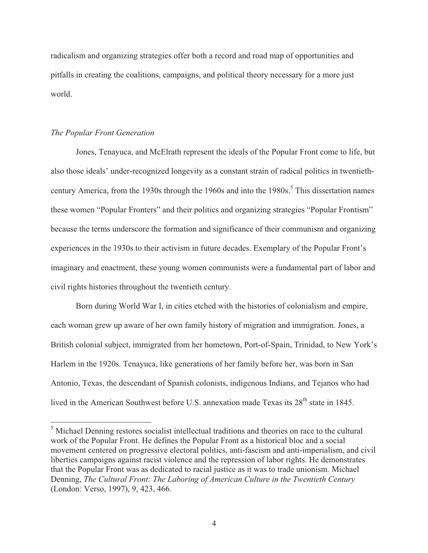radicalism and organizing strategies offer both a record and road map of opportunities and pitfalls in creating the coalitions, campaigns, and political theory necessary for a more just world.

#### *The Popular Front Generation*

Jones, Tenayuca, and McElrath represent the ideals of the Popular Front come to life, but also those ideals' under-recognized longevity as a constant strain of radical politics in twentiethcentury America, from the 1930s through the 1960s and into the 1980s.<sup>5</sup> This dissertation names these women "Popular Fronters" and their politics and organizing strategies "Popular Frontism" because the terms underscore the formation and significance of their communism and organizing experiences in the 1930s to their activism in future decades. Exemplary of the Popular Front's imaginary and enactment, these young women communists were a fundamental part of labor and civil rights histories throughout the twentieth century.

Born during World War I, in cities etched with the histories of colonialism and empire, each woman grew up aware of her own family history of migration and immigration. Jones, a British colonial subject, immigrated from her hometown, Port-of-Spain, Trinidad, to New York's Harlem in the 1920s. Tenayuca, like generations of her family before her, was born in San Antonio, Texas, the descendant of Spanish colonists, indigenous Indians, and Tejanos who had lived in the American Southwest before U.S. annexation made Texas its 28<sup>th</sup> state in 1845.

<sup>&</sup>lt;sup>5</sup> Michael Denning restores socialist intellectual traditions and theories on race to the cultural work of the Popular Front. He defines the Popular Front as a historical bloc and a social movement centered on progressive electoral politics, anti-fascism and anti-imperialism, and civil liberties campaigns against racist violence and the repression of labor rights. He demonstrates that the Popular Front was as dedicated to racial justice as it was to trade unionism. Michael Denning, *The Cultural Front: The Laboring of American Culture in the Twentieth Century* (London: Verso, 1997), 9, 423, 466.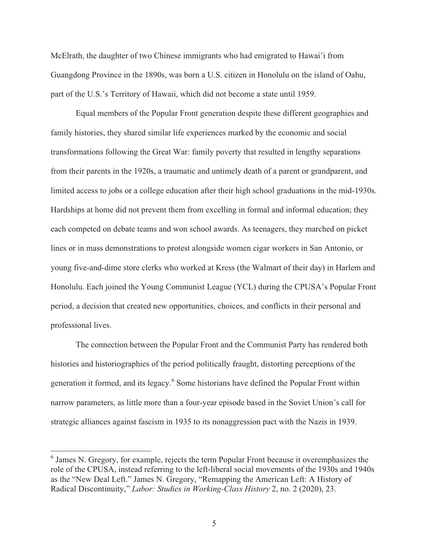McElrath, the daughter of two Chinese immigrants who had emigrated to Hawai'i from Guangdong Province in the 1890s, was born a U.S. citizen in Honolulu on the island of Oahu, part of the U.S.'s Territory of Hawaii, which did not become a state until 1959.

Equal members of the Popular Front generation despite these different geographies and family histories, they shared similar life experiences marked by the economic and social transformations following the Great War: family poverty that resulted in lengthy separations from their parents in the 1920s, a traumatic and untimely death of a parent or grandparent, and limited access to jobs or a college education after their high school graduations in the mid-1930s. Hardships at home did not prevent them from excelling in formal and informal education; they each competed on debate teams and won school awards. As teenagers, they marched on picket lines or in mass demonstrations to protest alongside women cigar workers in San Antonio, or young five-and-dime store clerks who worked at Kress (the Walmart of their day) in Harlem and Honolulu. Each joined the Young Communist League (YCL) during the CPUSA's Popular Front period, a decision that created new opportunities, choices, and conflicts in their personal and professional lives.

The connection between the Popular Front and the Communist Party has rendered both histories and historiographies of the period politically fraught, distorting perceptions of the generation it formed, and its legacy.<sup>6</sup> Some historians have defined the Popular Front within narrow parameters, as little more than a four-year episode based in the Soviet Union's call for strategic alliances against fascism in 1935 to its nonaggression pact with the Nazis in 1939.

 6 James N. Gregory, for example, rejects the term Popular Front because it overemphasizes the role of the CPUSA, instead referring to the left-liberal social movements of the 1930s and 1940s as the "New Deal Left." James N. Gregory, "Remapping the American Left: A History of Radical Discontinuity," *Labor: Studies in Working-Class History* 2, no. 2 (2020), 23.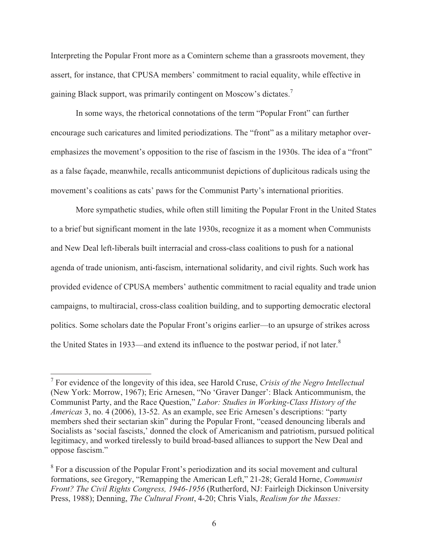Interpreting the Popular Front more as a Comintern scheme than a grassroots movement, they assert, for instance, that CPUSA members' commitment to racial equality, while effective in gaining Black support, was primarily contingent on Moscow's dictates.<sup>7</sup>

In some ways, the rhetorical connotations of the term "Popular Front" can further encourage such caricatures and limited periodizations. The "front" as a military metaphor overemphasizes the movement's opposition to the rise of fascism in the 1930s. The idea of a "front" as a false façade, meanwhile, recalls anticommunist depictions of duplicitous radicals using the movement's coalitions as cats' paws for the Communist Party's international priorities.

More sympathetic studies, while often still limiting the Popular Front in the United States to a brief but significant moment in the late 1930s, recognize it as a moment when Communists and New Deal left-liberals built interracial and cross-class coalitions to push for a national agenda of trade unionism, anti-fascism, international solidarity, and civil rights. Such work has provided evidence of CPUSA members' authentic commitment to racial equality and trade union campaigns, to multiracial, cross-class coalition building, and to supporting democratic electoral politics. Some scholars date the Popular Front's origins earlier—to an upsurge of strikes across the United States in 1933—and extend its influence to the postwar period, if not later.<sup>8</sup>

<sup>7</sup> For evidence of the longevity of this idea, see Harold Cruse, *Crisis of the Negro Intellectual* (New York: Morrow, 1967); Eric Arnesen, "No 'Graver Danger': Black Anticommunism, the Communist Party, and the Race Question," *Labor: Studies in Working-Class History of the Americas* 3, no. 4 (2006), 13-52. As an example, see Eric Arnesen's descriptions: "party members shed their sectarian skin" during the Popular Front, "ceased denouncing liberals and Socialists as 'social fascists,' donned the clock of Americanism and patriotism, pursued political legitimacy, and worked tirelessly to build broad-based alliances to support the New Deal and oppose fascism."

<sup>&</sup>lt;sup>8</sup> For a discussion of the Popular Front's periodization and its social movement and cultural formations, see Gregory, "Remapping the American Left," 21-28; Gerald Horne, *Communist Front? The Civil Rights Congress, 1946-1956* (Rutherford, NJ: Fairleigh Dickinson University Press, 1988); Denning, *The Cultural Front*, 4-20; Chris Vials, *Realism for the Masses:*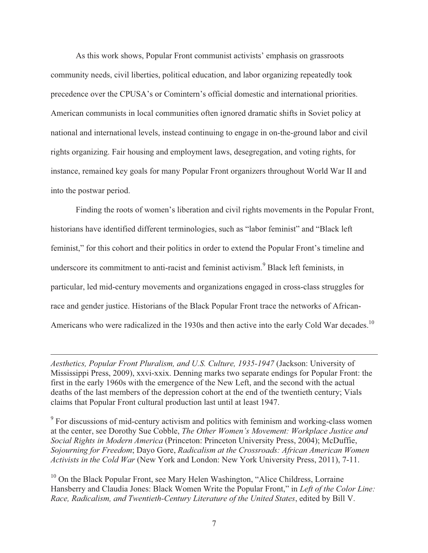As this work shows, Popular Front communist activists' emphasis on grassroots community needs, civil liberties, political education, and labor organizing repeatedly took precedence over the CPUSA's or Comintern's official domestic and international priorities. American communists in local communities often ignored dramatic shifts in Soviet policy at national and international levels, instead continuing to engage in on-the-ground labor and civil rights organizing. Fair housing and employment laws, desegregation, and voting rights, for instance, remained key goals for many Popular Front organizers throughout World War II and into the postwar period.

 Finding the roots of women's liberation and civil rights movements in the Popular Front, historians have identified different terminologies, such as "labor feminist" and "Black left feminist," for this cohort and their politics in order to extend the Popular Front's timeline and underscore its commitment to anti-racist and feminist activism.<sup>9</sup> Black left feminists, in particular, led mid-century movements and organizations engaged in cross-class struggles for race and gender justice. Historians of the Black Popular Front trace the networks of African-Americans who were radicalized in the 1930s and then active into the early Cold War decades.<sup>10</sup>

*Aesthetics, Popular Front Pluralism, and U.S. Culture, 1935-1947* (Jackson: University of Mississippi Press, 2009), xxvi-xxix. Denning marks two separate endings for Popular Front: the first in the early 1960s with the emergence of the New Left, and the second with the actual deaths of the last members of the depression cohort at the end of the twentieth century; Vials claims that Popular Front cultural production last until at least 1947.

 $\overline{a}$ 

<sup>9</sup> For discussions of mid-century activism and politics with feminism and working-class women at the center, see Dorothy Sue Cobble, *The Other Women's Movement: Workplace Justice and Social Rights in Modern America* (Princeton: Princeton University Press, 2004); McDuffie, *Sojourning for Freedom*; Dayo Gore, *Radicalism at the Crossroads: African American Women Activists in the Cold War* (New York and London: New York University Press, 2011), 7-11.

<sup>10</sup> On the Black Popular Front, see Mary Helen Washington, "Alice Childress, Lorraine" Hansberry and Claudia Jones: Black Women Write the Popular Front," in *Left of the Color Line: Race, Radicalism, and Twentieth-Century Literature of the United States*, edited by Bill V.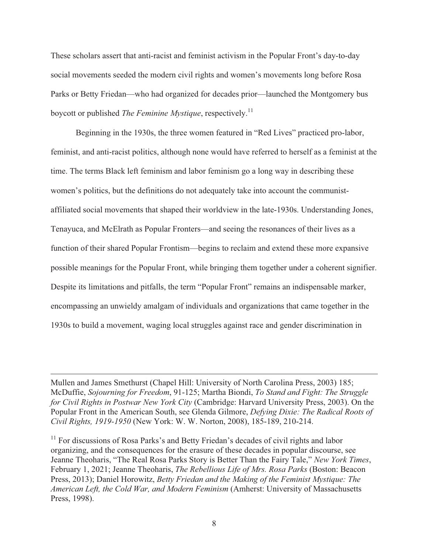These scholars assert that anti-racist and feminist activism in the Popular Front's day-to-day social movements seeded the modern civil rights and women's movements long before Rosa Parks or Betty Friedan—who had organized for decades prior—launched the Montgomery bus boycott or published *The Feminine Mystique*, respectively.11

 Beginning in the 1930s, the three women featured in "Red Lives" practiced pro-labor, feminist, and anti-racist politics, although none would have referred to herself as a feminist at the time. The terms Black left feminism and labor feminism go a long way in describing these women's politics, but the definitions do not adequately take into account the communistaffiliated social movements that shaped their worldview in the late-1930s. Understanding Jones, Tenayuca, and McElrath as Popular Fronters—and seeing the resonances of their lives as a function of their shared Popular Frontism—begins to reclaim and extend these more expansive possible meanings for the Popular Front, while bringing them together under a coherent signifier. Despite its limitations and pitfalls, the term "Popular Front" remains an indispensable marker, encompassing an unwieldy amalgam of individuals and organizations that came together in the 1930s to build a movement, waging local struggles against race and gender discrimination in

Mullen and James Smethurst (Chapel Hill: University of North Carolina Press, 2003) 185; McDuffie, *Sojourning for Freedom*, 91-125; Martha Biondi, *To Stand and Fight: The Struggle for Civil Rights in Postwar New York City* (Cambridge: Harvard University Press, 2003). On the Popular Front in the American South, see Glenda Gilmore, *Defying Dixie: The Radical Roots of Civil Rights, 1919-1950* (New York: W. W. Norton, 2008), 185-189, 210-214.

 $\overline{a}$ 

 $11$  For discussions of Rosa Parks's and Betty Friedan's decades of civil rights and labor organizing, and the consequences for the erasure of these decades in popular discourse, see Jeanne Theoharis, "The Real Rosa Parks Story is Better Than the Fairy Tale," *New York Times*, February 1, 2021; Jeanne Theoharis, *The Rebellious Life of Mrs. Rosa Parks* (Boston: Beacon Press, 2013); Daniel Horowitz, *Betty Friedan and the Making of the Feminist Mystique: The American Left, the Cold War, and Modern Feminism* (Amherst: University of Massachusetts Press, 1998).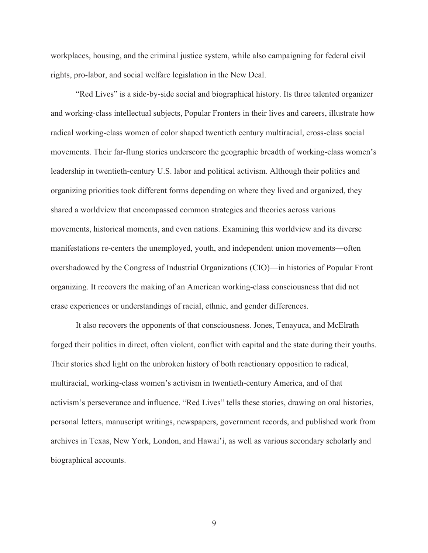workplaces, housing, and the criminal justice system, while also campaigning for federal civil rights, pro-labor, and social welfare legislation in the New Deal.

"Red Lives" is a side-by-side social and biographical history. Its three talented organizer and working-class intellectual subjects, Popular Fronters in their lives and careers, illustrate how radical working-class women of color shaped twentieth century multiracial, cross-class social movements. Their far-flung stories underscore the geographic breadth of working-class women's leadership in twentieth-century U.S. labor and political activism. Although their politics and organizing priorities took different forms depending on where they lived and organized, they shared a worldview that encompassed common strategies and theories across various movements, historical moments, and even nations. Examining this worldview and its diverse manifestations re-centers the unemployed, youth, and independent union movements—often overshadowed by the Congress of Industrial Organizations (CIO)—in histories of Popular Front organizing. It recovers the making of an American working-class consciousness that did not erase experiences or understandings of racial, ethnic, and gender differences.

It also recovers the opponents of that consciousness. Jones, Tenayuca, and McElrath forged their politics in direct, often violent, conflict with capital and the state during their youths. Their stories shed light on the unbroken history of both reactionary opposition to radical, multiracial, working-class women's activism in twentieth-century America, and of that activism's perseverance and influence. "Red Lives" tells these stories, drawing on oral histories, personal letters, manuscript writings, newspapers, government records, and published work from archives in Texas, New York, London, and Hawai'i, as well as various secondary scholarly and biographical accounts.

9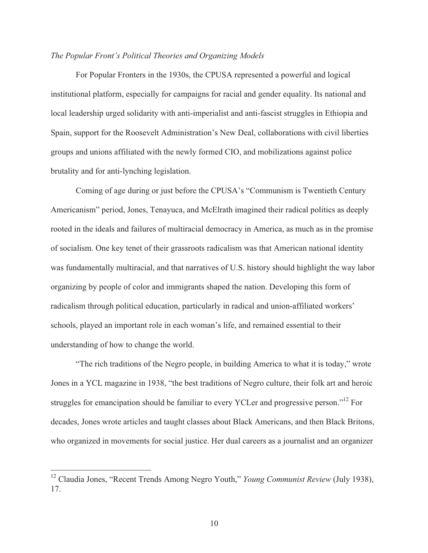#### *The Popular Front's Political Theories and Organizing Models*

For Popular Fronters in the 1930s, the CPUSA represented a powerful and logical institutional platform, especially for campaigns for racial and gender equality. Its national and local leadership urged solidarity with anti-imperialist and anti-fascist struggles in Ethiopia and Spain, support for the Roosevelt Administration's New Deal, collaborations with civil liberties groups and unions affiliated with the newly formed CIO, and mobilizations against police brutality and for anti-lynching legislation.

Coming of age during or just before the CPUSA's "Communism is Twentieth Century Americanism" period, Jones, Tenayuca, and McElrath imagined their radical politics as deeply rooted in the ideals and failures of multiracial democracy in America, as much as in the promise of socialism. One key tenet of their grassroots radicalism was that American national identity was fundamentally multiracial, and that narratives of U.S. history should highlight the way labor organizing by people of color and immigrants shaped the nation. Developing this form of radicalism through political education, particularly in radical and union-affiliated workers' schools, played an important role in each woman's life, and remained essential to their understanding of how to change the world.

"The rich traditions of the Negro people, in building America to what it is today," wrote Jones in a YCL magazine in 1938, "the best traditions of Negro culture, their folk art and heroic struggles for emancipation should be familiar to every YCLer and progressive person."<sup>12</sup> For decades, Jones wrote articles and taught classes about Black Americans, and then Black Britons, who organized in movements for social justice. Her dual careers as a journalist and an organizer

<sup>12</sup> Claudia Jones, "Recent Trends Among Negro Youth," *Young Communist Review* (July 1938), 17.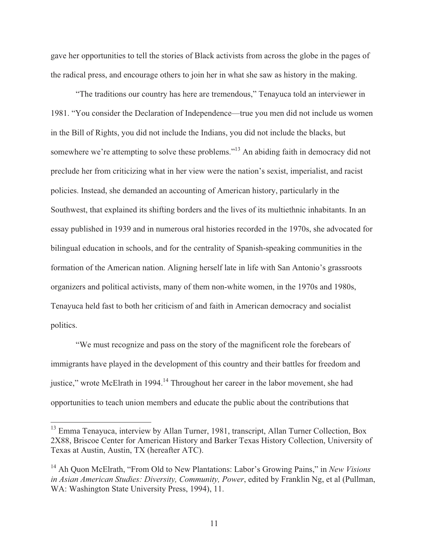gave her opportunities to tell the stories of Black activists from across the globe in the pages of the radical press, and encourage others to join her in what she saw as history in the making.

"The traditions our country has here are tremendous," Tenayuca told an interviewer in 1981. "You consider the Declaration of Independence—true you men did not include us women in the Bill of Rights, you did not include the Indians, you did not include the blacks, but somewhere we're attempting to solve these problems."<sup>13</sup> An abiding faith in democracy did not preclude her from criticizing what in her view were the nation's sexist, imperialist, and racist policies. Instead, she demanded an accounting of American history, particularly in the Southwest, that explained its shifting borders and the lives of its multiethnic inhabitants. In an essay published in 1939 and in numerous oral histories recorded in the 1970s, she advocated for bilingual education in schools, and for the centrality of Spanish-speaking communities in the formation of the American nation. Aligning herself late in life with San Antonio's grassroots organizers and political activists, many of them non-white women, in the 1970s and 1980s, Tenayuca held fast to both her criticism of and faith in American democracy and socialist politics.

"We must recognize and pass on the story of the magnificent role the forebears of immigrants have played in the development of this country and their battles for freedom and justice," wrote McElrath in 1994.<sup>14</sup> Throughout her career in the labor movement, she had opportunities to teach union members and educate the public about the contributions that

<sup>&</sup>lt;sup>13</sup> Emma Tenayuca, interview by Allan Turner, 1981, transcript, Allan Turner Collection, Box 2X88, Briscoe Center for American History and Barker Texas History Collection, University of Texas at Austin, Austin, TX (hereafter ATC).

<sup>14</sup> Ah Quon McElrath, "From Old to New Plantations: Labor's Growing Pains," in *New Visions in Asian American Studies: Diversity, Community, Power*, edited by Franklin Ng, et al (Pullman, WA: Washington State University Press, 1994), 11.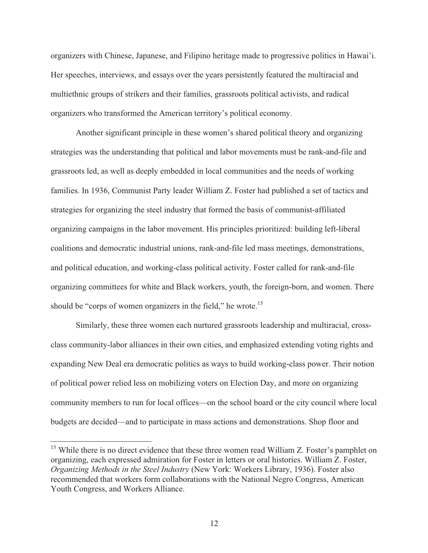organizers with Chinese, Japanese, and Filipino heritage made to progressive politics in Hawai'i. Her speeches, interviews, and essays over the years persistently featured the multiracial and multiethnic groups of strikers and their families, grassroots political activists, and radical organizers who transformed the American territory's political economy.

Another significant principle in these women's shared political theory and organizing strategies was the understanding that political and labor movements must be rank-and-file and grassroots led, as well as deeply embedded in local communities and the needs of working families. In 1936, Communist Party leader William Z. Foster had published a set of tactics and strategies for organizing the steel industry that formed the basis of communist-affiliated organizing campaigns in the labor movement. His principles prioritized: building left-liberal coalitions and democratic industrial unions, rank-and-file led mass meetings, demonstrations, and political education, and working-class political activity. Foster called for rank-and-file organizing committees for white and Black workers, youth, the foreign-born, and women. There should be "corps of women organizers in the field," he wrote.<sup>15</sup>

Similarly, these three women each nurtured grassroots leadership and multiracial, crossclass community-labor alliances in their own cities, and emphasized extending voting rights and expanding New Deal era democratic politics as ways to build working-class power. Their notion of political power relied less on mobilizing voters on Election Day, and more on organizing community members to run for local offices—on the school board or the city council where local budgets are decided—and to participate in mass actions and demonstrations. Shop floor and

<sup>&</sup>lt;sup>15</sup> While there is no direct evidence that these three women read William Z. Foster's pamphlet on organizing, each expressed admiration for Foster in letters or oral histories. William Z. Foster, *Organizing Methods in the Steel Industry* (New York: Workers Library, 1936). Foster also recommended that workers form collaborations with the National Negro Congress, American Youth Congress, and Workers Alliance.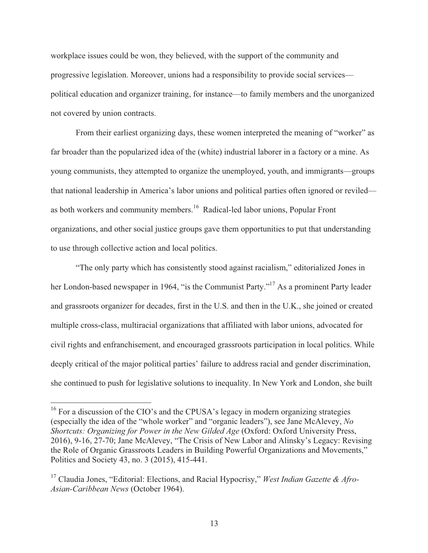workplace issues could be won, they believed, with the support of the community and progressive legislation. Moreover, unions had a responsibility to provide social services political education and organizer training, for instance—to family members and the unorganized not covered by union contracts.

From their earliest organizing days, these women interpreted the meaning of "worker" as far broader than the popularized idea of the (white) industrial laborer in a factory or a mine. As young communists, they attempted to organize the unemployed, youth, and immigrants—groups that national leadership in America's labor unions and political parties often ignored or reviled as both workers and community members.<sup>16</sup> Radical-led labor unions, Popular Front organizations, and other social justice groups gave them opportunities to put that understanding to use through collective action and local politics.

"The only party which has consistently stood against racialism," editorialized Jones in her London-based newspaper in 1964, "is the Communist Party."<sup>17</sup> As a prominent Party leader and grassroots organizer for decades, first in the U.S. and then in the U.K., she joined or created multiple cross-class, multiracial organizations that affiliated with labor unions, advocated for civil rights and enfranchisement, and encouraged grassroots participation in local politics. While deeply critical of the major political parties' failure to address racial and gender discrimination, she continued to push for legislative solutions to inequality. In New York and London, she built

 $16$  For a discussion of the CIO's and the CPUSA's legacy in modern organizing strategies (especially the idea of the "whole worker" and "organic leaders"), see Jane McAlevey, *No Shortcuts: Organizing for Power in the New Gilded Age* (Oxford: Oxford University Press, 2016), 9-16, 27-70; Jane McAlevey, "The Crisis of New Labor and Alinsky's Legacy: Revising the Role of Organic Grassroots Leaders in Building Powerful Organizations and Movements," Politics and Society 43, no. 3 (2015), 415-441.

<sup>&</sup>lt;sup>17</sup> Claudia Jones, "Editorial: Elections, and Racial Hypocrisy," *West Indian Gazette & Afro-Asian-Caribbean News* (October 1964).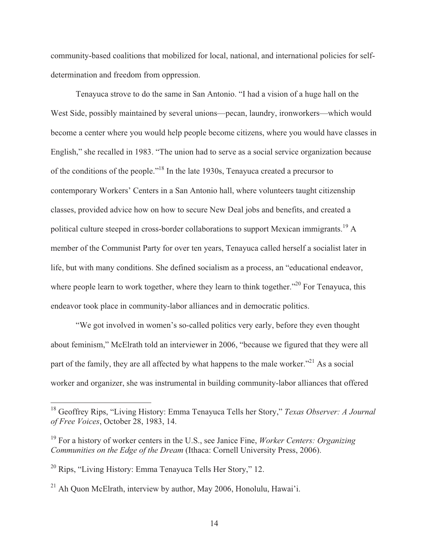community-based coalitions that mobilized for local, national, and international policies for selfdetermination and freedom from oppression.

Tenayuca strove to do the same in San Antonio. "I had a vision of a huge hall on the West Side, possibly maintained by several unions—pecan, laundry, ironworkers—which would become a center where you would help people become citizens, where you would have classes in English," she recalled in 1983. "The union had to serve as a social service organization because of the conditions of the people."18 In the late 1930s, Tenayuca created a precursor to contemporary Workers' Centers in a San Antonio hall, where volunteers taught citizenship classes, provided advice how on how to secure New Deal jobs and benefits, and created a political culture steeped in cross-border collaborations to support Mexican immigrants.19 A member of the Communist Party for over ten years, Tenayuca called herself a socialist later in life, but with many conditions. She defined socialism as a process, an "educational endeavor, where people learn to work together, where they learn to think together."<sup>20</sup> For Tenayuca, this endeavor took place in community-labor alliances and in democratic politics.

"We got involved in women's so-called politics very early, before they even thought about feminism," McElrath told an interviewer in 2006, "because we figured that they were all part of the family, they are all affected by what happens to the male worker."<sup>21</sup> As a social worker and organizer, she was instrumental in building community-labor alliances that offered

<sup>18</sup> Geoffrey Rips, "Living History: Emma Tenayuca Tells her Story," *Texas Observer: A Journal of Free Voices*, October 28, 1983, 14.

<sup>19</sup> For a history of worker centers in the U.S., see Janice Fine, *Worker Centers: Organizing Communities on the Edge of the Dream* (Ithaca: Cornell University Press, 2006).

<sup>20</sup> Rips, "Living History: Emma Tenayuca Tells Her Story," 12.

<sup>&</sup>lt;sup>21</sup> Ah Quon McElrath, interview by author, May 2006, Honolulu, Hawai'i.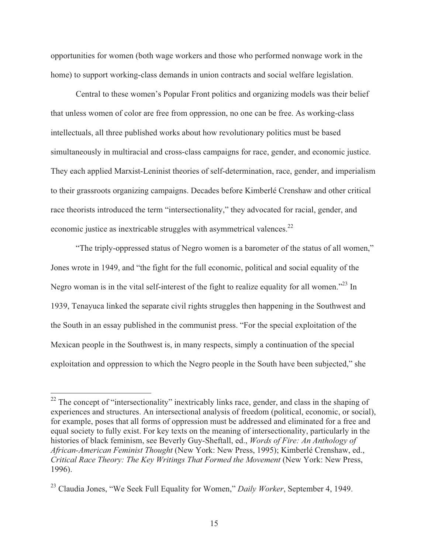opportunities for women (both wage workers and those who performed nonwage work in the home) to support working-class demands in union contracts and social welfare legislation.

Central to these women's Popular Front politics and organizing models was their belief that unless women of color are free from oppression, no one can be free. As working-class intellectuals, all three published works about how revolutionary politics must be based simultaneously in multiracial and cross-class campaigns for race, gender, and economic justice. They each applied Marxist-Leninist theories of self-determination, race, gender, and imperialism to their grassroots organizing campaigns. Decades before Kimberlé Crenshaw and other critical race theorists introduced the term "intersectionality," they advocated for racial, gender, and economic justice as inextricable struggles with asymmetrical valences.<sup>22</sup>

"The triply-oppressed status of Negro women is a barometer of the status of all women," Jones wrote in 1949, and "the fight for the full economic, political and social equality of the Negro woman is in the vital self-interest of the fight to realize equality for all women."<sup>23</sup> In 1939, Tenayuca linked the separate civil rights struggles then happening in the Southwest and the South in an essay published in the communist press. "For the special exploitation of the Mexican people in the Southwest is, in many respects, simply a continuation of the special exploitation and oppression to which the Negro people in the South have been subjected," she

 $22$  The concept of "intersectionality" inextricably links race, gender, and class in the shaping of experiences and structures. An intersectional analysis of freedom (political, economic, or social), for example, poses that all forms of oppression must be addressed and eliminated for a free and equal society to fully exist. For key texts on the meaning of intersectionality, particularly in the histories of black feminism, see Beverly Guy-Sheftall, ed., *Words of Fire: An Anthology of African-American Feminist Thought* (New York: New Press, 1995); Kimberlé Crenshaw, ed., *Critical Race Theory: The Key Writings That Formed the Movement* (New York: New Press, 1996).

<sup>23</sup> Claudia Jones, "We Seek Full Equality for Women," *Daily Worker*, September 4, 1949.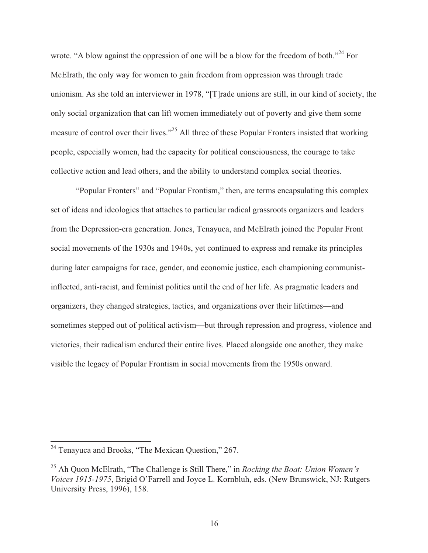wrote. "A blow against the oppression of one will be a blow for the freedom of both."<sup>24</sup> For McElrath, the only way for women to gain freedom from oppression was through trade unionism. As she told an interviewer in 1978, "[T]rade unions are still, in our kind of society, the only social organization that can lift women immediately out of poverty and give them some measure of control over their lives."25 All three of these Popular Fronters insisted that working people, especially women, had the capacity for political consciousness, the courage to take collective action and lead others, and the ability to understand complex social theories.

"Popular Fronters" and "Popular Frontism," then, are terms encapsulating this complex set of ideas and ideologies that attaches to particular radical grassroots organizers and leaders from the Depression-era generation. Jones, Tenayuca, and McElrath joined the Popular Front social movements of the 1930s and 1940s, yet continued to express and remake its principles during later campaigns for race, gender, and economic justice, each championing communistinflected, anti-racist, and feminist politics until the end of her life. As pragmatic leaders and organizers, they changed strategies, tactics, and organizations over their lifetimes—and sometimes stepped out of political activism—but through repression and progress, violence and victories, their radicalism endured their entire lives. Placed alongside one another, they make visible the legacy of Popular Frontism in social movements from the 1950s onward.

 $\overline{\phantom{a}}$ 

 $2<sup>24</sup>$  Tenayuca and Brooks, "The Mexican Question," 267.

<sup>25</sup> Ah Quon McElrath, "The Challenge is Still There," in *Rocking the Boat: Union Women's Voices 1915-1975*, Brigid O'Farrell and Joyce L. Kornbluh, eds. (New Brunswick, NJ: Rutgers University Press, 1996), 158.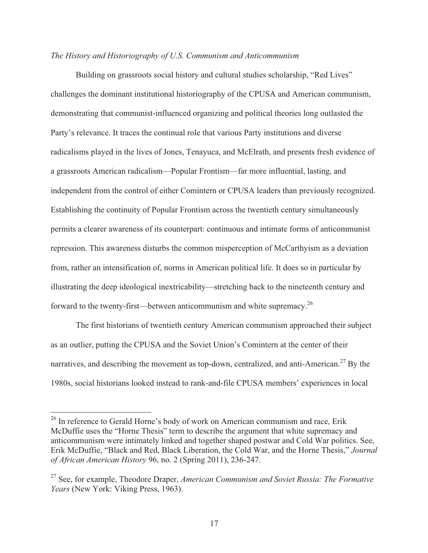#### *The History and Historiography of U.S. Communism and Anticommunism*

 Building on grassroots social history and cultural studies scholarship, "Red Lives" challenges the dominant institutional historiography of the CPUSA and American communism, demonstrating that communist-influenced organizing and political theories long outlasted the Party's relevance. It traces the continual role that various Party institutions and diverse radicalisms played in the lives of Jones, Tenayuca, and McElrath, and presents fresh evidence of a grassroots American radicalism—Popular Frontism—far more influential, lasting, and independent from the control of either Comintern or CPUSA leaders than previously recognized. Establishing the continuity of Popular Frontism across the twentieth century simultaneously permits a clearer awareness of its counterpart: continuous and intimate forms of anticommunist repression. This awareness disturbs the common misperception of McCarthyism as a deviation from, rather an intensification of, norms in American political life. It does so in particular by illustrating the deep ideological inextricability—stretching back to the nineteenth century and forward to the twenty-first—between anticommunism and white supremacy.<sup>26</sup>

 The first historians of twentieth century American communism approached their subject as an outlier, putting the CPUSA and the Soviet Union's Comintern at the center of their narratives, and describing the movement as top-down, centralized, and anti-American.<sup>27</sup> By the 1980s, social historians looked instead to rank-and-file CPUSA members' experiences in local

<sup>&</sup>lt;sup>26</sup> In reference to Gerald Horne's body of work on American communism and race, Erik McDuffie uses the "Horne Thesis" term to describe the argument that white supremacy and anticommunism were intimately linked and together shaped postwar and Cold War politics. See, Erik McDuffie, "Black and Red, Black Liberation, the Cold War, and the Horne Thesis," *Journal of African American History* 96, no. 2 (Spring 2011), 236-247.

<sup>27</sup> See, for example, Theodore Draper, *American Communism and Soviet Russia: The Formative Years* (New York: Viking Press, 1963).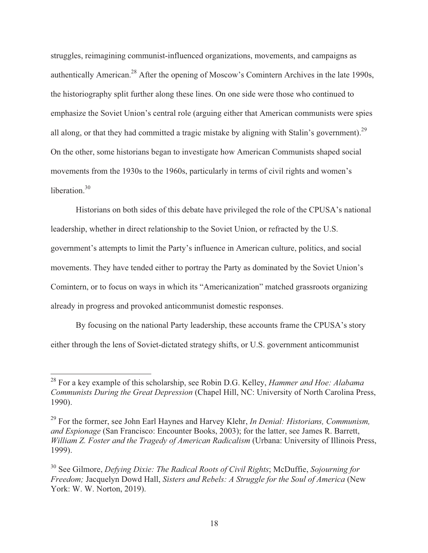struggles, reimagining communist-influenced organizations, movements, and campaigns as authentically American.<sup>28</sup> After the opening of Moscow's Comintern Archives in the late 1990s, the historiography split further along these lines. On one side were those who continued to emphasize the Soviet Union's central role (arguing either that American communists were spies all along, or that they had committed a tragic mistake by aligning with Stalin's government).<sup>29</sup> On the other, some historians began to investigate how American Communists shaped social movements from the 1930s to the 1960s, particularly in terms of civil rights and women's liberation $30$ 

Historians on both sides of this debate have privileged the role of the CPUSA's national leadership, whether in direct relationship to the Soviet Union, or refracted by the U.S. government's attempts to limit the Party's influence in American culture, politics, and social movements. They have tended either to portray the Party as dominated by the Soviet Union's Comintern, or to focus on ways in which its "Americanization" matched grassroots organizing already in progress and provoked anticommunist domestic responses.

By focusing on the national Party leadership, these accounts frame the CPUSA's story either through the lens of Soviet-dictated strategy shifts, or U.S. government anticommunist

<sup>28</sup> For a key example of this scholarship, see Robin D.G. Kelley, *Hammer and Hoe: Alabama Communists During the Great Depression* (Chapel Hill, NC: University of North Carolina Press, 1990).

<sup>29</sup> For the former, see John Earl Haynes and Harvey Klehr, *In Denial: Historians, Communism, and Espionage* (San Francisco: Encounter Books, 2003); for the latter, see James R. Barrett, *William Z. Foster and the Tragedy of American Radicalism* (Urbana: University of Illinois Press, 1999).

<sup>30</sup> See Gilmore, *Defying Dixie: The Radical Roots of Civil Rights*; McDuffie, *Sojourning for Freedom;* Jacquelyn Dowd Hall, *Sisters and Rebels: A Struggle for the Soul of America* (New York: W. W. Norton, 2019).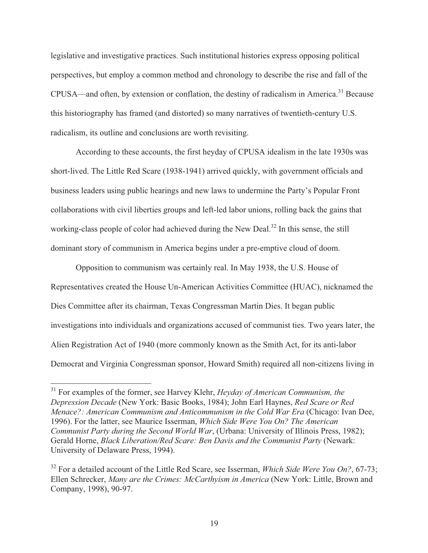legislative and investigative practices. Such institutional histories express opposing political perspectives, but employ a common method and chronology to describe the rise and fall of the CPUSA—and often, by extension or conflation, the destiny of radicalism in America.<sup>31</sup> Because this historiography has framed (and distorted) so many narratives of twentieth-century U.S. radicalism, its outline and conclusions are worth revisiting.

According to these accounts, the first heyday of CPUSA idealism in the late 1930s was short-lived. The Little Red Scare (1938-1941) arrived quickly, with government officials and business leaders using public hearings and new laws to undermine the Party's Popular Front collaborations with civil liberties groups and left-led labor unions, rolling back the gains that working-class people of color had achieved during the New Deal.<sup>32</sup> In this sense, the still dominant story of communism in America begins under a pre-emptive cloud of doom.

Opposition to communism was certainly real. In May 1938, the U.S. House of Representatives created the House Un-American Activities Committee (HUAC), nicknamed the Dies Committee after its chairman, Texas Congressman Martin Dies. It began public investigations into individuals and organizations accused of communist ties. Two years later, the Alien Registration Act of 1940 (more commonly known as the Smith Act, for its anti-labor Democrat and Virginia Congressman sponsor, Howard Smith) required all non-citizens living in

 $\overline{\phantom{a}}$ 

<sup>31</sup> For examples of the former, see Harvey Klehr, *Heyday of American Communism, the Depression Decade* (New York: Basic Books, 1984); John Earl Haynes, *Red Scare or Red Menace?: American Communism and Anticommunism in the Cold War Era* (Chicago: Ivan Dee, 1996). For the latter, see Maurice Isserman, *Which Side Were You On? The American Communist Party during the Second World War*, (Urbana: University of Illinois Press, 1982); Gerald Horne, *Black Liberation/Red Scare: Ben Davis and the Communist Party* (Newark: University of Delaware Press, 1994).

<sup>32</sup> For a detailed account of the Little Red Scare, see Isserman, *Which Side Were You On?*, 67-73; Ellen Schrecker, *Many are the Crimes: McCarthyism in America* (New York: Little, Brown and Company, 1998), 90-97.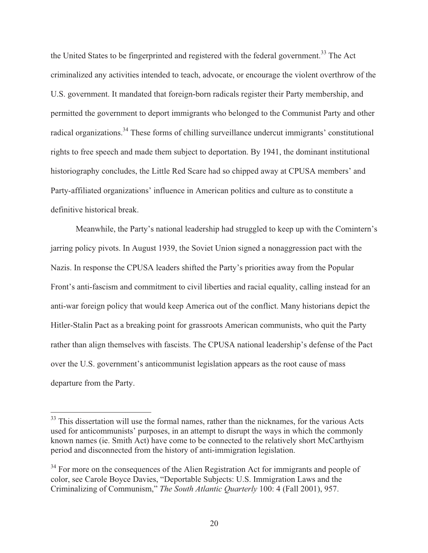the United States to be fingerprinted and registered with the federal government.<sup>33</sup> The Act criminalized any activities intended to teach, advocate, or encourage the violent overthrow of the U.S. government. It mandated that foreign-born radicals register their Party membership, and permitted the government to deport immigrants who belonged to the Communist Party and other radical organizations.<sup>34</sup> These forms of chilling surveillance undercut immigrants' constitutional rights to free speech and made them subject to deportation. By 1941, the dominant institutional historiography concludes, the Little Red Scare had so chipped away at CPUSA members' and Party-affiliated organizations' influence in American politics and culture as to constitute a definitive historical break.

 Meanwhile, the Party's national leadership had struggled to keep up with the Comintern's jarring policy pivots. In August 1939, the Soviet Union signed a nonaggression pact with the Nazis. In response the CPUSA leaders shifted the Party's priorities away from the Popular Front's anti-fascism and commitment to civil liberties and racial equality, calling instead for an anti-war foreign policy that would keep America out of the conflict. Many historians depict the Hitler-Stalin Pact as a breaking point for grassroots American communists, who quit the Party rather than align themselves with fascists. The CPUSA national leadership's defense of the Pact over the U.S. government's anticommunist legislation appears as the root cause of mass departure from the Party.

 $33$  This dissertation will use the formal names, rather than the nicknames, for the various Acts used for anticommunists' purposes, in an attempt to disrupt the ways in which the commonly known names (ie. Smith Act) have come to be connected to the relatively short McCarthyism period and disconnected from the history of anti-immigration legislation.

<sup>&</sup>lt;sup>34</sup> For more on the consequences of the Alien Registration Act for immigrants and people of color, see Carole Boyce Davies, "Deportable Subjects: U.S. Immigration Laws and the Criminalizing of Communism," *The South Atlantic Quarterly* 100: 4 (Fall 2001), 957.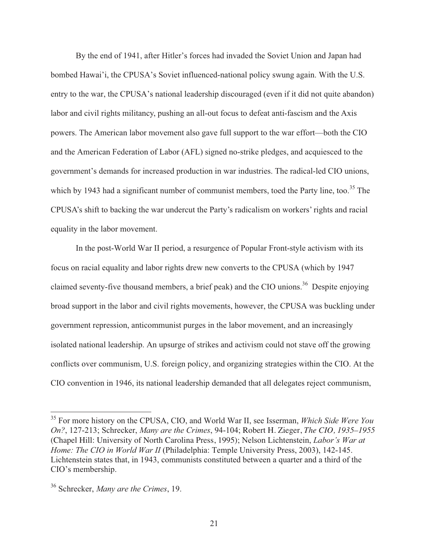By the end of 1941, after Hitler's forces had invaded the Soviet Union and Japan had bombed Hawai'i, the CPUSA's Soviet influenced-national policy swung again. With the U.S. entry to the war, the CPUSA's national leadership discouraged (even if it did not quite abandon) labor and civil rights militancy, pushing an all-out focus to defeat anti-fascism and the Axis powers. The American labor movement also gave full support to the war effort—both the CIO and the American Federation of Labor (AFL) signed no-strike pledges, and acquiesced to the government's demands for increased production in war industries. The radical-led CIO unions, which by 1943 had a significant number of communist members, toed the Party line, too.<sup>35</sup> The CPUSA's shift to backing the war undercut the Party's radicalism on workers' rights and racial equality in the labor movement.

 In the post-World War II period, a resurgence of Popular Front-style activism with its focus on racial equality and labor rights drew new converts to the CPUSA (which by 1947 claimed seventy-five thousand members, a brief peak) and the CIO unions.<sup>36</sup> Despite enjoying broad support in the labor and civil rights movements, however, the CPUSA was buckling under government repression, anticommunist purges in the labor movement, and an increasingly isolated national leadership. An upsurge of strikes and activism could not stave off the growing conflicts over communism, U.S. foreign policy, and organizing strategies within the CIO. At the CIO convention in 1946, its national leadership demanded that all delegates reject communism,

<sup>35</sup> For more history on the CPUSA, CIO, and World War II, see Isserman, *Which Side Were You On?*, 127-213; Schrecker, *Many are the Crimes*, 94-104; Robert H. Zieger, *The CIO, 1935–1955* (Chapel Hill: University of North Carolina Press, 1995); Nelson Lichtenstein, *Labor's War at Home: The CIO in World War II* (Philadelphia: Temple University Press, 2003), 142-145. Lichtenstein states that, in 1943, communists constituted between a quarter and a third of the CIO's membership.

<sup>36</sup> Schrecker, *Many are the Crimes*, 19.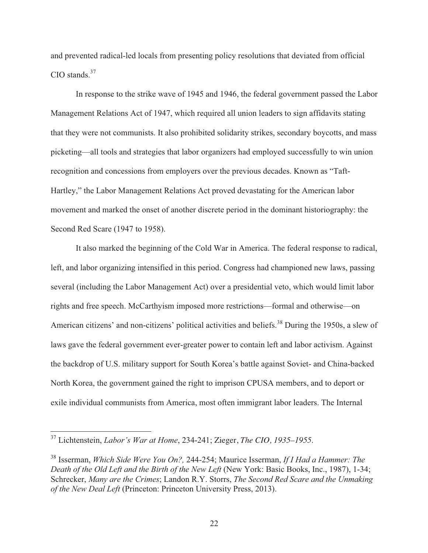and prevented radical-led locals from presenting policy resolutions that deviated from official  $CIO$  stands. $37$ 

 In response to the strike wave of 1945 and 1946, the federal government passed the Labor Management Relations Act of 1947, which required all union leaders to sign affidavits stating that they were not communists. It also prohibited solidarity strikes, secondary boycotts, and mass picketing—all tools and strategies that labor organizers had employed successfully to win union recognition and concessions from employers over the previous decades. Known as "Taft-Hartley," the Labor Management Relations Act proved devastating for the American labor movement and marked the onset of another discrete period in the dominant historiography: the Second Red Scare (1947 to 1958).

 It also marked the beginning of the Cold War in America. The federal response to radical, left, and labor organizing intensified in this period. Congress had championed new laws, passing several (including the Labor Management Act) over a presidential veto, which would limit labor rights and free speech. McCarthyism imposed more restrictions—formal and otherwise—on American citizens' and non-citizens' political activities and beliefs.<sup>38</sup> During the 1950s, a slew of laws gave the federal government ever-greater power to contain left and labor activism. Against the backdrop of U.S. military support for South Korea's battle against Soviet- and China-backed North Korea, the government gained the right to imprison CPUSA members, and to deport or exile individual communists from America, most often immigrant labor leaders. The Internal

<sup>37</sup> Lichtenstein, *Labor's War at Home*, 234-241; Zieger, *The CIO, 1935–1955*.

<sup>38</sup> Isserman, *Which Side Were You On?,* 244-254; Maurice Isserman, *If I Had a Hammer: The Death of the Old Left and the Birth of the New Left* (New York: Basic Books, Inc., 1987), 1-34; Schrecker, *Many are the Crimes*; Landon R.Y. Storrs, *The Second Red Scare and the Unmaking of the New Deal Left* (Princeton: Princeton University Press, 2013).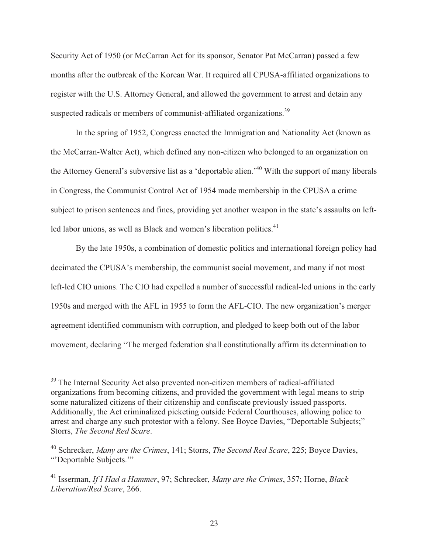Security Act of 1950 (or McCarran Act for its sponsor, Senator Pat McCarran) passed a few months after the outbreak of the Korean War. It required all CPUSA-affiliated organizations to register with the U.S. Attorney General, and allowed the government to arrest and detain any suspected radicals or members of communist-affiliated organizations.<sup>39</sup>

 In the spring of 1952, Congress enacted the Immigration and Nationality Act (known as the McCarran-Walter Act), which defined any non-citizen who belonged to an organization on the Attorney General's subversive list as a 'deportable alien.'40 With the support of many liberals in Congress, the Communist Control Act of 1954 made membership in the CPUSA a crime subject to prison sentences and fines, providing yet another weapon in the state's assaults on leftled labor unions, as well as Black and women's liberation politics.<sup>41</sup>

 By the late 1950s, a combination of domestic politics and international foreign policy had decimated the CPUSA's membership, the communist social movement, and many if not most left-led CIO unions. The CIO had expelled a number of successful radical-led unions in the early 1950s and merged with the AFL in 1955 to form the AFL-CIO. The new organization's merger agreement identified communism with corruption, and pledged to keep both out of the labor movement, declaring "The merged federation shall constitutionally affirm its determination to

<sup>&</sup>lt;sup>39</sup> The Internal Security Act also prevented non-citizen members of radical-affiliated organizations from becoming citizens, and provided the government with legal means to strip some naturalized citizens of their citizenship and confiscate previously issued passports. Additionally, the Act criminalized picketing outside Federal Courthouses, allowing police to arrest and charge any such protestor with a felony. See Boyce Davies, "Deportable Subjects;" Storrs, *The Second Red Scare*.

<sup>40</sup> Schrecker, *Many are the Crimes*, 141; Storrs, *The Second Red Scare*, 225; Boyce Davies, "'Deportable Subjects.'"

<sup>41</sup> Isserman, *If I Had a Hammer*, 97; Schrecker, *Many are the Crimes*, 357; Horne, *Black Liberation/Red Scare*, 266.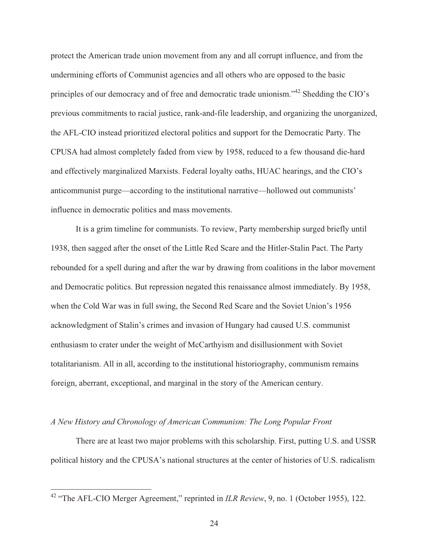protect the American trade union movement from any and all corrupt influence, and from the undermining efforts of Communist agencies and all others who are opposed to the basic principles of our democracy and of free and democratic trade unionism."<sup>42</sup> Shedding the CIO's previous commitments to racial justice, rank-and-file leadership, and organizing the unorganized, the AFL-CIO instead prioritized electoral politics and support for the Democratic Party. The CPUSA had almost completely faded from view by 1958, reduced to a few thousand die-hard and effectively marginalized Marxists. Federal loyalty oaths, HUAC hearings, and the CIO's anticommunist purge—according to the institutional narrative—hollowed out communists' influence in democratic politics and mass movements.

It is a grim timeline for communists. To review, Party membership surged briefly until 1938, then sagged after the onset of the Little Red Scare and the Hitler-Stalin Pact. The Party rebounded for a spell during and after the war by drawing from coalitions in the labor movement and Democratic politics. But repression negated this renaissance almost immediately. By 1958, when the Cold War was in full swing, the Second Red Scare and the Soviet Union's 1956 acknowledgment of Stalin's crimes and invasion of Hungary had caused U.S. communist enthusiasm to crater under the weight of McCarthyism and disillusionment with Soviet totalitarianism. All in all, according to the institutional historiography, communism remains foreign, aberrant, exceptional, and marginal in the story of the American century.

### *A New History and Chronology of American Communism: The Long Popular Front*

 $\overline{a}$ 

 There are at least two major problems with this scholarship. First, putting U.S. and USSR political history and the CPUSA's national structures at the center of histories of U.S. radicalism

<sup>&</sup>lt;sup>42</sup> "The AFL-CIO Merger Agreement," reprinted in *ILR Review*, 9, no. 1 (October 1955), 122.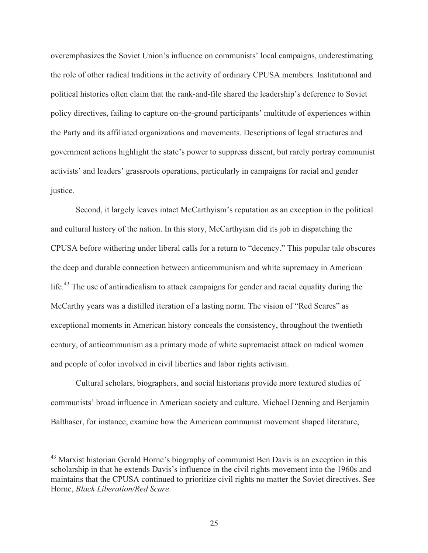overemphasizes the Soviet Union's influence on communists' local campaigns, underestimating the role of other radical traditions in the activity of ordinary CPUSA members. Institutional and political histories often claim that the rank-and-file shared the leadership's deference to Soviet policy directives, failing to capture on-the-ground participants' multitude of experiences within the Party and its affiliated organizations and movements. Descriptions of legal structures and government actions highlight the state's power to suppress dissent, but rarely portray communist activists' and leaders' grassroots operations, particularly in campaigns for racial and gender justice.

Second, it largely leaves intact McCarthyism's reputation as an exception in the political and cultural history of the nation. In this story, McCarthyism did its job in dispatching the CPUSA before withering under liberal calls for a return to "decency." This popular tale obscures the deep and durable connection between anticommunism and white supremacy in American life.<sup>43</sup> The use of antiradicalism to attack campaigns for gender and racial equality during the McCarthy years was a distilled iteration of a lasting norm. The vision of "Red Scares" as exceptional moments in American history conceals the consistency, throughout the twentieth century, of anticommunism as a primary mode of white supremacist attack on radical women and people of color involved in civil liberties and labor rights activism.

 Cultural scholars, biographers, and social historians provide more textured studies of communists' broad influence in American society and culture. Michael Denning and Benjamin Balthaser, for instance, examine how the American communist movement shaped literature,

<sup>&</sup>lt;sup>43</sup> Marxist historian Gerald Horne's biography of communist Ben Davis is an exception in this scholarship in that he extends Davis's influence in the civil rights movement into the 1960s and maintains that the CPUSA continued to prioritize civil rights no matter the Soviet directives. See Horne, *Black Liberation/Red Scare*.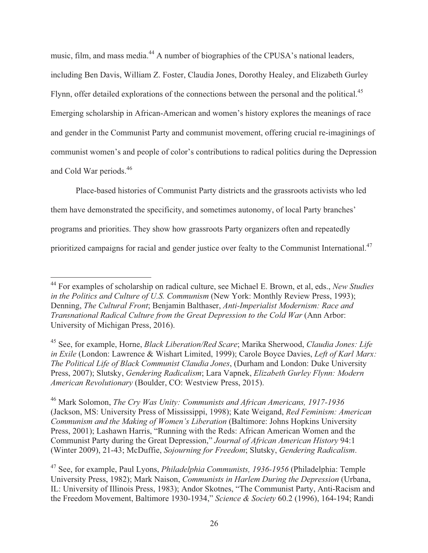music, film, and mass media.<sup>44</sup> A number of biographies of the CPUSA's national leaders, including Ben Davis, William Z. Foster, Claudia Jones, Dorothy Healey, and Elizabeth Gurley Flynn, offer detailed explorations of the connections between the personal and the political.<sup>45</sup> Emerging scholarship in African-American and women's history explores the meanings of race and gender in the Communist Party and communist movement, offering crucial re-imaginings of communist women's and people of color's contributions to radical politics during the Depression and Cold War periods.46

Place-based histories of Communist Party districts and the grassroots activists who led them have demonstrated the specificity, and sometimes autonomy, of local Party branches' programs and priorities. They show how grassroots Party organizers often and repeatedly prioritized campaigns for racial and gender justice over fealty to the Communist International.<sup>47</sup>

 $\overline{a}$ 44 For examples of scholarship on radical culture, see Michael E. Brown, et al, eds., *New Studies in the Politics and Culture of U.S. Communism* (New York: Monthly Review Press, 1993); Denning, *The Cultural Front*; Benjamin Balthaser, *Anti-Imperialist Modernism: Race and Transnational Radical Culture from the Great Depression to the Cold War* (Ann Arbor: University of Michigan Press, 2016).

<sup>45</sup> See, for example, Horne, *Black Liberation/Red Scare*; Marika Sherwood, *Claudia Jones: Life in Exile* (London: Lawrence & Wishart Limited, 1999); Carole Boyce Davies, *Left of Karl Marx: The Political Life of Black Communist Claudia Jones*, (Durham and London: Duke University Press, 2007); Slutsky, *Gendering Radicalism*; Lara Vapnek, *Elizabeth Gurley Flynn: Modern American Revolutionary* (Boulder, CO: Westview Press, 2015).

<sup>46</sup> Mark Solomon, *The Cry Was Unity: Communists and African Americans, 1917-1936*  (Jackson, MS: University Press of Mississippi, 1998); Kate Weigand, *Red Feminism: American Communism and the Making of Women's Liberation* (Baltimore: Johns Hopkins University Press, 2001); Lashawn Harris, "Running with the Reds: African American Women and the Communist Party during the Great Depression," *Journal of African American History* 94:1 (Winter 2009), 21-43; McDuffie, *Sojourning for Freedom*; Slutsky, *Gendering Radicalism*.

<sup>47</sup> See, for example, Paul Lyons, *Philadelphia Communists, 1936-1956* (Philadelphia: Temple University Press, 1982); Mark Naison, *Communists in Harlem During the Depression* (Urbana, IL: University of Illinois Press, 1983); Andor Skotnes, "The Communist Party, Anti-Racism and the Freedom Movement, Baltimore 1930-1934," *Science & Society* 60.2 (1996), 164-194; Randi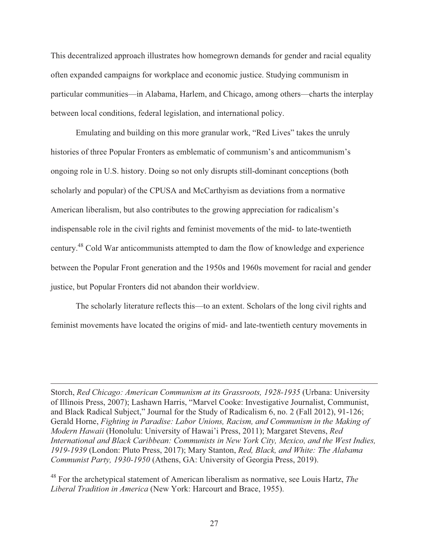This decentralized approach illustrates how homegrown demands for gender and racial equality often expanded campaigns for workplace and economic justice. Studying communism in particular communities—in Alabama, Harlem, and Chicago, among others—charts the interplay between local conditions, federal legislation, and international policy.

Emulating and building on this more granular work, "Red Lives" takes the unruly histories of three Popular Fronters as emblematic of communism's and anticommunism's ongoing role in U.S. history. Doing so not only disrupts still-dominant conceptions (both scholarly and popular) of the CPUSA and McCarthyism as deviations from a normative American liberalism, but also contributes to the growing appreciation for radicalism's indispensable role in the civil rights and feminist movements of the mid- to late-twentieth century.48 Cold War anticommunists attempted to dam the flow of knowledge and experience between the Popular Front generation and the 1950s and 1960s movement for racial and gender justice, but Popular Fronters did not abandon their worldview.

 The scholarly literature reflects this—to an extent. Scholars of the long civil rights and feminist movements have located the origins of mid- and late-twentieth century movements in

Storch, *Red Chicago: American Communism at its Grassroots, 1928-1935* (Urbana: University of Illinois Press, 2007); Lashawn Harris, "Marvel Cooke: Investigative Journalist, Communist, and Black Radical Subject," Journal for the Study of Radicalism 6, no. 2 (Fall 2012), 91-126; Gerald Horne, *Fighting in Paradise: Labor Unions, Racism, and Communism in the Making of Modern Hawaii* (Honolulu: University of Hawai'i Press, 2011); Margaret Stevens, *Red International and Black Caribbean: Communists in New York City, Mexico, and the West Indies, 1919-1939* (London: Pluto Press, 2017); Mary Stanton, *Red, Black, and White: The Alabama Communist Party, 1930-1950* (Athens, GA: University of Georgia Press, 2019).

 $\overline{a}$ 

48 For the archetypical statement of American liberalism as normative, see Louis Hartz, *The Liberal Tradition in America* (New York: Harcourt and Brace, 1955).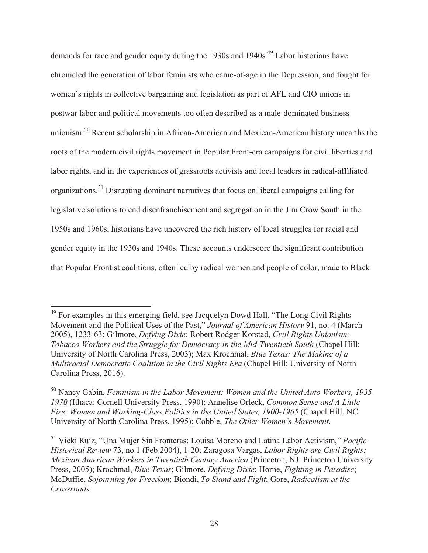demands for race and gender equity during the 1930s and 1940s.<sup>49</sup> Labor historians have chronicled the generation of labor feminists who came-of-age in the Depression, and fought for women's rights in collective bargaining and legislation as part of AFL and CIO unions in postwar labor and political movements too often described as a male-dominated business unionism.<sup>50</sup> Recent scholarship in African-American and Mexican-American history unearths the roots of the modern civil rights movement in Popular Front-era campaigns for civil liberties and labor rights, and in the experiences of grassroots activists and local leaders in radical-affiliated organizations.51 Disrupting dominant narratives that focus on liberal campaigns calling for legislative solutions to end disenfranchisement and segregation in the Jim Crow South in the 1950s and 1960s, historians have uncovered the rich history of local struggles for racial and gender equity in the 1930s and 1940s. These accounts underscore the significant contribution that Popular Frontist coalitions, often led by radical women and people of color, made to Black

 $\overline{a}$ <sup>49</sup> For examples in this emerging field, see Jacquelyn Dowd Hall, "The Long Civil Rights Movement and the Political Uses of the Past," *Journal of American History* 91, no. 4 (March 2005), 1233-63; Gilmore, *Defying Dixie*; Robert Rodger Korstad, *Civil Rights Unionism: Tobacco Workers and the Struggle for Democracy in the Mid-Twentieth South* (Chapel Hill: University of North Carolina Press, 2003); Max Krochmal, *Blue Texas: The Making of a Multiracial Democratic Coalition in the Civil Rights Era* (Chapel Hill: University of North Carolina Press, 2016).

<sup>50</sup> Nancy Gabin, *Feminism in the Labor Movement: Women and the United Auto Workers, 1935- 1970* (Ithaca: Cornell University Press, 1990); Annelise Orleck, *Common Sense and A Little Fire: Women and Working-Class Politics in the United States, 1900-1965* (Chapel Hill, NC: University of North Carolina Press, 1995); Cobble, *The Other Women's Movement*.

<sup>51</sup> Vicki Ruiz, "Una Mujer Sin Fronteras: Louisa Moreno and Latina Labor Activism," *Pacific Historical Review* 73, no.1 (Feb 2004), 1-20; Zaragosa Vargas, *Labor Rights are Civil Rights: Mexican American Workers in Twentieth Century America* (Princeton, NJ: Princeton University Press, 2005); Krochmal, *Blue Texas*; Gilmore, *Defying Dixie*; Horne, *Fighting in Paradise*; McDuffie, *Sojourning for Freedom*; Biondi, *To Stand and Fight*; Gore, *Radicalism at the Crossroads*.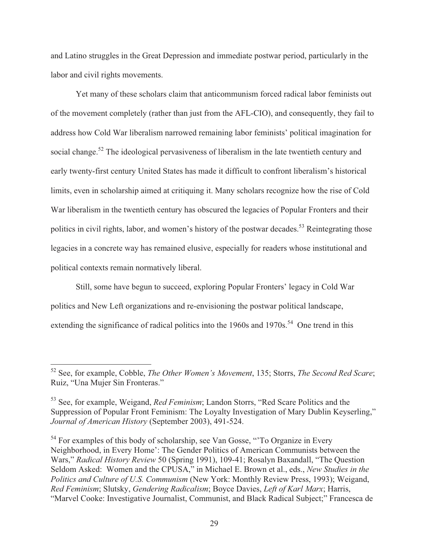and Latino struggles in the Great Depression and immediate postwar period, particularly in the labor and civil rights movements.

Yet many of these scholars claim that anticommunism forced radical labor feminists out of the movement completely (rather than just from the AFL-CIO), and consequently, they fail to address how Cold War liberalism narrowed remaining labor feminists' political imagination for social change.<sup>52</sup> The ideological pervasiveness of liberalism in the late twentieth century and early twenty-first century United States has made it difficult to confront liberalism's historical limits, even in scholarship aimed at critiquing it. Many scholars recognize how the rise of Cold War liberalism in the twentieth century has obscured the legacies of Popular Fronters and their politics in civil rights, labor, and women's history of the postwar decades.<sup>53</sup> Reintegrating those legacies in a concrete way has remained elusive, especially for readers whose institutional and political contexts remain normatively liberal.

Still, some have begun to succeed, exploring Popular Fronters' legacy in Cold War politics and New Left organizations and re-envisioning the postwar political landscape, extending the significance of radical politics into the 1960s and 1970s.<sup>54</sup> One trend in this

<sup>52</sup> See, for example, Cobble, *The Other Women's Movement*, 135; Storrs, *The Second Red Scare*; Ruiz, "Una Mujer Sin Fronteras."

<sup>53</sup> See, for example, Weigand, *Red Feminism*; Landon Storrs, "Red Scare Politics and the Suppression of Popular Front Feminism: The Loyalty Investigation of Mary Dublin Keyserling," *Journal of American History* (September 2003), 491-524.

<sup>&</sup>lt;sup>54</sup> For examples of this body of scholarship, see Van Gosse, "To Organize in Every Neighborhood, in Every Home': The Gender Politics of American Communists between the Wars," *Radical History Review* 50 (Spring 1991), 109-41; Rosalyn Baxandall, "The Question Seldom Asked: Women and the CPUSA," in Michael E. Brown et al., eds., *New Studies in the Politics and Culture of U.S. Communism* (New York: Monthly Review Press, 1993); Weigand, *Red Feminism*; Slutsky, *Gendering Radicalism*; Boyce Davies, *Left of Karl Marx*; Harris, "Marvel Cooke: Investigative Journalist, Communist, and Black Radical Subject;" Francesca de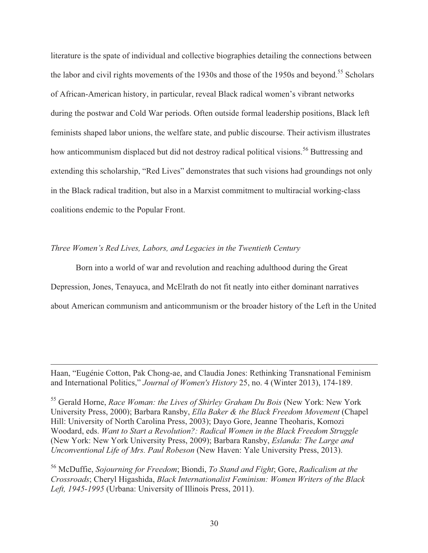literature is the spate of individual and collective biographies detailing the connections between the labor and civil rights movements of the 1930s and those of the 1950s and beyond.<sup>55</sup> Scholars of African-American history, in particular, reveal Black radical women's vibrant networks during the postwar and Cold War periods. Often outside formal leadership positions, Black left feminists shaped labor unions, the welfare state, and public discourse. Their activism illustrates how anticommunism displaced but did not destroy radical political visions.<sup>56</sup> Buttressing and extending this scholarship, "Red Lives" demonstrates that such visions had groundings not only in the Black radical tradition, but also in a Marxist commitment to multiracial working-class coalitions endemic to the Popular Front.

#### *Three Women's Red Lives, Labors, and Legacies in the Twentieth Century*

 $\overline{a}$ 

 Born into a world of war and revolution and reaching adulthood during the Great Depression, Jones, Tenayuca, and McElrath do not fit neatly into either dominant narratives about American communism and anticommunism or the broader history of the Left in the United

Haan, "Eugénie Cotton, Pak Chong-ae, and Claudia Jones: Rethinking Transnational Feminism and International Politics," *Journal of Women's History* 25, no. 4 (Winter 2013), 174-189.

<sup>55</sup> Gerald Horne, *Race Woman: the Lives of Shirley Graham Du Bois* (New York: New York University Press, 2000); Barbara Ransby, *Ella Baker & the Black Freedom Movement* (Chapel Hill: University of North Carolina Press, 2003); Dayo Gore, Jeanne Theoharis, Komozi Woodard, eds. *Want to Start a Revolution?: Radical Women in the Black Freedom Struggle* (New York: New York University Press, 2009); Barbara Ransby, *Eslanda: The Large and Unconventional Life of Mrs. Paul Robeson* (New Haven: Yale University Press, 2013).

<sup>56</sup> McDuffie, *Sojourning for Freedom*; Biondi, *To Stand and Fight*; Gore, *Radicalism at the Crossroads*; Cheryl Higashida, *Black Internationalist Feminism: Women Writers of the Black Left, 1945-1995* (Urbana: University of Illinois Press, 2011).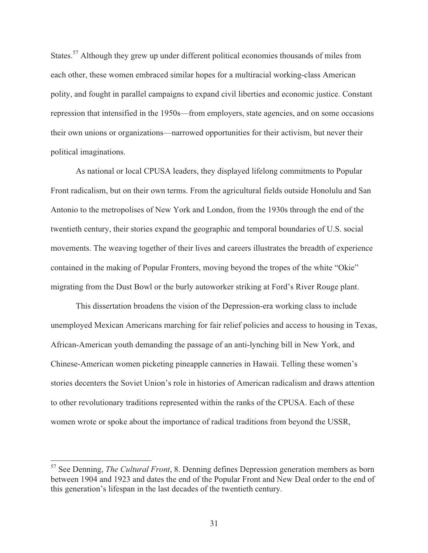States.<sup>57</sup> Although they grew up under different political economies thousands of miles from each other, these women embraced similar hopes for a multiracial working-class American polity, and fought in parallel campaigns to expand civil liberties and economic justice. Constant repression that intensified in the 1950s—from employers, state agencies, and on some occasions their own unions or organizations—narrowed opportunities for their activism, but never their political imaginations.

 As national or local CPUSA leaders, they displayed lifelong commitments to Popular Front radicalism, but on their own terms. From the agricultural fields outside Honolulu and San Antonio to the metropolises of New York and London, from the 1930s through the end of the twentieth century, their stories expand the geographic and temporal boundaries of U.S. social movements. The weaving together of their lives and careers illustrates the breadth of experience contained in the making of Popular Fronters, moving beyond the tropes of the white "Okie" migrating from the Dust Bowl or the burly autoworker striking at Ford's River Rouge plant.

 This dissertation broadens the vision of the Depression-era working class to include unemployed Mexican Americans marching for fair relief policies and access to housing in Texas, African-American youth demanding the passage of an anti-lynching bill in New York, and Chinese-American women picketing pineapple canneries in Hawaii. Telling these women's stories decenters the Soviet Union's role in histories of American radicalism and draws attention to other revolutionary traditions represented within the ranks of the CPUSA. Each of these women wrote or spoke about the importance of radical traditions from beyond the USSR,

<sup>57</sup> See Denning, *The Cultural Front*, 8. Denning defines Depression generation members as born between 1904 and 1923 and dates the end of the Popular Front and New Deal order to the end of this generation's lifespan in the last decades of the twentieth century.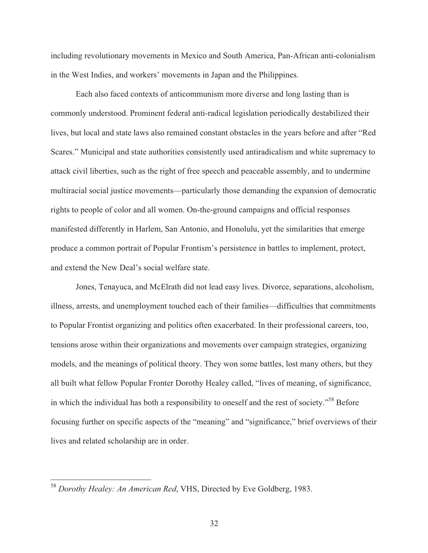including revolutionary movements in Mexico and South America, Pan-African anti-colonialism in the West Indies, and workers' movements in Japan and the Philippines.

 Each also faced contexts of anticommunism more diverse and long lasting than is commonly understood. Prominent federal anti-radical legislation periodically destabilized their lives, but local and state laws also remained constant obstacles in the years before and after "Red Scares." Municipal and state authorities consistently used antiradicalism and white supremacy to attack civil liberties, such as the right of free speech and peaceable assembly, and to undermine multiracial social justice movements—particularly those demanding the expansion of democratic rights to people of color and all women. On-the-ground campaigns and official responses manifested differently in Harlem, San Antonio, and Honolulu, yet the similarities that emerge produce a common portrait of Popular Frontism's persistence in battles to implement, protect, and extend the New Deal's social welfare state.

 Jones, Tenayuca, and McElrath did not lead easy lives. Divorce, separations, alcoholism, illness, arrests, and unemployment touched each of their families—difficulties that commitments to Popular Frontist organizing and politics often exacerbated. In their professional careers, too, tensions arose within their organizations and movements over campaign strategies, organizing models, and the meanings of political theory. They won some battles, lost many others, but they all built what fellow Popular Fronter Dorothy Healey called, "lives of meaning, of significance, in which the individual has both a responsibility to oneself and the rest of society."58 Before focusing further on specific aspects of the "meaning" and "significance," brief overviews of their lives and related scholarship are in order.

<sup>58</sup> *Dorothy Healey: An American Red*, VHS, Directed by Eve Goldberg, 1983.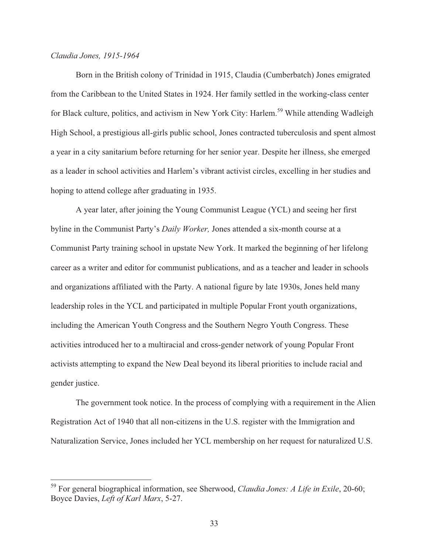### *Claudia Jones, 1915-1964*

 $\overline{a}$ 

 Born in the British colony of Trinidad in 1915, Claudia (Cumberbatch) Jones emigrated from the Caribbean to the United States in 1924. Her family settled in the working-class center for Black culture, politics, and activism in New York City: Harlem.<sup>59</sup> While attending Wadleigh High School, a prestigious all-girls public school, Jones contracted tuberculosis and spent almost a year in a city sanitarium before returning for her senior year. Despite her illness, she emerged as a leader in school activities and Harlem's vibrant activist circles, excelling in her studies and hoping to attend college after graduating in 1935.

 A year later, after joining the Young Communist League (YCL) and seeing her first byline in the Communist Party's *Daily Worker,* Jones attended a six-month course at a Communist Party training school in upstate New York. It marked the beginning of her lifelong career as a writer and editor for communist publications, and as a teacher and leader in schools and organizations affiliated with the Party. A national figure by late 1930s, Jones held many leadership roles in the YCL and participated in multiple Popular Front youth organizations, including the American Youth Congress and the Southern Negro Youth Congress. These activities introduced her to a multiracial and cross-gender network of young Popular Front activists attempting to expand the New Deal beyond its liberal priorities to include racial and gender justice.

The government took notice. In the process of complying with a requirement in the Alien Registration Act of 1940 that all non-citizens in the U.S. register with the Immigration and Naturalization Service, Jones included her YCL membership on her request for naturalized U.S.

<sup>59</sup> For general biographical information, see Sherwood, *Claudia Jones: A Life in Exile*, 20-60; Boyce Davies, *Left of Karl Marx*, 5-27.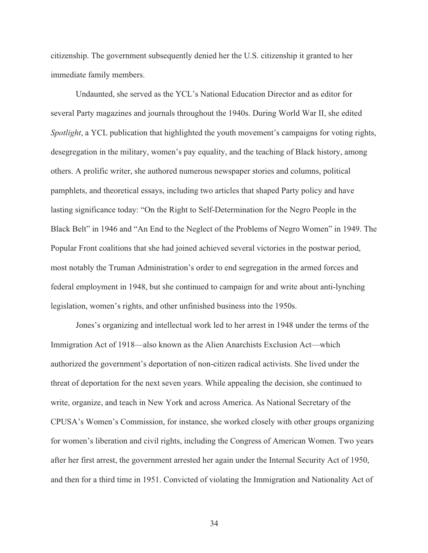citizenship. The government subsequently denied her the U.S. citizenship it granted to her immediate family members.

 Undaunted, she served as the YCL's National Education Director and as editor for several Party magazines and journals throughout the 1940s. During World War II, she edited *Spotlight*, a YCL publication that highlighted the youth movement's campaigns for voting rights, desegregation in the military, women's pay equality, and the teaching of Black history, among others. A prolific writer, she authored numerous newspaper stories and columns, political pamphlets, and theoretical essays, including two articles that shaped Party policy and have lasting significance today: "On the Right to Self-Determination for the Negro People in the Black Belt" in 1946 and "An End to the Neglect of the Problems of Negro Women" in 1949. The Popular Front coalitions that she had joined achieved several victories in the postwar period, most notably the Truman Administration's order to end segregation in the armed forces and federal employment in 1948, but she continued to campaign for and write about anti-lynching legislation, women's rights, and other unfinished business into the 1950s.

 Jones's organizing and intellectual work led to her arrest in 1948 under the terms of the Immigration Act of 1918—also known as the Alien Anarchists Exclusion Act—which authorized the government's deportation of non-citizen radical activists. She lived under the threat of deportation for the next seven years. While appealing the decision, she continued to write, organize, and teach in New York and across America. As National Secretary of the CPUSA's Women's Commission, for instance, she worked closely with other groups organizing for women's liberation and civil rights, including the Congress of American Women. Two years after her first arrest, the government arrested her again under the Internal Security Act of 1950, and then for a third time in 1951. Convicted of violating the Immigration and Nationality Act of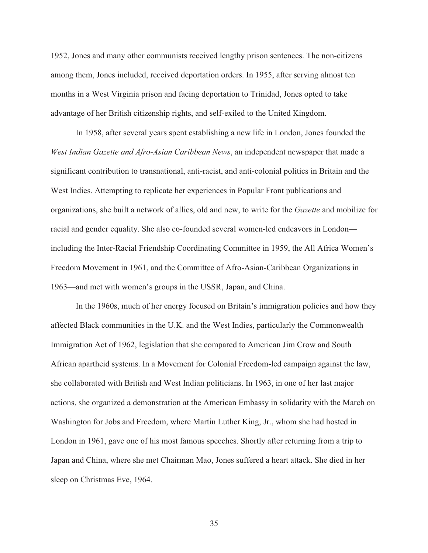1952, Jones and many other communists received lengthy prison sentences. The non-citizens among them, Jones included, received deportation orders. In 1955, after serving almost ten months in a West Virginia prison and facing deportation to Trinidad, Jones opted to take advantage of her British citizenship rights, and self-exiled to the United Kingdom.

 In 1958, after several years spent establishing a new life in London, Jones founded the *West Indian Gazette and Afro-Asian Caribbean News*, an independent newspaper that made a significant contribution to transnational, anti-racist, and anti-colonial politics in Britain and the West Indies. Attempting to replicate her experiences in Popular Front publications and organizations, she built a network of allies, old and new, to write for the *Gazette* and mobilize for racial and gender equality. She also co-founded several women-led endeavors in London including the Inter-Racial Friendship Coordinating Committee in 1959, the All Africa Women's Freedom Movement in 1961, and the Committee of Afro-Asian-Caribbean Organizations in 1963—and met with women's groups in the USSR, Japan, and China.

 In the 1960s, much of her energy focused on Britain's immigration policies and how they affected Black communities in the U.K. and the West Indies, particularly the Commonwealth Immigration Act of 1962, legislation that she compared to American Jim Crow and South African apartheid systems. In a Movement for Colonial Freedom-led campaign against the law, she collaborated with British and West Indian politicians. In 1963, in one of her last major actions, she organized a demonstration at the American Embassy in solidarity with the March on Washington for Jobs and Freedom, where Martin Luther King, Jr., whom she had hosted in London in 1961, gave one of his most famous speeches. Shortly after returning from a trip to Japan and China, where she met Chairman Mao, Jones suffered a heart attack. She died in her sleep on Christmas Eve, 1964.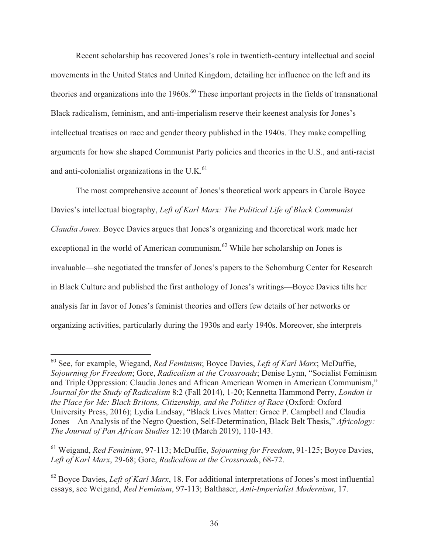Recent scholarship has recovered Jones's role in twentieth-century intellectual and social movements in the United States and United Kingdom, detailing her influence on the left and its theories and organizations into the  $1960s$ .<sup>60</sup> These important projects in the fields of transnational Black radicalism, feminism, and anti-imperialism reserve their keenest analysis for Jones's intellectual treatises on race and gender theory published in the 1940s. They make compelling arguments for how she shaped Communist Party policies and theories in the U.S., and anti-racist and anti-colonialist organizations in the U.K. $^{61}$ 

 The most comprehensive account of Jones's theoretical work appears in Carole Boyce Davies's intellectual biography, *Left of Karl Marx: The Political Life of Black Communist Claudia Jones*. Boyce Davies argues that Jones's organizing and theoretical work made her exceptional in the world of American communism.<sup>62</sup> While her scholarship on Jones is invaluable—she negotiated the transfer of Jones's papers to the Schomburg Center for Research in Black Culture and published the first anthology of Jones's writings—Boyce Davies tilts her analysis far in favor of Jones's feminist theories and offers few details of her networks or organizing activities, particularly during the 1930s and early 1940s. Moreover, she interprets

<sup>60</sup> See, for example, Wiegand, *Red Feminism*; Boyce Davies, *Left of Karl Marx*; McDuffie, *Sojourning for Freedom*; Gore, *Radicalism at the Crossroads*; Denise Lynn, "Socialist Feminism and Triple Oppression: Claudia Jones and African American Women in American Communism," *Journal for the Study of Radicalism* 8:2 (Fall 2014), 1-20; Kennetta Hammond Perry, *London is the Place for Me: Black Britons, Citizenship, and the Politics of Race* (Oxford: Oxford University Press, 2016); Lydia Lindsay, "Black Lives Matter: Grace P. Campbell and Claudia Jones—An Analysis of the Negro Question, Self-Determination, Black Belt Thesis," *Africology: The Journal of Pan African Studies* 12:10 (March 2019), 110-143.

<sup>61</sup> Weigand, *Red Feminism*, 97-113; McDuffie, *Sojourning for Freedom*, 91-125; Boyce Davies, *Left of Karl Marx*, 29-68; Gore, *Radicalism at the Crossroads*, 68-72.

<sup>62</sup> Boyce Davies, *Left of Karl Marx*, 18. For additional interpretations of Jones's most influential essays, see Weigand, *Red Feminism*, 97-113; Balthaser, *Anti-Imperialist Modernism*, 17.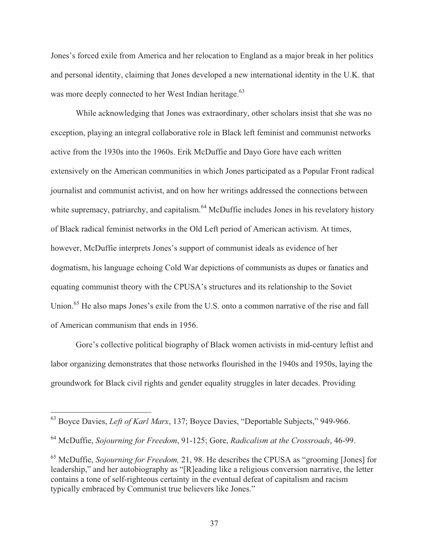Jones's forced exile from America and her relocation to England as a major break in her politics and personal identity, claiming that Jones developed a new international identity in the U.K. that was more deeply connected to her West Indian heritage.<sup>63</sup>

 While acknowledging that Jones was extraordinary, other scholars insist that she was no exception, playing an integral collaborative role in Black left feminist and communist networks active from the 1930s into the 1960s. Erik McDuffie and Dayo Gore have each written extensively on the American communities in which Jones participated as a Popular Front radical journalist and communist activist, and on how her writings addressed the connections between white supremacy, patriarchy, and capitalism.<sup>64</sup> McDuffie includes Jones in his revelatory history of Black radical feminist networks in the Old Left period of American activism. At times, however, McDuffie interprets Jones's support of communist ideals as evidence of her dogmatism, his language echoing Cold War depictions of communists as dupes or fanatics and equating communist theory with the CPUSA's structures and its relationship to the Soviet Union.<sup>65</sup> He also maps Jones's exile from the U.S. onto a common narrative of the rise and fall of American communism that ends in 1956.

 Gore's collective political biography of Black women activists in mid-century leftist and labor organizing demonstrates that those networks flourished in the 1940s and 1950s, laying the groundwork for Black civil rights and gender equality struggles in later decades. Providing

<sup>63</sup> Boyce Davies, *Left of Karl Marx*, 137; Boyce Davies, "Deportable Subjects," 949-966.

<sup>64</sup> McDuffie, *Sojourning for Freedom*, 91-125; Gore, *Radicalism at the Crossroads*, 46-99.

<sup>65</sup> McDuffie, *Sojourning for Freedom,* 21, 98. He describes the CPUSA as "grooming [Jones] for leadership," and her autobiography as "[R]eading like a religious conversion narrative, the letter contains a tone of self-righteous certainty in the eventual defeat of capitalism and racism typically embraced by Communist true believers like Jones."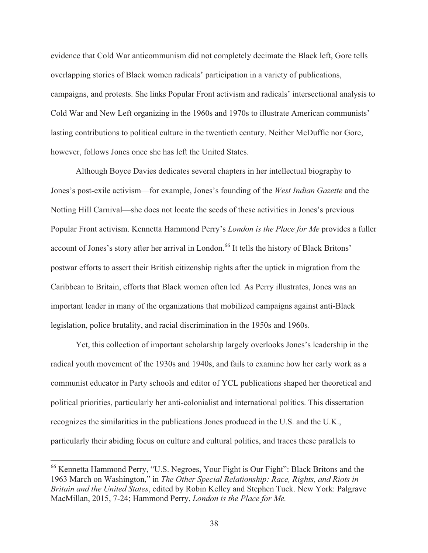evidence that Cold War anticommunism did not completely decimate the Black left, Gore tells overlapping stories of Black women radicals' participation in a variety of publications, campaigns, and protests. She links Popular Front activism and radicals' intersectional analysis to Cold War and New Left organizing in the 1960s and 1970s to illustrate American communists' lasting contributions to political culture in the twentieth century. Neither McDuffie nor Gore, however, follows Jones once she has left the United States.

Although Boyce Davies dedicates several chapters in her intellectual biography to Jones's post-exile activism—for example, Jones's founding of the *West Indian Gazette* and the Notting Hill Carnival—she does not locate the seeds of these activities in Jones's previous Popular Front activism. Kennetta Hammond Perry's *London is the Place for Me* provides a fuller account of Jones's story after her arrival in London.<sup>66</sup> It tells the history of Black Britons' postwar efforts to assert their British citizenship rights after the uptick in migration from the Caribbean to Britain, efforts that Black women often led. As Perry illustrates, Jones was an important leader in many of the organizations that mobilized campaigns against anti-Black legislation, police brutality, and racial discrimination in the 1950s and 1960s.

 Yet, this collection of important scholarship largely overlooks Jones's leadership in the radical youth movement of the 1930s and 1940s, and fails to examine how her early work as a communist educator in Party schools and editor of YCL publications shaped her theoretical and political priorities, particularly her anti-colonialist and international politics. This dissertation recognizes the similarities in the publications Jones produced in the U.S. and the U.K., particularly their abiding focus on culture and cultural politics, and traces these parallels to

<sup>66</sup> Kennetta Hammond Perry, "U.S. Negroes, Your Fight is Our Fight": Black Britons and the 1963 March on Washington," in *The Other Special Relationship: Race, Rights, and Riots in Britain and the United States*, edited by Robin Kelley and Stephen Tuck. New York: Palgrave MacMillan, 2015, 7-24; Hammond Perry, *London is the Place for Me.*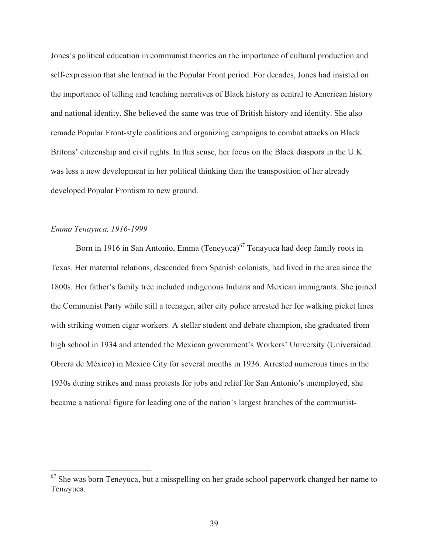Jones's political education in communist theories on the importance of cultural production and self-expression that she learned in the Popular Front period. For decades, Jones had insisted on the importance of telling and teaching narratives of Black history as central to American history and national identity. She believed the same was true of British history and identity. She also remade Popular Front-style coalitions and organizing campaigns to combat attacks on Black Britons' citizenship and civil rights. In this sense, her focus on the Black diaspora in the U.K. was less a new development in her political thinking than the transposition of her already developed Popular Frontism to new ground.

### *Emma Tenayuca, 1916-1999*

 $\overline{a}$ 

Born in 1916 in San Antonio, Emma (Teneyuca) $^{67}$  Tenayuca had deep family roots in Texas. Her maternal relations, descended from Spanish colonists, had lived in the area since the 1800s. Her father's family tree included indigenous Indians and Mexican immigrants. She joined the Communist Party while still a teenager, after city police arrested her for walking picket lines with striking women cigar workers. A stellar student and debate champion, she graduated from high school in 1934 and attended the Mexican government's Workers' University (Universidad Obrera de México) in Mexico City for several months in 1936. Arrested numerous times in the 1930s during strikes and mass protests for jobs and relief for San Antonio's unemployed, she became a national figure for leading one of the nation's largest branches of the communist-

<sup>67</sup> She was born Ten*e*yuca, but a misspelling on her grade school paperwork changed her name to Ten*a*yuca.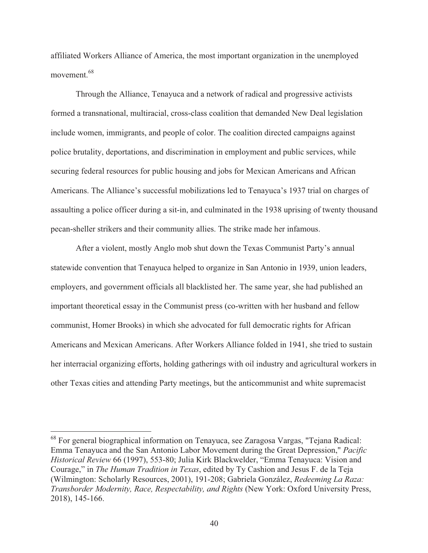affiliated Workers Alliance of America, the most important organization in the unemployed movement.<sup>68</sup>

 Through the Alliance, Tenayuca and a network of radical and progressive activists formed a transnational, multiracial, cross-class coalition that demanded New Deal legislation include women, immigrants, and people of color. The coalition directed campaigns against police brutality, deportations, and discrimination in employment and public services, while securing federal resources for public housing and jobs for Mexican Americans and African Americans. The Alliance's successful mobilizations led to Tenayuca's 1937 trial on charges of assaulting a police officer during a sit-in, and culminated in the 1938 uprising of twenty thousand pecan-sheller strikers and their community allies. The strike made her infamous.

 After a violent, mostly Anglo mob shut down the Texas Communist Party's annual statewide convention that Tenayuca helped to organize in San Antonio in 1939, union leaders, employers, and government officials all blacklisted her. The same year, she had published an important theoretical essay in the Communist press (co-written with her husband and fellow communist, Homer Brooks) in which she advocated for full democratic rights for African Americans and Mexican Americans. After Workers Alliance folded in 1941, she tried to sustain her interracial organizing efforts, holding gatherings with oil industry and agricultural workers in other Texas cities and attending Party meetings, but the anticommunist and white supremacist

<sup>&</sup>lt;sup>68</sup> For general biographical information on Tenayuca, see Zaragosa Vargas, "Tejana Radical: Emma Tenayuca and the San Antonio Labor Movement during the Great Depression," *Pacific Historical Review* 66 (1997), 553-80; Julia Kirk Blackwelder, "Emma Tenayuca: Vision and Courage," in *The Human Tradition in Texas*, edited by Ty Cashion and Jesus F. de la Teja (Wilmington: Scholarly Resources, 2001), 191-208; Gabriela González, *Redeeming La Raza: Transborder Modernity, Race, Respectability, and Rights* (New York: Oxford University Press, 2018), 145-166.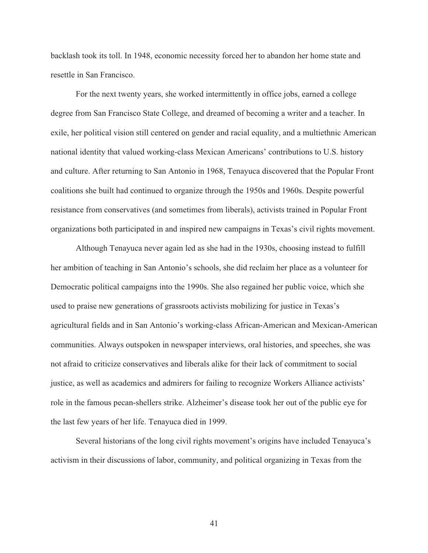backlash took its toll. In 1948, economic necessity forced her to abandon her home state and resettle in San Francisco.

For the next twenty years, she worked intermittently in office jobs, earned a college degree from San Francisco State College, and dreamed of becoming a writer and a teacher. In exile, her political vision still centered on gender and racial equality, and a multiethnic American national identity that valued working-class Mexican Americans' contributions to U.S. history and culture. After returning to San Antonio in 1968, Tenayuca discovered that the Popular Front coalitions she built had continued to organize through the 1950s and 1960s. Despite powerful resistance from conservatives (and sometimes from liberals), activists trained in Popular Front organizations both participated in and inspired new campaigns in Texas's civil rights movement.

 Although Tenayuca never again led as she had in the 1930s, choosing instead to fulfill her ambition of teaching in San Antonio's schools, she did reclaim her place as a volunteer for Democratic political campaigns into the 1990s. She also regained her public voice, which she used to praise new generations of grassroots activists mobilizing for justice in Texas's agricultural fields and in San Antonio's working-class African-American and Mexican-American communities. Always outspoken in newspaper interviews, oral histories, and speeches, she was not afraid to criticize conservatives and liberals alike for their lack of commitment to social justice, as well as academics and admirers for failing to recognize Workers Alliance activists' role in the famous pecan-shellers strike. Alzheimer's disease took her out of the public eye for the last few years of her life. Tenayuca died in 1999.

 Several historians of the long civil rights movement's origins have included Tenayuca's activism in their discussions of labor, community, and political organizing in Texas from the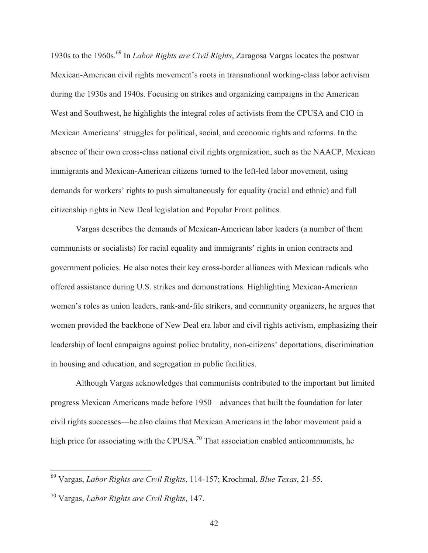1930s to the 1960s.69 In *Labor Rights are Civil Rights*, Zaragosa Vargas locates the postwar Mexican-American civil rights movement's roots in transnational working-class labor activism during the 1930s and 1940s. Focusing on strikes and organizing campaigns in the American West and Southwest, he highlights the integral roles of activists from the CPUSA and CIO in Mexican Americans' struggles for political, social, and economic rights and reforms. In the absence of their own cross-class national civil rights organization, such as the NAACP, Mexican immigrants and Mexican-American citizens turned to the left-led labor movement, using demands for workers' rights to push simultaneously for equality (racial and ethnic) and full citizenship rights in New Deal legislation and Popular Front politics.

 Vargas describes the demands of Mexican-American labor leaders (a number of them communists or socialists) for racial equality and immigrants' rights in union contracts and government policies. He also notes their key cross-border alliances with Mexican radicals who offered assistance during U.S. strikes and demonstrations. Highlighting Mexican-American women's roles as union leaders, rank-and-file strikers, and community organizers, he argues that women provided the backbone of New Deal era labor and civil rights activism, emphasizing their leadership of local campaigns against police brutality, non-citizens' deportations, discrimination in housing and education, and segregation in public facilities.

 Although Vargas acknowledges that communists contributed to the important but limited progress Mexican Americans made before 1950—advances that built the foundation for later civil rights successes—he also claims that Mexican Americans in the labor movement paid a high price for associating with the CPUSA.<sup>70</sup> That association enabled anticommunists, he

<sup>69</sup> Vargas, *Labor Rights are Civil Rights*, 114-157; Krochmal, *Blue Texas*, 21-55.

<sup>70</sup> Vargas, *Labor Rights are Civil Rights*, 147.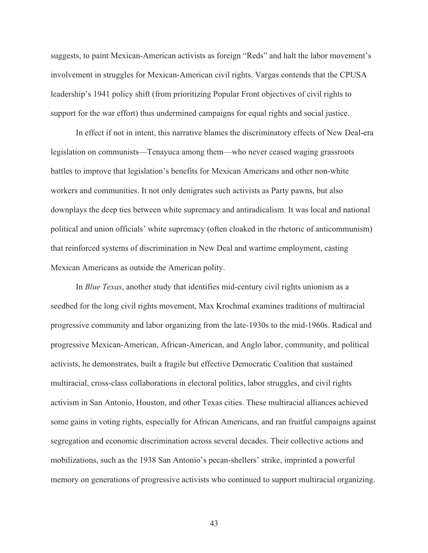suggests, to paint Mexican-American activists as foreign "Reds" and halt the labor movement's involvement in struggles for Mexican-American civil rights. Vargas contends that the CPUSA leadership's 1941 policy shift (from prioritizing Popular Front objectives of civil rights to support for the war effort) thus undermined campaigns for equal rights and social justice.

In effect if not in intent, this narrative blames the discriminatory effects of New Deal-era legislation on communists—Tenayuca among them—who never ceased waging grassroots battles to improve that legislation's benefits for Mexican Americans and other non-white workers and communities. It not only denigrates such activists as Party pawns, but also downplays the deep ties between white supremacy and antiradicalism. It was local and national political and union officials' white supremacy (often cloaked in the rhetoric of anticommunism) that reinforced systems of discrimination in New Deal and wartime employment, casting Mexican Americans as outside the American polity.

 In *Blue Texas*, another study that identifies mid-century civil rights unionism as a seedbed for the long civil rights movement, Max Krochmal examines traditions of multiracial progressive community and labor organizing from the late-1930s to the mid-1960s. Radical and progressive Mexican-American, African-American, and Anglo labor, community, and political activists, he demonstrates, built a fragile but effective Democratic Coalition that sustained multiracial, cross-class collaborations in electoral politics, labor struggles, and civil rights activism in San Antonio, Houston, and other Texas cities. These multiracial alliances achieved some gains in voting rights, especially for African Americans, and ran fruitful campaigns against segregation and economic discrimination across several decades. Their collective actions and mobilizations, such as the 1938 San Antonio's pecan-shellers' strike, imprinted a powerful memory on generations of progressive activists who continued to support multiracial organizing.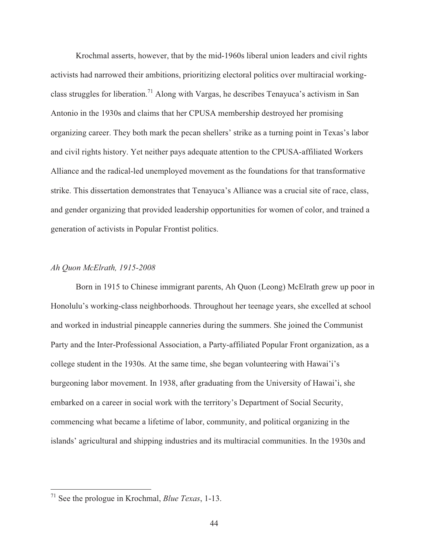Krochmal asserts, however, that by the mid-1960s liberal union leaders and civil rights activists had narrowed their ambitions, prioritizing electoral politics over multiracial workingclass struggles for liberation.<sup>71</sup> Along with Vargas, he describes Tenayuca's activism in San Antonio in the 1930s and claims that her CPUSA membership destroyed her promising organizing career. They both mark the pecan shellers' strike as a turning point in Texas's labor and civil rights history. Yet neither pays adequate attention to the CPUSA-affiliated Workers Alliance and the radical-led unemployed movement as the foundations for that transformative strike. This dissertation demonstrates that Tenayuca's Alliance was a crucial site of race, class, and gender organizing that provided leadership opportunities for women of color, and trained a generation of activists in Popular Frontist politics.

#### *Ah Quon McElrath, 1915-2008*

 Born in 1915 to Chinese immigrant parents, Ah Quon (Leong) McElrath grew up poor in Honolulu's working-class neighborhoods. Throughout her teenage years, she excelled at school and worked in industrial pineapple canneries during the summers. She joined the Communist Party and the Inter-Professional Association, a Party-affiliated Popular Front organization, as a college student in the 1930s. At the same time, she began volunteering with Hawai'i's burgeoning labor movement. In 1938, after graduating from the University of Hawai'i, she embarked on a career in social work with the territory's Department of Social Security, commencing what became a lifetime of labor, community, and political organizing in the islands' agricultural and shipping industries and its multiracial communities. In the 1930s and

<sup>71</sup> See the prologue in Krochmal, *Blue Texas*, 1-13.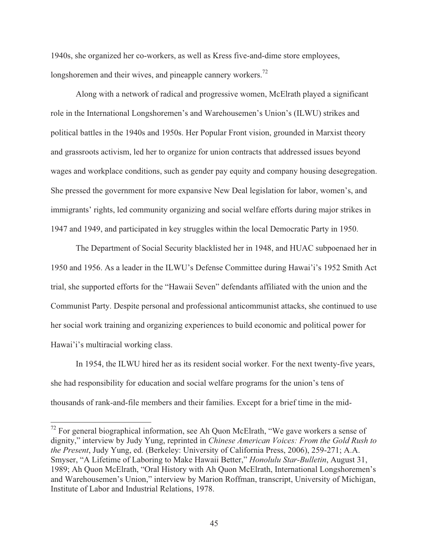1940s, she organized her co-workers, as well as Kress five-and-dime store employees, longshoremen and their wives, and pineapple cannery workers.<sup>72</sup>

 Along with a network of radical and progressive women, McElrath played a significant role in the International Longshoremen's and Warehousemen's Union's (ILWU) strikes and political battles in the 1940s and 1950s. Her Popular Front vision, grounded in Marxist theory and grassroots activism, led her to organize for union contracts that addressed issues beyond wages and workplace conditions, such as gender pay equity and company housing desegregation. She pressed the government for more expansive New Deal legislation for labor, women's, and immigrants' rights, led community organizing and social welfare efforts during major strikes in 1947 and 1949, and participated in key struggles within the local Democratic Party in 1950.

 The Department of Social Security blacklisted her in 1948, and HUAC subpoenaed her in 1950 and 1956. As a leader in the ILWU's Defense Committee during Hawai'i's 1952 Smith Act trial, she supported efforts for the "Hawaii Seven" defendants affiliated with the union and the Communist Party. Despite personal and professional anticommunist attacks, she continued to use her social work training and organizing experiences to build economic and political power for Hawai'i's multiracial working class.

In 1954, the ILWU hired her as its resident social worker. For the next twenty-five years, she had responsibility for education and social welfare programs for the union's tens of thousands of rank-and-file members and their families. Except for a brief time in the mid-

 $72$  For general biographical information, see Ah Quon McElrath, "We gave workers a sense of dignity," interview by Judy Yung, reprinted in *Chinese American Voices: From the Gold Rush to the Present*, Judy Yung, ed. (Berkeley: University of California Press, 2006), 259-271; A.A. Smyser, "A Lifetime of Laboring to Make Hawaii Better," *Honolulu Star-Bulletin*, August 31, 1989; Ah Quon McElrath, "Oral History with Ah Quon McElrath, International Longshoremen's and Warehousemen's Union," interview by Marion Roffman, transcript, University of Michigan, Institute of Labor and Industrial Relations, 1978.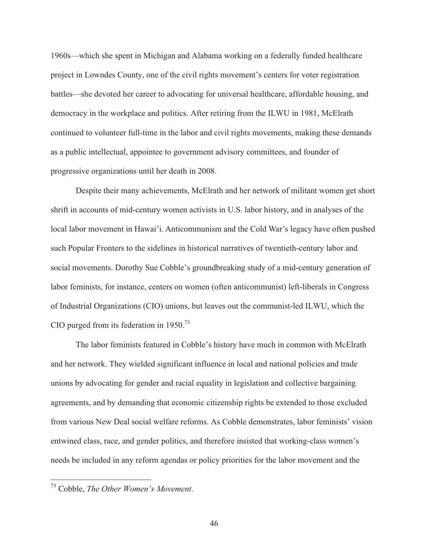1960s—which she spent in Michigan and Alabama working on a federally funded healthcare project in Lowndes County, one of the civil rights movement's centers for voter registration battles—she devoted her career to advocating for universal healthcare, affordable housing, and democracy in the workplace and politics. After retiring from the ILWU in 1981, McElrath continued to volunteer full-time in the labor and civil rights movements, making these demands as a public intellectual, appointee to government advisory committees, and founder of progressive organizations until her death in 2008.

 Despite their many achievements, McElrath and her network of militant women get short shrift in accounts of mid-century women activists in U.S. labor history, and in analyses of the local labor movement in Hawai'i. Anticommunism and the Cold War's legacy have often pushed such Popular Fronters to the sidelines in historical narratives of twentieth-century labor and social movements. Dorothy Sue Cobble's groundbreaking study of a mid-century generation of labor feminists, for instance, centers on women (often anticommunist) left-liberals in Congress of Industrial Organizations (CIO) unions, but leaves out the communist-led ILWU, which the CIO purged from its federation in  $1950.<sup>73</sup>$ 

The labor feminists featured in Cobble's history have much in common with McElrath and her network. They wielded significant influence in local and national policies and trade unions by advocating for gender and racial equality in legislation and collective bargaining agreements, and by demanding that economic citizenship rights be extended to those excluded from various New Deal social welfare reforms. As Cobble demonstrates, labor feminists' vision entwined class, race, and gender politics, and therefore insisted that working-class women's needs be included in any reform agendas or policy priorities for the labor movement and the

<sup>73</sup> Cobble, *The Other Women's Movement*.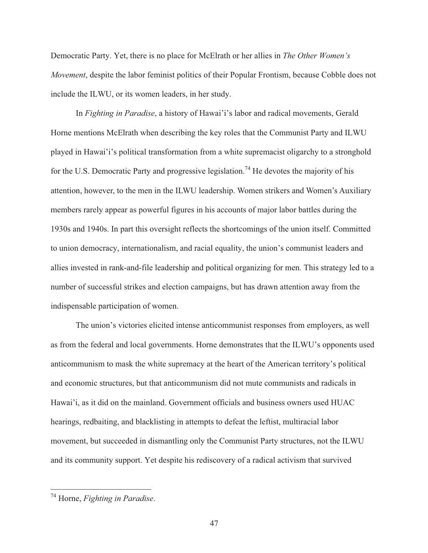Democratic Party. Yet, there is no place for McElrath or her allies in *The Other Women's Movement*, despite the labor feminist politics of their Popular Frontism, because Cobble does not include the ILWU, or its women leaders, in her study.

 In *Fighting in Paradise*, a history of Hawai'i's labor and radical movements, Gerald Horne mentions McElrath when describing the key roles that the Communist Party and ILWU played in Hawai'i's political transformation from a white supremacist oligarchy to a stronghold for the U.S. Democratic Party and progressive legislation.<sup>74</sup> He devotes the majority of his attention, however, to the men in the ILWU leadership. Women strikers and Women's Auxiliary members rarely appear as powerful figures in his accounts of major labor battles during the 1930s and 1940s. In part this oversight reflects the shortcomings of the union itself. Committed to union democracy, internationalism, and racial equality, the union's communist leaders and allies invested in rank-and-file leadership and political organizing for men. This strategy led to a number of successful strikes and election campaigns, but has drawn attention away from the indispensable participation of women.

The union's victories elicited intense anticommunist responses from employers, as well as from the federal and local governments. Horne demonstrates that the ILWU's opponents used anticommunism to mask the white supremacy at the heart of the American territory's political and economic structures, but that anticommunism did not mute communists and radicals in Hawai'i, as it did on the mainland. Government officials and business owners used HUAC hearings, redbaiting, and blacklisting in attempts to defeat the leftist, multiracial labor movement, but succeeded in dismantling only the Communist Party structures, not the ILWU and its community support. Yet despite his rediscovery of a radical activism that survived

<sup>74</sup> Horne, *Fighting in Paradise*.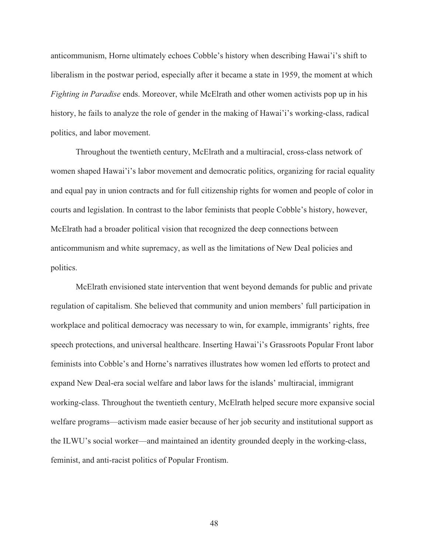anticommunism, Horne ultimately echoes Cobble's history when describing Hawai'i's shift to liberalism in the postwar period, especially after it became a state in 1959, the moment at which *Fighting in Paradise* ends. Moreover, while McElrath and other women activists pop up in his history, he fails to analyze the role of gender in the making of Hawai'i's working-class, radical politics, and labor movement.

 Throughout the twentieth century, McElrath and a multiracial, cross-class network of women shaped Hawai'i's labor movement and democratic politics, organizing for racial equality and equal pay in union contracts and for full citizenship rights for women and people of color in courts and legislation. In contrast to the labor feminists that people Cobble's history, however, McElrath had a broader political vision that recognized the deep connections between anticommunism and white supremacy, as well as the limitations of New Deal policies and politics.

McElrath envisioned state intervention that went beyond demands for public and private regulation of capitalism. She believed that community and union members' full participation in workplace and political democracy was necessary to win, for example, immigrants' rights, free speech protections, and universal healthcare. Inserting Hawai'i's Grassroots Popular Front labor feminists into Cobble's and Horne's narratives illustrates how women led efforts to protect and expand New Deal-era social welfare and labor laws for the islands' multiracial, immigrant working-class. Throughout the twentieth century, McElrath helped secure more expansive social welfare programs—activism made easier because of her job security and institutional support as the ILWU's social worker—and maintained an identity grounded deeply in the working-class, feminist, and anti-racist politics of Popular Frontism.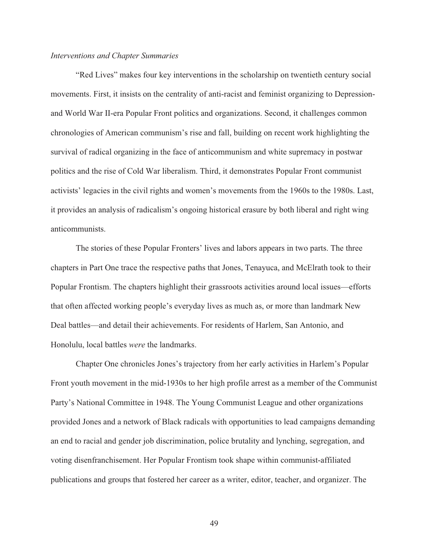#### *Interventions and Chapter Summaries*

"Red Lives" makes four key interventions in the scholarship on twentieth century social movements. First, it insists on the centrality of anti-racist and feminist organizing to Depressionand World War II-era Popular Front politics and organizations. Second, it challenges common chronologies of American communism's rise and fall, building on recent work highlighting the survival of radical organizing in the face of anticommunism and white supremacy in postwar politics and the rise of Cold War liberalism. Third, it demonstrates Popular Front communist activists' legacies in the civil rights and women's movements from the 1960s to the 1980s. Last, it provides an analysis of radicalism's ongoing historical erasure by both liberal and right wing anticommunists.

 The stories of these Popular Fronters' lives and labors appears in two parts. The three chapters in Part One trace the respective paths that Jones, Tenayuca, and McElrath took to their Popular Frontism. The chapters highlight their grassroots activities around local issues—efforts that often affected working people's everyday lives as much as, or more than landmark New Deal battles—and detail their achievements. For residents of Harlem, San Antonio, and Honolulu, local battles *were* the landmarks.

 Chapter One chronicles Jones's trajectory from her early activities in Harlem's Popular Front youth movement in the mid-1930s to her high profile arrest as a member of the Communist Party's National Committee in 1948. The Young Communist League and other organizations provided Jones and a network of Black radicals with opportunities to lead campaigns demanding an end to racial and gender job discrimination, police brutality and lynching, segregation, and voting disenfranchisement. Her Popular Frontism took shape within communist-affiliated publications and groups that fostered her career as a writer, editor, teacher, and organizer. The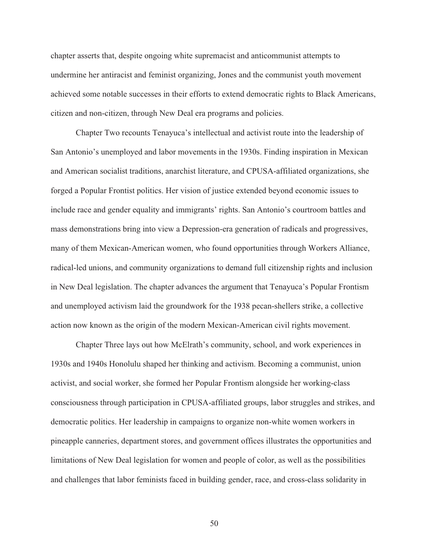chapter asserts that, despite ongoing white supremacist and anticommunist attempts to undermine her antiracist and feminist organizing, Jones and the communist youth movement achieved some notable successes in their efforts to extend democratic rights to Black Americans, citizen and non-citizen, through New Deal era programs and policies.

 Chapter Two recounts Tenayuca's intellectual and activist route into the leadership of San Antonio's unemployed and labor movements in the 1930s. Finding inspiration in Mexican and American socialist traditions, anarchist literature, and CPUSA-affiliated organizations, she forged a Popular Frontist politics. Her vision of justice extended beyond economic issues to include race and gender equality and immigrants' rights. San Antonio's courtroom battles and mass demonstrations bring into view a Depression-era generation of radicals and progressives, many of them Mexican-American women, who found opportunities through Workers Alliance, radical-led unions, and community organizations to demand full citizenship rights and inclusion in New Deal legislation. The chapter advances the argument that Tenayuca's Popular Frontism and unemployed activism laid the groundwork for the 1938 pecan-shellers strike, a collective action now known as the origin of the modern Mexican-American civil rights movement.

 Chapter Three lays out how McElrath's community, school, and work experiences in 1930s and 1940s Honolulu shaped her thinking and activism. Becoming a communist, union activist, and social worker, she formed her Popular Frontism alongside her working-class consciousness through participation in CPUSA-affiliated groups, labor struggles and strikes, and democratic politics. Her leadership in campaigns to organize non-white women workers in pineapple canneries, department stores, and government offices illustrates the opportunities and limitations of New Deal legislation for women and people of color, as well as the possibilities and challenges that labor feminists faced in building gender, race, and cross-class solidarity in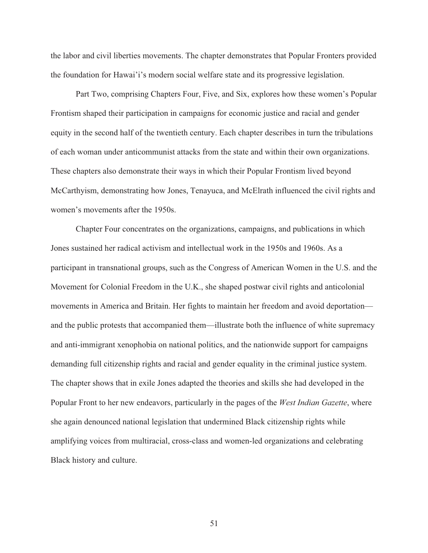the labor and civil liberties movements. The chapter demonstrates that Popular Fronters provided the foundation for Hawai'i's modern social welfare state and its progressive legislation.

 Part Two, comprising Chapters Four, Five, and Six, explores how these women's Popular Frontism shaped their participation in campaigns for economic justice and racial and gender equity in the second half of the twentieth century. Each chapter describes in turn the tribulations of each woman under anticommunist attacks from the state and within their own organizations. These chapters also demonstrate their ways in which their Popular Frontism lived beyond McCarthyism, demonstrating how Jones, Tenayuca, and McElrath influenced the civil rights and women's movements after the 1950s.

 Chapter Four concentrates on the organizations, campaigns, and publications in which Jones sustained her radical activism and intellectual work in the 1950s and 1960s. As a participant in transnational groups, such as the Congress of American Women in the U.S. and the Movement for Colonial Freedom in the U.K., she shaped postwar civil rights and anticolonial movements in America and Britain. Her fights to maintain her freedom and avoid deportation and the public protests that accompanied them—illustrate both the influence of white supremacy and anti-immigrant xenophobia on national politics, and the nationwide support for campaigns demanding full citizenship rights and racial and gender equality in the criminal justice system. The chapter shows that in exile Jones adapted the theories and skills she had developed in the Popular Front to her new endeavors, particularly in the pages of the *West Indian Gazette*, where she again denounced national legislation that undermined Black citizenship rights while amplifying voices from multiracial, cross-class and women-led organizations and celebrating Black history and culture.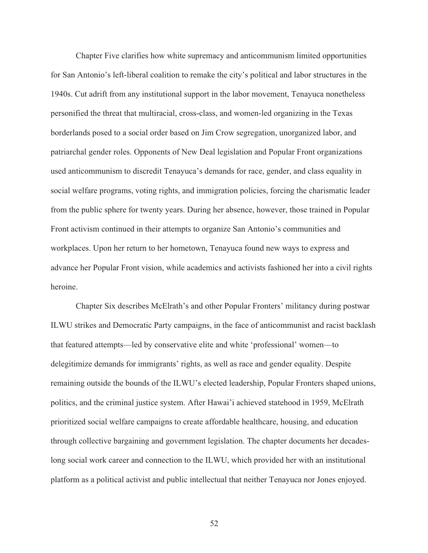Chapter Five clarifies how white supremacy and anticommunism limited opportunities for San Antonio's left-liberal coalition to remake the city's political and labor structures in the 1940s. Cut adrift from any institutional support in the labor movement, Tenayuca nonetheless personified the threat that multiracial, cross-class, and women-led organizing in the Texas borderlands posed to a social order based on Jim Crow segregation, unorganized labor, and patriarchal gender roles. Opponents of New Deal legislation and Popular Front organizations used anticommunism to discredit Tenayuca's demands for race, gender, and class equality in social welfare programs, voting rights, and immigration policies, forcing the charismatic leader from the public sphere for twenty years. During her absence, however, those trained in Popular Front activism continued in their attempts to organize San Antonio's communities and workplaces. Upon her return to her hometown, Tenayuca found new ways to express and advance her Popular Front vision, while academics and activists fashioned her into a civil rights heroine.

 Chapter Six describes McElrath's and other Popular Fronters' militancy during postwar ILWU strikes and Democratic Party campaigns, in the face of anticommunist and racist backlash that featured attempts—led by conservative elite and white 'professional' women—to delegitimize demands for immigrants' rights, as well as race and gender equality. Despite remaining outside the bounds of the ILWU's elected leadership, Popular Fronters shaped unions, politics, and the criminal justice system. After Hawai'i achieved statehood in 1959, McElrath prioritized social welfare campaigns to create affordable healthcare, housing, and education through collective bargaining and government legislation. The chapter documents her decadeslong social work career and connection to the ILWU, which provided her with an institutional platform as a political activist and public intellectual that neither Tenayuca nor Jones enjoyed.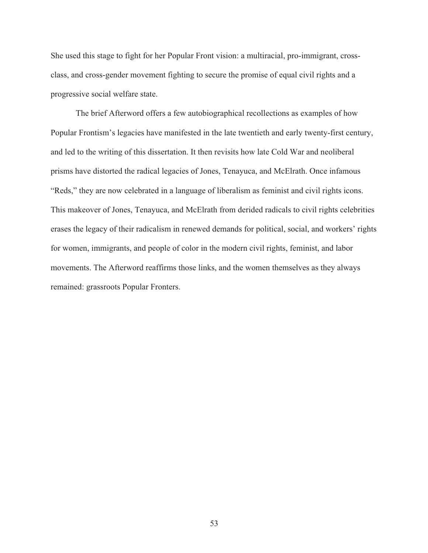She used this stage to fight for her Popular Front vision: a multiracial, pro-immigrant, crossclass, and cross-gender movement fighting to secure the promise of equal civil rights and a progressive social welfare state.

 The brief Afterword offers a few autobiographical recollections as examples of how Popular Frontism's legacies have manifested in the late twentieth and early twenty-first century, and led to the writing of this dissertation. It then revisits how late Cold War and neoliberal prisms have distorted the radical legacies of Jones, Tenayuca, and McElrath. Once infamous "Reds," they are now celebrated in a language of liberalism as feminist and civil rights icons. This makeover of Jones, Tenayuca, and McElrath from derided radicals to civil rights celebrities erases the legacy of their radicalism in renewed demands for political, social, and workers' rights for women, immigrants, and people of color in the modern civil rights, feminist, and labor movements. The Afterword reaffirms those links, and the women themselves as they always remained: grassroots Popular Fronters.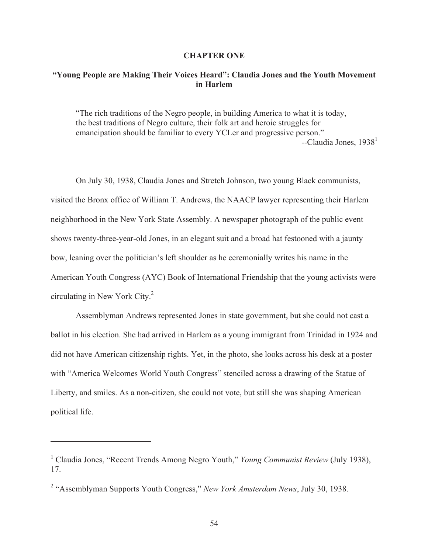#### **CHAPTER ONE**

# **"Young People are Making Their Voices Heard": Claudia Jones and the Youth Movement in Harlem**

"The rich traditions of the Negro people, in building America to what it is today, the best traditions of Negro culture, their folk art and heroic struggles for emancipation should be familiar to every YCLer and progressive person."  $-$ Claudia Jones, 1938<sup>1</sup>

 On July 30, 1938, Claudia Jones and Stretch Johnson, two young Black communists, visited the Bronx office of William T. Andrews, the NAACP lawyer representing their Harlem neighborhood in the New York State Assembly. A newspaper photograph of the public event shows twenty-three-year-old Jones, in an elegant suit and a broad hat festooned with a jaunty bow, leaning over the politician's left shoulder as he ceremonially writes his name in the American Youth Congress (AYC) Book of International Friendship that the young activists were circulating in New York City. $2$ 

 Assemblyman Andrews represented Jones in state government, but she could not cast a ballot in his election. She had arrived in Harlem as a young immigrant from Trinidad in 1924 and did not have American citizenship rights. Yet, in the photo, she looks across his desk at a poster with "America Welcomes World Youth Congress" stenciled across a drawing of the Statue of Liberty, and smiles. As a non-citizen, she could not vote, but still she was shaping American political life.

<sup>&</sup>lt;sup>1</sup> Claudia Jones, "Recent Trends Among Negro Youth," *Young Communist Review* (July 1938), 17.

<sup>&</sup>lt;sup>2</sup> "Assemblyman Supports Youth Congress," *New York Amsterdam News*, July 30, 1938.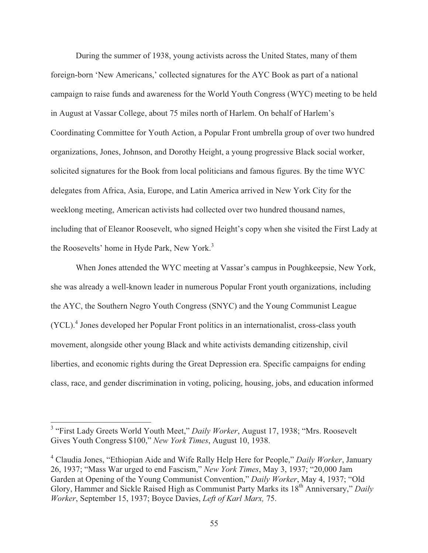During the summer of 1938, young activists across the United States, many of them foreign-born 'New Americans,' collected signatures for the AYC Book as part of a national campaign to raise funds and awareness for the World Youth Congress (WYC) meeting to be held in August at Vassar College, about 75 miles north of Harlem. On behalf of Harlem's Coordinating Committee for Youth Action, a Popular Front umbrella group of over two hundred organizations, Jones, Johnson, and Dorothy Height, a young progressive Black social worker, solicited signatures for the Book from local politicians and famous figures. By the time WYC delegates from Africa, Asia, Europe, and Latin America arrived in New York City for the weeklong meeting, American activists had collected over two hundred thousand names, including that of Eleanor Roosevelt, who signed Height's copy when she visited the First Lady at the Roosevelts' home in Hyde Park, New York.<sup>3</sup>

 When Jones attended the WYC meeting at Vassar's campus in Poughkeepsie, New York, she was already a well-known leader in numerous Popular Front youth organizations, including the AYC, the Southern Negro Youth Congress (SNYC) and the Young Communist League (YCL).<sup>4</sup> Jones developed her Popular Front politics in an internationalist, cross-class youth movement, alongside other young Black and white activists demanding citizenship, civil liberties, and economic rights during the Great Depression era. Specific campaigns for ending class, race, and gender discrimination in voting, policing, housing, jobs, and education informed

 3 "First Lady Greets World Youth Meet," *Daily Worker*, August 17, 1938; "Mrs. Roosevelt Gives Youth Congress \$100," *New York Times*, August 10, 1938.

<sup>4</sup> Claudia Jones, "Ethiopian Aide and Wife Rally Help Here for People," *Daily Worker*, January 26, 1937; "Mass War urged to end Fascism," *New York Times*, May 3, 1937; "20,000 Jam Garden at Opening of the Young Communist Convention," *Daily Worker*, May 4, 1937; "Old Glory, Hammer and Sickle Raised High as Communist Party Marks its 18<sup>th</sup> Anniversary," *Daily Worker*, September 15, 1937; Boyce Davies, *Left of Karl Marx,* 75.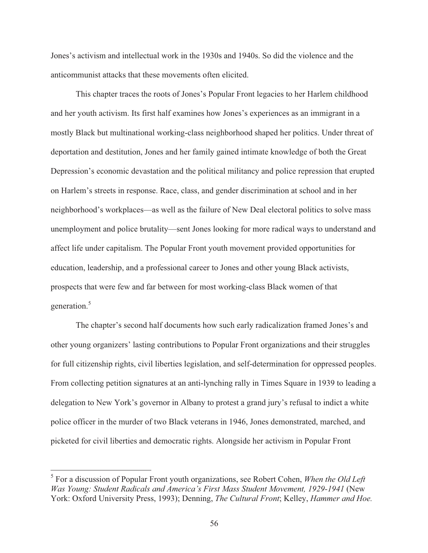Jones's activism and intellectual work in the 1930s and 1940s. So did the violence and the anticommunist attacks that these movements often elicited.

 This chapter traces the roots of Jones's Popular Front legacies to her Harlem childhood and her youth activism. Its first half examines how Jones's experiences as an immigrant in a mostly Black but multinational working-class neighborhood shaped her politics. Under threat of deportation and destitution, Jones and her family gained intimate knowledge of both the Great Depression's economic devastation and the political militancy and police repression that erupted on Harlem's streets in response. Race, class, and gender discrimination at school and in her neighborhood's workplaces—as well as the failure of New Deal electoral politics to solve mass unemployment and police brutality—sent Jones looking for more radical ways to understand and affect life under capitalism. The Popular Front youth movement provided opportunities for education, leadership, and a professional career to Jones and other young Black activists, prospects that were few and far between for most working-class Black women of that generation.<sup>5</sup>

 The chapter's second half documents how such early radicalization framed Jones's and other young organizers' lasting contributions to Popular Front organizations and their struggles for full citizenship rights, civil liberties legislation, and self-determination for oppressed peoples. From collecting petition signatures at an anti-lynching rally in Times Square in 1939 to leading a delegation to New York's governor in Albany to protest a grand jury's refusal to indict a white police officer in the murder of two Black veterans in 1946, Jones demonstrated, marched, and picketed for civil liberties and democratic rights. Alongside her activism in Popular Front

<sup>5</sup> For a discussion of Popular Front youth organizations, see Robert Cohen, *When the Old Left Was Young: Student Radicals and America's First Mass Student Movement, 1929-1941* (New York: Oxford University Press, 1993); Denning, *The Cultural Front*; Kelley, *Hammer and Hoe.*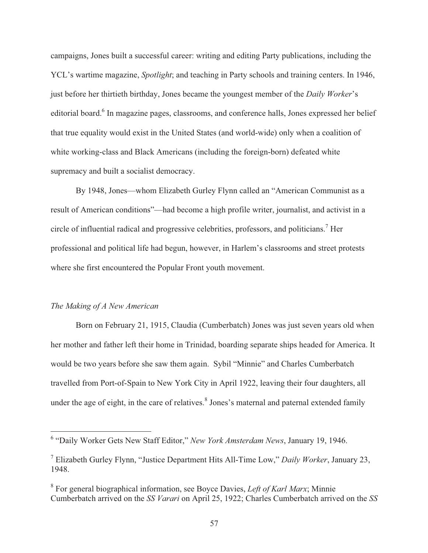campaigns, Jones built a successful career: writing and editing Party publications, including the YCL's wartime magazine, *Spotlight*; and teaching in Party schools and training centers. In 1946, just before her thirtieth birthday, Jones became the youngest member of the *Daily Worker*'s editorial board.<sup>6</sup> In magazine pages, classrooms, and conference halls, Jones expressed her belief that true equality would exist in the United States (and world-wide) only when a coalition of white working-class and Black Americans (including the foreign-born) defeated white supremacy and built a socialist democracy.

 By 1948, Jones—whom Elizabeth Gurley Flynn called an "American Communist as a result of American conditions"—had become a high profile writer, journalist, and activist in a circle of influential radical and progressive celebrities, professors, and politicians.<sup>7</sup> Her professional and political life had begun, however, in Harlem's classrooms and street protests where she first encountered the Popular Front youth movement.

## *The Making of A New American*

 Born on February 21, 1915, Claudia (Cumberbatch) Jones was just seven years old when her mother and father left their home in Trinidad, boarding separate ships headed for America. It would be two years before she saw them again. Sybil "Minnie" and Charles Cumberbatch travelled from Port-of-Spain to New York City in April 1922, leaving their four daughters, all under the age of eight, in the care of relatives.<sup>8</sup> Jones's maternal and paternal extended family

 6 "Daily Worker Gets New Staff Editor," *New York Amsterdam News*, January 19, 1946.

<sup>7</sup> Elizabeth Gurley Flynn, "Justice Department Hits All-Time Low," *Daily Worker*, January 23, 1948.

<sup>8</sup> For general biographical information, see Boyce Davies, *Left of Karl Marx*; Minnie Cumberbatch arrived on the *SS Varari* on April 25, 1922; Charles Cumberbatch arrived on the *SS*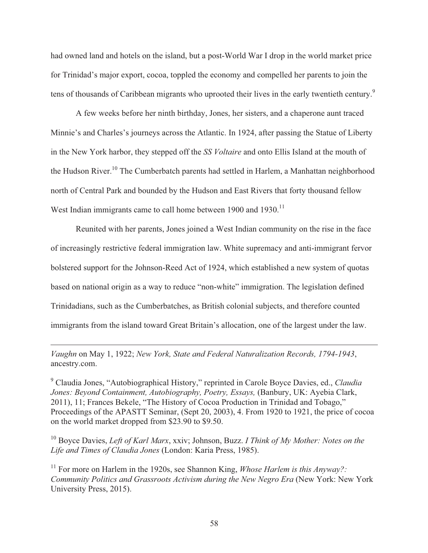had owned land and hotels on the island, but a post-World War I drop in the world market price for Trinidad's major export, cocoa, toppled the economy and compelled her parents to join the tens of thousands of Caribbean migrants who uprooted their lives in the early twentieth century.<sup>9</sup>

 A few weeks before her ninth birthday, Jones, her sisters, and a chaperone aunt traced Minnie's and Charles's journeys across the Atlantic. In 1924, after passing the Statue of Liberty in the New York harbor, they stepped off the *SS Voltaire* and onto Ellis Island at the mouth of the Hudson River.<sup>10</sup> The Cumberbatch parents had settled in Harlem, a Manhattan neighborhood north of Central Park and bounded by the Hudson and East Rivers that forty thousand fellow West Indian immigrants came to call home between 1900 and 1930.<sup>11</sup>

 Reunited with her parents, Jones joined a West Indian community on the rise in the face of increasingly restrictive federal immigration law. White supremacy and anti-immigrant fervor bolstered support for the Johnson-Reed Act of 1924, which established a new system of quotas based on national origin as a way to reduce "non-white" immigration. The legislation defined Trinidadians, such as the Cumberbatches, as British colonial subjects, and therefore counted immigrants from the island toward Great Britain's allocation, one of the largest under the law.

*Vaughn* on May 1, 1922; *New York, State and Federal Naturalization Records, 1794-1943*, ancestry.com.

 $\overline{a}$ 

9 Claudia Jones, "Autobiographical History," reprinted in Carole Boyce Davies, ed., *Claudia Jones: Beyond Containment, Autobiography, Poetry, Essays,* (Banbury, UK: Ayebia Clark, 2011), 11; Frances Bekele, "The History of Cocoa Production in Trinidad and Tobago," Proceedings of the APASTT Seminar, (Sept 20, 2003), 4. From 1920 to 1921, the price of cocoa on the world market dropped from \$23.90 to \$9.50.

10 Boyce Davies, *Left of Karl Marx*, xxiv; Johnson, Buzz. *I Think of My Mother: Notes on the Life and Times of Claudia Jones* (London: Karia Press, 1985).

<sup>11</sup> For more on Harlem in the 1920s, see Shannon King, *Whose Harlem is this Anyway*?: *Community Politics and Grassroots Activism during the New Negro Era* (New York: New York University Press, 2015).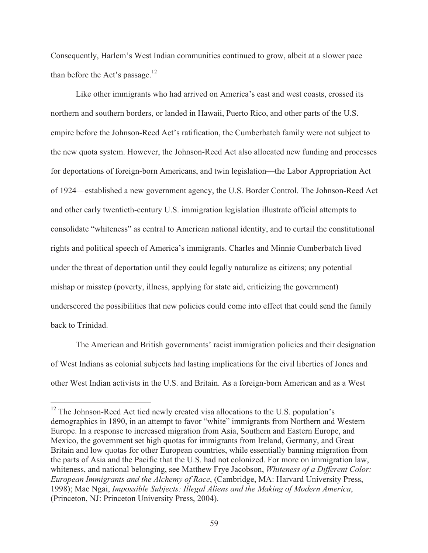Consequently, Harlem's West Indian communities continued to grow, albeit at a slower pace than before the Act's passage. $12$ 

 Like other immigrants who had arrived on America's east and west coasts, crossed its northern and southern borders, or landed in Hawaii, Puerto Rico, and other parts of the U.S. empire before the Johnson-Reed Act's ratification, the Cumberbatch family were not subject to the new quota system. However, the Johnson-Reed Act also allocated new funding and processes for deportations of foreign-born Americans, and twin legislation—the Labor Appropriation Act of 1924—established a new government agency, the U.S. Border Control. The Johnson-Reed Act and other early twentieth-century U.S. immigration legislation illustrate official attempts to consolidate "whiteness" as central to American national identity, and to curtail the constitutional rights and political speech of America's immigrants. Charles and Minnie Cumberbatch lived under the threat of deportation until they could legally naturalize as citizens; any potential mishap or misstep (poverty, illness, applying for state aid, criticizing the government) underscored the possibilities that new policies could come into effect that could send the family back to Trinidad.

 The American and British governments' racist immigration policies and their designation of West Indians as colonial subjects had lasting implications for the civil liberties of Jones and other West Indian activists in the U.S. and Britain. As a foreign-born American and as a West

 $12$  The Johnson-Reed Act tied newly created visa allocations to the U.S. population's demographics in 1890, in an attempt to favor "white" immigrants from Northern and Western Europe. In a response to increased migration from Asia, Southern and Eastern Europe, and Mexico, the government set high quotas for immigrants from Ireland, Germany, and Great Britain and low quotas for other European countries, while essentially banning migration from the parts of Asia and the Pacific that the U.S. had not colonized. For more on immigration law, whiteness, and national belonging, see Matthew Frye Jacobson, *Whiteness of a Different Color: European Immigrants and the Alchemy of Race*, (Cambridge, MA: Harvard University Press, 1998); Mae Ngai, *Impossible Subjects: Illegal Aliens and the Making of Modern America*, (Princeton, NJ: Princeton University Press, 2004).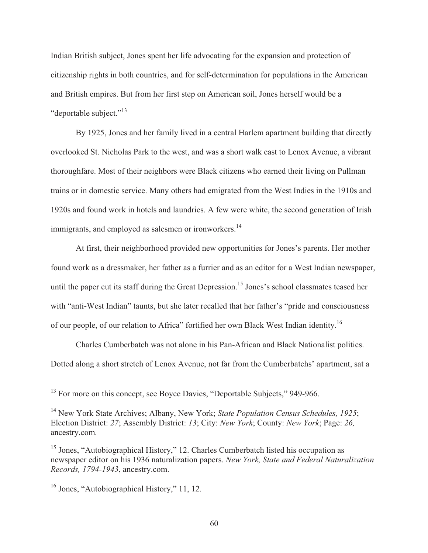Indian British subject, Jones spent her life advocating for the expansion and protection of citizenship rights in both countries, and for self-determination for populations in the American and British empires. But from her first step on American soil, Jones herself would be a "deportable subject."<sup>13</sup>

 By 1925, Jones and her family lived in a central Harlem apartment building that directly overlooked St. Nicholas Park to the west, and was a short walk east to Lenox Avenue, a vibrant thoroughfare. Most of their neighbors were Black citizens who earned their living on Pullman trains or in domestic service. Many others had emigrated from the West Indies in the 1910s and 1920s and found work in hotels and laundries. A few were white, the second generation of Irish immigrants, and employed as salesmen or ironworkers.<sup>14</sup>

 At first, their neighborhood provided new opportunities for Jones's parents. Her mother found work as a dressmaker, her father as a furrier and as an editor for a West Indian newspaper, until the paper cut its staff during the Great Depression.<sup>15</sup> Jones's school classmates teased her with "anti-West Indian" taunts, but she later recalled that her father's "pride and consciousness of our people, of our relation to Africa" fortified her own Black West Indian identity.16

 Charles Cumberbatch was not alone in his Pan-African and Black Nationalist politics. Dotted along a short stretch of Lenox Avenue, not far from the Cumberbatchs' apartment, sat a

 $13$  For more on this concept, see Boyce Davies, "Deportable Subjects," 949-966.

<sup>14</sup> New York State Archives; Albany, New York; *State Population Census Schedules, 1925*; Election District: *27*; Assembly District: *13*; City: *New York*; County: *New York*; Page: *26,*  ancestry.com*.* 

<sup>&</sup>lt;sup>15</sup> Jones, "Autobiographical History," 12. Charles Cumberbatch listed his occupation as newspaper editor on his 1936 naturalization papers. *New York, State and Federal Naturalization Records, 1794-1943*, ancestry.com.

<sup>&</sup>lt;sup>16</sup> Jones, "Autobiographical History," 11, 12.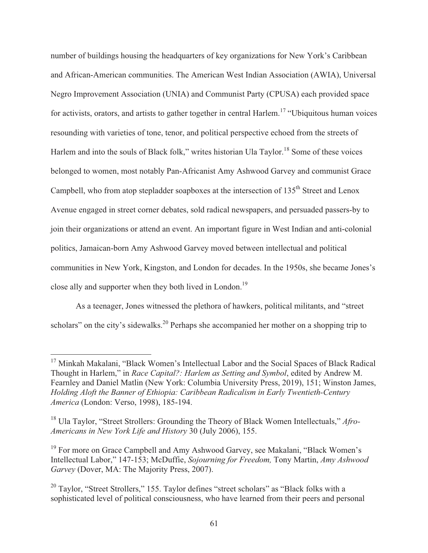number of buildings housing the headquarters of key organizations for New York's Caribbean and African-American communities. The American West Indian Association (AWIA), Universal Negro Improvement Association (UNIA) and Communist Party (CPUSA) each provided space for activists, orators, and artists to gather together in central Harlem.<sup>17</sup> "Ubiquitous human voices resounding with varieties of tone, tenor, and political perspective echoed from the streets of Harlem and into the souls of Black folk," writes historian Ula Taylor.<sup>18</sup> Some of these voices belonged to women, most notably Pan-Africanist Amy Ashwood Garvey and communist Grace Campbell, who from atop stepladder soapboxes at the intersection of  $135<sup>th</sup>$  Street and Lenox Avenue engaged in street corner debates, sold radical newspapers, and persuaded passers-by to join their organizations or attend an event. An important figure in West Indian and anti-colonial politics, Jamaican-born Amy Ashwood Garvey moved between intellectual and political communities in New York, Kingston, and London for decades. In the 1950s, she became Jones's close ally and supporter when they both lived in London.<sup>19</sup>

 As a teenager, Jones witnessed the plethora of hawkers, political militants, and "street scholars" on the city's sidewalks.<sup>20</sup> Perhaps she accompanied her mother on a shopping trip to

<sup>&</sup>lt;sup>17</sup> Minkah Makalani, "Black Women's Intellectual Labor and the Social Spaces of Black Radical Thought in Harlem," in *Race Capital?: Harlem as Setting and Symbol*, edited by Andrew M. Fearnley and Daniel Matlin (New York: Columbia University Press, 2019), 151; Winston James, *Holding Aloft the Banner of Ethiopia: Caribbean Radicalism in Early Twentieth-Century America* (London: Verso, 1998), 185-194.

<sup>18</sup> Ula Taylor, "Street Strollers: Grounding the Theory of Black Women Intellectuals," *Afro-Americans in New York Life and History* 30 (July 2006), 155.

<sup>&</sup>lt;sup>19</sup> For more on Grace Campbell and Amy Ashwood Garvey, see Makalani, "Black Women's Intellectual Labor," 147-153; McDuffie, *Sojourning for Freedom,* Tony Martin, *Amy Ashwood Garvey* (Dover, MA: The Majority Press, 2007).

<sup>&</sup>lt;sup>20</sup> Taylor, "Street Strollers," 155. Taylor defines "street scholars" as "Black folks with a sophisticated level of political consciousness, who have learned from their peers and personal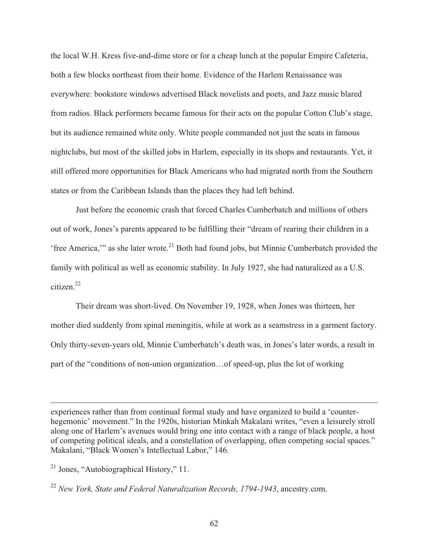the local W.H. Kress five-and-dime store or for a cheap lunch at the popular Empire Cafeteria, both a few blocks northeast from their home. Evidence of the Harlem Renaissance was everywhere: bookstore windows advertised Black novelists and poets, and Jazz music blared from radios. Black performers became famous for their acts on the popular Cotton Club's stage, but its audience remained white only. White people commanded not just the seats in famous nightclubs, but most of the skilled jobs in Harlem, especially in its shops and restaurants. Yet, it still offered more opportunities for Black Americans who had migrated north from the Southern states or from the Caribbean Islands than the places they had left behind.

 Just before the economic crash that forced Charles Cumberbatch and millions of others out of work, Jones's parents appeared to be fulfilling their "dream of rearing their children in a 'free America,'" as she later wrote.<sup>21</sup> Both had found jobs, but Minnie Cumberbatch provided the family with political as well as economic stability. In July 1927, she had naturalized as a U.S. citizen.22

 Their dream was short-lived. On November 19, 1928, when Jones was thirteen, her mother died suddenly from spinal meningitis, while at work as a seamstress in a garment factory. Only thirty-seven-years old, Minnie Cumberbatch's death was, in Jones's later words, a result in part of the "conditions of non-union organization…of speed-up, plus the lot of working

experiences rather than from continual formal study and have organized to build a 'counterhegemonic' movement." In the 1920s, historian Minkah Makalani writes, "even a leisurely stroll along one of Harlem's avenues would bring one into contact with a range of black people, a host of competing political ideals, and a constellation of overlapping, often competing social spaces." Makalani, "Black Women's Intellectual Labor," 146.

<sup>&</sup>lt;sup>21</sup> Jones, "Autobiographical History," 11.

<sup>22</sup> *New York, State and Federal Naturalization Records, 1794-1943*, ancestry.com.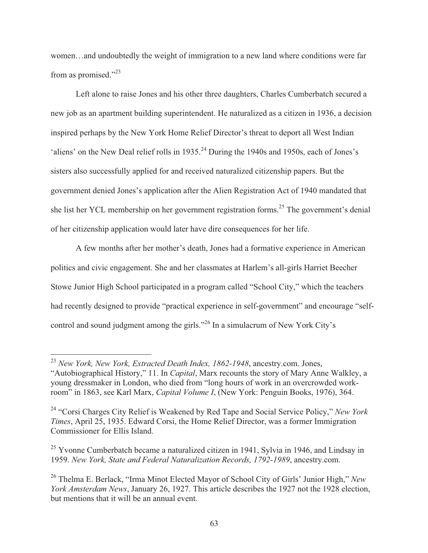women…and undoubtedly the weight of immigration to a new land where conditions were far from as promised."<sup>23</sup>

 Left alone to raise Jones and his other three daughters, Charles Cumberbatch secured a new job as an apartment building superintendent. He naturalized as a citizen in 1936, a decision inspired perhaps by the New York Home Relief Director's threat to deport all West Indian 'aliens' on the New Deal relief rolls in 1935.<sup>24</sup> During the 1940s and 1950s, each of Jones's sisters also successfully applied for and received naturalized citizenship papers. But the government denied Jones's application after the Alien Registration Act of 1940 mandated that she list her YCL membership on her government registration forms.25 The government's denial of her citizenship application would later have dire consequences for her life.

 A few months after her mother's death, Jones had a formative experience in American politics and civic engagement. She and her classmates at Harlem's all-girls Harriet Beecher Stowe Junior High School participated in a program called "School City," which the teachers had recently designed to provide "practical experience in self-government" and encourage "selfcontrol and sound judgment among the girls."26 In a simulacrum of New York City's

<sup>23</sup> *New York, New York, Extracted Death Index, 1862-1948*, ancestry.com. Jones, "Autobiographical History," 11. In *Capital*, Marx recounts the story of Mary Anne Walkley, a young dressmaker in London, who died from "long hours of work in an overcrowded workroom" in 1863, see Karl Marx, *Capital Volume I*, (New York: Penguin Books, 1976), 364.

<sup>24 &</sup>quot;Corsi Charges City Relief is Weakened by Red Tape and Social Service Policy," *New York Times*, April 25, 1935. Edward Corsi, the Home Relief Director, was a former Immigration Commissioner for Ellis Island.

 $25$  Yvonne Cumberbatch became a naturalized citizen in 1941, Sylvia in 1946, and Lindsay in 1959. *New York, State and Federal Naturalization Records, 1792-1989*, ancestry.com.

<sup>26</sup> Thelma E. Berlack, "Irma Minot Elected Mayor of School City of Girls' Junior High," *New York Amsterdam News*, January 26, 1927. This article describes the 1927 not the 1928 election, but mentions that it will be an annual event.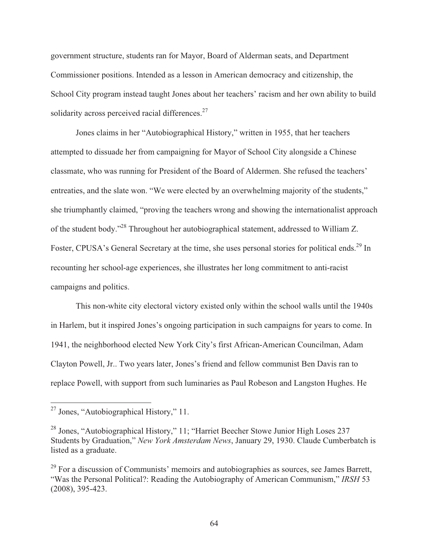government structure, students ran for Mayor, Board of Alderman seats, and Department Commissioner positions. Intended as a lesson in American democracy and citizenship, the School City program instead taught Jones about her teachers' racism and her own ability to build solidarity across perceived racial differences.<sup>27</sup>

 Jones claims in her "Autobiographical History," written in 1955, that her teachers attempted to dissuade her from campaigning for Mayor of School City alongside a Chinese classmate, who was running for President of the Board of Aldermen. She refused the teachers' entreaties, and the slate won. "We were elected by an overwhelming majority of the students," she triumphantly claimed, "proving the teachers wrong and showing the internationalist approach of the student body."28 Throughout her autobiographical statement, addressed to William Z. Foster, CPUSA's General Secretary at the time, she uses personal stories for political ends.<sup>29</sup> In recounting her school-age experiences, she illustrates her long commitment to anti-racist campaigns and politics.

 This non-white city electoral victory existed only within the school walls until the 1940s in Harlem, but it inspired Jones's ongoing participation in such campaigns for years to come. In 1941, the neighborhood elected New York City's first African-American Councilman, Adam Clayton Powell, Jr.. Two years later, Jones's friend and fellow communist Ben Davis ran to replace Powell, with support from such luminaries as Paul Robeson and Langston Hughes. He

 $27$  Jones, "Autobiographical History," 11.

<sup>&</sup>lt;sup>28</sup> Jones, "Autobiographical History," 11; "Harriet Beecher Stowe Junior High Loses 237 Students by Graduation," *New York Amsterdam News*, January 29, 1930. Claude Cumberbatch is listed as a graduate.

 $^{29}$  For a discussion of Communists' memoirs and autobiographies as sources, see James Barrett, "Was the Personal Political?: Reading the Autobiography of American Communism," *IRSH* 53 (2008), 395-423.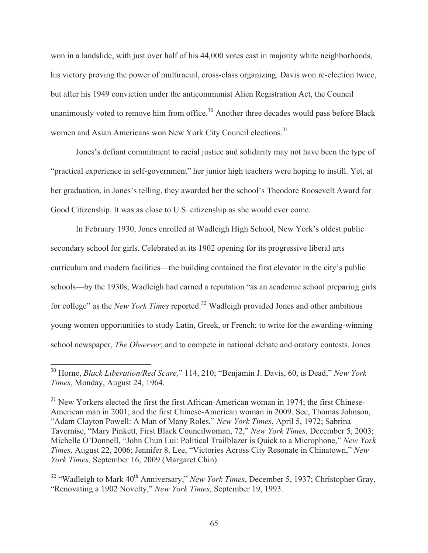won in a landslide, with just over half of his 44,000 votes cast in majority white neighborhoods, his victory proving the power of multiracial, cross-class organizing. Davis won re-election twice, but after his 1949 conviction under the anticommunist Alien Registration Act, the Council unanimously voted to remove him from office.<sup>30</sup> Another three decades would pass before Black women and Asian Americans won New York City Council elections.<sup>31</sup>

 Jones's defiant commitment to racial justice and solidarity may not have been the type of "practical experience in self-government" her junior high teachers were hoping to instill. Yet, at her graduation, in Jones's telling, they awarded her the school's Theodore Roosevelt Award for Good Citizenship. It was as close to U.S. citizenship as she would ever come.

 In February 1930, Jones enrolled at Wadleigh High School, New York's oldest public secondary school for girls. Celebrated at its 1902 opening for its progressive liberal arts curriculum and modern facilities—the building contained the first elevator in the city's public schools—by the 1930s, Wadleigh had earned a reputation "as an academic school preparing girls for college" as the *New York Times* reported.<sup>32</sup> Wadleigh provided Jones and other ambitious young women opportunities to study Latin, Greek, or French; to write for the awarding-winning school newspaper, *The Observer*; and to compete in national debate and oratory contests. Jones

<sup>30</sup> Horne, *Black Liberation/Red Scare,*" 114, 210; "Benjamin J. Davis, 60, is Dead," *New York Times*, Monday, August 24, 1964.

 $31$  New Yorkers elected the first the first African-American woman in 1974; the first Chinese-American man in 2001; and the first Chinese-American woman in 2009. See, Thomas Johnson, "Adam Clayton Powell: A Man of Many Roles," *New York Times*, April 5, 1972; Sabrina Tavernise, "Mary Pinkett, First Black Councilwoman, 72," *New York Times*, December 5, 2003; Michelle O'Donnell, "John Chun Lui: Political Trailblazer is Quick to a Microphone," *New York Times*, August 22, 2006; Jennifer 8. Lee, "Victories Across City Resonate in Chinatown," *New York Times,* September 16, 2009 (Margaret Chin).

<sup>&</sup>lt;sup>32</sup> "Wadleigh to Mark 40<sup>th</sup> Anniversary," *New York Times*, December 5, 1937; Christopher Gray, "Renovating a 1902 Novelty," *New York Times*, September 19, 1993.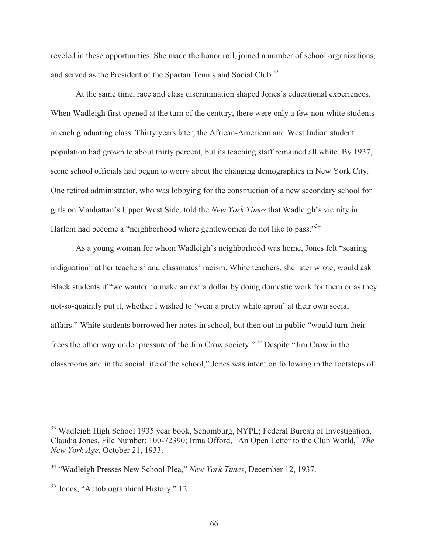reveled in these opportunities. She made the honor roll, joined a number of school organizations, and served as the President of the Spartan Tennis and Social Club.<sup>33</sup>

 At the same time, race and class discrimination shaped Jones's educational experiences. When Wadleigh first opened at the turn of the century, there were only a few non-white students in each graduating class. Thirty years later, the African-American and West Indian student population had grown to about thirty percent, but its teaching staff remained all white. By 1937, some school officials had begun to worry about the changing demographics in New York City. One retired administrator, who was lobbying for the construction of a new secondary school for girls on Manhattan's Upper West Side, told the *New York Times* that Wadleigh's vicinity in Harlem had become a "neighborhood where gentlewomen do not like to pass."<sup>34</sup>

 As a young woman for whom Wadleigh's neighborhood was home, Jones felt "searing indignation" at her teachers' and classmates' racism. White teachers, she later wrote, would ask Black students if "we wanted to make an extra dollar by doing domestic work for them or as they not-so-quaintly put it, whether I wished to 'wear a pretty white apron' at their own social affairs." White students borrowed her notes in school, but then out in public "would turn their faces the other way under pressure of the Jim Crow society." 35 Despite "Jim Crow in the classrooms and in the social life of the school," Jones was intent on following in the footsteps of

<sup>&</sup>lt;sup>33</sup> Wadleigh High School 1935 year book, Schomburg, NYPL; Federal Bureau of Investigation, Claudia Jones, File Number: 100-72390; Irma Offord, "An Open Letter to the Club World," *The New York Age*, October 21, 1933.

<sup>34 &</sup>quot;Wadleigh Presses New School Plea," *New York Times*, December 12, 1937.

<sup>35</sup> Jones, "Autobiographical History," 12.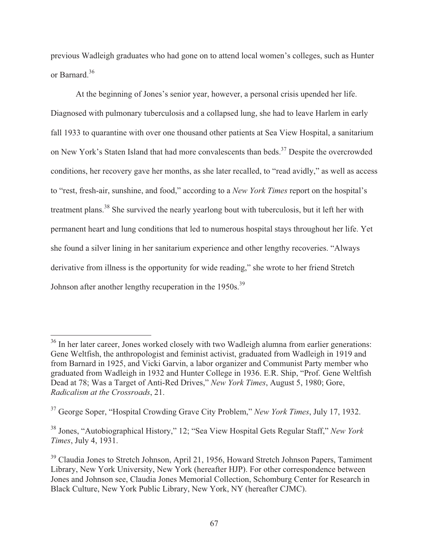previous Wadleigh graduates who had gone on to attend local women's colleges, such as Hunter or Barnard.<sup>36</sup>

 At the beginning of Jones's senior year, however, a personal crisis upended her life. Diagnosed with pulmonary tuberculosis and a collapsed lung, she had to leave Harlem in early fall 1933 to quarantine with over one thousand other patients at Sea View Hospital, a sanitarium on New York's Staten Island that had more convalescents than beds.<sup>37</sup> Despite the overcrowded conditions, her recovery gave her months, as she later recalled, to "read avidly," as well as access to "rest, fresh-air, sunshine, and food," according to a *New York Times* report on the hospital's treatment plans.38 She survived the nearly yearlong bout with tuberculosis, but it left her with permanent heart and lung conditions that led to numerous hospital stays throughout her life. Yet she found a silver lining in her sanitarium experience and other lengthy recoveries. "Always derivative from illness is the opportunity for wide reading," she wrote to her friend Stretch Johnson after another lengthy recuperation in the 1950s.<sup>39</sup>

<sup>&</sup>lt;sup>36</sup> In her later career, Jones worked closely with two Wadleigh alumna from earlier generations: Gene Weltfish, the anthropologist and feminist activist, graduated from Wadleigh in 1919 and from Barnard in 1925, and Vicki Garvin, a labor organizer and Communist Party member who graduated from Wadleigh in 1932 and Hunter College in 1936. E.R. Ship, "Prof. Gene Weltfish Dead at 78; Was a Target of Anti-Red Drives," *New York Times*, August 5, 1980; Gore, *Radicalism at the Crossroads*, 21.

<sup>37</sup> George Soper, "Hospital Crowding Grave City Problem," *New York Times*, July 17, 1932.

<sup>38</sup> Jones, "Autobiographical History," 12; "Sea View Hospital Gets Regular Staff," *New York Times*, July 4, 1931.

<sup>&</sup>lt;sup>39</sup> Claudia Jones to Stretch Johnson, April 21, 1956, Howard Stretch Johnson Papers, Tamiment Library, New York University, New York (hereafter HJP). For other correspondence between Jones and Johnson see, Claudia Jones Memorial Collection, Schomburg Center for Research in Black Culture, New York Public Library, New York, NY (hereafter CJMC).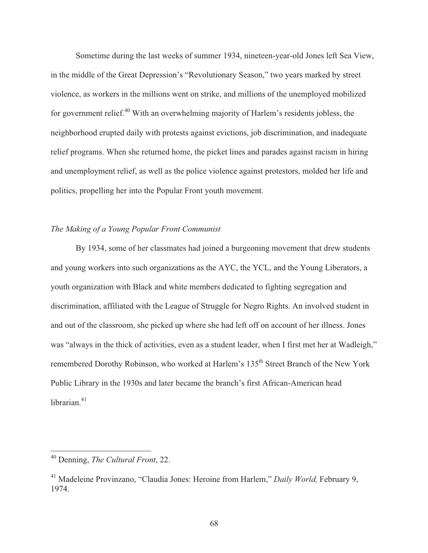Sometime during the last weeks of summer 1934, nineteen-year-old Jones left Sea View, in the middle of the Great Depression's "Revolutionary Season," two years marked by street violence, as workers in the millions went on strike, and millions of the unemployed mobilized for government relief.<sup>40</sup> With an overwhelming majority of Harlem's residents jobless, the neighborhood erupted daily with protests against evictions, job discrimination, and inadequate relief programs. When she returned home, the picket lines and parades against racism in hiring and unemployment relief, as well as the police violence against protestors, molded her life and politics, propelling her into the Popular Front youth movement.

## *The Making of a Young Popular Front Communist*

 By 1934, some of her classmates had joined a burgeoning movement that drew students and young workers into such organizations as the AYC, the YCL, and the Young Liberators, a youth organization with Black and white members dedicated to fighting segregation and discrimination, affiliated with the League of Struggle for Negro Rights. An involved student in and out of the classroom, she picked up where she had left off on account of her illness. Jones was "always in the thick of activities, even as a student leader, when I first met her at Wadleigh," remembered Dorothy Robinson, who worked at Harlem's 135<sup>th</sup> Street Branch of the New York Public Library in the 1930s and later became the branch's first African-American head librarian.<sup>41</sup>

<sup>40</sup> Denning, *The Cultural Front*, 22.

<sup>41</sup> Madeleine Provinzano, "Claudia Jones: Heroine from Harlem," *Daily World,* February 9, 1974.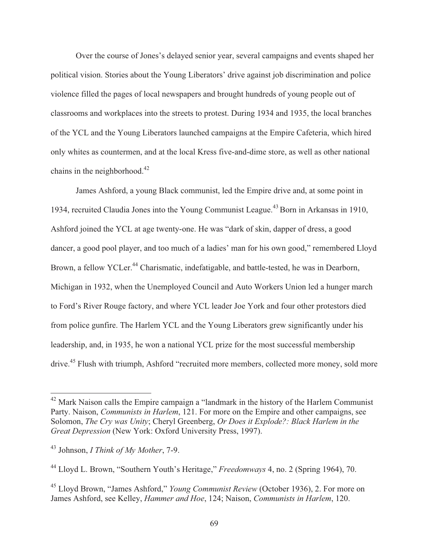Over the course of Jones's delayed senior year, several campaigns and events shaped her political vision. Stories about the Young Liberators' drive against job discrimination and police violence filled the pages of local newspapers and brought hundreds of young people out of classrooms and workplaces into the streets to protest. During 1934 and 1935, the local branches of the YCL and the Young Liberators launched campaigns at the Empire Cafeteria, which hired only whites as countermen, and at the local Kress five-and-dime store, as well as other national chains in the neighborhood. $42$ 

James Ashford, a young Black communist, led the Empire drive and, at some point in 1934, recruited Claudia Jones into the Young Communist League.43 Born in Arkansas in 1910, Ashford joined the YCL at age twenty-one. He was "dark of skin, dapper of dress, a good dancer, a good pool player, and too much of a ladies' man for his own good," remembered Lloyd Brown, a fellow YCLer.<sup>44</sup> Charismatic, indefatigable, and battle-tested, he was in Dearborn, Michigan in 1932, when the Unemployed Council and Auto Workers Union led a hunger march to Ford's River Rouge factory, and where YCL leader Joe York and four other protestors died from police gunfire. The Harlem YCL and the Young Liberators grew significantly under his leadership, and, in 1935, he won a national YCL prize for the most successful membership drive.<sup>45</sup> Flush with triumph, Ashford "recruited more members, collected more money, sold more

 $42$  Mark Naison calls the Empire campaign a "landmark in the history of the Harlem Communist Party. Naison, *Communists in Harlem*, 121. For more on the Empire and other campaigns, see Solomon, *The Cry was Unity*; Cheryl Greenberg, *Or Does it Explode?: Black Harlem in the Great Depression* (New York: Oxford University Press, 1997).

<sup>43</sup> Johnson, *I Think of My Mother*, 7-9.

<sup>44</sup> Lloyd L. Brown, "Southern Youth's Heritage," *Freedomways* 4, no. 2 (Spring 1964), 70.

<sup>45</sup> Lloyd Brown, "James Ashford," *Young Communist Review* (October 1936), 2. For more on James Ashford, see Kelley, *Hammer and Hoe*, 124; Naison, *Communists in Harlem*, 120.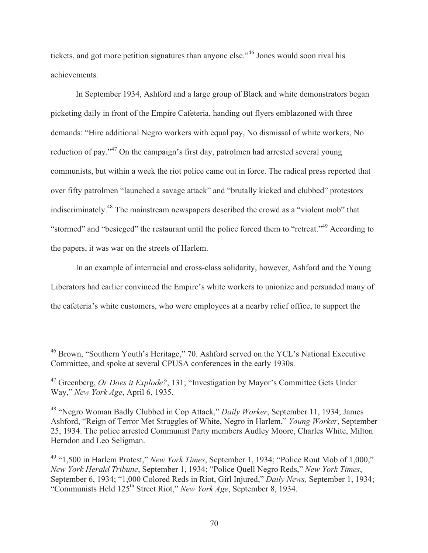tickets, and got more petition signatures than anyone else."46 Jones would soon rival his achievements.

 In September 1934, Ashford and a large group of Black and white demonstrators began picketing daily in front of the Empire Cafeteria, handing out flyers emblazoned with three demands: "Hire additional Negro workers with equal pay, No dismissal of white workers, No reduction of pay."47 On the campaign's first day, patrolmen had arrested several young communists, but within a week the riot police came out in force. The radical press reported that over fifty patrolmen "launched a savage attack" and "brutally kicked and clubbed" protestors indiscriminately.48 The mainstream newspapers described the crowd as a "violent mob" that "stormed" and "besieged" the restaurant until the police forced them to "retreat."49 According to the papers, it was war on the streets of Harlem.

 In an example of interracial and cross-class solidarity, however, Ashford and the Young Liberators had earlier convinced the Empire's white workers to unionize and persuaded many of the cafeteria's white customers, who were employees at a nearby relief office, to support the

 $\overline{\phantom{a}}$ 

<sup>&</sup>lt;sup>46</sup> Brown, "Southern Youth's Heritage," 70. Ashford served on the YCL's National Executive Committee, and spoke at several CPUSA conferences in the early 1930s.

<sup>47</sup> Greenberg, *Or Does it Explode?*, 131; "Investigation by Mayor's Committee Gets Under Way," *New York Age*, April 6, 1935.

<sup>48 &</sup>quot;Negro Woman Badly Clubbed in Cop Attack," *Daily Worker*, September 11, 1934; James Ashford, "Reign of Terror Met Struggles of White, Negro in Harlem," *Young Worker*, September 25, 1934. The police arrested Communist Party members Audley Moore, Charles White, Milton Herndon and Leo Seligman.

<sup>49 &</sup>quot;1,500 in Harlem Protest," *New York Times*, September 1, 1934; "Police Rout Mob of 1,000," *New York Herald Tribune*, September 1, 1934; "Police Quell Negro Reds," *New York Times*, September 6, 1934; "1,000 Colored Reds in Riot, Girl Injured," *Daily News,* September 1, 1934; "Communists Held 125th Street Riot," *New York Age*, September 8, 1934.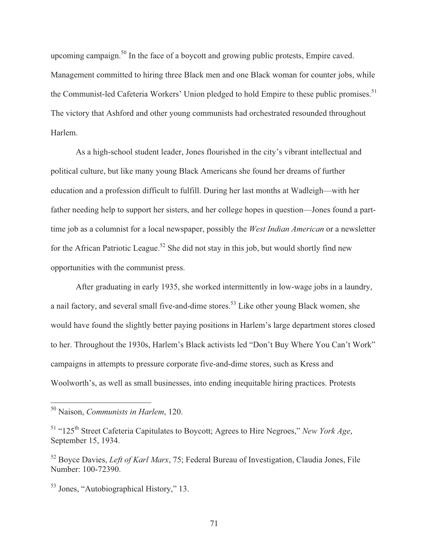upcoming campaign.<sup>50</sup> In the face of a boycott and growing public protests, Empire caved. Management committed to hiring three Black men and one Black woman for counter jobs, while the Communist-led Cafeteria Workers' Union pledged to hold Empire to these public promises.<sup>51</sup> The victory that Ashford and other young communists had orchestrated resounded throughout Harlem.

 As a high-school student leader, Jones flourished in the city's vibrant intellectual and political culture, but like many young Black Americans she found her dreams of further education and a profession difficult to fulfill. During her last months at Wadleigh—with her father needing help to support her sisters, and her college hopes in question—Jones found a parttime job as a columnist for a local newspaper, possibly the *West Indian American* or a newsletter for the African Patriotic League.<sup>52</sup> She did not stay in this job, but would shortly find new opportunities with the communist press.

 After graduating in early 1935, she worked intermittently in low-wage jobs in a laundry, a nail factory, and several small five-and-dime stores.<sup>53</sup> Like other young Black women, she would have found the slightly better paying positions in Harlem's large department stores closed to her. Throughout the 1930s, Harlem's Black activists led "Don't Buy Where You Can't Work" campaigns in attempts to pressure corporate five-and-dime stores, such as Kress and Woolworth's, as well as small businesses, into ending inequitable hiring practices. Protests

<sup>50</sup> Naison, *Communists in Harlem*, 120.

<sup>51 &</sup>quot;125th Street Cafeteria Capitulates to Boycott; Agrees to Hire Negroes," *New York Age*, September 15, 1934.

<sup>52</sup> Boyce Davies, *Left of Karl Marx*, 75; Federal Bureau of Investigation, Claudia Jones, File Number: 100-72390.

<sup>53</sup> Jones, "Autobiographical History," 13.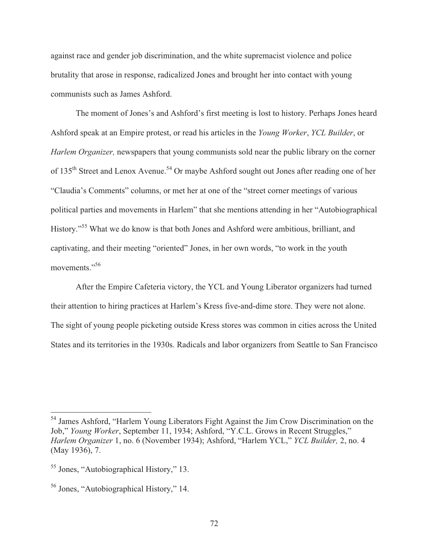against race and gender job discrimination, and the white supremacist violence and police brutality that arose in response, radicalized Jones and brought her into contact with young communists such as James Ashford.

 The moment of Jones's and Ashford's first meeting is lost to history. Perhaps Jones heard Ashford speak at an Empire protest, or read his articles in the *Young Worker*, *YCL Builder*, or *Harlem Organizer,* newspapers that young communists sold near the public library on the corner of 135<sup>th</sup> Street and Lenox Avenue.<sup>54</sup> Or maybe Ashford sought out Jones after reading one of her "Claudia's Comments" columns, or met her at one of the "street corner meetings of various political parties and movements in Harlem" that she mentions attending in her "Autobiographical History."55 What we do know is that both Jones and Ashford were ambitious, brilliant, and captivating, and their meeting "oriented" Jones, in her own words, "to work in the youth movements."<sup>56</sup>

 After the Empire Cafeteria victory, the YCL and Young Liberator organizers had turned their attention to hiring practices at Harlem's Kress five-and-dime store. They were not alone. The sight of young people picketing outside Kress stores was common in cities across the United States and its territories in the 1930s. Radicals and labor organizers from Seattle to San Francisco

<sup>&</sup>lt;sup>54</sup> James Ashford, "Harlem Young Liberators Fight Against the Jim Crow Discrimination on the Job," *Young Worker*, September 11, 1934; Ashford, "Y.C.L. Grows in Recent Struggles," *Harlem Organizer* 1, no. 6 (November 1934); Ashford, "Harlem YCL," *YCL Builder,* 2, no. 4 (May 1936), 7.

<sup>55</sup> Jones, "Autobiographical History," 13.

<sup>56</sup> Jones, "Autobiographical History," 14.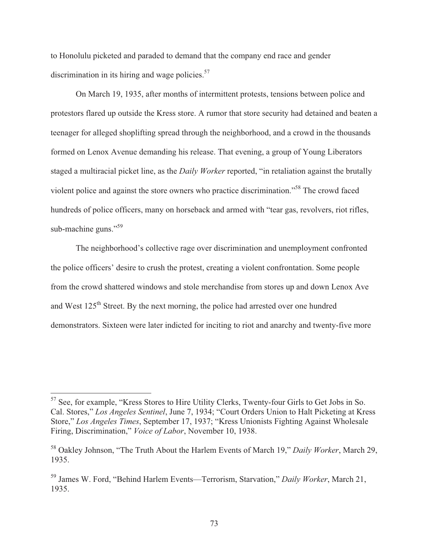to Honolulu picketed and paraded to demand that the company end race and gender discrimination in its hiring and wage policies. $57$ 

 On March 19, 1935, after months of intermittent protests, tensions between police and protestors flared up outside the Kress store. A rumor that store security had detained and beaten a teenager for alleged shoplifting spread through the neighborhood, and a crowd in the thousands formed on Lenox Avenue demanding his release. That evening, a group of Young Liberators staged a multiracial picket line, as the *Daily Worker* reported, "in retaliation against the brutally violent police and against the store owners who practice discrimination."58 The crowd faced hundreds of police officers, many on horseback and armed with "tear gas, revolvers, riot rifles, sub-machine guns."<sup>59</sup>

 The neighborhood's collective rage over discrimination and unemployment confronted the police officers' desire to crush the protest, creating a violent confrontation. Some people from the crowd shattered windows and stole merchandise from stores up and down Lenox Ave and West 125th Street. By the next morning, the police had arrested over one hundred demonstrators. Sixteen were later indicted for inciting to riot and anarchy and twenty-five more

<sup>&</sup>lt;sup>57</sup> See, for example, "Kress Stores to Hire Utility Clerks, Twenty-four Girls to Get Jobs in So. Cal. Stores," *Los Angeles Sentinel*, June 7, 1934; "Court Orders Union to Halt Picketing at Kress Store," *Los Angeles Times*, September 17, 1937; "Kress Unionists Fighting Against Wholesale Firing, Discrimination," *Voice of Labor*, November 10, 1938.

<sup>58</sup> Oakley Johnson, "The Truth About the Harlem Events of March 19," *Daily Worker*, March 29, 1935.

<sup>59</sup> James W. Ford, "Behind Harlem Events—Terrorism, Starvation," *Daily Worker*, March 21, 1935.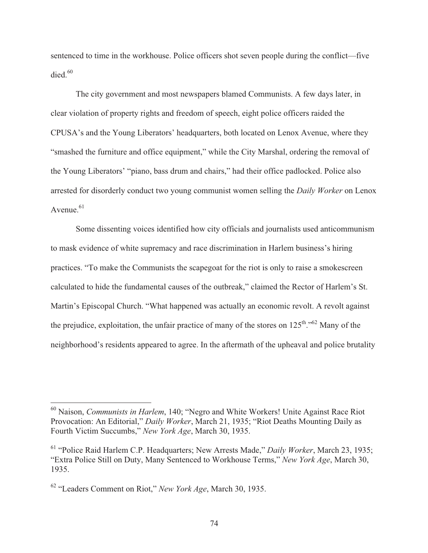sentenced to time in the workhouse. Police officers shot seven people during the conflict—five  $died.<sup>60</sup>$ 

 The city government and most newspapers blamed Communists. A few days later, in clear violation of property rights and freedom of speech, eight police officers raided the CPUSA's and the Young Liberators' headquarters, both located on Lenox Avenue, where they "smashed the furniture and office equipment," while the City Marshal, ordering the removal of the Young Liberators' "piano, bass drum and chairs," had their office padlocked. Police also arrested for disorderly conduct two young communist women selling the *Daily Worker* on Lenox Avenue. $61$ 

 Some dissenting voices identified how city officials and journalists used anticommunism to mask evidence of white supremacy and race discrimination in Harlem business's hiring practices. "To make the Communists the scapegoat for the riot is only to raise a smokescreen calculated to hide the fundamental causes of the outbreak," claimed the Rector of Harlem's St. Martin's Episcopal Church. "What happened was actually an economic revolt. A revolt against the prejudice, exploitation, the unfair practice of many of the stores on  $125<sup>th</sup>$ ."<sup>62</sup> Many of the neighborhood's residents appeared to agree. In the aftermath of the upheaval and police brutality

<sup>60</sup> Naison, *Communists in Harlem*, 140; "Negro and White Workers! Unite Against Race Riot Provocation: An Editorial," *Daily Worker*, March 21, 1935; "Riot Deaths Mounting Daily as Fourth Victim Succumbs," *New York Age*, March 30, 1935.

<sup>61 &</sup>quot;Police Raid Harlem C.P. Headquarters; New Arrests Made," *Daily Worker*, March 23, 1935; "Extra Police Still on Duty, Many Sentenced to Workhouse Terms," *New York Age*, March 30, 1935.

<sup>62 &</sup>quot;Leaders Comment on Riot," *New York Age*, March 30, 1935.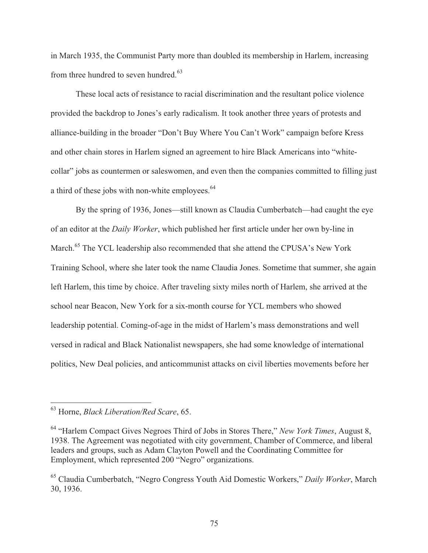in March 1935, the Communist Party more than doubled its membership in Harlem, increasing from three hundred to seven hundred.<sup>63</sup>

 These local acts of resistance to racial discrimination and the resultant police violence provided the backdrop to Jones's early radicalism. It took another three years of protests and alliance-building in the broader "Don't Buy Where You Can't Work" campaign before Kress and other chain stores in Harlem signed an agreement to hire Black Americans into "whitecollar" jobs as countermen or saleswomen, and even then the companies committed to filling just a third of these jobs with non-white employees.<sup>64</sup>

By the spring of 1936, Jones—still known as Claudia Cumberbatch—had caught the eye of an editor at the *Daily Worker*, which published her first article under her own by-line in March.<sup>65</sup> The YCL leadership also recommended that she attend the CPUSA's New York Training School, where she later took the name Claudia Jones. Sometime that summer, she again left Harlem, this time by choice. After traveling sixty miles north of Harlem, she arrived at the school near Beacon, New York for a six-month course for YCL members who showed leadership potential. Coming-of-age in the midst of Harlem's mass demonstrations and well versed in radical and Black Nationalist newspapers, she had some knowledge of international politics, New Deal policies, and anticommunist attacks on civil liberties movements before her

<sup>63</sup> Horne, *Black Liberation/Red Scare*, 65.

<sup>64 &</sup>quot;Harlem Compact Gives Negroes Third of Jobs in Stores There," *New York Times*, August 8, 1938. The Agreement was negotiated with city government, Chamber of Commerce, and liberal leaders and groups, such as Adam Clayton Powell and the Coordinating Committee for Employment, which represented 200 "Negro" organizations.

<sup>65</sup> Claudia Cumberbatch, "Negro Congress Youth Aid Domestic Workers," *Daily Worker*, March 30, 1936.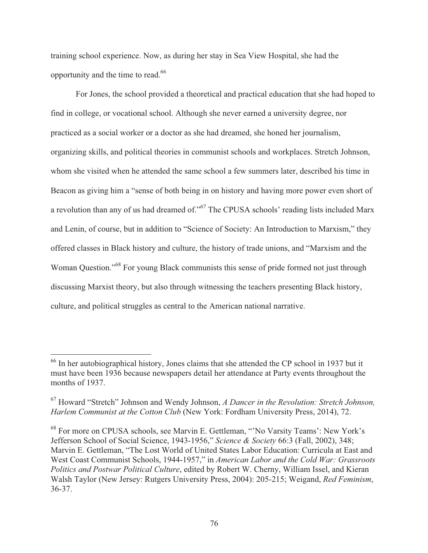training school experience. Now, as during her stay in Sea View Hospital, she had the opportunity and the time to read.66

 For Jones, the school provided a theoretical and practical education that she had hoped to find in college, or vocational school. Although she never earned a university degree, nor practiced as a social worker or a doctor as she had dreamed, she honed her journalism, organizing skills, and political theories in communist schools and workplaces. Stretch Johnson, whom she visited when he attended the same school a few summers later, described his time in Beacon as giving him a "sense of both being in on history and having more power even short of a revolution than any of us had dreamed of."67 The CPUSA schools' reading lists included Marx and Lenin, of course, but in addition to "Science of Society: An Introduction to Marxism," they offered classes in Black history and culture, the history of trade unions, and "Marxism and the Woman Question."<sup>68</sup> For young Black communists this sense of pride formed not just through discussing Marxist theory, but also through witnessing the teachers presenting Black history, culture, and political struggles as central to the American national narrative.

 $66$  In her autobiographical history, Jones claims that she attended the CP school in 1937 but it must have been 1936 because newspapers detail her attendance at Party events throughout the months of 1937.

<sup>67</sup> Howard "Stretch" Johnson and Wendy Johnson, *A Dancer in the Revolution: Stretch Johnson, Harlem Communist at the Cotton Club* (New York: Fordham University Press, 2014), 72.

<sup>68</sup> For more on CPUSA schools, see Marvin E. Gettleman, "'No Varsity Teams': New York's Jefferson School of Social Science, 1943-1956," *Science & Society* 66:3 (Fall, 2002), 348; Marvin E. Gettleman, "The Lost World of United States Labor Education: Curricula at East and West Coast Communist Schools, 1944-1957," in *American Labor and the Cold War: Grassroots Politics and Postwar Political Culture*, edited by Robert W. Cherny, William Issel, and Kieran Walsh Taylor (New Jersey: Rutgers University Press, 2004): 205-215; Weigand, *Red Feminism*, 36-37.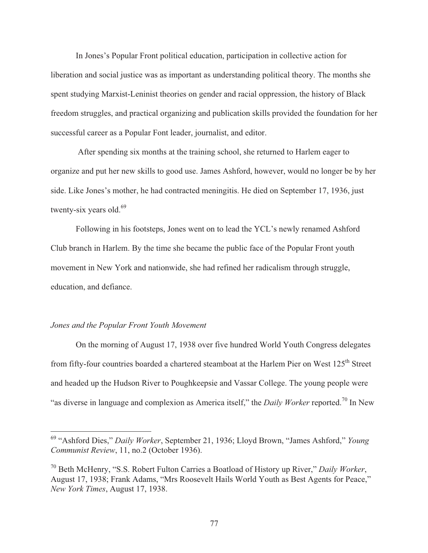In Jones's Popular Front political education, participation in collective action for liberation and social justice was as important as understanding political theory. The months she spent studying Marxist-Leninist theories on gender and racial oppression, the history of Black freedom struggles, and practical organizing and publication skills provided the foundation for her successful career as a Popular Font leader, journalist, and editor.

 After spending six months at the training school, she returned to Harlem eager to organize and put her new skills to good use. James Ashford, however, would no longer be by her side. Like Jones's mother, he had contracted meningitis. He died on September 17, 1936, just twenty-six years old. $69$ 

 Following in his footsteps, Jones went on to lead the YCL's newly renamed Ashford Club branch in Harlem. By the time she became the public face of the Popular Front youth movement in New York and nationwide, she had refined her radicalism through struggle, education, and defiance.

## *Jones and the Popular Front Youth Movement*

 $\overline{a}$ 

 On the morning of August 17, 1938 over five hundred World Youth Congress delegates from fifty-four countries boarded a chartered steamboat at the Harlem Pier on West 125<sup>th</sup> Street and headed up the Hudson River to Poughkeepsie and Vassar College. The young people were "as diverse in language and complexion as America itself," the *Daily Worker* reported.70 In New

<sup>69 &</sup>quot;Ashford Dies," *Daily Worker*, September 21, 1936; Lloyd Brown, "James Ashford," *Young Communist Review*, 11, no.2 (October 1936).

<sup>70</sup> Beth McHenry, "S.S. Robert Fulton Carries a Boatload of History up River," *Daily Worker*, August 17, 1938; Frank Adams, "Mrs Roosevelt Hails World Youth as Best Agents for Peace," *New York Times*, August 17, 1938.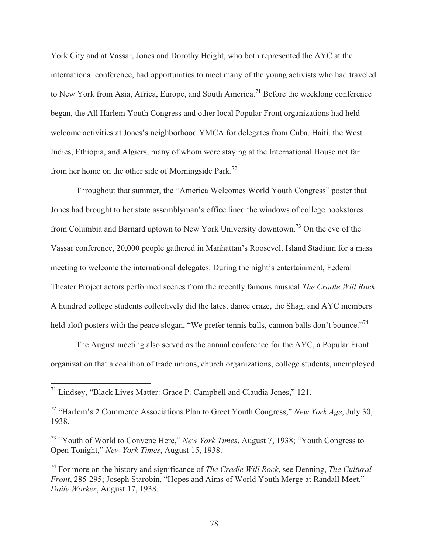York City and at Vassar, Jones and Dorothy Height, who both represented the AYC at the international conference, had opportunities to meet many of the young activists who had traveled to New York from Asia, Africa, Europe, and South America.<sup>71</sup> Before the weeklong conference began, the All Harlem Youth Congress and other local Popular Front organizations had held welcome activities at Jones's neighborhood YMCA for delegates from Cuba, Haiti, the West Indies, Ethiopia, and Algiers, many of whom were staying at the International House not far from her home on the other side of Morningside Park.72

 Throughout that summer, the "America Welcomes World Youth Congress" poster that Jones had brought to her state assemblyman's office lined the windows of college bookstores from Columbia and Barnard uptown to New York University downtown.73 On the eve of the Vassar conference, 20,000 people gathered in Manhattan's Roosevelt Island Stadium for a mass meeting to welcome the international delegates. During the night's entertainment, Federal Theater Project actors performed scenes from the recently famous musical *The Cradle Will Rock*. A hundred college students collectively did the latest dance craze, the Shag, and AYC members held aloft posters with the peace slogan, "We prefer tennis balls, cannon balls don't bounce."<sup>74</sup>

 The August meeting also served as the annual conference for the AYC, a Popular Front organization that a coalition of trade unions, church organizations, college students, unemployed

 $71$  Lindsey, "Black Lives Matter: Grace P. Campbell and Claudia Jones," 121.

<sup>72 &</sup>quot;Harlem's 2 Commerce Associations Plan to Greet Youth Congress," *New York Age*, July 30, 1938.

<sup>73 &</sup>quot;Youth of World to Convene Here," *New York Times*, August 7, 1938; "Youth Congress to Open Tonight," *New York Times*, August 15, 1938.

<sup>74</sup> For more on the history and significance of *The Cradle Will Rock*, see Denning, *The Cultural Front*, 285-295; Joseph Starobin, "Hopes and Aims of World Youth Merge at Randall Meet," *Daily Worker*, August 17, 1938.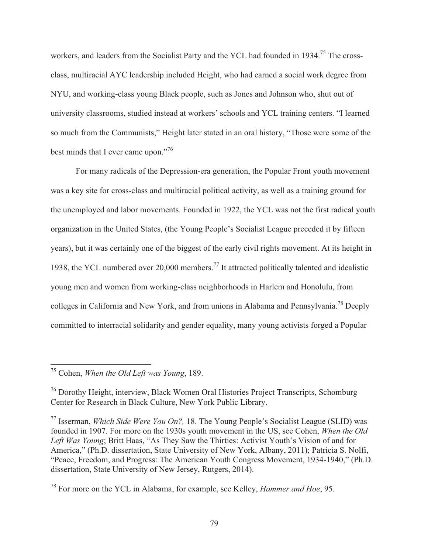workers, and leaders from the Socialist Party and the YCL had founded in 1934.<sup>75</sup> The crossclass, multiracial AYC leadership included Height, who had earned a social work degree from NYU, and working-class young Black people, such as Jones and Johnson who, shut out of university classrooms, studied instead at workers' schools and YCL training centers. "I learned so much from the Communists," Height later stated in an oral history, "Those were some of the best minds that I ever came upon."<sup>76</sup>

 For many radicals of the Depression-era generation, the Popular Front youth movement was a key site for cross-class and multiracial political activity, as well as a training ground for the unemployed and labor movements. Founded in 1922, the YCL was not the first radical youth organization in the United States, (the Young People's Socialist League preceded it by fifteen years), but it was certainly one of the biggest of the early civil rights movement. At its height in 1938, the YCL numbered over 20,000 members.77 It attracted politically talented and idealistic young men and women from working-class neighborhoods in Harlem and Honolulu, from colleges in California and New York, and from unions in Alabama and Pennsylvania.78 Deeply committed to interracial solidarity and gender equality, many young activists forged a Popular

75 Cohen, *When the Old Left was Young*, 189.

<sup>76</sup> Dorothy Height, interview, Black Women Oral Histories Project Transcripts, Schomburg Center for Research in Black Culture, New York Public Library.

<sup>77</sup> Isserman, *Which Side Were You On?,* 18. The Young People's Socialist League (SLID) was founded in 1907. For more on the 1930s youth movement in the US, see Cohen, *When the Old Left Was Young*; Britt Haas, "As They Saw the Thirties: Activist Youth's Vision of and for America," (Ph.D. dissertation, State University of New York, Albany, 2011); Patricia S. Nolfi, "Peace, Freedom, and Progress: The American Youth Congress Movement, 1934-1940," (Ph.D. dissertation, State University of New Jersey, Rutgers, 2014).

<sup>78</sup> For more on the YCL in Alabama, for example, see Kelley, *Hammer and Hoe*, 95.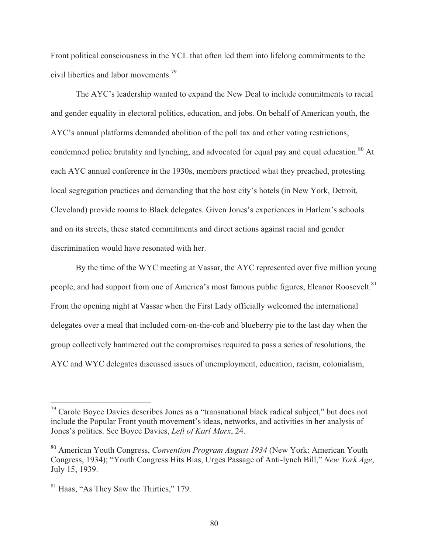Front political consciousness in the YCL that often led them into lifelong commitments to the civil liberties and labor movements.<sup>79</sup>

 The AYC's leadership wanted to expand the New Deal to include commitments to racial and gender equality in electoral politics, education, and jobs. On behalf of American youth, the AYC's annual platforms demanded abolition of the poll tax and other voting restrictions, condemned police brutality and lynching, and advocated for equal pay and equal education.<sup>80</sup> At each AYC annual conference in the 1930s, members practiced what they preached, protesting local segregation practices and demanding that the host city's hotels (in New York, Detroit, Cleveland) provide rooms to Black delegates. Given Jones's experiences in Harlem's schools and on its streets, these stated commitments and direct actions against racial and gender discrimination would have resonated with her.

 By the time of the WYC meeting at Vassar, the AYC represented over five million young people, and had support from one of America's most famous public figures, Eleanor Roosevelt.<sup>81</sup> From the opening night at Vassar when the First Lady officially welcomed the international delegates over a meal that included corn-on-the-cob and blueberry pie to the last day when the group collectively hammered out the compromises required to pass a series of resolutions, the AYC and WYC delegates discussed issues of unemployment, education, racism, colonialism,

 $79$  Carole Boyce Davies describes Jones as a "transnational black radical subject," but does not include the Popular Front youth movement's ideas, networks, and activities in her analysis of Jones's politics. See Boyce Davies, *Left of Karl Marx*, 24.

<sup>80</sup> American Youth Congress, *Convention Program August 1934* (New York: American Youth Congress, 1934); "Youth Congress Hits Bias, Urges Passage of Anti-lynch Bill," *New York Age*, July 15, 1939.

<sup>81</sup> Haas, "As They Saw the Thirties," 179.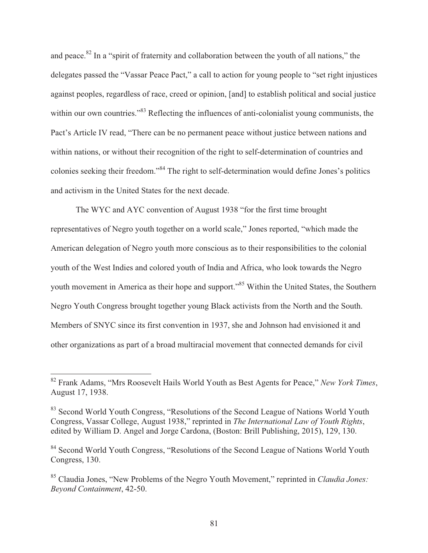and peace.<sup>82</sup> In a "spirit of fraternity and collaboration between the youth of all nations," the delegates passed the "Vassar Peace Pact," a call to action for young people to "set right injustices against peoples, regardless of race, creed or opinion, [and] to establish political and social justice within our own countries."<sup>83</sup> Reflecting the influences of anti-colonialist young communists, the Pact's Article IV read, "There can be no permanent peace without justice between nations and within nations, or without their recognition of the right to self-determination of countries and colonies seeking their freedom."84 The right to self-determination would define Jones's politics and activism in the United States for the next decade.

 The WYC and AYC convention of August 1938 "for the first time brought representatives of Negro youth together on a world scale," Jones reported, "which made the American delegation of Negro youth more conscious as to their responsibilities to the colonial youth of the West Indies and colored youth of India and Africa, who look towards the Negro youth movement in America as their hope and support."<sup>85</sup> Within the United States, the Southern Negro Youth Congress brought together young Black activists from the North and the South. Members of SNYC since its first convention in 1937, she and Johnson had envisioned it and other organizations as part of a broad multiracial movement that connected demands for civil

<sup>82</sup> Frank Adams, "Mrs Roosevelt Hails World Youth as Best Agents for Peace," *New York Times*, August 17, 1938.

<sup>&</sup>lt;sup>83</sup> Second World Youth Congress, "Resolutions of the Second League of Nations World Youth Congress, Vassar College, August 1938," reprinted in *The International Law of Youth Rights*, edited by William D. Angel and Jorge Cardona, (Boston: Brill Publishing, 2015), 129, 130.

<sup>&</sup>lt;sup>84</sup> Second World Youth Congress, "Resolutions of the Second League of Nations World Youth Congress, 130.

<sup>85</sup> Claudia Jones, "New Problems of the Negro Youth Movement," reprinted in *Claudia Jones: Beyond Containment*, 42-50.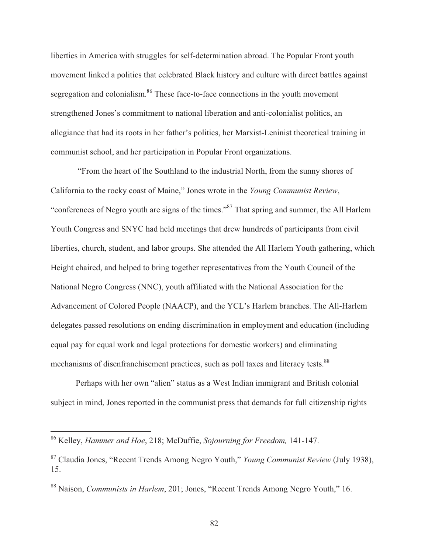liberties in America with struggles for self-determination abroad. The Popular Front youth movement linked a politics that celebrated Black history and culture with direct battles against segregation and colonialism.<sup>86</sup> These face-to-face connections in the youth movement strengthened Jones's commitment to national liberation and anti-colonialist politics, an allegiance that had its roots in her father's politics, her Marxist-Leninist theoretical training in communist school, and her participation in Popular Front organizations.

 "From the heart of the Southland to the industrial North, from the sunny shores of California to the rocky coast of Maine," Jones wrote in the *Young Communist Review*, "conferences of Negro youth are signs of the times."87 That spring and summer, the All Harlem Youth Congress and SNYC had held meetings that drew hundreds of participants from civil liberties, church, student, and labor groups. She attended the All Harlem Youth gathering, which Height chaired, and helped to bring together representatives from the Youth Council of the National Negro Congress (NNC), youth affiliated with the National Association for the Advancement of Colored People (NAACP), and the YCL's Harlem branches. The All-Harlem delegates passed resolutions on ending discrimination in employment and education (including equal pay for equal work and legal protections for domestic workers) and eliminating mechanisms of disenfranchisement practices, such as poll taxes and literacy tests.<sup>88</sup>

 Perhaps with her own "alien" status as a West Indian immigrant and British colonial subject in mind, Jones reported in the communist press that demands for full citizenship rights

 $\overline{a}$ 

82

<sup>86</sup> Kelley, *Hammer and Hoe*, 218; McDuffie, *Sojourning for Freedom,* 141-147.

<sup>87</sup> Claudia Jones, "Recent Trends Among Negro Youth," *Young Communist Review* (July 1938), 15.

<sup>88</sup> Naison, *Communists in Harlem*, 201; Jones, "Recent Trends Among Negro Youth," 16.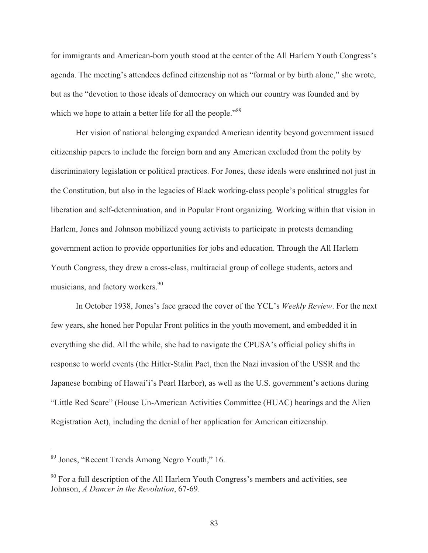for immigrants and American-born youth stood at the center of the All Harlem Youth Congress's agenda. The meeting's attendees defined citizenship not as "formal or by birth alone," she wrote, but as the "devotion to those ideals of democracy on which our country was founded and by which we hope to attain a better life for all the people."<sup>89</sup>

 Her vision of national belonging expanded American identity beyond government issued citizenship papers to include the foreign born and any American excluded from the polity by discriminatory legislation or political practices. For Jones, these ideals were enshrined not just in the Constitution, but also in the legacies of Black working-class people's political struggles for liberation and self-determination, and in Popular Front organizing. Working within that vision in Harlem, Jones and Johnson mobilized young activists to participate in protests demanding government action to provide opportunities for jobs and education. Through the All Harlem Youth Congress, they drew a cross-class, multiracial group of college students, actors and musicians, and factory workers.<sup>90</sup>

 In October 1938, Jones's face graced the cover of the YCL's *Weekly Review*. For the next few years, she honed her Popular Front politics in the youth movement, and embedded it in everything she did. All the while, she had to navigate the CPUSA's official policy shifts in response to world events (the Hitler-Stalin Pact, then the Nazi invasion of the USSR and the Japanese bombing of Hawai'i's Pearl Harbor), as well as the U.S. government's actions during "Little Red Scare" (House Un-American Activities Committee (HUAC) hearings and the Alien Registration Act), including the denial of her application for American citizenship.

<sup>&</sup>lt;sup>89</sup> Jones, "Recent Trends Among Negro Youth," 16.

 $90$  For a full description of the All Harlem Youth Congress's members and activities, see Johnson, *A Dancer in the Revolution*, 67-69.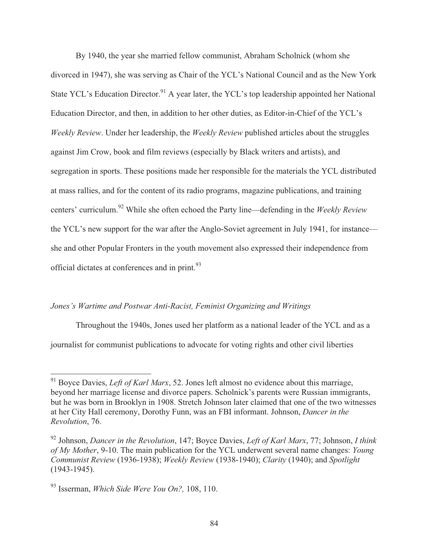By 1940, the year she married fellow communist, Abraham Scholnick (whom she divorced in 1947), she was serving as Chair of the YCL's National Council and as the New York State YCL's Education Director.<sup>91</sup> A year later, the YCL's top leadership appointed her National Education Director, and then, in addition to her other duties, as Editor-in-Chief of the YCL's *Weekly Review*. Under her leadership, the *Weekly Review* published articles about the struggles against Jim Crow, book and film reviews (especially by Black writers and artists), and segregation in sports. These positions made her responsible for the materials the YCL distributed at mass rallies, and for the content of its radio programs, magazine publications, and training centers' curriculum.92 While she often echoed the Party line—defending in the *Weekly Review* the YCL's new support for the war after the Anglo-Soviet agreement in July 1941, for instance she and other Popular Fronters in the youth movement also expressed their independence from official dictates at conferences and in print.<sup>93</sup>

## *Jones's Wartime and Postwar Anti-Racist, Feminist Organizing and Writings*

 Throughout the 1940s, Jones used her platform as a national leader of the YCL and as a journalist for communist publications to advocate for voting rights and other civil liberties

 $\overline{a}$ <sup>91</sup> Boyce Davies, *Left of Karl Marx*, 52. Jones left almost no evidence about this marriage, beyond her marriage license and divorce papers. Scholnick's parents were Russian immigrants, but he was born in Brooklyn in 1908. Stretch Johnson later claimed that one of the two witnesses at her City Hall ceremony, Dorothy Funn, was an FBI informant. Johnson, *Dancer in the Revolution*, 76.

<sup>92</sup> Johnson, *Dancer in the Revolution*, 147; Boyce Davies, *Left of Karl Marx*, 77; Johnson, *I think of My Mother*, 9-10. The main publication for the YCL underwent several name changes: *Young Communist Review* (1936-1938); *Weekly Review* (1938-1940); *Clarity* (1940); and *Spotlight* (1943-1945).

<sup>93</sup> Isserman, *Which Side Were You On?,* 108, 110.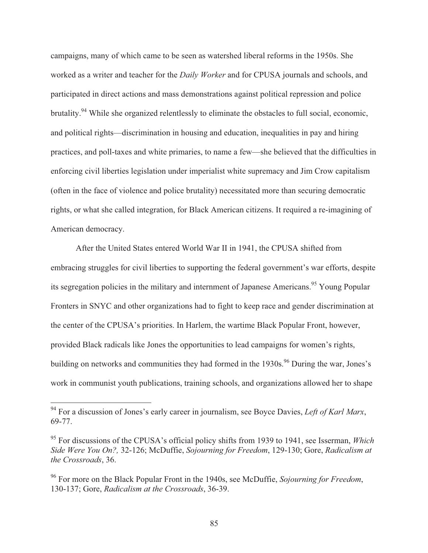campaigns, many of which came to be seen as watershed liberal reforms in the 1950s. She worked as a writer and teacher for the *Daily Worker* and for CPUSA journals and schools, and participated in direct actions and mass demonstrations against political repression and police brutality.<sup>94</sup> While she organized relentlessly to eliminate the obstacles to full social, economic, and political rights—discrimination in housing and education, inequalities in pay and hiring practices, and poll-taxes and white primaries, to name a few—she believed that the difficulties in enforcing civil liberties legislation under imperialist white supremacy and Jim Crow capitalism (often in the face of violence and police brutality) necessitated more than securing democratic rights, or what she called integration, for Black American citizens. It required a re-imagining of American democracy.

 After the United States entered World War II in 1941, the CPUSA shifted from embracing struggles for civil liberties to supporting the federal government's war efforts, despite its segregation policies in the military and internment of Japanese Americans.<sup>95</sup> Young Popular Fronters in SNYC and other organizations had to fight to keep race and gender discrimination at the center of the CPUSA's priorities. In Harlem, the wartime Black Popular Front, however, provided Black radicals like Jones the opportunities to lead campaigns for women's rights, building on networks and communities they had formed in the 1930s.<sup>96</sup> During the war, Jones's work in communist youth publications, training schools, and organizations allowed her to shape

<sup>94</sup> For a discussion of Jones's early career in journalism, see Boyce Davies, *Left of Karl Marx*, 69-77.

<sup>95</sup> For discussions of the CPUSA's official policy shifts from 1939 to 1941, see Isserman, *Which Side Were You On?,* 32-126; McDuffie, *Sojourning for Freedom*, 129-130; Gore, *Radicalism at the Crossroads*, 36.

<sup>96</sup> For more on the Black Popular Front in the 1940s, see McDuffie, *Sojourning for Freedom*, 130-137; Gore, *Radicalism at the Crossroads*, 36-39.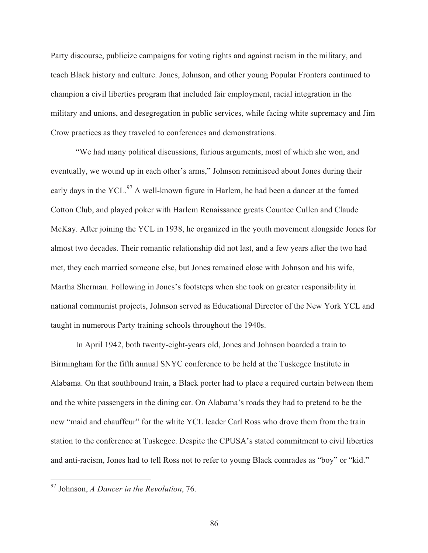Party discourse, publicize campaigns for voting rights and against racism in the military, and teach Black history and culture. Jones, Johnson, and other young Popular Fronters continued to champion a civil liberties program that included fair employment, racial integration in the military and unions, and desegregation in public services, while facing white supremacy and Jim Crow practices as they traveled to conferences and demonstrations.

 "We had many political discussions, furious arguments, most of which she won, and eventually, we wound up in each other's arms," Johnson reminisced about Jones during their early days in the YCL. $^{97}$  A well-known figure in Harlem, he had been a dancer at the famed Cotton Club, and played poker with Harlem Renaissance greats Countee Cullen and Claude McKay. After joining the YCL in 1938, he organized in the youth movement alongside Jones for almost two decades. Their romantic relationship did not last, and a few years after the two had met, they each married someone else, but Jones remained close with Johnson and his wife, Martha Sherman. Following in Jones's footsteps when she took on greater responsibility in national communist projects, Johnson served as Educational Director of the New York YCL and taught in numerous Party training schools throughout the 1940s.

 In April 1942, both twenty-eight-years old, Jones and Johnson boarded a train to Birmingham for the fifth annual SNYC conference to be held at the Tuskegee Institute in Alabama. On that southbound train, a Black porter had to place a required curtain between them and the white passengers in the dining car. On Alabama's roads they had to pretend to be the new "maid and chauffeur" for the white YCL leader Carl Ross who drove them from the train station to the conference at Tuskegee. Despite the CPUSA's stated commitment to civil liberties and anti-racism, Jones had to tell Ross not to refer to young Black comrades as "boy" or "kid."

 $\overline{\phantom{a}}$ 

<sup>97</sup> Johnson, *A Dancer in the Revolution*, 76.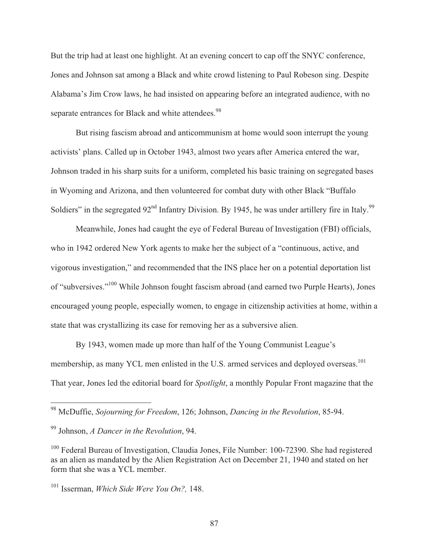But the trip had at least one highlight. At an evening concert to cap off the SNYC conference, Jones and Johnson sat among a Black and white crowd listening to Paul Robeson sing. Despite Alabama's Jim Crow laws, he had insisted on appearing before an integrated audience, with no separate entrances for Black and white attendees.<sup>98</sup>

 But rising fascism abroad and anticommunism at home would soon interrupt the young activists' plans. Called up in October 1943, almost two years after America entered the war, Johnson traded in his sharp suits for a uniform, completed his basic training on segregated bases in Wyoming and Arizona, and then volunteered for combat duty with other Black "Buffalo Soldiers" in the segregated  $92<sup>nd</sup>$  Infantry Division. By 1945, he was under artillery fire in Italy.<sup>99</sup>

 Meanwhile, Jones had caught the eye of Federal Bureau of Investigation (FBI) officials, who in 1942 ordered New York agents to make her the subject of a "continuous, active, and vigorous investigation," and recommended that the INS place her on a potential deportation list of "subversives."100 While Johnson fought fascism abroad (and earned two Purple Hearts), Jones encouraged young people, especially women, to engage in citizenship activities at home, within a state that was crystallizing its case for removing her as a subversive alien.

 By 1943, women made up more than half of the Young Communist League's membership, as many YCL men enlisted in the U.S. armed services and deployed overseas.<sup>101</sup> That year, Jones led the editorial board for *Spotlight*, a monthly Popular Front magazine that the

<sup>98</sup> McDuffie, *Sojourning for Freedom*, 126; Johnson, *Dancing in the Revolution*, 85-94.

<sup>99</sup> Johnson, *A Dancer in the Revolution*, 94.

<sup>&</sup>lt;sup>100</sup> Federal Bureau of Investigation, Claudia Jones, File Number: 100-72390. She had registered as an alien as mandated by the Alien Registration Act on December 21, 1940 and stated on her form that she was a YCL member.

<sup>101</sup> Isserman, *Which Side Were You On?,* 148.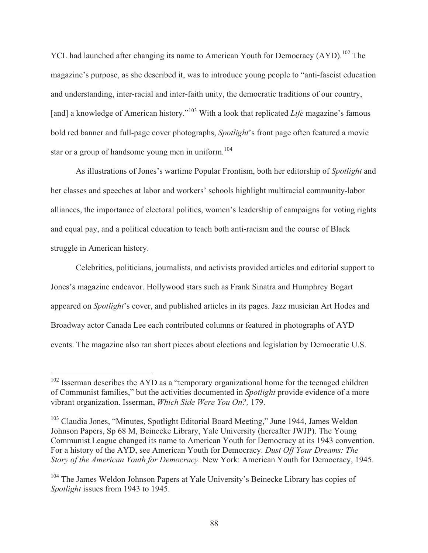YCL had launched after changing its name to American Youth for Democracy (AYD).<sup>102</sup> The magazine's purpose, as she described it, was to introduce young people to "anti-fascist education and understanding, inter-racial and inter-faith unity, the democratic traditions of our country, [and] a knowledge of American history."<sup>103</sup> With a look that replicated *Life* magazine's famous bold red banner and full-page cover photographs, *Spotlight*'s front page often featured a movie star or a group of handsome young men in uniform.<sup>104</sup>

 As illustrations of Jones's wartime Popular Frontism, both her editorship of *Spotlight* and her classes and speeches at labor and workers' schools highlight multiracial community-labor alliances, the importance of electoral politics, women's leadership of campaigns for voting rights and equal pay, and a political education to teach both anti-racism and the course of Black struggle in American history.

 Celebrities, politicians, journalists, and activists provided articles and editorial support to Jones's magazine endeavor. Hollywood stars such as Frank Sinatra and Humphrey Bogart appeared on *Spotlight*'s cover, and published articles in its pages. Jazz musician Art Hodes and Broadway actor Canada Lee each contributed columns or featured in photographs of AYD events. The magazine also ran short pieces about elections and legislation by Democratic U.S.

 $102$  Isserman describes the AYD as a "temporary organizational home for the teenaged children of Communist families," but the activities documented in *Spotlight* provide evidence of a more vibrant organization. Isserman, *Which Side Were You On?,* 179.

<sup>&</sup>lt;sup>103</sup> Claudia Jones, "Minutes, Spotlight Editorial Board Meeting," June 1944, James Weldon Johnson Papers, Sp 68 M, Beinecke Library, Yale University (hereafter JWJP). The Young Communist League changed its name to American Youth for Democracy at its 1943 convention. For a history of the AYD, see American Youth for Democracy. *Dust Off Your Dreams: The Story of the American Youth for Democracy.* New York: American Youth for Democracy, 1945.

<sup>&</sup>lt;sup>104</sup> The James Weldon Johnson Papers at Yale University's Beinecke Library has copies of *Spotlight* issues from 1943 to 1945.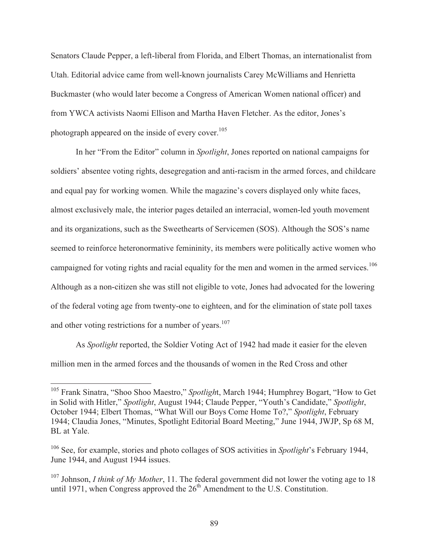Senators Claude Pepper, a left-liberal from Florida, and Elbert Thomas, an internationalist from Utah. Editorial advice came from well-known journalists Carey McWilliams and Henrietta Buckmaster (who would later become a Congress of American Women national officer) and from YWCA activists Naomi Ellison and Martha Haven Fletcher. As the editor, Jones's photograph appeared on the inside of every cover.<sup>105</sup>

 In her "From the Editor" column in *Spotlight*, Jones reported on national campaigns for soldiers' absentee voting rights, desegregation and anti-racism in the armed forces, and childcare and equal pay for working women. While the magazine's covers displayed only white faces, almost exclusively male, the interior pages detailed an interracial, women-led youth movement and its organizations, such as the Sweethearts of Servicemen (SOS). Although the SOS's name seemed to reinforce heteronormative femininity, its members were politically active women who campaigned for voting rights and racial equality for the men and women in the armed services.<sup>106</sup> Although as a non-citizen she was still not eligible to vote, Jones had advocated for the lowering of the federal voting age from twenty-one to eighteen, and for the elimination of state poll taxes and other voting restrictions for a number of years.<sup>107</sup>

 As *Spotlight* reported, the Soldier Voting Act of 1942 had made it easier for the eleven million men in the armed forces and the thousands of women in the Red Cross and other

<sup>105</sup> Frank Sinatra, "Shoo Shoo Maestro," *Spotligh*t, March 1944; Humphrey Bogart, "How to Get in Solid with Hitler," *Spotlight*, August 1944; Claude Pepper, "Youth's Candidate," *Spotlight*, October 1944; Elbert Thomas, "What Will our Boys Come Home To?," *Spotlight*, February 1944; Claudia Jones, "Minutes, Spotlight Editorial Board Meeting," June 1944, JWJP, Sp 68 M, BL at Yale.

<sup>106</sup> See, for example, stories and photo collages of SOS activities in *Spotlight*'s February 1944, June 1944, and August 1944 issues.

<sup>&</sup>lt;sup>107</sup> Johnson, *I think of My Mother*, 11. The federal government did not lower the voting age to 18 until 1971, when Congress approved the  $26<sup>th</sup>$  Amendment to the U.S. Constitution.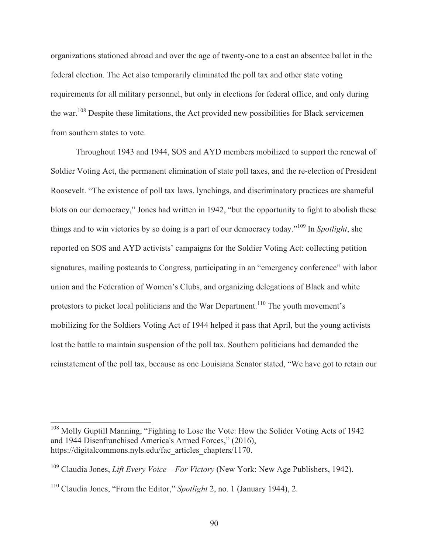organizations stationed abroad and over the age of twenty-one to a cast an absentee ballot in the federal election. The Act also temporarily eliminated the poll tax and other state voting requirements for all military personnel, but only in elections for federal office, and only during the war.108 Despite these limitations, the Act provided new possibilities for Black servicemen from southern states to vote.

 Throughout 1943 and 1944, SOS and AYD members mobilized to support the renewal of Soldier Voting Act, the permanent elimination of state poll taxes, and the re-election of President Roosevelt. "The existence of poll tax laws, lynchings, and discriminatory practices are shameful blots on our democracy," Jones had written in 1942, "but the opportunity to fight to abolish these things and to win victories by so doing is a part of our democracy today."109 In *Spotlight*, she reported on SOS and AYD activists' campaigns for the Soldier Voting Act: collecting petition signatures, mailing postcards to Congress, participating in an "emergency conference" with labor union and the Federation of Women's Clubs, and organizing delegations of Black and white protestors to picket local politicians and the War Department.<sup>110</sup> The youth movement's mobilizing for the Soldiers Voting Act of 1944 helped it pass that April, but the young activists lost the battle to maintain suspension of the poll tax. Southern politicians had demanded the reinstatement of the poll tax, because as one Louisiana Senator stated, "We have got to retain our

<sup>&</sup>lt;sup>108</sup> Molly Guptill Manning, "Fighting to Lose the Vote: How the Solider Voting Acts of 1942 and 1944 Disenfranchised America's Armed Forces," (2016), https://digitalcommons.nyls.edu/fac\_articles\_chapters/1170.

<sup>109</sup> Claudia Jones, *Lift Every Voice – For Victory* (New York: New Age Publishers, 1942).

<sup>110</sup> Claudia Jones, "From the Editor," *Spotlight* 2, no. 1 (January 1944), 2.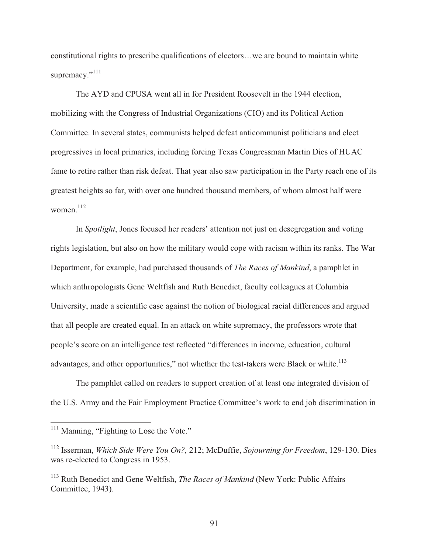constitutional rights to prescribe qualifications of electors…we are bound to maintain white supremacy."<sup>111</sup>

 The AYD and CPUSA went all in for President Roosevelt in the 1944 election, mobilizing with the Congress of Industrial Organizations (CIO) and its Political Action Committee. In several states, communists helped defeat anticommunist politicians and elect progressives in local primaries, including forcing Texas Congressman Martin Dies of HUAC fame to retire rather than risk defeat. That year also saw participation in the Party reach one of its greatest heights so far, with over one hundred thousand members, of whom almost half were women. $112$ 

 In *Spotlight*, Jones focused her readers' attention not just on desegregation and voting rights legislation, but also on how the military would cope with racism within its ranks. The War Department, for example, had purchased thousands of *The Races of Mankind*, a pamphlet in which anthropologists Gene Weltfish and Ruth Benedict, faculty colleagues at Columbia University, made a scientific case against the notion of biological racial differences and argued that all people are created equal. In an attack on white supremacy, the professors wrote that people's score on an intelligence test reflected "differences in income, education, cultural advantages, and other opportunities," not whether the test-takers were Black or white.<sup>113</sup>

 The pamphlet called on readers to support creation of at least one integrated division of the U.S. Army and the Fair Employment Practice Committee's work to end job discrimination in

<sup>&</sup>lt;sup>111</sup> Manning, "Fighting to Lose the Vote."

<sup>112</sup> Isserman, *Which Side Were You On?,* 212; McDuffie, *Sojourning for Freedom*, 129-130. Dies was re-elected to Congress in 1953.

<sup>113</sup> Ruth Benedict and Gene Weltfish, *The Races of Mankind* (New York: Public Affairs Committee, 1943).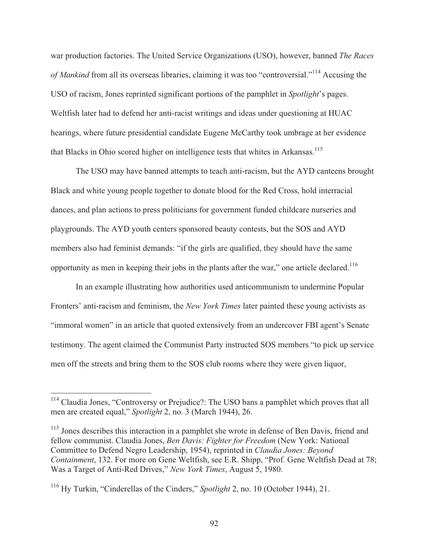war production factories. The United Service Organizations (USO), however, banned *The Races of Mankind* from all its overseas libraries, claiming it was too "controversial."<sup>114</sup> Accusing the USO of racism, Jones reprinted significant portions of the pamphlet in *Spotlight*'s pages. Weltfish later had to defend her anti-racist writings and ideas under questioning at HUAC hearings, where future presidential candidate Eugene McCarthy took umbrage at her evidence that Blacks in Ohio scored higher on intelligence tests that whites in Arkansas.<sup>115</sup>

 The USO may have banned attempts to teach anti-racism, but the AYD canteens brought Black and white young people together to donate blood for the Red Cross, hold interracial dances, and plan actions to press politicians for government funded childcare nurseries and playgrounds. The AYD youth centers sponsored beauty contests, but the SOS and AYD members also had feminist demands: "if the girls are qualified, they should have the same opportunity as men in keeping their jobs in the plants after the war," one article declared.<sup>116</sup>

 In an example illustrating how authorities used anticommunism to undermine Popular Fronters' anti-racism and feminism, the *New York Times* later painted these young activists as "immoral women" in an article that quoted extensively from an undercover FBI agent's Senate testimony. The agent claimed the Communist Party instructed SOS members "to pick up service men off the streets and bring them to the SOS club rooms where they were given liquor,

<sup>&</sup>lt;sup>114</sup> Claudia Jones, "Controversy or Prejudice?: The USO bans a pamphlet which proves that all men are created equal," *Spotlight* 2, no. 3 (March 1944), 26.

<sup>&</sup>lt;sup>115</sup> Jones describes this interaction in a pamphlet she wrote in defense of Ben Davis, friend and fellow communist. Claudia Jones, *Ben Davis: Fighter for Freedom* (New York: National Committee to Defend Negro Leadership, 1954), reprinted in *Claudia Jones: Beyond Containment*, 132. For more on Gene Weltfish, see E.R. Shipp, "Prof. Gene Weltfish Dead at 78; Was a Target of Anti-Red Drives," *New York Times*, August 5, 1980.

<sup>116</sup> Hy Turkin, "Cinderellas of the Cinders," *Spotlight* 2, no. 10 (October 1944), 21.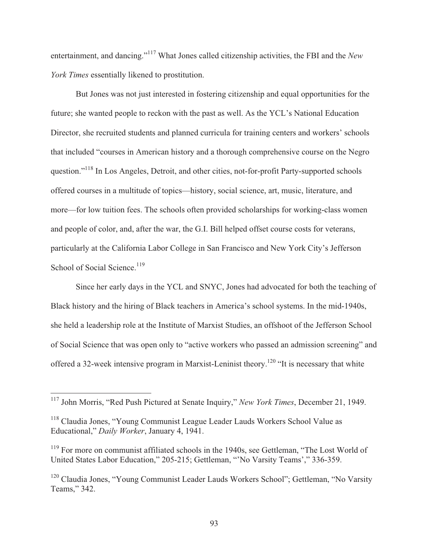entertainment, and dancing."117 What Jones called citizenship activities, the FBI and the *New York Times* essentially likened to prostitution.

 But Jones was not just interested in fostering citizenship and equal opportunities for the future; she wanted people to reckon with the past as well. As the YCL's National Education Director, she recruited students and planned curricula for training centers and workers' schools that included "courses in American history and a thorough comprehensive course on the Negro question."118 In Los Angeles, Detroit, and other cities, not-for-profit Party-supported schools offered courses in a multitude of topics—history, social science, art, music, literature, and more—for low tuition fees. The schools often provided scholarships for working-class women and people of color, and, after the war, the G.I. Bill helped offset course costs for veterans, particularly at the California Labor College in San Francisco and New York City's Jefferson School of Social Science.<sup>119</sup>

 Since her early days in the YCL and SNYC, Jones had advocated for both the teaching of Black history and the hiring of Black teachers in America's school systems. In the mid-1940s, she held a leadership role at the Institute of Marxist Studies, an offshoot of the Jefferson School of Social Science that was open only to "active workers who passed an admission screening" and offered a 32-week intensive program in Marxist-Leninist theory.<sup>120</sup> "It is necessary that white

<sup>117</sup> John Morris, "Red Push Pictured at Senate Inquiry," *New York Times*, December 21, 1949.

<sup>118</sup> Claudia Jones, "Young Communist League Leader Lauds Workers School Value as Educational," *Daily Worker*, January 4, 1941.

<sup>&</sup>lt;sup>119</sup> For more on communist affiliated schools in the 1940s, see Gettleman, "The Lost World of United States Labor Education," 205-215; Gettleman, "'No Varsity Teams'," 336-359.

<sup>&</sup>lt;sup>120</sup> Claudia Jones, "Young Communist Leader Lauds Workers School"; Gettleman, "No Varsity Teams," 342.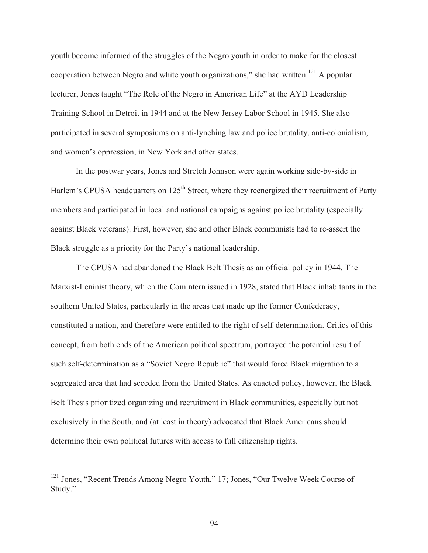youth become informed of the struggles of the Negro youth in order to make for the closest cooperation between Negro and white youth organizations," she had written.<sup>121</sup> A popular lecturer, Jones taught "The Role of the Negro in American Life" at the AYD Leadership Training School in Detroit in 1944 and at the New Jersey Labor School in 1945. She also participated in several symposiums on anti-lynching law and police brutality, anti-colonialism, and women's oppression, in New York and other states.

 In the postwar years, Jones and Stretch Johnson were again working side-by-side in Harlem's CPUSA headquarters on 125<sup>th</sup> Street, where they reenergized their recruitment of Party members and participated in local and national campaigns against police brutality (especially against Black veterans). First, however, she and other Black communists had to re-assert the Black struggle as a priority for the Party's national leadership.

 The CPUSA had abandoned the Black Belt Thesis as an official policy in 1944. The Marxist-Leninist theory, which the Comintern issued in 1928, stated that Black inhabitants in the southern United States, particularly in the areas that made up the former Confederacy, constituted a nation, and therefore were entitled to the right of self-determination. Critics of this concept, from both ends of the American political spectrum, portrayed the potential result of such self-determination as a "Soviet Negro Republic" that would force Black migration to a segregated area that had seceded from the United States. As enacted policy, however, the Black Belt Thesis prioritized organizing and recruitment in Black communities, especially but not exclusively in the South, and (at least in theory) advocated that Black Americans should determine their own political futures with access to full citizenship rights.

<sup>&</sup>lt;sup>121</sup> Jones, "Recent Trends Among Negro Youth," 17; Jones, "Our Twelve Week Course of Study."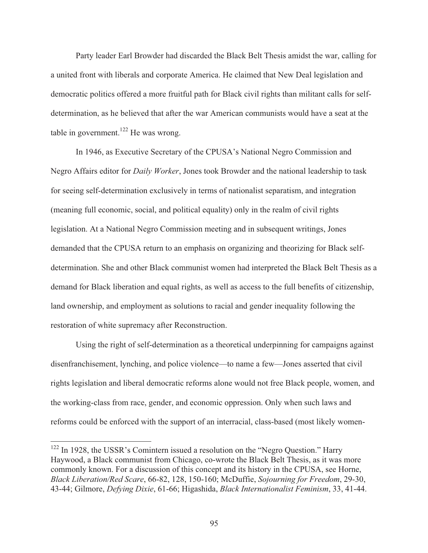Party leader Earl Browder had discarded the Black Belt Thesis amidst the war, calling for a united front with liberals and corporate America. He claimed that New Deal legislation and democratic politics offered a more fruitful path for Black civil rights than militant calls for selfdetermination, as he believed that after the war American communists would have a seat at the table in government.<sup>122</sup> He was wrong.

 In 1946, as Executive Secretary of the CPUSA's National Negro Commission and Negro Affairs editor for *Daily Worker*, Jones took Browder and the national leadership to task for seeing self-determination exclusively in terms of nationalist separatism, and integration (meaning full economic, social, and political equality) only in the realm of civil rights legislation. At a National Negro Commission meeting and in subsequent writings, Jones demanded that the CPUSA return to an emphasis on organizing and theorizing for Black selfdetermination. She and other Black communist women had interpreted the Black Belt Thesis as a demand for Black liberation and equal rights, as well as access to the full benefits of citizenship, land ownership, and employment as solutions to racial and gender inequality following the restoration of white supremacy after Reconstruction.

Using the right of self-determination as a theoretical underpinning for campaigns against disenfranchisement, lynching, and police violence—to name a few—Jones asserted that civil rights legislation and liberal democratic reforms alone would not free Black people, women, and the working-class from race, gender, and economic oppression. Only when such laws and reforms could be enforced with the support of an interracial, class-based (most likely women-

<sup>&</sup>lt;sup>122</sup> In 1928, the USSR's Comintern issued a resolution on the "Negro Question." Harry Haywood, a Black communist from Chicago, co-wrote the Black Belt Thesis, as it was more commonly known. For a discussion of this concept and its history in the CPUSA, see Horne, *Black Liberation/Red Scare*, 66-82, 128, 150-160; McDuffie, *Sojourning for Freedom*, 29-30, 43-44; Gilmore, *Defying Dixie*, 61-66; Higashida, *Black Internationalist Feminism*, 33, 41-44.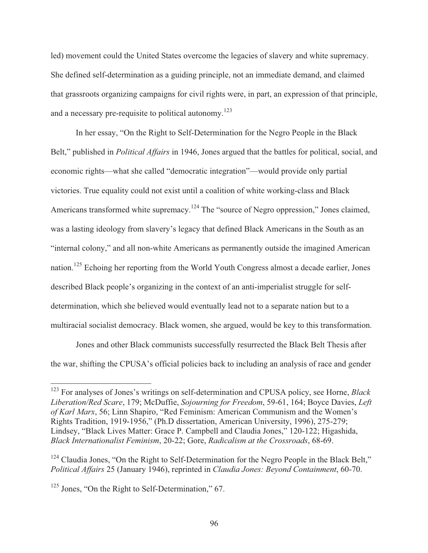led) movement could the United States overcome the legacies of slavery and white supremacy. She defined self-determination as a guiding principle, not an immediate demand, and claimed that grassroots organizing campaigns for civil rights were, in part, an expression of that principle, and a necessary pre-requisite to political autonomy.<sup>123</sup>

 In her essay, "On the Right to Self-Determination for the Negro People in the Black Belt," published in *Political Affairs* in 1946, Jones argued that the battles for political, social, and economic rights—what she called "democratic integration"—would provide only partial victories. True equality could not exist until a coalition of white working-class and Black Americans transformed white supremacy.<sup>124</sup> The "source of Negro oppression," Jones claimed, was a lasting ideology from slavery's legacy that defined Black Americans in the South as an "internal colony," and all non-white Americans as permanently outside the imagined American nation.125 Echoing her reporting from the World Youth Congress almost a decade earlier, Jones described Black people's organizing in the context of an anti-imperialist struggle for selfdetermination, which she believed would eventually lead not to a separate nation but to a multiracial socialist democracy. Black women, she argued, would be key to this transformation.

 Jones and other Black communists successfully resurrected the Black Belt Thesis after the war, shifting the CPUSA's official policies back to including an analysis of race and gender

<sup>123</sup> For analyses of Jones's writings on self-determination and CPUSA policy, see Horne, *Black Liberation/Red Scare*, 179; McDuffie, *Sojourning for Freedom*, 59-61, 164; Boyce Davies, *Left of Karl Marx*, 56; Linn Shapiro, "Red Feminism: American Communism and the Women's Rights Tradition, 1919-1956," (Ph.D dissertation, American University, 1996), 275-279; Lindsey, "Black Lives Matter: Grace P. Campbell and Claudia Jones," 120-122; Higashida, *Black Internationalist Feminism*, 20-22; Gore, *Radicalism at the Crossroads*, 68-69.

<sup>&</sup>lt;sup>124</sup> Claudia Jones, "On the Right to Self-Determination for the Negro People in the Black Belt," *Political Affairs* 25 (January 1946), reprinted in *Claudia Jones: Beyond Containment*, 60-70.

<sup>&</sup>lt;sup>125</sup> Jones, "On the Right to Self-Determination," 67.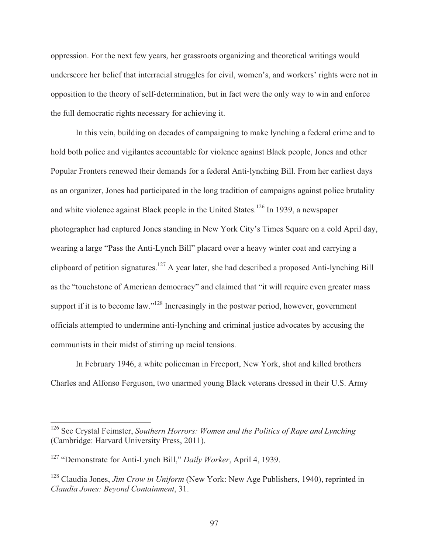oppression. For the next few years, her grassroots organizing and theoretical writings would underscore her belief that interracial struggles for civil, women's, and workers' rights were not in opposition to the theory of self-determination, but in fact were the only way to win and enforce the full democratic rights necessary for achieving it.

 In this vein, building on decades of campaigning to make lynching a federal crime and to hold both police and vigilantes accountable for violence against Black people, Jones and other Popular Fronters renewed their demands for a federal Anti-lynching Bill. From her earliest days as an organizer, Jones had participated in the long tradition of campaigns against police brutality and white violence against Black people in the United States.<sup>126</sup> In 1939, a newspaper photographer had captured Jones standing in New York City's Times Square on a cold April day, wearing a large "Pass the Anti-Lynch Bill" placard over a heavy winter coat and carrying a clipboard of petition signatures.<sup>127</sup> A year later, she had described a proposed Anti-lynching Bill as the "touchstone of American democracy" and claimed that "it will require even greater mass support if it is to become law."<sup>128</sup> Increasingly in the postwar period, however, government officials attempted to undermine anti-lynching and criminal justice advocates by accusing the communists in their midst of stirring up racial tensions.

 In February 1946, a white policeman in Freeport, New York, shot and killed brothers Charles and Alfonso Ferguson, two unarmed young Black veterans dressed in their U.S. Army

<sup>126</sup> See Crystal Feimster, *Southern Horrors: Women and the Politics of Rape and Lynching* (Cambridge: Harvard University Press, 2011).

<sup>127 &</sup>quot;Demonstrate for Anti-Lynch Bill," *Daily Worker*, April 4, 1939.

<sup>128</sup> Claudia Jones, *Jim Crow in Uniform* (New York: New Age Publishers, 1940), reprinted in *Claudia Jones: Beyond Containment*, 31.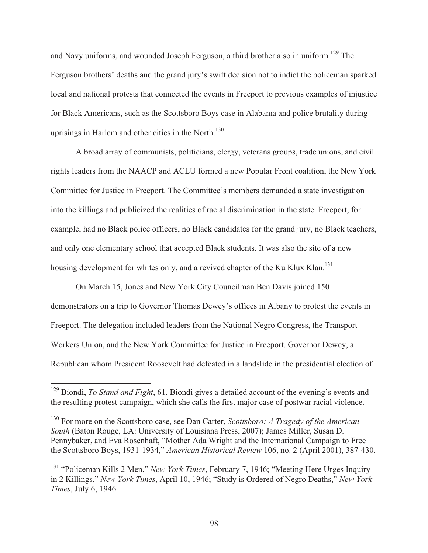and Navy uniforms, and wounded Joseph Ferguson, a third brother also in uniform.<sup>129</sup> The Ferguson brothers' deaths and the grand jury's swift decision not to indict the policeman sparked local and national protests that connected the events in Freeport to previous examples of injustice for Black Americans, such as the Scottsboro Boys case in Alabama and police brutality during uprisings in Harlem and other cities in the North. $130$ 

 A broad array of communists, politicians, clergy, veterans groups, trade unions, and civil rights leaders from the NAACP and ACLU formed a new Popular Front coalition, the New York Committee for Justice in Freeport. The Committee's members demanded a state investigation into the killings and publicized the realities of racial discrimination in the state. Freeport, for example, had no Black police officers, no Black candidates for the grand jury, no Black teachers, and only one elementary school that accepted Black students. It was also the site of a new housing development for whites only, and a revived chapter of the Ku Klux Klan.<sup>131</sup>

 On March 15, Jones and New York City Councilman Ben Davis joined 150 demonstrators on a trip to Governor Thomas Dewey's offices in Albany to protest the events in Freeport. The delegation included leaders from the National Negro Congress, the Transport Workers Union, and the New York Committee for Justice in Freeport. Governor Dewey, a Republican whom President Roosevelt had defeated in a landslide in the presidential election of

<sup>129</sup> Biondi, *To Stand and Fight*, 61. Biondi gives a detailed account of the evening's events and the resulting protest campaign, which she calls the first major case of postwar racial violence.

<sup>130</sup> For more on the Scottsboro case, see Dan Carter, *Scottsboro: A Tragedy of the American South* (Baton Rouge, LA: University of Louisiana Press, 2007); James Miller, Susan D. Pennybaker, and Eva Rosenhaft, "Mother Ada Wright and the International Campaign to Free the Scottsboro Boys, 1931-1934," *American Historical Review* 106, no. 2 (April 2001), 387-430.

<sup>131 &</sup>quot;Policeman Kills 2 Men," *New York Times*, February 7, 1946; "Meeting Here Urges Inquiry in 2 Killings," *New York Times*, April 10, 1946; "Study is Ordered of Negro Deaths," *New York Times*, July 6, 1946.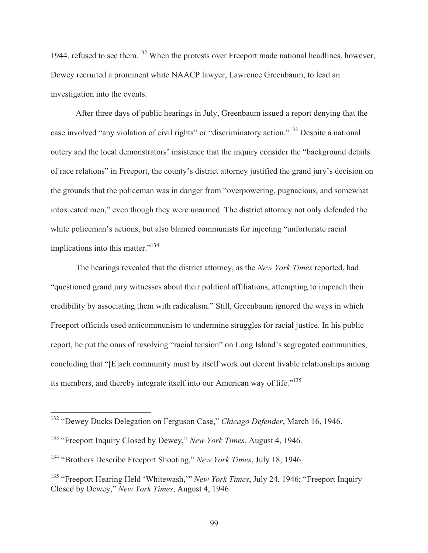1944, refused to see them.<sup>132</sup> When the protests over Freeport made national headlines, however, Dewey recruited a prominent white NAACP lawyer, Lawrence Greenbaum, to lead an investigation into the events.

 After three days of public hearings in July, Greenbaum issued a report denying that the case involved "any violation of civil rights" or "discriminatory action."<sup>133</sup> Despite a national outcry and the local demonstrators' insistence that the inquiry consider the "background details of race relations" in Freeport, the county's district attorney justified the grand jury's decision on the grounds that the policeman was in danger from "overpowering, pugnacious, and somewhat intoxicated men," even though they were unarmed. The district attorney not only defended the white policeman's actions, but also blamed communists for injecting "unfortunate racial implications into this matter."<sup>134</sup>

 The hearings revealed that the district attorney, as the *New York Times* reported, had "questioned grand jury witnesses about their political affiliations, attempting to impeach their credibility by associating them with radicalism." Still, Greenbaum ignored the ways in which Freeport officials used anticommunism to undermine struggles for racial justice. In his public report, he put the onus of resolving "racial tension" on Long Island's segregated communities, concluding that "[E]ach community must by itself work out decent livable relationships among its members, and thereby integrate itself into our American way of life."<sup>135</sup>

<sup>132 &</sup>quot;Dewey Ducks Delegation on Ferguson Case," *Chicago Defender*, March 16, 1946.

<sup>133 &</sup>quot;Freeport Inquiry Closed by Dewey," *New York Times*, August 4, 1946.

<sup>134 &</sup>quot;Brothers Describe Freeport Shooting," *New York Times*, July 18, 1946.

<sup>&</sup>lt;sup>135</sup> "Freeport Hearing Held 'Whitewash," *New York Times*, July 24, 1946; "Freeport Inquiry Closed by Dewey," *New York Times*, August 4, 1946.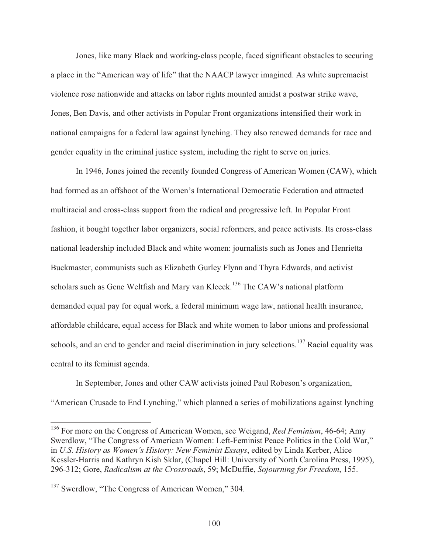Jones, like many Black and working-class people, faced significant obstacles to securing a place in the "American way of life" that the NAACP lawyer imagined. As white supremacist violence rose nationwide and attacks on labor rights mounted amidst a postwar strike wave, Jones, Ben Davis, and other activists in Popular Front organizations intensified their work in national campaigns for a federal law against lynching. They also renewed demands for race and gender equality in the criminal justice system, including the right to serve on juries.

 In 1946, Jones joined the recently founded Congress of American Women (CAW), which had formed as an offshoot of the Women's International Democratic Federation and attracted multiracial and cross-class support from the radical and progressive left. In Popular Front fashion, it bought together labor organizers, social reformers, and peace activists. Its cross-class national leadership included Black and white women: journalists such as Jones and Henrietta Buckmaster, communists such as Elizabeth Gurley Flynn and Thyra Edwards, and activist scholars such as Gene Weltfish and Mary van Kleeck.<sup>136</sup> The CAW's national platform demanded equal pay for equal work, a federal minimum wage law, national health insurance, affordable childcare, equal access for Black and white women to labor unions and professional schools, and an end to gender and racial discrimination in jury selections.<sup>137</sup> Racial equality was central to its feminist agenda.

 In September, Jones and other CAW activists joined Paul Robeson's organization, "American Crusade to End Lynching," which planned a series of mobilizations against lynching

<sup>136</sup> For more on the Congress of American Women, see Weigand, *Red Feminism*, 46-64; Amy Swerdlow, "The Congress of American Women: Left-Feminist Peace Politics in the Cold War," in *U.S. History as Women's History: New Feminist Essays*, edited by Linda Kerber, Alice Kessler-Harris and Kathryn Kish Sklar, (Chapel Hill: University of North Carolina Press, 1995), 296-312; Gore, *Radicalism at the Crossroads*, 59; McDuffie, *Sojourning for Freedom*, 155.

<sup>&</sup>lt;sup>137</sup> Swerdlow, "The Congress of American Women," 304.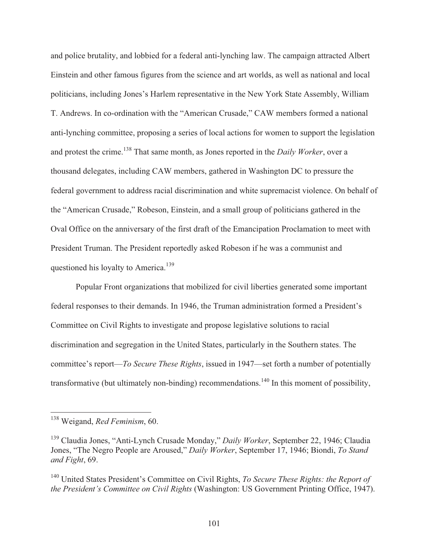and police brutality, and lobbied for a federal anti-lynching law. The campaign attracted Albert Einstein and other famous figures from the science and art worlds, as well as national and local politicians, including Jones's Harlem representative in the New York State Assembly, William T. Andrews. In co-ordination with the "American Crusade," CAW members formed a national anti-lynching committee, proposing a series of local actions for women to support the legislation and protest the crime.<sup>138</sup> That same month, as Jones reported in the *Daily Worker*, over a thousand delegates, including CAW members, gathered in Washington DC to pressure the federal government to address racial discrimination and white supremacist violence. On behalf of the "American Crusade," Robeson, Einstein, and a small group of politicians gathered in the Oval Office on the anniversary of the first draft of the Emancipation Proclamation to meet with President Truman. The President reportedly asked Robeson if he was a communist and questioned his loyalty to America.<sup>139</sup>

 Popular Front organizations that mobilized for civil liberties generated some important federal responses to their demands. In 1946, the Truman administration formed a President's Committee on Civil Rights to investigate and propose legislative solutions to racial discrimination and segregation in the United States, particularly in the Southern states. The committee's report—*To Secure These Rights*, issued in 1947—set forth a number of potentially transformative (but ultimately non-binding) recommendations.<sup>140</sup> In this moment of possibility,

<sup>138</sup> Weigand, *Red Feminism*, 60.

<sup>139</sup> Claudia Jones, "Anti-Lynch Crusade Monday," *Daily Worker*, September 22, 1946; Claudia Jones, "The Negro People are Aroused," *Daily Worker*, September 17, 1946; Biondi, *To Stand and Fight*, 69.

<sup>140</sup> United States President's Committee on Civil Rights, *To Secure These Rights: the Report of the President's Committee on Civil Rights* (Washington: US Government Printing Office, 1947).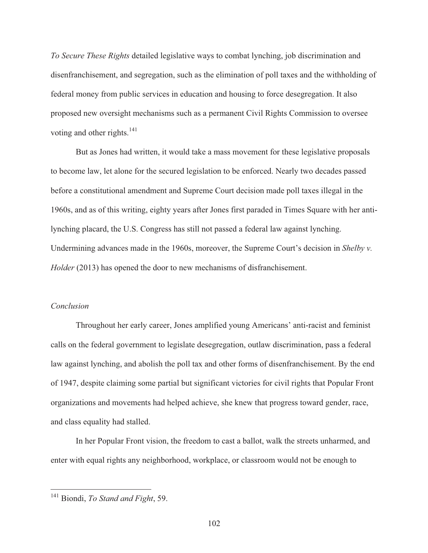*To Secure These Rights* detailed legislative ways to combat lynching, job discrimination and disenfranchisement, and segregation, such as the elimination of poll taxes and the withholding of federal money from public services in education and housing to force desegregation. It also proposed new oversight mechanisms such as a permanent Civil Rights Commission to oversee voting and other rights. $^{141}$ 

 But as Jones had written, it would take a mass movement for these legislative proposals to become law, let alone for the secured legislation to be enforced. Nearly two decades passed before a constitutional amendment and Supreme Court decision made poll taxes illegal in the 1960s, and as of this writing, eighty years after Jones first paraded in Times Square with her antilynching placard, the U.S. Congress has still not passed a federal law against lynching. Undermining advances made in the 1960s, moreover, the Supreme Court's decision in *Shelby v. Holder* (2013) has opened the door to new mechanisms of disfranchisement.

### *Conclusion*

 $\overline{a}$ 

 Throughout her early career, Jones amplified young Americans' anti-racist and feminist calls on the federal government to legislate desegregation, outlaw discrimination, pass a federal law against lynching, and abolish the poll tax and other forms of disenfranchisement. By the end of 1947, despite claiming some partial but significant victories for civil rights that Popular Front organizations and movements had helped achieve, she knew that progress toward gender, race, and class equality had stalled.

 In her Popular Front vision, the freedom to cast a ballot, walk the streets unharmed, and enter with equal rights any neighborhood, workplace, or classroom would not be enough to

<sup>141</sup> Biondi, *To Stand and Fight*, 59.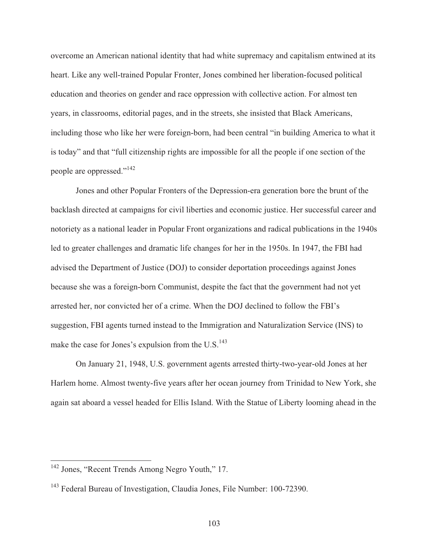overcome an American national identity that had white supremacy and capitalism entwined at its heart. Like any well-trained Popular Fronter, Jones combined her liberation-focused political education and theories on gender and race oppression with collective action. For almost ten years, in classrooms, editorial pages, and in the streets, she insisted that Black Americans, including those who like her were foreign-born, had been central "in building America to what it is today" and that "full citizenship rights are impossible for all the people if one section of the people are oppressed."142

 Jones and other Popular Fronters of the Depression-era generation bore the brunt of the backlash directed at campaigns for civil liberties and economic justice. Her successful career and notoriety as a national leader in Popular Front organizations and radical publications in the 1940s led to greater challenges and dramatic life changes for her in the 1950s. In 1947, the FBI had advised the Department of Justice (DOJ) to consider deportation proceedings against Jones because she was a foreign-born Communist, despite the fact that the government had not yet arrested her, nor convicted her of a crime. When the DOJ declined to follow the FBI's suggestion, FBI agents turned instead to the Immigration and Naturalization Service (INS) to make the case for Jones's expulsion from the U.S. $^{143}$ 

 On January 21, 1948, U.S. government agents arrested thirty-two-year-old Jones at her Harlem home. Almost twenty-five years after her ocean journey from Trinidad to New York, she again sat aboard a vessel headed for Ellis Island. With the Statue of Liberty looming ahead in the

<sup>&</sup>lt;sup>142</sup> Jones, "Recent Trends Among Negro Youth," 17.

<sup>&</sup>lt;sup>143</sup> Federal Bureau of Investigation, Claudia Jones, File Number: 100-72390.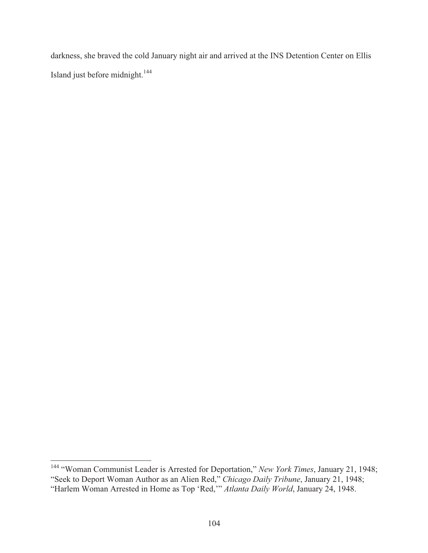darkness, she braved the cold January night air and arrived at the INS Detention Center on Ellis Island just before midnight.<sup>144</sup>

 $\overline{a}$ 144 "Woman Communist Leader is Arrested for Deportation," *New York Times*, January 21, 1948; "Seek to Deport Woman Author as an Alien Red," *Chicago Daily Tribune*, January 21, 1948; "Harlem Woman Arrested in Home as Top 'Red,'" *Atlanta Daily World*, January 24, 1948.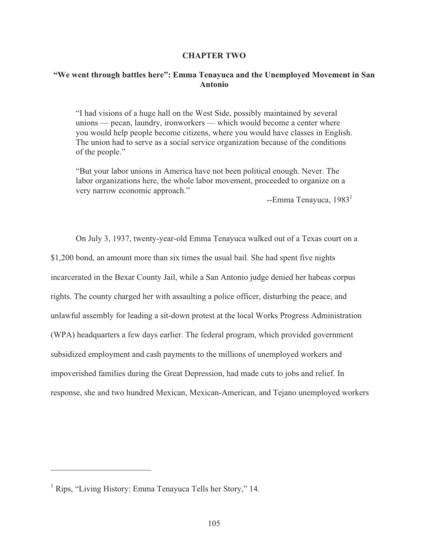### **CHAPTER TWO**

# **"We went through battles here": Emma Tenayuca and the Unemployed Movement in San Antonio**

"I had visions of a huge hall on the West Side, possibly maintained by several unions — pecan, laundry, ironworkers — which would become a center where you would help people become citizens, where you would have classes in English. The union had to serve as a social service organization because of the conditions of the people."

"But your labor unions in America have not been political enough. Never. The labor organizations here, the whole labor movement, proceeded to organize on a very narrow economic approach."

 $-$ Emma Tenayuca, 1983<sup>1</sup>

 On July 3, 1937, twenty-year-old Emma Tenayuca walked out of a Texas court on a \$1,200 bond, an amount more than six times the usual bail. She had spent five nights incarcerated in the Bexar County Jail, while a San Antonio judge denied her habeas corpus rights. The county charged her with assaulting a police officer, disturbing the peace, and unlawful assembly for leading a sit-down protest at the local Works Progress Administration (WPA) headquarters a few days earlier. The federal program, which provided government subsidized employment and cash payments to the millions of unemployed workers and impoverished families during the Great Depression, had made cuts to jobs and relief. In response, she and two hundred Mexican, Mexican-American, and Tejano unemployed workers

<sup>&</sup>lt;sup>1</sup> Rips, "Living History: Emma Tenayuca Tells her Story," 14.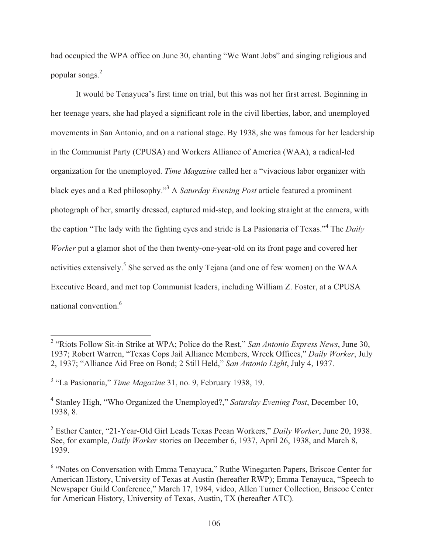had occupied the WPA office on June 30, chanting "We Want Jobs" and singing religious and popular songs.<sup>2</sup>

 It would be Tenayuca's first time on trial, but this was not her first arrest. Beginning in her teenage years, she had played a significant role in the civil liberties, labor, and unemployed movements in San Antonio, and on a national stage. By 1938, she was famous for her leadership in the Communist Party (CPUSA) and Workers Alliance of America (WAA), a radical-led organization for the unemployed. *Time Magazine* called her a "vivacious labor organizer with black eyes and a Red philosophy."3 A *Saturday Evening Post* article featured a prominent photograph of her, smartly dressed, captured mid-step, and looking straight at the camera, with the caption "The lady with the fighting eyes and stride is La Pasionaria of Texas."<sup>4</sup> The *Daily Worker* put a glamor shot of the then twenty-one-year-old on its front page and covered her activities extensively.<sup>5</sup> She served as the only Tejana (and one of few women) on the WAA Executive Board, and met top Communist leaders, including William Z. Foster, at a CPUSA national convention.6

 2 "Riots Follow Sit-in Strike at WPA; Police do the Rest," *San Antonio Express News*, June 30, 1937; Robert Warren, "Texas Cops Jail Alliance Members, Wreck Offices," *Daily Worker*, July 2, 1937; "Alliance Aid Free on Bond; 2 Still Held," *San Antonio Light*, July 4, 1937.

<sup>&</sup>lt;sup>3</sup> "La Pasionaria," *Time Magazine* 31, no. 9, February 1938, 19.

<sup>4</sup> Stanley High, "Who Organized the Unemployed?," *Saturday Evening Post*, December 10, 1938, 8.

<sup>5</sup> Esther Canter, "21-Year-Old Girl Leads Texas Pecan Workers," *Daily Worker*, June 20, 1938. See, for example, *Daily Worker* stories on December 6, 1937, April 26, 1938, and March 8, 1939.

<sup>&</sup>lt;sup>6</sup> "Notes on Conversation with Emma Tenayuca," Ruthe Winegarten Papers, Briscoe Center for American History, University of Texas at Austin (hereafter RWP); Emma Tenayuca, "Speech to Newspaper Guild Conference," March 17, 1984, video, Allen Turner Collection, Briscoe Center for American History, University of Texas, Austin, TX (hereafter ATC).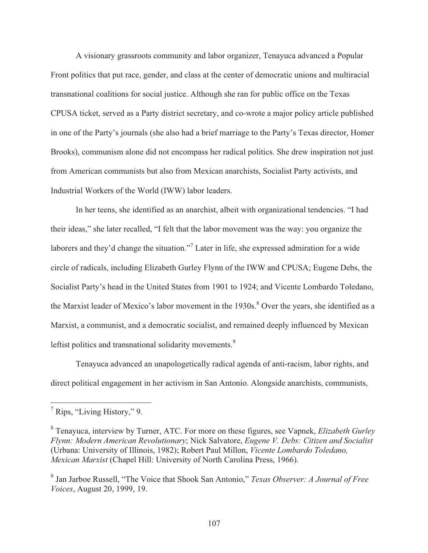A visionary grassroots community and labor organizer, Tenayuca advanced a Popular Front politics that put race, gender, and class at the center of democratic unions and multiracial transnational coalitions for social justice. Although she ran for public office on the Texas CPUSA ticket, served as a Party district secretary, and co-wrote a major policy article published in one of the Party's journals (she also had a brief marriage to the Party's Texas director, Homer Brooks), communism alone did not encompass her radical politics. She drew inspiration not just from American communists but also from Mexican anarchists, Socialist Party activists, and Industrial Workers of the World (IWW) labor leaders.

 In her teens, she identified as an anarchist, albeit with organizational tendencies. "I had their ideas," she later recalled, "I felt that the labor movement was the way: you organize the laborers and they'd change the situation."<sup>7</sup> Later in life, she expressed admiration for a wide circle of radicals, including Elizabeth Gurley Flynn of the IWW and CPUSA; Eugene Debs, the Socialist Party's head in the United States from 1901 to 1924; and Vicente Lombardo Toledano, the Marxist leader of Mexico's labor movement in the 1930s.<sup>8</sup> Over the years, she identified as a Marxist, a communist, and a democratic socialist, and remained deeply influenced by Mexican leftist politics and transnational solidarity movements.<sup>9</sup>

 Tenayuca advanced an unapologetically radical agenda of anti-racism, labor rights, and direct political engagement in her activism in San Antonio. Alongside anarchists, communists,

<sup>&</sup>lt;sup>7</sup> Rips, "Living History," 9.

<sup>8</sup> Tenayuca, interview by Turner, ATC. For more on these figures, see Vapnek, *Elizabeth Gurley Flynn: Modern American Revolutionary*; Nick Salvatore, *Eugene V. Debs: Citizen and Socialist* (Urbana: University of Illinois, 1982); Robert Paul Millon, *Vicente Lombardo Toledano, Mexican Marxist* (Chapel Hill: University of North Carolina Press, 1966).

<sup>9</sup> Jan Jarboe Russell, "The Voice that Shook San Antonio," *Texas Observer: A Journal of Free Voices*, August 20, 1999, 19.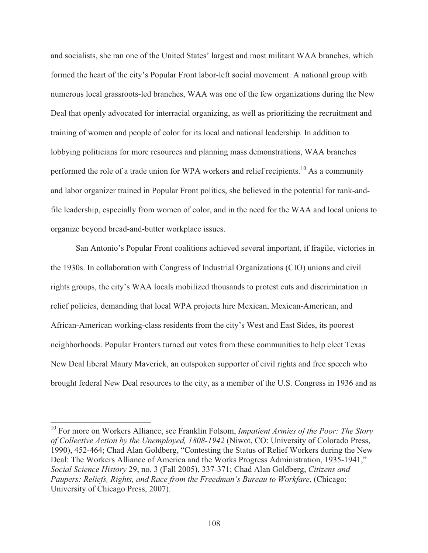and socialists, she ran one of the United States' largest and most militant WAA branches, which formed the heart of the city's Popular Front labor-left social movement. A national group with numerous local grassroots-led branches, WAA was one of the few organizations during the New Deal that openly advocated for interracial organizing, as well as prioritizing the recruitment and training of women and people of color for its local and national leadership. In addition to lobbying politicians for more resources and planning mass demonstrations, WAA branches performed the role of a trade union for WPA workers and relief recipients.<sup>10</sup> As a community and labor organizer trained in Popular Front politics, she believed in the potential for rank-andfile leadership, especially from women of color, and in the need for the WAA and local unions to organize beyond bread-and-butter workplace issues.

 San Antonio's Popular Front coalitions achieved several important, if fragile, victories in the 1930s. In collaboration with Congress of Industrial Organizations (CIO) unions and civil rights groups, the city's WAA locals mobilized thousands to protest cuts and discrimination in relief policies, demanding that local WPA projects hire Mexican, Mexican-American, and African-American working-class residents from the city's West and East Sides, its poorest neighborhoods. Popular Fronters turned out votes from these communities to help elect Texas New Deal liberal Maury Maverick, an outspoken supporter of civil rights and free speech who brought federal New Deal resources to the city, as a member of the U.S. Congress in 1936 and as

<sup>10</sup> For more on Workers Alliance, see Franklin Folsom, *Impatient Armies of the Poor: The Story of Collective Action by the Unemployed, 1808-1942* (Niwot, CO: University of Colorado Press, 1990), 452-464; Chad Alan Goldberg, "Contesting the Status of Relief Workers during the New Deal: The Workers Alliance of America and the Works Progress Administration, 1935-1941," *Social Science History* 29, no. 3 (Fall 2005), 337-371; Chad Alan Goldberg, *Citizens and Paupers: Reliefs, Rights, and Race from the Freedman's Bureau to Workfare*, (Chicago: University of Chicago Press, 2007).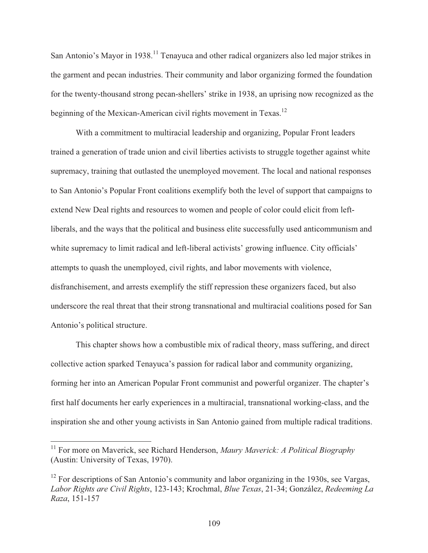San Antonio's Mayor in 1938.<sup>11</sup> Tenayuca and other radical organizers also led major strikes in the garment and pecan industries. Their community and labor organizing formed the foundation for the twenty-thousand strong pecan-shellers' strike in 1938, an uprising now recognized as the beginning of the Mexican-American civil rights movement in Texas.<sup>12</sup>

 With a commitment to multiracial leadership and organizing, Popular Front leaders trained a generation of trade union and civil liberties activists to struggle together against white supremacy, training that outlasted the unemployed movement. The local and national responses to San Antonio's Popular Front coalitions exemplify both the level of support that campaigns to extend New Deal rights and resources to women and people of color could elicit from leftliberals, and the ways that the political and business elite successfully used anticommunism and white supremacy to limit radical and left-liberal activists' growing influence. City officials' attempts to quash the unemployed, civil rights, and labor movements with violence, disfranchisement, and arrests exemplify the stiff repression these organizers faced, but also underscore the real threat that their strong transnational and multiracial coalitions posed for San Antonio's political structure.

 This chapter shows how a combustible mix of radical theory, mass suffering, and direct collective action sparked Tenayuca's passion for radical labor and community organizing, forming her into an American Popular Front communist and powerful organizer. The chapter's first half documents her early experiences in a multiracial, transnational working-class, and the inspiration she and other young activists in San Antonio gained from multiple radical traditions.

<sup>11</sup> For more on Maverick, see Richard Henderson, *Maury Maverick: A Political Biography* (Austin: University of Texas, 1970).

 $12$  For descriptions of San Antonio's community and labor organizing in the 1930s, see Vargas, *Labor Rights are Civil Rights*, 123-143; Krochmal, *Blue Texas*, 21-34; González, *Redeeming La Raza*, 151-157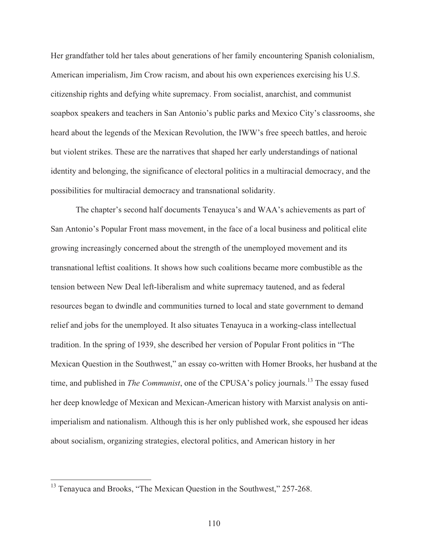Her grandfather told her tales about generations of her family encountering Spanish colonialism, American imperialism, Jim Crow racism, and about his own experiences exercising his U.S. citizenship rights and defying white supremacy. From socialist, anarchist, and communist soapbox speakers and teachers in San Antonio's public parks and Mexico City's classrooms, she heard about the legends of the Mexican Revolution, the IWW's free speech battles, and heroic but violent strikes. These are the narratives that shaped her early understandings of national identity and belonging, the significance of electoral politics in a multiracial democracy, and the possibilities for multiracial democracy and transnational solidarity.

 The chapter's second half documents Tenayuca's and WAA's achievements as part of San Antonio's Popular Front mass movement, in the face of a local business and political elite growing increasingly concerned about the strength of the unemployed movement and its transnational leftist coalitions. It shows how such coalitions became more combustible as the tension between New Deal left-liberalism and white supremacy tautened, and as federal resources began to dwindle and communities turned to local and state government to demand relief and jobs for the unemployed. It also situates Tenayuca in a working-class intellectual tradition. In the spring of 1939, she described her version of Popular Front politics in "The Mexican Question in the Southwest," an essay co-written with Homer Brooks, her husband at the time, and published in *The Communist*, one of the CPUSA's policy journals.<sup>13</sup> The essay fused her deep knowledge of Mexican and Mexican-American history with Marxist analysis on antiimperialism and nationalism. Although this is her only published work, she espoused her ideas about socialism, organizing strategies, electoral politics, and American history in her

 $13$  Tenayuca and Brooks, "The Mexican Question in the Southwest," 257-268.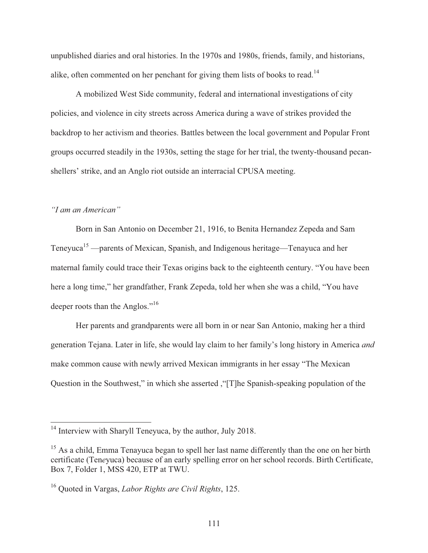unpublished diaries and oral histories. In the 1970s and 1980s, friends, family, and historians, alike, often commented on her penchant for giving them lists of books to read.<sup>14</sup>

 A mobilized West Side community, federal and international investigations of city policies, and violence in city streets across America during a wave of strikes provided the backdrop to her activism and theories. Battles between the local government and Popular Front groups occurred steadily in the 1930s, setting the stage for her trial, the twenty-thousand pecanshellers' strike, and an Anglo riot outside an interracial CPUSA meeting.

### *"I am an American"*

 $\overline{a}$ 

 Born in San Antonio on December 21, 1916, to Benita Hernandez Zepeda and Sam Teneyuca<sup>15</sup> —parents of Mexican, Spanish, and Indigenous heritage—Tenayuca and her maternal family could trace their Texas origins back to the eighteenth century. "You have been here a long time," her grandfather, Frank Zepeda, told her when she was a child, "You have deeper roots than the Anglos."<sup>16</sup>

 Her parents and grandparents were all born in or near San Antonio, making her a third generation Tejana. Later in life, she would lay claim to her family's long history in America *and* make common cause with newly arrived Mexican immigrants in her essay "The Mexican Question in the Southwest," in which she asserted ,"[T]he Spanish-speaking population of the

 $14$  Interview with Sharyll Teneyuca, by the author, July 2018.

<sup>&</sup>lt;sup>15</sup> As a child, Emma Tenayuca began to spell her last name differently than the one on her birth certificate (Ten*e*yuca) because of an early spelling error on her school records. Birth Certificate, Box 7, Folder 1, MSS 420, ETP at TWU.

<sup>16</sup> Quoted in Vargas, *Labor Rights are Civil Rights*, 125.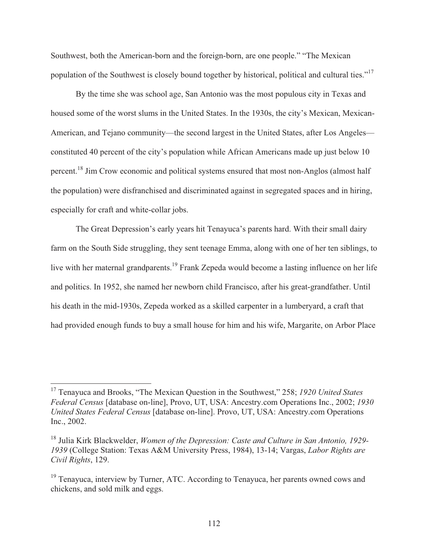Southwest, both the American-born and the foreign-born, are one people." "The Mexican population of the Southwest is closely bound together by historical, political and cultural ties."<sup>17</sup>

 By the time she was school age, San Antonio was the most populous city in Texas and housed some of the worst slums in the United States. In the 1930s, the city's Mexican, Mexican-American, and Tejano community—the second largest in the United States, after Los Angeles constituted 40 percent of the city's population while African Americans made up just below 10 percent.18 Jim Crow economic and political systems ensured that most non-Anglos (almost half the population) were disfranchised and discriminated against in segregated spaces and in hiring, especially for craft and white-collar jobs.

 The Great Depression's early years hit Tenayuca's parents hard. With their small dairy farm on the South Side struggling, they sent teenage Emma, along with one of her ten siblings, to live with her maternal grandparents.<sup>19</sup> Frank Zepeda would become a lasting influence on her life and politics. In 1952, she named her newborn child Francisco, after his great-grandfather. Until his death in the mid-1930s, Zepeda worked as a skilled carpenter in a lumberyard, a craft that had provided enough funds to buy a small house for him and his wife, Margarite, on Arbor Place

<sup>17</sup> Tenayuca and Brooks, "The Mexican Question in the Southwest," 258; *1920 United States Federal Census* [database on-line], Provo, UT, USA: Ancestry.com Operations Inc., 2002; *1930 United States Federal Census* [database on-line]. Provo, UT, USA: Ancestry.com Operations Inc., 2002.

<sup>18</sup> Julia Kirk Blackwelder, *Women of the Depression: Caste and Culture in San Antonio, 1929- 1939* (College Station: Texas A&M University Press, 1984), 13-14; Vargas, *Labor Rights are Civil Rights*, 129.

<sup>&</sup>lt;sup>19</sup> Tenayuca, interview by Turner, ATC. According to Tenayuca, her parents owned cows and chickens, and sold milk and eggs.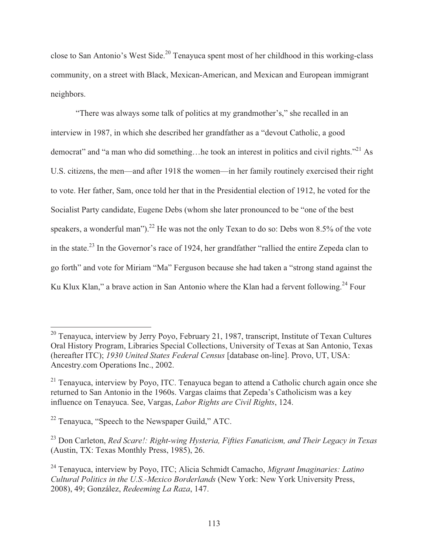close to San Antonio's West Side.<sup>20</sup> Tenayuca spent most of her childhood in this working-class community, on a street with Black, Mexican-American, and Mexican and European immigrant neighbors.

 "There was always some talk of politics at my grandmother's," she recalled in an interview in 1987, in which she described her grandfather as a "devout Catholic, a good democrat" and "a man who did something...he took an interest in politics and civil rights."<sup>21</sup> As U.S. citizens, the men—and after 1918 the women—in her family routinely exercised their right to vote. Her father, Sam, once told her that in the Presidential election of 1912, he voted for the Socialist Party candidate, Eugene Debs (whom she later pronounced to be "one of the best speakers, a wonderful man").<sup>22</sup> He was not the only Texan to do so: Debs won 8.5% of the vote in the state.23 In the Governor's race of 1924, her grandfather "rallied the entire Zepeda clan to go forth" and vote for Miriam "Ma" Ferguson because she had taken a "strong stand against the Ku Klux Klan," a brave action in San Antonio where the Klan had a fervent following.<sup>24</sup> Four

 $20$  Tenayuca, interview by Jerry Poyo, February 21, 1987, transcript, Institute of Texan Cultures Oral History Program, Libraries Special Collections, University of Texas at San Antonio, Texas (hereafter ITC); *1930 United States Federal Census* [database on-line]. Provo, UT, USA: Ancestry.com Operations Inc., 2002.

 $21$  Tenayuca, interview by Poyo, ITC. Tenayuca began to attend a Catholic church again once she returned to San Antonio in the 1960s. Vargas claims that Zepeda's Catholicism was a key influence on Tenayuca. See, Vargas, *Labor Rights are Civil Rights*, 124.

<sup>&</sup>lt;sup>22</sup> Tenayuca, "Speech to the Newspaper Guild," ATC.

<sup>23</sup> Don Carleton, *Red Scare!: Right-wing Hysteria, Fifties Fanaticism, and Their Legacy in Texas* (Austin, TX: Texas Monthly Press, 1985), 26.

<sup>24</sup> Tenayuca, interview by Poyo, ITC; Alicia Schmidt Camacho, *Migrant Imaginaries: Latino Cultural Politics in the U.S.-Mexico Borderlands* (New York: New York University Press, 2008), 49; González, *Redeeming La Raza*, 147.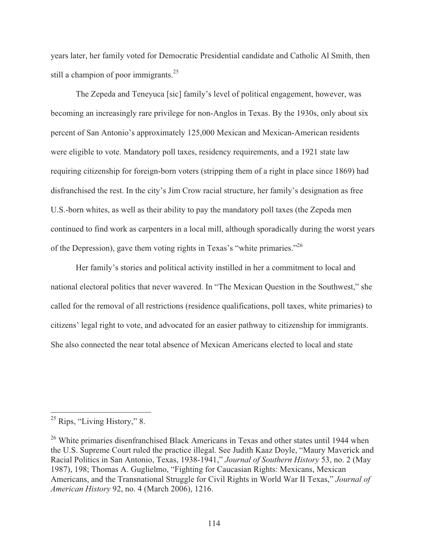years later, her family voted for Democratic Presidential candidate and Catholic Al Smith, then still a champion of poor immigrants.<sup>25</sup>

 The Zepeda and Teneyuca [sic] family's level of political engagement, however, was becoming an increasingly rare privilege for non-Anglos in Texas. By the 1930s, only about six percent of San Antonio's approximately 125,000 Mexican and Mexican-American residents were eligible to vote. Mandatory poll taxes, residency requirements, and a 1921 state law requiring citizenship for foreign-born voters (stripping them of a right in place since 1869) had disfranchised the rest. In the city's Jim Crow racial structure, her family's designation as free U.S.-born whites, as well as their ability to pay the mandatory poll taxes (the Zepeda men continued to find work as carpenters in a local mill, although sporadically during the worst years of the Depression), gave them voting rights in Texas's "white primaries."26

 Her family's stories and political activity instilled in her a commitment to local and national electoral politics that never wavered. In "The Mexican Question in the Southwest," she called for the removal of all restrictions (residence qualifications, poll taxes, white primaries) to citizens' legal right to vote, and advocated for an easier pathway to citizenship for immigrants. She also connected the near total absence of Mexican Americans elected to local and state

<sup>&</sup>lt;sup>25</sup> Rips, "Living History," 8.

<sup>&</sup>lt;sup>26</sup> White primaries disenfranchised Black Americans in Texas and other states until 1944 when the U.S. Supreme Court ruled the practice illegal. See Judith Kaaz Doyle, "Maury Maverick and Racial Politics in San Antonio, Texas, 1938-1941," *Journal of Southern History* 53, no. 2 (May 1987), 198; Thomas A. Guglielmo, "Fighting for Caucasian Rights: Mexicans, Mexican Americans, and the Transnational Struggle for Civil Rights in World War II Texas," *Journal of American History* 92, no. 4 (March 2006), 1216.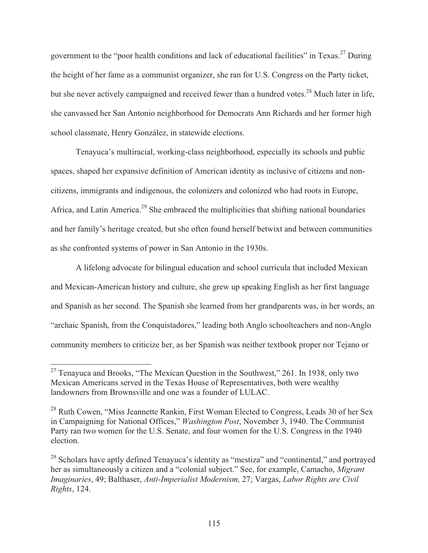government to the "poor health conditions and lack of educational facilities" in Texas.<sup>27</sup> During the height of her fame as a communist organizer, she ran for U.S. Congress on the Party ticket, but she never actively campaigned and received fewer than a hundred votes.<sup>28</sup> Much later in life, she canvassed her San Antonio neighborhood for Democrats Ann Richards and her former high school classmate, Henry González, in statewide elections.

 Tenayuca's multiracial, working-class neighborhood, especially its schools and public spaces, shaped her expansive definition of American identity as inclusive of citizens and noncitizens, immigrants and indigenous, the colonizers and colonized who had roots in Europe, Africa, and Latin America.<sup>29</sup> She embraced the multiplicities that shifting national boundaries and her family's heritage created, but she often found herself betwixt and between communities as she confronted systems of power in San Antonio in the 1930s.

 A lifelong advocate for bilingual education and school curricula that included Mexican and Mexican-American history and culture, she grew up speaking English as her first language and Spanish as her second. The Spanish she learned from her grandparents was, in her words, an "archaic Spanish, from the Conquistadores," leading both Anglo schoolteachers and non-Anglo community members to criticize her, as her Spanish was neither textbook proper nor Tejano or

 $27$  Tenayuca and Brooks, "The Mexican Question in the Southwest," 261. In 1938, only two Mexican Americans served in the Texas House of Representatives, both were wealthy landowners from Brownsville and one was a founder of LULAC.

<sup>&</sup>lt;sup>28</sup> Ruth Cowen, "Miss Jeannette Rankin, First Woman Elected to Congress, Leads 30 of her Sex in Campaigning for National Offices," *Washington Post*, November 3, 1940. The Communist Party ran two women for the U.S. Senate, and four women for the U.S. Congress in the 1940 election.

 $29$  Scholars have aptly defined Tenayuca's identity as "mestiza" and "continental," and portrayed her as simultaneously a citizen and a "colonial subject." See, for example, Camacho, *Migrant Imaginaries*, 49; Balthaser, *Anti-Imperialist Modernism,* 27; Vargas, *Labor Rights are Civil Rights*, 124.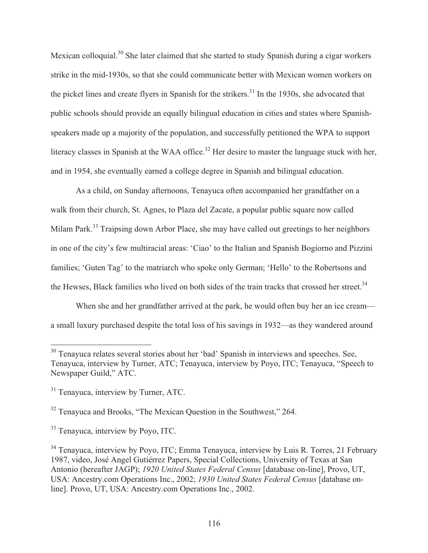Mexican colloquial.30 She later claimed that she started to study Spanish during a cigar workers strike in the mid-1930s, so that she could communicate better with Mexican women workers on the picket lines and create flyers in Spanish for the strikers.<sup>31</sup> In the 1930s, she advocated that public schools should provide an equally bilingual education in cities and states where Spanishspeakers made up a majority of the population, and successfully petitioned the WPA to support literacy classes in Spanish at the WAA office.<sup>32</sup> Her desire to master the language stuck with her, and in 1954, she eventually earned a college degree in Spanish and bilingual education.

 As a child, on Sunday afternoons, Tenayuca often accompanied her grandfather on a walk from their church, St. Agnes, to Plaza del Zacate, a popular public square now called Milam Park.<sup>33</sup> Traipsing down Arbor Place, she may have called out greetings to her neighbors in one of the city's few multiracial areas: 'Ciao' to the Italian and Spanish Bogiorno and Pizzini families; 'Guten Tag' to the matriarch who spoke only German; 'Hello' to the Robertsons and the Hewses, Black families who lived on both sides of the train tracks that crossed her street.<sup>34</sup>

When she and her grandfather arrived at the park, he would often buy her an ice cream a small luxury purchased despite the total loss of his savings in 1932—as they wandered around

 $\overline{\phantom{a}}$ 

<sup>33</sup> Tenavuca, interview by Poyo, ITC.

 $30$  Tenayuca relates several stories about her 'bad' Spanish in interviews and speeches. See, Tenayuca, interview by Turner, ATC; Tenayuca, interview by Poyo, ITC; Tenayuca, "Speech to Newspaper Guild," ATC.

<sup>&</sup>lt;sup>31</sup> Tenayuca, interview by Turner, ATC.

<sup>&</sup>lt;sup>32</sup> Tenayuca and Brooks, "The Mexican Question in the Southwest," 264.

<sup>&</sup>lt;sup>34</sup> Tenayuca, interview by Poyo, ITC; Emma Tenayuca, interview by Luis R. Torres, 21 February 1987, video, José Angel Gutiérrez Papers, Special Collections, University of Texas at San Antonio (hereafter JAGP); *1920 United States Federal Census* [database on-line], Provo, UT, USA: Ancestry.com Operations Inc., 2002; *1930 United States Federal Census* [database online]. Provo, UT, USA: Ancestry.com Operations Inc., 2002.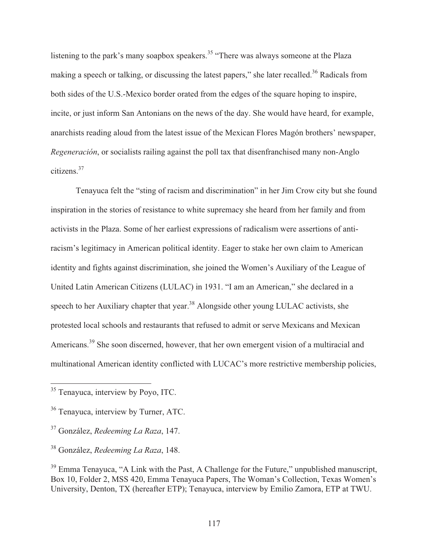listening to the park's many soapbox speakers.<sup>35</sup> "There was always someone at the Plaza making a speech or talking, or discussing the latest papers," she later recalled.<sup>36</sup> Radicals from both sides of the U.S.-Mexico border orated from the edges of the square hoping to inspire, incite, or just inform San Antonians on the news of the day. She would have heard, for example, anarchists reading aloud from the latest issue of the Mexican Flores Magón brothers' newspaper, *Regeneración*, or socialists railing against the poll tax that disenfranchised many non-Anglo citizens.37

 Tenayuca felt the "sting of racism and discrimination" in her Jim Crow city but she found inspiration in the stories of resistance to white supremacy she heard from her family and from activists in the Plaza. Some of her earliest expressions of radicalism were assertions of antiracism's legitimacy in American political identity. Eager to stake her own claim to American identity and fights against discrimination, she joined the Women's Auxiliary of the League of United Latin American Citizens (LULAC) in 1931. "I am an American," she declared in a speech to her Auxiliary chapter that year.<sup>38</sup> Alongside other young LULAC activists, she protested local schools and restaurants that refused to admit or serve Mexicans and Mexican Americans.<sup>39</sup> She soon discerned, however, that her own emergent vision of a multiracial and multinational American identity conflicted with LUCAC's more restrictive membership policies,

<sup>&</sup>lt;sup>35</sup> Tenayuca, interview by Poyo, ITC.

<sup>&</sup>lt;sup>36</sup> Tenayuca, interview by Turner, ATC.

<sup>37</sup> González, *Redeeming La Raza*, 147.

<sup>38</sup> González, *Redeeming La Raza*, 148.

<sup>&</sup>lt;sup>39</sup> Emma Tenayuca, "A Link with the Past, A Challenge for the Future," unpublished manuscript, Box 10, Folder 2, MSS 420, Emma Tenayuca Papers, The Woman's Collection, Texas Women's University, Denton, TX (hereafter ETP); Tenayuca, interview by Emilio Zamora, ETP at TWU.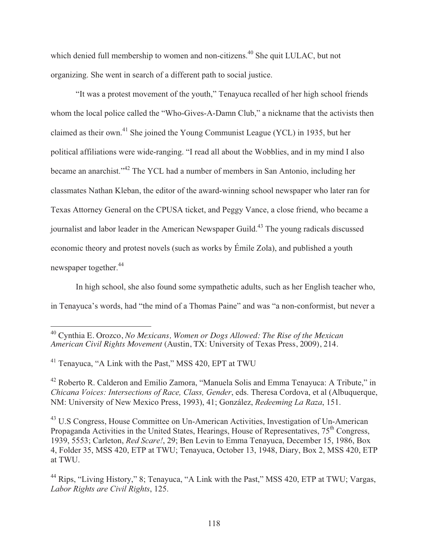which denied full membership to women and non-citizens.<sup>40</sup> She quit LULAC, but not organizing. She went in search of a different path to social justice.

 "It was a protest movement of the youth," Tenayuca recalled of her high school friends whom the local police called the "Who-Gives-A-Damn Club," a nickname that the activists then claimed as their own.41 She joined the Young Communist League (YCL) in 1935, but her political affiliations were wide-ranging. "I read all about the Wobblies, and in my mind I also became an anarchist."42 The YCL had a number of members in San Antonio, including her classmates Nathan Kleban, the editor of the award-winning school newspaper who later ran for Texas Attorney General on the CPUSA ticket, and Peggy Vance, a close friend, who became a journalist and labor leader in the American Newspaper Guild.<sup>43</sup> The young radicals discussed economic theory and protest novels (such as works by Émile Zola), and published a youth newspaper together.<sup>44</sup>

 In high school, she also found some sympathetic adults, such as her English teacher who, in Tenayuca's words, had "the mind of a Thomas Paine" and was "a non-conformist, but never a

 $\overline{a}$ 

43 U.S Congress, House Committee on Un-American Activities, Investigation of Un-American Propaganda Activities in the United States, Hearings, House of Representatives,  $75<sup>th</sup>$  Congress, 1939, 5553; Carleton, *Red Scare!*, 29; Ben Levin to Emma Tenayuca, December 15, 1986, Box 4, Folder 35, MSS 420, ETP at TWU; Tenayuca, October 13, 1948, Diary, Box 2, MSS 420, ETP at TWU.

<sup>40</sup> Cynthia E. Orozco, *No Mexicans, Women or Dogs Allowed: The Rise of the Mexican American Civil Rights Movement* (Austin, TX: University of Texas Press, 2009), 214.

<sup>41</sup> Tenayuca, "A Link with the Past," MSS 420, EPT at TWU

<sup>42</sup> Roberto R. Calderon and Emilio Zamora, "Manuela Solis and Emma Tenayuca: A Tribute," in *Chicana Voices: Intersections of Race, Class, Gender*, eds. Theresa Cordova, et al (Albuquerque, NM: University of New Mexico Press, 1993), 41; González, *Redeeming La Raza*, 151.

<sup>44</sup> Rips, "Living History," 8; Tenayuca, "A Link with the Past," MSS 420, ETP at TWU; Vargas, *Labor Rights are Civil Rights*, 125.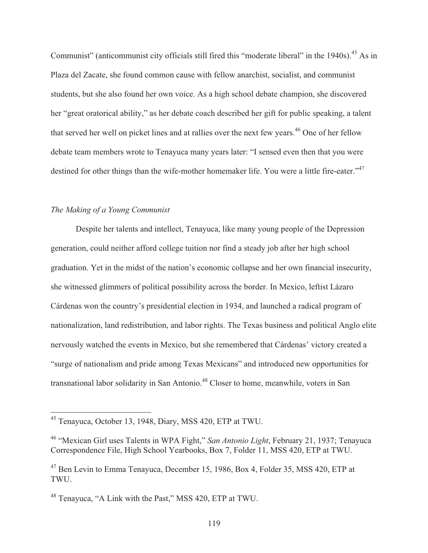Communist" (anticommunist city officials still fired this "moderate liberal" in the 1940s).<sup>45</sup> As in Plaza del Zacate, she found common cause with fellow anarchist, socialist, and communist students, but she also found her own voice. As a high school debate champion, she discovered her "great oratorical ability," as her debate coach described her gift for public speaking, a talent that served her well on picket lines and at rallies over the next few years.<sup>46</sup> One of her fellow debate team members wrote to Tenayuca many years later: "I sensed even then that you were destined for other things than the wife-mother homemaker life. You were a little fire-eater."<sup>47</sup>

## *The Making of a Young Communist*

 $\overline{a}$ 

 Despite her talents and intellect, Tenayuca, like many young people of the Depression generation, could neither afford college tuition nor find a steady job after her high school graduation. Yet in the midst of the nation's economic collapse and her own financial insecurity, she witnessed glimmers of political possibility across the border. In Mexico, leftist Lázaro Cárdenas won the country's presidential election in 1934, and launched a radical program of nationalization, land redistribution, and labor rights. The Texas business and political Anglo elite nervously watched the events in Mexico, but she remembered that Cárdenas' victory created a "surge of nationalism and pride among Texas Mexicans" and introduced new opportunities for transnational labor solidarity in San Antonio.<sup>48</sup> Closer to home, meanwhile, voters in San

<sup>&</sup>lt;sup>45</sup> Tenayuca, October 13, 1948, Diary, MSS 420, ETP at TWU.

<sup>46 &</sup>quot;Mexican Girl uses Talents in WPA Fight," *San Antonio Light*, February 21, 1937; Tenayuca Correspondence File, High School Yearbooks, Box 7, Folder 11, MSS 420, ETP at TWU.

<sup>47</sup> Ben Levin to Emma Tenayuca, December 15, 1986, Box 4, Folder 35, MSS 420, ETP at TWU.

<sup>48</sup> Tenayuca, "A Link with the Past," MSS 420, ETP at TWU.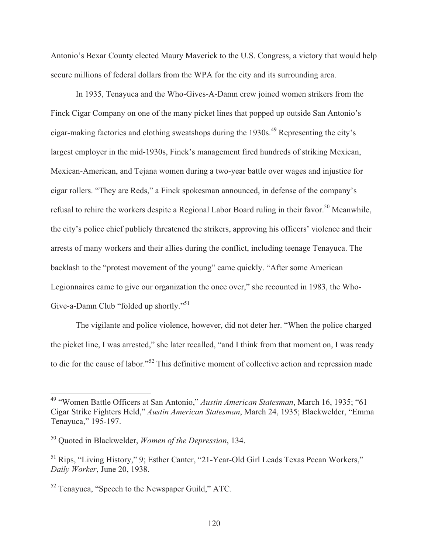Antonio's Bexar County elected Maury Maverick to the U.S. Congress, a victory that would help secure millions of federal dollars from the WPA for the city and its surrounding area.

 In 1935, Tenayuca and the Who-Gives-A-Damn crew joined women strikers from the Finck Cigar Company on one of the many picket lines that popped up outside San Antonio's cigar-making factories and clothing sweatshops during the  $1930s$ .<sup>49</sup> Representing the city's largest employer in the mid-1930s, Finck's management fired hundreds of striking Mexican, Mexican-American, and Tejana women during a two-year battle over wages and injustice for cigar rollers. "They are Reds," a Finck spokesman announced, in defense of the company's refusal to rehire the workers despite a Regional Labor Board ruling in their favor.<sup>50</sup> Meanwhile, the city's police chief publicly threatened the strikers, approving his officers' violence and their arrests of many workers and their allies during the conflict, including teenage Tenayuca. The backlash to the "protest movement of the young" came quickly. "After some American Legionnaires came to give our organization the once over," she recounted in 1983, the Who-Give-a-Damn Club "folded up shortly."<sup>51</sup>

 The vigilante and police violence, however, did not deter her. "When the police charged the picket line, I was arrested," she later recalled, "and I think from that moment on, I was ready to die for the cause of labor."52 This definitive moment of collective action and repression made

<sup>49 &</sup>quot;Women Battle Officers at San Antonio," *Austin American Statesman*, March 16, 1935; "61 Cigar Strike Fighters Held," *Austin American Statesman*, March 24, 1935; Blackwelder, "Emma Tenayuca," 195-197.

<sup>50</sup> Quoted in Blackwelder, *Women of the Depression*, 134.

<sup>51</sup> Rips, "Living History," 9; Esther Canter, "21-Year-Old Girl Leads Texas Pecan Workers," *Daily Worker*, June 20, 1938.

<sup>52</sup> Tenayuca, "Speech to the Newspaper Guild," ATC.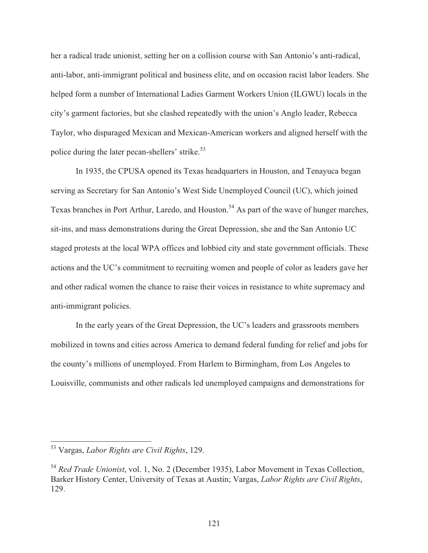her a radical trade unionist, setting her on a collision course with San Antonio's anti-radical, anti-labor, anti-immigrant political and business elite, and on occasion racist labor leaders. She helped form a number of International Ladies Garment Workers Union (ILGWU) locals in the city's garment factories, but she clashed repeatedly with the union's Anglo leader, Rebecca Taylor, who disparaged Mexican and Mexican-American workers and aligned herself with the police during the later pecan-shellers' strike.<sup>53</sup>

 In 1935, the CPUSA opened its Texas headquarters in Houston, and Tenayuca began serving as Secretary for San Antonio's West Side Unemployed Council (UC), which joined Texas branches in Port Arthur, Laredo, and Houston.<sup>54</sup> As part of the wave of hunger marches, sit-ins, and mass demonstrations during the Great Depression, she and the San Antonio UC staged protests at the local WPA offices and lobbied city and state government officials. These actions and the UC's commitment to recruiting women and people of color as leaders gave her and other radical women the chance to raise their voices in resistance to white supremacy and anti-immigrant policies.

 In the early years of the Great Depression, the UC's leaders and grassroots members mobilized in towns and cities across America to demand federal funding for relief and jobs for the county's millions of unemployed. From Harlem to Birmingham, from Los Angeles to Louisville, communists and other radicals led unemployed campaigns and demonstrations for

<sup>53</sup> Vargas, *Labor Rights are Civil Rights*, 129.

<sup>54</sup> *Red Trade Unionist*, vol. 1, No. 2 (December 1935), Labor Movement in Texas Collection, Barker History Center, University of Texas at Austin; Vargas, *Labor Rights are Civil Rights*, 129.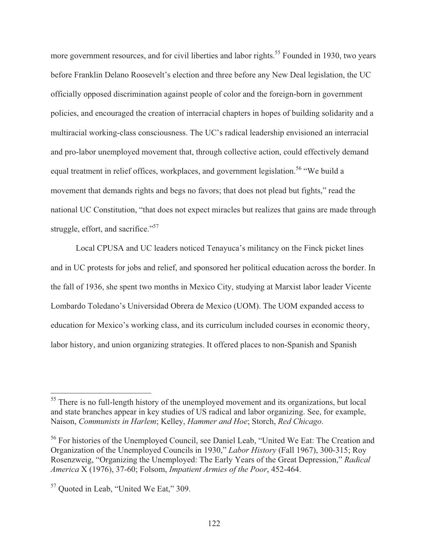more government resources, and for civil liberties and labor rights.<sup>55</sup> Founded in 1930, two years before Franklin Delano Roosevelt's election and three before any New Deal legislation, the UC officially opposed discrimination against people of color and the foreign-born in government policies, and encouraged the creation of interracial chapters in hopes of building solidarity and a multiracial working-class consciousness. The UC's radical leadership envisioned an interracial and pro-labor unemployed movement that, through collective action, could effectively demand equal treatment in relief offices, workplaces, and government legislation.<sup>56</sup> "We build a movement that demands rights and begs no favors; that does not plead but fights," read the national UC Constitution, "that does not expect miracles but realizes that gains are made through struggle, effort, and sacrifice."<sup>57</sup>

 Local CPUSA and UC leaders noticed Tenayuca's militancy on the Finck picket lines and in UC protests for jobs and relief, and sponsored her political education across the border. In the fall of 1936, she spent two months in Mexico City, studying at Marxist labor leader Vicente Lombardo Toledano's Universidad Obrera de Mexico (UOM). The UOM expanded access to education for Mexico's working class, and its curriculum included courses in economic theory, labor history, and union organizing strategies. It offered places to non-Spanish and Spanish

<sup>&</sup>lt;sup>55</sup> There is no full-length history of the unemployed movement and its organizations, but local and state branches appear in key studies of US radical and labor organizing. See, for example, Naison, *Communists in Harlem*; Kelley, *Hammer and Hoe*; Storch, *Red Chicago*.

<sup>56</sup> For histories of the Unemployed Council, see Daniel Leab, "United We Eat: The Creation and Organization of the Unemployed Councils in 1930," *Labor History* (Fall 1967), 300-315; Roy Rosenzweig, "Organizing the Unemployed: The Early Years of the Great Depression," *Radical America* X (1976), 37-60; Folsom, *Impatient Armies of the Poor*, 452-464.

<sup>57</sup> Quoted in Leab, "United We Eat," 309.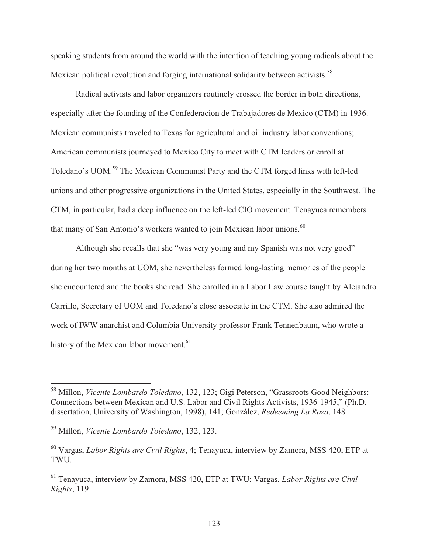speaking students from around the world with the intention of teaching young radicals about the Mexican political revolution and forging international solidarity between activists.<sup>58</sup>

 Radical activists and labor organizers routinely crossed the border in both directions, especially after the founding of the Confederacion de Trabajadores de Mexico (CTM) in 1936. Mexican communists traveled to Texas for agricultural and oil industry labor conventions; American communists journeyed to Mexico City to meet with CTM leaders or enroll at Toledano's UOM.59 The Mexican Communist Party and the CTM forged links with left-led unions and other progressive organizations in the United States, especially in the Southwest. The CTM, in particular, had a deep influence on the left-led CIO movement. Tenayuca remembers that many of San Antonio's workers wanted to join Mexican labor unions.<sup>60</sup>

 Although she recalls that she "was very young and my Spanish was not very good" during her two months at UOM, she nevertheless formed long-lasting memories of the people she encountered and the books she read. She enrolled in a Labor Law course taught by Alejandro Carrillo, Secretary of UOM and Toledano's close associate in the CTM. She also admired the work of IWW anarchist and Columbia University professor Frank Tennenbaum, who wrote a history of the Mexican labor movement.<sup>61</sup>

<sup>58</sup> Millon, *Vicente Lombardo Toledano*, 132, 123; Gigi Peterson, "Grassroots Good Neighbors: Connections between Mexican and U.S. Labor and Civil Rights Activists, 1936-1945," (Ph.D. dissertation, University of Washington, 1998), 141; González, *Redeeming La Raza*, 148.

<sup>59</sup> Millon, *Vicente Lombardo Toledano*, 132, 123.

<sup>60</sup> Vargas, *Labor Rights are Civil Rights*, 4; Tenayuca, interview by Zamora, MSS 420, ETP at TWU.

<sup>61</sup> Tenayuca, interview by Zamora, MSS 420, ETP at TWU; Vargas, *Labor Rights are Civil Rights*, 119.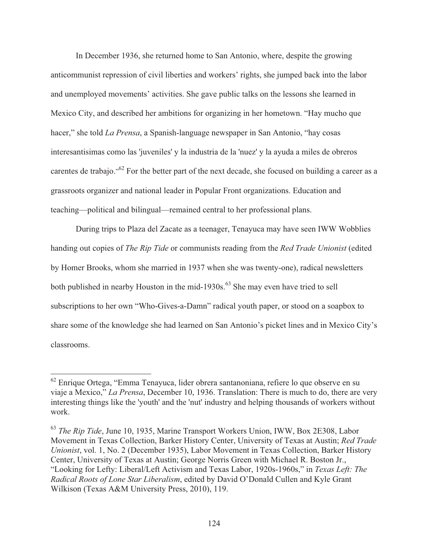In December 1936, she returned home to San Antonio, where, despite the growing anticommunist repression of civil liberties and workers' rights, she jumped back into the labor and unemployed movements' activities. She gave public talks on the lessons she learned in Mexico City, and described her ambitions for organizing in her hometown. "Hay mucho que hacer," she told *La Prensa*, a Spanish-language newspaper in San Antonio, "hay cosas interesantisimas como las 'juveniles' y la industria de la 'nuez' y la ayuda a miles de obreros carentes de trabajo."<sup>62</sup> For the better part of the next decade, she focused on building a career as a grassroots organizer and national leader in Popular Front organizations. Education and teaching—political and bilingual—remained central to her professional plans.

 During trips to Plaza del Zacate as a teenager, Tenayuca may have seen IWW Wobblies handing out copies of *The Rip Tide* or communists reading from the *Red Trade Unionist* (edited by Homer Brooks, whom she married in 1937 when she was twenty-one), radical newsletters both published in nearby Houston in the mid-1930s.<sup>63</sup> She may even have tried to sell subscriptions to her own "Who-Gives-a-Damn" radical youth paper, or stood on a soapbox to share some of the knowledge she had learned on San Antonio's picket lines and in Mexico City's classrooms.

 $62$  Enrique Ortega, "Emma Tenayuca, lider obrera santanoniana, refiere lo que observe en su viaje a Mexico," *La Prensa*, December 10, 1936. Translation: There is much to do, there are very interesting things like the 'youth' and the 'nut' industry and helping thousands of workers without work.

<sup>63</sup> *The Rip Tide*, June 10, 1935, Marine Transport Workers Union, IWW, Box 2E308, Labor Movement in Texas Collection, Barker History Center, University of Texas at Austin; *Red Trade Unionist*, vol. 1, No. 2 (December 1935), Labor Movement in Texas Collection, Barker History Center, University of Texas at Austin; George Norris Green with Michael R. Boston Jr., "Looking for Lefty: Liberal/Left Activism and Texas Labor, 1920s-1960s," in *Texas Left: The Radical Roots of Lone Star Liberalism*, edited by David O'Donald Cullen and Kyle Grant Wilkison (Texas A&M University Press, 2010), 119.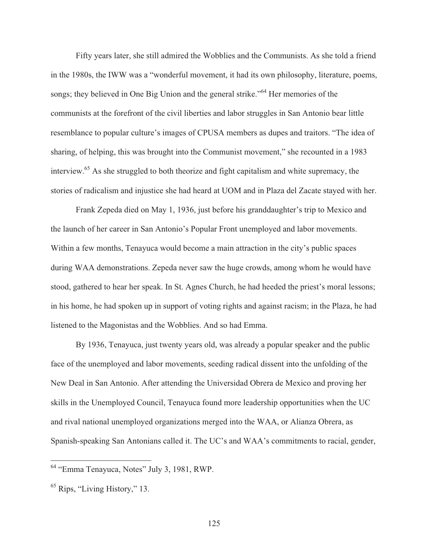Fifty years later, she still admired the Wobblies and the Communists. As she told a friend in the 1980s, the IWW was a "wonderful movement, it had its own philosophy, literature, poems, songs; they believed in One Big Union and the general strike."<sup>64</sup> Her memories of the communists at the forefront of the civil liberties and labor struggles in San Antonio bear little resemblance to popular culture's images of CPUSA members as dupes and traitors. "The idea of sharing, of helping, this was brought into the Communist movement," she recounted in a 1983 interview.65 As she struggled to both theorize and fight capitalism and white supremacy, the stories of radicalism and injustice she had heard at UOM and in Plaza del Zacate stayed with her.

 Frank Zepeda died on May 1, 1936, just before his granddaughter's trip to Mexico and the launch of her career in San Antonio's Popular Front unemployed and labor movements. Within a few months, Tenayuca would become a main attraction in the city's public spaces during WAA demonstrations. Zepeda never saw the huge crowds, among whom he would have stood, gathered to hear her speak. In St. Agnes Church, he had heeded the priest's moral lessons; in his home, he had spoken up in support of voting rights and against racism; in the Plaza, he had listened to the Magonistas and the Wobblies. And so had Emma.

 By 1936, Tenayuca, just twenty years old, was already a popular speaker and the public face of the unemployed and labor movements, seeding radical dissent into the unfolding of the New Deal in San Antonio. After attending the Universidad Obrera de Mexico and proving her skills in the Unemployed Council, Tenayuca found more leadership opportunities when the UC and rival national unemployed organizations merged into the WAA, or Alianza Obrera, as Spanish-speaking San Antonians called it. The UC's and WAA's commitments to racial, gender,

<sup>64 &</sup>quot;Emma Tenayuca, Notes" July 3, 1981, RWP.

 $<sup>65</sup>$  Rips, "Living History," 13.</sup>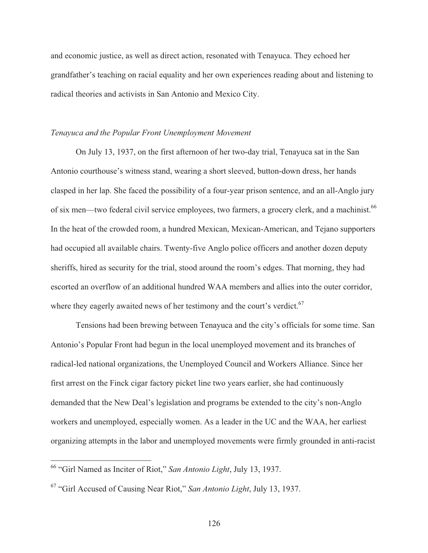and economic justice, as well as direct action, resonated with Tenayuca. They echoed her grandfather's teaching on racial equality and her own experiences reading about and listening to radical theories and activists in San Antonio and Mexico City.

### *Tenayuca and the Popular Front Unemployment Movement*

 On July 13, 1937, on the first afternoon of her two-day trial, Tenayuca sat in the San Antonio courthouse's witness stand, wearing a short sleeved, button-down dress, her hands clasped in her lap. She faced the possibility of a four-year prison sentence, and an all-Anglo jury of six men—two federal civil service employees, two farmers, a grocery clerk, and a machinist.<sup>66</sup> In the heat of the crowded room, a hundred Mexican, Mexican-American, and Tejano supporters had occupied all available chairs. Twenty-five Anglo police officers and another dozen deputy sheriffs, hired as security for the trial, stood around the room's edges. That morning, they had escorted an overflow of an additional hundred WAA members and allies into the outer corridor, where they eagerly awaited news of her testimony and the court's verdict.<sup>67</sup>

 Tensions had been brewing between Tenayuca and the city's officials for some time. San Antonio's Popular Front had begun in the local unemployed movement and its branches of radical-led national organizations, the Unemployed Council and Workers Alliance. Since her first arrest on the Finck cigar factory picket line two years earlier, she had continuously demanded that the New Deal's legislation and programs be extended to the city's non-Anglo workers and unemployed, especially women. As a leader in the UC and the WAA, her earliest organizing attempts in the labor and unemployed movements were firmly grounded in anti-racist

<sup>66 &</sup>quot;Girl Named as Inciter of Riot," *San Antonio Light*, July 13, 1937.

<sup>67 &</sup>quot;Girl Accused of Causing Near Riot," *San Antonio Light*, July 13, 1937.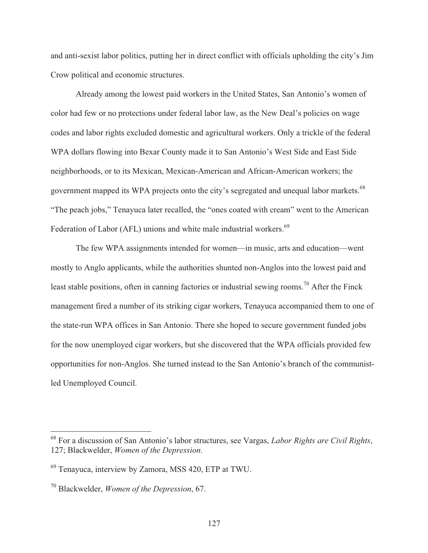and anti-sexist labor politics, putting her in direct conflict with officials upholding the city's Jim Crow political and economic structures.

 Already among the lowest paid workers in the United States, San Antonio's women of color had few or no protections under federal labor law, as the New Deal's policies on wage codes and labor rights excluded domestic and agricultural workers. Only a trickle of the federal WPA dollars flowing into Bexar County made it to San Antonio's West Side and East Side neighborhoods, or to its Mexican, Mexican-American and African-American workers; the government mapped its WPA projects onto the city's segregated and unequal labor markets.<sup>68</sup> "The peach jobs," Tenayuca later recalled, the "ones coated with cream" went to the American Federation of Labor (AFL) unions and white male industrial workers.<sup>69</sup>

 The few WPA assignments intended for women—in music, arts and education—went mostly to Anglo applicants, while the authorities shunted non-Anglos into the lowest paid and least stable positions, often in canning factories or industrial sewing rooms.<sup>70</sup> After the Finck management fired a number of its striking cigar workers, Tenayuca accompanied them to one of the state-run WPA offices in San Antonio. There she hoped to secure government funded jobs for the now unemployed cigar workers, but she discovered that the WPA officials provided few opportunities for non-Anglos. She turned instead to the San Antonio's branch of the communistled Unemployed Council.

<sup>68</sup> For a discussion of San Antonio's labor structures, see Vargas, *Labor Rights are Civil Rights*, 127; Blackwelder, *Women of the Depression*.

<sup>69</sup> Tenayuca, interview by Zamora, MSS 420, ETP at TWU.

<sup>70</sup> Blackwelder, *Women of the Depression*, 67.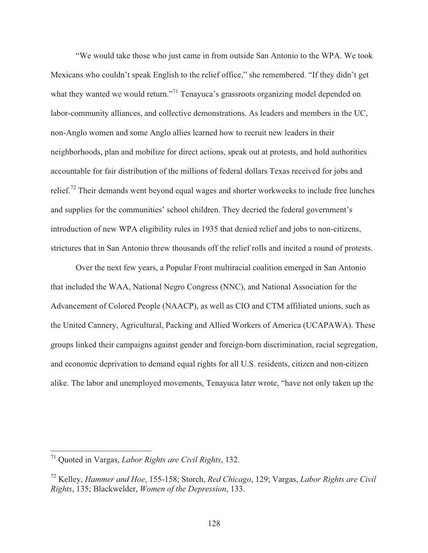"We would take those who just came in from outside San Antonio to the WPA. We took Mexicans who couldn't speak English to the relief office," she remembered. "If they didn't get what they wanted we would return."<sup>71</sup> Tenayuca's grassroots organizing model depended on labor-community alliances, and collective demonstrations. As leaders and members in the UC, non-Anglo women and some Anglo allies learned how to recruit new leaders in their neighborhoods, plan and mobilize for direct actions, speak out at protests, and hold authorities accountable for fair distribution of the millions of federal dollars Texas received for jobs and relief.<sup>72</sup> Their demands went beyond equal wages and shorter workweeks to include free lunches and supplies for the communities' school children. They decried the federal government's introduction of new WPA eligibility rules in 1935 that denied relief and jobs to non-citizens, strictures that in San Antonio threw thousands off the relief rolls and incited a round of protests.

 Over the next few years, a Popular Front multiracial coalition emerged in San Antonio that included the WAA, National Negro Congress (NNC), and National Association for the Advancement of Colored People (NAACP), as well as CIO and CTM affiliated unions, such as the United Cannery, Agricultural, Packing and Allied Workers of America (UCAPAWA). These groups linked their campaigns against gender and foreign-born discrimination, racial segregation, and economic deprivation to demand equal rights for all U.S. residents, citizen and non-citizen alike. The labor and unemployed movements, Tenayuca later wrote, "have not only taken up the

<sup>71</sup> Quoted in Vargas, *Labor Rights are Civil Rights*, 132.

<sup>72</sup> Kelley, *Hammer and Hoe*, 155-158; Storch, *Red Chicago*, 129; Vargas, *Labor Rights are Civil Rights*, 135; Blackwelder, *Women of the Depression*, 133.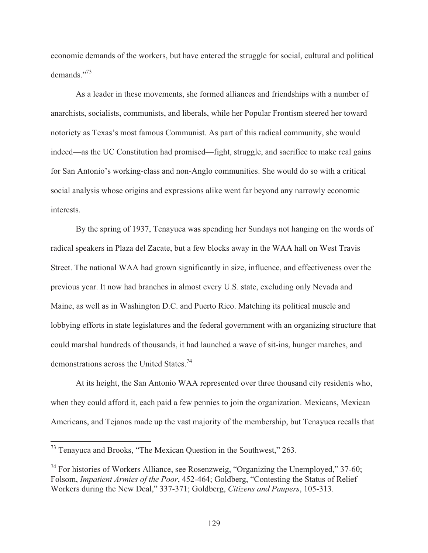economic demands of the workers, but have entered the struggle for social, cultural and political demands."73

 As a leader in these movements, she formed alliances and friendships with a number of anarchists, socialists, communists, and liberals, while her Popular Frontism steered her toward notoriety as Texas's most famous Communist. As part of this radical community, she would indeed—as the UC Constitution had promised—fight, struggle, and sacrifice to make real gains for San Antonio's working-class and non-Anglo communities. She would do so with a critical social analysis whose origins and expressions alike went far beyond any narrowly economic interests.

By the spring of 1937, Tenayuca was spending her Sundays not hanging on the words of radical speakers in Plaza del Zacate, but a few blocks away in the WAA hall on West Travis Street. The national WAA had grown significantly in size, influence, and effectiveness over the previous year. It now had branches in almost every U.S. state, excluding only Nevada and Maine, as well as in Washington D.C. and Puerto Rico. Matching its political muscle and lobbying efforts in state legislatures and the federal government with an organizing structure that could marshal hundreds of thousands, it had launched a wave of sit-ins, hunger marches, and demonstrations across the United States.<sup>74</sup>

 At its height, the San Antonio WAA represented over three thousand city residents who, when they could afford it, each paid a few pennies to join the organization. Mexicans, Mexican Americans, and Tejanos made up the vast majority of the membership, but Tenayuca recalls that

 $73$  Tenayuca and Brooks, "The Mexican Question in the Southwest," 263.

 $74$  For histories of Workers Alliance, see Rosenzweig, "Organizing the Unemployed," 37-60; Folsom, *Impatient Armies of the Poor*, 452-464; Goldberg, "Contesting the Status of Relief Workers during the New Deal," 337-371; Goldberg, *Citizens and Paupers*, 105-313.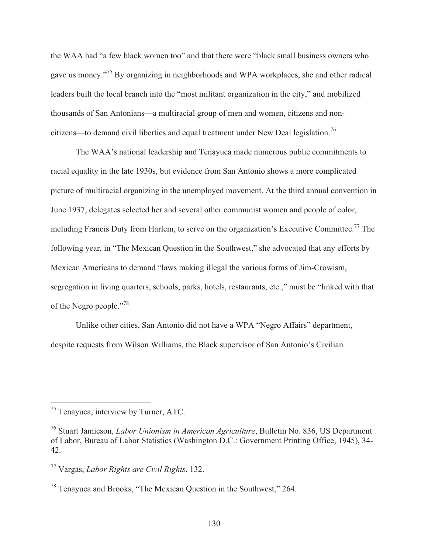the WAA had "a few black women too" and that there were "black small business owners who gave us money."75 By organizing in neighborhoods and WPA workplaces, she and other radical leaders built the local branch into the "most militant organization in the city," and mobilized thousands of San Antonians—a multiracial group of men and women, citizens and noncitizens—to demand civil liberties and equal treatment under New Deal legislation.<sup>76</sup>

 The WAA's national leadership and Tenayuca made numerous public commitments to racial equality in the late 1930s, but evidence from San Antonio shows a more complicated picture of multiracial organizing in the unemployed movement. At the third annual convention in June 1937, delegates selected her and several other communist women and people of color, including Francis Duty from Harlem, to serve on the organization's Executive Committee.<sup>77</sup> The following year, in "The Mexican Question in the Southwest," she advocated that any efforts by Mexican Americans to demand "laws making illegal the various forms of Jim-Crowism, segregation in living quarters, schools, parks, hotels, restaurants, etc.," must be "linked with that of the Negro people."<sup>78</sup>

 Unlike other cities, San Antonio did not have a WPA "Negro Affairs" department, despite requests from Wilson Williams, the Black supervisor of San Antonio's Civilian

<sup>&</sup>lt;sup>75</sup> Tenayuca, interview by Turner, ATC.

<sup>76</sup> Stuart Jamieson, *Labor Unionism in American Agriculture*, Bulletin No. 836, US Department of Labor, Bureau of Labor Statistics (Washington D.C.: Government Printing Office, 1945), 34- 42.

<sup>77</sup> Vargas, *Labor Rights are Civil Rights*, 132.

<sup>78</sup> Tenayuca and Brooks, "The Mexican Question in the Southwest," 264.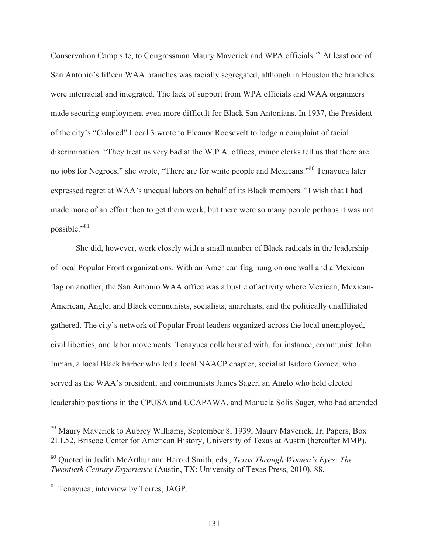Conservation Camp site, to Congressman Maury Maverick and WPA officials.79 At least one of San Antonio's fifteen WAA branches was racially segregated, although in Houston the branches were interracial and integrated. The lack of support from WPA officials and WAA organizers made securing employment even more difficult for Black San Antonians. In 1937, the President of the city's "Colored" Local 3 wrote to Eleanor Roosevelt to lodge a complaint of racial discrimination. "They treat us very bad at the W.P.A. offices, minor clerks tell us that there are no jobs for Negroes," she wrote, "There are for white people and Mexicans."80 Tenayuca later expressed regret at WAA's unequal labors on behalf of its Black members. "I wish that I had made more of an effort then to get them work, but there were so many people perhaps it was not possible."<sup>81</sup>

She did, however, work closely with a small number of Black radicals in the leadership of local Popular Front organizations. With an American flag hung on one wall and a Mexican flag on another, the San Antonio WAA office was a bustle of activity where Mexican, Mexican-American, Anglo, and Black communists, socialists, anarchists, and the politically unaffiliated gathered. The city's network of Popular Front leaders organized across the local unemployed, civil liberties, and labor movements. Tenayuca collaborated with, for instance, communist John Inman, a local Black barber who led a local NAACP chapter; socialist Isidoro Gomez, who served as the WAA's president; and communists James Sager, an Anglo who held elected leadership positions in the CPUSA and UCAPAWA, and Manuela Solis Sager, who had attended

<sup>&</sup>lt;sup>79</sup> Maury Maverick to Aubrey Williams, September 8, 1939, Maury Maverick, Jr. Papers, Box 2LL52, Briscoe Center for American History, University of Texas at Austin (hereafter MMP).

<sup>80</sup> Quoted in Judith McArthur and Harold Smith, eds., *Texas Through Women's Eyes: The Twentieth Century Experience* (Austin, TX: University of Texas Press, 2010), 88.

<sup>81</sup> Tenayuca, interview by Torres, JAGP.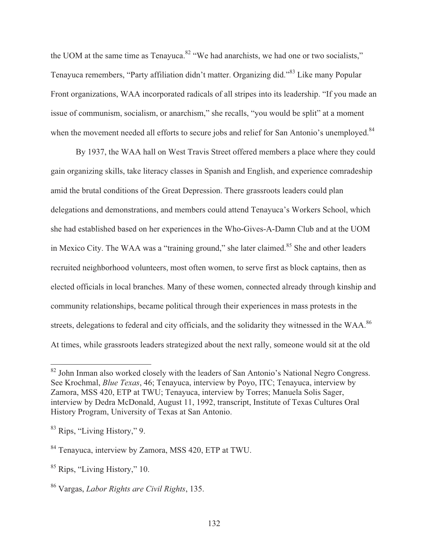the UOM at the same time as Tenayuca.<sup>82</sup> "We had anarchists, we had one or two socialists," Tenayuca remembers, "Party affiliation didn't matter. Organizing did."83 Like many Popular Front organizations, WAA incorporated radicals of all stripes into its leadership. "If you made an issue of communism, socialism, or anarchism," she recalls, "you would be split" at a moment when the movement needed all efforts to secure jobs and relief for San Antonio's unemployed.<sup>84</sup>

 By 1937, the WAA hall on West Travis Street offered members a place where they could gain organizing skills, take literacy classes in Spanish and English, and experience comradeship amid the brutal conditions of the Great Depression. There grassroots leaders could plan delegations and demonstrations, and members could attend Tenayuca's Workers School, which she had established based on her experiences in the Who-Gives-A-Damn Club and at the UOM in Mexico City. The WAA was a "training ground," she later claimed.<sup>85</sup> She and other leaders recruited neighborhood volunteers, most often women, to serve first as block captains, then as elected officials in local branches. Many of these women, connected already through kinship and community relationships, became political through their experiences in mass protests in the streets, delegations to federal and city officials, and the solidarity they witnessed in the WAA.<sup>86</sup> At times, while grassroots leaders strategized about the next rally, someone would sit at the old

 $82$  John Inman also worked closely with the leaders of San Antonio's National Negro Congress. See Krochmal, *Blue Texas*, 46; Tenayuca, interview by Poyo, ITC; Tenayuca, interview by Zamora, MSS 420, ETP at TWU; Tenayuca, interview by Torres; Manuela Solis Sager, interview by Dedra McDonald, August 11, 1992, transcript, Institute of Texas Cultures Oral History Program, University of Texas at San Antonio.

<sup>83</sup> Rips, "Living History," 9.

<sup>84</sup> Tenayuca, interview by Zamora, MSS 420, ETP at TWU.

<sup>85</sup> Rips, "Living History," 10.

<sup>86</sup> Vargas, *Labor Rights are Civil Rights*, 135.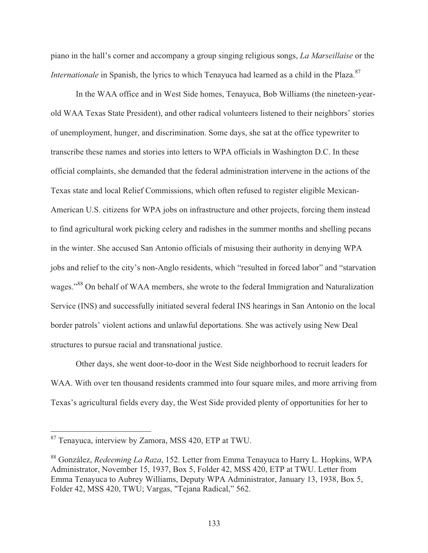piano in the hall's corner and accompany a group singing religious songs, *La Marseillaise* or the *Internationale* in Spanish, the lyrics to which Tenayuca had learned as a child in the Plaza.<sup>87</sup>

 In the WAA office and in West Side homes, Tenayuca, Bob Williams (the nineteen-yearold WAA Texas State President), and other radical volunteers listened to their neighbors' stories of unemployment, hunger, and discrimination. Some days, she sat at the office typewriter to transcribe these names and stories into letters to WPA officials in Washington D.C. In these official complaints, she demanded that the federal administration intervene in the actions of the Texas state and local Relief Commissions, which often refused to register eligible Mexican-American U.S. citizens for WPA jobs on infrastructure and other projects, forcing them instead to find agricultural work picking celery and radishes in the summer months and shelling pecans in the winter. She accused San Antonio officials of misusing their authority in denying WPA jobs and relief to the city's non-Anglo residents, which "resulted in forced labor" and "starvation wages."<sup>88</sup> On behalf of WAA members, she wrote to the federal Immigration and Naturalization Service (INS) and successfully initiated several federal INS hearings in San Antonio on the local border patrols' violent actions and unlawful deportations. She was actively using New Deal structures to pursue racial and transnational justice.

 Other days, she went door-to-door in the West Side neighborhood to recruit leaders for WAA. With over ten thousand residents crammed into four square miles, and more arriving from Texas's agricultural fields every day, the West Side provided plenty of opportunities for her to

<sup>&</sup>lt;sup>87</sup> Tenayuca, interview by Zamora, MSS 420, ETP at TWU.

<sup>88</sup> González, *Redeeming La Raza*, 152. Letter from Emma Tenayuca to Harry L. Hopkins, WPA Administrator, November 15, 1937, Box 5, Folder 42, MSS 420, ETP at TWU. Letter from Emma Tenayuca to Aubrey Williams, Deputy WPA Administrator, January 13, 1938, Box 5, Folder 42, MSS 420, TWU; Vargas, "Tejana Radical," 562.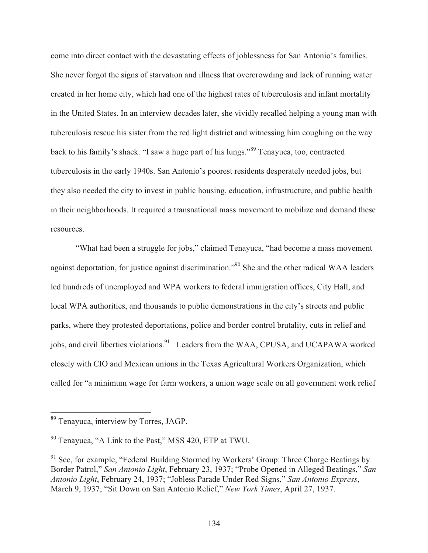come into direct contact with the devastating effects of joblessness for San Antonio's families. She never forgot the signs of starvation and illness that overcrowding and lack of running water created in her home city, which had one of the highest rates of tuberculosis and infant mortality in the United States. In an interview decades later, she vividly recalled helping a young man with tuberculosis rescue his sister from the red light district and witnessing him coughing on the way back to his family's shack. "I saw a huge part of his lungs."89 Tenayuca, too, contracted tuberculosis in the early 1940s. San Antonio's poorest residents desperately needed jobs, but they also needed the city to invest in public housing, education, infrastructure, and public health in their neighborhoods. It required a transnational mass movement to mobilize and demand these resources.

 "What had been a struggle for jobs," claimed Tenayuca, "had become a mass movement against deportation, for justice against discrimination."90 She and the other radical WAA leaders led hundreds of unemployed and WPA workers to federal immigration offices, City Hall, and local WPA authorities, and thousands to public demonstrations in the city's streets and public parks, where they protested deportations, police and border control brutality, cuts in relief and jobs, and civil liberties violations.<sup>91</sup> Leaders from the WAA, CPUSA, and UCAPAWA worked closely with CIO and Mexican unions in the Texas Agricultural Workers Organization, which called for "a minimum wage for farm workers, a union wage scale on all government work relief

<sup>&</sup>lt;sup>89</sup> Tenayuca, interview by Torres, JAGP.

<sup>90</sup> Tenayuca, "A Link to the Past," MSS 420, ETP at TWU.

 $91$  See, for example, "Federal Building Stormed by Workers' Group: Three Charge Beatings by Border Patrol," *San Antonio Light*, February 23, 1937; "Probe Opened in Alleged Beatings," *San Antonio Light*, February 24, 1937; "Jobless Parade Under Red Signs," *San Antonio Express*, March 9, 1937; "Sit Down on San Antonio Relief," *New York Times*, April 27, 1937.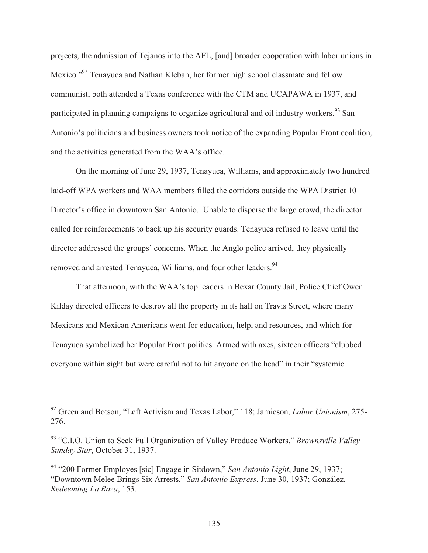projects, the admission of Tejanos into the AFL, [and] broader cooperation with labor unions in Mexico."92 Tenayuca and Nathan Kleban, her former high school classmate and fellow communist, both attended a Texas conference with the CTM and UCAPAWA in 1937, and participated in planning campaigns to organize agricultural and oil industry workers.<sup>93</sup> San Antonio's politicians and business owners took notice of the expanding Popular Front coalition, and the activities generated from the WAA's office.

 On the morning of June 29, 1937, Tenayuca, Williams, and approximately two hundred laid-off WPA workers and WAA members filled the corridors outside the WPA District 10 Director's office in downtown San Antonio. Unable to disperse the large crowd, the director called for reinforcements to back up his security guards. Tenayuca refused to leave until the director addressed the groups' concerns. When the Anglo police arrived, they physically removed and arrested Tenayuca, Williams, and four other leaders.<sup>94</sup>

 That afternoon, with the WAA's top leaders in Bexar County Jail, Police Chief Owen Kilday directed officers to destroy all the property in its hall on Travis Street, where many Mexicans and Mexican Americans went for education, help, and resources, and which for Tenayuca symbolized her Popular Front politics. Armed with axes, sixteen officers "clubbed everyone within sight but were careful not to hit anyone on the head" in their "systemic

<sup>92</sup> Green and Botson, "Left Activism and Texas Labor," 118; Jamieson, *Labor Unionism*, 275- 276.

<sup>93 &</sup>quot;C.I.O. Union to Seek Full Organization of Valley Produce Workers," *Brownsville Valley Sunday Star*, October 31, 1937.

<sup>94 &</sup>quot;200 Former Employes [sic] Engage in Sitdown," *San Antonio Light*, June 29, 1937; "Downtown Melee Brings Six Arrests," *San Antonio Express*, June 30, 1937; González, *Redeeming La Raza*, 153.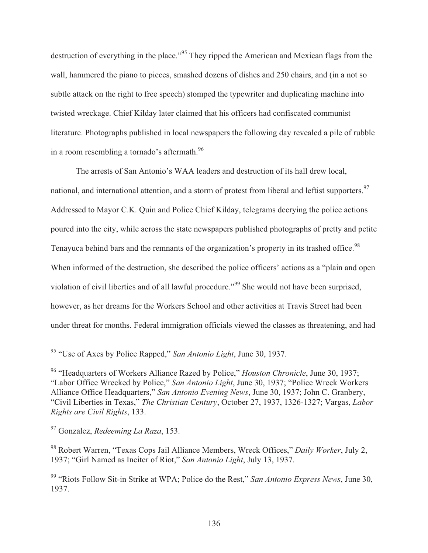destruction of everything in the place."<sup>95</sup> They ripped the American and Mexican flags from the wall, hammered the piano to pieces, smashed dozens of dishes and 250 chairs, and (in a not so subtle attack on the right to free speech) stomped the typewriter and duplicating machine into twisted wreckage. Chief Kilday later claimed that his officers had confiscated communist literature. Photographs published in local newspapers the following day revealed a pile of rubble in a room resembling a tornado's aftermath.<sup>96</sup>

 The arrests of San Antonio's WAA leaders and destruction of its hall drew local, national, and international attention, and a storm of protest from liberal and leftist supporters.<sup>97</sup> Addressed to Mayor C.K. Quin and Police Chief Kilday, telegrams decrying the police actions poured into the city, while across the state newspapers published photographs of pretty and petite Tenayuca behind bars and the remnants of the organization's property in its trashed office.<sup>98</sup> When informed of the destruction, she described the police officers' actions as a "plain and open violation of civil liberties and of all lawful procedure."99 She would not have been surprised, however, as her dreams for the Workers School and other activities at Travis Street had been under threat for months. Federal immigration officials viewed the classes as threatening, and had

97 Gonzalez, *Redeeming La Raza*, 153.

 $\overline{\phantom{a}}$ 95 "Use of Axes by Police Rapped," *San Antonio Light*, June 30, 1937.

<sup>96 &</sup>quot;Headquarters of Workers Alliance Razed by Police," *Houston Chronicle*, June 30, 1937; "Labor Office Wrecked by Police," *San Antonio Light*, June 30, 1937; "Police Wreck Workers Alliance Office Headquarters," *San Antonio Evening News*, June 30, 1937; John C. Granbery, "Civil Liberties in Texas," *The Christian Century*, October 27, 1937, 1326-1327; Vargas, *Labor Rights are Civil Rights*, 133.

<sup>98</sup> Robert Warren, "Texas Cops Jail Alliance Members, Wreck Offices," *Daily Worker*, July 2, 1937; "Girl Named as Inciter of Riot," *San Antonio Light*, July 13, 1937.

<sup>99 &</sup>quot;Riots Follow Sit-in Strike at WPA; Police do the Rest," *San Antonio Express News*, June 30, 1937.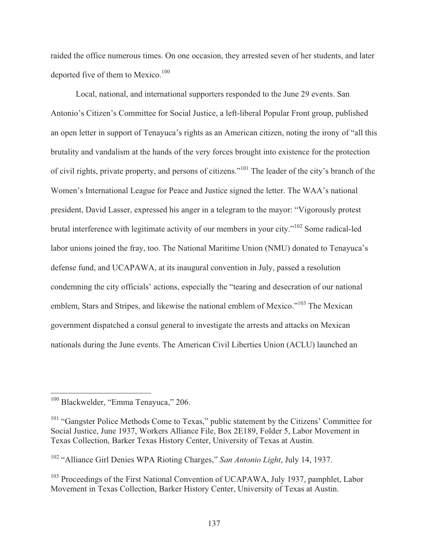raided the office numerous times. On one occasion, they arrested seven of her students, and later deported five of them to Mexico.<sup>100</sup>

 Local, national, and international supporters responded to the June 29 events. San Antonio's Citizen's Committee for Social Justice, a left-liberal Popular Front group, published an open letter in support of Tenayuca's rights as an American citizen, noting the irony of "all this brutality and vandalism at the hands of the very forces brought into existence for the protection of civil rights, private property, and persons of citizens."101 The leader of the city's branch of the Women's International League for Peace and Justice signed the letter. The WAA's national president, David Lasser, expressed his anger in a telegram to the mayor: "Vigorously protest brutal interference with legitimate activity of our members in your city."102 Some radical-led labor unions joined the fray, too. The National Maritime Union (NMU) donated to Tenayuca's defense fund, and UCAPAWA, at its inaugural convention in July, passed a resolution condemning the city officials' actions, especially the "tearing and desecration of our national emblem, Stars and Stripes, and likewise the national emblem of Mexico."<sup>103</sup> The Mexican government dispatched a consul general to investigate the arrests and attacks on Mexican nationals during the June events. The American Civil Liberties Union (ACLU) launched an

<sup>&</sup>lt;sup>100</sup> Blackwelder, "Emma Tenayuca," 206.

 $101$  "Gangster Police Methods Come to Texas," public statement by the Citizens' Committee for Social Justice, June 1937, Workers Alliance File, Box 2E189, Folder 5, Labor Movement in Texas Collection, Barker Texas History Center, University of Texas at Austin.

<sup>102 &</sup>quot;Alliance Girl Denies WPA Rioting Charges," *San Antonio Light*, July 14, 1937.

 $103$  Proceedings of the First National Convention of UCAPAWA, July 1937, pamphlet, Labor Movement in Texas Collection, Barker History Center, University of Texas at Austin.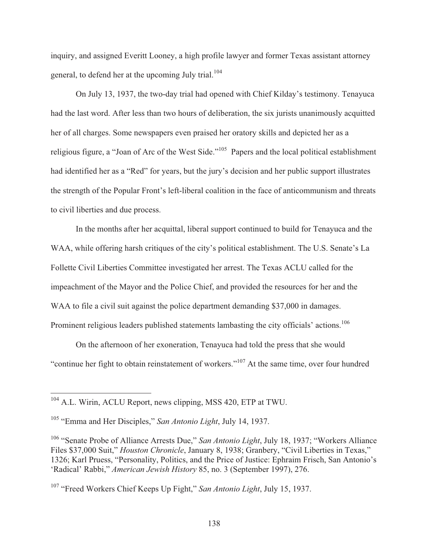inquiry, and assigned Everitt Looney, a high profile lawyer and former Texas assistant attorney general, to defend her at the upcoming July trial.<sup>104</sup>

 On July 13, 1937, the two-day trial had opened with Chief Kilday's testimony. Tenayuca had the last word. After less than two hours of deliberation, the six jurists unanimously acquitted her of all charges. Some newspapers even praised her oratory skills and depicted her as a religious figure, a "Joan of Arc of the West Side."105 Papers and the local political establishment had identified her as a "Red" for years, but the jury's decision and her public support illustrates the strength of the Popular Front's left-liberal coalition in the face of anticommunism and threats to civil liberties and due process.

 In the months after her acquittal, liberal support continued to build for Tenayuca and the WAA, while offering harsh critiques of the city's political establishment. The U.S. Senate's La Follette Civil Liberties Committee investigated her arrest. The Texas ACLU called for the impeachment of the Mayor and the Police Chief, and provided the resources for her and the WAA to file a civil suit against the police department demanding \$37,000 in damages. Prominent religious leaders published statements lambasting the city officials' actions.<sup>106</sup>

 On the afternoon of her exoneration, Tenayuca had told the press that she would "continue her fight to obtain reinstatement of workers."107 At the same time, over four hundred

<sup>&</sup>lt;sup>104</sup> A.L. Wirin, ACLU Report, news clipping, MSS 420, ETP at TWU.

<sup>105 &</sup>quot;Emma and Her Disciples," *San Antonio Light*, July 14, 1937.

<sup>106 &</sup>quot;Senate Probe of Alliance Arrests Due," *San Antonio Light*, July 18, 1937; "Workers Alliance Files \$37,000 Suit," *Houston Chronicle*, January 8, 1938; Granbery, "Civil Liberties in Texas," 1326; Karl Pruess, "Personality, Politics, and the Price of Justice: Ephraim Frisch, San Antonio's 'Radical' Rabbi," *American Jewish History* 85, no. 3 (September 1997), 276.

<sup>107 &</sup>quot;Freed Workers Chief Keeps Up Fight," *San Antonio Light*, July 15, 1937.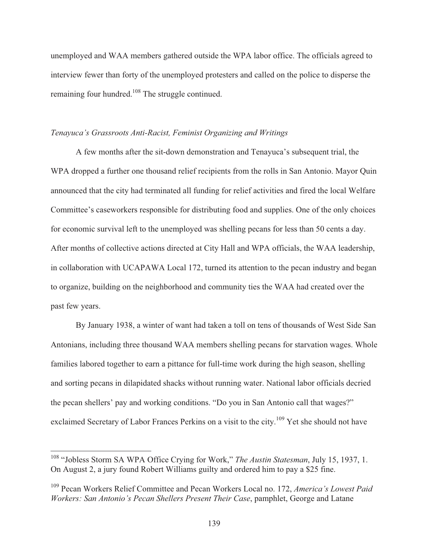unemployed and WAA members gathered outside the WPA labor office. The officials agreed to interview fewer than forty of the unemployed protesters and called on the police to disperse the remaining four hundred.<sup>108</sup> The struggle continued.

#### *Tenayuca's Grassroots Anti-Racist, Feminist Organizing and Writings*

 A few months after the sit-down demonstration and Tenayuca's subsequent trial, the WPA dropped a further one thousand relief recipients from the rolls in San Antonio. Mayor Quin announced that the city had terminated all funding for relief activities and fired the local Welfare Committee's caseworkers responsible for distributing food and supplies. One of the only choices for economic survival left to the unemployed was shelling pecans for less than 50 cents a day. After months of collective actions directed at City Hall and WPA officials, the WAA leadership, in collaboration with UCAPAWA Local 172, turned its attention to the pecan industry and began to organize, building on the neighborhood and community ties the WAA had created over the past few years.

 By January 1938, a winter of want had taken a toll on tens of thousands of West Side San Antonians, including three thousand WAA members shelling pecans for starvation wages. Whole families labored together to earn a pittance for full-time work during the high season, shelling and sorting pecans in dilapidated shacks without running water. National labor officials decried the pecan shellers' pay and working conditions. "Do you in San Antonio call that wages?" exclaimed Secretary of Labor Frances Perkins on a visit to the city.<sup>109</sup> Yet she should not have

<sup>108 &</sup>quot;Jobless Storm SA WPA Office Crying for Work," *The Austin Statesman*, July 15, 1937, 1. On August 2, a jury found Robert Williams guilty and ordered him to pay a \$25 fine.

<sup>109</sup> Pecan Workers Relief Committee and Pecan Workers Local no. 172, *America's Lowest Paid Workers: San Antonio's Pecan Shellers Present Their Case*, pamphlet, George and Latane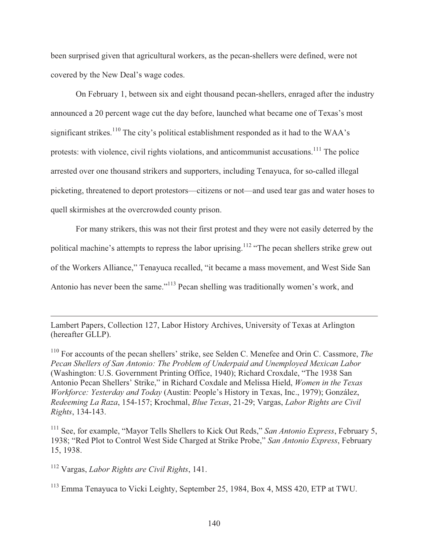been surprised given that agricultural workers, as the pecan-shellers were defined, were not covered by the New Deal's wage codes.

 On February 1, between six and eight thousand pecan-shellers, enraged after the industry announced a 20 percent wage cut the day before, launched what became one of Texas's most significant strikes.<sup>110</sup> The city's political establishment responded as it had to the WAA's protests: with violence, civil rights violations, and anticommunist accusations.<sup>111</sup> The police arrested over one thousand strikers and supporters, including Tenayuca, for so-called illegal picketing, threatened to deport protestors—citizens or not—and used tear gas and water hoses to quell skirmishes at the overcrowded county prison.

For many strikers, this was not their first protest and they were not easily deterred by the political machine's attempts to repress the labor uprising.<sup>112</sup> "The pecan shellers strike grew out of the Workers Alliance," Tenayuca recalled, "it became a mass movement, and West Side San Antonio has never been the same."<sup>113</sup> Pecan shelling was traditionally women's work, and

Lambert Papers, Collection 127, Labor History Archives, University of Texas at Arlington (hereafter GLLP).

110 For accounts of the pecan shellers' strike, see Selden C. Menefee and Orin C. Cassmore, *The Pecan Shellers of San Antonio: The Problem of Underpaid and Unemployed Mexican Labor* (Washington: U.S. Government Printing Office, 1940); Richard Croxdale, "The 1938 San Antonio Pecan Shellers' Strike," in Richard Coxdale and Melissa Hield, *Women in the Texas Workforce: Yesterday and Today* (Austin: People's History in Texas, Inc., 1979); González, *Redeeming La Raza*, 154-157; Krochmal, *Blue Texas*, 21-29; Vargas, *Labor Rights are Civil Rights*, 134-143.

<sup>111</sup> See, for example, "Mayor Tells Shellers to Kick Out Reds," San Antonio Express, February 5, 1938; "Red Plot to Control West Side Charged at Strike Probe," *San Antonio Express*, February 15, 1938.

112 Vargas, *Labor Rights are Civil Rights*, 141.

 $\overline{a}$ 

<sup>113</sup> Emma Tenayuca to Vicki Leighty, September 25, 1984, Box 4, MSS 420, ETP at TWU.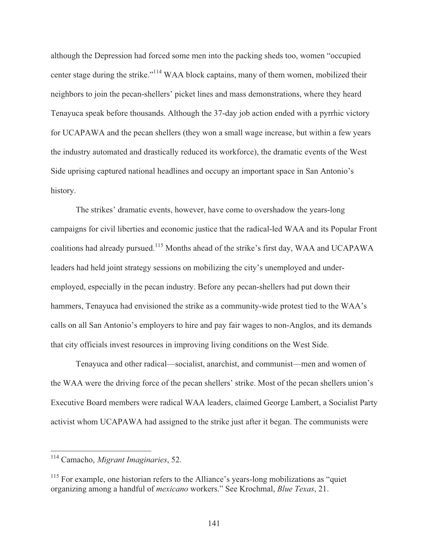although the Depression had forced some men into the packing sheds too, women "occupied center stage during the strike."114 WAA block captains, many of them women, mobilized their neighbors to join the pecan-shellers' picket lines and mass demonstrations, where they heard Tenayuca speak before thousands. Although the 37-day job action ended with a pyrrhic victory for UCAPAWA and the pecan shellers (they won a small wage increase, but within a few years the industry automated and drastically reduced its workforce), the dramatic events of the West Side uprising captured national headlines and occupy an important space in San Antonio's history.

The strikes' dramatic events, however, have come to overshadow the years-long campaigns for civil liberties and economic justice that the radical-led WAA and its Popular Front coalitions had already pursued.115 Months ahead of the strike's first day, WAA and UCAPAWA leaders had held joint strategy sessions on mobilizing the city's unemployed and underemployed, especially in the pecan industry. Before any pecan-shellers had put down their hammers, Tenayuca had envisioned the strike as a community-wide protest tied to the WAA's calls on all San Antonio's employers to hire and pay fair wages to non-Anglos, and its demands that city officials invest resources in improving living conditions on the West Side.

 Tenayuca and other radical—socialist, anarchist, and communist—men and women of the WAA were the driving force of the pecan shellers' strike. Most of the pecan shellers union's Executive Board members were radical WAA leaders, claimed George Lambert, a Socialist Party activist whom UCAPAWA had assigned to the strike just after it began. The communists were

<sup>114</sup> Camacho, *Migrant Imaginaries*, 52.

<sup>&</sup>lt;sup>115</sup> For example, one historian refers to the Alliance's years-long mobilizations as "quiet" organizing among a handful of *mexicano* workers." See Krochmal, *Blue Texas*, 21.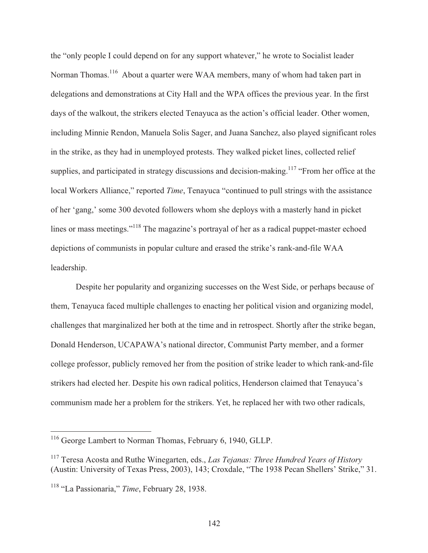the "only people I could depend on for any support whatever," he wrote to Socialist leader Norman Thomas.<sup>116</sup> About a quarter were WAA members, many of whom had taken part in delegations and demonstrations at City Hall and the WPA offices the previous year. In the first days of the walkout, the strikers elected Tenayuca as the action's official leader. Other women, including Minnie Rendon, Manuela Solis Sager, and Juana Sanchez, also played significant roles in the strike, as they had in unemployed protests. They walked picket lines, collected relief supplies, and participated in strategy discussions and decision-making.<sup>117</sup> "From her office at the local Workers Alliance," reported *Time*, Tenayuca "continued to pull strings with the assistance of her 'gang,' some 300 devoted followers whom she deploys with a masterly hand in picket lines or mass meetings."<sup>118</sup> The magazine's portrayal of her as a radical puppet-master echoed depictions of communists in popular culture and erased the strike's rank-and-file WAA leadership.

 Despite her popularity and organizing successes on the West Side, or perhaps because of them, Tenayuca faced multiple challenges to enacting her political vision and organizing model, challenges that marginalized her both at the time and in retrospect. Shortly after the strike began, Donald Henderson, UCAPAWA's national director, Communist Party member, and a former college professor, publicly removed her from the position of strike leader to which rank-and-file strikers had elected her. Despite his own radical politics, Henderson claimed that Tenayuca's communism made her a problem for the strikers. Yet, he replaced her with two other radicals,

<sup>&</sup>lt;sup>116</sup> George Lambert to Norman Thomas, February 6, 1940, GLLP.

<sup>117</sup> Teresa Acosta and Ruthe Winegarten, eds., *Las Tejanas: Three Hundred Years of History* (Austin: University of Texas Press, 2003), 143; Croxdale, "The 1938 Pecan Shellers' Strike," 31.

<sup>118 &</sup>quot;La Passionaria," *Time*, February 28, 1938.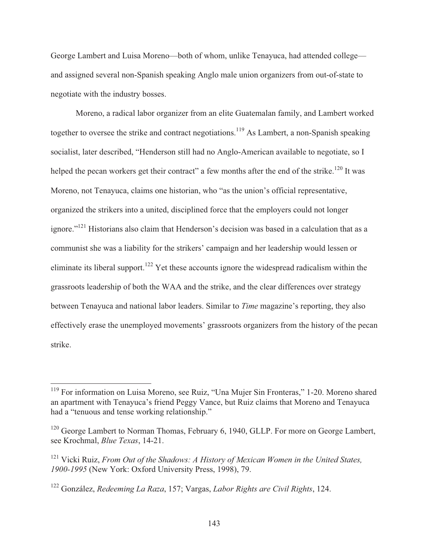George Lambert and Luisa Moreno—both of whom, unlike Tenayuca, had attended college and assigned several non-Spanish speaking Anglo male union organizers from out-of-state to negotiate with the industry bosses.

 Moreno, a radical labor organizer from an elite Guatemalan family, and Lambert worked together to oversee the strike and contract negotiations.<sup>119</sup> As Lambert, a non-Spanish speaking socialist, later described, "Henderson still had no Anglo-American available to negotiate, so I helped the pecan workers get their contract" a few months after the end of the strike.<sup>120</sup> It was Moreno, not Tenayuca, claims one historian, who "as the union's official representative, organized the strikers into a united, disciplined force that the employers could not longer ignore."121 Historians also claim that Henderson's decision was based in a calculation that as a communist she was a liability for the strikers' campaign and her leadership would lessen or eliminate its liberal support.<sup>122</sup> Yet these accounts ignore the widespread radicalism within the grassroots leadership of both the WAA and the strike, and the clear differences over strategy between Tenayuca and national labor leaders. Similar to *Time* magazine's reporting, they also effectively erase the unemployed movements' grassroots organizers from the history of the pecan strike.

<sup>&</sup>lt;sup>119</sup> For information on Luisa Moreno, see Ruiz, "Una Mujer Sin Fronteras," 1-20. Moreno shared an apartment with Tenayuca's friend Peggy Vance, but Ruiz claims that Moreno and Tenayuca had a "tenuous and tense working relationship."

<sup>&</sup>lt;sup>120</sup> George Lambert to Norman Thomas, February 6, 1940, GLLP. For more on George Lambert, see Krochmal, *Blue Texas*, 14-21.

<sup>&</sup>lt;sup>121</sup> Vicki Ruiz, *From Out of the Shadows: A History of Mexican Women in the United States, 1900-1995* (New York: Oxford University Press, 1998), 79.

<sup>122</sup> González, *Redeeming La Raza*, 157; Vargas, *Labor Rights are Civil Rights*, 124.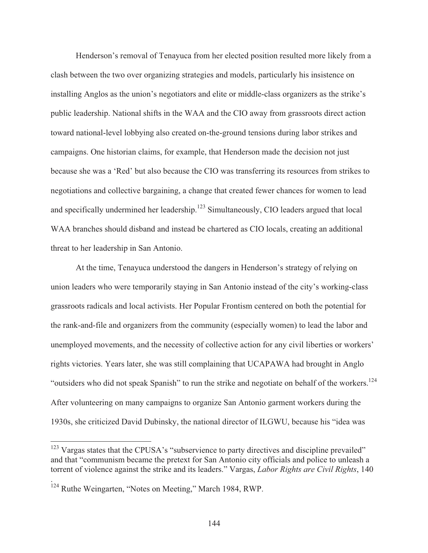Henderson's removal of Tenayuca from her elected position resulted more likely from a clash between the two over organizing strategies and models, particularly his insistence on installing Anglos as the union's negotiators and elite or middle-class organizers as the strike's public leadership. National shifts in the WAA and the CIO away from grassroots direct action toward national-level lobbying also created on-the-ground tensions during labor strikes and campaigns. One historian claims, for example, that Henderson made the decision not just because she was a 'Red' but also because the CIO was transferring its resources from strikes to negotiations and collective bargaining, a change that created fewer chances for women to lead and specifically undermined her leadership.<sup>123</sup> Simultaneously, CIO leaders argued that local WAA branches should disband and instead be chartered as CIO locals, creating an additional threat to her leadership in San Antonio.

 At the time, Tenayuca understood the dangers in Henderson's strategy of relying on union leaders who were temporarily staying in San Antonio instead of the city's working-class grassroots radicals and local activists. Her Popular Frontism centered on both the potential for the rank-and-file and organizers from the community (especially women) to lead the labor and unemployed movements, and the necessity of collective action for any civil liberties or workers' rights victories. Years later, she was still complaining that UCAPAWA had brought in Anglo "outsiders who did not speak Spanish" to run the strike and negotiate on behalf of the workers.<sup>124</sup> After volunteering on many campaigns to organize San Antonio garment workers during the 1930s, she criticized David Dubinsky, the national director of ILGWU, because his "idea was

 $\overline{a}$ 

.

 $123$  Vargas states that the CPUSA's "subservience to party directives and discipline prevailed" and that "communism became the pretext for San Antonio city officials and police to unleash a torrent of violence against the strike and its leaders." Vargas, *Labor Rights are Civil Rights*, 140

<sup>&</sup>lt;sup>124</sup> Ruthe Weingarten, "Notes on Meeting," March 1984, RWP.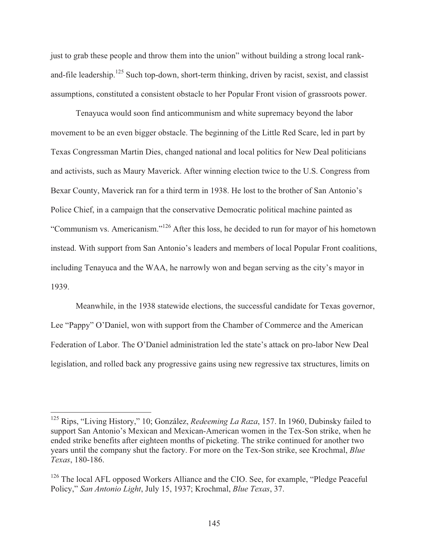just to grab these people and throw them into the union" without building a strong local rankand-file leadership.<sup>125</sup> Such top-down, short-term thinking, driven by racist, sexist, and classist assumptions, constituted a consistent obstacle to her Popular Front vision of grassroots power.

 Tenayuca would soon find anticommunism and white supremacy beyond the labor movement to be an even bigger obstacle. The beginning of the Little Red Scare, led in part by Texas Congressman Martin Dies, changed national and local politics for New Deal politicians and activists, such as Maury Maverick. After winning election twice to the U.S. Congress from Bexar County, Maverick ran for a third term in 1938. He lost to the brother of San Antonio's Police Chief, in a campaign that the conservative Democratic political machine painted as "Communism vs. Americanism."126 After this loss, he decided to run for mayor of his hometown instead. With support from San Antonio's leaders and members of local Popular Front coalitions, including Tenayuca and the WAA, he narrowly won and began serving as the city's mayor in 1939.

 Meanwhile, in the 1938 statewide elections, the successful candidate for Texas governor, Lee "Pappy" O'Daniel, won with support from the Chamber of Commerce and the American Federation of Labor. The O'Daniel administration led the state's attack on pro-labor New Deal legislation, and rolled back any progressive gains using new regressive tax structures, limits on

<sup>125</sup> Rips, "Living History," 10; González, *Redeeming La Raza*, 157. In 1960, Dubinsky failed to support San Antonio's Mexican and Mexican-American women in the Tex-Son strike, when he ended strike benefits after eighteen months of picketing. The strike continued for another two years until the company shut the factory. For more on the Tex-Son strike, see Krochmal, *Blue Texas*, 180-186.

 $126$  The local AFL opposed Workers Alliance and the CIO. See, for example, "Pledge Peaceful" Policy," *San Antonio Light*, July 15, 1937; Krochmal, *Blue Texas*, 37.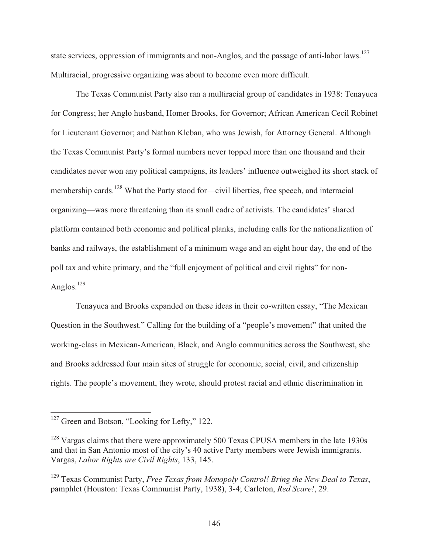state services, oppression of immigrants and non-Anglos, and the passage of anti-labor laws.<sup>127</sup> Multiracial, progressive organizing was about to become even more difficult.

 The Texas Communist Party also ran a multiracial group of candidates in 1938: Tenayuca for Congress; her Anglo husband, Homer Brooks, for Governor; African American Cecil Robinet for Lieutenant Governor; and Nathan Kleban, who was Jewish, for Attorney General. Although the Texas Communist Party's formal numbers never topped more than one thousand and their candidates never won any political campaigns, its leaders' influence outweighed its short stack of membership cards.<sup>128</sup> What the Party stood for—civil liberties, free speech, and interracial organizing—was more threatening than its small cadre of activists. The candidates' shared platform contained both economic and political planks, including calls for the nationalization of banks and railways, the establishment of a minimum wage and an eight hour day, the end of the poll tax and white primary, and the "full enjoyment of political and civil rights" for non-Anglos. $^{129}$ 

 Tenayuca and Brooks expanded on these ideas in their co-written essay, "The Mexican Question in the Southwest." Calling for the building of a "people's movement" that united the working-class in Mexican-American, Black, and Anglo communities across the Southwest, she and Brooks addressed four main sites of struggle for economic, social, civil, and citizenship rights. The people's movement, they wrote, should protest racial and ethnic discrimination in

<sup>&</sup>lt;sup>127</sup> Green and Botson, "Looking for Lefty," 122.

 $128$  Vargas claims that there were approximately 500 Texas CPUSA members in the late 1930s and that in San Antonio most of the city's 40 active Party members were Jewish immigrants. Vargas, *Labor Rights are Civil Rights*, 133, 145.

<sup>129</sup> Texas Communist Party, *Free Texas from Monopoly Control! Bring the New Deal to Texas*, pamphlet (Houston: Texas Communist Party, 1938), 3-4; Carleton, *Red Scare!*, 29.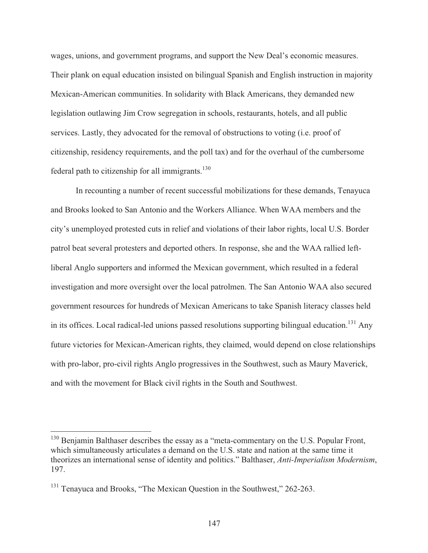wages, unions, and government programs, and support the New Deal's economic measures. Their plank on equal education insisted on bilingual Spanish and English instruction in majority Mexican-American communities. In solidarity with Black Americans, they demanded new legislation outlawing Jim Crow segregation in schools, restaurants, hotels, and all public services. Lastly, they advocated for the removal of obstructions to voting (i.e. proof of citizenship, residency requirements, and the poll tax) and for the overhaul of the cumbersome federal path to citizenship for all immigrants. $130$ 

 In recounting a number of recent successful mobilizations for these demands, Tenayuca and Brooks looked to San Antonio and the Workers Alliance. When WAA members and the city's unemployed protested cuts in relief and violations of their labor rights, local U.S. Border patrol beat several protesters and deported others. In response, she and the WAA rallied leftliberal Anglo supporters and informed the Mexican government, which resulted in a federal investigation and more oversight over the local patrolmen. The San Antonio WAA also secured government resources for hundreds of Mexican Americans to take Spanish literacy classes held in its offices. Local radical-led unions passed resolutions supporting bilingual education.<sup>131</sup> Any future victories for Mexican-American rights, they claimed, would depend on close relationships with pro-labor, pro-civil rights Anglo progressives in the Southwest, such as Maury Maverick, and with the movement for Black civil rights in the South and Southwest.

 $130$  Benjamin Balthaser describes the essay as a "meta-commentary on the U.S. Popular Front, which simultaneously articulates a demand on the U.S. state and nation at the same time it theorizes an international sense of identity and politics." Balthaser, *Anti-Imperialism Modernism*, 197.

<sup>&</sup>lt;sup>131</sup> Tenayuca and Brooks, "The Mexican Question in the Southwest," 262-263.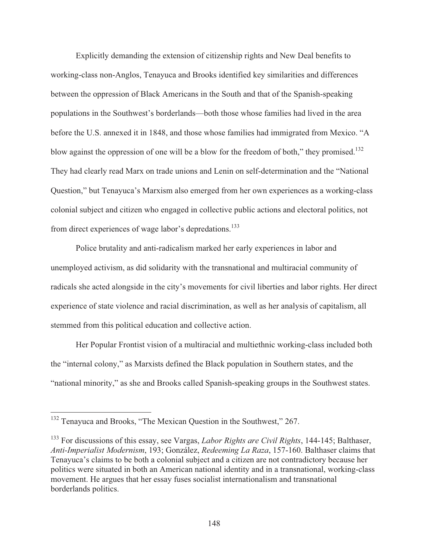Explicitly demanding the extension of citizenship rights and New Deal benefits to working-class non-Anglos, Tenayuca and Brooks identified key similarities and differences between the oppression of Black Americans in the South and that of the Spanish-speaking populations in the Southwest's borderlands—both those whose families had lived in the area before the U.S. annexed it in 1848, and those whose families had immigrated from Mexico. "A blow against the oppression of one will be a blow for the freedom of both," they promised.<sup>132</sup> They had clearly read Marx on trade unions and Lenin on self-determination and the "National Question," but Tenayuca's Marxism also emerged from her own experiences as a working-class colonial subject and citizen who engaged in collective public actions and electoral politics, not from direct experiences of wage labor's depredations.<sup>133</sup>

 Police brutality and anti-radicalism marked her early experiences in labor and unemployed activism, as did solidarity with the transnational and multiracial community of radicals she acted alongside in the city's movements for civil liberties and labor rights. Her direct experience of state violence and racial discrimination, as well as her analysis of capitalism, all stemmed from this political education and collective action.

 Her Popular Frontist vision of a multiracial and multiethnic working-class included both the "internal colony," as Marxists defined the Black population in Southern states, and the "national minority," as she and Brooks called Spanish-speaking groups in the Southwest states.

 $132$  Tenayuca and Brooks, "The Mexican Question in the Southwest," 267.

<sup>133</sup> For discussions of this essay, see Vargas, *Labor Rights are Civil Rights*, 144-145; Balthaser, *Anti-Imperialist Modernism*, 193; González, *Redeeming La Raza*, 157-160. Balthaser claims that Tenayuca's claims to be both a colonial subject and a citizen are not contradictory because her politics were situated in both an American national identity and in a transnational, working-class movement. He argues that her essay fuses socialist internationalism and transnational borderlands politics.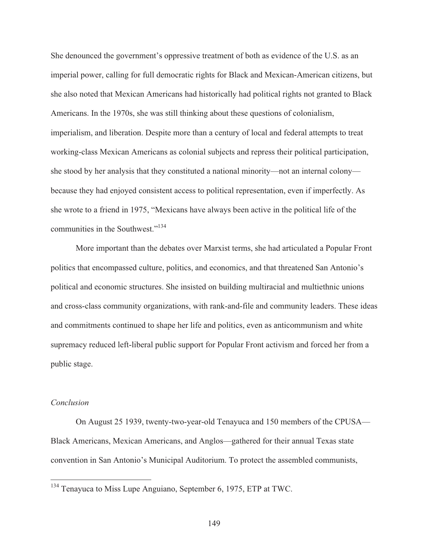She denounced the government's oppressive treatment of both as evidence of the U.S. as an imperial power, calling for full democratic rights for Black and Mexican-American citizens, but she also noted that Mexican Americans had historically had political rights not granted to Black Americans. In the 1970s, she was still thinking about these questions of colonialism, imperialism, and liberation. Despite more than a century of local and federal attempts to treat working-class Mexican Americans as colonial subjects and repress their political participation, she stood by her analysis that they constituted a national minority—not an internal colony because they had enjoyed consistent access to political representation, even if imperfectly. As she wrote to a friend in 1975, "Mexicans have always been active in the political life of the communities in the Southwest."<sup>134</sup>

 More important than the debates over Marxist terms, she had articulated a Popular Front politics that encompassed culture, politics, and economics, and that threatened San Antonio's political and economic structures. She insisted on building multiracial and multiethnic unions and cross-class community organizations, with rank-and-file and community leaders. These ideas and commitments continued to shape her life and politics, even as anticommunism and white supremacy reduced left-liberal public support for Popular Front activism and forced her from a public stage.

# *Conclusion*

 $\overline{a}$ 

 On August 25 1939, twenty-two-year-old Tenayuca and 150 members of the CPUSA— Black Americans, Mexican Americans, and Anglos—gathered for their annual Texas state convention in San Antonio's Municipal Auditorium. To protect the assembled communists,

 $134$  Tenayuca to Miss Lupe Anguiano, September 6, 1975, ETP at TWC.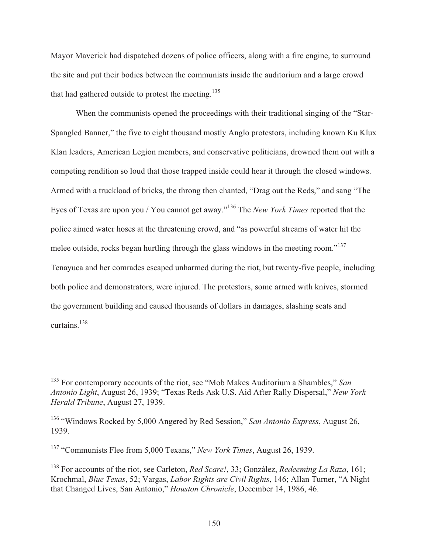Mayor Maverick had dispatched dozens of police officers, along with a fire engine, to surround the site and put their bodies between the communists inside the auditorium and a large crowd that had gathered outside to protest the meeting.<sup>135</sup>

 When the communists opened the proceedings with their traditional singing of the "Star-Spangled Banner," the five to eight thousand mostly Anglo protestors, including known Ku Klux Klan leaders, American Legion members, and conservative politicians, drowned them out with a competing rendition so loud that those trapped inside could hear it through the closed windows. Armed with a truckload of bricks, the throng then chanted, "Drag out the Reds," and sang "The Eyes of Texas are upon you / You cannot get away."136 The *New York Times* reported that the police aimed water hoses at the threatening crowd, and "as powerful streams of water hit the melee outside, rocks began hurtling through the glass windows in the meeting room."<sup>137</sup> Tenayuca and her comrades escaped unharmed during the riot, but twenty-five people, including both police and demonstrators, were injured. The protestors, some armed with knives, stormed the government building and caused thousands of dollars in damages, slashing seats and curtains.<sup>138</sup>

<sup>135</sup> For contemporary accounts of the riot, see "Mob Makes Auditorium a Shambles," *San Antonio Light*, August 26, 1939; "Texas Reds Ask U.S. Aid After Rally Dispersal," *New York Herald Tribune*, August 27, 1939.

<sup>136 &</sup>quot;Windows Rocked by 5,000 Angered by Red Session," *San Antonio Express*, August 26, 1939.

<sup>137 &</sup>quot;Communists Flee from 5,000 Texans," *New York Times*, August 26, 1939.

<sup>138</sup> For accounts of the riot, see Carleton, *Red Scare!*, 33; González, *Redeeming La Raza*, 161; Krochmal, *Blue Texas*, 52; Vargas, *Labor Rights are Civil Rights*, 146; Allan Turner, "A Night that Changed Lives, San Antonio," *Houston Chronicle*, December 14, 1986, 46.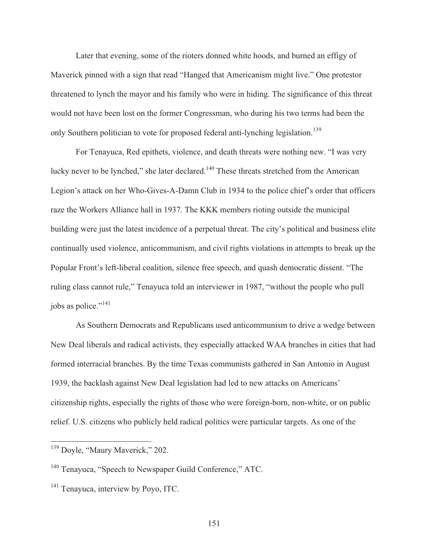Later that evening, some of the rioters donned white hoods, and burned an effigy of Maverick pinned with a sign that read "Hanged that Americanism might live." One protestor threatened to lynch the mayor and his family who were in hiding. The significance of this threat would not have been lost on the former Congressman, who during his two terms had been the only Southern politician to vote for proposed federal anti-lynching legislation.<sup>139</sup>

 For Tenayuca, Red epithets, violence, and death threats were nothing new. "I was very lucky never to be lynched," she later declared.<sup>140</sup> These threats stretched from the American Legion's attack on her Who-Gives-A-Damn Club in 1934 to the police chief's order that officers raze the Workers Alliance hall in 1937. The KKK members rioting outside the municipal building were just the latest incidence of a perpetual threat. The city's political and business elite continually used violence, anticommunism, and civil rights violations in attempts to break up the Popular Front's left-liberal coalition, silence free speech, and quash democratic dissent. "The ruling class cannot rule," Tenayuca told an interviewer in 1987, "without the people who pull jobs as police."<sup>141</sup>

 As Southern Democrats and Republicans used anticommunism to drive a wedge between New Deal liberals and radical activists, they especially attacked WAA branches in cities that had formed interracial branches. By the time Texas communists gathered in San Antonio in August 1939, the backlash against New Deal legislation had led to new attacks on Americans' citizenship rights, especially the rights of those who were foreign-born, non-white, or on public relief. U.S. citizens who publicly held radical politics were particular targets. As one of the

<sup>&</sup>lt;sup>139</sup> Doyle, "Maury Mayerick," 202.

<sup>&</sup>lt;sup>140</sup> Tenayuca, "Speech to Newspaper Guild Conference," ATC.

<sup>&</sup>lt;sup>141</sup> Tenayuca, interview by Poyo, ITC.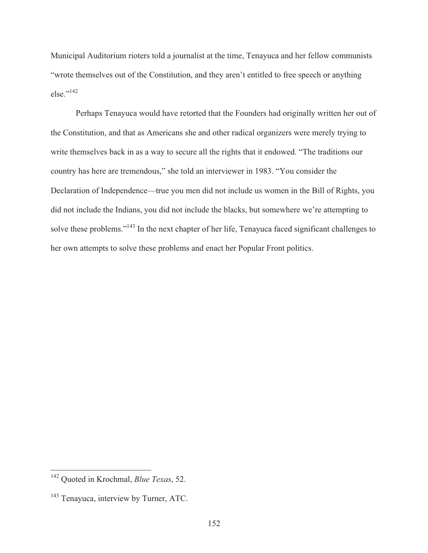Municipal Auditorium rioters told a journalist at the time, Tenayuca and her fellow communists "wrote themselves out of the Constitution, and they aren't entitled to free speech or anything  $else.$ <sup>''142</sup>

 Perhaps Tenayuca would have retorted that the Founders had originally written her out of the Constitution, and that as Americans she and other radical organizers were merely trying to write themselves back in as a way to secure all the rights that it endowed. "The traditions our country has here are tremendous," she told an interviewer in 1983. "You consider the Declaration of Independence—true you men did not include us women in the Bill of Rights, you did not include the Indians, you did not include the blacks, but somewhere we're attempting to solve these problems."<sup>143</sup> In the next chapter of her life, Tenayuca faced significant challenges to her own attempts to solve these problems and enact her Popular Front politics.

<sup>142</sup> Quoted in Krochmal, *Blue Texas*, 52.

<sup>&</sup>lt;sup>143</sup> Tenayuca, interview by Turner, ATC.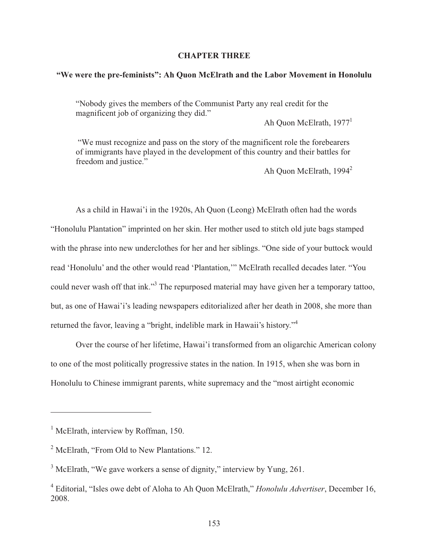### **CHAPTER THREE**

# **"We were the pre-feminists": Ah Quon McElrath and the Labor Movement in Honolulu**

"Nobody gives the members of the Communist Party any real credit for the magnificent job of organizing they did."

Ah Quon McElrath,  $1977<sup>1</sup>$ 

 "We must recognize and pass on the story of the magnificent role the forebearers of immigrants have played in the development of this country and their battles for freedom and justice."

Ah Quon McElrath, 1994<sup>2</sup>

 As a child in Hawai'i in the 1920s, Ah Quon (Leong) McElrath often had the words "Honolulu Plantation" imprinted on her skin. Her mother used to stitch old jute bags stamped with the phrase into new underclothes for her and her siblings. "One side of your buttock would read 'Honolulu' and the other would read 'Plantation,'" McElrath recalled decades later. "You could never wash off that ink."<sup>3</sup> The repurposed material may have given her a temporary tattoo, but, as one of Hawai'i's leading newspapers editorialized after her death in 2008, she more than returned the favor, leaving a "bright, indelible mark in Hawaii's history."<sup>4</sup>

 Over the course of her lifetime, Hawai'i transformed from an oligarchic American colony to one of the most politically progressive states in the nation. In 1915, when she was born in Honolulu to Chinese immigrant parents, white supremacy and the "most airtight economic

<sup>&</sup>lt;sup>1</sup> McElrath, interview by Roffman, 150.

<sup>&</sup>lt;sup>2</sup> McElrath, "From Old to New Plantations." 12.

 $3$  McElrath, "We gave workers a sense of dignity," interview by Yung, 261.

<sup>4</sup> Editorial, "Isles owe debt of Aloha to Ah Quon McElrath," *Honolulu Advertiser*, December 16, 2008.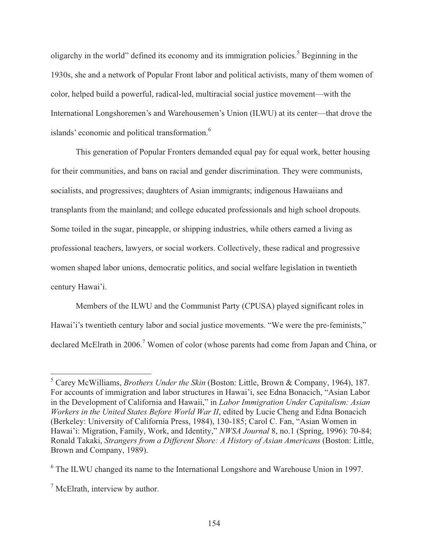oligarchy in the world" defined its economy and its immigration policies.<sup>5</sup> Beginning in the 1930s, she and a network of Popular Front labor and political activists, many of them women of color, helped build a powerful, radical-led, multiracial social justice movement—with the International Longshoremen's and Warehousemen's Union (ILWU) at its center—that drove the islands' economic and political transformation.<sup>6</sup>

 This generation of Popular Fronters demanded equal pay for equal work, better housing for their communities, and bans on racial and gender discrimination. They were communists, socialists, and progressives; daughters of Asian immigrants; indigenous Hawaiians and transplants from the mainland; and college educated professionals and high school dropouts. Some toiled in the sugar, pineapple, or shipping industries, while others earned a living as professional teachers, lawyers, or social workers. Collectively, these radical and progressive women shaped labor unions, democratic politics, and social welfare legislation in twentieth century Hawai'i.

 Members of the ILWU and the Communist Party (CPUSA) played significant roles in Hawai'i's twentieth century labor and social justice movements. "We were the pre-feminists," declared McElrath in 2006.<sup>7</sup> Women of color (whose parents had come from Japan and China, or

 5 Carey McWilliams, *Brothers Under the Skin* (Boston: Little, Brown & Company, 1964), 187. For accounts of immigration and labor structures in Hawai'i, see Edna Bonacich, "Asian Labor in the Development of California and Hawaii," in *Labor Immigration Under Capitalism: Asian Workers in the United States Before World War II*, edited by Lucie Cheng and Edna Bonacich (Berkeley: University of California Press, 1984), 130-185; Carol C. Fan, "Asian Women in Hawai'i: Migration, Family, Work, and Identity," *NWSA Journal* 8, no.1 (Spring, 1996): 70-84; Ronald Takaki, *Strangers from a Different Shore: A History of Asian Americans* (Boston: Little, Brown and Company, 1989).

<sup>&</sup>lt;sup>6</sup> The ILWU changed its name to the International Longshore and Warehouse Union in 1997.

<sup>&</sup>lt;sup>7</sup> McElrath, interview by author.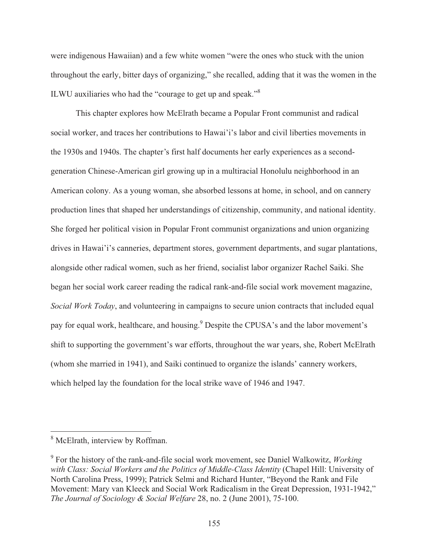were indigenous Hawaiian) and a few white women "were the ones who stuck with the union throughout the early, bitter days of organizing," she recalled, adding that it was the women in the ILWU auxiliaries who had the "courage to get up and speak."<sup>8</sup>

 This chapter explores how McElrath became a Popular Front communist and radical social worker, and traces her contributions to Hawai'i's labor and civil liberties movements in the 1930s and 1940s. The chapter's first half documents her early experiences as a secondgeneration Chinese-American girl growing up in a multiracial Honolulu neighborhood in an American colony. As a young woman, she absorbed lessons at home, in school, and on cannery production lines that shaped her understandings of citizenship, community, and national identity. She forged her political vision in Popular Front communist organizations and union organizing drives in Hawai'i's canneries, department stores, government departments, and sugar plantations, alongside other radical women, such as her friend, socialist labor organizer Rachel Saiki. She began her social work career reading the radical rank-and-file social work movement magazine, *Social Work Today*, and volunteering in campaigns to secure union contracts that included equal pay for equal work, healthcare, and housing. Pespite the CPUSA's and the labor movement's shift to supporting the government's war efforts, throughout the war years, she, Robert McElrath (whom she married in 1941), and Saiki continued to organize the islands' cannery workers, which helped lay the foundation for the local strike wave of 1946 and 1947.

<sup>&</sup>lt;sup>8</sup> McElrath, interview by Roffman.

<sup>9</sup> For the history of the rank-and-file social work movement, see Daniel Walkowitz, *Working with Class: Social Workers and the Politics of Middle-Class Identity* (Chapel Hill: University of North Carolina Press, 1999); Patrick Selmi and Richard Hunter, "Beyond the Rank and File Movement: Mary van Kleeck and Social Work Radicalism in the Great Depression, 1931-1942," *The Journal of Sociology & Social Welfare* 28, no. 2 (June 2001), 75-100.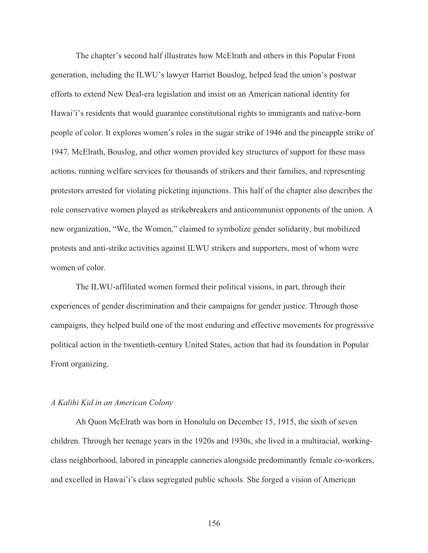The chapter's second half illustrates how McElrath and others in this Popular Front generation, including the ILWU's lawyer Harriet Bouslog, helped lead the union's postwar efforts to extend New Deal-era legislation and insist on an American national identity for Hawai'i's residents that would guarantee constitutional rights to immigrants and native-born people of color. It explores women's roles in the sugar strike of 1946 and the pineapple strike of 1947. McElrath, Bouslog, and other women provided key structures of support for these mass actions, running welfare services for thousands of strikers and their families, and representing protestors arrested for violating picketing injunctions. This half of the chapter also describes the role conservative women played as strikebreakers and anticommunist opponents of the union. A new organization, "We, the Women," claimed to symbolize gender solidarity, but mobilized protests and anti-strike activities against ILWU strikers and supporters, most of whom were women of color.

The ILWU-affiliated women formed their political visions, in part, through their experiences of gender discrimination and their campaigns for gender justice. Through those campaigns, they helped build one of the most enduring and effective movements for progressive political action in the twentieth-century United States, action that had its foundation in Popular Front organizing.

# *A Kalihi Kid in an American Colony*

 Ah Quon McElrath was born in Honolulu on December 15, 1915, the sixth of seven children. Through her teenage years in the 1920s and 1930s, she lived in a multiracial, workingclass neighborhood, labored in pineapple canneries alongside predominantly female co-workers, and excelled in Hawai'i's class segregated public schools. She forged a vision of American

156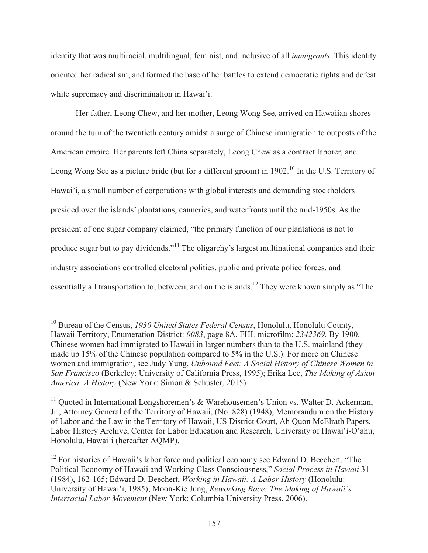identity that was multiracial, multilingual, feminist, and inclusive of all *immigrants*. This identity oriented her radicalism, and formed the base of her battles to extend democratic rights and defeat white supremacy and discrimination in Hawai'i.

 Her father, Leong Chew, and her mother, Leong Wong See, arrived on Hawaiian shores around the turn of the twentieth century amidst a surge of Chinese immigration to outposts of the American empire. Her parents left China separately, Leong Chew as a contract laborer, and Leong Wong See as a picture bride (but for a different groom) in 1902.<sup>10</sup> In the U.S. Territory of Hawai'i, a small number of corporations with global interests and demanding stockholders presided over the islands' plantations, canneries, and waterfronts until the mid-1950s. As the president of one sugar company claimed, "the primary function of our plantations is not to produce sugar but to pay dividends."11 The oligarchy's largest multinational companies and their industry associations controlled electoral politics, public and private police forces, and essentially all transportation to, between, and on the islands.<sup>12</sup> They were known simply as "The

<sup>10</sup> Bureau of the Census, *1930 United States Federal Census*, Honolulu, Honolulu County, Hawaii Territory, Enumeration District: *0083*, page 8A, FHL microfilm: *2342369.* By 1900, Chinese women had immigrated to Hawaii in larger numbers than to the U.S. mainland (they made up 15% of the Chinese population compared to 5% in the U.S.). For more on Chinese women and immigration, see Judy Yung, *Unbound Feet: A Social History of Chinese Women in San Francisco* (Berkeley: University of California Press, 1995); Erika Lee, *The Making of Asian America: A History* (New York: Simon & Schuster, 2015).

<sup>&</sup>lt;sup>11</sup> Ouoted in International Longshoremen's  $\&$  Warehousemen's Union vs. Walter D. Ackerman, Jr., Attorney General of the Territory of Hawaii, (No. 828) (1948), Memorandum on the History of Labor and the Law in the Territory of Hawaii, US District Court, Ah Quon McElrath Papers, Labor History Archive, Center for Labor Education and Research, University of Hawai'i-O'ahu, Honolulu, Hawai'i (hereafter AQMP).

 $12$  For histories of Hawaii's labor force and political economy see Edward D. Beechert, "The Political Economy of Hawaii and Working Class Consciousness," *Social Process in Hawaii* 31 (1984), 162-165; Edward D. Beechert, *Working in Hawaii: A Labor History* (Honolulu: University of Hawai'i, 1985); Moon-Kie Jung, *Reworking Race: The Making of Hawaii's Interracial Labor Movement* (New York: Columbia University Press, 2006).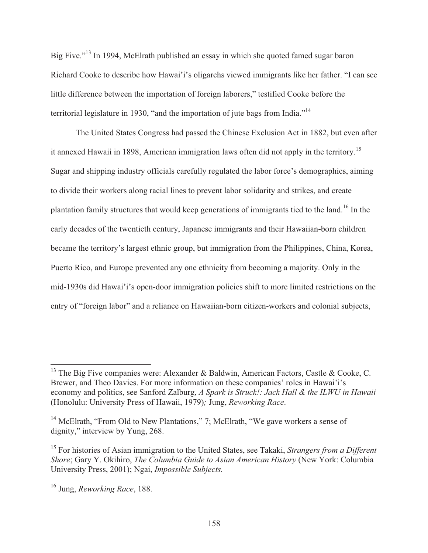Big Five."13 In 1994, McElrath published an essay in which she quoted famed sugar baron Richard Cooke to describe how Hawai'i's oligarchs viewed immigrants like her father. "I can see little difference between the importation of foreign laborers," testified Cooke before the territorial legislature in 1930, "and the importation of jute bags from India."14

 The United States Congress had passed the Chinese Exclusion Act in 1882, but even after it annexed Hawaii in 1898, American immigration laws often did not apply in the territory.<sup>15</sup> Sugar and shipping industry officials carefully regulated the labor force's demographics, aiming to divide their workers along racial lines to prevent labor solidarity and strikes, and create plantation family structures that would keep generations of immigrants tied to the land.16 In the early decades of the twentieth century, Japanese immigrants and their Hawaiian-born children became the territory's largest ethnic group, but immigration from the Philippines, China, Korea, Puerto Rico, and Europe prevented any one ethnicity from becoming a majority. Only in the mid-1930s did Hawai'i's open-door immigration policies shift to more limited restrictions on the entry of "foreign labor" and a reliance on Hawaiian-born citizen-workers and colonial subjects,

<sup>&</sup>lt;sup>13</sup> The Big Five companies were: Alexander & Baldwin, American Factors, Castle & Cooke, C. Brewer, and Theo Davies. For more information on these companies' roles in Hawai'i's economy and politics, see Sanford Zalburg, *A Spark is Struck!: Jack Hall & the ILWU in Hawaii* (Honolulu: University Press of Hawaii, 1979)*;* Jung, *Reworking Race*.

<sup>&</sup>lt;sup>14</sup> McElrath, "From Old to New Plantations," 7; McElrath, "We gave workers a sense of dignity," interview by Yung, 268.

<sup>15</sup> For histories of Asian immigration to the United States, see Takaki, *Strangers from a Different Shore*; Gary Y. Okihiro, *The Columbia Guide to Asian American History* (New York: Columbia University Press, 2001); Ngai, *Impossible Subjects.*

<sup>16</sup> Jung, *Reworking Race*, 188.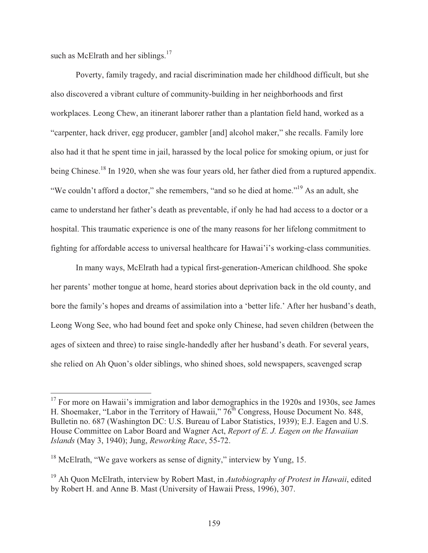such as McElrath and her siblings. $17$ 

 $\overline{a}$ 

 Poverty, family tragedy, and racial discrimination made her childhood difficult, but she also discovered a vibrant culture of community-building in her neighborhoods and first workplaces. Leong Chew, an itinerant laborer rather than a plantation field hand, worked as a "carpenter, hack driver, egg producer, gambler [and] alcohol maker," she recalls. Family lore also had it that he spent time in jail, harassed by the local police for smoking opium, or just for being Chinese.<sup>18</sup> In 1920, when she was four years old, her father died from a ruptured appendix. "We couldn't afford a doctor," she remembers, "and so he died at home."19 As an adult, she came to understand her father's death as preventable, if only he had had access to a doctor or a hospital. This traumatic experience is one of the many reasons for her lifelong commitment to fighting for affordable access to universal healthcare for Hawai'i's working-class communities.

 In many ways, McElrath had a typical first-generation-American childhood. She spoke her parents' mother tongue at home, heard stories about deprivation back in the old county, and bore the family's hopes and dreams of assimilation into a 'better life.' After her husband's death, Leong Wong See, who had bound feet and spoke only Chinese, had seven children (between the ages of sixteen and three) to raise single-handedly after her husband's death. For several years, she relied on Ah Quon's older siblings, who shined shoes, sold newspapers, scavenged scrap

 $17$  For more on Hawaii's immigration and labor demographics in the 1920s and 1930s, see James H. Shoemaker, "Labor in the Territory of Hawaii,"  $76<sup>th</sup>$  Congress, House Document No. 848, Bulletin no. 687 (Washington DC: U.S. Bureau of Labor Statistics, 1939); E.J. Eagen and U.S. House Committee on Labor Board and Wagner Act, *Report of E. J. Eagen on the Hawaiian Islands* (May 3, 1940); Jung, *Reworking Race*, 55-72.

<sup>&</sup>lt;sup>18</sup> McElrath, "We gave workers as sense of dignity," interview by Yung, 15.

<sup>19</sup> Ah Quon McElrath, interview by Robert Mast, in *Autobiography of Protest in Hawaii*, edited by Robert H. and Anne B. Mast (University of Hawaii Press, 1996), 307.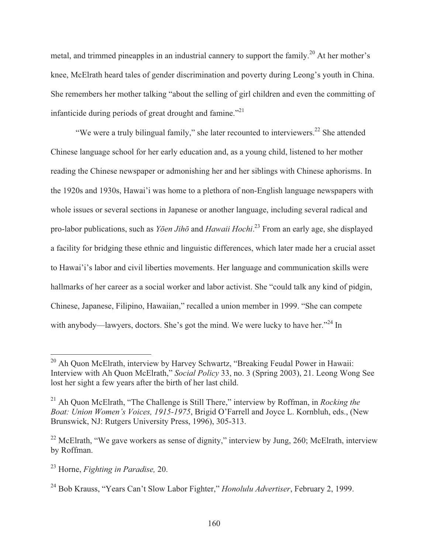metal, and trimmed pineapples in an industrial cannery to support the family.<sup>20</sup> At her mother's knee, McElrath heard tales of gender discrimination and poverty during Leong's youth in China. She remembers her mother talking "about the selling of girl children and even the committing of infanticide during periods of great drought and famine."<sup>21</sup>

"We were a truly bilingual family," she later recounted to interviewers.<sup>22</sup> She attended Chinese language school for her early education and, as a young child, listened to her mother reading the Chinese newspaper or admonishing her and her siblings with Chinese aphorisms. In the 1920s and 1930s, Hawai'i was home to a plethora of non-English language newspapers with whole issues or several sections in Japanese or another language, including several radical and pro-labor publications, such as *Yōen Jihō* and *Hawaii Hochi*. 23 From an early age, she displayed a facility for bridging these ethnic and linguistic differences, which later made her a crucial asset to Hawai'i's labor and civil liberties movements. Her language and communication skills were hallmarks of her career as a social worker and labor activist. She "could talk any kind of pidgin, Chinese, Japanese, Filipino, Hawaiian," recalled a union member in 1999. "She can compete with anybody—lawyers, doctors. She's got the mind. We were lucky to have her."<sup>24</sup> In

<sup>&</sup>lt;sup>20</sup> Ah Quon McElrath, interview by Harvey Schwartz, "Breaking Feudal Power in Hawaii: Interview with Ah Quon McElrath," *Social Policy* 33, no. 3 (Spring 2003), 21. Leong Wong See lost her sight a few years after the birth of her last child.

<sup>&</sup>lt;sup>21</sup> Ah Quon McElrath, "The Challenge is Still There," interview by Roffman, in *Rocking the Boat: Union Women's Voices, 1915-1975*, Brigid O'Farrell and Joyce L. Kornbluh, eds., (New Brunswick, NJ: Rutgers University Press, 1996), 305-313.

<sup>&</sup>lt;sup>22</sup> McElrath, "We gave workers as sense of dignity," interview by Jung, 260; McElrath, interview by Roffman.

<sup>23</sup> Horne, *Fighting in Paradise,* 20.

<sup>24</sup> Bob Krauss, "Years Can't Slow Labor Fighter," *Honolulu Advertiser*, February 2, 1999.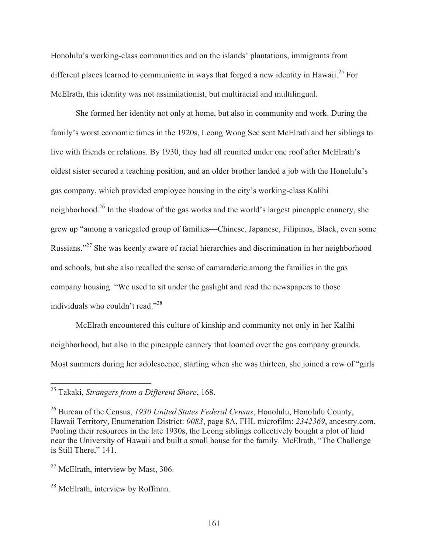Honolulu's working-class communities and on the islands' plantations, immigrants from different places learned to communicate in ways that forged a new identity in Hawaii.<sup>25</sup> For McElrath, this identity was not assimilationist, but multiracial and multilingual.

 She formed her identity not only at home, but also in community and work. During the family's worst economic times in the 1920s, Leong Wong See sent McElrath and her siblings to live with friends or relations. By 1930, they had all reunited under one roof after McElrath's oldest sister secured a teaching position, and an older brother landed a job with the Honolulu's gas company, which provided employee housing in the city's working-class Kalihi neighborhood.26 In the shadow of the gas works and the world's largest pineapple cannery, she grew up "among a variegated group of families—Chinese, Japanese, Filipinos, Black, even some Russians."27 She was keenly aware of racial hierarchies and discrimination in her neighborhood and schools, but she also recalled the sense of camaraderie among the families in the gas company housing. "We used to sit under the gaslight and read the newspapers to those individuals who couldn't read."<sup>28</sup>

 McElrath encountered this culture of kinship and community not only in her Kalihi neighborhood, but also in the pineapple cannery that loomed over the gas company grounds. Most summers during her adolescence, starting when she was thirteen, she joined a row of "girls

 $\overline{\phantom{a}}$ 

<sup>25</sup> Takaki, *Strangers from a Different Shore*, 168.

<sup>26</sup> Bureau of the Census, *1930 United States Federal Census*, Honolulu, Honolulu County, Hawaii Territory, Enumeration District: *0083*, page 8A, FHL microfilm: *2342369*, ancestry.com. Pooling their resources in the late 1930s, the Leong siblings collectively bought a plot of land near the University of Hawaii and built a small house for the family. McElrath, "The Challenge is Still There," 141.

<sup>&</sup>lt;sup>27</sup> McElrath, interview by Mast, 306.

<sup>&</sup>lt;sup>28</sup> McElrath, interview by Roffman.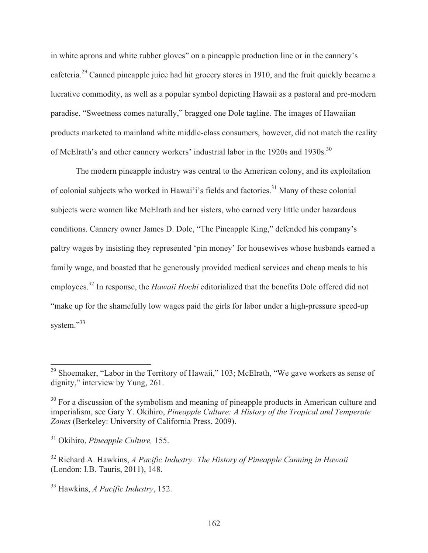in white aprons and white rubber gloves" on a pineapple production line or in the cannery's cafeteria.29 Canned pineapple juice had hit grocery stores in 1910, and the fruit quickly became a lucrative commodity, as well as a popular symbol depicting Hawaii as a pastoral and pre-modern paradise. "Sweetness comes naturally," bragged one Dole tagline. The images of Hawaiian products marketed to mainland white middle-class consumers, however, did not match the reality of McElrath's and other cannery workers' industrial labor in the 1920s and 1930s.<sup>30</sup>

 The modern pineapple industry was central to the American colony, and its exploitation of colonial subjects who worked in Hawai'i's fields and factories.<sup>31</sup> Many of these colonial subjects were women like McElrath and her sisters, who earned very little under hazardous conditions. Cannery owner James D. Dole, "The Pineapple King," defended his company's paltry wages by insisting they represented 'pin money' for housewives whose husbands earned a family wage, and boasted that he generously provided medical services and cheap meals to his employees.32 In response, the *Hawaii Hochi* editorialized that the benefits Dole offered did not "make up for the shamefully low wages paid the girls for labor under a high-pressure speed-up system."<sup>33</sup>

 $29$  Shoemaker, "Labor in the Territory of Hawaii," 103; McElrath, "We gave workers as sense of dignity," interview by Yung, 261.

<sup>&</sup>lt;sup>30</sup> For a discussion of the symbolism and meaning of pineapple products in American culture and imperialism, see Gary Y. Okihiro, *Pineapple Culture: A History of the Tropical and Temperate Zones* (Berkeley: University of California Press, 2009).

<sup>31</sup> Okihiro, *Pineapple Culture,* 155.

<sup>32</sup> Richard A. Hawkins, *A Pacific Industry: The History of Pineapple Canning in Hawaii* (London: I.B. Tauris, 2011), 148.

<sup>33</sup> Hawkins, *A Pacific Industry*, 152.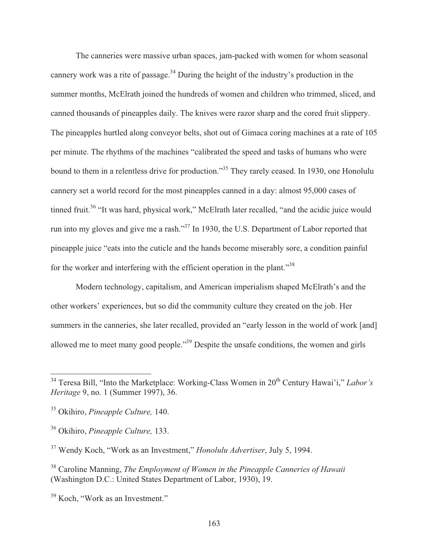The canneries were massive urban spaces, jam-packed with women for whom seasonal cannery work was a rite of passage.<sup>34</sup> During the height of the industry's production in the summer months, McElrath joined the hundreds of women and children who trimmed, sliced, and canned thousands of pineapples daily. The knives were razor sharp and the cored fruit slippery. The pineapples hurtled along conveyor belts, shot out of Gimaca coring machines at a rate of 105 per minute. The rhythms of the machines "calibrated the speed and tasks of humans who were bound to them in a relentless drive for production."<sup>35</sup> They rarely ceased. In 1930, one Honolulu cannery set a world record for the most pineapples canned in a day: almost 95,000 cases of tinned fruit.<sup>36</sup> "It was hard, physical work," McElrath later recalled, "and the acidic juice would run into my gloves and give me a rash."<sup>37</sup> In 1930, the U.S. Department of Labor reported that pineapple juice "eats into the cuticle and the hands become miserably sore, a condition painful for the worker and interfering with the efficient operation in the plant."<sup>38</sup>

 Modern technology, capitalism, and American imperialism shaped McElrath's and the other workers' experiences, but so did the community culture they created on the job. Her summers in the canneries, she later recalled, provided an "early lesson in the world of work [and] allowed me to meet many good people."39 Despite the unsafe conditions, the women and girls

<sup>&</sup>lt;sup>34</sup> Teresa Bill, "Into the Marketplace: Working-Class Women in 20<sup>th</sup> Century Hawai'i," *Labor's Heritage* 9, no. 1 (Summer 1997), 36.

<sup>35</sup> Okihiro, *Pineapple Culture,* 140.

<sup>36</sup> Okihiro, *Pineapple Culture,* 133.

<sup>37</sup> Wendy Koch, "Work as an Investment," *Honolulu Advertiser*, July 5, 1994.

<sup>38</sup> Caroline Manning, *The Employment of Women in the Pineapple Canneries of Hawaii* (Washington D.C.: United States Department of Labor, 1930), 19.

<sup>39</sup> Koch, "Work as an Investment."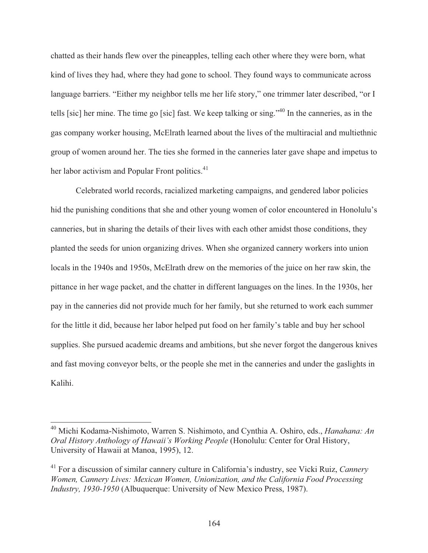chatted as their hands flew over the pineapples, telling each other where they were born, what kind of lives they had, where they had gone to school. They found ways to communicate across language barriers. "Either my neighbor tells me her life story," one trimmer later described, "or I tells [sic] her mine. The time go [sic] fast. We keep talking or sing."40 In the canneries, as in the gas company worker housing, McElrath learned about the lives of the multiracial and multiethnic group of women around her. The ties she formed in the canneries later gave shape and impetus to her labor activism and Popular Front politics.<sup>41</sup>

 Celebrated world records, racialized marketing campaigns, and gendered labor policies hid the punishing conditions that she and other young women of color encountered in Honolulu's canneries, but in sharing the details of their lives with each other amidst those conditions, they planted the seeds for union organizing drives. When she organized cannery workers into union locals in the 1940s and 1950s, McElrath drew on the memories of the juice on her raw skin, the pittance in her wage packet, and the chatter in different languages on the lines. In the 1930s, her pay in the canneries did not provide much for her family, but she returned to work each summer for the little it did, because her labor helped put food on her family's table and buy her school supplies. She pursued academic dreams and ambitions, but she never forgot the dangerous knives and fast moving conveyor belts, or the people she met in the canneries and under the gaslights in Kalihi.

<sup>40</sup> Michi Kodama-Nishimoto, Warren S. Nishimoto, and Cynthia A. Oshiro, eds., *Hanahana: An Oral History Anthology of Hawaii's Working People* (Honolulu: Center for Oral History, University of Hawaii at Manoa, 1995), 12.

<sup>41</sup> For a discussion of similar cannery culture in California's industry, see Vicki Ruiz, *Cannery Women, Cannery Lives: Mexican Women, Unionization, and the California Food Processing Industry, 1930-1950* (Albuquerque: University of New Mexico Press, 1987).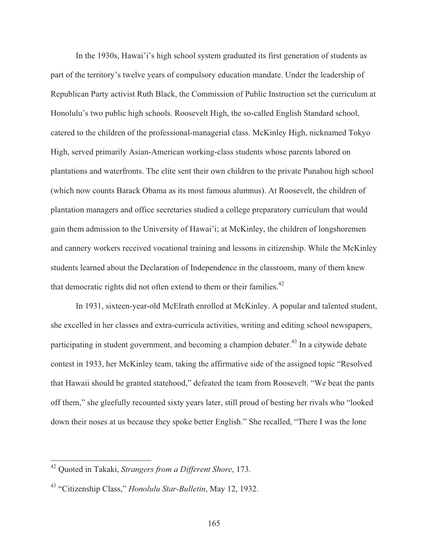In the 1930s, Hawai'i's high school system graduated its first generation of students as part of the territory's twelve years of compulsory education mandate. Under the leadership of Republican Party activist Ruth Black, the Commission of Public Instruction set the curriculum at Honolulu's two public high schools. Roosevelt High, the so-called English Standard school, catered to the children of the professional-managerial class. McKinley High, nicknamed Tokyo High, served primarily Asian-American working-class students whose parents labored on plantations and waterfronts. The elite sent their own children to the private Punahou high school (which now counts Barack Obama as its most famous alumnus). At Roosevelt, the children of plantation managers and office secretaries studied a college preparatory curriculum that would gain them admission to the University of Hawai'i; at McKinley, the children of longshoremen and cannery workers received vocational training and lessons in citizenship. While the McKinley students learned about the Declaration of Independence in the classroom, many of them knew that democratic rights did not often extend to them or their families.<sup>42</sup>

 In 1931, sixteen-year-old McElrath enrolled at McKinley. A popular and talented student, she excelled in her classes and extra-curricula activities, writing and editing school newspapers, participating in student government, and becoming a champion debater.<sup>43</sup> In a citywide debate contest in 1933, her McKinley team, taking the affirmative side of the assigned topic "Resolved that Hawaii should be granted statehood," defeated the team from Roosevelt. "We beat the pants off them," she gleefully recounted sixty years later, still proud of besting her rivals who "looked down their noses at us because they spoke better English." She recalled, "There I was the lone

<sup>42</sup> Quoted in Takaki, *Strangers from a Different Shore*, 173.

<sup>43 &</sup>quot;Citizenship Class," *Honolulu Star-Bulletin*, May 12, 1932.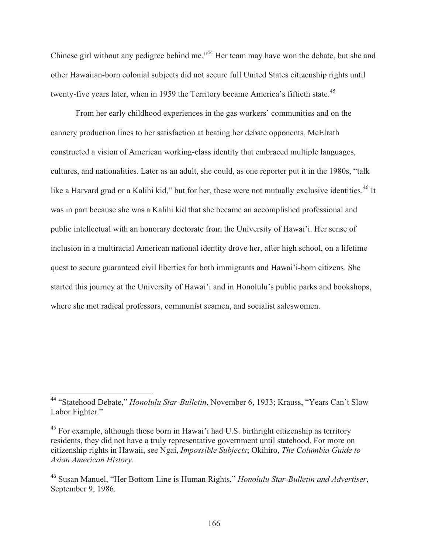Chinese girl without any pedigree behind me."<sup>44</sup> Her team may have won the debate, but she and other Hawaiian-born colonial subjects did not secure full United States citizenship rights until twenty-five years later, when in 1959 the Territory became America's fiftieth state.<sup>45</sup>

 From her early childhood experiences in the gas workers' communities and on the cannery production lines to her satisfaction at beating her debate opponents, McElrath constructed a vision of American working-class identity that embraced multiple languages, cultures, and nationalities. Later as an adult, she could, as one reporter put it in the 1980s, "talk like a Harvard grad or a Kalihi kid," but for her, these were not mutually exclusive identities.<sup>46</sup> It was in part because she was a Kalihi kid that she became an accomplished professional and public intellectual with an honorary doctorate from the University of Hawai'i. Her sense of inclusion in a multiracial American national identity drove her, after high school, on a lifetime quest to secure guaranteed civil liberties for both immigrants and Hawai'i-born citizens. She started this journey at the University of Hawai'i and in Honolulu's public parks and bookshops, where she met radical professors, communist seamen, and socialist saleswomen.

<sup>44 &</sup>quot;Statehood Debate," *Honolulu Star-Bulletin*, November 6, 1933; Krauss, "Years Can't Slow Labor Fighter."

 $45$  For example, although those born in Hawai'i had U.S. birthright citizenship as territory residents, they did not have a truly representative government until statehood. For more on citizenship rights in Hawaii, see Ngai, *Impossible Subjects*; Okihiro, *The Columbia Guide to Asian American History*.

<sup>46</sup> Susan Manuel, "Her Bottom Line is Human Rights," *Honolulu Star-Bulletin and Advertiser*, September 9, 1986.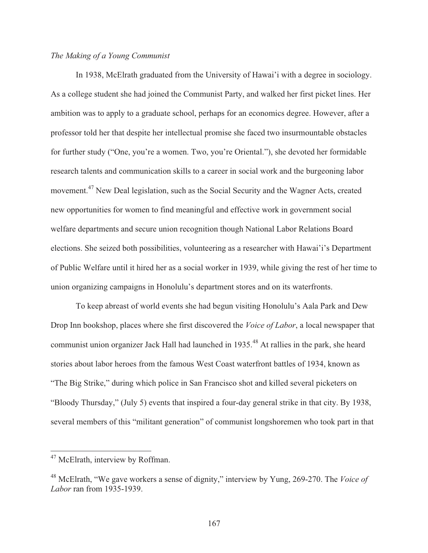## *The Making of a Young Communist*

 In 1938, McElrath graduated from the University of Hawai'i with a degree in sociology. As a college student she had joined the Communist Party, and walked her first picket lines. Her ambition was to apply to a graduate school, perhaps for an economics degree. However, after a professor told her that despite her intellectual promise she faced two insurmountable obstacles for further study ("One, you're a women. Two, you're Oriental."), she devoted her formidable research talents and communication skills to a career in social work and the burgeoning labor movement.<sup>47</sup> New Deal legislation, such as the Social Security and the Wagner Acts, created new opportunities for women to find meaningful and effective work in government social welfare departments and secure union recognition though National Labor Relations Board elections. She seized both possibilities, volunteering as a researcher with Hawai'i's Department of Public Welfare until it hired her as a social worker in 1939, while giving the rest of her time to union organizing campaigns in Honolulu's department stores and on its waterfronts.

 To keep abreast of world events she had begun visiting Honolulu's Aala Park and Dew Drop Inn bookshop, places where she first discovered the *Voice of Labor*, a local newspaper that communist union organizer Jack Hall had launched in 1935.<sup>48</sup> At rallies in the park, she heard stories about labor heroes from the famous West Coast waterfront battles of 1934, known as "The Big Strike," during which police in San Francisco shot and killed several picketers on "Bloody Thursday," (July 5) events that inspired a four-day general strike in that city. By 1938, several members of this "militant generation" of communist longshoremen who took part in that

<sup>&</sup>lt;sup>47</sup> McElrath, interview by Roffman.

<sup>48</sup> McElrath, "We gave workers a sense of dignity," interview by Yung, 269-270. The *Voice of Labor* ran from 1935-1939.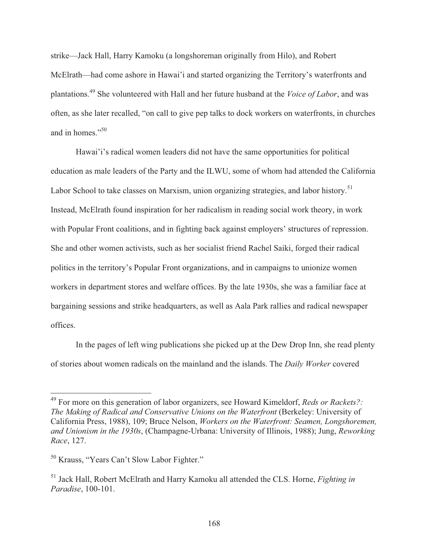strike—Jack Hall, Harry Kamoku (a longshoreman originally from Hilo), and Robert McElrath—had come ashore in Hawai'i and started organizing the Territory's waterfronts and plantations.49 She volunteered with Hall and her future husband at the *Voice of Labor*, and was often, as she later recalled, "on call to give pep talks to dock workers on waterfronts, in churches and in homes."<sup>50</sup>

 Hawai'i's radical women leaders did not have the same opportunities for political education as male leaders of the Party and the ILWU, some of whom had attended the California Labor School to take classes on Marxism, union organizing strategies, and labor history.<sup>51</sup> Instead, McElrath found inspiration for her radicalism in reading social work theory, in work with Popular Front coalitions, and in fighting back against employers' structures of repression. She and other women activists, such as her socialist friend Rachel Saiki, forged their radical politics in the territory's Popular Front organizations, and in campaigns to unionize women workers in department stores and welfare offices. By the late 1930s, she was a familiar face at bargaining sessions and strike headquarters, as well as Aala Park rallies and radical newspaper offices.

 In the pages of left wing publications she picked up at the Dew Drop Inn, she read plenty of stories about women radicals on the mainland and the islands. The *Daily Worker* covered

<sup>49</sup> For more on this generation of labor organizers, see Howard Kimeldorf, *Reds or Rackets?: The Making of Radical and Conservative Unions on the Waterfront* (Berkeley: University of California Press, 1988), 109; Bruce Nelson, *Workers on the Waterfront: Seamen, Longshoremen, and Unionism in the 1930s*, (Champagne-Urbana: University of Illinois, 1988); Jung, *Reworking Race*, 127.

<sup>50</sup> Krauss, "Years Can't Slow Labor Fighter."

<sup>51</sup> Jack Hall, Robert McElrath and Harry Kamoku all attended the CLS. Horne, *Fighting in Paradise*, 100-101.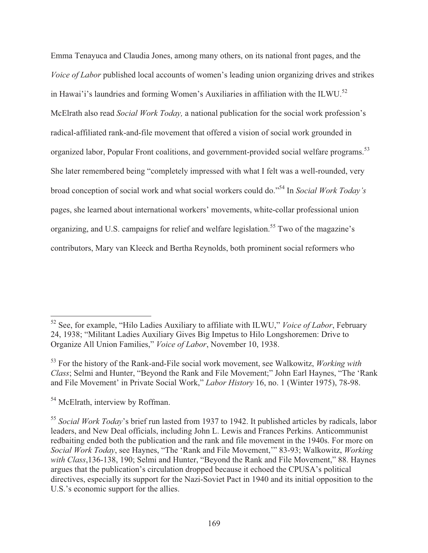Emma Tenayuca and Claudia Jones, among many others, on its national front pages, and the *Voice of Labor* published local accounts of women's leading union organizing drives and strikes in Hawai'i's laundries and forming Women's Auxiliaries in affiliation with the ILWU.<sup>52</sup> McElrath also read *Social Work Today,* a national publication for the social work profession's radical-affiliated rank-and-file movement that offered a vision of social work grounded in organized labor, Popular Front coalitions, and government-provided social welfare programs.<sup>53</sup> She later remembered being "completely impressed with what I felt was a well-rounded, very broad conception of social work and what social workers could do."54 In *Social Work Today's* pages, she learned about international workers' movements, white-collar professional union organizing, and U.S. campaigns for relief and welfare legislation.<sup>55</sup> Two of the magazine's contributors, Mary van Kleeck and Bertha Reynolds, both prominent social reformers who

<sup>52</sup> See, for example, "Hilo Ladies Auxiliary to affiliate with ILWU," *Voice of Labor*, February 24, 1938; "Militant Ladies Auxiliary Gives Big Impetus to Hilo Longshoremen: Drive to Organize All Union Families," *Voice of Labor*, November 10, 1938.

<sup>53</sup> For the history of the Rank-and-File social work movement, see Walkowitz, *Working with Class*; Selmi and Hunter, "Beyond the Rank and File Movement;" John Earl Haynes, "The 'Rank and File Movement' in Private Social Work," *Labor History* 16, no. 1 (Winter 1975), 78-98.

<sup>&</sup>lt;sup>54</sup> McElrath, interview by Roffman.

<sup>55</sup> *Social Work Today*'s brief run lasted from 1937 to 1942. It published articles by radicals, labor leaders, and New Deal officials, including John L. Lewis and Frances Perkins. Anticommunist redbaiting ended both the publication and the rank and file movement in the 1940s. For more on *Social Work Today*, see Haynes, "The 'Rank and File Movement,'" 83-93; Walkowitz, *Working with Class*,136-138, 190; Selmi and Hunter, "Beyond the Rank and File Movement," 88. Haynes argues that the publication's circulation dropped because it echoed the CPUSA's political directives, especially its support for the Nazi-Soviet Pact in 1940 and its initial opposition to the U.S.'s economic support for the allies.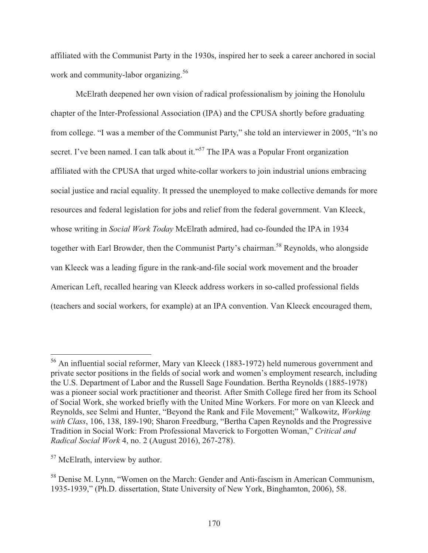affiliated with the Communist Party in the 1930s, inspired her to seek a career anchored in social work and community-labor organizing.<sup>56</sup>

 McElrath deepened her own vision of radical professionalism by joining the Honolulu chapter of the Inter-Professional Association (IPA) and the CPUSA shortly before graduating from college. "I was a member of the Communist Party," she told an interviewer in 2005, "It's no secret. I've been named. I can talk about it."<sup>57</sup> The IPA was a Popular Front organization affiliated with the CPUSA that urged white-collar workers to join industrial unions embracing social justice and racial equality. It pressed the unemployed to make collective demands for more resources and federal legislation for jobs and relief from the federal government. Van Kleeck, whose writing in *Social Work Today* McElrath admired, had co-founded the IPA in 1934 together with Earl Browder, then the Communist Party's chairman.<sup>58</sup> Reynolds, who alongside van Kleeck was a leading figure in the rank-and-file social work movement and the broader American Left, recalled hearing van Kleeck address workers in so-called professional fields (teachers and social workers, for example) at an IPA convention. Van Kleeck encouraged them,

<sup>&</sup>lt;sup>56</sup> An influential social reformer, Mary van Kleeck (1883-1972) held numerous government and private sector positions in the fields of social work and women's employment research, including the U.S. Department of Labor and the Russell Sage Foundation. Bertha Reynolds (1885-1978) was a pioneer social work practitioner and theorist. After Smith College fired her from its School of Social Work, she worked briefly with the United Mine Workers. For more on van Kleeck and Reynolds, see Selmi and Hunter, "Beyond the Rank and File Movement;" Walkowitz, *Working with Class*, 106, 138, 189-190; Sharon Freedburg, "Bertha Capen Reynolds and the Progressive Tradition in Social Work: From Professional Maverick to Forgotten Woman," *Critical and Radical Social Work* 4, no. 2 (August 2016), 267-278).

<sup>&</sup>lt;sup>57</sup> McElrath, interview by author.

<sup>58</sup> Denise M. Lynn, "Women on the March: Gender and Anti-fascism in American Communism, 1935-1939," (Ph.D. dissertation, State University of New York, Binghamton, 2006), 58.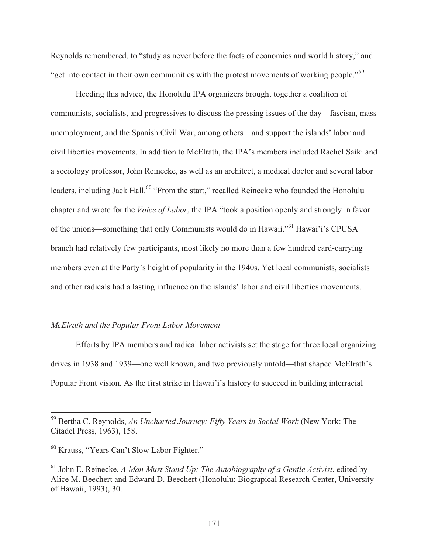Reynolds remembered, to "study as never before the facts of economics and world history," and "get into contact in their own communities with the protest movements of working people."<sup>59</sup>

 Heeding this advice, the Honolulu IPA organizers brought together a coalition of communists, socialists, and progressives to discuss the pressing issues of the day—fascism, mass unemployment, and the Spanish Civil War, among others—and support the islands' labor and civil liberties movements. In addition to McElrath, the IPA's members included Rachel Saiki and a sociology professor, John Reinecke, as well as an architect, a medical doctor and several labor leaders, including Jack Hall.<sup>60</sup> "From the start," recalled Reinecke who founded the Honolulu chapter and wrote for the *Voice of Labor*, the IPA "took a position openly and strongly in favor of the unions—something that only Communists would do in Hawaii."61 Hawai'i's CPUSA branch had relatively few participants, most likely no more than a few hundred card-carrying members even at the Party's height of popularity in the 1940s. Yet local communists, socialists and other radicals had a lasting influence on the islands' labor and civil liberties movements.

### *McElrath and the Popular Front Labor Movement*

 Efforts by IPA members and radical labor activists set the stage for three local organizing drives in 1938 and 1939—one well known, and two previously untold—that shaped McElrath's Popular Front vision. As the first strike in Hawai'i's history to succeed in building interracial

<sup>59</sup> Bertha C. Reynolds, *An Uncharted Journey: Fifty Years in Social Work* (New York: The Citadel Press, 1963), 158.

<sup>60</sup> Krauss, "Years Can't Slow Labor Fighter."

<sup>61</sup> John E. Reinecke, *A Man Must Stand Up: The Autobiography of a Gentle Activist*, edited by Alice M. Beechert and Edward D. Beechert (Honolulu: Biograpical Research Center, University of Hawaii, 1993), 30.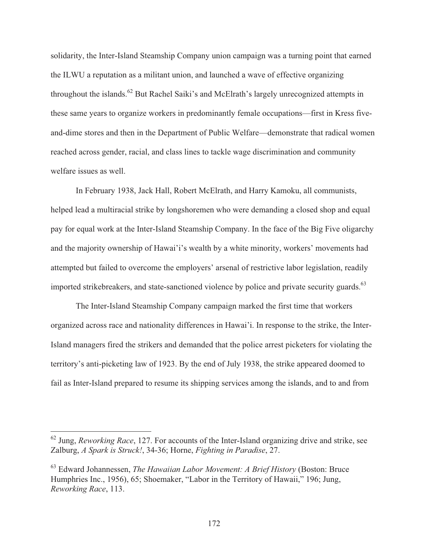solidarity, the Inter-Island Steamship Company union campaign was a turning point that earned the ILWU a reputation as a militant union, and launched a wave of effective organizing throughout the islands.<sup>62</sup> But Rachel Saiki's and McElrath's largely unrecognized attempts in these same years to organize workers in predominantly female occupations—first in Kress fiveand-dime stores and then in the Department of Public Welfare—demonstrate that radical women reached across gender, racial, and class lines to tackle wage discrimination and community welfare issues as well.

 In February 1938, Jack Hall, Robert McElrath, and Harry Kamoku, all communists, helped lead a multiracial strike by longshoremen who were demanding a closed shop and equal pay for equal work at the Inter-Island Steamship Company. In the face of the Big Five oligarchy and the majority ownership of Hawai'i's wealth by a white minority, workers' movements had attempted but failed to overcome the employers' arsenal of restrictive labor legislation, readily imported strikebreakers, and state-sanctioned violence by police and private security guards.<sup>63</sup>

 The Inter-Island Steamship Company campaign marked the first time that workers organized across race and nationality differences in Hawai'i. In response to the strike, the Inter-Island managers fired the strikers and demanded that the police arrest picketers for violating the territory's anti-picketing law of 1923. By the end of July 1938, the strike appeared doomed to fail as Inter-Island prepared to resume its shipping services among the islands, and to and from

<sup>62</sup> Jung, *Reworking Race*, 127. For accounts of the Inter-Island organizing drive and strike, see Zalburg, *A Spark is Struck!*, 34-36; Horne, *Fighting in Paradise*, 27.

<sup>63</sup> Edward Johannessen, *The Hawaiian Labor Movement: A Brief History* (Boston: Bruce Humphries Inc., 1956), 65; Shoemaker, "Labor in the Territory of Hawaii," 196; Jung, *Reworking Race*, 113.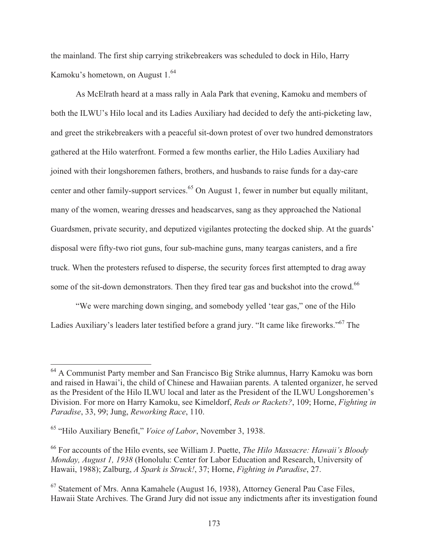the mainland. The first ship carrying strikebreakers was scheduled to dock in Hilo, Harry Kamoku's hometown, on August  $1.^{64}$ 

 As McElrath heard at a mass rally in Aala Park that evening, Kamoku and members of both the ILWU's Hilo local and its Ladies Auxiliary had decided to defy the anti-picketing law, and greet the strikebreakers with a peaceful sit-down protest of over two hundred demonstrators gathered at the Hilo waterfront. Formed a few months earlier, the Hilo Ladies Auxiliary had joined with their longshoremen fathers, brothers, and husbands to raise funds for a day-care center and other family-support services.<sup>65</sup> On August 1, fewer in number but equally militant, many of the women, wearing dresses and headscarves, sang as they approached the National Guardsmen, private security, and deputized vigilantes protecting the docked ship. At the guards' disposal were fifty-two riot guns, four sub-machine guns, many teargas canisters, and a fire truck. When the protesters refused to disperse, the security forces first attempted to drag away some of the sit-down demonstrators. Then they fired tear gas and buckshot into the crowd.<sup>66</sup>

 "We were marching down singing, and somebody yelled 'tear gas," one of the Hilo Ladies Auxiliary's leaders later testified before a grand jury. "It came like fireworks."67 The

<sup>&</sup>lt;sup>64</sup> A Communist Party member and San Francisco Big Strike alumnus, Harry Kamoku was born and raised in Hawai'i, the child of Chinese and Hawaiian parents. A talented organizer, he served as the President of the Hilo ILWU local and later as the President of the ILWU Longshoremen's Division. For more on Harry Kamoku, see Kimeldorf, *Reds or Rackets?*, 109; Horne, *Fighting in Paradise*, 33, 99; Jung, *Reworking Race*, 110.

<sup>65 &</sup>quot;Hilo Auxiliary Benefit," *Voice of Labor*, November 3, 1938.

<sup>66</sup> For accounts of the Hilo events, see William J. Puette, *The Hilo Massacre: Hawaii's Bloody Monday, August 1, 1938* (Honolulu: Center for Labor Education and Research, University of Hawaii, 1988); Zalburg, *A Spark is Struck!*, 37; Horne, *Fighting in Paradise*, 27.

<sup>67</sup> Statement of Mrs. Anna Kamahele (August 16, 1938), Attorney General Pau Case Files, Hawaii State Archives. The Grand Jury did not issue any indictments after its investigation found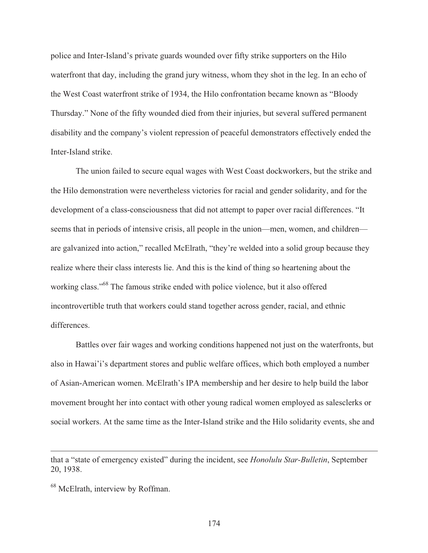police and Inter-Island's private guards wounded over fifty strike supporters on the Hilo waterfront that day, including the grand jury witness, whom they shot in the leg. In an echo of the West Coast waterfront strike of 1934, the Hilo confrontation became known as "Bloody Thursday." None of the fifty wounded died from their injuries, but several suffered permanent disability and the company's violent repression of peaceful demonstrators effectively ended the Inter-Island strike.

 The union failed to secure equal wages with West Coast dockworkers, but the strike and the Hilo demonstration were nevertheless victories for racial and gender solidarity, and for the development of a class-consciousness that did not attempt to paper over racial differences. "It seems that in periods of intensive crisis, all people in the union—men, women, and children are galvanized into action," recalled McElrath, "they're welded into a solid group because they realize where their class interests lie. And this is the kind of thing so heartening about the working class."<sup>68</sup> The famous strike ended with police violence, but it also offered incontrovertible truth that workers could stand together across gender, racial, and ethnic differences.

 Battles over fair wages and working conditions happened not just on the waterfronts, but also in Hawai'i's department stores and public welfare offices, which both employed a number of Asian-American women. McElrath's IPA membership and her desire to help build the labor movement brought her into contact with other young radical women employed as salesclerks or social workers. At the same time as the Inter-Island strike and the Hilo solidarity events, she and

 $\overline{a}$ 

174

that a "state of emergency existed" during the incident, see *Honolulu Star-Bulletin*, September 20, 1938.

<sup>68</sup> McElrath, interview by Roffman.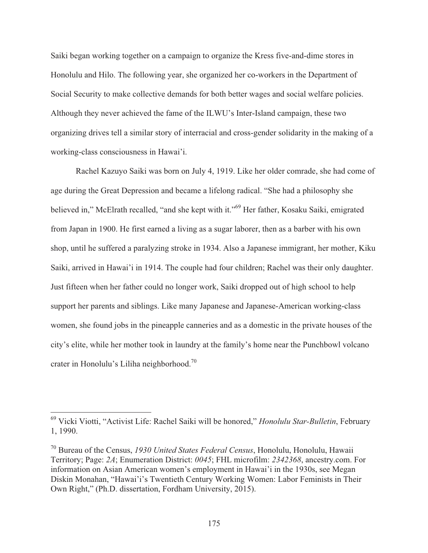Saiki began working together on a campaign to organize the Kress five-and-dime stores in Honolulu and Hilo. The following year, she organized her co-workers in the Department of Social Security to make collective demands for both better wages and social welfare policies. Although they never achieved the fame of the ILWU's Inter-Island campaign, these two organizing drives tell a similar story of interracial and cross-gender solidarity in the making of a working-class consciousness in Hawai'i.

 Rachel Kazuyo Saiki was born on July 4, 1919. Like her older comrade, she had come of age during the Great Depression and became a lifelong radical. "She had a philosophy she believed in," McElrath recalled, "and she kept with it."69 Her father, Kosaku Saiki, emigrated from Japan in 1900. He first earned a living as a sugar laborer, then as a barber with his own shop, until he suffered a paralyzing stroke in 1934. Also a Japanese immigrant, her mother, Kiku Saiki, arrived in Hawai'i in 1914. The couple had four children; Rachel was their only daughter. Just fifteen when her father could no longer work, Saiki dropped out of high school to help support her parents and siblings. Like many Japanese and Japanese-American working-class women, she found jobs in the pineapple canneries and as a domestic in the private houses of the city's elite, while her mother took in laundry at the family's home near the Punchbowl volcano crater in Honolulu's Liliha neighborhood.70

<sup>69</sup> Vicki Viotti, "Activist Life: Rachel Saiki will be honored," *Honolulu Star-Bulletin*, February 1, 1990.

<sup>70</sup> Bureau of the Census, *1930 United States Federal Census*, Honolulu, Honolulu, Hawaii Territory; Page: *2A*; Enumeration District: *0045*; FHL microfilm: *2342368*, ancestry.com. For information on Asian American women's employment in Hawai'i in the 1930s, see Megan Diskin Monahan, "Hawai'i's Twentieth Century Working Women: Labor Feminists in Their Own Right," (Ph.D. dissertation, Fordham University, 2015).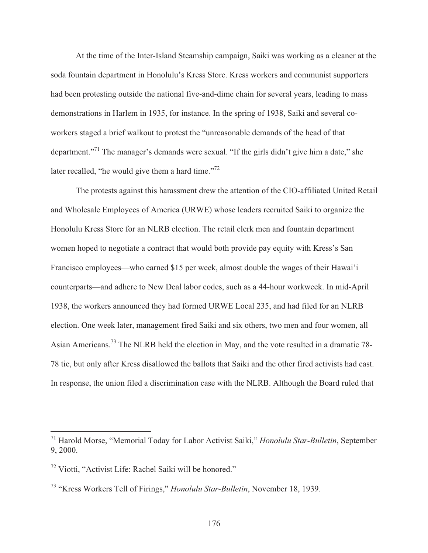At the time of the Inter-Island Steamship campaign, Saiki was working as a cleaner at the soda fountain department in Honolulu's Kress Store. Kress workers and communist supporters had been protesting outside the national five-and-dime chain for several years, leading to mass demonstrations in Harlem in 1935, for instance. In the spring of 1938, Saiki and several coworkers staged a brief walkout to protest the "unreasonable demands of the head of that department."<sup>71</sup> The manager's demands were sexual. "If the girls didn't give him a date," she later recalled, "he would give them a hard time."<sup>72</sup>

 The protests against this harassment drew the attention of the CIO-affiliated United Retail and Wholesale Employees of America (URWE) whose leaders recruited Saiki to organize the Honolulu Kress Store for an NLRB election. The retail clerk men and fountain department women hoped to negotiate a contract that would both provide pay equity with Kress's San Francisco employees—who earned \$15 per week, almost double the wages of their Hawai'i counterparts—and adhere to New Deal labor codes, such as a 44-hour workweek. In mid-April 1938, the workers announced they had formed URWE Local 235, and had filed for an NLRB election. One week later, management fired Saiki and six others, two men and four women, all Asian Americans.<sup>73</sup> The NLRB held the election in May, and the vote resulted in a dramatic 78-78 tie, but only after Kress disallowed the ballots that Saiki and the other fired activists had cast. In response, the union filed a discrimination case with the NLRB. Although the Board ruled that

<sup>71</sup> Harold Morse, "Memorial Today for Labor Activist Saiki," *Honolulu Star-Bulletin*, September 9, 2000.

<sup>72</sup> Viotti, "Activist Life: Rachel Saiki will be honored."

<sup>73 &</sup>quot;Kress Workers Tell of Firings," *Honolulu Star-Bulletin*, November 18, 1939.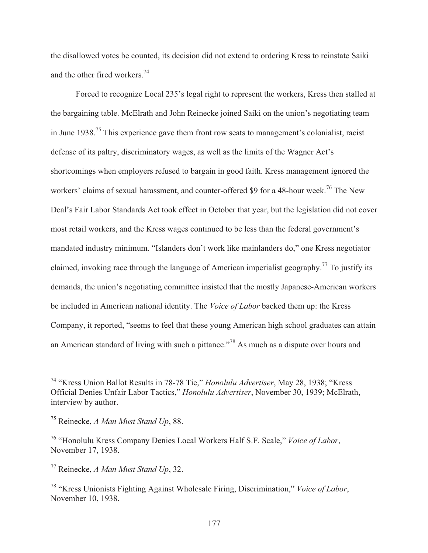the disallowed votes be counted, its decision did not extend to ordering Kress to reinstate Saiki and the other fired workers.74

 Forced to recognize Local 235's legal right to represent the workers, Kress then stalled at the bargaining table. McElrath and John Reinecke joined Saiki on the union's negotiating team in June 1938.<sup>75</sup> This experience gave them front row seats to management's colonialist, racist defense of its paltry, discriminatory wages, as well as the limits of the Wagner Act's shortcomings when employers refused to bargain in good faith. Kress management ignored the workers' claims of sexual harassment, and counter-offered \$9 for a 48-hour week.<sup>76</sup> The New Deal's Fair Labor Standards Act took effect in October that year, but the legislation did not cover most retail workers, and the Kress wages continued to be less than the federal government's mandated industry minimum. "Islanders don't work like mainlanders do," one Kress negotiator claimed, invoking race through the language of American imperialist geography.<sup>77</sup> To justify its demands, the union's negotiating committee insisted that the mostly Japanese-American workers be included in American national identity. The *Voice of Labor* backed them up: the Kress Company, it reported, "seems to feel that these young American high school graduates can attain an American standard of living with such a pittance."78 As much as a dispute over hours and

<sup>74 &</sup>quot;Kress Union Ballot Results in 78-78 Tie," *Honolulu Advertiser*, May 28, 1938; "Kress Official Denies Unfair Labor Tactics," *Honolulu Advertiser*, November 30, 1939; McElrath, interview by author.

<sup>75</sup> Reinecke, *A Man Must Stand Up*, 88.

<sup>76 &</sup>quot;Honolulu Kress Company Denies Local Workers Half S.F. Scale," *Voice of Labor*, November 17, 1938.

<sup>77</sup> Reinecke, *A Man Must Stand Up*, 32.

<sup>78 &</sup>quot;Kress Unionists Fighting Against Wholesale Firing, Discrimination," *Voice of Labor*, November 10, 1938.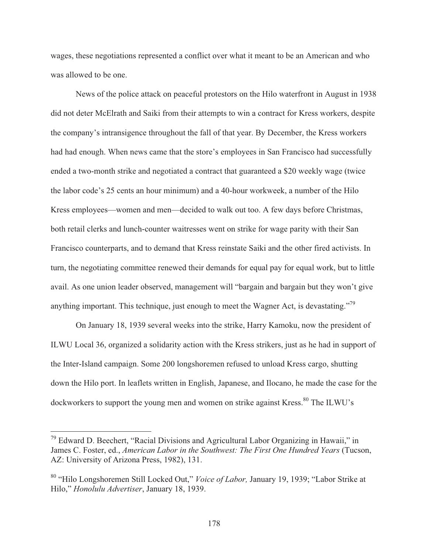wages, these negotiations represented a conflict over what it meant to be an American and who was allowed to be one.

 News of the police attack on peaceful protestors on the Hilo waterfront in August in 1938 did not deter McElrath and Saiki from their attempts to win a contract for Kress workers, despite the company's intransigence throughout the fall of that year. By December, the Kress workers had had enough. When news came that the store's employees in San Francisco had successfully ended a two-month strike and negotiated a contract that guaranteed a \$20 weekly wage (twice the labor code's 25 cents an hour minimum) and a 40-hour workweek, a number of the Hilo Kress employees—women and men—decided to walk out too. A few days before Christmas, both retail clerks and lunch-counter waitresses went on strike for wage parity with their San Francisco counterparts, and to demand that Kress reinstate Saiki and the other fired activists. In turn, the negotiating committee renewed their demands for equal pay for equal work, but to little avail. As one union leader observed, management will "bargain and bargain but they won't give anything important. This technique, just enough to meet the Wagner Act, is devastating."<sup>79</sup>

 On January 18, 1939 several weeks into the strike, Harry Kamoku, now the president of ILWU Local 36, organized a solidarity action with the Kress strikers, just as he had in support of the Inter-Island campaign. Some 200 longshoremen refused to unload Kress cargo, shutting down the Hilo port. In leaflets written in English, Japanese, and Ilocano, he made the case for the dockworkers to support the young men and women on strike against Kress.<sup>80</sup> The ILWU's

<sup>&</sup>lt;sup>79</sup> Edward D. Beechert, "Racial Divisions and Agricultural Labor Organizing in Hawaii," in James C. Foster, ed., *American Labor in the Southwest: The First One Hundred Years* (Tucson, AZ: University of Arizona Press, 1982), 131.

<sup>80 &</sup>quot;Hilo Longshoremen Still Locked Out," *Voice of Labor,* January 19, 1939; "Labor Strike at Hilo," *Honolulu Advertiser*, January 18, 1939.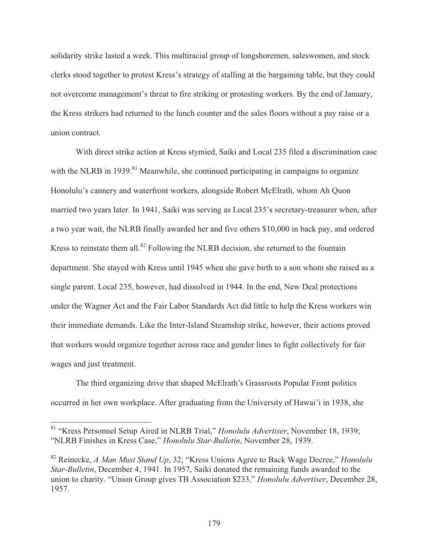solidarity strike lasted a week. This multiracial group of longshoremen, saleswomen, and stock clerks stood together to protest Kress's strategy of stalling at the bargaining table, but they could not overcome management's threat to fire striking or protesting workers. By the end of January, the Kress strikers had returned to the lunch counter and the sales floors without a pay raise or a union contract.

 With direct strike action at Kress stymied, Saiki and Local 235 filed a discrimination case with the NLRB in 1939.<sup>81</sup> Meanwhile, she continued participating in campaigns to organize Honolulu's cannery and waterfront workers, alongside Robert McElrath, whom Ah Quon married two years later. In 1941, Saiki was serving as Local 235's secretary-treasurer when, after a two year wait, the NLRB finally awarded her and five others \$10,000 in back pay, and ordered Kress to reinstate them all. $82$  Following the NLRB decision, she returned to the fountain department. She stayed with Kress until 1945 when she gave birth to a son whom she raised as a single parent. Local 235, however, had dissolved in 1944. In the end, New Deal protections under the Wagner Act and the Fair Labor Standards Act did little to help the Kress workers win their immediate demands. Like the Inter-Island Steamship strike, however, their actions proved that workers would organize together across race and gender lines to fight collectively for fair wages and just treatment.

 The third organizing drive that shaped McElrath's Grassroots Popular Front politics occurred in her own workplace. After graduating from the University of Hawai'i in 1938, she

<sup>81 &</sup>quot;Kress Personnel Setup Aired in NLRB Trial," *Honolulu Advertiser*, November 18, 1939; "NLRB Finishes in Kress Case," *Honolulu Star-Bulletin*, November 28, 1939.

<sup>82</sup> Reinecke, *A Man Must Stand Up*, 32; "Kress Unions Agree to Back Wage Decree," *Honolulu Star-Bulletin*, December 4, 1941. In 1957, Saiki donated the remaining funds awarded to the union to charity. "Union Group gives TB Association \$233," *Honolulu Advertiser*, December 28, 1957.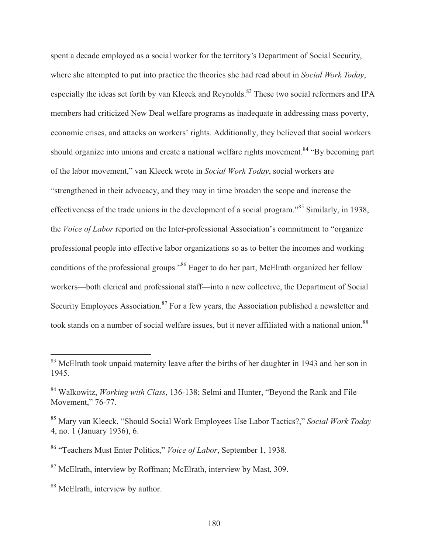spent a decade employed as a social worker for the territory's Department of Social Security, where she attempted to put into practice the theories she had read about in *Social Work Today*, especially the ideas set forth by van Kleeck and Reynolds.<sup>83</sup> These two social reformers and IPA members had criticized New Deal welfare programs as inadequate in addressing mass poverty, economic crises, and attacks on workers' rights. Additionally, they believed that social workers should organize into unions and create a national welfare rights movement.<sup>84</sup> "By becoming part of the labor movement," van Kleeck wrote in *Social Work Today*, social workers are "strengthened in their advocacy, and they may in time broaden the scope and increase the effectiveness of the trade unions in the development of a social program."85 Similarly, in 1938, the *Voice of Labor* reported on the Inter-professional Association's commitment to "organize professional people into effective labor organizations so as to better the incomes and working conditions of the professional groups."86 Eager to do her part, McElrath organized her fellow workers—both clerical and professional staff—into a new collective, the Department of Social Security Employees Association.<sup>87</sup> For a few years, the Association published a newsletter and took stands on a number of social welfare issues, but it never affiliated with a national union.<sup>88</sup>

<sup>&</sup>lt;sup>83</sup> McElrath took unpaid maternity leave after the births of her daughter in 1943 and her son in 1945.

<sup>84</sup> Walkowitz, *Working with Class*, 136-138; Selmi and Hunter, "Beyond the Rank and File Movement," 76-77.

<sup>85</sup> Mary van Kleeck, "Should Social Work Employees Use Labor Tactics?," *Social Work Today* 4, no. 1 (January 1936), 6.

<sup>86 &</sup>quot;Teachers Must Enter Politics," *Voice of Labor*, September 1, 1938.

<sup>87</sup> McElrath, interview by Roffman; McElrath, interview by Mast, 309.

<sup>&</sup>lt;sup>88</sup> McElrath, interview by author.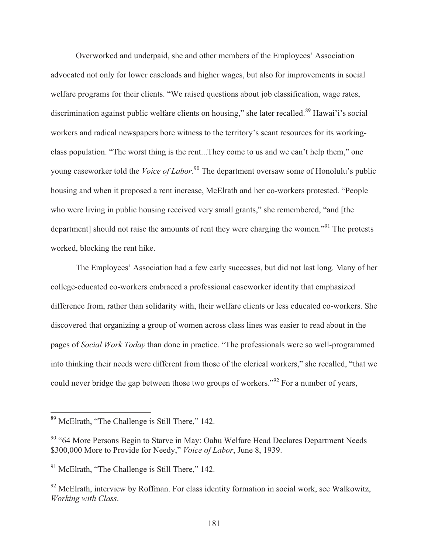Overworked and underpaid, she and other members of the Employees' Association advocated not only for lower caseloads and higher wages, but also for improvements in social welfare programs for their clients. "We raised questions about job classification, wage rates, discrimination against public welfare clients on housing," she later recalled.<sup>89</sup> Hawai'i's social workers and radical newspapers bore witness to the territory's scant resources for its workingclass population. "The worst thing is the rent...They come to us and we can't help them," one young caseworker told the *Voice of Labor*. 90 The department oversaw some of Honolulu's public housing and when it proposed a rent increase, McElrath and her co-workers protested. "People who were living in public housing received very small grants," she remembered, "and [the department] should not raise the amounts of rent they were charging the women."<sup>91</sup> The protests worked, blocking the rent hike.

 The Employees' Association had a few early successes, but did not last long. Many of her college-educated co-workers embraced a professional caseworker identity that emphasized difference from, rather than solidarity with, their welfare clients or less educated co-workers. She discovered that organizing a group of women across class lines was easier to read about in the pages of *Social Work Today* than done in practice. "The professionals were so well-programmed into thinking their needs were different from those of the clerical workers," she recalled, "that we could never bridge the gap between those two groups of workers."<sup>92</sup> For a number of years,

<sup>&</sup>lt;sup>89</sup> McElrath, "The Challenge is Still There," 142.

<sup>&</sup>lt;sup>90</sup> "64 More Persons Begin to Starve in May: Oahu Welfare Head Declares Department Needs \$300,000 More to Provide for Needy," *Voice of Labor*, June 8, 1939.

<sup>&</sup>lt;sup>91</sup> McElrath, "The Challenge is Still There," 142.

 $92$  McElrath, interview by Roffman. For class identity formation in social work, see Walkowitz, *Working with Class*.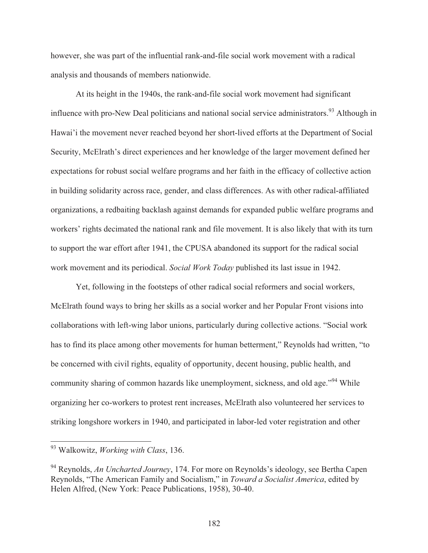however, she was part of the influential rank-and-file social work movement with a radical analysis and thousands of members nationwide.

 At its height in the 1940s, the rank-and-file social work movement had significant influence with pro-New Deal politicians and national social service administrators.<sup>93</sup> Although in Hawai'i the movement never reached beyond her short-lived efforts at the Department of Social Security, McElrath's direct experiences and her knowledge of the larger movement defined her expectations for robust social welfare programs and her faith in the efficacy of collective action in building solidarity across race, gender, and class differences. As with other radical-affiliated organizations, a redbaiting backlash against demands for expanded public welfare programs and workers' rights decimated the national rank and file movement. It is also likely that with its turn to support the war effort after 1941, the CPUSA abandoned its support for the radical social work movement and its periodical. *Social Work Today* published its last issue in 1942.

 Yet, following in the footsteps of other radical social reformers and social workers, McElrath found ways to bring her skills as a social worker and her Popular Front visions into collaborations with left-wing labor unions, particularly during collective actions. "Social work has to find its place among other movements for human betterment," Reynolds had written, "to be concerned with civil rights, equality of opportunity, decent housing, public health, and community sharing of common hazards like unemployment, sickness, and old age."<sup>94</sup> While organizing her co-workers to protest rent increases, McElrath also volunteered her services to striking longshore workers in 1940, and participated in labor-led voter registration and other

 $\overline{\phantom{a}}$ 

<sup>93</sup> Walkowitz, *Working with Class*, 136.

<sup>94</sup> Reynolds, *An Uncharted Journey*, 174. For more on Reynolds's ideology, see Bertha Capen Reynolds, "The American Family and Socialism," in *Toward a Socialist America*, edited by Helen Alfred, (New York: Peace Publications, 1958), 30-40.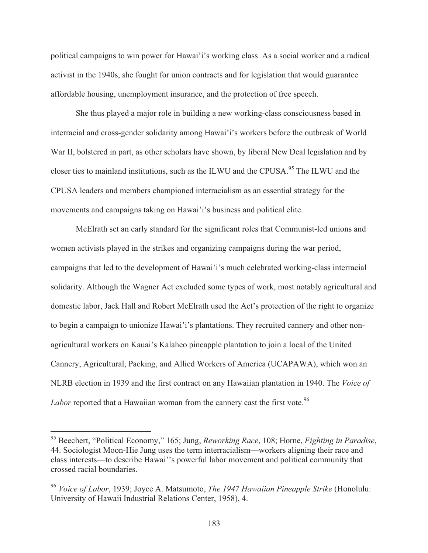political campaigns to win power for Hawai'i's working class. As a social worker and a radical activist in the 1940s, she fought for union contracts and for legislation that would guarantee affordable housing, unemployment insurance, and the protection of free speech.

 She thus played a major role in building a new working-class consciousness based in interracial and cross-gender solidarity among Hawai'i's workers before the outbreak of World War II, bolstered in part, as other scholars have shown, by liberal New Deal legislation and by closer ties to mainland institutions, such as the ILWU and the CPUSA.<sup>95</sup> The ILWU and the CPUSA leaders and members championed interracialism as an essential strategy for the movements and campaigns taking on Hawai'i's business and political elite.

 McElrath set an early standard for the significant roles that Communist-led unions and women activists played in the strikes and organizing campaigns during the war period, campaigns that led to the development of Hawai'i's much celebrated working-class interracial solidarity. Although the Wagner Act excluded some types of work, most notably agricultural and domestic labor, Jack Hall and Robert McElrath used the Act's protection of the right to organize to begin a campaign to unionize Hawai'i's plantations. They recruited cannery and other nonagricultural workers on Kauai's Kalaheo pineapple plantation to join a local of the United Cannery, Agricultural, Packing, and Allied Workers of America (UCAPAWA), which won an NLRB election in 1939 and the first contract on any Hawaiian plantation in 1940. The *Voice of Labor* reported that a Hawaiian woman from the cannery cast the first vote.<sup>96</sup>

<sup>95</sup> Beechert, "Political Economy," 165; Jung, *Reworking Race*, 108; Horne, *Fighting in Paradise*, 44. Sociologist Moon-Hie Jung uses the term interracialism—workers aligning their race and class interests—to describe Hawai''s powerful labor movement and political community that crossed racial boundaries.

<sup>96</sup> *Voice of Labor*, 1939; Joyce A. Matsumoto, *The 1947 Hawaiian Pineapple Strike* (Honolulu: University of Hawaii Industrial Relations Center, 1958), 4.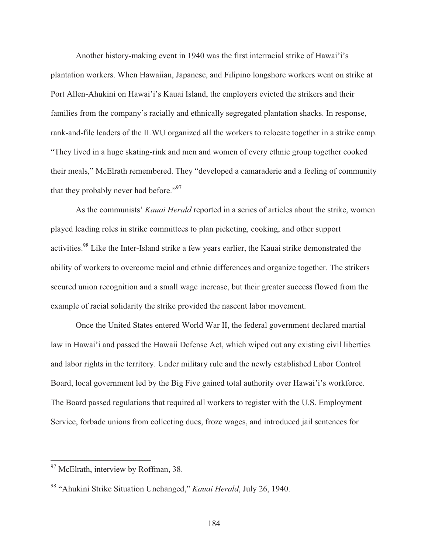Another history-making event in 1940 was the first interracial strike of Hawai'i's plantation workers. When Hawaiian, Japanese, and Filipino longshore workers went on strike at Port Allen-Ahukini on Hawai'i's Kauai Island, the employers evicted the strikers and their families from the company's racially and ethnically segregated plantation shacks. In response, rank-and-file leaders of the ILWU organized all the workers to relocate together in a strike camp. "They lived in a huge skating-rink and men and women of every ethnic group together cooked their meals," McElrath remembered. They "developed a camaraderie and a feeling of community that they probably never had before."<sup>97</sup>

 As the communists' *Kauai Herald* reported in a series of articles about the strike, women played leading roles in strike committees to plan picketing, cooking, and other support activities.<sup>98</sup> Like the Inter-Island strike a few years earlier, the Kauai strike demonstrated the ability of workers to overcome racial and ethnic differences and organize together. The strikers secured union recognition and a small wage increase, but their greater success flowed from the example of racial solidarity the strike provided the nascent labor movement.

 Once the United States entered World War II, the federal government declared martial law in Hawai'i and passed the Hawaii Defense Act, which wiped out any existing civil liberties and labor rights in the territory. Under military rule and the newly established Labor Control Board, local government led by the Big Five gained total authority over Hawai'i's workforce. The Board passed regulations that required all workers to register with the U.S. Employment Service, forbade unions from collecting dues, froze wages, and introduced jail sentences for

<sup>&</sup>lt;sup>97</sup> McElrath, interview by Roffman, 38.

<sup>98 &</sup>quot;Ahukini Strike Situation Unchanged," *Kauai Herald*, July 26, 1940.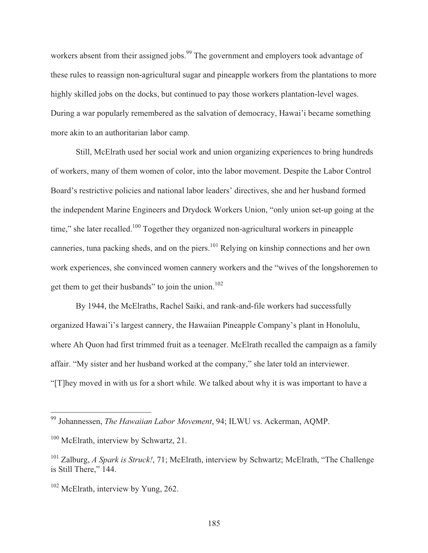workers absent from their assigned jobs.<sup>99</sup> The government and employers took advantage of these rules to reassign non-agricultural sugar and pineapple workers from the plantations to more highly skilled jobs on the docks, but continued to pay those workers plantation-level wages. During a war popularly remembered as the salvation of democracy, Hawai'i became something more akin to an authoritarian labor camp.

 Still, McElrath used her social work and union organizing experiences to bring hundreds of workers, many of them women of color, into the labor movement. Despite the Labor Control Board's restrictive policies and national labor leaders' directives, she and her husband formed the independent Marine Engineers and Drydock Workers Union, "only union set-up going at the time," she later recalled.<sup>100</sup> Together they organized non-agricultural workers in pineapple canneries, tuna packing sheds, and on the piers.<sup>101</sup> Relying on kinship connections and her own work experiences, she convinced women cannery workers and the "wives of the longshoremen to get them to get their husbands" to join the union.<sup>102</sup>

 By 1944, the McElraths, Rachel Saiki, and rank-and-file workers had successfully organized Hawai'i's largest cannery, the Hawaiian Pineapple Company's plant in Honolulu, where Ah Quon had first trimmed fruit as a teenager. McElrath recalled the campaign as a family affair. "My sister and her husband worked at the company," she later told an interviewer. "[T]hey moved in with us for a short while. We talked about why it is was important to have a

<sup>99</sup> Johannessen, *The Hawaiian Labor Movement*, 94; ILWU vs. Ackerman, AQMP.

<sup>&</sup>lt;sup>100</sup> McElrath, interview by Schwartz, 21.

<sup>&</sup>lt;sup>101</sup> Zalburg, *A Spark is Struck!*, 71; McElrath, interview by Schwartz; McElrath, "The Challenge" is Still There," 144.

<sup>&</sup>lt;sup>102</sup> McElrath, interview by Yung, 262.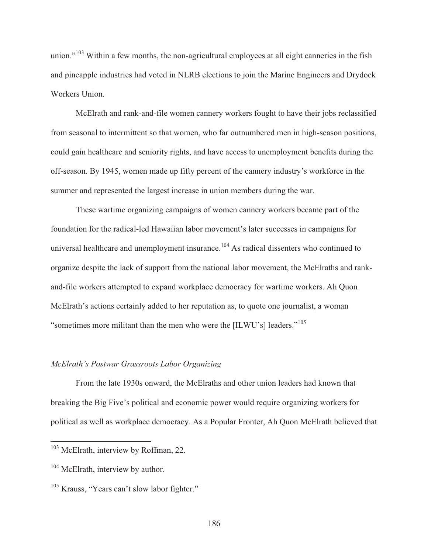union."<sup>103</sup> Within a few months, the non-agricultural employees at all eight canneries in the fish and pineapple industries had voted in NLRB elections to join the Marine Engineers and Drydock Workers Union.

 McElrath and rank-and-file women cannery workers fought to have their jobs reclassified from seasonal to intermittent so that women, who far outnumbered men in high-season positions, could gain healthcare and seniority rights, and have access to unemployment benefits during the off-season. By 1945, women made up fifty percent of the cannery industry's workforce in the summer and represented the largest increase in union members during the war.

 These wartime organizing campaigns of women cannery workers became part of the foundation for the radical-led Hawaiian labor movement's later successes in campaigns for universal healthcare and unemployment insurance.<sup>104</sup> As radical dissenters who continued to organize despite the lack of support from the national labor movement, the McElraths and rankand-file workers attempted to expand workplace democracy for wartime workers. Ah Quon McElrath's actions certainly added to her reputation as, to quote one journalist, a woman "sometimes more militant than the men who were the [ILWU's] leaders."<sup>105</sup>

## *McElrath's Postwar Grassroots Labor Organizing*

 From the late 1930s onward, the McElraths and other union leaders had known that breaking the Big Five's political and economic power would require organizing workers for political as well as workplace democracy. As a Popular Fronter, Ah Quon McElrath believed that

 $\overline{\phantom{a}}$ 

<sup>&</sup>lt;sup>103</sup> McElrath, interview by Roffman, 22.

<sup>&</sup>lt;sup>104</sup> McElrath, interview by author.

<sup>&</sup>lt;sup>105</sup> Krauss, "Years can't slow labor fighter."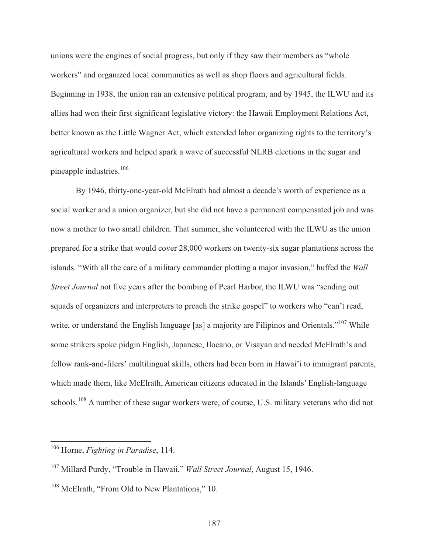unions were the engines of social progress, but only if they saw their members as "whole workers" and organized local communities as well as shop floors and agricultural fields. Beginning in 1938, the union ran an extensive political program, and by 1945, the ILWU and its allies had won their first significant legislative victory: the Hawaii Employment Relations Act, better known as the Little Wagner Act, which extended labor organizing rights to the territory's agricultural workers and helped spark a wave of successful NLRB elections in the sugar and pineapple industries.<sup>106</sup>

 By 1946, thirty-one-year-old McElrath had almost a decade's worth of experience as a social worker and a union organizer, but she did not have a permanent compensated job and was now a mother to two small children. That summer, she volunteered with the ILWU as the union prepared for a strike that would cover 28,000 workers on twenty-six sugar plantations across the islands. "With all the care of a military commander plotting a major invasion," huffed the *Wall Street Journal* not five years after the bombing of Pearl Harbor, the ILWU was "sending out squads of organizers and interpreters to preach the strike gospel" to workers who "can't read, write, or understand the English language [as] a majority are Filipinos and Orientals."<sup>107</sup> While some strikers spoke pidgin English, Japanese, Ilocano, or Visayan and needed McElrath's and fellow rank-and-filers' multilingual skills, others had been born in Hawai'i to immigrant parents, which made them, like McElrath, American citizens educated in the Islands' English-language schools.<sup>108</sup> A number of these sugar workers were, of course, U.S. military veterans who did not

<sup>106</sup> Horne, *Fighting in Paradise*, 114.

<sup>107</sup> Millard Purdy, "Trouble in Hawaii," *Wall Street Journal*, August 15, 1946.

<sup>&</sup>lt;sup>108</sup> McElrath, "From Old to New Plantations," 10.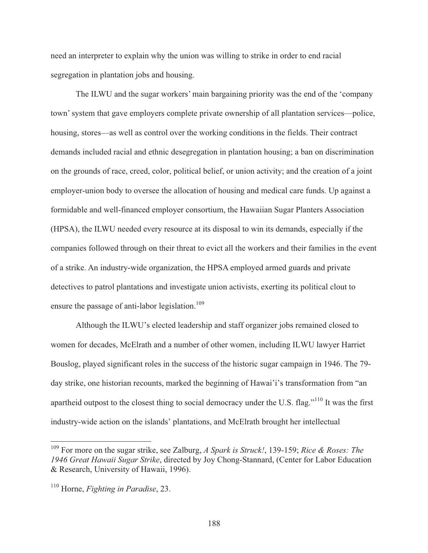need an interpreter to explain why the union was willing to strike in order to end racial segregation in plantation jobs and housing.

 The ILWU and the sugar workers' main bargaining priority was the end of the 'company town' system that gave employers complete private ownership of all plantation services—police, housing, stores—as well as control over the working conditions in the fields. Their contract demands included racial and ethnic desegregation in plantation housing; a ban on discrimination on the grounds of race, creed, color, political belief, or union activity; and the creation of a joint employer-union body to oversee the allocation of housing and medical care funds. Up against a formidable and well-financed employer consortium, the Hawaiian Sugar Planters Association (HPSA), the ILWU needed every resource at its disposal to win its demands, especially if the companies followed through on their threat to evict all the workers and their families in the event of a strike. An industry-wide organization, the HPSA employed armed guards and private detectives to patrol plantations and investigate union activists, exerting its political clout to ensure the passage of anti-labor legislation.<sup>109</sup>

 Although the ILWU's elected leadership and staff organizer jobs remained closed to women for decades, McElrath and a number of other women, including ILWU lawyer Harriet Bouslog, played significant roles in the success of the historic sugar campaign in 1946. The 79 day strike, one historian recounts, marked the beginning of Hawai'i's transformation from "an apartheid outpost to the closest thing to social democracy under the U.S. flag."110 It was the first industry-wide action on the islands' plantations, and McElrath brought her intellectual

<sup>109</sup> For more on the sugar strike, see Zalburg, *A Spark is Struck!*, 139-159; *Rice & Roses: The 1946 Great Hawaii Sugar Strike*, directed by Joy Chong-Stannard, (Center for Labor Education & Research, University of Hawaii, 1996).

<sup>110</sup> Horne, *Fighting in Paradise*, 23.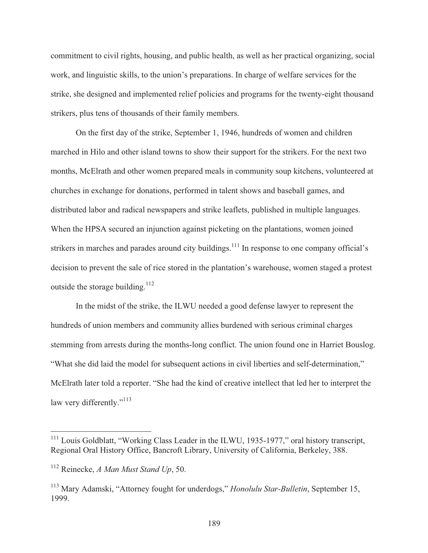commitment to civil rights, housing, and public health, as well as her practical organizing, social work, and linguistic skills, to the union's preparations. In charge of welfare services for the strike, she designed and implemented relief policies and programs for the twenty-eight thousand strikers, plus tens of thousands of their family members.

 On the first day of the strike, September 1, 1946, hundreds of women and children marched in Hilo and other island towns to show their support for the strikers. For the next two months, McElrath and other women prepared meals in community soup kitchens, volunteered at churches in exchange for donations, performed in talent shows and baseball games, and distributed labor and radical newspapers and strike leaflets, published in multiple languages. When the HPSA secured an injunction against picketing on the plantations, women joined strikers in marches and parades around city buildings.<sup>111</sup> In response to one company official's decision to prevent the sale of rice stored in the plantation's warehouse, women staged a protest outside the storage building.<sup>112</sup>

 In the midst of the strike, the ILWU needed a good defense lawyer to represent the hundreds of union members and community allies burdened with serious criminal charges stemming from arrests during the months-long conflict. The union found one in Harriet Bouslog. "What she did laid the model for subsequent actions in civil liberties and self-determination," McElrath later told a reporter. "She had the kind of creative intellect that led her to interpret the law very differently."<sup>113</sup>

<sup>&</sup>lt;sup>111</sup> Louis Goldblatt, "Working Class Leader in the ILWU, 1935-1977," oral history transcript, Regional Oral History Office, Bancroft Library, University of California, Berkeley, 388.

<sup>112</sup> Reinecke, *A Man Must Stand Up*, 50.

<sup>113</sup> Mary Adamski, "Attorney fought for underdogs," *Honolulu Star-Bulletin*, September 15, 1999.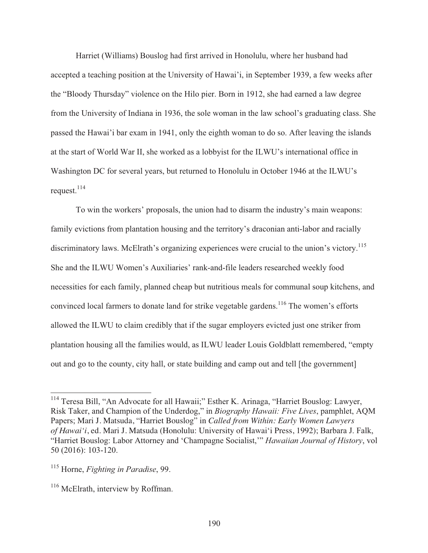Harriet (Williams) Bouslog had first arrived in Honolulu, where her husband had accepted a teaching position at the University of Hawai'i, in September 1939, a few weeks after the "Bloody Thursday" violence on the Hilo pier. Born in 1912, she had earned a law degree from the University of Indiana in 1936, the sole woman in the law school's graduating class. She passed the Hawai'i bar exam in 1941, only the eighth woman to do so. After leaving the islands at the start of World War II, she worked as a lobbyist for the ILWU's international office in Washington DC for several years, but returned to Honolulu in October 1946 at the ILWU's request. $^{114}$ 

 To win the workers' proposals, the union had to disarm the industry's main weapons: family evictions from plantation housing and the territory's draconian anti-labor and racially discriminatory laws. McElrath's organizing experiences were crucial to the union's victory.<sup>115</sup> She and the ILWU Women's Auxiliaries' rank-and-file leaders researched weekly food necessities for each family, planned cheap but nutritious meals for communal soup kitchens, and convinced local farmers to donate land for strike vegetable gardens.<sup>116</sup> The women's efforts allowed the ILWU to claim credibly that if the sugar employers evicted just one striker from plantation housing all the families would, as ILWU leader Louis Goldblatt remembered, "empty out and go to the county, city hall, or state building and camp out and tell [the government]

<sup>&</sup>lt;sup>114</sup> Teresa Bill, "An Advocate for all Hawaii;" Esther K. Arinaga, "Harriet Bouslog: Lawyer, Risk Taker, and Champion of the Underdog," in *Biography Hawaii: Five Lives*, pamphlet, AQM Papers; Mari J. Matsuda, "Harriet Bouslog" in *Called from Within: Early Women Lawyers of Hawai'i*, ed. Mari J. Matsuda (Honolulu: University of Hawai'i Press, 1992); Barbara J. Falk, "Harriet Bouslog: Labor Attorney and 'Champagne Socialist,'" *Hawaiian Journal of History*, vol 50 (2016): 103-120.

<sup>115</sup> Horne, *Fighting in Paradise*, 99.

<sup>&</sup>lt;sup>116</sup> McElrath, interview by Roffman.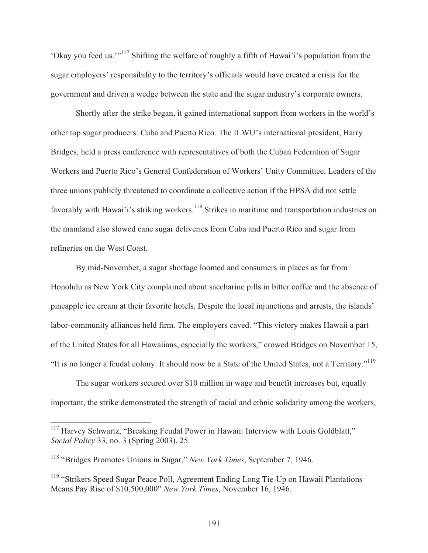'Okay you feed us.'"117 Shifting the welfare of roughly a fifth of Hawai'i's population from the sugar employers' responsibility to the territory's officials would have created a crisis for the government and driven a wedge between the state and the sugar industry's corporate owners.

 Shortly after the strike began, it gained international support from workers in the world's other top sugar producers: Cuba and Puerto Rico. The ILWU's international president, Harry Bridges, held a press conference with representatives of both the Cuban Federation of Sugar Workers and Puerto Rico's General Confederation of Workers' Unity Committee. Leaders of the three unions publicly threatened to coordinate a collective action if the HPSA did not settle favorably with Hawai'i's striking workers.<sup>118</sup> Strikes in maritime and transportation industries on the mainland also slowed cane sugar deliveries from Cuba and Puerto Rico and sugar from refineries on the West Coast.

 By mid-November, a sugar shortage loomed and consumers in places as far from Honolulu as New York City complained about saccharine pills in bitter coffee and the absence of pineapple ice cream at their favorite hotels. Despite the local injunctions and arrests, the islands' labor-community alliances held firm. The employers caved. "This victory makes Hawaii a part of the United States for all Hawaiians, especially the workers," crowed Bridges on November 15, "It is no longer a feudal colony. It should now be a State of the United States, not a Territory."119

 The sugar workers secured over \$10 million in wage and benefit increases but, equally important, the strike demonstrated the strength of racial and ethnic solidarity among the workers,

<sup>&</sup>lt;sup>117</sup> Harvey Schwartz, "Breaking Feudal Power in Hawaii: Interview with Louis Goldblatt," *Social Policy* 33, no. 3 (Spring 2003), 25.

<sup>118 &</sup>quot;Bridges Promotes Unions in Sugar," *New York Times*, September 7, 1946.

<sup>&</sup>lt;sup>119</sup> "Strikers Speed Sugar Peace Poll, Agreement Ending Long Tie-Up on Hawaii Plantations Means Pay Rise of \$10,500,000" *New York Times*, November 16, 1946.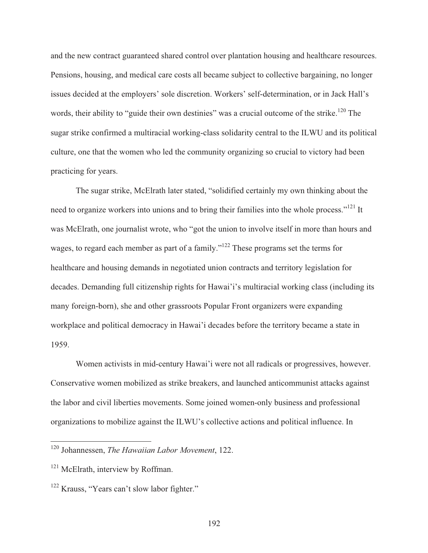and the new contract guaranteed shared control over plantation housing and healthcare resources. Pensions, housing, and medical care costs all became subject to collective bargaining, no longer issues decided at the employers' sole discretion. Workers' self-determination, or in Jack Hall's words, their ability to "guide their own destinies" was a crucial outcome of the strike.<sup>120</sup> The sugar strike confirmed a multiracial working-class solidarity central to the ILWU and its political culture, one that the women who led the community organizing so crucial to victory had been practicing for years.

 The sugar strike, McElrath later stated, "solidified certainly my own thinking about the need to organize workers into unions and to bring their families into the whole process."<sup>121</sup> It was McElrath, one journalist wrote, who "got the union to involve itself in more than hours and wages, to regard each member as part of a family."<sup>122</sup> These programs set the terms for healthcare and housing demands in negotiated union contracts and territory legislation for decades. Demanding full citizenship rights for Hawai'i's multiracial working class (including its many foreign-born), she and other grassroots Popular Front organizers were expanding workplace and political democracy in Hawai'i decades before the territory became a state in 1959.

 Women activists in mid-century Hawai'i were not all radicals or progressives, however. Conservative women mobilized as strike breakers, and launched anticommunist attacks against the labor and civil liberties movements. Some joined women-only business and professional organizations to mobilize against the ILWU's collective actions and political influence. In

<sup>120</sup> Johannessen, *The Hawaiian Labor Movement*, 122.

<sup>&</sup>lt;sup>121</sup> McElrath, interview by Roffman.

<sup>&</sup>lt;sup>122</sup> Krauss, "Years can't slow labor fighter."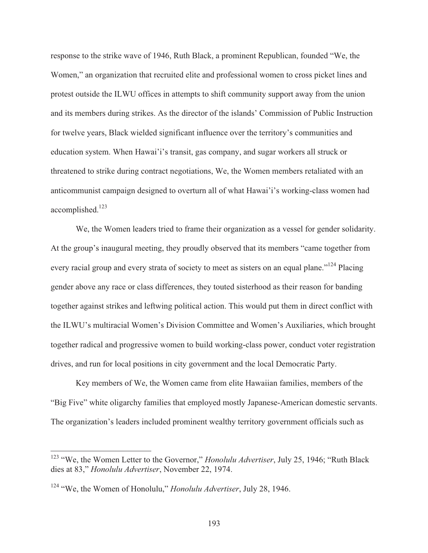response to the strike wave of 1946, Ruth Black, a prominent Republican, founded "We, the Women," an organization that recruited elite and professional women to cross picket lines and protest outside the ILWU offices in attempts to shift community support away from the union and its members during strikes. As the director of the islands' Commission of Public Instruction for twelve years, Black wielded significant influence over the territory's communities and education system. When Hawai'i's transit, gas company, and sugar workers all struck or threatened to strike during contract negotiations, We, the Women members retaliated with an anticommunist campaign designed to overturn all of what Hawai'i's working-class women had accomplished.123

 We, the Women leaders tried to frame their organization as a vessel for gender solidarity. At the group's inaugural meeting, they proudly observed that its members "came together from every racial group and every strata of society to meet as sisters on an equal plane."<sup>124</sup> Placing gender above any race or class differences, they touted sisterhood as their reason for banding together against strikes and leftwing political action. This would put them in direct conflict with the ILWU's multiracial Women's Division Committee and Women's Auxiliaries, which brought together radical and progressive women to build working-class power, conduct voter registration drives, and run for local positions in city government and the local Democratic Party.

 Key members of We, the Women came from elite Hawaiian families, members of the "Big Five" white oligarchy families that employed mostly Japanese-American domestic servants. The organization's leaders included prominent wealthy territory government officials such as

<sup>&</sup>lt;sup>123</sup> "We, the Women Letter to the Governor," *Honolulu Advertiser*, July 25, 1946; "Ruth Black dies at 83," *Honolulu Advertiser*, November 22, 1974.

<sup>124 &</sup>quot;We, the Women of Honolulu," *Honolulu Advertiser*, July 28, 1946.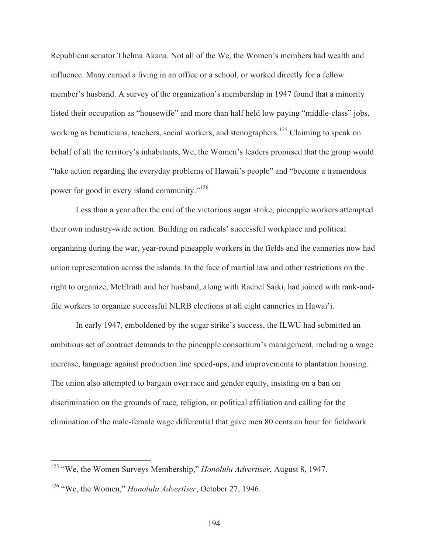Republican senator Thelma Akana. Not all of the We, the Women's members had wealth and influence. Many earned a living in an office or a school, or worked directly for a fellow member's husband. A survey of the organization's membership in 1947 found that a minority listed their occupation as "housewife" and more than half held low paying "middle-class" jobs, working as beauticians, teachers, social workers, and stenographers.<sup>125</sup> Claiming to speak on behalf of all the territory's inhabitants, We, the Women's leaders promised that the group would "take action regarding the everyday problems of Hawaii's people" and "become a tremendous power for good in every island community."126

 Less than a year after the end of the victorious sugar strike, pineapple workers attempted their own industry-wide action. Building on radicals' successful workplace and political organizing during the war, year-round pineapple workers in the fields and the canneries now had union representation across the islands. In the face of martial law and other restrictions on the right to organize, McElrath and her husband, along with Rachel Saiki, had joined with rank-andfile workers to organize successful NLRB elections at all eight canneries in Hawai'i.

 In early 1947, emboldened by the sugar strike's success, the ILWU had submitted an ambitious set of contract demands to the pineapple consortium's management, including a wage increase, language against production line speed-ups, and improvements to plantation housing. The union also attempted to bargain over race and gender equity, insisting on a ban on discrimination on the grounds of race, religion, or political affiliation and calling for the elimination of the male-female wage differential that gave men 80 cents an hour for fieldwork

<sup>125 &</sup>quot;We, the Women Surveys Membership," *Honolulu Advertiser*, August 8, 1947.

<sup>126 &</sup>quot;We, the Women," *Honolulu Advertiser*, October 27, 1946.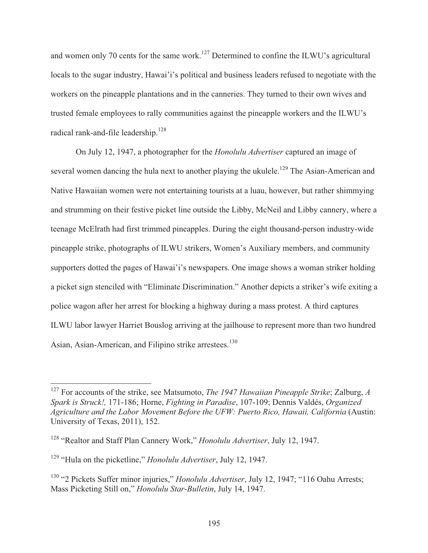and women only 70 cents for the same work.<sup>127</sup> Determined to confine the ILWU's agricultural locals to the sugar industry, Hawai'i's political and business leaders refused to negotiate with the workers on the pineapple plantations and in the canneries. They turned to their own wives and trusted female employees to rally communities against the pineapple workers and the ILWU's radical rank-and-file leadership.<sup>128</sup>

 On July 12, 1947, a photographer for the *Honolulu Advertiser* captured an image of several women dancing the hula next to another playing the ukulele.<sup>129</sup> The Asian-American and Native Hawaiian women were not entertaining tourists at a luau, however, but rather shimmying and strumming on their festive picket line outside the Libby, McNeil and Libby cannery, where a teenage McElrath had first trimmed pineapples. During the eight thousand-person industry-wide pineapple strike, photographs of ILWU strikers, Women's Auxiliary members, and community supporters dotted the pages of Hawai'i's newspapers. One image shows a woman striker holding a picket sign stenciled with "Eliminate Discrimination." Another depicts a striker's wife exiting a police wagon after her arrest for blocking a highway during a mass protest. A third captures ILWU labor lawyer Harriet Bouslog arriving at the jailhouse to represent more than two hundred Asian, Asian-American, and Filipino strike arrestees.<sup>130</sup>

<sup>127</sup> For accounts of the strike, see Matsumoto, *The 1947 Hawaiian Pineapple Strike*; Zalburg, *A Spark is Struck!,* 171-186; Horne, *Fighting in Paradise*, 107-109; Dennis Valdés, *Organized Agriculture and the Labor Movement Before the UFW: Puerto Rico, Hawaii, California* (Austin: University of Texas, 2011), 152.

<sup>128 &</sup>quot;Realtor and Staff Plan Cannery Work," *Honolulu Advertiser*, July 12, 1947.

<sup>129 &</sup>quot;Hula on the picketline," *Honolulu Advertiser*, July 12, 1947.

<sup>130 &</sup>quot;2 Pickets Suffer minor injuries," *Honolulu Advertiser*, July 12, 1947; "116 Oahu Arrests; Mass Picketing Still on," *Honolulu Star-Bulletin*, July 14, 1947.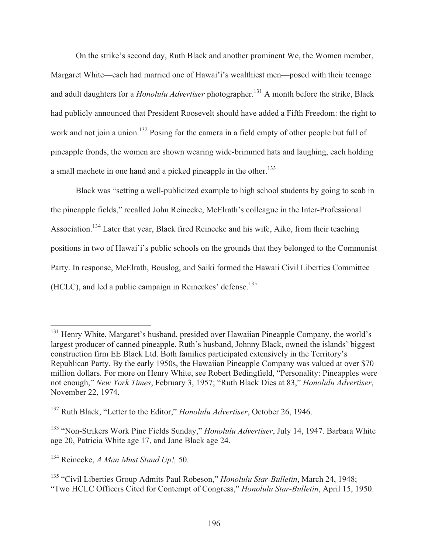On the strike's second day, Ruth Black and another prominent We, the Women member, Margaret White—each had married one of Hawai'i's wealthiest men—posed with their teenage and adult daughters for a *Honolulu Advertiser* photographer.<sup>131</sup> A month before the strike, Black had publicly announced that President Roosevelt should have added a Fifth Freedom: the right to work and not join a union.<sup>132</sup> Posing for the camera in a field empty of other people but full of pineapple fronds, the women are shown wearing wide-brimmed hats and laughing, each holding a small machete in one hand and a picked pineapple in the other.<sup>133</sup>

 Black was "setting a well-publicized example to high school students by going to scab in the pineapple fields," recalled John Reinecke, McElrath's colleague in the Inter-Professional Association.<sup>134</sup> Later that year, Black fired Reinecke and his wife, Aiko, from their teaching positions in two of Hawai'i's public schools on the grounds that they belonged to the Communist Party. In response, McElrath, Bouslog, and Saiki formed the Hawaii Civil Liberties Committee (HCLC), and led a public campaign in Reineckes' defense.135

 $\overline{a}$ <sup>131</sup> Henry White, Margaret's husband, presided over Hawaiian Pineapple Company, the world's largest producer of canned pineapple. Ruth's husband, Johnny Black, owned the islands' biggest construction firm EE Black Ltd. Both families participated extensively in the Territory's Republican Party. By the early 1950s, the Hawaiian Pineapple Company was valued at over \$70 million dollars. For more on Henry White, see Robert Bedingfield, "Personality: Pineapples were not enough," *New York Times*, February 3, 1957; "Ruth Black Dies at 83," *Honolulu Advertiser*, November 22, 1974.

<sup>132</sup> Ruth Black, "Letter to the Editor," *Honolulu Advertiser*, October 26, 1946.

<sup>133 &</sup>quot;Non-Strikers Work Pine Fields Sunday," *Honolulu Advertiser*, July 14, 1947. Barbara White age 20, Patricia White age 17, and Jane Black age 24.

<sup>134</sup> Reinecke, *A Man Must Stand Up!,* 50.

<sup>135 &</sup>quot;Civil Liberties Group Admits Paul Robeson," *Honolulu Star-Bulletin*, March 24, 1948; "Two HCLC Officers Cited for Contempt of Congress," *Honolulu Star-Bulletin*, April 15, 1950.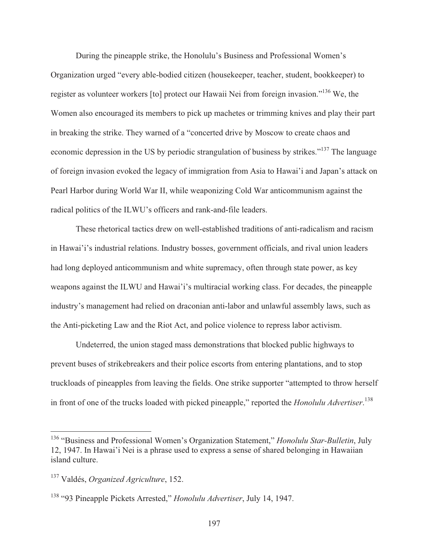During the pineapple strike, the Honolulu's Business and Professional Women's Organization urged "every able-bodied citizen (housekeeper, teacher, student, bookkeeper) to register as volunteer workers [to] protect our Hawaii Nei from foreign invasion."136 We, the Women also encouraged its members to pick up machetes or trimming knives and play their part in breaking the strike. They warned of a "concerted drive by Moscow to create chaos and economic depression in the US by periodic strangulation of business by strikes."<sup>137</sup> The language of foreign invasion evoked the legacy of immigration from Asia to Hawai'i and Japan's attack on Pearl Harbor during World War II, while weaponizing Cold War anticommunism against the radical politics of the ILWU's officers and rank-and-file leaders.

 These rhetorical tactics drew on well-established traditions of anti-radicalism and racism in Hawai'i's industrial relations. Industry bosses, government officials, and rival union leaders had long deployed anticommunism and white supremacy, often through state power, as key weapons against the ILWU and Hawai'i's multiracial working class. For decades, the pineapple industry's management had relied on draconian anti-labor and unlawful assembly laws, such as the Anti-picketing Law and the Riot Act, and police violence to repress labor activism.

 Undeterred, the union staged mass demonstrations that blocked public highways to prevent buses of strikebreakers and their police escorts from entering plantations, and to stop truckloads of pineapples from leaving the fields. One strike supporter "attempted to throw herself in front of one of the trucks loaded with picked pineapple," reported the *Honolulu Advertiser*. 138

<sup>136 &</sup>quot;Business and Professional Women's Organization Statement," *Honolulu Star-Bulletin*, July 12, 1947. In Hawai'i Nei is a phrase used to express a sense of shared belonging in Hawaiian island culture.

<sup>137</sup> Valdés, *Organized Agriculture*, 152.

<sup>138 &</sup>quot;93 Pineapple Pickets Arrested," *Honolulu Advertiser*, July 14, 1947.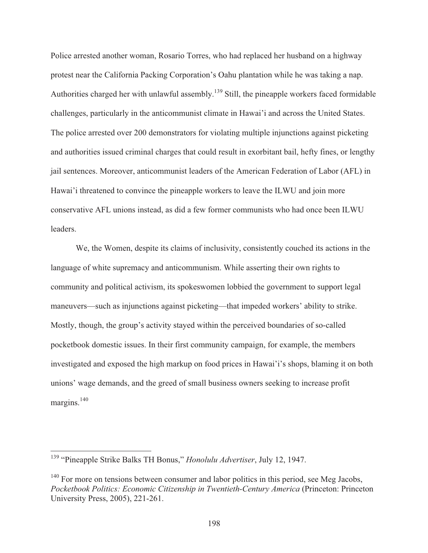Police arrested another woman, Rosario Torres, who had replaced her husband on a highway protest near the California Packing Corporation's Oahu plantation while he was taking a nap. Authorities charged her with unlawful assembly.<sup>139</sup> Still, the pineapple workers faced formidable challenges, particularly in the anticommunist climate in Hawai'i and across the United States. The police arrested over 200 demonstrators for violating multiple injunctions against picketing and authorities issued criminal charges that could result in exorbitant bail, hefty fines, or lengthy jail sentences. Moreover, anticommunist leaders of the American Federation of Labor (AFL) in Hawai'i threatened to convince the pineapple workers to leave the ILWU and join more conservative AFL unions instead, as did a few former communists who had once been ILWU leaders.

 We, the Women, despite its claims of inclusivity, consistently couched its actions in the language of white supremacy and anticommunism. While asserting their own rights to community and political activism, its spokeswomen lobbied the government to support legal maneuvers—such as injunctions against picketing—that impeded workers' ability to strike. Mostly, though, the group's activity stayed within the perceived boundaries of so-called pocketbook domestic issues. In their first community campaign, for example, the members investigated and exposed the high markup on food prices in Hawai'i's shops, blaming it on both unions' wage demands, and the greed of small business owners seeking to increase profit margins.<sup>140</sup>

<sup>139 &</sup>quot;Pineapple Strike Balks TH Bonus," *Honolulu Advertiser*, July 12, 1947.

 $140$  For more on tensions between consumer and labor politics in this period, see Meg Jacobs, *Pocketbook Politics: Economic Citizenship in Twentieth-Century America* (Princeton: Princeton University Press, 2005), 221-261.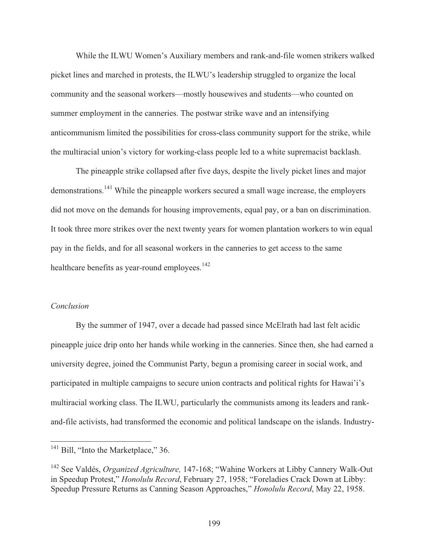While the ILWU Women's Auxiliary members and rank-and-file women strikers walked picket lines and marched in protests, the ILWU's leadership struggled to organize the local community and the seasonal workers—mostly housewives and students—who counted on summer employment in the canneries. The postwar strike wave and an intensifying anticommunism limited the possibilities for cross-class community support for the strike, while the multiracial union's victory for working-class people led to a white supremacist backlash.

 The pineapple strike collapsed after five days, despite the lively picket lines and major demonstrations.<sup>141</sup> While the pineapple workers secured a small wage increase, the employers did not move on the demands for housing improvements, equal pay, or a ban on discrimination. It took three more strikes over the next twenty years for women plantation workers to win equal pay in the fields, and for all seasonal workers in the canneries to get access to the same healthcare benefits as year-round employees.<sup>142</sup>

#### *Conclusion*

 $\overline{a}$ 

 By the summer of 1947, over a decade had passed since McElrath had last felt acidic pineapple juice drip onto her hands while working in the canneries. Since then, she had earned a university degree, joined the Communist Party, begun a promising career in social work, and participated in multiple campaigns to secure union contracts and political rights for Hawai'i's multiracial working class. The ILWU, particularly the communists among its leaders and rankand-file activists, had transformed the economic and political landscape on the islands. Industry-

 $141$  Bill, "Into the Marketplace," 36.

<sup>142</sup> See Valdés, *Organized Agriculture,* 147-168; "Wahine Workers at Libby Cannery Walk-Out in Speedup Protest," *Honolulu Record*, February 27, 1958; "Foreladies Crack Down at Libby: Speedup Pressure Returns as Canning Season Approaches," *Honolulu Record*, May 22, 1958.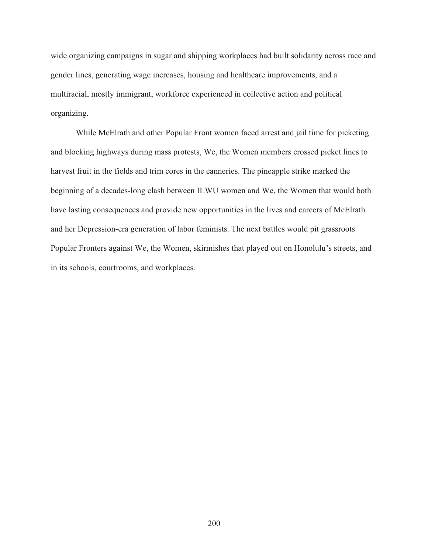wide organizing campaigns in sugar and shipping workplaces had built solidarity across race and gender lines, generating wage increases, housing and healthcare improvements, and a multiracial, mostly immigrant, workforce experienced in collective action and political organizing.

 While McElrath and other Popular Front women faced arrest and jail time for picketing and blocking highways during mass protests, We, the Women members crossed picket lines to harvest fruit in the fields and trim cores in the canneries. The pineapple strike marked the beginning of a decades-long clash between ILWU women and We, the Women that would both have lasting consequences and provide new opportunities in the lives and careers of McElrath and her Depression-era generation of labor feminists. The next battles would pit grassroots Popular Fronters against We, the Women, skirmishes that played out on Honolulu's streets, and in its schools, courtrooms, and workplaces.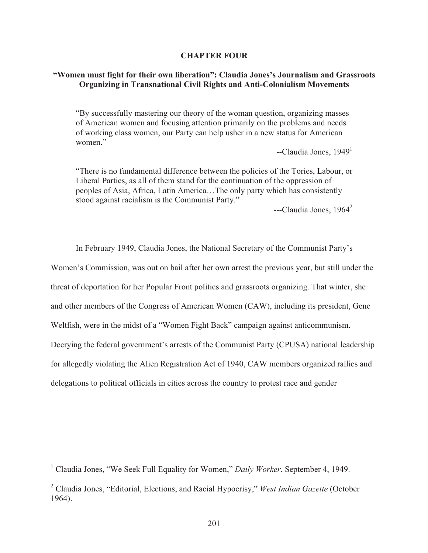## **CHAPTER FOUR**

# **"Women must fight for their own liberation": Claudia Jones's Journalism and Grassroots Organizing in Transnational Civil Rights and Anti-Colonialism Movements**

"By successfully mastering our theory of the woman question, organizing masses of American women and focusing attention primarily on the problems and needs of working class women, our Party can help usher in a new status for American women."

 $-$ Claudia Jones, 1949<sup>1</sup>

"There is no fundamental difference between the policies of the Tories, Labour, or Liberal Parties, as all of them stand for the continuation of the oppression of peoples of Asia, Africa, Latin America…The only party which has consistently stood against racialism is the Communist Party."

 $--$ Claudia Jones, 1964<sup>2</sup>

In February 1949, Claudia Jones, the National Secretary of the Communist Party's

Women's Commission, was out on bail after her own arrest the previous year, but still under the

threat of deportation for her Popular Front politics and grassroots organizing. That winter, she

and other members of the Congress of American Women (CAW), including its president, Gene

Weltfish, were in the midst of a "Women Fight Back" campaign against anticommunism.

Decrying the federal government's arrests of the Communist Party (CPUSA) national leadership

for allegedly violating the Alien Registration Act of 1940, CAW members organized rallies and

delegations to political officials in cities across the country to protest race and gender

<sup>&</sup>lt;sup>1</sup> Claudia Jones, "We Seek Full Equality for Women," *Daily Worker*, September 4, 1949.

<sup>2</sup> Claudia Jones, "Editorial, Elections, and Racial Hypocrisy," *West Indian Gazette* (October 1964).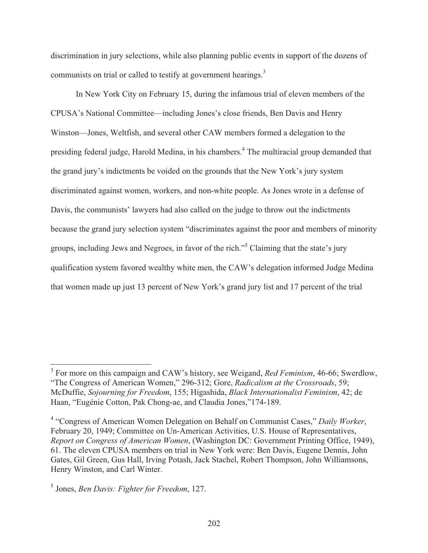discrimination in jury selections, while also planning public events in support of the dozens of communists on trial or called to testify at government hearings.<sup>3</sup>

 In New York City on February 15, during the infamous trial of eleven members of the CPUSA's National Committee—including Jones's close friends, Ben Davis and Henry Winston—Jones, Weltfish, and several other CAW members formed a delegation to the presiding federal judge, Harold Medina, in his chambers.<sup>4</sup> The multiracial group demanded that the grand jury's indictments be voided on the grounds that the New York's jury system discriminated against women, workers, and non-white people. As Jones wrote in a defense of Davis, the communists' lawyers had also called on the judge to throw out the indictments because the grand jury selection system "discriminates against the poor and members of minority groups, including Jews and Negroes, in favor of the rich."<sup>5</sup> Claiming that the state's jury qualification system favored wealthy white men, the CAW's delegation informed Judge Medina that women made up just 13 percent of New York's grand jury list and 17 percent of the trial

<sup>&</sup>lt;sup>3</sup> For more on this campaign and CAW's history, see Weigand, *Red Feminism*, 46-66; Swerdlow, "The Congress of American Women," 296-312; Gore, *Radicalism at the Crossroads*, 59; McDuffie, *Sojourning for Freedom*, 155; Higashida, *Black Internationalist Feminism*, 42; de Haan, "Eugénie Cotton, Pak Chong-ae, and Claudia Jones,"174-189.

<sup>4</sup> "Congress of American Women Delegation on Behalf on Communist Cases," *Daily Worker*, February 20, 1949; Committee on Un-American Activities, U.S. House of Representatives, *Report on Congress of American Women*, (Washington DC: Government Printing Office, 1949), 61. The eleven CPUSA members on trial in New York were: Ben Davis, Eugene Dennis, John Gates, Gil Green, Gus Hall, Irving Potash, Jack Stachel, Robert Thompson, John Williamsons, Henry Winston, and Carl Winter.

<sup>5</sup> Jones, *Ben Davis: Fighter for Freedom*, 127.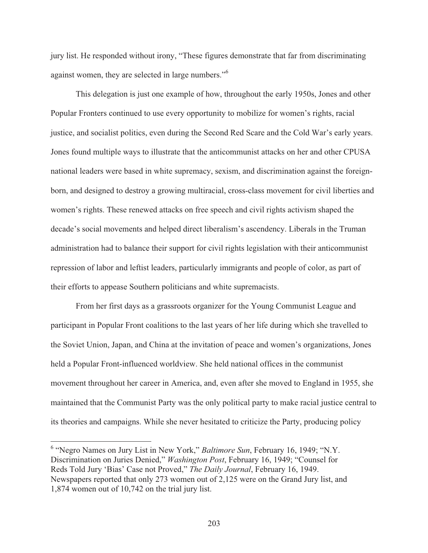jury list. He responded without irony, "These figures demonstrate that far from discriminating against women, they are selected in large numbers."<sup>6</sup>

 This delegation is just one example of how, throughout the early 1950s, Jones and other Popular Fronters continued to use every opportunity to mobilize for women's rights, racial justice, and socialist politics, even during the Second Red Scare and the Cold War's early years. Jones found multiple ways to illustrate that the anticommunist attacks on her and other CPUSA national leaders were based in white supremacy, sexism, and discrimination against the foreignborn, and designed to destroy a growing multiracial, cross-class movement for civil liberties and women's rights. These renewed attacks on free speech and civil rights activism shaped the decade's social movements and helped direct liberalism's ascendency. Liberals in the Truman administration had to balance their support for civil rights legislation with their anticommunist repression of labor and leftist leaders, particularly immigrants and people of color, as part of their efforts to appease Southern politicians and white supremacists.

 From her first days as a grassroots organizer for the Young Communist League and participant in Popular Front coalitions to the last years of her life during which she travelled to the Soviet Union, Japan, and China at the invitation of peace and women's organizations, Jones held a Popular Front-influenced worldview. She held national offices in the communist movement throughout her career in America, and, even after she moved to England in 1955, she maintained that the Communist Party was the only political party to make racial justice central to its theories and campaigns. While she never hesitated to criticize the Party, producing policy

<sup>&</sup>lt;sup>6</sup> "Negro Names on Jury List in New York," *Baltimore Sun*, February 16, 1949; "N.Y. Discrimination on Juries Denied," *Washington Post*, February 16, 1949; "Counsel for Reds Told Jury 'Bias' Case not Proved," *The Daily Journal*, February 16, 1949. Newspapers reported that only 273 women out of 2,125 were on the Grand Jury list, and 1,874 women out of 10,742 on the trial jury list.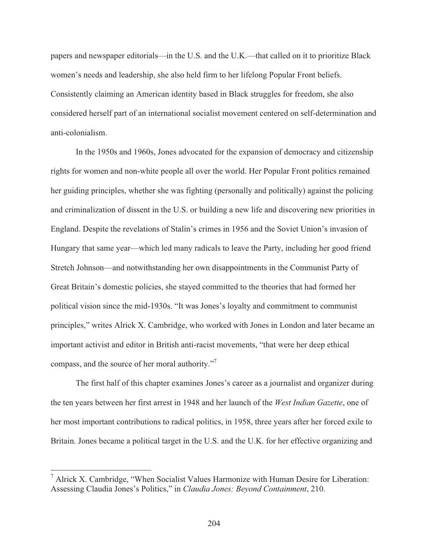papers and newspaper editorials—in the U.S. and the U.K.—that called on it to prioritize Black women's needs and leadership, she also held firm to her lifelong Popular Front beliefs. Consistently claiming an American identity based in Black struggles for freedom, she also considered herself part of an international socialist movement centered on self-determination and anti-colonialism.

 In the 1950s and 1960s, Jones advocated for the expansion of democracy and citizenship rights for women and non-white people all over the world. Her Popular Front politics remained her guiding principles, whether she was fighting (personally and politically) against the policing and criminalization of dissent in the U.S. or building a new life and discovering new priorities in England. Despite the revelations of Stalin's crimes in 1956 and the Soviet Union's invasion of Hungary that same year—which led many radicals to leave the Party, including her good friend Stretch Johnson—and notwithstanding her own disappointments in the Communist Party of Great Britain's domestic policies, she stayed committed to the theories that had formed her political vision since the mid-1930s. "It was Jones's loyalty and commitment to communist principles," writes Alrick X. Cambridge, who worked with Jones in London and later became an important activist and editor in British anti-racist movements, "that were her deep ethical compass, and the source of her moral authority."<sup>7</sup>

 The first half of this chapter examines Jones's career as a journalist and organizer during the ten years between her first arrest in 1948 and her launch of the *West Indian Gazette*, one of her most important contributions to radical politics, in 1958, three years after her forced exile to Britain. Jones became a political target in the U.S. and the U.K. for her effective organizing and

<sup>&</sup>lt;sup>7</sup> Alrick X. Cambridge, "When Socialist Values Harmonize with Human Desire for Liberation: Assessing Claudia Jones's Politics," in *Claudia Jones: Beyond Containment*, 210.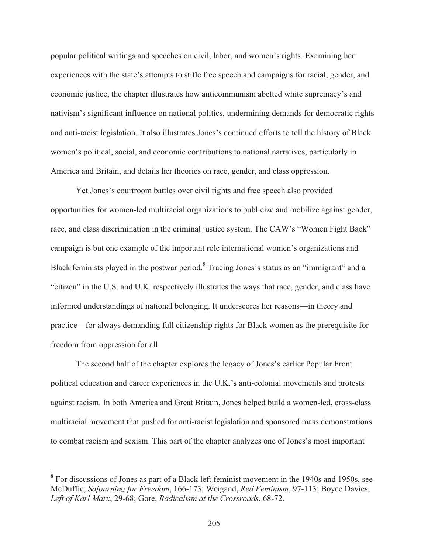popular political writings and speeches on civil, labor, and women's rights. Examining her experiences with the state's attempts to stifle free speech and campaigns for racial, gender, and economic justice, the chapter illustrates how anticommunism abetted white supremacy's and nativism's significant influence on national politics, undermining demands for democratic rights and anti-racist legislation. It also illustrates Jones's continued efforts to tell the history of Black women's political, social, and economic contributions to national narratives, particularly in America and Britain, and details her theories on race, gender, and class oppression.

 Yet Jones's courtroom battles over civil rights and free speech also provided opportunities for women-led multiracial organizations to publicize and mobilize against gender, race, and class discrimination in the criminal justice system. The CAW's "Women Fight Back" campaign is but one example of the important role international women's organizations and Black feminists played in the postwar period.<sup>8</sup> Tracing Jones's status as an "immigrant" and a "citizen" in the U.S. and U.K. respectively illustrates the ways that race, gender, and class have informed understandings of national belonging. It underscores her reasons—in theory and practice—for always demanding full citizenship rights for Black women as the prerequisite for freedom from oppression for all.

 The second half of the chapter explores the legacy of Jones's earlier Popular Front political education and career experiences in the U.K.'s anti-colonial movements and protests against racism. In both America and Great Britain, Jones helped build a women-led, cross-class multiracial movement that pushed for anti-racist legislation and sponsored mass demonstrations to combat racism and sexism. This part of the chapter analyzes one of Jones's most important

<sup>&</sup>lt;sup>8</sup> For discussions of Jones as part of a Black left feminist movement in the 1940s and 1950s, see McDuffie, *Sojourning for Freedom*, 166-173; Weigand, *Red Feminism*, 97-113; Boyce Davies, *Left of Karl Marx*, 29-68; Gore, *Radicalism at the Crossroads*, 68-72.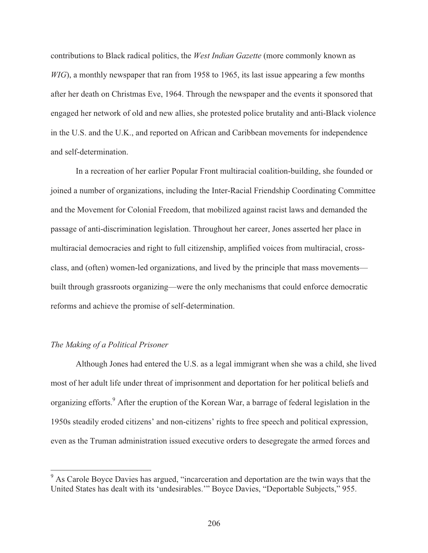contributions to Black radical politics, the *West Indian Gazette* (more commonly known as *WIG*), a monthly newspaper that ran from 1958 to 1965, its last issue appearing a few months after her death on Christmas Eve, 1964. Through the newspaper and the events it sponsored that engaged her network of old and new allies, she protested police brutality and anti-Black violence in the U.S. and the U.K., and reported on African and Caribbean movements for independence and self-determination.

 In a recreation of her earlier Popular Front multiracial coalition-building, she founded or joined a number of organizations, including the Inter-Racial Friendship Coordinating Committee and the Movement for Colonial Freedom, that mobilized against racist laws and demanded the passage of anti-discrimination legislation. Throughout her career, Jones asserted her place in multiracial democracies and right to full citizenship, amplified voices from multiracial, crossclass, and (often) women-led organizations, and lived by the principle that mass movements built through grassroots organizing—were the only mechanisms that could enforce democratic reforms and achieve the promise of self-determination.

## *The Making of a Political Prisoner*

 Although Jones had entered the U.S. as a legal immigrant when she was a child, she lived most of her adult life under threat of imprisonment and deportation for her political beliefs and organizing efforts.<sup>9</sup> After the eruption of the Korean War, a barrage of federal legislation in the 1950s steadily eroded citizens' and non-citizens' rights to free speech and political expression, even as the Truman administration issued executive orders to desegregate the armed forces and

<sup>&</sup>lt;sup>9</sup> As Carole Boyce Davies has argued, "incarceration and deportation are the twin ways that the United States has dealt with its 'undesirables.'" Boyce Davies, "Deportable Subjects," 955.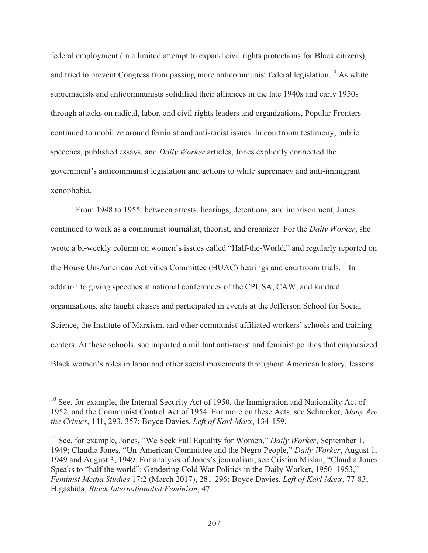federal employment (in a limited attempt to expand civil rights protections for Black citizens), and tried to prevent Congress from passing more anticommunist federal legislation.<sup>10</sup> As white supremacists and anticommunists solidified their alliances in the late 1940s and early 1950s through attacks on radical, labor, and civil rights leaders and organizations, Popular Fronters continued to mobilize around feminist and anti-racist issues. In courtroom testimony, public speeches, published essays, and *Daily Worker* articles, Jones explicitly connected the government's anticommunist legislation and actions to white supremacy and anti-immigrant xenophobia.

 From 1948 to 1955, between arrests, hearings, detentions, and imprisonment, Jones continued to work as a communist journalist, theorist, and organizer. For the *Daily Worker*, she wrote a bi-weekly column on women's issues called "Half-the-World," and regularly reported on the House Un-American Activities Committee (HUAC) hearings and courtroom trials.<sup>11</sup> In addition to giving speeches at national conferences of the CPUSA, CAW, and kindred organizations, she taught classes and participated in events at the Jefferson School for Social Science, the Institute of Marxism, and other communist-affiliated workers' schools and training centers. At these schools, she imparted a militant anti-racist and feminist politics that emphasized Black women's roles in labor and other social movements throughout American history, lessons

 $10$  See, for example, the Internal Security Act of 1950, the Immigration and Nationality Act of 1952, and the Communist Control Act of 1954. For more on these Acts, see Schrecker, *Many Are the Crimes*, 141, 293, 357; Boyce Davies, *Left of Karl Marx*, 134-159.

<sup>&</sup>lt;sup>11</sup> See, for example, Jones, "We Seek Full Equality for Women," *Daily Worker*, September 1, 1949; Claudia Jones, "Un-American Committee and the Negro People," *Daily Worker*, August 1, 1949 and August 3, 1949. For analysis of Jones's journalism, see Cristina Mislan, "Claudia Jones Speaks to "half the world": Gendering Cold War Politics in the Daily Worker, 1950–1953," *Feminist Media Studies* 17:2 (March 2017), 281-296; Boyce Davies, *Left of Karl Marx*, 77-83; Higashida, *Black Internationalist Feminism*, 47.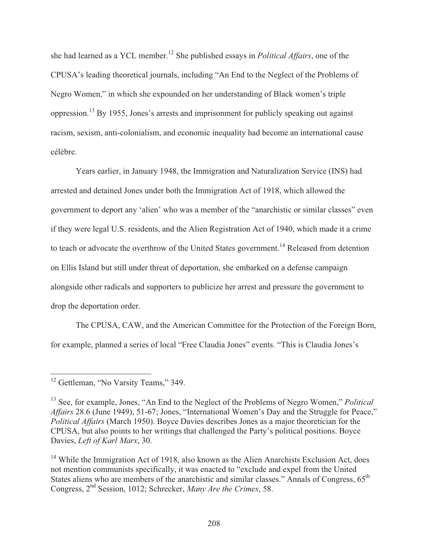she had learned as a YCL member.12 She published essays in *Political Affairs*, one of the CPUSA's leading theoretical journals, including "An End to the Neglect of the Problems of Negro Women," in which she expounded on her understanding of Black women's triple oppression.13 By 1955, Jones's arrests and imprisonment for publicly speaking out against racism, sexism, anti-colonialism, and economic inequality had become an international cause célèbre.

 Years earlier, in January 1948, the Immigration and Naturalization Service (INS) had arrested and detained Jones under both the Immigration Act of 1918, which allowed the government to deport any 'alien' who was a member of the "anarchistic or similar classes" even if they were legal U.S. residents, and the Alien Registration Act of 1940, which made it a crime to teach or advocate the overthrow of the United States government.<sup>14</sup> Released from detention on Ellis Island but still under threat of deportation, she embarked on a defense campaign alongside other radicals and supporters to publicize her arrest and pressure the government to drop the deportation order.

 The CPUSA, CAW, and the American Committee for the Protection of the Foreign Born, for example, planned a series of local "Free Claudia Jones" events. "This is Claudia Jones's

 $\overline{a}$ <sup>12</sup> Gettleman, "No Varsity Teams," 349.

<sup>13</sup> See, for example, Jones, "An End to the Neglect of the Problems of Negro Women," *Political Affairs* 28.6 (June 1949), 51-67; Jones, "International Women's Day and the Struggle for Peace," *Political Affairs* (March 1950). Boyce Davies describes Jones as a major theoretician for the CPUSA, but also points to her writings that challenged the Party's political positions. Boyce Davies, *Left of Karl Marx*, 30.

<sup>&</sup>lt;sup>14</sup> While the Immigration Act of 1918, also known as the Alien Anarchists Exclusion Act, does not mention communists specifically, it was enacted to "exclude and expel from the United States aliens who are members of the anarchistic and similar classes." Annals of Congress,  $65<sup>th</sup>$ Congress, 2nd Session, 1012; Schrecker, *Many Are the Crimes*, 58.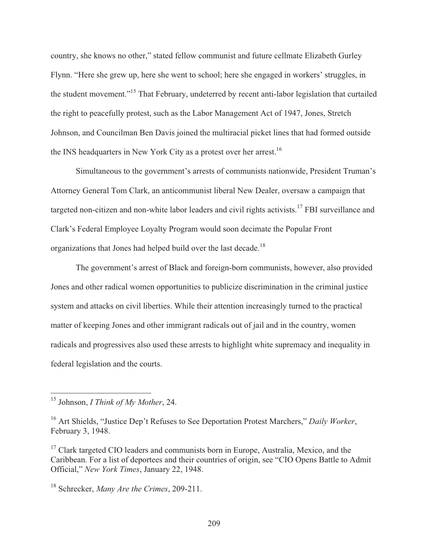country, she knows no other," stated fellow communist and future cellmate Elizabeth Gurley Flynn. "Here she grew up, here she went to school; here she engaged in workers' struggles, in the student movement."15 That February, undeterred by recent anti-labor legislation that curtailed the right to peacefully protest, such as the Labor Management Act of 1947, Jones, Stretch Johnson, and Councilman Ben Davis joined the multiracial picket lines that had formed outside the INS headquarters in New York City as a protest over her arrest.<sup>16</sup>

 Simultaneous to the government's arrests of communists nationwide, President Truman's Attorney General Tom Clark, an anticommunist liberal New Dealer, oversaw a campaign that targeted non-citizen and non-white labor leaders and civil rights activists.<sup>17</sup> FBI surveillance and Clark's Federal Employee Loyalty Program would soon decimate the Popular Front organizations that Jones had helped build over the last decade.<sup>18</sup>

 The government's arrest of Black and foreign-born communists, however, also provided Jones and other radical women opportunities to publicize discrimination in the criminal justice system and attacks on civil liberties. While their attention increasingly turned to the practical matter of keeping Jones and other immigrant radicals out of jail and in the country, women radicals and progressives also used these arrests to highlight white supremacy and inequality in federal legislation and the courts.

<sup>15</sup> Johnson, *I Think of My Mother*, 24.

<sup>16</sup> Art Shields, "Justice Dep't Refuses to See Deportation Protest Marchers," *Daily Worker*, February 3, 1948.

 $17$  Clark targeted CIO leaders and communists born in Europe, Australia, Mexico, and the Caribbean. For a list of deportees and their countries of origin, see "CIO Opens Battle to Admit Official," *New York Times*, January 22, 1948.

<sup>18</sup> Schrecker, *Many Are the Crimes*, 209-211.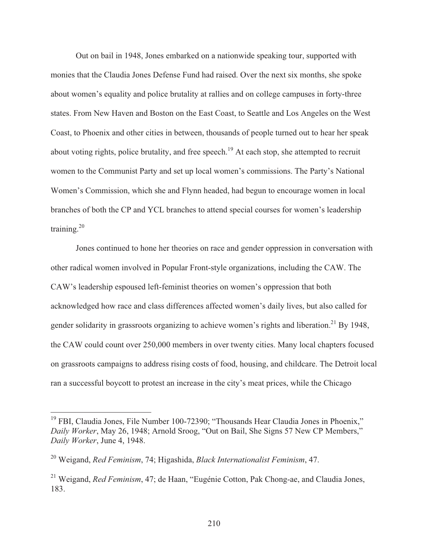Out on bail in 1948, Jones embarked on a nationwide speaking tour, supported with monies that the Claudia Jones Defense Fund had raised. Over the next six months, she spoke about women's equality and police brutality at rallies and on college campuses in forty-three states. From New Haven and Boston on the East Coast, to Seattle and Los Angeles on the West Coast, to Phoenix and other cities in between, thousands of people turned out to hear her speak about voting rights, police brutality, and free speech.<sup>19</sup> At each stop, she attempted to recruit women to the Communist Party and set up local women's commissions. The Party's National Women's Commission, which she and Flynn headed, had begun to encourage women in local branches of both the CP and YCL branches to attend special courses for women's leadership training. $20$ 

 Jones continued to hone her theories on race and gender oppression in conversation with other radical women involved in Popular Front-style organizations, including the CAW. The CAW's leadership espoused left-feminist theories on women's oppression that both acknowledged how race and class differences affected women's daily lives, but also called for gender solidarity in grassroots organizing to achieve women's rights and liberation.<sup>21</sup> By 1948, the CAW could count over 250,000 members in over twenty cities. Many local chapters focused on grassroots campaigns to address rising costs of food, housing, and childcare. The Detroit local ran a successful boycott to protest an increase in the city's meat prices, while the Chicago

<sup>&</sup>lt;sup>19</sup> FBI, Claudia Jones, File Number 100-72390; "Thousands Hear Claudia Jones in Phoenix," *Daily Worker*, May 26, 1948; Arnold Sroog, "Out on Bail, She Signs 57 New CP Members," *Daily Worker*, June 4, 1948.

<sup>20</sup> Weigand, *Red Feminism*, 74; Higashida, *Black Internationalist Feminism*, 47.

<sup>21</sup> Weigand, *Red Feminism*, 47; de Haan, "Eugénie Cotton, Pak Chong-ae, and Claudia Jones, 183.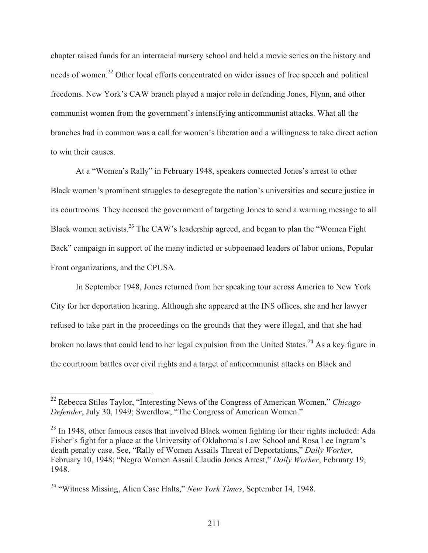chapter raised funds for an interracial nursery school and held a movie series on the history and needs of women.22 Other local efforts concentrated on wider issues of free speech and political freedoms. New York's CAW branch played a major role in defending Jones, Flynn, and other communist women from the government's intensifying anticommunist attacks. What all the branches had in common was a call for women's liberation and a willingness to take direct action to win their causes.

 At a "Women's Rally" in February 1948, speakers connected Jones's arrest to other Black women's prominent struggles to desegregate the nation's universities and secure justice in its courtrooms. They accused the government of targeting Jones to send a warning message to all Black women activists.23 The CAW's leadership agreed, and began to plan the "Women Fight Back" campaign in support of the many indicted or subpoenaed leaders of labor unions, Popular Front organizations, and the CPUSA.

 In September 1948, Jones returned from her speaking tour across America to New York City for her deportation hearing. Although she appeared at the INS offices, she and her lawyer refused to take part in the proceedings on the grounds that they were illegal, and that she had broken no laws that could lead to her legal expulsion from the United States.<sup>24</sup> As a key figure in the courtroom battles over civil rights and a target of anticommunist attacks on Black and

<sup>22</sup> Rebecca Stiles Taylor, "Interesting News of the Congress of American Women," *Chicago Defender*, July 30, 1949; Swerdlow, "The Congress of American Women."

<sup>&</sup>lt;sup>23</sup> In 1948, other famous cases that involved Black women fighting for their rights included: Ada Fisher's fight for a place at the University of Oklahoma's Law School and Rosa Lee Ingram's death penalty case. See, "Rally of Women Assails Threat of Deportations," *Daily Worker*, February 10, 1948; "Negro Women Assail Claudia Jones Arrest," *Daily Worker*, February 19, 1948.

<sup>24 &</sup>quot;Witness Missing, Alien Case Halts," *New York Times*, September 14, 1948.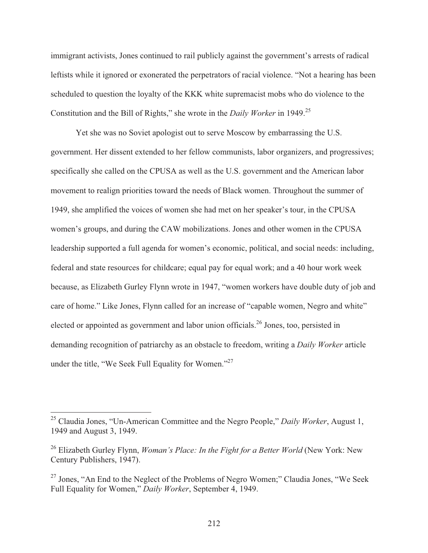immigrant activists, Jones continued to rail publicly against the government's arrests of radical leftists while it ignored or exonerated the perpetrators of racial violence. "Not a hearing has been scheduled to question the loyalty of the KKK white supremacist mobs who do violence to the Constitution and the Bill of Rights," she wrote in the *Daily Worker* in 1949.25

 Yet she was no Soviet apologist out to serve Moscow by embarrassing the U.S. government. Her dissent extended to her fellow communists, labor organizers, and progressives; specifically she called on the CPUSA as well as the U.S. government and the American labor movement to realign priorities toward the needs of Black women. Throughout the summer of 1949, she amplified the voices of women she had met on her speaker's tour, in the CPUSA women's groups, and during the CAW mobilizations. Jones and other women in the CPUSA leadership supported a full agenda for women's economic, political, and social needs: including, federal and state resources for childcare; equal pay for equal work; and a 40 hour work week because, as Elizabeth Gurley Flynn wrote in 1947, "women workers have double duty of job and care of home." Like Jones, Flynn called for an increase of "capable women, Negro and white" elected or appointed as government and labor union officials.<sup>26</sup> Jones, too, persisted in demanding recognition of patriarchy as an obstacle to freedom, writing a *Daily Worker* article under the title, "We Seek Full Equality for Women."27

<sup>25</sup> Claudia Jones, "Un-American Committee and the Negro People," *Daily Worker*, August 1, 1949 and August 3, 1949.

<sup>26</sup> Elizabeth Gurley Flynn, *Woman's Place: In the Fight for a Better World* (New York: New Century Publishers, 1947).

 $27$  Jones, "An End to the Neglect of the Problems of Negro Women;" Claudia Jones, "We Seek Full Equality for Women," *Daily Worker*, September 4, 1949.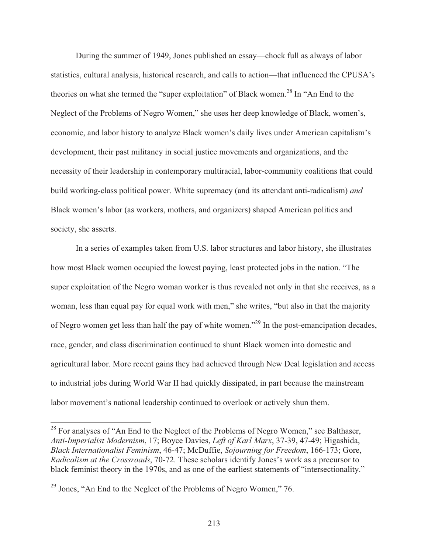During the summer of 1949, Jones published an essay—chock full as always of labor statistics, cultural analysis, historical research, and calls to action—that influenced the CPUSA's theories on what she termed the "super exploitation" of Black women.<sup>28</sup> In "An End to the Neglect of the Problems of Negro Women," she uses her deep knowledge of Black, women's, economic, and labor history to analyze Black women's daily lives under American capitalism's development, their past militancy in social justice movements and organizations, and the necessity of their leadership in contemporary multiracial, labor-community coalitions that could build working-class political power. White supremacy (and its attendant anti-radicalism) *and* Black women's labor (as workers, mothers, and organizers) shaped American politics and society, she asserts.

 In a series of examples taken from U.S. labor structures and labor history, she illustrates how most Black women occupied the lowest paying, least protected jobs in the nation. "The super exploitation of the Negro woman worker is thus revealed not only in that she receives, as a woman, less than equal pay for equal work with men," she writes, "but also in that the majority of Negro women get less than half the pay of white women."29 In the post-emancipation decades, race, gender, and class discrimination continued to shunt Black women into domestic and agricultural labor. More recent gains they had achieved through New Deal legislation and access to industrial jobs during World War II had quickly dissipated, in part because the mainstream labor movement's national leadership continued to overlook or actively shun them.

 $^{28}$  For analyses of "An End to the Neglect of the Problems of Negro Women," see Balthaser, *Anti-Imperialist Modernism*, 17; Boyce Davies, *Left of Karl Marx*, 37-39, 47-49; Higashida, *Black Internationalist Feminism*, 46-47; McDuffie, *Sojourning for Freedom*, 166-173; Gore, *Radicalism at the Crossroads*, 70-72. These scholars identify Jones's work as a precursor to black feminist theory in the 1970s, and as one of the earliest statements of "intersectionality."

 $^{29}$  Jones, "An End to the Neglect of the Problems of Negro Women," 76.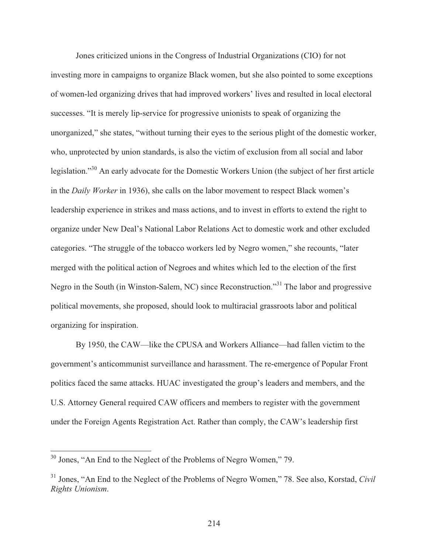Jones criticized unions in the Congress of Industrial Organizations (CIO) for not investing more in campaigns to organize Black women, but she also pointed to some exceptions of women-led organizing drives that had improved workers' lives and resulted in local electoral successes. "It is merely lip-service for progressive unionists to speak of organizing the unorganized," she states, "without turning their eyes to the serious plight of the domestic worker, who, unprotected by union standards, is also the victim of exclusion from all social and labor legislation."30 An early advocate for the Domestic Workers Union (the subject of her first article in the *Daily Worker* in 1936), she calls on the labor movement to respect Black women's leadership experience in strikes and mass actions, and to invest in efforts to extend the right to organize under New Deal's National Labor Relations Act to domestic work and other excluded categories. "The struggle of the tobacco workers led by Negro women," she recounts, "later merged with the political action of Negroes and whites which led to the election of the first Negro in the South (in Winston-Salem, NC) since Reconstruction."31 The labor and progressive political movements, she proposed, should look to multiracial grassroots labor and political organizing for inspiration.

 By 1950, the CAW—like the CPUSA and Workers Alliance—had fallen victim to the government's anticommunist surveillance and harassment. The re-emergence of Popular Front politics faced the same attacks. HUAC investigated the group's leaders and members, and the U.S. Attorney General required CAW officers and members to register with the government under the Foreign Agents Registration Act. Rather than comply, the CAW's leadership first

 $30$  Jones, "An End to the Neglect of the Problems of Negro Women," 79.

<sup>31</sup> Jones, "An End to the Neglect of the Problems of Negro Women," 78. See also, Korstad, *Civil Rights Unionism*.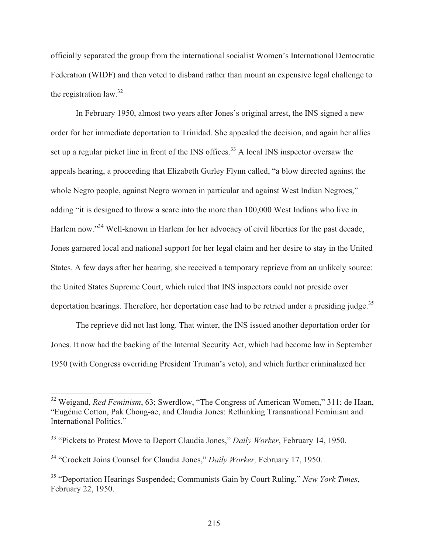officially separated the group from the international socialist Women's International Democratic Federation (WIDF) and then voted to disband rather than mount an expensive legal challenge to the registration law.<sup>32</sup>

 In February 1950, almost two years after Jones's original arrest, the INS signed a new order for her immediate deportation to Trinidad. She appealed the decision, and again her allies set up a regular picket line in front of the INS offices.<sup>33</sup> A local INS inspector oversaw the appeals hearing, a proceeding that Elizabeth Gurley Flynn called, "a blow directed against the whole Negro people, against Negro women in particular and against West Indian Negroes," adding "it is designed to throw a scare into the more than 100,000 West Indians who live in Harlem now."<sup>34</sup> Well-known in Harlem for her advocacy of civil liberties for the past decade, Jones garnered local and national support for her legal claim and her desire to stay in the United States. A few days after her hearing, she received a temporary reprieve from an unlikely source: the United States Supreme Court, which ruled that INS inspectors could not preside over deportation hearings. Therefore, her deportation case had to be retried under a presiding judge. $35$ 

 The reprieve did not last long. That winter, the INS issued another deportation order for Jones. It now had the backing of the Internal Security Act, which had become law in September 1950 (with Congress overriding President Truman's veto), and which further criminalized her

<sup>32</sup> Weigand, *Red Feminism*, 63; Swerdlow, "The Congress of American Women," 311; de Haan, "Eugénie Cotton, Pak Chong-ae, and Claudia Jones: Rethinking Transnational Feminism and International Politics."

<sup>33 &</sup>quot;Pickets to Protest Move to Deport Claudia Jones," *Daily Worker*, February 14, 1950.

<sup>34 &</sup>quot;Crockett Joins Counsel for Claudia Jones," *Daily Worker,* February 17, 1950.

<sup>35 &</sup>quot;Deportation Hearings Suspended; Communists Gain by Court Ruling," *New York Times*, February 22, 1950.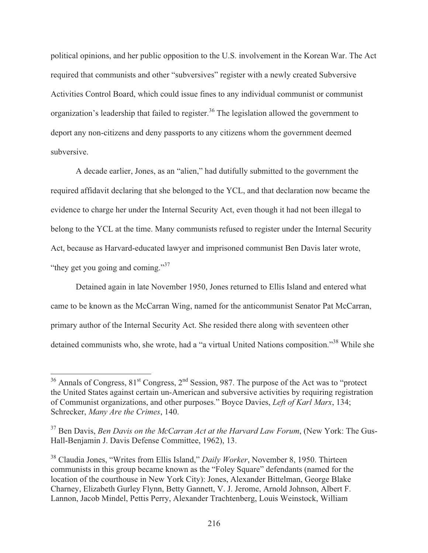political opinions, and her public opposition to the U.S. involvement in the Korean War. The Act required that communists and other "subversives" register with a newly created Subversive Activities Control Board, which could issue fines to any individual communist or communist organization's leadership that failed to register.<sup>36</sup> The legislation allowed the government to deport any non-citizens and deny passports to any citizens whom the government deemed subversive.

 A decade earlier, Jones, as an "alien," had dutifully submitted to the government the required affidavit declaring that she belonged to the YCL, and that declaration now became the evidence to charge her under the Internal Security Act, even though it had not been illegal to belong to the YCL at the time. Many communists refused to register under the Internal Security Act, because as Harvard-educated lawyer and imprisoned communist Ben Davis later wrote, "they get you going and coming."<sup>37</sup>

 Detained again in late November 1950, Jones returned to Ellis Island and entered what came to be known as the McCarran Wing, named for the anticommunist Senator Pat McCarran, primary author of the Internal Security Act. She resided there along with seventeen other detained communists who, she wrote, had a "a virtual United Nations composition."<sup>38</sup> While she

 $36$  Annals of Congress,  $81<sup>st</sup>$  Congress,  $2<sup>nd</sup>$  Session, 987. The purpose of the Act was to "protect the United States against certain un-American and subversive activities by requiring registration of Communist organizations, and other purposes." Boyce Davies, *Left of Karl Marx*, 134; Schrecker, *Many Are the Crimes*, 140.

<sup>37</sup> Ben Davis, *Ben Davis on the McCarran Act at the Harvard Law Forum*, (New York: The Gus-Hall-Benjamin J. Davis Defense Committee, 1962), 13.

<sup>38</sup> Claudia Jones, "Writes from Ellis Island," *Daily Worker*, November 8, 1950. Thirteen communists in this group became known as the "Foley Square" defendants (named for the location of the courthouse in New York City): Jones, Alexander Bittelman, George Blake Charney, Elizabeth Gurley Flynn, Betty Gannett, V. J. Jerome, Arnold Johnson, Albert F. Lannon, Jacob Mindel, Pettis Perry, Alexander Trachtenberg, Louis Weinstock, William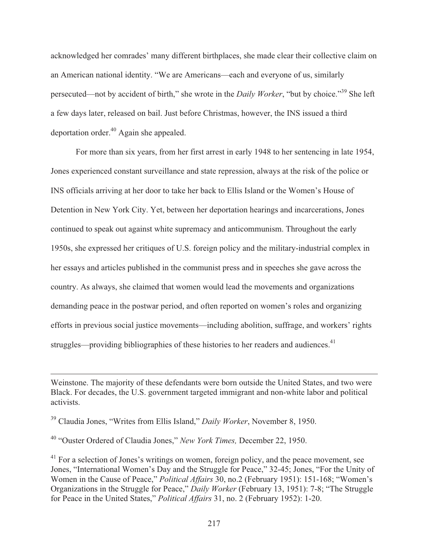acknowledged her comrades' many different birthplaces, she made clear their collective claim on an American national identity. "We are Americans—each and everyone of us, similarly persecuted—not by accident of birth," she wrote in the *Daily Worker*, "but by choice."39 She left a few days later, released on bail. Just before Christmas, however, the INS issued a third deportation order.40 Again she appealed.

 For more than six years, from her first arrest in early 1948 to her sentencing in late 1954, Jones experienced constant surveillance and state repression, always at the risk of the police or INS officials arriving at her door to take her back to Ellis Island or the Women's House of Detention in New York City. Yet, between her deportation hearings and incarcerations, Jones continued to speak out against white supremacy and anticommunism. Throughout the early 1950s, she expressed her critiques of U.S. foreign policy and the military-industrial complex in her essays and articles published in the communist press and in speeches she gave across the country. As always, she claimed that women would lead the movements and organizations demanding peace in the postwar period, and often reported on women's roles and organizing efforts in previous social justice movements—including abolition, suffrage, and workers' rights struggles—providing bibliographies of these histories to her readers and audiences.<sup>41</sup>

Weinstone. The majority of these defendants were born outside the United States, and two were Black. For decades, the U.S. government targeted immigrant and non-white labor and political activists.

<sup>39</sup> Claudia Jones, "Writes from Ellis Island," *Daily Worker*, November 8, 1950.

<sup>40 &</sup>quot;Ouster Ordered of Claudia Jones," *New York Times,* December 22, 1950.

 $41$  For a selection of Jones's writings on women, foreign policy, and the peace movement, see Jones, "International Women's Day and the Struggle for Peace," 32-45; Jones, "For the Unity of Women in the Cause of Peace," *Political Affairs* 30, no.2 (February 1951): 151-168; "Women's Organizations in the Struggle for Peace," *Daily Worker* (February 13, 1951): 7-8; "The Struggle for Peace in the United States," *Political Affairs* 31, no. 2 (February 1952): 1-20.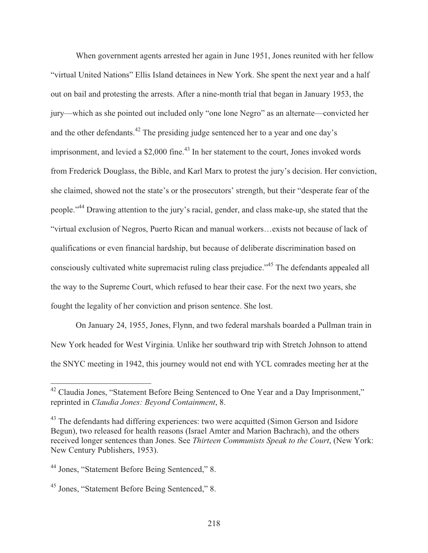When government agents arrested her again in June 1951, Jones reunited with her fellow "virtual United Nations" Ellis Island detainees in New York. She spent the next year and a half out on bail and protesting the arrests. After a nine-month trial that began in January 1953, the jury—which as she pointed out included only "one lone Negro" as an alternate—convicted her and the other defendants.<sup>42</sup> The presiding judge sentenced her to a year and one day's imprisonment, and levied a  $$2,000$  fine.<sup>43</sup> In her statement to the court, Jones invoked words from Frederick Douglass, the Bible, and Karl Marx to protest the jury's decision. Her conviction, she claimed, showed not the state's or the prosecutors' strength, but their "desperate fear of the people."44 Drawing attention to the jury's racial, gender, and class make-up, she stated that the "virtual exclusion of Negros, Puerto Rican and manual workers…exists not because of lack of qualifications or even financial hardship, but because of deliberate discrimination based on consciously cultivated white supremacist ruling class prejudice."<sup>45</sup> The defendants appealed all the way to the Supreme Court, which refused to hear their case. For the next two years, she fought the legality of her conviction and prison sentence. She lost.

 On January 24, 1955, Jones, Flynn, and two federal marshals boarded a Pullman train in New York headed for West Virginia. Unlike her southward trip with Stretch Johnson to attend the SNYC meeting in 1942, this journey would not end with YCL comrades meeting her at the

 $\overline{\phantom{a}}$ 

 $42$  Claudia Jones, "Statement Before Being Sentenced to One Year and a Day Imprisonment," reprinted in *Claudia Jones: Beyond Containment*, 8.

<sup>&</sup>lt;sup>43</sup> The defendants had differing experiences: two were acquitted (Simon Gerson and Isidore) Begun), two released for health reasons (Israel Amter and Marion Bachrach), and the others received longer sentences than Jones. See *Thirteen Communists Speak to the Court*, (New York: New Century Publishers, 1953).

<sup>44</sup> Jones, "Statement Before Being Sentenced," 8.

<sup>45</sup> Jones, "Statement Before Being Sentenced," 8.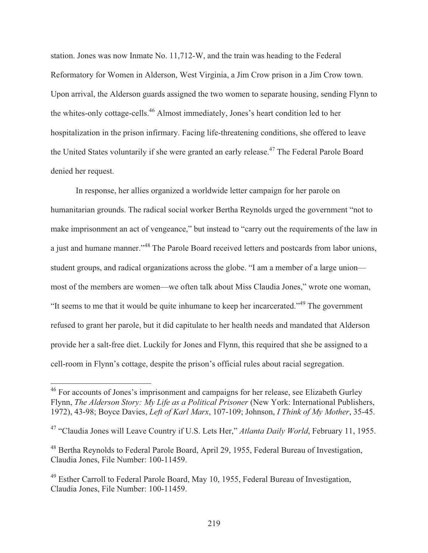station. Jones was now Inmate No. 11,712-W, and the train was heading to the Federal Reformatory for Women in Alderson, West Virginia, a Jim Crow prison in a Jim Crow town. Upon arrival, the Alderson guards assigned the two women to separate housing, sending Flynn to the whites-only cottage-cells.<sup>46</sup> Almost immediately, Jones's heart condition led to her hospitalization in the prison infirmary. Facing life-threatening conditions, she offered to leave the United States voluntarily if she were granted an early release.<sup>47</sup> The Federal Parole Board denied her request.

 In response, her allies organized a worldwide letter campaign for her parole on humanitarian grounds. The radical social worker Bertha Reynolds urged the government "not to make imprisonment an act of vengeance," but instead to "carry out the requirements of the law in a just and humane manner."48 The Parole Board received letters and postcards from labor unions, student groups, and radical organizations across the globe. "I am a member of a large union most of the members are women—we often talk about Miss Claudia Jones," wrote one woman, "It seems to me that it would be quite inhumane to keep her incarcerated."49 The government refused to grant her parole, but it did capitulate to her health needs and mandated that Alderson provide her a salt-free diet. Luckily for Jones and Flynn, this required that she be assigned to a cell-room in Flynn's cottage, despite the prison's official rules about racial segregation.

 $\overline{\phantom{a}}$ 

<sup>&</sup>lt;sup>46</sup> For accounts of Jones's imprisonment and campaigns for her release, see Elizabeth Gurley Flynn, *The Alderson Story: My Life as a Political Prisoner* (New York: International Publishers, 1972), 43-98; Boyce Davies, *Left of Karl Marx*, 107-109; Johnson, *I Think of My Mother*, 35-45.

<sup>47 &</sup>quot;Claudia Jones will Leave Country if U.S. Lets Her," *Atlanta Daily World*, February 11, 1955.

<sup>&</sup>lt;sup>48</sup> Bertha Reynolds to Federal Parole Board, April 29, 1955, Federal Bureau of Investigation, Claudia Jones, File Number: 100-11459.

<sup>49</sup> Esther Carroll to Federal Parole Board, May 10, 1955, Federal Bureau of Investigation, Claudia Jones, File Number: 100-11459.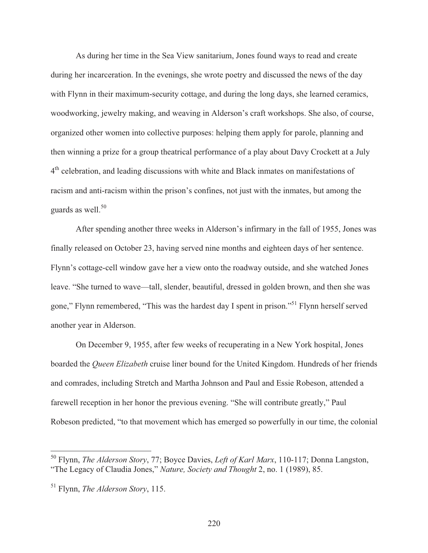As during her time in the Sea View sanitarium, Jones found ways to read and create during her incarceration. In the evenings, she wrote poetry and discussed the news of the day with Flynn in their maximum-security cottage, and during the long days, she learned ceramics, woodworking, jewelry making, and weaving in Alderson's craft workshops. She also, of course, organized other women into collective purposes: helping them apply for parole, planning and then winning a prize for a group theatrical performance of a play about Davy Crockett at a July 4th celebration, and leading discussions with white and Black inmates on manifestations of racism and anti-racism within the prison's confines, not just with the inmates, but among the guards as well.<sup>50</sup>

 After spending another three weeks in Alderson's infirmary in the fall of 1955, Jones was finally released on October 23, having served nine months and eighteen days of her sentence. Flynn's cottage-cell window gave her a view onto the roadway outside, and she watched Jones leave. "She turned to wave—tall, slender, beautiful, dressed in golden brown, and then she was gone," Flynn remembered, "This was the hardest day I spent in prison."51 Flynn herself served another year in Alderson.

 On December 9, 1955, after few weeks of recuperating in a New York hospital, Jones boarded the *Queen Elizabeth* cruise liner bound for the United Kingdom. Hundreds of her friends and comrades, including Stretch and Martha Johnson and Paul and Essie Robeson, attended a farewell reception in her honor the previous evening. "She will contribute greatly," Paul Robeson predicted, "to that movement which has emerged so powerfully in our time, the colonial

<sup>50</sup> Flynn, *The Alderson Story*, 77; Boyce Davies, *Left of Karl Marx*, 110-117; Donna Langston, "The Legacy of Claudia Jones," *Nature, Society and Thought* 2, no. 1 (1989), 85.

<sup>51</sup> Flynn, *The Alderson Story*, 115.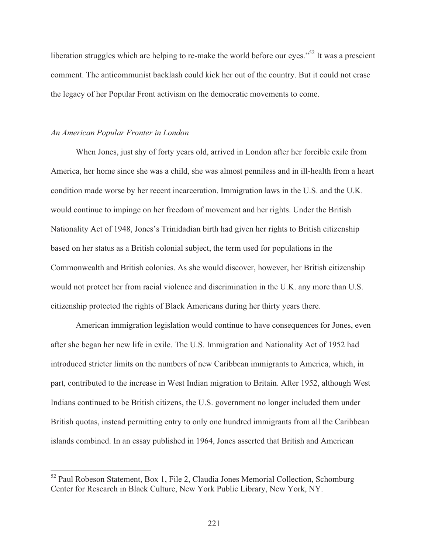liberation struggles which are helping to re-make the world before our eyes."<sup>52</sup> It was a prescient comment. The anticommunist backlash could kick her out of the country. But it could not erase the legacy of her Popular Front activism on the democratic movements to come.

## *An American Popular Fronter in London*

 $\overline{a}$ 

 When Jones, just shy of forty years old, arrived in London after her forcible exile from America, her home since she was a child, she was almost penniless and in ill-health from a heart condition made worse by her recent incarceration. Immigration laws in the U.S. and the U.K. would continue to impinge on her freedom of movement and her rights. Under the British Nationality Act of 1948, Jones's Trinidadian birth had given her rights to British citizenship based on her status as a British colonial subject, the term used for populations in the Commonwealth and British colonies. As she would discover, however, her British citizenship would not protect her from racial violence and discrimination in the U.K. any more than U.S. citizenship protected the rights of Black Americans during her thirty years there.

 American immigration legislation would continue to have consequences for Jones, even after she began her new life in exile. The U.S. Immigration and Nationality Act of 1952 had introduced stricter limits on the numbers of new Caribbean immigrants to America, which, in part, contributed to the increase in West Indian migration to Britain. After 1952, although West Indians continued to be British citizens, the U.S. government no longer included them under British quotas, instead permitting entry to only one hundred immigrants from all the Caribbean islands combined. In an essay published in 1964, Jones asserted that British and American

<sup>&</sup>lt;sup>52</sup> Paul Robeson Statement, Box 1, File 2, Claudia Jones Memorial Collection, Schomburg Center for Research in Black Culture, New York Public Library, New York, NY.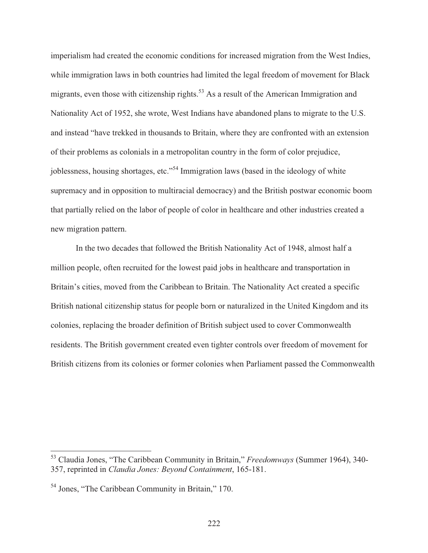imperialism had created the economic conditions for increased migration from the West Indies, while immigration laws in both countries had limited the legal freedom of movement for Black migrants, even those with citizenship rights.<sup>53</sup> As a result of the American Immigration and Nationality Act of 1952, she wrote, West Indians have abandoned plans to migrate to the U.S. and instead "have trekked in thousands to Britain, where they are confronted with an extension of their problems as colonials in a metropolitan country in the form of color prejudice, joblessness, housing shortages, etc."<sup>54</sup> Immigration laws (based in the ideology of white supremacy and in opposition to multiracial democracy) and the British postwar economic boom that partially relied on the labor of people of color in healthcare and other industries created a new migration pattern.

 In the two decades that followed the British Nationality Act of 1948, almost half a million people, often recruited for the lowest paid jobs in healthcare and transportation in Britain's cities, moved from the Caribbean to Britain. The Nationality Act created a specific British national citizenship status for people born or naturalized in the United Kingdom and its colonies, replacing the broader definition of British subject used to cover Commonwealth residents. The British government created even tighter controls over freedom of movement for British citizens from its colonies or former colonies when Parliament passed the Commonwealth

<sup>53</sup> Claudia Jones, "The Caribbean Community in Britain," *Freedomways* (Summer 1964), 340- 357, reprinted in *Claudia Jones: Beyond Containment*, 165-181.

<sup>54</sup> Jones, "The Caribbean Community in Britain," 170.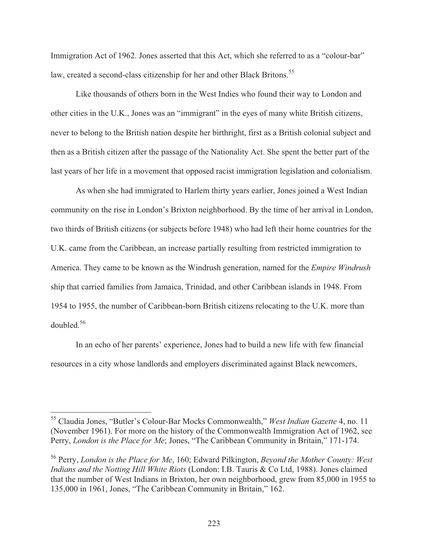Immigration Act of 1962. Jones asserted that this Act, which she referred to as a "colour-bar" law, created a second-class citizenship for her and other Black Britons.<sup>55</sup>

 Like thousands of others born in the West Indies who found their way to London and other cities in the U.K., Jones was an "immigrant" in the eyes of many white British citizens, never to belong to the British nation despite her birthright, first as a British colonial subject and then as a British citizen after the passage of the Nationality Act. She spent the better part of the last years of her life in a movement that opposed racist immigration legislation and colonialism.

 As when she had immigrated to Harlem thirty years earlier, Jones joined a West Indian community on the rise in London's Brixton neighborhood. By the time of her arrival in London, two thirds of British citizens (or subjects before 1948) who had left their home countries for the U.K. came from the Caribbean, an increase partially resulting from restricted immigration to America. They came to be known as the Windrush generation, named for the *Empire Windrush* ship that carried families from Jamaica, Trinidad, and other Caribbean islands in 1948. From 1954 to 1955, the number of Caribbean-born British citizens relocating to the U.K. more than doubled.56

 In an echo of her parents' experience, Jones had to build a new life with few financial resources in a city whose landlords and employers discriminated against Black newcomers,

<sup>55</sup> Claudia Jones, "Butler's Colour-Bar Mocks Commonwealth," *West Indian Gazette* 4, no. 11 (November 1961). For more on the history of the Commonwealth Immigration Act of 1962, see Perry, *London is the Place for Me*; Jones, "The Caribbean Community in Britain," 171-174.

<sup>56</sup> Perry, *London is the Place for Me*, 160; Edward Pilkington, *Beyond the Mother County: West Indians and the Notting Hill White Riots* (London: I.B. Tauris & Co Ltd, 1988). Jones claimed that the number of West Indians in Brixton, her own neighborhood, grew from 85,000 in 1955 to 135,000 in 1961, Jones, "The Caribbean Community in Britain," 162.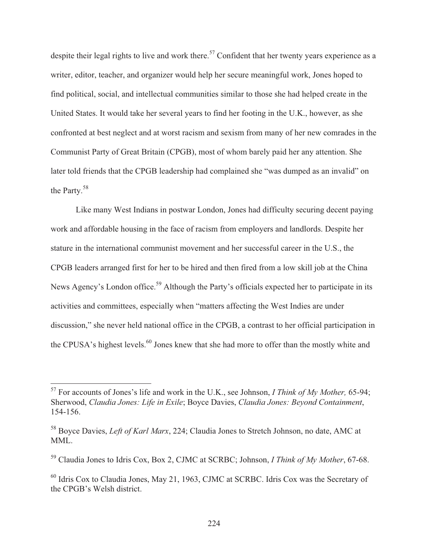despite their legal rights to live and work there.<sup>57</sup> Confident that her twenty years experience as a writer, editor, teacher, and organizer would help her secure meaningful work, Jones hoped to find political, social, and intellectual communities similar to those she had helped create in the United States. It would take her several years to find her footing in the U.K., however, as she confronted at best neglect and at worst racism and sexism from many of her new comrades in the Communist Party of Great Britain (CPGB), most of whom barely paid her any attention. She later told friends that the CPGB leadership had complained she "was dumped as an invalid" on the Party.<sup>58</sup>

 Like many West Indians in postwar London, Jones had difficulty securing decent paying work and affordable housing in the face of racism from employers and landlords. Despite her stature in the international communist movement and her successful career in the U.S., the CPGB leaders arranged first for her to be hired and then fired from a low skill job at the China News Agency's London office.<sup>59</sup> Although the Party's officials expected her to participate in its activities and committees, especially when "matters affecting the West Indies are under discussion," she never held national office in the CPGB, a contrast to her official participation in the CPUSA's highest levels.<sup>60</sup> Jones knew that she had more to offer than the mostly white and

<sup>57</sup> For accounts of Jones's life and work in the U.K., see Johnson, *I Think of My Mother,* 65-94; Sherwood, *Claudia Jones: Life in Exile*; Boyce Davies, *Claudia Jones: Beyond Containment*, 154-156.

<sup>58</sup> Boyce Davies, *Left of Karl Marx*, 224; Claudia Jones to Stretch Johnson, no date, AMC at MML.

<sup>59</sup> Claudia Jones to Idris Cox, Box 2, CJMC at SCRBC; Johnson, *I Think of My Mother*, 67-68.

<sup>&</sup>lt;sup>60</sup> Idris Cox to Claudia Jones, May 21, 1963, CJMC at SCRBC. Idris Cox was the Secretary of the CPGB's Welsh district.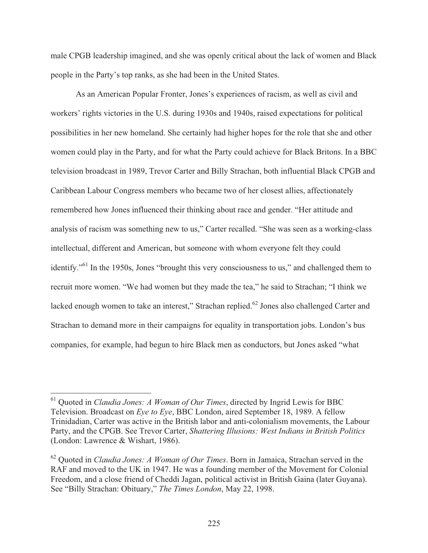male CPGB leadership imagined, and she was openly critical about the lack of women and Black people in the Party's top ranks, as she had been in the United States.

 As an American Popular Fronter, Jones's experiences of racism, as well as civil and workers' rights victories in the U.S. during 1930s and 1940s, raised expectations for political possibilities in her new homeland. She certainly had higher hopes for the role that she and other women could play in the Party, and for what the Party could achieve for Black Britons. In a BBC television broadcast in 1989, Trevor Carter and Billy Strachan, both influential Black CPGB and Caribbean Labour Congress members who became two of her closest allies, affectionately remembered how Jones influenced their thinking about race and gender. "Her attitude and analysis of racism was something new to us," Carter recalled. "She was seen as a working-class intellectual, different and American, but someone with whom everyone felt they could identify."61 In the 1950s, Jones "brought this very consciousness to us," and challenged them to recruit more women. "We had women but they made the tea," he said to Strachan; "I think we lacked enough women to take an interest," Strachan replied.<sup>62</sup> Jones also challenged Carter and Strachan to demand more in their campaigns for equality in transportation jobs. London's bus companies, for example, had begun to hire Black men as conductors, but Jones asked "what

<sup>61</sup> Quoted in *Claudia Jones: A Woman of Our Times*, directed by Ingrid Lewis for BBC Television. Broadcast on *Eye to Eye*, BBC London, aired September 18, 1989. A fellow Trinidadian, Carter was active in the British labor and anti-colonialism movements, the Labour Party, and the CPGB. See Trevor Carter, *Shattering Illusions: West Indians in British Politics* (London: Lawrence & Wishart, 1986).

<sup>62</sup> Quoted in *Claudia Jones: A Woman of Our Times*. Born in Jamaica, Strachan served in the RAF and moved to the UK in 1947. He was a founding member of the Movement for Colonial Freedom, and a close friend of Cheddi Jagan, political activist in British Gaina (later Guyana). See "Billy Strachan: Obituary," *The Times London*, May 22, 1998.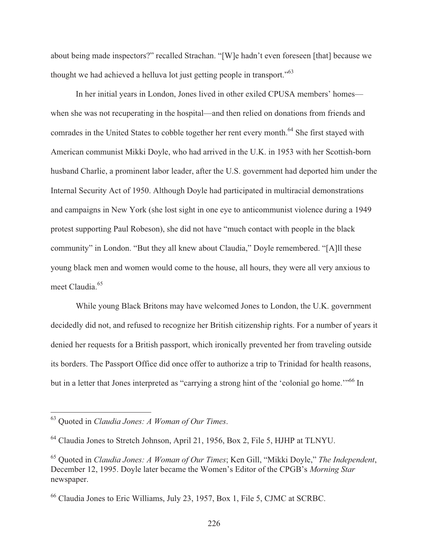about being made inspectors?" recalled Strachan. "[W]e hadn't even foreseen [that] because we thought we had achieved a helluva lot just getting people in transport."63

 In her initial years in London, Jones lived in other exiled CPUSA members' homes when she was not recuperating in the hospital—and then relied on donations from friends and comrades in the United States to cobble together her rent every month.<sup>64</sup> She first stayed with American communist Mikki Doyle, who had arrived in the U.K. in 1953 with her Scottish-born husband Charlie, a prominent labor leader, after the U.S. government had deported him under the Internal Security Act of 1950. Although Doyle had participated in multiracial demonstrations and campaigns in New York (she lost sight in one eye to anticommunist violence during a 1949 protest supporting Paul Robeson), she did not have "much contact with people in the black community" in London. "But they all knew about Claudia," Doyle remembered. "[A]ll these young black men and women would come to the house, all hours, they were all very anxious to meet Claudia.<sup>65</sup>

 While young Black Britons may have welcomed Jones to London, the U.K. government decidedly did not, and refused to recognize her British citizenship rights. For a number of years it denied her requests for a British passport, which ironically prevented her from traveling outside its borders. The Passport Office did once offer to authorize a trip to Trinidad for health reasons, but in a letter that Jones interpreted as "carrying a strong hint of the 'colonial go home."<sup>66</sup> In

<sup>63</sup> Quoted in *Claudia Jones: A Woman of Our Times*.

<sup>64</sup> Claudia Jones to Stretch Johnson, April 21, 1956, Box 2, File 5, HJHP at TLNYU.

<sup>65</sup> Quoted in *Claudia Jones: A Woman of Our Times*; Ken Gill, "Mikki Doyle," *The Independent*, December 12, 1995. Doyle later became the Women's Editor of the CPGB's *Morning Star* newspaper.

<sup>66</sup> Claudia Jones to Eric Williams, July 23, 1957, Box 1, File 5, CJMC at SCRBC.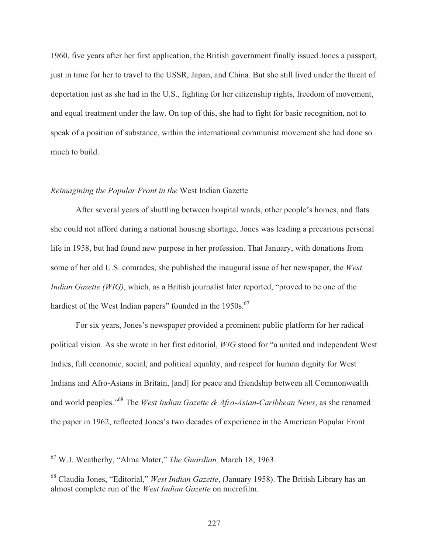1960, five years after her first application, the British government finally issued Jones a passport, just in time for her to travel to the USSR, Japan, and China. But she still lived under the threat of deportation just as she had in the U.S., fighting for her citizenship rights, freedom of movement, and equal treatment under the law. On top of this, she had to fight for basic recognition, not to speak of a position of substance, within the international communist movement she had done so much to build.

## *Reimagining the Popular Front in the* West Indian Gazette

 After several years of shuttling between hospital wards, other people's homes, and flats she could not afford during a national housing shortage, Jones was leading a precarious personal life in 1958, but had found new purpose in her profession. That January, with donations from some of her old U.S. comrades, she published the inaugural issue of her newspaper, the *West Indian Gazette (WIG)*, which, as a British journalist later reported, "proved to be one of the hardiest of the West Indian papers" founded in the 1950s.<sup>67</sup>

 For six years, Jones's newspaper provided a prominent public platform for her radical political vision. As she wrote in her first editorial, *WIG* stood for "a united and independent West Indies, full economic, social, and political equality, and respect for human dignity for West Indians and Afro-Asians in Britain, [and] for peace and friendship between all Commonwealth and world peoples."68 The *West Indian Gazette & Afro-Asian-Caribbean News*, as she renamed the paper in 1962, reflected Jones's two decades of experience in the American Popular Front

<sup>67</sup> W.J. Weatherby, "Alma Mater," *The Guardian,* March 18, 1963.

<sup>68</sup> Claudia Jones, "Editorial," *West Indian Gazette*, (January 1958). The British Library has an almost complete run of the *West Indian Gazette* on microfilm.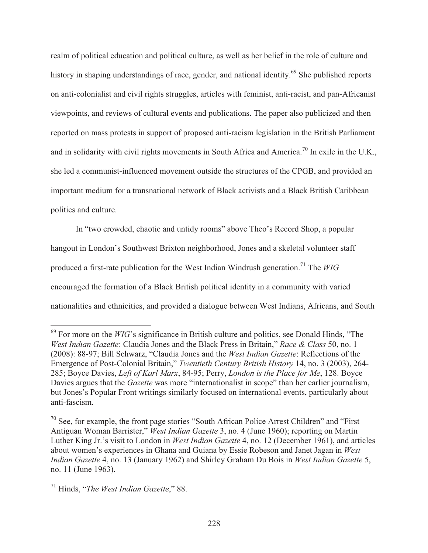realm of political education and political culture, as well as her belief in the role of culture and history in shaping understandings of race, gender, and national identity.<sup>69</sup> She published reports on anti-colonialist and civil rights struggles, articles with feminist, anti-racist, and pan-Africanist viewpoints, and reviews of cultural events and publications. The paper also publicized and then reported on mass protests in support of proposed anti-racism legislation in the British Parliament and in solidarity with civil rights movements in South Africa and America.<sup>70</sup> In exile in the U.K., she led a communist-influenced movement outside the structures of the CPGB, and provided an important medium for a transnational network of Black activists and a Black British Caribbean politics and culture.

 In "two crowded, chaotic and untidy rooms" above Theo's Record Shop, a popular hangout in London's Southwest Brixton neighborhood, Jones and a skeletal volunteer staff produced a first-rate publication for the West Indian Windrush generation.<sup>71</sup> The *WIG* encouraged the formation of a Black British political identity in a community with varied nationalities and ethnicities, and provided a dialogue between West Indians, Africans, and South

<sup>&</sup>lt;sup>69</sup> For more on the *WIG*'s significance in British culture and politics, see Donald Hinds, "The *West Indian Gazette*: Claudia Jones and the Black Press in Britain," *Race & Class* 50, no. 1 (2008): 88-97; Bill Schwarz, "Claudia Jones and the *West Indian Gazette*: Reflections of the Emergence of Post-Colonial Britain," *Twentieth Century British History* 14, no. 3 (2003), 264- 285; Boyce Davies, *Left of Karl Marx*, 84-95; Perry, *London is the Place for Me*, 128. Boyce Davies argues that the *Gazette* was more "internationalist in scope" than her earlier journalism, but Jones's Popular Front writings similarly focused on international events, particularly about anti-fascism.

 $70$  See, for example, the front page stories "South African Police Arrest Children" and "First" Antiguan Woman Barrister," *West Indian Gazette* 3, no. 4 (June 1960); reporting on Martin Luther King Jr.'s visit to London in *West Indian Gazette* 4, no. 12 (December 1961), and articles about women's experiences in Ghana and Guiana by Essie Robeson and Janet Jagan in *West Indian Gazette* 4, no. 13 (January 1962) and Shirley Graham Du Bois in *West Indian Gazette* 5, no. 11 (June 1963).

<sup>71</sup> Hinds, "*The West Indian Gazette*," 88.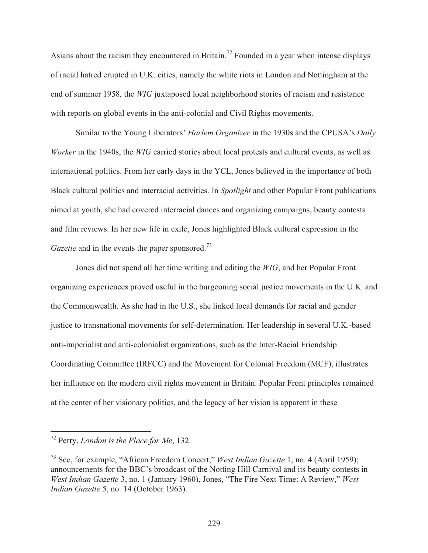Asians about the racism they encountered in Britain.<sup>72</sup> Founded in a year when intense displays of racial hatred erupted in U.K. cities, namely the white riots in London and Nottingham at the end of summer 1958, the *WIG* juxtaposed local neighborhood stories of racism and resistance with reports on global events in the anti-colonial and Civil Rights movements.

 Similar to the Young Liberators' *Harlem Organizer* in the 1930s and the CPUSA's *Daily Worker* in the 1940s, the *WIG* carried stories about local protests and cultural events, as well as international politics. From her early days in the YCL, Jones believed in the importance of both Black cultural politics and interracial activities. In *Spotlight* and other Popular Front publications aimed at youth, she had covered interracial dances and organizing campaigns, beauty contests and film reviews. In her new life in exile, Jones highlighted Black cultural expression in the *Gazette* and in the events the paper sponsored.<sup>73</sup>

Jones did not spend all her time writing and editing the *WIG*, and her Popular Front organizing experiences proved useful in the burgeoning social justice movements in the U.K. and the Commonwealth. As she had in the U.S., she linked local demands for racial and gender justice to transnational movements for self-determination. Her leadership in several U.K.-based anti-imperialist and anti-colonialist organizations, such as the Inter-Racial Friendship Coordinating Committee (IRFCC) and the Movement for Colonial Freedom (MCF), illustrates her influence on the modern civil rights movement in Britain. Popular Front principles remained at the center of her visionary politics, and the legacy of her vision is apparent in these

<sup>72</sup> Perry, *London is the Place for Me*, 132.

<sup>73</sup> See, for example, "African Freedom Concert," *West Indian Gazette* 1, no. 4 (April 1959); announcements for the BBC's broadcast of the Notting Hill Carnival and its beauty contests in *West Indian Gazette* 3, no. 1 (January 1960), Jones, "The Fire Next Time: A Review," *West Indian Gazette* 5, no. 14 (October 1963).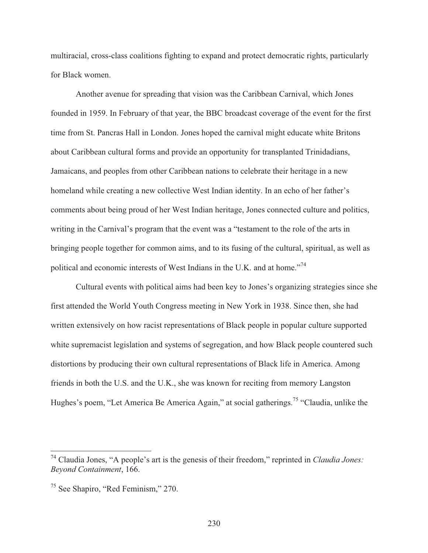multiracial, cross-class coalitions fighting to expand and protect democratic rights, particularly for Black women.

 Another avenue for spreading that vision was the Caribbean Carnival, which Jones founded in 1959. In February of that year, the BBC broadcast coverage of the event for the first time from St. Pancras Hall in London. Jones hoped the carnival might educate white Britons about Caribbean cultural forms and provide an opportunity for transplanted Trinidadians, Jamaicans, and peoples from other Caribbean nations to celebrate their heritage in a new homeland while creating a new collective West Indian identity. In an echo of her father's comments about being proud of her West Indian heritage, Jones connected culture and politics, writing in the Carnival's program that the event was a "testament to the role of the arts in bringing people together for common aims, and to its fusing of the cultural, spiritual, as well as political and economic interests of West Indians in the U.K. and at home."74

 Cultural events with political aims had been key to Jones's organizing strategies since she first attended the World Youth Congress meeting in New York in 1938. Since then, she had written extensively on how racist representations of Black people in popular culture supported white supremacist legislation and systems of segregation, and how Black people countered such distortions by producing their own cultural representations of Black life in America. Among friends in both the U.S. and the U.K., she was known for reciting from memory Langston Hughes's poem, "Let America Be America Again," at social gatherings.<sup>75</sup> "Claudia, unlike the

<sup>74</sup> Claudia Jones, "A people's art is the genesis of their freedom," reprinted in *Claudia Jones: Beyond Containment*, 166.

<sup>75</sup> See Shapiro, "Red Feminism," 270.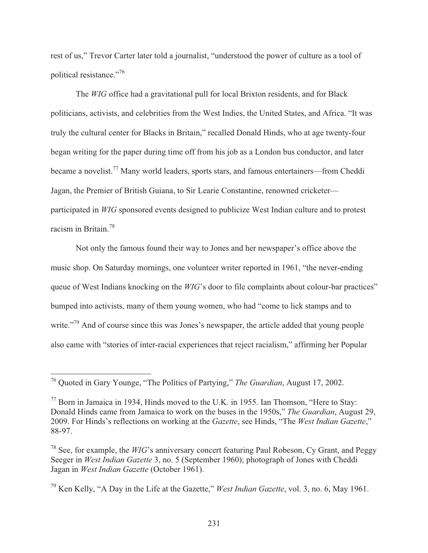rest of us," Trevor Carter later told a journalist, "understood the power of culture as a tool of political resistance."76

 The *WIG* office had a gravitational pull for local Brixton residents, and for Black politicians, activists, and celebrities from the West Indies, the United States, and Africa. "It was truly the cultural center for Blacks in Britain," recalled Donald Hinds, who at age twenty-four began writing for the paper during time off from his job as a London bus conductor, and later became a novelist.77 Many world leaders, sports stars, and famous entertainers—from Cheddi Jagan, the Premier of British Guiana, to Sir Learie Constantine, renowned cricketer participated in *WIG* sponsored events designed to publicize West Indian culture and to protest racism in Britain.78

 Not only the famous found their way to Jones and her newspaper's office above the music shop. On Saturday mornings, one volunteer writer reported in 1961, "the never-ending queue of West Indians knocking on the *WIG*'s door to file complaints about colour-bar practices" bumped into activists, many of them young women, who had "come to lick stamps and to write."<sup>79</sup> And of course since this was Jones's newspaper, the article added that young people also came with "stories of inter-racial experiences that reject racialism," affirming her Popular

<sup>76</sup> Quoted in Gary Younge, "The Politics of Partying," *The Guardian*, August 17, 2002.

<sup>77</sup> Born in Jamaica in 1934, Hinds moved to the U.K. in 1955. Ian Thomson, "Here to Stay: Donald Hinds came from Jamaica to work on the buses in the 1950s," *The Guardian*, August 29, 2009. For Hinds's reflections on working at the *Gazette*, see Hinds, "The *West Indian Gazette*," 88-97.

<sup>&</sup>lt;sup>78</sup> See, for example, the *WIG*'s anniversary concert featuring Paul Robeson, Cy Grant, and Peggy Seeger in *West Indian Gazette* 3, no. 5 (September 1960); photograph of Jones with Cheddi Jagan in *West Indian Gazette* (October 1961).

<sup>79</sup> Ken Kelly, "A Day in the Life at the Gazette," *West Indian Gazette*, vol. 3, no. 6, May 1961.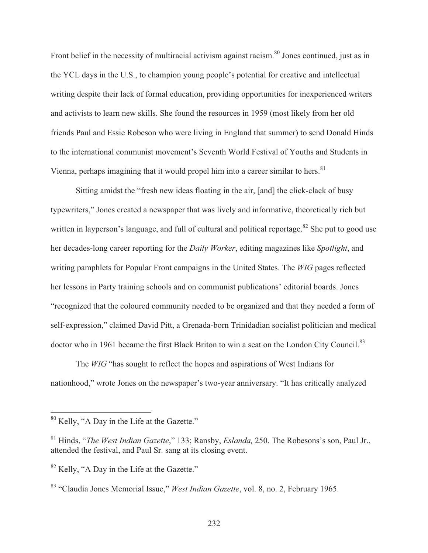Front belief in the necessity of multiracial activism against racism.<sup>80</sup> Jones continued, just as in the YCL days in the U.S., to champion young people's potential for creative and intellectual writing despite their lack of formal education, providing opportunities for inexperienced writers and activists to learn new skills. She found the resources in 1959 (most likely from her old friends Paul and Essie Robeson who were living in England that summer) to send Donald Hinds to the international communist movement's Seventh World Festival of Youths and Students in Vienna, perhaps imagining that it would propel him into a career similar to hers.<sup>81</sup>

 Sitting amidst the "fresh new ideas floating in the air, [and] the click-clack of busy typewriters," Jones created a newspaper that was lively and informative, theoretically rich but written in layperson's language, and full of cultural and political reportage.<sup>82</sup> She put to good use her decades-long career reporting for the *Daily Worker*, editing magazines like *Spotlight*, and writing pamphlets for Popular Front campaigns in the United States. The *WIG* pages reflected her lessons in Party training schools and on communist publications' editorial boards. Jones "recognized that the coloured community needed to be organized and that they needed a form of self-expression," claimed David Pitt, a Grenada-born Trinidadian socialist politician and medical doctor who in 1961 became the first Black Briton to win a seat on the London City Council.<sup>83</sup>

 The *WIG* "has sought to reflect the hopes and aspirations of West Indians for nationhood," wrote Jones on the newspaper's two-year anniversary. "It has critically analyzed

 $80$  Kelly, "A Day in the Life at the Gazette."

<sup>81</sup> Hinds, "*The West Indian Gazette*," 133; Ransby, *Eslanda,* 250. The Robesons's son, Paul Jr., attended the festival, and Paul Sr. sang at its closing event.

<sup>&</sup>lt;sup>82</sup> Kelly, "A Day in the Life at the Gazette."

<sup>83 &</sup>quot;Claudia Jones Memorial Issue," *West Indian Gazette*, vol. 8, no. 2, February 1965.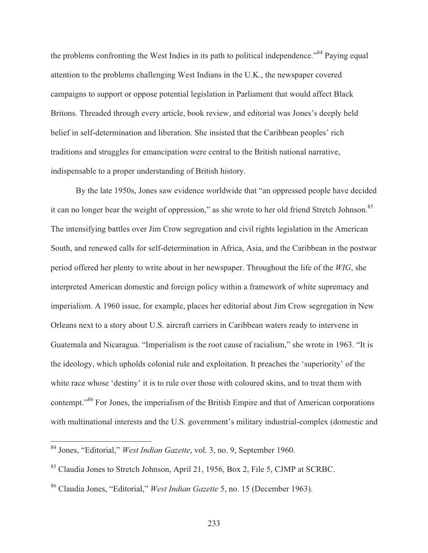the problems confronting the West Indies in its path to political independence."<sup>84</sup> Paying equal attention to the problems challenging West Indians in the U.K., the newspaper covered campaigns to support or oppose potential legislation in Parliament that would affect Black Britons. Threaded through every article, book review, and editorial was Jones's deeply held belief in self-determination and liberation. She insisted that the Caribbean peoples' rich traditions and struggles for emancipation were central to the British national narrative, indispensable to a proper understanding of British history.

 By the late 1950s, Jones saw evidence worldwide that "an oppressed people have decided it can no longer bear the weight of oppression," as she wrote to her old friend Stretch Johnson.<sup>85</sup> The intensifying battles over Jim Crow segregation and civil rights legislation in the American South, and renewed calls for self-determination in Africa, Asia, and the Caribbean in the postwar period offered her plenty to write about in her newspaper. Throughout the life of the *WIG*, she interpreted American domestic and foreign policy within a framework of white supremacy and imperialism. A 1960 issue, for example, places her editorial about Jim Crow segregation in New Orleans next to a story about U.S. aircraft carriers in Caribbean waters ready to intervene in Guatemala and Nicaragua. "Imperialism is the root cause of racialism," she wrote in 1963. "It is the ideology, which upholds colonial rule and exploitation. It preaches the 'superiority' of the white race whose 'destiny' it is to rule over those with coloured skins, and to treat them with contempt."86 For Jones, the imperialism of the British Empire and that of American corporations with multinational interests and the U.S. government's military industrial-complex (domestic and

 $\overline{\phantom{a}}$ 

<sup>84</sup> Jones, "Editorial," *West Indian Gazette*, vol. 3, no. 9, September 1960.

<sup>85</sup> Claudia Jones to Stretch Johnson, April 21, 1956, Box 2, File 5, CJMP at SCRBC.

<sup>86</sup> Claudia Jones, "Editorial," *West Indian Gazette* 5, no. 15 (December 1963).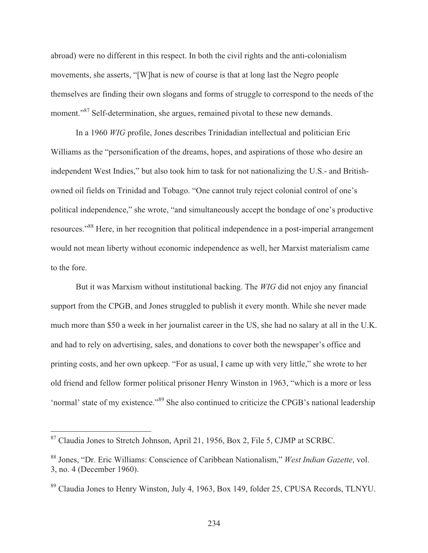abroad) were no different in this respect. In both the civil rights and the anti-colonialism movements, she asserts, "[W]hat is new of course is that at long last the Negro people themselves are finding their own slogans and forms of struggle to correspond to the needs of the moment."<sup>87</sup> Self-determination, she argues, remained pivotal to these new demands.

 In a 1960 *WIG* profile, Jones describes Trinidadian intellectual and politician Eric Williams as the "personification of the dreams, hopes, and aspirations of those who desire an independent West Indies," but also took him to task for not nationalizing the U.S.- and Britishowned oil fields on Trinidad and Tobago. "One cannot truly reject colonial control of one's political independence," she wrote, "and simultaneously accept the bondage of one's productive resources."88 Here, in her recognition that political independence in a post-imperial arrangement would not mean liberty without economic independence as well, her Marxist materialism came to the fore.

 But it was Marxism without institutional backing. The *WIG* did not enjoy any financial support from the CPGB, and Jones struggled to publish it every month. While she never made much more than \$50 a week in her journalist career in the US, she had no salary at all in the U.K. and had to rely on advertising, sales, and donations to cover both the newspaper's office and printing costs, and her own upkeep. "For as usual, I came up with very little," she wrote to her old friend and fellow former political prisoner Henry Winston in 1963, "which is a more or less 'normal' state of my existence."89 She also continued to criticize the CPGB's national leadership

<sup>&</sup>lt;sup>87</sup> Claudia Jones to Stretch Johnson, April 21, 1956, Box 2, File 5, CJMP at SCRBC.

<sup>88</sup> Jones, "Dr. Eric Williams: Conscience of Caribbean Nationalism," *West Indian Gazette*, vol. 3, no. 4 (December 1960).

<sup>&</sup>lt;sup>89</sup> Claudia Jones to Henry Winston, July 4, 1963, Box 149, folder 25, CPUSA Records, TLNYU.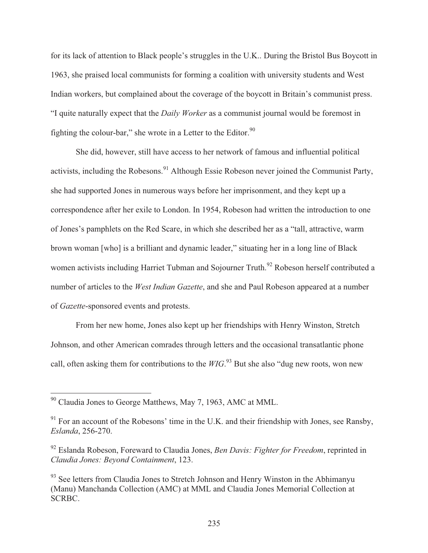for its lack of attention to Black people's struggles in the U.K.. During the Bristol Bus Boycott in 1963, she praised local communists for forming a coalition with university students and West Indian workers, but complained about the coverage of the boycott in Britain's communist press. "I quite naturally expect that the *Daily Worker* as a communist journal would be foremost in fighting the colour-bar," she wrote in a Letter to the Editor. $90$ 

 She did, however, still have access to her network of famous and influential political activists, including the Robesons.<sup>91</sup> Although Essie Robeson never joined the Communist Party, she had supported Jones in numerous ways before her imprisonment, and they kept up a correspondence after her exile to London. In 1954, Robeson had written the introduction to one of Jones's pamphlets on the Red Scare, in which she described her as a "tall, attractive, warm brown woman [who] is a brilliant and dynamic leader," situating her in a long line of Black women activists including Harriet Tubman and Sojourner Truth.<sup>92</sup> Robeson herself contributed a number of articles to the *West Indian Gazette*, and she and Paul Robeson appeared at a number of *Gazette*-sponsored events and protests.

 From her new home, Jones also kept up her friendships with Henry Winston, Stretch Johnson, and other American comrades through letters and the occasional transatlantic phone call, often asking them for contributions to the *WIG*. 93 But she also "dug new roots, won new

 $90$  Claudia Jones to George Matthews, May 7, 1963, AMC at MML.

 $91$  For an account of the Robesons' time in the U.K. and their friendship with Jones, see Ransby, *Eslanda*, 256-270.

<sup>92</sup> Eslanda Robeson, Foreward to Claudia Jones, *Ben Davis: Fighter for Freedom*, reprinted in *Claudia Jones: Beyond Containment*, 123.

<sup>&</sup>lt;sup>93</sup> See letters from Claudia Jones to Stretch Johnson and Henry Winston in the Abhimanyu (Manu) Manchanda Collection (AMC) at MML and Claudia Jones Memorial Collection at SCRBC.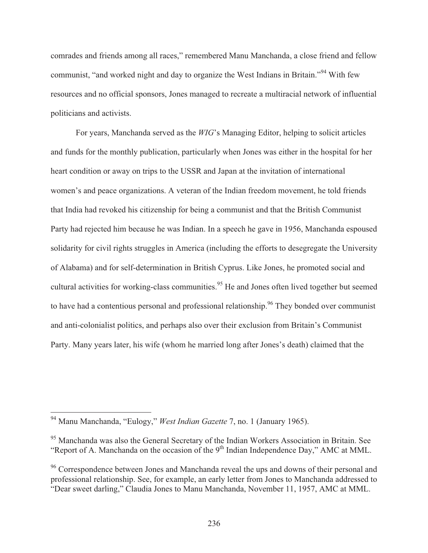comrades and friends among all races," remembered Manu Manchanda, a close friend and fellow communist, "and worked night and day to organize the West Indians in Britain."94 With few resources and no official sponsors, Jones managed to recreate a multiracial network of influential politicians and activists.

 For years, Manchanda served as the *WIG*'s Managing Editor, helping to solicit articles and funds for the monthly publication, particularly when Jones was either in the hospital for her heart condition or away on trips to the USSR and Japan at the invitation of international women's and peace organizations. A veteran of the Indian freedom movement, he told friends that India had revoked his citizenship for being a communist and that the British Communist Party had rejected him because he was Indian. In a speech he gave in 1956, Manchanda espoused solidarity for civil rights struggles in America (including the efforts to desegregate the University of Alabama) and for self-determination in British Cyprus. Like Jones, he promoted social and cultural activities for working-class communities.<sup>95</sup> He and Jones often lived together but seemed to have had a contentious personal and professional relationship.<sup>96</sup> They bonded over communist and anti-colonialist politics, and perhaps also over their exclusion from Britain's Communist Party. Many years later, his wife (whom he married long after Jones's death) claimed that the

<sup>94</sup> Manu Manchanda, "Eulogy," *West Indian Gazette* 7, no. 1 (January 1965).

<sup>&</sup>lt;sup>95</sup> Manchanda was also the General Secretary of the Indian Workers Association in Britain. See "Report of A. Manchanda on the occasion of the  $9<sup>th</sup>$  Indian Independence Day," AMC at MML.

<sup>&</sup>lt;sup>96</sup> Correspondence between Jones and Manchanda reveal the ups and downs of their personal and professional relationship. See, for example, an early letter from Jones to Manchanda addressed to "Dear sweet darling," Claudia Jones to Manu Manchanda, November 11, 1957, AMC at MML.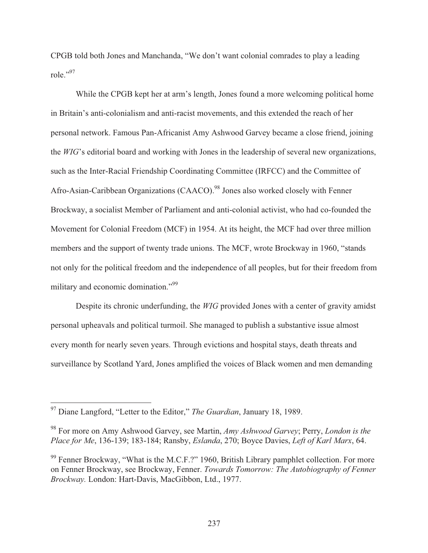CPGB told both Jones and Manchanda, "We don't want colonial comrades to play a leading role."97

 While the CPGB kept her at arm's length, Jones found a more welcoming political home in Britain's anti-colonialism and anti-racist movements, and this extended the reach of her personal network. Famous Pan-Africanist Amy Ashwood Garvey became a close friend, joining the *WIG*'s editorial board and working with Jones in the leadership of several new organizations, such as the Inter-Racial Friendship Coordinating Committee (IRFCC) and the Committee of Afro-Asian-Caribbean Organizations (CAACO).<sup>98</sup> Jones also worked closely with Fenner Brockway, a socialist Member of Parliament and anti-colonial activist, who had co-founded the Movement for Colonial Freedom (MCF) in 1954. At its height, the MCF had over three million members and the support of twenty trade unions. The MCF, wrote Brockway in 1960, "stands not only for the political freedom and the independence of all peoples, but for their freedom from military and economic domination."<sup>99</sup>

 Despite its chronic underfunding, the *WIG* provided Jones with a center of gravity amidst personal upheavals and political turmoil. She managed to publish a substantive issue almost every month for nearly seven years. Through evictions and hospital stays, death threats and surveillance by Scotland Yard, Jones amplified the voices of Black women and men demanding

<sup>97</sup> Diane Langford, "Letter to the Editor," *The Guardian*, January 18, 1989.

<sup>98</sup> For more on Amy Ashwood Garvey, see Martin, *Amy Ashwood Garvey*; Perry, *London is the Place for Me*, 136-139; 183-184; Ransby, *Eslanda*, 270; Boyce Davies, *Left of Karl Marx*, 64.

<sup>&</sup>lt;sup>99</sup> Fenner Brockway, "What is the M.C.F.?" 1960, British Library pamphlet collection. For more on Fenner Brockway, see Brockway, Fenner. *Towards Tomorrow: The Autobiography of Fenner Brockway.* London: Hart-Davis, MacGibbon, Ltd., 1977.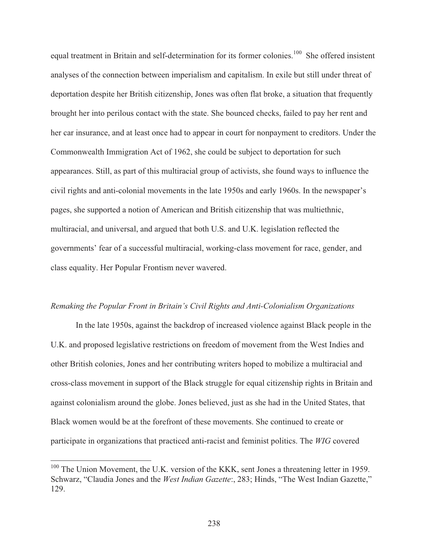equal treatment in Britain and self-determination for its former colonies.<sup>100</sup> She offered insistent analyses of the connection between imperialism and capitalism. In exile but still under threat of deportation despite her British citizenship, Jones was often flat broke, a situation that frequently brought her into perilous contact with the state. She bounced checks, failed to pay her rent and her car insurance, and at least once had to appear in court for nonpayment to creditors. Under the Commonwealth Immigration Act of 1962, she could be subject to deportation for such appearances. Still, as part of this multiracial group of activists, she found ways to influence the civil rights and anti-colonial movements in the late 1950s and early 1960s. In the newspaper's pages, she supported a notion of American and British citizenship that was multiethnic, multiracial, and universal, and argued that both U.S. and U.K. legislation reflected the governments' fear of a successful multiracial, working-class movement for race, gender, and class equality. Her Popular Frontism never wavered.

#### *Remaking the Popular Front in Britain's Civil Rights and Anti-Colonialism Organizations*

 In the late 1950s, against the backdrop of increased violence against Black people in the U.K. and proposed legislative restrictions on freedom of movement from the West Indies and other British colonies, Jones and her contributing writers hoped to mobilize a multiracial and cross-class movement in support of the Black struggle for equal citizenship rights in Britain and against colonialism around the globe. Jones believed, just as she had in the United States, that Black women would be at the forefront of these movements. She continued to create or participate in organizations that practiced anti-racist and feminist politics. The *WIG* covered

 $100$  The Union Movement, the U.K. version of the KKK, sent Jones a threatening letter in 1959. Schwarz, "Claudia Jones and the *West Indian Gazette*:, 283; Hinds, "The West Indian Gazette," 129.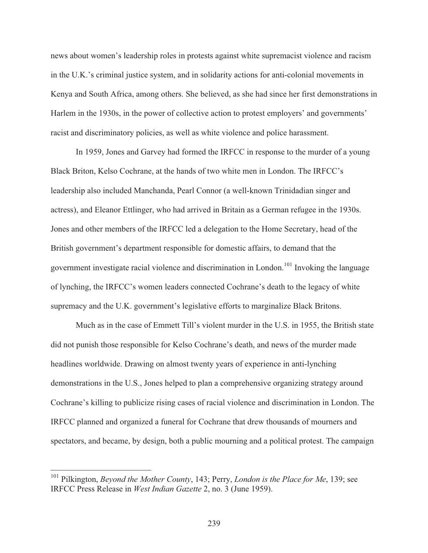news about women's leadership roles in protests against white supremacist violence and racism in the U.K.'s criminal justice system, and in solidarity actions for anti-colonial movements in Kenya and South Africa, among others. She believed, as she had since her first demonstrations in Harlem in the 1930s, in the power of collective action to protest employers' and governments' racist and discriminatory policies, as well as white violence and police harassment.

 In 1959, Jones and Garvey had formed the IRFCC in response to the murder of a young Black Briton, Kelso Cochrane, at the hands of two white men in London. The IRFCC's leadership also included Manchanda, Pearl Connor (a well-known Trinidadian singer and actress), and Eleanor Ettlinger, who had arrived in Britain as a German refugee in the 1930s. Jones and other members of the IRFCC led a delegation to the Home Secretary, head of the British government's department responsible for domestic affairs, to demand that the government investigate racial violence and discrimination in London.<sup>101</sup> Invoking the language of lynching, the IRFCC's women leaders connected Cochrane's death to the legacy of white supremacy and the U.K. government's legislative efforts to marginalize Black Britons.

 Much as in the case of Emmett Till's violent murder in the U.S. in 1955, the British state did not punish those responsible for Kelso Cochrane's death, and news of the murder made headlines worldwide. Drawing on almost twenty years of experience in anti-lynching demonstrations in the U.S., Jones helped to plan a comprehensive organizing strategy around Cochrane's killing to publicize rising cases of racial violence and discrimination in London. The IRFCC planned and organized a funeral for Cochrane that drew thousands of mourners and spectators, and became, by design, both a public mourning and a political protest. The campaign

<sup>101</sup> Pilkington, *Beyond the Mother County*, 143; Perry, *London is the Place for Me*, 139; see IRFCC Press Release in *West Indian Gazette* 2, no. 3 (June 1959).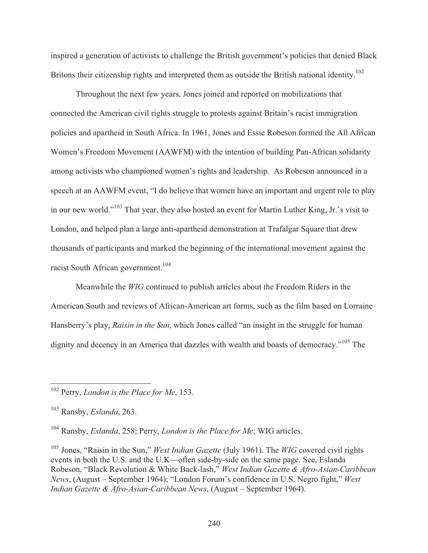inspired a generation of activists to challenge the British government's policies that denied Black Britons their citizenship rights and interpreted them as outside the British national identity.<sup>102</sup>

 Throughout the next few years, Jones joined and reported on mobilizations that connected the American civil rights struggle to protests against Britain's racist immigration policies and apartheid in South Africa. In 1961, Jones and Essie Robeson formed the All African Women's Freedom Movement (AAWFM) with the intention of building Pan-African solidarity among activists who championed women's rights and leadership. As Robeson announced in a speech at an AAWFM event, "I do believe that women have an important and urgent role to play in our new world."103 That year, they also hosted an event for Martin Luther King, Jr.'s visit to London, and helped plan a large anti-apartheid demonstration at Trafalgar Square that drew thousands of participants and marked the beginning of the international movement against the racist South African government.<sup>104</sup>

Meanwhile the *WIG* continued to publish articles about the Freedom Riders in the American South and reviews of African-American art forms, such as the film based on Lorraine Hansberry's play, *Raisin in the Sun*, which Jones called "an insight in the struggle for human dignity and decency in an America that dazzles with wealth and boasts of democracy."<sup>105</sup> The

 $\overline{a}$ 

104 Ransby, *Eslanda*, 258; Perry, *London is the Place for Me*; WIG articles.

105 Jones, "Raisin in the Sun," *West Indian Gazette* (July 1961). The *WIG* covered civil rights events in both the U.S. and the U.K—often side-by-side on the same page. See, Eslanda Robeson, "Black Revolution & White Back-lash," *West Indian Gazette & Afro-Asian-Caribbean News*, (August – September 1964); "London Forum's confidence in U.S. Negro fight," *West Indian Gazette & Afro-Asian-Caribbean News*, (August – September 1964).

<sup>102</sup> Perry, *London is the Place for Me*, 153.

<sup>103</sup> Ransby, *Eslanda*, 263.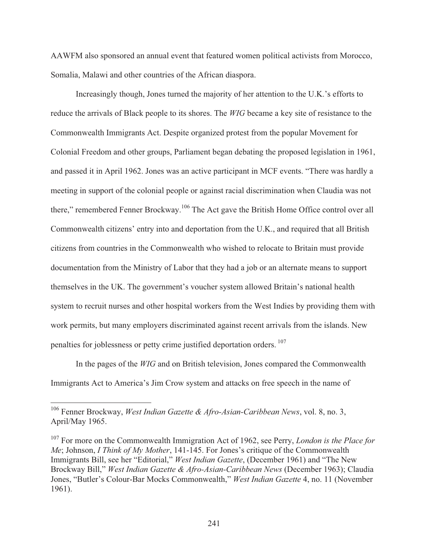AAWFM also sponsored an annual event that featured women political activists from Morocco, Somalia, Malawi and other countries of the African diaspora.

 Increasingly though, Jones turned the majority of her attention to the U.K.'s efforts to reduce the arrivals of Black people to its shores. The *WIG* became a key site of resistance to the Commonwealth Immigrants Act. Despite organized protest from the popular Movement for Colonial Freedom and other groups, Parliament began debating the proposed legislation in 1961, and passed it in April 1962. Jones was an active participant in MCF events. "There was hardly a meeting in support of the colonial people or against racial discrimination when Claudia was not there," remembered Fenner Brockway.<sup>106</sup> The Act gave the British Home Office control over all Commonwealth citizens' entry into and deportation from the U.K., and required that all British citizens from countries in the Commonwealth who wished to relocate to Britain must provide documentation from the Ministry of Labor that they had a job or an alternate means to support themselves in the UK. The government's voucher system allowed Britain's national health system to recruit nurses and other hospital workers from the West Indies by providing them with work permits, but many employers discriminated against recent arrivals from the islands. New penalties for joblessness or petty crime justified deportation orders. 107

 In the pages of the *WIG* and on British television, Jones compared the Commonwealth Immigrants Act to America's Jim Crow system and attacks on free speech in the name of

<sup>106</sup> Fenner Brockway, *West Indian Gazette & Afro-Asian-Caribbean News*, vol. 8, no. 3, April/May 1965.

<sup>107</sup> For more on the Commonwealth Immigration Act of 1962, see Perry, *London is the Place for Me*; Johnson, *I Think of My Mother*, 141-145. For Jones's critique of the Commonwealth Immigrants Bill, see her "Editorial," *West Indian Gazette*, (December 1961) and "The New Brockway Bill," *West Indian Gazette & Afro-Asian-Caribbean News* (December 1963); Claudia Jones, "Butler's Colour-Bar Mocks Commonwealth," *West Indian Gazette* 4, no. 11 (November 1961).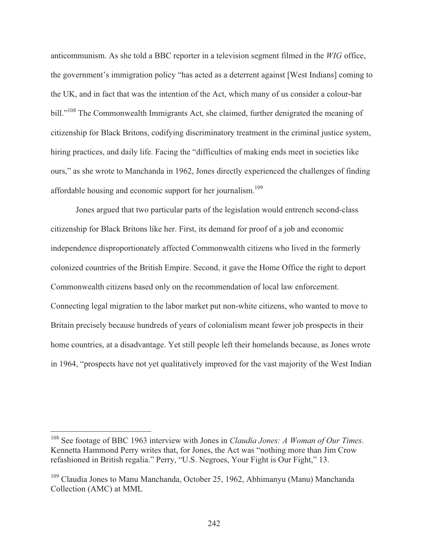anticommunism. As she told a BBC reporter in a television segment filmed in the *WIG* office, the government's immigration policy "has acted as a deterrent against [West Indians] coming to the UK, and in fact that was the intention of the Act, which many of us consider a colour-bar bill."<sup>108</sup> The Commonwealth Immigrants Act, she claimed, further denigrated the meaning of citizenship for Black Britons, codifying discriminatory treatment in the criminal justice system, hiring practices, and daily life. Facing the "difficulties of making ends meet in societies like ours," as she wrote to Manchanda in 1962, Jones directly experienced the challenges of finding affordable housing and economic support for her journalism.<sup>109</sup>

 Jones argued that two particular parts of the legislation would entrench second-class citizenship for Black Britons like her. First, its demand for proof of a job and economic independence disproportionately affected Commonwealth citizens who lived in the formerly colonized countries of the British Empire. Second, it gave the Home Office the right to deport Commonwealth citizens based only on the recommendation of local law enforcement. Connecting legal migration to the labor market put non-white citizens, who wanted to move to Britain precisely because hundreds of years of colonialism meant fewer job prospects in their home countries, at a disadvantage. Yet still people left their homelands because, as Jones wrote in 1964, "prospects have not yet qualitatively improved for the vast majority of the West Indian

<sup>108</sup> See footage of BBC 1963 interview with Jones in *Claudia Jones: A Woman of Our Times*. Kennetta Hammond Perry writes that, for Jones, the Act was "nothing more than Jim Crow refashioned in British regalia." Perry, "U.S. Negroes, Your Fight is Our Fight," 13.

<sup>109</sup> Claudia Jones to Manu Manchanda, October 25, 1962, Abhimanyu (Manu) Manchanda Collection (AMC) at MML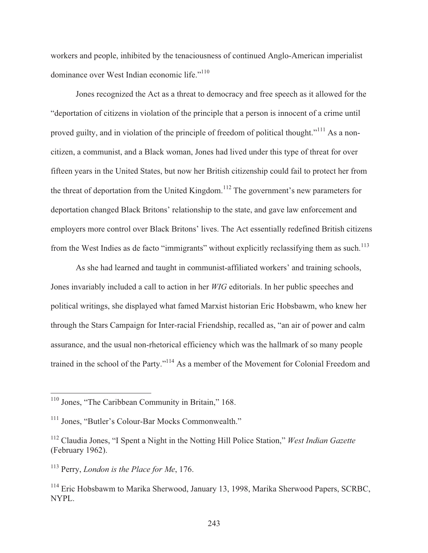workers and people, inhibited by the tenaciousness of continued Anglo-American imperialist dominance over West Indian economic life."<sup>110</sup>

 Jones recognized the Act as a threat to democracy and free speech as it allowed for the "deportation of citizens in violation of the principle that a person is innocent of a crime until proved guilty, and in violation of the principle of freedom of political thought."<sup>111</sup> As a noncitizen, a communist, and a Black woman, Jones had lived under this type of threat for over fifteen years in the United States, but now her British citizenship could fail to protect her from the threat of deportation from the United Kingdom.<sup>112</sup> The government's new parameters for deportation changed Black Britons' relationship to the state, and gave law enforcement and employers more control over Black Britons' lives. The Act essentially redefined British citizens from the West Indies as de facto "immigrants" without explicitly reclassifying them as such.<sup>113</sup>

 As she had learned and taught in communist-affiliated workers' and training schools, Jones invariably included a call to action in her *WIG* editorials. In her public speeches and political writings, she displayed what famed Marxist historian Eric Hobsbawm, who knew her through the Stars Campaign for Inter-racial Friendship, recalled as, "an air of power and calm assurance, and the usual non-rhetorical efficiency which was the hallmark of so many people trained in the school of the Party."114 As a member of the Movement for Colonial Freedom and

<sup>&</sup>lt;sup>110</sup> Jones, "The Caribbean Community in Britain," 168.

<sup>&</sup>lt;sup>111</sup> Jones, "Butler's Colour-Bar Mocks Commonwealth."

<sup>112</sup> Claudia Jones, "I Spent a Night in the Notting Hill Police Station," *West Indian Gazette* (February 1962).

<sup>113</sup> Perry, *London is the Place for Me*, 176.

<sup>&</sup>lt;sup>114</sup> Eric Hobsbawm to Marika Sherwood, January 13, 1998, Marika Sherwood Papers, SCRBC, NYPL.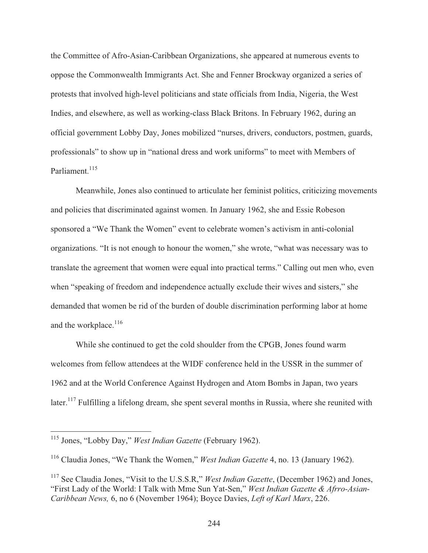the Committee of Afro-Asian-Caribbean Organizations, she appeared at numerous events to oppose the Commonwealth Immigrants Act. She and Fenner Brockway organized a series of protests that involved high-level politicians and state officials from India, Nigeria, the West Indies, and elsewhere, as well as working-class Black Britons. In February 1962, during an official government Lobby Day, Jones mobilized "nurses, drivers, conductors, postmen, guards, professionals" to show up in "national dress and work uniforms" to meet with Members of Parliament.<sup>115</sup>

 Meanwhile, Jones also continued to articulate her feminist politics, criticizing movements and policies that discriminated against women. In January 1962, she and Essie Robeson sponsored a "We Thank the Women" event to celebrate women's activism in anti-colonial organizations. "It is not enough to honour the women," she wrote, "what was necessary was to translate the agreement that women were equal into practical terms." Calling out men who, even when "speaking of freedom and independence actually exclude their wives and sisters," she demanded that women be rid of the burden of double discrimination performing labor at home and the workplace.<sup>116</sup>

 While she continued to get the cold shoulder from the CPGB, Jones found warm welcomes from fellow attendees at the WIDF conference held in the USSR in the summer of 1962 and at the World Conference Against Hydrogen and Atom Bombs in Japan, two years later.<sup>117</sup> Fulfilling a lifelong dream, she spent several months in Russia, where she reunited with

<sup>115</sup> Jones, "Lobby Day," *West Indian Gazette* (February 1962).

<sup>116</sup> Claudia Jones, "We Thank the Women," *West Indian Gazette* 4, no. 13 (January 1962).

<sup>&</sup>lt;sup>117</sup> See Claudia Jones, "Visit to the U.S.S.R," *West Indian Gazette*, (December 1962) and Jones, "First Lady of the World: I Talk with Mme Sun Yat-Sen," *West Indian Gazette & Afrro-Asian-Caribbean News,* 6, no 6 (November 1964); Boyce Davies, *Left of Karl Marx*, 226.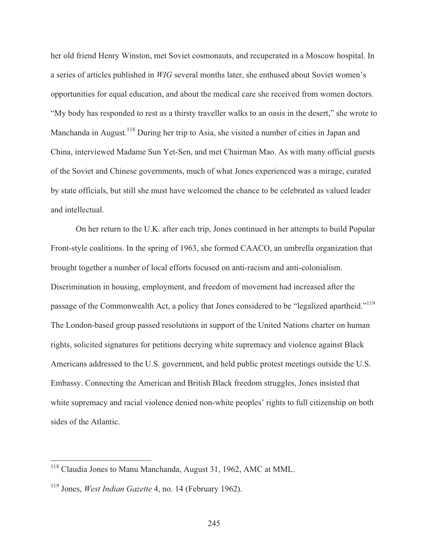her old friend Henry Winston, met Soviet cosmonauts, and recuperated in a Moscow hospital. In a series of articles published in *WIG* several months later, she enthused about Soviet women's opportunities for equal education, and about the medical care she received from women doctors. "My body has responded to rest as a thirsty traveller walks to an oasis in the desert," she wrote to Manchanda in August.<sup>118</sup> During her trip to Asia, she visited a number of cities in Japan and China, interviewed Madame Sun Yet-Sen, and met Chairman Mao. As with many official guests of the Soviet and Chinese governments, much of what Jones experienced was a mirage, curated by state officials, but still she must have welcomed the chance to be celebrated as valued leader and intellectual.

 On her return to the U.K. after each trip, Jones continued in her attempts to build Popular Front-style coalitions. In the spring of 1963, she formed CAACO, an umbrella organization that brought together a number of local efforts focused on anti-racism and anti-colonialism. Discrimination in housing, employment, and freedom of movement had increased after the passage of the Commonwealth Act, a policy that Jones considered to be "legalized apartheid."<sup>119</sup> The London-based group passed resolutions in support of the United Nations charter on human rights, solicited signatures for petitions decrying white supremacy and violence against Black Americans addressed to the U.S. government, and held public protest meetings outside the U.S. Embassy. Connecting the American and British Black freedom struggles, Jones insisted that white supremacy and racial violence denied non-white peoples' rights to full citizenship on both sides of the Atlantic.

<sup>&</sup>lt;sup>118</sup> Claudia Jones to Manu Manchanda, August 31, 1962, AMC at MML.

<sup>119</sup> Jones, *West Indian Gazette* 4, no. 14 (February 1962).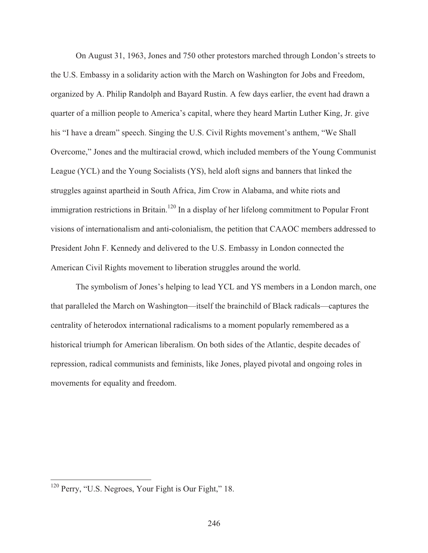On August 31, 1963, Jones and 750 other protestors marched through London's streets to the U.S. Embassy in a solidarity action with the March on Washington for Jobs and Freedom, organized by A. Philip Randolph and Bayard Rustin. A few days earlier, the event had drawn a quarter of a million people to America's capital, where they heard Martin Luther King, Jr. give his "I have a dream" speech. Singing the U.S. Civil Rights movement's anthem, "We Shall Overcome," Jones and the multiracial crowd, which included members of the Young Communist League (YCL) and the Young Socialists (YS), held aloft signs and banners that linked the struggles against apartheid in South Africa, Jim Crow in Alabama, and white riots and immigration restrictions in Britain.<sup>120</sup> In a display of her lifelong commitment to Popular Front visions of internationalism and anti-colonialism, the petition that CAAOC members addressed to President John F. Kennedy and delivered to the U.S. Embassy in London connected the American Civil Rights movement to liberation struggles around the world.

 The symbolism of Jones's helping to lead YCL and YS members in a London march, one that paralleled the March on Washington—itself the brainchild of Black radicals—captures the centrality of heterodox international radicalisms to a moment popularly remembered as a historical triumph for American liberalism. On both sides of the Atlantic, despite decades of repression, radical communists and feminists, like Jones, played pivotal and ongoing roles in movements for equality and freedom.

 $\overline{\phantom{a}}$ 

 $120$  Perry, "U.S. Negroes, Your Fight is Our Fight," 18.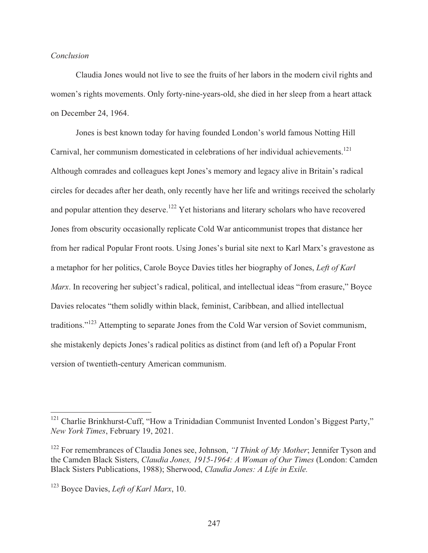#### *Conclusion*

 Claudia Jones would not live to see the fruits of her labors in the modern civil rights and women's rights movements. Only forty-nine-years-old, she died in her sleep from a heart attack on December 24, 1964.

 Jones is best known today for having founded London's world famous Notting Hill Carnival, her communism domesticated in celebrations of her individual achievements.<sup>121</sup> Although comrades and colleagues kept Jones's memory and legacy alive in Britain's radical circles for decades after her death, only recently have her life and writings received the scholarly and popular attention they deserve.<sup>122</sup> Yet historians and literary scholars who have recovered Jones from obscurity occasionally replicate Cold War anticommunist tropes that distance her from her radical Popular Front roots. Using Jones's burial site next to Karl Marx's gravestone as a metaphor for her politics, Carole Boyce Davies titles her biography of Jones, *Left of Karl Marx*. In recovering her subject's radical, political, and intellectual ideas "from erasure," Boyce Davies relocates "them solidly within black, feminist, Caribbean, and allied intellectual traditions."<sup>123</sup> Attempting to separate Jones from the Cold War version of Soviet communism, she mistakenly depicts Jones's radical politics as distinct from (and left of) a Popular Front version of twentieth-century American communism.

<sup>&</sup>lt;sup>121</sup> Charlie Brinkhurst-Cuff, "How a Trinidadian Communist Invented London's Biggest Party," *New York Times*, February 19, 2021.

<sup>122</sup> For remembrances of Claudia Jones see, Johnson, *"I Think of My Mother*; Jennifer Tyson and the Camden Black Sisters, *Claudia Jones, 1915-1964: A Woman of Our Times* (London: Camden Black Sisters Publications, 1988); Sherwood, *Claudia Jones: A Life in Exile.*

<sup>123</sup> Boyce Davies, *Left of Karl Marx*, 10.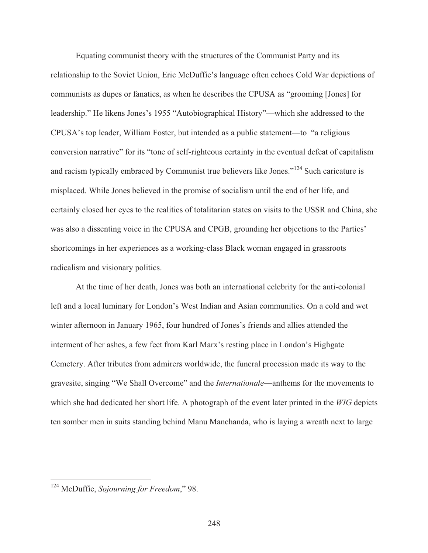Equating communist theory with the structures of the Communist Party and its relationship to the Soviet Union, Eric McDuffie's language often echoes Cold War depictions of communists as dupes or fanatics, as when he describes the CPUSA as "grooming [Jones] for leadership." He likens Jones's 1955 "Autobiographical History"—which she addressed to the CPUSA's top leader, William Foster, but intended as a public statement—to "a religious conversion narrative" for its "tone of self-righteous certainty in the eventual defeat of capitalism and racism typically embraced by Communist true believers like Jones."124 Such caricature is misplaced. While Jones believed in the promise of socialism until the end of her life, and certainly closed her eyes to the realities of totalitarian states on visits to the USSR and China, she was also a dissenting voice in the CPUSA and CPGB, grounding her objections to the Parties' shortcomings in her experiences as a working-class Black woman engaged in grassroots radicalism and visionary politics.

 At the time of her death, Jones was both an international celebrity for the anti-colonial left and a local luminary for London's West Indian and Asian communities. On a cold and wet winter afternoon in January 1965, four hundred of Jones's friends and allies attended the interment of her ashes, a few feet from Karl Marx's resting place in London's Highgate Cemetery. After tributes from admirers worldwide, the funeral procession made its way to the gravesite, singing "We Shall Overcome" and the *Internationale*—anthems for the movements to which she had dedicated her short life. A photograph of the event later printed in the *WIG* depicts ten somber men in suits standing behind Manu Manchanda, who is laying a wreath next to large

 $\overline{\phantom{a}}$ 

<sup>124</sup> McDuffie, *Sojourning for Freedom*," 98.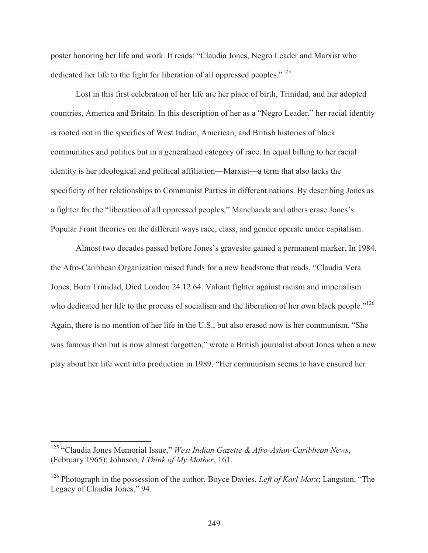poster honoring her life and work. It reads: "Claudia Jones, Negro Leader and Marxist who dedicated her life to the fight for liberation of all oppressed peoples."125

 Lost in this first celebration of her life are her place of birth, Trinidad, and her adopted countries, America and Britain. In this description of her as a "Negro Leader," her racial identity is rooted not in the specifics of West Indian, American, and British histories of black communities and politics but in a generalized category of race. In equal billing to her racial identity is her ideological and political affiliation—Marxist—a term that also lacks the specificity of her relationships to Communist Parties in different nations. By describing Jones as a fighter for the "liberation of all oppressed peoples," Manchanda and others erase Jones's Popular Front theories on the different ways race, class, and gender operate under capitalism.

 Almost two decades passed before Jones's gravesite gained a permanent marker. In 1984, the Afro-Caribbean Organization raised funds for a new headstone that reads, "Claudia Vera Jones, Born Trinidad, Died London 24.12.64. Valiant fighter against racism and imperialism who dedicated her life to the process of socialism and the liberation of her own black people."<sup>126</sup> Again, there is no mention of her life in the U.S., but also erased now is her communism. "She was famous then but is now almost forgotten," wrote a British journalist about Jones when a new play about her life went into production in 1989. "Her communism seems to have ensured her

 $\overline{\phantom{a}}$ 

<sup>125 &</sup>quot;Claudia Jones Memorial Issue," *West Indian Gazette & Afro-Asian-Caribbean News*, (February 1965); Johnson, *I Think of My Mother*, 161.

<sup>&</sup>lt;sup>126</sup> Photograph in the possession of the author. Boyce Davies, *Left of Karl Marx*; Langston, "The Legacy of Claudia Jones," 94.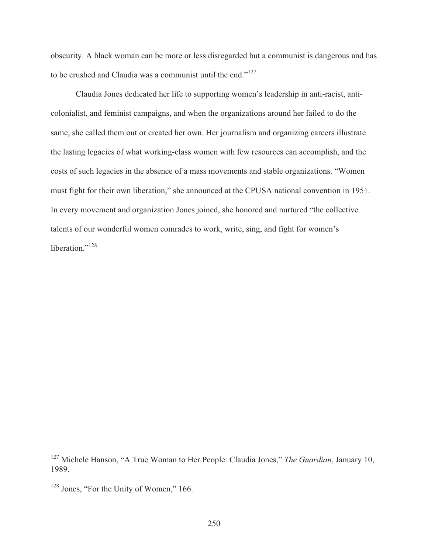obscurity. A black woman can be more or less disregarded but a communist is dangerous and has to be crushed and Claudia was a communist until the end."<sup>127</sup>

 Claudia Jones dedicated her life to supporting women's leadership in anti-racist, anticolonialist, and feminist campaigns, and when the organizations around her failed to do the same, she called them out or created her own. Her journalism and organizing careers illustrate the lasting legacies of what working-class women with few resources can accomplish, and the costs of such legacies in the absence of a mass movements and stable organizations. "Women must fight for their own liberation," she announced at the CPUSA national convention in 1951. In every movement and organization Jones joined, she honored and nurtured "the collective talents of our wonderful women comrades to work, write, sing, and fight for women's liberation."<sup>128</sup>

<sup>127</sup> Michele Hanson, "A True Woman to Her People: Claudia Jones," *The Guardian*, January 10, 1989.

<sup>&</sup>lt;sup>128</sup> Jones, "For the Unity of Women," 166.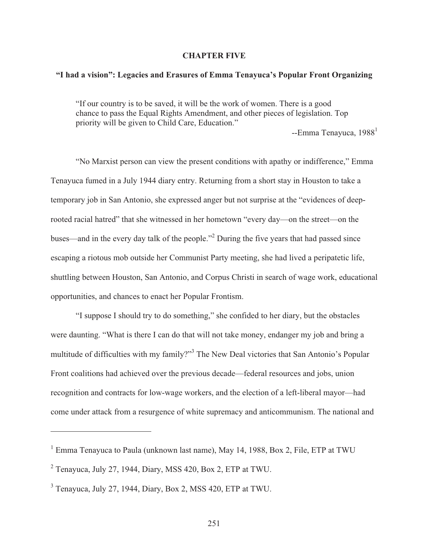#### **CHAPTER FIVE**

## **"I had a vision": Legacies and Erasures of Emma Tenayuca's Popular Front Organizing**

"If our country is to be saved, it will be the work of women. There is a good chance to pass the Equal Rights Amendment, and other pieces of legislation. Top priority will be given to Child Care, Education."

 $-$ Emma Tenayuca, 1988 $<sup>1</sup>$ </sup>

 "No Marxist person can view the present conditions with apathy or indifference," Emma Tenayuca fumed in a July 1944 diary entry. Returning from a short stay in Houston to take a temporary job in San Antonio, she expressed anger but not surprise at the "evidences of deeprooted racial hatred" that she witnessed in her hometown "every day—on the street—on the buses—and in the every day talk of the people."<sup>2</sup> During the five years that had passed since escaping a riotous mob outside her Communist Party meeting, she had lived a peripatetic life, shuttling between Houston, San Antonio, and Corpus Christi in search of wage work, educational opportunities, and chances to enact her Popular Frontism.

 "I suppose I should try to do something," she confided to her diary, but the obstacles were daunting. "What is there I can do that will not take money, endanger my job and bring a multitude of difficulties with my family?"<sup>3</sup> The New Deal victories that San Antonio's Popular Front coalitions had achieved over the previous decade—federal resources and jobs, union recognition and contracts for low-wage workers, and the election of a left-liberal mayor—had come under attack from a resurgence of white supremacy and anticommunism. The national and

 $1$  Emma Tenayuca to Paula (unknown last name), May 14, 1988, Box 2, File, ETP at TWU

 $2$  Tenayuca, July 27, 1944, Diary, MSS 420, Box 2, ETP at TWU.

<sup>&</sup>lt;sup>3</sup> Tenayuca, July 27, 1944, Diary, Box 2, MSS 420, ETP at TWU.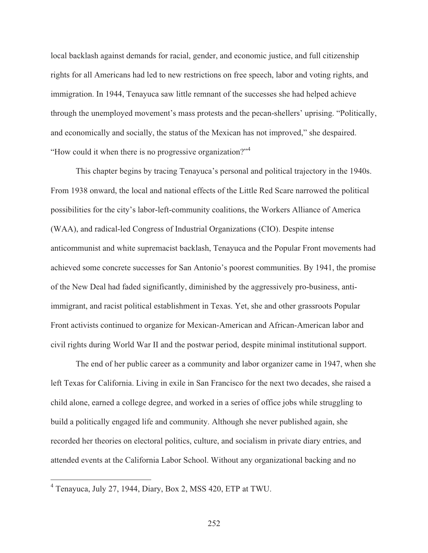local backlash against demands for racial, gender, and economic justice, and full citizenship rights for all Americans had led to new restrictions on free speech, labor and voting rights, and immigration. In 1944, Tenayuca saw little remnant of the successes she had helped achieve through the unemployed movement's mass protests and the pecan-shellers' uprising. "Politically, and economically and socially, the status of the Mexican has not improved," she despaired. "How could it when there is no progressive organization?"<sup>4</sup>

 This chapter begins by tracing Tenayuca's personal and political trajectory in the 1940s. From 1938 onward, the local and national effects of the Little Red Scare narrowed the political possibilities for the city's labor-left-community coalitions, the Workers Alliance of America (WAA), and radical-led Congress of Industrial Organizations (CIO). Despite intense anticommunist and white supremacist backlash, Tenayuca and the Popular Front movements had achieved some concrete successes for San Antonio's poorest communities. By 1941, the promise of the New Deal had faded significantly, diminished by the aggressively pro-business, antiimmigrant, and racist political establishment in Texas. Yet, she and other grassroots Popular Front activists continued to organize for Mexican-American and African-American labor and civil rights during World War II and the postwar period, despite minimal institutional support.

 The end of her public career as a community and labor organizer came in 1947, when she left Texas for California. Living in exile in San Francisco for the next two decades, she raised a child alone, earned a college degree, and worked in a series of office jobs while struggling to build a politically engaged life and community. Although she never published again, she recorded her theories on electoral politics, culture, and socialism in private diary entries, and attended events at the California Labor School. Without any organizational backing and no

 4 Tenayuca, July 27, 1944, Diary, Box 2, MSS 420, ETP at TWU.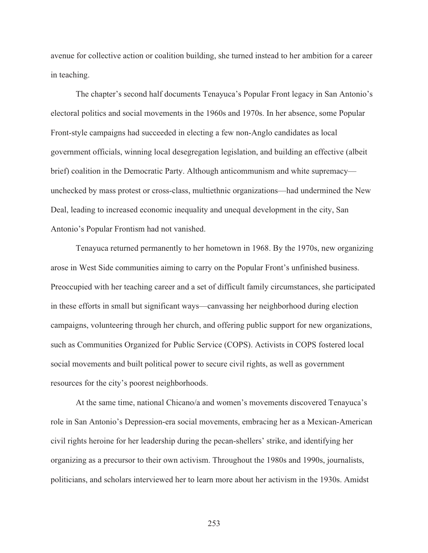avenue for collective action or coalition building, she turned instead to her ambition for a career in teaching.

 The chapter's second half documents Tenayuca's Popular Front legacy in San Antonio's electoral politics and social movements in the 1960s and 1970s. In her absence, some Popular Front-style campaigns had succeeded in electing a few non-Anglo candidates as local government officials, winning local desegregation legislation, and building an effective (albeit brief) coalition in the Democratic Party. Although anticommunism and white supremacy unchecked by mass protest or cross-class, multiethnic organizations—had undermined the New Deal, leading to increased economic inequality and unequal development in the city, San Antonio's Popular Frontism had not vanished.

 Tenayuca returned permanently to her hometown in 1968. By the 1970s, new organizing arose in West Side communities aiming to carry on the Popular Front's unfinished business. Preoccupied with her teaching career and a set of difficult family circumstances, she participated in these efforts in small but significant ways—canvassing her neighborhood during election campaigns, volunteering through her church, and offering public support for new organizations, such as Communities Organized for Public Service (COPS). Activists in COPS fostered local social movements and built political power to secure civil rights, as well as government resources for the city's poorest neighborhoods.

 At the same time, national Chicano/a and women's movements discovered Tenayuca's role in San Antonio's Depression-era social movements, embracing her as a Mexican-American civil rights heroine for her leadership during the pecan-shellers' strike, and identifying her organizing as a precursor to their own activism. Throughout the 1980s and 1990s, journalists, politicians, and scholars interviewed her to learn more about her activism in the 1930s. Amidst

253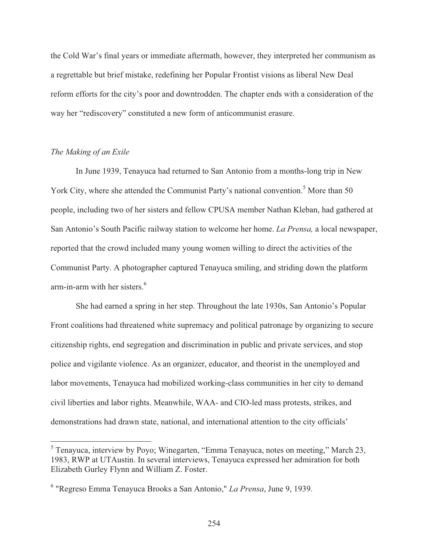the Cold War's final years or immediate aftermath, however, they interpreted her communism as a regrettable but brief mistake, redefining her Popular Frontist visions as liberal New Deal reform efforts for the city's poor and downtrodden. The chapter ends with a consideration of the way her "rediscovery" constituted a new form of anticommunist erasure.

## *The Making of an Exile*

 $\overline{a}$ 

 In June 1939, Tenayuca had returned to San Antonio from a months-long trip in New York City, where she attended the Communist Party's national convention.<sup>5</sup> More than 50 people, including two of her sisters and fellow CPUSA member Nathan Kleban, had gathered at San Antonio's South Pacific railway station to welcome her home. *La Prensa,* a local newspaper, reported that the crowd included many young women willing to direct the activities of the Communist Party. A photographer captured Tenayuca smiling, and striding down the platform arm-in-arm with her sisters.<sup>6</sup>

 She had earned a spring in her step. Throughout the late 1930s, San Antonio's Popular Front coalitions had threatened white supremacy and political patronage by organizing to secure citizenship rights, end segregation and discrimination in public and private services, and stop police and vigilante violence. As an organizer, educator, and theorist in the unemployed and labor movements, Tenayuca had mobilized working-class communities in her city to demand civil liberties and labor rights. Meanwhile, WAA- and CIO-led mass protests, strikes, and demonstrations had drawn state, national, and international attention to the city officials'

<sup>&</sup>lt;sup>5</sup> Tenayuca, interview by Poyo; Winegarten, "Emma Tenayuca, notes on meeting," March 23, 1983, RWP at UTAustin. In several interviews, Tenayuca expressed her admiration for both Elizabeth Gurley Flynn and William Z. Foster.

<sup>6</sup> "Regreso Emma Tenayuca Brooks a San Antonio," *La Prensa*, June 9, 1939.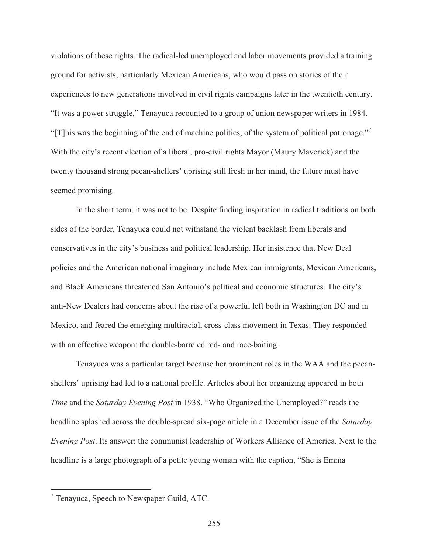violations of these rights. The radical-led unemployed and labor movements provided a training ground for activists, particularly Mexican Americans, who would pass on stories of their experiences to new generations involved in civil rights campaigns later in the twentieth century. "It was a power struggle," Tenayuca recounted to a group of union newspaper writers in 1984. "[T]his was the beginning of the end of machine politics, of the system of political patronage."<sup>7</sup> With the city's recent election of a liberal, pro-civil rights Mayor (Maury Maverick) and the twenty thousand strong pecan-shellers' uprising still fresh in her mind, the future must have seemed promising.

 In the short term, it was not to be. Despite finding inspiration in radical traditions on both sides of the border, Tenayuca could not withstand the violent backlash from liberals and conservatives in the city's business and political leadership. Her insistence that New Deal policies and the American national imaginary include Mexican immigrants, Mexican Americans, and Black Americans threatened San Antonio's political and economic structures. The city's anti-New Dealers had concerns about the rise of a powerful left both in Washington DC and in Mexico, and feared the emerging multiracial, cross-class movement in Texas. They responded with an effective weapon: the double-barreled red- and race-baiting.

 Tenayuca was a particular target because her prominent roles in the WAA and the pecanshellers' uprising had led to a national profile. Articles about her organizing appeared in both *Time* and the *Saturday Evening Post* in 1938. "Who Organized the Unemployed?" reads the headline splashed across the double-spread six-page article in a December issue of the *Saturday Evening Post*. Its answer: the communist leadership of Workers Alliance of America. Next to the headline is a large photograph of a petite young woman with the caption, "She is Emma

 7 Tenayuca, Speech to Newspaper Guild, ATC.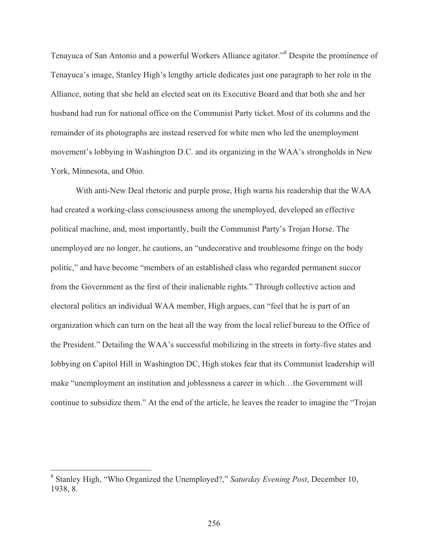Tenayuca of San Antonio and a powerful Workers Alliance agitator."<sup>8</sup> Despite the prominence of Tenayuca's image, Stanley High's lengthy article dedicates just one paragraph to her role in the Alliance, noting that she held an elected seat on its Executive Board and that both she and her husband had run for national office on the Communist Party ticket. Most of its columns and the remainder of its photographs are instead reserved for white men who led the unemployment movement's lobbying in Washington D.C. and its organizing in the WAA's strongholds in New York, Minnesota, and Ohio.

 With anti-New Deal rhetoric and purple prose, High warns his readership that the WAA had created a working-class consciousness among the unemployed, developed an effective political machine, and, most importantly, built the Communist Party's Trojan Horse. The unemployed are no longer, he cautions, an "undecorative and troublesome fringe on the body politic," and have become "members of an established class who regarded permanent succor from the Government as the first of their inalienable rights." Through collective action and electoral politics an individual WAA member, High argues, can "feel that he is part of an organization which can turn on the heat all the way from the local relief bureau to the Office of the President." Detailing the WAA's successful mobilizing in the streets in forty-five states and lobbying on Capitol Hill in Washington DC, High stokes fear that its Communist leadership will make "unemployment an institution and joblessness a career in which…the Government will continue to subsidize them." At the end of the article, he leaves the reader to imagine the "Trojan

<sup>8</sup> Stanley High, "Who Organized the Unemployed?," *Saturday Evening Post*, December 10, 1938, 8.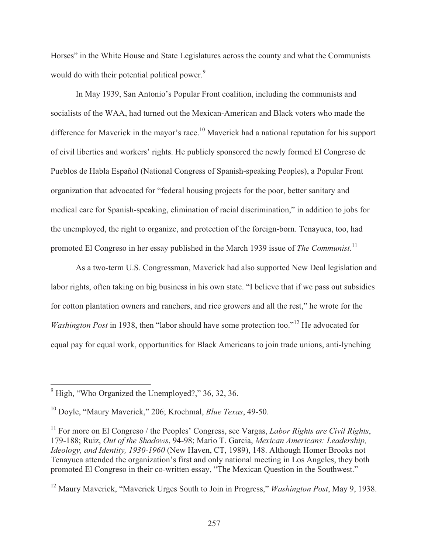Horses" in the White House and State Legislatures across the county and what the Communists would do with their potential political power.<sup>9</sup>

 In May 1939, San Antonio's Popular Front coalition, including the communists and socialists of the WAA, had turned out the Mexican-American and Black voters who made the difference for Maverick in the mayor's race.<sup>10</sup> Maverick had a national reputation for his support of civil liberties and workers' rights. He publicly sponsored the newly formed El Congreso de Pueblos de Habla Español (National Congress of Spanish-speaking Peoples), a Popular Front organization that advocated for "federal housing projects for the poor, better sanitary and medical care for Spanish-speaking, elimination of racial discrimination," in addition to jobs for the unemployed, the right to organize, and protection of the foreign-born. Tenayuca, too, had promoted El Congreso in her essay published in the March 1939 issue of *The Communist.*11

As a two-term U.S. Congressman, Maverick had also supported New Deal legislation and labor rights, often taking on big business in his own state. "I believe that if we pass out subsidies for cotton plantation owners and ranchers, and rice growers and all the rest," he wrote for the *Washington Post* in 1938, then "labor should have some protection too."<sup>12</sup> He advocated for equal pay for equal work, opportunities for Black Americans to join trade unions, anti-lynching

<sup>&</sup>lt;sup>9</sup> High, "Who Organized the Unemployed?," 36, 32, 36.

<sup>10</sup> Doyle, "Maury Maverick," 206; Krochmal, *Blue Texas*, 49-50.

<sup>11</sup> For more on El Congreso / the Peoples' Congress, see Vargas, *Labor Rights are Civil Rights*, 179-188; Ruiz, *Out of the Shadows*, 94-98; Mario T. Garcia, *Mexican Americans: Leadership, Ideology, and Identity, 1930-1960* (New Haven, CT, 1989), 148. Although Homer Brooks not Tenayuca attended the organization's first and only national meeting in Los Angeles, they both promoted El Congreso in their co-written essay, "The Mexican Question in the Southwest."

<sup>12</sup> Maury Maverick, "Maverick Urges South to Join in Progress," *Washington Post*, May 9, 1938.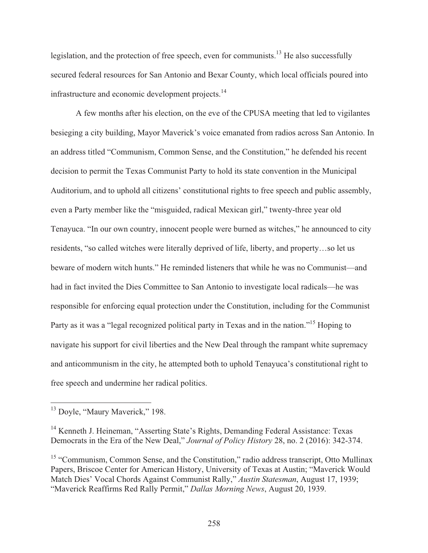legislation, and the protection of free speech, even for communists.<sup>13</sup> He also successfully secured federal resources for San Antonio and Bexar County, which local officials poured into infrastructure and economic development projects.<sup>14</sup>

 A few months after his election, on the eve of the CPUSA meeting that led to vigilantes besieging a city building, Mayor Maverick's voice emanated from radios across San Antonio. In an address titled "Communism, Common Sense, and the Constitution," he defended his recent decision to permit the Texas Communist Party to hold its state convention in the Municipal Auditorium, and to uphold all citizens' constitutional rights to free speech and public assembly, even a Party member like the "misguided, radical Mexican girl," twenty-three year old Tenayuca. "In our own country, innocent people were burned as witches," he announced to city residents, "so called witches were literally deprived of life, liberty, and property…so let us beware of modern witch hunts." He reminded listeners that while he was no Communist—and had in fact invited the Dies Committee to San Antonio to investigate local radicals—he was responsible for enforcing equal protection under the Constitution, including for the Communist Party as it was a "legal recognized political party in Texas and in the nation."<sup>15</sup> Hoping to navigate his support for civil liberties and the New Deal through the rampant white supremacy and anticommunism in the city, he attempted both to uphold Tenayuca's constitutional right to free speech and undermine her radical politics.

<sup>&</sup>lt;sup>13</sup> Doyle, "Maury Maverick," 198.

<sup>&</sup>lt;sup>14</sup> Kenneth J. Heineman, "Asserting State's Rights, Demanding Federal Assistance: Texas Democrats in the Era of the New Deal," *Journal of Policy History* 28, no. 2 (2016): 342-374.

<sup>&</sup>lt;sup>15</sup> "Communism, Common Sense, and the Constitution," radio address transcript, Otto Mullinax Papers, Briscoe Center for American History, University of Texas at Austin; "Maverick Would Match Dies' Vocal Chords Against Communist Rally," *Austin Statesman*, August 17, 1939; "Maverick Reaffirms Red Rally Permit," *Dallas Morning News*, August 20, 1939.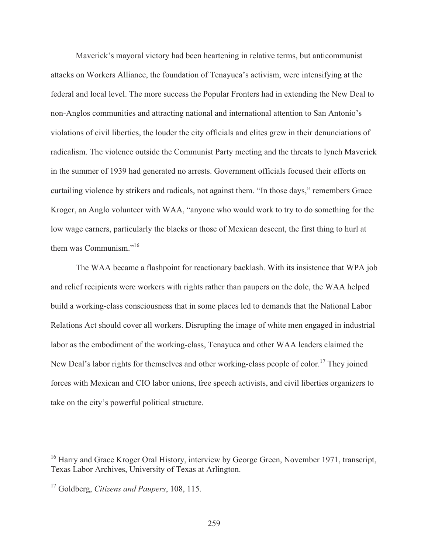Maverick's mayoral victory had been heartening in relative terms, but anticommunist attacks on Workers Alliance, the foundation of Tenayuca's activism, were intensifying at the federal and local level. The more success the Popular Fronters had in extending the New Deal to non-Anglos communities and attracting national and international attention to San Antonio's violations of civil liberties, the louder the city officials and elites grew in their denunciations of radicalism. The violence outside the Communist Party meeting and the threats to lynch Maverick in the summer of 1939 had generated no arrests. Government officials focused their efforts on curtailing violence by strikers and radicals, not against them. "In those days," remembers Grace Kroger, an Anglo volunteer with WAA, "anyone who would work to try to do something for the low wage earners, particularly the blacks or those of Mexican descent, the first thing to hurl at them was Communism."<sup>16</sup>

 The WAA became a flashpoint for reactionary backlash. With its insistence that WPA job and relief recipients were workers with rights rather than paupers on the dole, the WAA helped build a working-class consciousness that in some places led to demands that the National Labor Relations Act should cover all workers. Disrupting the image of white men engaged in industrial labor as the embodiment of the working-class, Tenayuca and other WAA leaders claimed the New Deal's labor rights for themselves and other working-class people of color.<sup>17</sup> They joined forces with Mexican and CIO labor unions, free speech activists, and civil liberties organizers to take on the city's powerful political structure.

<sup>&</sup>lt;sup>16</sup> Harry and Grace Kroger Oral History, interview by George Green, November 1971, transcript, Texas Labor Archives, University of Texas at Arlington.

<sup>17</sup> Goldberg, *Citizens and Paupers*, 108, 115.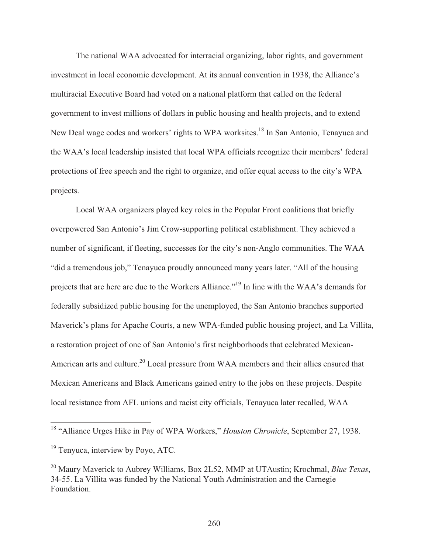The national WAA advocated for interracial organizing, labor rights, and government investment in local economic development. At its annual convention in 1938, the Alliance's multiracial Executive Board had voted on a national platform that called on the federal government to invest millions of dollars in public housing and health projects, and to extend New Deal wage codes and workers' rights to WPA worksites.<sup>18</sup> In San Antonio, Tenayuca and the WAA's local leadership insisted that local WPA officials recognize their members' federal protections of free speech and the right to organize, and offer equal access to the city's WPA projects.

 Local WAA organizers played key roles in the Popular Front coalitions that briefly overpowered San Antonio's Jim Crow-supporting political establishment. They achieved a number of significant, if fleeting, successes for the city's non-Anglo communities. The WAA "did a tremendous job," Tenayuca proudly announced many years later. "All of the housing projects that are here are due to the Workers Alliance."19 In line with the WAA's demands for federally subsidized public housing for the unemployed, the San Antonio branches supported Maverick's plans for Apache Courts, a new WPA-funded public housing project, and La Villita, a restoration project of one of San Antonio's first neighborhoods that celebrated Mexican-American arts and culture.<sup>20</sup> Local pressure from WAA members and their allies ensured that Mexican Americans and Black Americans gained entry to the jobs on these projects. Despite local resistance from AFL unions and racist city officials, Tenayuca later recalled, WAA

<sup>&</sup>lt;sup>18</sup> "Alliance Urges Hike in Pay of WPA Workers," *Houston Chronicle*, September 27, 1938.

<sup>&</sup>lt;sup>19</sup> Tenyuca, interview by Poyo, ATC.

<sup>20</sup> Maury Maverick to Aubrey Williams, Box 2L52, MMP at UTAustin; Krochmal, *Blue Texas*, 34-55. La Villita was funded by the National Youth Administration and the Carnegie Foundation.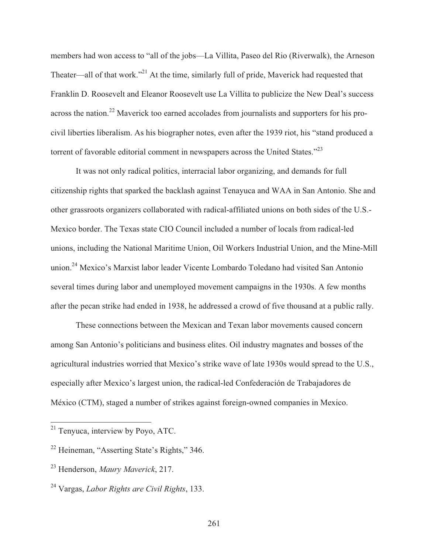members had won access to "all of the jobs—La Villita, Paseo del Rio (Riverwalk), the Arneson Theater—all of that work."<sup>21</sup> At the time, similarly full of pride, Maverick had requested that Franklin D. Roosevelt and Eleanor Roosevelt use La Villita to publicize the New Deal's success across the nation.<sup>22</sup> Maverick too earned accolades from journalists and supporters for his procivil liberties liberalism. As his biographer notes, even after the 1939 riot, his "stand produced a torrent of favorable editorial comment in newspapers across the United States."<sup>23</sup>

 It was not only radical politics, interracial labor organizing, and demands for full citizenship rights that sparked the backlash against Tenayuca and WAA in San Antonio. She and other grassroots organizers collaborated with radical-affiliated unions on both sides of the U.S.- Mexico border. The Texas state CIO Council included a number of locals from radical-led unions, including the National Maritime Union, Oil Workers Industrial Union, and the Mine-Mill union.24 Mexico's Marxist labor leader Vicente Lombardo Toledano had visited San Antonio several times during labor and unemployed movement campaigns in the 1930s. A few months after the pecan strike had ended in 1938, he addressed a crowd of five thousand at a public rally.

 These connections between the Mexican and Texan labor movements caused concern among San Antonio's politicians and business elites. Oil industry magnates and bosses of the agricultural industries worried that Mexico's strike wave of late 1930s would spread to the U.S., especially after Mexico's largest union, the radical-led Confederación de Trabajadores de México (CTM), staged a number of strikes against foreign-owned companies in Mexico.

<sup>&</sup>lt;sup>21</sup> Tenyuca, interview by Poyo, ATC.

<sup>&</sup>lt;sup>22</sup> Heineman, "Asserting State's Rights," 346.

<sup>23</sup> Henderson, *Maury Maverick*, 217.

<sup>24</sup> Vargas, *Labor Rights are Civil Rights*, 133.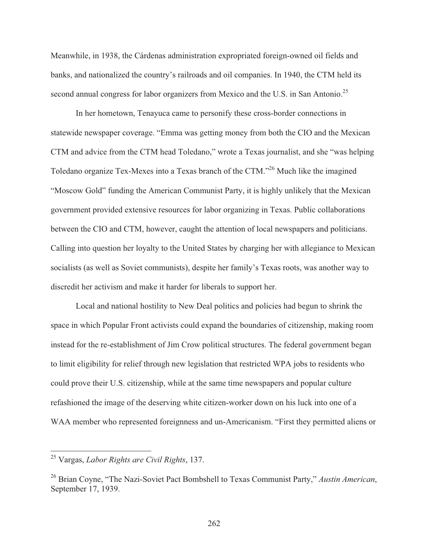Meanwhile, in 1938, the Cárdenas administration expropriated foreign-owned oil fields and banks, and nationalized the country's railroads and oil companies. In 1940, the CTM held its second annual congress for labor organizers from Mexico and the U.S. in San Antonio.<sup>25</sup>

 In her hometown, Tenayuca came to personify these cross-border connections in statewide newspaper coverage. "Emma was getting money from both the CIO and the Mexican CTM and advice from the CTM head Toledano," wrote a Texas journalist, and she "was helping Toledano organize Tex-Mexes into a Texas branch of the CTM."26 Much like the imagined "Moscow Gold" funding the American Communist Party, it is highly unlikely that the Mexican government provided extensive resources for labor organizing in Texas. Public collaborations between the CIO and CTM, however, caught the attention of local newspapers and politicians. Calling into question her loyalty to the United States by charging her with allegiance to Mexican socialists (as well as Soviet communists), despite her family's Texas roots, was another way to discredit her activism and make it harder for liberals to support her.

 Local and national hostility to New Deal politics and policies had begun to shrink the space in which Popular Front activists could expand the boundaries of citizenship, making room instead for the re-establishment of Jim Crow political structures. The federal government began to limit eligibility for relief through new legislation that restricted WPA jobs to residents who could prove their U.S. citizenship, while at the same time newspapers and popular culture refashioned the image of the deserving white citizen-worker down on his luck into one of a WAA member who represented foreignness and un-Americanism. "First they permitted aliens or

<sup>25</sup> Vargas, *Labor Rights are Civil Rights*, 137.

<sup>26</sup> Brian Coyne, "The Nazi-Soviet Pact Bombshell to Texas Communist Party," *Austin American*, September 17, 1939.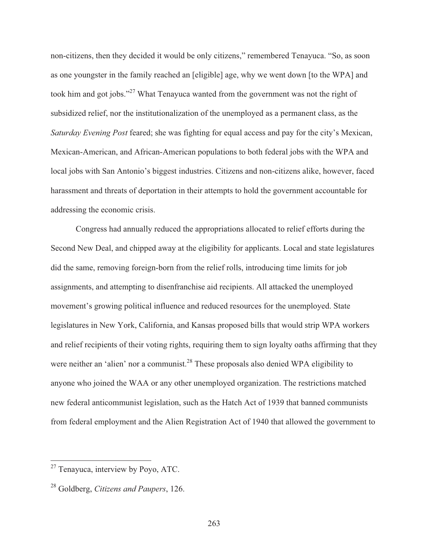non-citizens, then they decided it would be only citizens," remembered Tenayuca. "So, as soon as one youngster in the family reached an [eligible] age, why we went down [to the WPA] and took him and got jobs."<sup>27</sup> What Tenayuca wanted from the government was not the right of subsidized relief, nor the institutionalization of the unemployed as a permanent class, as the *Saturday Evening Post* feared; she was fighting for equal access and pay for the city's Mexican, Mexican-American, and African-American populations to both federal jobs with the WPA and local jobs with San Antonio's biggest industries. Citizens and non-citizens alike, however, faced harassment and threats of deportation in their attempts to hold the government accountable for addressing the economic crisis.

 Congress had annually reduced the appropriations allocated to relief efforts during the Second New Deal, and chipped away at the eligibility for applicants. Local and state legislatures did the same, removing foreign-born from the relief rolls, introducing time limits for job assignments, and attempting to disenfranchise aid recipients. All attacked the unemployed movement's growing political influence and reduced resources for the unemployed. State legislatures in New York, California, and Kansas proposed bills that would strip WPA workers and relief recipients of their voting rights, requiring them to sign loyalty oaths affirming that they were neither an 'alien' nor a communist.<sup>28</sup> These proposals also denied WPA eligibility to anyone who joined the WAA or any other unemployed organization. The restrictions matched new federal anticommunist legislation, such as the Hatch Act of 1939 that banned communists from federal employment and the Alien Registration Act of 1940 that allowed the government to

<sup>&</sup>lt;sup>27</sup> Tenayuca, interview by Poyo, ATC.

<sup>28</sup> Goldberg, *Citizens and Paupers*, 126.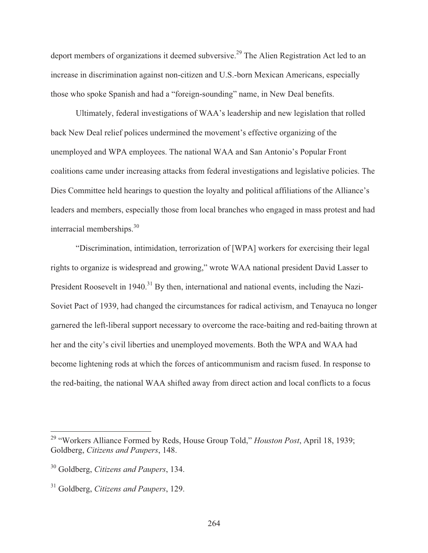deport members of organizations it deemed subversive.<sup>29</sup> The Alien Registration Act led to an increase in discrimination against non-citizen and U.S.-born Mexican Americans, especially those who spoke Spanish and had a "foreign-sounding" name, in New Deal benefits.

 Ultimately, federal investigations of WAA's leadership and new legislation that rolled back New Deal relief polices undermined the movement's effective organizing of the unemployed and WPA employees. The national WAA and San Antonio's Popular Front coalitions came under increasing attacks from federal investigations and legislative policies. The Dies Committee held hearings to question the loyalty and political affiliations of the Alliance's leaders and members, especially those from local branches who engaged in mass protest and had interracial memberships.<sup>30</sup>

 "Discrimination, intimidation, terrorization of [WPA] workers for exercising their legal rights to organize is widespread and growing," wrote WAA national president David Lasser to President Roosevelt in 1940.<sup>31</sup> By then, international and national events, including the Nazi-Soviet Pact of 1939, had changed the circumstances for radical activism, and Tenayuca no longer garnered the left-liberal support necessary to overcome the race-baiting and red-baiting thrown at her and the city's civil liberties and unemployed movements. Both the WPA and WAA had become lightening rods at which the forces of anticommunism and racism fused. In response to the red-baiting, the national WAA shifted away from direct action and local conflicts to a focus

<sup>29 &</sup>quot;Workers Alliance Formed by Reds, House Group Told," *Houston Post*, April 18, 1939; Goldberg, *Citizens and Paupers*, 148.

<sup>30</sup> Goldberg, *Citizens and Paupers*, 134.

<sup>31</sup> Goldberg, *Citizens and Paupers*, 129.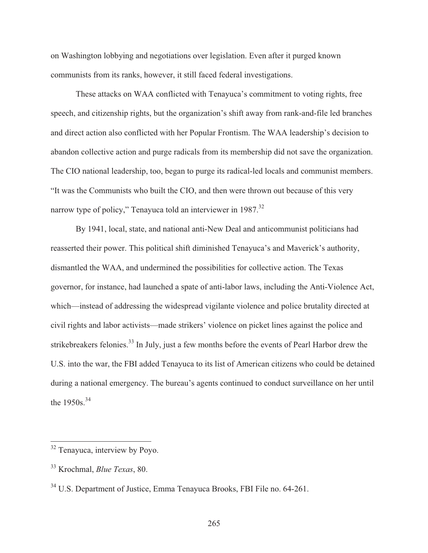on Washington lobbying and negotiations over legislation. Even after it purged known communists from its ranks, however, it still faced federal investigations.

These attacks on WAA conflicted with Tenayuca's commitment to voting rights, free speech, and citizenship rights, but the organization's shift away from rank-and-file led branches and direct action also conflicted with her Popular Frontism. The WAA leadership's decision to abandon collective action and purge radicals from its membership did not save the organization. The CIO national leadership, too, began to purge its radical-led locals and communist members. "It was the Communists who built the CIO, and then were thrown out because of this very narrow type of policy," Tenayuca told an interviewer in 1987.<sup>32</sup>

 By 1941, local, state, and national anti-New Deal and anticommunist politicians had reasserted their power. This political shift diminished Tenayuca's and Maverick's authority, dismantled the WAA, and undermined the possibilities for collective action. The Texas governor, for instance, had launched a spate of anti-labor laws, including the Anti-Violence Act, which—instead of addressing the widespread vigilante violence and police brutality directed at civil rights and labor activists—made strikers' violence on picket lines against the police and strikebreakers felonies.<sup>33</sup> In July, just a few months before the events of Pearl Harbor drew the U.S. into the war, the FBI added Tenayuca to its list of American citizens who could be detained during a national emergency. The bureau's agents continued to conduct surveillance on her until the 1950s.<sup>34</sup>

 $\overline{\phantom{a}}$ 

<sup>&</sup>lt;sup>32</sup> Tenayuca, interview by Poyo.

<sup>33</sup> Krochmal, *Blue Texas*, 80.

<sup>&</sup>lt;sup>34</sup> U.S. Department of Justice, Emma Tenayuca Brooks, FBI File no. 64-261.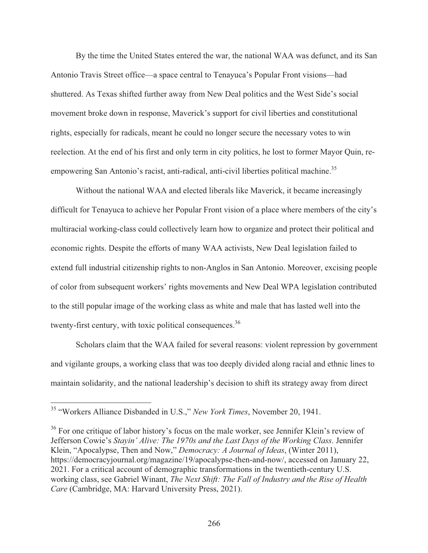By the time the United States entered the war, the national WAA was defunct, and its San Antonio Travis Street office—a space central to Tenayuca's Popular Front visions—had shuttered. As Texas shifted further away from New Deal politics and the West Side's social movement broke down in response, Maverick's support for civil liberties and constitutional rights, especially for radicals, meant he could no longer secure the necessary votes to win reelection. At the end of his first and only term in city politics, he lost to former Mayor Quin, reempowering San Antonio's racist, anti-radical, anti-civil liberties political machine.<sup>35</sup>

Without the national WAA and elected liberals like Maverick, it became increasingly difficult for Tenayuca to achieve her Popular Front vision of a place where members of the city's multiracial working-class could collectively learn how to organize and protect their political and economic rights. Despite the efforts of many WAA activists, New Deal legislation failed to extend full industrial citizenship rights to non-Anglos in San Antonio. Moreover, excising people of color from subsequent workers' rights movements and New Deal WPA legislation contributed to the still popular image of the working class as white and male that has lasted well into the twenty-first century, with toxic political consequences.<sup>36</sup>

 Scholars claim that the WAA failed for several reasons: violent repression by government and vigilante groups, a working class that was too deeply divided along racial and ethnic lines to maintain solidarity, and the national leadership's decision to shift its strategy away from direct

<sup>35 &</sup>quot;Workers Alliance Disbanded in U.S.," *New York Times*, November 20, 1941.

<sup>&</sup>lt;sup>36</sup> For one critique of labor history's focus on the male worker, see Jennifer Klein's review of Jefferson Cowie's *Stayin' Alive: The 1970s and the Last Days of the Working Class*. Jennifer Klein, "Apocalypse, Then and Now," *Democracy: A Journal of Ideas*, (Winter 2011), https://democracyjournal.org/magazine/19/apocalypse-then-and-now/, accessed on January 22, 2021. For a critical account of demographic transformations in the twentieth-century U.S. working class, see Gabriel Winant, *The Next Shift: The Fall of Industry and the Rise of Health Care* (Cambridge, MA: Harvard University Press, 2021).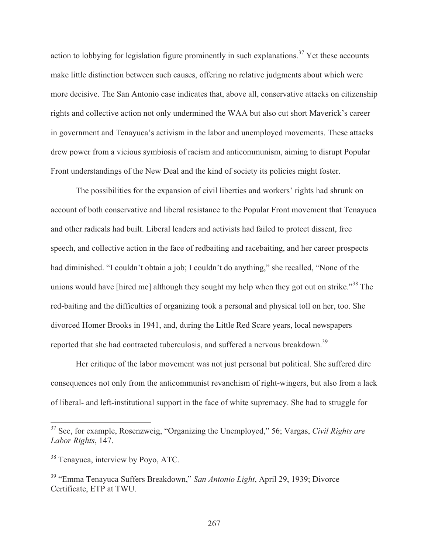action to lobbying for legislation figure prominently in such explanations.<sup>37</sup> Yet these accounts make little distinction between such causes, offering no relative judgments about which were more decisive. The San Antonio case indicates that, above all, conservative attacks on citizenship rights and collective action not only undermined the WAA but also cut short Maverick's career in government and Tenayuca's activism in the labor and unemployed movements. These attacks drew power from a vicious symbiosis of racism and anticommunism, aiming to disrupt Popular Front understandings of the New Deal and the kind of society its policies might foster.

 The possibilities for the expansion of civil liberties and workers' rights had shrunk on account of both conservative and liberal resistance to the Popular Front movement that Tenayuca and other radicals had built. Liberal leaders and activists had failed to protect dissent, free speech, and collective action in the face of redbaiting and racebaiting, and her career prospects had diminished. "I couldn't obtain a job; I couldn't do anything," she recalled, "None of the unions would have [hired me] although they sought my help when they got out on strike."<sup>38</sup> The red-baiting and the difficulties of organizing took a personal and physical toll on her, too. She divorced Homer Brooks in 1941, and, during the Little Red Scare years, local newspapers reported that she had contracted tuberculosis, and suffered a nervous breakdown.<sup>39</sup>

Her critique of the labor movement was not just personal but political. She suffered dire consequences not only from the anticommunist revanchism of right-wingers, but also from a lack of liberal- and left-institutional support in the face of white supremacy. She had to struggle for

<sup>37</sup> See, for example, Rosenzweig, "Organizing the Unemployed," 56; Vargas, *Civil Rights are Labor Rights*, 147.

<sup>&</sup>lt;sup>38</sup> Tenayuca, interview by Poyo, ATC.

<sup>39 &</sup>quot;Emma Tenayuca Suffers Breakdown," *San Antonio Light*, April 29, 1939; Divorce Certificate, ETP at TWU.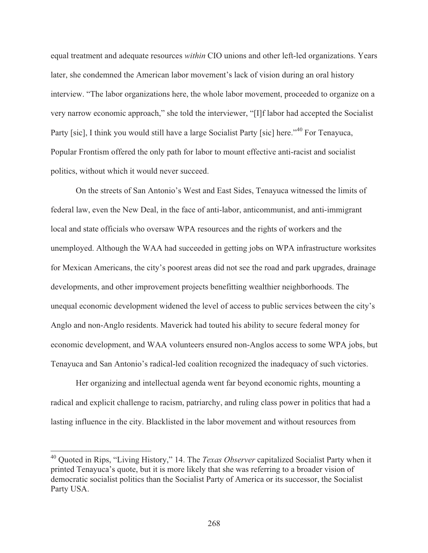equal treatment and adequate resources *within* CIO unions and other left-led organizations. Years later, she condemned the American labor movement's lack of vision during an oral history interview. "The labor organizations here, the whole labor movement, proceeded to organize on a very narrow economic approach," she told the interviewer, "[I]f labor had accepted the Socialist Party [sic], I think you would still have a large Socialist Party [sic] here."<sup>40</sup> For Tenayuca, Popular Frontism offered the only path for labor to mount effective anti-racist and socialist politics, without which it would never succeed.

 On the streets of San Antonio's West and East Sides, Tenayuca witnessed the limits of federal law, even the New Deal, in the face of anti-labor, anticommunist, and anti-immigrant local and state officials who oversaw WPA resources and the rights of workers and the unemployed. Although the WAA had succeeded in getting jobs on WPA infrastructure worksites for Mexican Americans, the city's poorest areas did not see the road and park upgrades, drainage developments, and other improvement projects benefitting wealthier neighborhoods. The unequal economic development widened the level of access to public services between the city's Anglo and non-Anglo residents. Maverick had touted his ability to secure federal money for economic development, and WAA volunteers ensured non-Anglos access to some WPA jobs, but Tenayuca and San Antonio's radical-led coalition recognized the inadequacy of such victories.

 Her organizing and intellectual agenda went far beyond economic rights, mounting a radical and explicit challenge to racism, patriarchy, and ruling class power in politics that had a lasting influence in the city. Blacklisted in the labor movement and without resources from

<sup>40</sup> Quoted in Rips, "Living History," 14. The *Texas Observer* capitalized Socialist Party when it printed Tenayuca's quote, but it is more likely that she was referring to a broader vision of democratic socialist politics than the Socialist Party of America or its successor, the Socialist Party USA.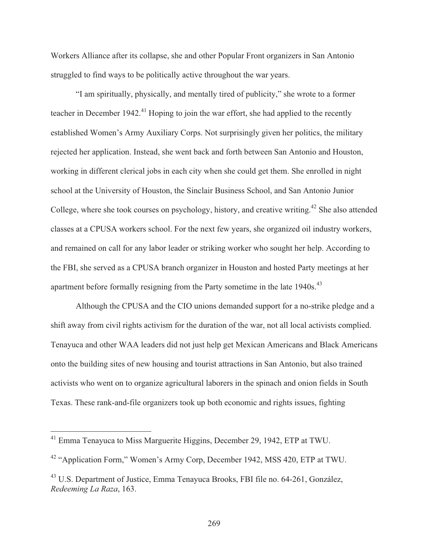Workers Alliance after its collapse, she and other Popular Front organizers in San Antonio struggled to find ways to be politically active throughout the war years.

 "I am spiritually, physically, and mentally tired of publicity," she wrote to a former teacher in December 1942.<sup>41</sup> Hoping to join the war effort, she had applied to the recently established Women's Army Auxiliary Corps. Not surprisingly given her politics, the military rejected her application. Instead, she went back and forth between San Antonio and Houston, working in different clerical jobs in each city when she could get them. She enrolled in night school at the University of Houston, the Sinclair Business School, and San Antonio Junior College, where she took courses on psychology, history, and creative writing.<sup>42</sup> She also attended classes at a CPUSA workers school. For the next few years, she organized oil industry workers, and remained on call for any labor leader or striking worker who sought her help. According to the FBI, she served as a CPUSA branch organizer in Houston and hosted Party meetings at her apartment before formally resigning from the Party sometime in the late 1940s.<sup>43</sup>

 Although the CPUSA and the CIO unions demanded support for a no-strike pledge and a shift away from civil rights activism for the duration of the war, not all local activists complied. Tenayuca and other WAA leaders did not just help get Mexican Americans and Black Americans onto the building sites of new housing and tourist attractions in San Antonio, but also trained activists who went on to organize agricultural laborers in the spinach and onion fields in South Texas. These rank-and-file organizers took up both economic and rights issues, fighting

 $41$  Emma Tenayuca to Miss Marguerite Higgins, December 29, 1942, ETP at TWU.

<sup>42 &</sup>quot;Application Form," Women's Army Corp, December 1942, MSS 420, ETP at TWU.

<sup>&</sup>lt;sup>43</sup> U.S. Department of Justice, Emma Tenayuca Brooks, FBI file no. 64-261, González, *Redeeming La Raza*, 163.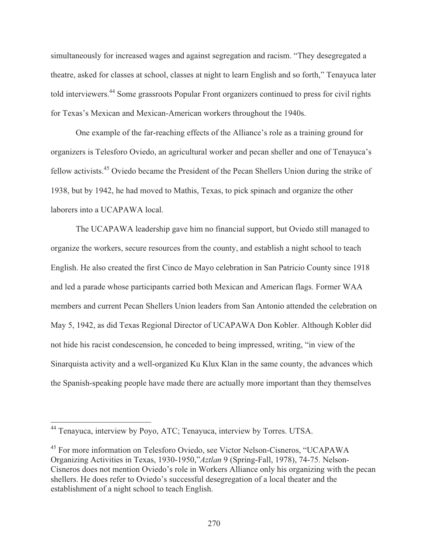simultaneously for increased wages and against segregation and racism. "They desegregated a theatre, asked for classes at school, classes at night to learn English and so forth," Tenayuca later told interviewers.44 Some grassroots Popular Front organizers continued to press for civil rights for Texas's Mexican and Mexican-American workers throughout the 1940s.

 One example of the far-reaching effects of the Alliance's role as a training ground for organizers is Telesforo Oviedo, an agricultural worker and pecan sheller and one of Tenayuca's fellow activists.45 Oviedo became the President of the Pecan Shellers Union during the strike of 1938, but by 1942, he had moved to Mathis, Texas, to pick spinach and organize the other laborers into a UCAPAWA local.

 The UCAPAWA leadership gave him no financial support, but Oviedo still managed to organize the workers, secure resources from the county, and establish a night school to teach English. He also created the first Cinco de Mayo celebration in San Patricio County since 1918 and led a parade whose participants carried both Mexican and American flags. Former WAA members and current Pecan Shellers Union leaders from San Antonio attended the celebration on May 5, 1942, as did Texas Regional Director of UCAPAWA Don Kobler. Although Kobler did not hide his racist condescension, he conceded to being impressed, writing, "in view of the Sinarquista activity and a well-organized Ku Klux Klan in the same county, the advances which the Spanish-speaking people have made there are actually more important than they themselves

<sup>&</sup>lt;sup>44</sup> Tenayuca, interview by Poyo, ATC; Tenayuca, interview by Torres. UTSA.

<sup>45</sup> For more information on Telesforo Oviedo, see Victor Nelson-Cisneros, "UCAPAWA Organizing Activities in Texas, 1930-1950,"*Aztlan* 9 (Spring-Fall, 1978), 74-75. Nelson-Cisneros does not mention Oviedo's role in Workers Alliance only his organizing with the pecan shellers. He does refer to Oviedo's successful desegregation of a local theater and the establishment of a night school to teach English.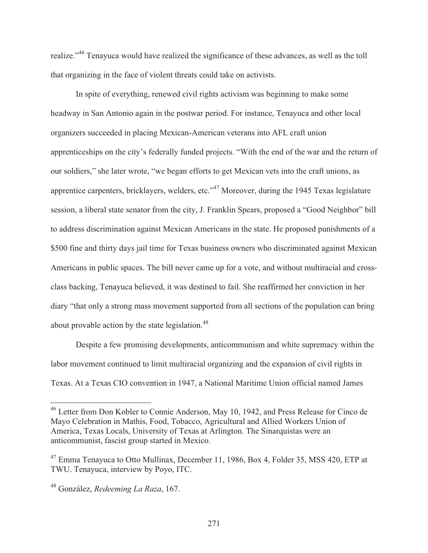realize."46 Tenayuca would have realized the significance of these advances, as well as the toll that organizing in the face of violent threats could take on activists.

 In spite of everything, renewed civil rights activism was beginning to make some headway in San Antonio again in the postwar period. For instance, Tenayuca and other local organizers succeeded in placing Mexican-American veterans into AFL craft union apprenticeships on the city's federally funded projects. "With the end of the war and the return of our soldiers," she later wrote, "we began efforts to get Mexican vets into the craft unions, as apprentice carpenters, bricklayers, welders, etc."47 Moreover, during the 1945 Texas legislature session, a liberal state senator from the city, J. Franklin Spears, proposed a "Good Neighbor" bill to address discrimination against Mexican Americans in the state. He proposed punishments of a \$500 fine and thirty days jail time for Texas business owners who discriminated against Mexican Americans in public spaces. The bill never came up for a vote, and without multiracial and crossclass backing, Tenayuca believed, it was destined to fail. She reaffirmed her conviction in her diary "that only a strong mass movement supported from all sections of the population can bring about provable action by the state legislation.<sup>48</sup>

 Despite a few promising developments, anticommunism and white supremacy within the labor movement continued to limit multiracial organizing and the expansion of civil rights in Texas. At a Texas CIO convention in 1947, a National Maritime Union official named James

<sup>&</sup>lt;sup>46</sup> Letter from Don Kobler to Connie Anderson, May 10, 1942, and Press Release for Cinco de Mayo Celebration in Mathis, Food, Tobacco, Agricultural and Allied Workers Union of America, Texas Locals, University of Texas at Arlington. The Sinarquistas were an anticommunist, fascist group started in Mexico.

<sup>&</sup>lt;sup>47</sup> Emma Tenayuca to Otto Mullinax, December 11, 1986, Box 4, Folder 35, MSS 420, ETP at TWU. Tenayuca, interview by Poyo, ITC.

<sup>48</sup> González, *Redeeming La Raza*, 167.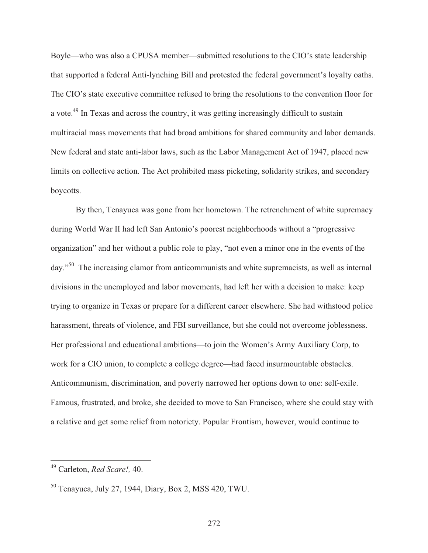Boyle—who was also a CPUSA member—submitted resolutions to the CIO's state leadership that supported a federal Anti-lynching Bill and protested the federal government's loyalty oaths. The CIO's state executive committee refused to bring the resolutions to the convention floor for a vote.49 In Texas and across the country, it was getting increasingly difficult to sustain multiracial mass movements that had broad ambitions for shared community and labor demands. New federal and state anti-labor laws, such as the Labor Management Act of 1947, placed new limits on collective action. The Act prohibited mass picketing, solidarity strikes, and secondary boycotts.

 By then, Tenayuca was gone from her hometown. The retrenchment of white supremacy during World War II had left San Antonio's poorest neighborhoods without a "progressive organization" and her without a public role to play, "not even a minor one in the events of the day."50 The increasing clamor from anticommunists and white supremacists, as well as internal divisions in the unemployed and labor movements, had left her with a decision to make: keep trying to organize in Texas or prepare for a different career elsewhere. She had withstood police harassment, threats of violence, and FBI surveillance, but she could not overcome joblessness. Her professional and educational ambitions—to join the Women's Army Auxiliary Corp, to work for a CIO union, to complete a college degree—had faced insurmountable obstacles. Anticommunism, discrimination, and poverty narrowed her options down to one: self-exile. Famous, frustrated, and broke, she decided to move to San Francisco, where she could stay with a relative and get some relief from notoriety. Popular Frontism, however, would continue to

<sup>49</sup> Carleton, *Red Scare!,* 40.

<sup>50</sup> Tenayuca, July 27, 1944, Diary, Box 2, MSS 420, TWU.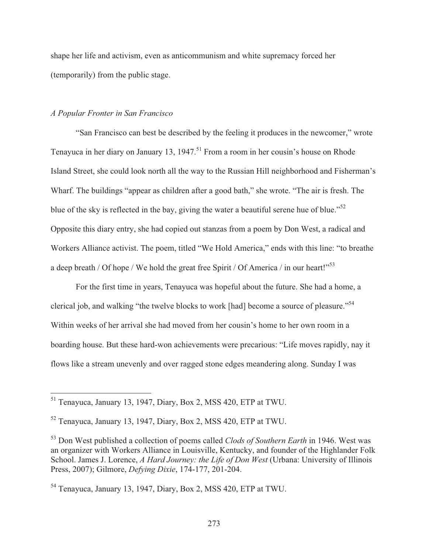shape her life and activism, even as anticommunism and white supremacy forced her (temporarily) from the public stage.

# *A Popular Fronter in San Francisco*

 $\overline{a}$ 

 "San Francisco can best be described by the feeling it produces in the newcomer," wrote Tenayuca in her diary on January 13, 1947.<sup>51</sup> From a room in her cousin's house on Rhode Island Street, she could look north all the way to the Russian Hill neighborhood and Fisherman's Wharf. The buildings "appear as children after a good bath," she wrote. "The air is fresh. The blue of the sky is reflected in the bay, giving the water a beautiful serene hue of blue."<sup>52</sup> Opposite this diary entry, she had copied out stanzas from a poem by Don West, a radical and Workers Alliance activist. The poem, titled "We Hold America," ends with this line: "to breathe a deep breath / Of hope / We hold the great free Spirit / Of America / in our heart!"<sup>53</sup>

 For the first time in years, Tenayuca was hopeful about the future. She had a home, a clerical job, and walking "the twelve blocks to work [had] become a source of pleasure."<sup>54</sup> Within weeks of her arrival she had moved from her cousin's home to her own room in a boarding house. But these hard-won achievements were precarious: "Life moves rapidly, nay it flows like a stream unevenly and over ragged stone edges meandering along. Sunday I was

<sup>&</sup>lt;sup>51</sup> Tenayuca, January 13, 1947, Diary, Box 2, MSS 420, ETP at TWU.

<sup>52</sup> Tenayuca, January 13, 1947, Diary, Box 2, MSS 420, ETP at TWU.

<sup>53</sup> Don West published a collection of poems called *Clods of Southern Earth* in 1946. West was an organizer with Workers Alliance in Louisville, Kentucky, and founder of the Highlander Folk School. James J. Lorence, *A Hard Journey: the Life of Don West* (Urbana: University of Illinois Press, 2007); Gilmore, *Defying Dixie*, 174-177, 201-204.

<sup>54</sup> Tenayuca, January 13, 1947, Diary, Box 2, MSS 420, ETP at TWU.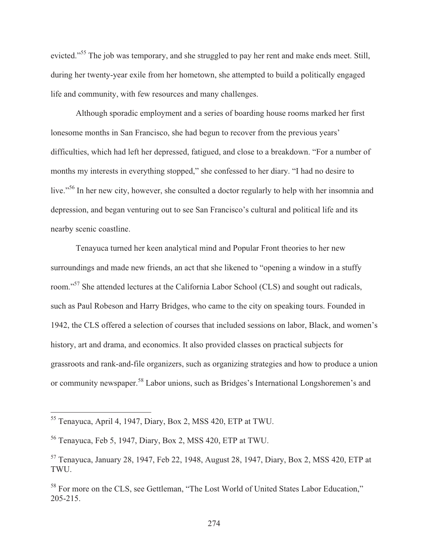evicted."<sup>55</sup> The job was temporary, and she struggled to pay her rent and make ends meet. Still, during her twenty-year exile from her hometown, she attempted to build a politically engaged life and community, with few resources and many challenges.

 Although sporadic employment and a series of boarding house rooms marked her first lonesome months in San Francisco, she had begun to recover from the previous years' difficulties, which had left her depressed, fatigued, and close to a breakdown. "For a number of months my interests in everything stopped," she confessed to her diary. "I had no desire to live."<sup>56</sup> In her new city, however, she consulted a doctor regularly to help with her insomnia and depression, and began venturing out to see San Francisco's cultural and political life and its nearby scenic coastline.

Tenayuca turned her keen analytical mind and Popular Front theories to her new surroundings and made new friends, an act that she likened to "opening a window in a stuffy room."57 She attended lectures at the California Labor School (CLS) and sought out radicals, such as Paul Robeson and Harry Bridges, who came to the city on speaking tours. Founded in 1942, the CLS offered a selection of courses that included sessions on labor, Black, and women's history, art and drama, and economics. It also provided classes on practical subjects for grassroots and rank-and-file organizers, such as organizing strategies and how to produce a union or community newspaper.58 Labor unions, such as Bridges's International Longshoremen's and

<sup>55</sup> Tenayuca, April 4, 1947, Diary, Box 2, MSS 420, ETP at TWU.

<sup>56</sup> Tenayuca, Feb 5, 1947, Diary, Box 2, MSS 420, ETP at TWU.

<sup>57</sup> Tenayuca, January 28, 1947, Feb 22, 1948, August 28, 1947, Diary, Box 2, MSS 420, ETP at TWU.

<sup>&</sup>lt;sup>58</sup> For more on the CLS, see Gettleman, "The Lost World of United States Labor Education," 205-215.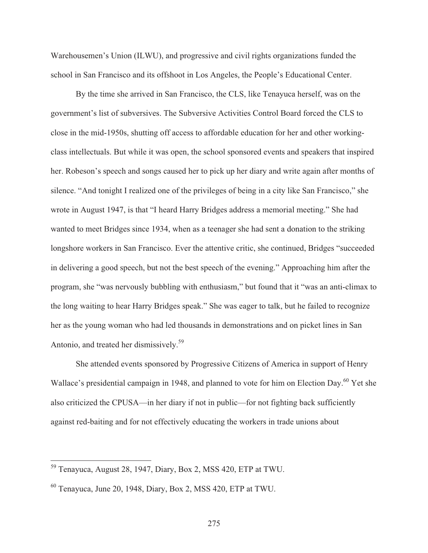Warehousemen's Union (ILWU), and progressive and civil rights organizations funded the school in San Francisco and its offshoot in Los Angeles, the People's Educational Center.

 By the time she arrived in San Francisco, the CLS, like Tenayuca herself, was on the government's list of subversives. The Subversive Activities Control Board forced the CLS to close in the mid-1950s, shutting off access to affordable education for her and other workingclass intellectuals. But while it was open, the school sponsored events and speakers that inspired her. Robeson's speech and songs caused her to pick up her diary and write again after months of silence. "And tonight I realized one of the privileges of being in a city like San Francisco," she wrote in August 1947, is that "I heard Harry Bridges address a memorial meeting." She had wanted to meet Bridges since 1934, when as a teenager she had sent a donation to the striking longshore workers in San Francisco. Ever the attentive critic, she continued, Bridges "succeeded in delivering a good speech, but not the best speech of the evening." Approaching him after the program, she "was nervously bubbling with enthusiasm," but found that it "was an anti-climax to the long waiting to hear Harry Bridges speak." She was eager to talk, but he failed to recognize her as the young woman who had led thousands in demonstrations and on picket lines in San Antonio, and treated her dismissively.59

 She attended events sponsored by Progressive Citizens of America in support of Henry Wallace's presidential campaign in 1948, and planned to vote for him on Election Day.<sup>60</sup> Yet she also criticized the CPUSA—in her diary if not in public—for not fighting back sufficiently against red-baiting and for not effectively educating the workers in trade unions about

<sup>59</sup> Tenayuca, August 28, 1947, Diary, Box 2, MSS 420, ETP at TWU.

 $60$  Tenayuca, June 20, 1948, Diary, Box 2, MSS 420, ETP at TWU.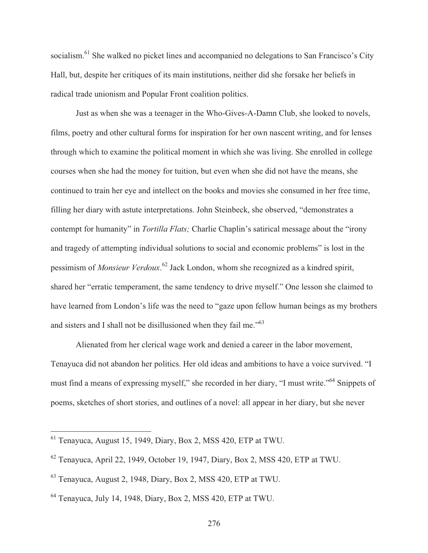socialism.<sup>61</sup> She walked no picket lines and accompanied no delegations to San Francisco's City Hall, but, despite her critiques of its main institutions, neither did she forsake her beliefs in radical trade unionism and Popular Front coalition politics.

 Just as when she was a teenager in the Who-Gives-A-Damn Club, she looked to novels, films, poetry and other cultural forms for inspiration for her own nascent writing, and for lenses through which to examine the political moment in which she was living. She enrolled in college courses when she had the money for tuition, but even when she did not have the means, she continued to train her eye and intellect on the books and movies she consumed in her free time, filling her diary with astute interpretations. John Steinbeck, she observed, "demonstrates a contempt for humanity" in *Tortilla Flats;* Charlie Chaplin's satirical message about the "irony and tragedy of attempting individual solutions to social and economic problems" is lost in the pessimism of *Monsieur Verdoux*. 62 Jack London, whom she recognized as a kindred spirit, shared her "erratic temperament, the same tendency to drive myself." One lesson she claimed to have learned from London's life was the need to "gaze upon fellow human beings as my brothers and sisters and I shall not be disillusioned when they fail me."<sup>63</sup>

Alienated from her clerical wage work and denied a career in the labor movement, Tenayuca did not abandon her politics. Her old ideas and ambitions to have a voice survived. "I must find a means of expressing myself," she recorded in her diary, "I must write."64 Snippets of poems, sketches of short stories, and outlines of a novel: all appear in her diary, but she never

 $<sup>61</sup>$  Tenayuca, August 15, 1949, Diary, Box 2, MSS 420, ETP at TWU.</sup>

<sup>62</sup> Tenayuca, April 22, 1949, October 19, 1947, Diary, Box 2, MSS 420, ETP at TWU.

<sup>63</sup> Tenayuca, August 2, 1948, Diary, Box 2, MSS 420, ETP at TWU.

<sup>64</sup> Tenayuca, July 14, 1948, Diary, Box 2, MSS 420, ETP at TWU.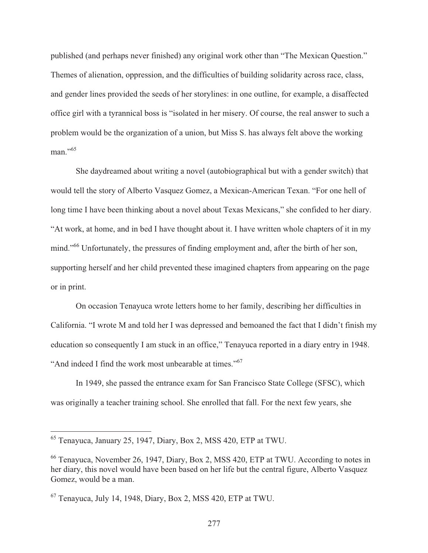published (and perhaps never finished) any original work other than "The Mexican Question." Themes of alienation, oppression, and the difficulties of building solidarity across race, class, and gender lines provided the seeds of her storylines: in one outline, for example, a disaffected office girl with a tyrannical boss is "isolated in her misery. Of course, the real answer to such a problem would be the organization of a union, but Miss S. has always felt above the working man."<sup>65</sup>

 She daydreamed about writing a novel (autobiographical but with a gender switch) that would tell the story of Alberto Vasquez Gomez, a Mexican-American Texan. "For one hell of long time I have been thinking about a novel about Texas Mexicans," she confided to her diary. "At work, at home, and in bed I have thought about it. I have written whole chapters of it in my mind."<sup>66</sup> Unfortunately, the pressures of finding employment and, after the birth of her son, supporting herself and her child prevented these imagined chapters from appearing on the page or in print.

 On occasion Tenayuca wrote letters home to her family, describing her difficulties in California. "I wrote M and told her I was depressed and bemoaned the fact that I didn't finish my education so consequently I am stuck in an office," Tenayuca reported in a diary entry in 1948. "And indeed I find the work most unbearable at times."<sup>67</sup>

 In 1949, she passed the entrance exam for San Francisco State College (SFSC), which was originally a teacher training school. She enrolled that fall. For the next few years, she

<sup>65</sup> Tenayuca, January 25, 1947, Diary, Box 2, MSS 420, ETP at TWU.

<sup>66</sup> Tenayuca, November 26, 1947, Diary, Box 2, MSS 420, ETP at TWU. According to notes in her diary, this novel would have been based on her life but the central figure, Alberto Vasquez Gomez, would be a man.

 $^{67}$  Tenayuca, July 14, 1948, Diary, Box 2, MSS 420, ETP at TWU.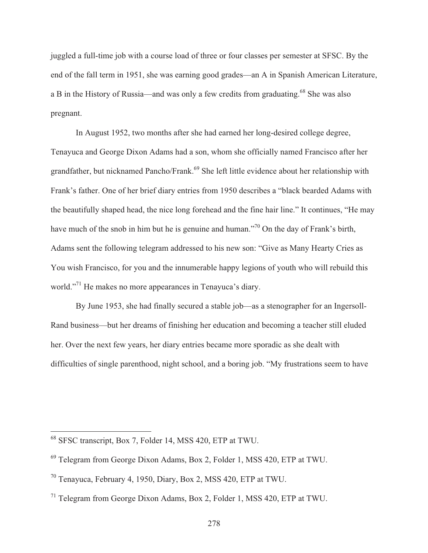juggled a full-time job with a course load of three or four classes per semester at SFSC. By the end of the fall term in 1951, she was earning good grades—an A in Spanish American Literature, a B in the History of Russia—and was only a few credits from graduating.<sup>68</sup> She was also pregnant.

 In August 1952, two months after she had earned her long-desired college degree, Tenayuca and George Dixon Adams had a son, whom she officially named Francisco after her grandfather, but nicknamed Pancho/Frank.<sup>69</sup> She left little evidence about her relationship with Frank's father. One of her brief diary entries from 1950 describes a "black bearded Adams with the beautifully shaped head, the nice long forehead and the fine hair line." It continues, "He may have much of the snob in him but he is genuine and human."<sup>70</sup> On the day of Frank's birth, Adams sent the following telegram addressed to his new son: "Give as Many Hearty Cries as You wish Francisco, for you and the innumerable happy legions of youth who will rebuild this world."<sup>71</sup> He makes no more appearances in Tenayuca's diary.

 By June 1953, she had finally secured a stable job—as a stenographer for an Ingersoll-Rand business—but her dreams of finishing her education and becoming a teacher still eluded her. Over the next few years, her diary entries became more sporadic as she dealt with difficulties of single parenthood, night school, and a boring job. "My frustrations seem to have

<sup>&</sup>lt;sup>68</sup> SFSC transcript, Box 7, Folder 14, MSS 420, ETP at TWU.

<sup>69</sup> Telegram from George Dixon Adams, Box 2, Folder 1, MSS 420, ETP at TWU.

<sup>70</sup> Tenayuca, February 4, 1950, Diary, Box 2, MSS 420, ETP at TWU.

<sup>71</sup> Telegram from George Dixon Adams, Box 2, Folder 1, MSS 420, ETP at TWU.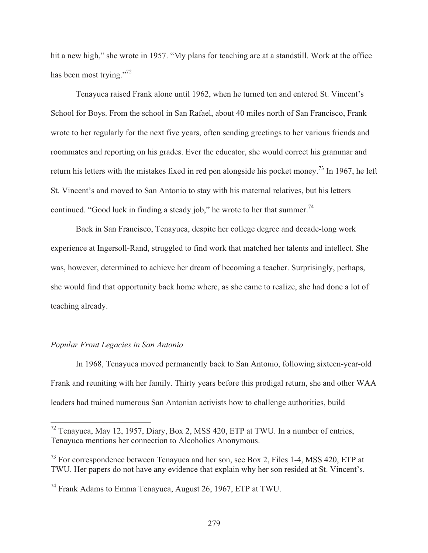hit a new high," she wrote in 1957. "My plans for teaching are at a standstill. Work at the office has been most trying."<sup>72</sup>

 Tenayuca raised Frank alone until 1962, when he turned ten and entered St. Vincent's School for Boys. From the school in San Rafael, about 40 miles north of San Francisco, Frank wrote to her regularly for the next five years, often sending greetings to her various friends and roommates and reporting on his grades. Ever the educator, she would correct his grammar and return his letters with the mistakes fixed in red pen alongside his pocket money.<sup>73</sup> In 1967, he left St. Vincent's and moved to San Antonio to stay with his maternal relatives, but his letters continued. "Good luck in finding a steady job," he wrote to her that summer.<sup>74</sup>

 Back in San Francisco, Tenayuca, despite her college degree and decade-long work experience at Ingersoll-Rand, struggled to find work that matched her talents and intellect. She was, however, determined to achieve her dream of becoming a teacher. Surprisingly, perhaps, she would find that opportunity back home where, as she came to realize, she had done a lot of teaching already.

#### *Popular Front Legacies in San Antonio*

 $\overline{a}$ 

 In 1968, Tenayuca moved permanently back to San Antonio, following sixteen-year-old Frank and reuniting with her family. Thirty years before this prodigal return, she and other WAA leaders had trained numerous San Antonian activists how to challenge authorities, build

 $72$  Tenayuca, May 12, 1957, Diary, Box 2, MSS 420, ETP at TWU. In a number of entries, Tenayuca mentions her connection to Alcoholics Anonymous.

<sup>&</sup>lt;sup>73</sup> For correspondence between Tenayuca and her son, see Box 2, Files 1-4, MSS 420, ETP at TWU. Her papers do not have any evidence that explain why her son resided at St. Vincent's.

<sup>74</sup> Frank Adams to Emma Tenayuca, August 26, 1967, ETP at TWU.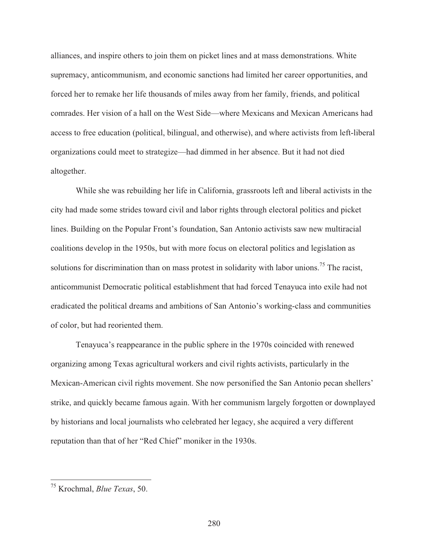alliances, and inspire others to join them on picket lines and at mass demonstrations. White supremacy, anticommunism, and economic sanctions had limited her career opportunities, and forced her to remake her life thousands of miles away from her family, friends, and political comrades. Her vision of a hall on the West Side—where Mexicans and Mexican Americans had access to free education (political, bilingual, and otherwise), and where activists from left-liberal organizations could meet to strategize—had dimmed in her absence. But it had not died altogether.

 While she was rebuilding her life in California, grassroots left and liberal activists in the city had made some strides toward civil and labor rights through electoral politics and picket lines. Building on the Popular Front's foundation, San Antonio activists saw new multiracial coalitions develop in the 1950s, but with more focus on electoral politics and legislation as solutions for discrimination than on mass protest in solidarity with labor unions.<sup>75</sup> The racist, anticommunist Democratic political establishment that had forced Tenayuca into exile had not eradicated the political dreams and ambitions of San Antonio's working-class and communities of color, but had reoriented them.

Tenayuca's reappearance in the public sphere in the 1970s coincided with renewed organizing among Texas agricultural workers and civil rights activists, particularly in the Mexican-American civil rights movement. She now personified the San Antonio pecan shellers' strike, and quickly became famous again. With her communism largely forgotten or downplayed by historians and local journalists who celebrated her legacy, she acquired a very different reputation than that of her "Red Chief" moniker in the 1930s.

<sup>75</sup> Krochmal, *Blue Texas*, 50.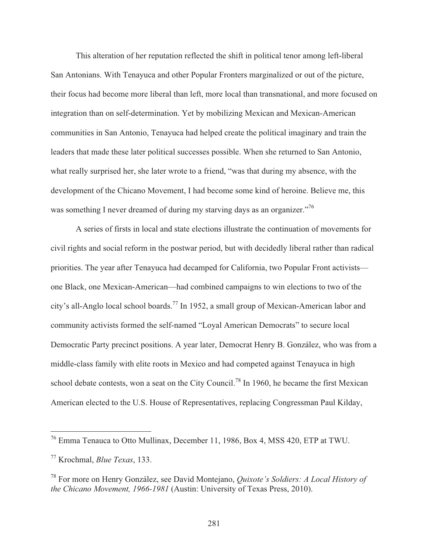This alteration of her reputation reflected the shift in political tenor among left-liberal San Antonians. With Tenayuca and other Popular Fronters marginalized or out of the picture, their focus had become more liberal than left, more local than transnational, and more focused on integration than on self-determination. Yet by mobilizing Mexican and Mexican-American communities in San Antonio, Tenayuca had helped create the political imaginary and train the leaders that made these later political successes possible. When she returned to San Antonio, what really surprised her, she later wrote to a friend, "was that during my absence, with the development of the Chicano Movement, I had become some kind of heroine. Believe me, this was something I never dreamed of during my starving days as an organizer."<sup>76</sup>

 A series of firsts in local and state elections illustrate the continuation of movements for civil rights and social reform in the postwar period, but with decidedly liberal rather than radical priorities. The year after Tenayuca had decamped for California, two Popular Front activists one Black, one Mexican-American—had combined campaigns to win elections to two of the city's all-Anglo local school boards.<sup>77</sup> In 1952, a small group of Mexican-American labor and community activists formed the self-named "Loyal American Democrats" to secure local Democratic Party precinct positions. A year later, Democrat Henry B. González, who was from a middle-class family with elite roots in Mexico and had competed against Tenayuca in high school debate contests, won a seat on the City Council.<sup>78</sup> In 1960, he became the first Mexican American elected to the U.S. House of Representatives, replacing Congressman Paul Kilday,

 $^{76}$  Emma Tenauca to Otto Mullinax, December 11, 1986, Box 4, MSS 420, ETP at TWU.

<sup>77</sup> Krochmal, *Blue Texas*, 133.

<sup>78</sup> For more on Henry González, see David Montejano, *Quixote's Soldiers: A Local History of the Chicano Movement, 1966-1981* (Austin: University of Texas Press, 2010).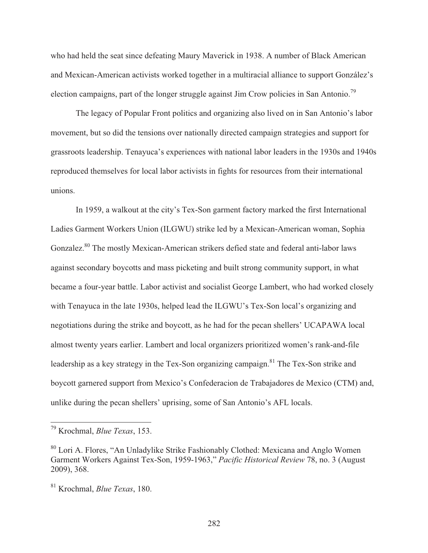who had held the seat since defeating Maury Maverick in 1938. A number of Black American and Mexican-American activists worked together in a multiracial alliance to support González's election campaigns, part of the longer struggle against Jim Crow policies in San Antonio.<sup>79</sup>

 The legacy of Popular Front politics and organizing also lived on in San Antonio's labor movement, but so did the tensions over nationally directed campaign strategies and support for grassroots leadership. Tenayuca's experiences with national labor leaders in the 1930s and 1940s reproduced themselves for local labor activists in fights for resources from their international unions.

 In 1959, a walkout at the city's Tex-Son garment factory marked the first International Ladies Garment Workers Union (ILGWU) strike led by a Mexican-American woman, Sophia Gonzalez.<sup>80</sup> The mostly Mexican-American strikers defied state and federal anti-labor laws against secondary boycotts and mass picketing and built strong community support, in what became a four-year battle. Labor activist and socialist George Lambert, who had worked closely with Tenayuca in the late 1930s, helped lead the ILGWU's Tex-Son local's organizing and negotiations during the strike and boycott, as he had for the pecan shellers' UCAPAWA local almost twenty years earlier. Lambert and local organizers prioritized women's rank-and-file leadership as a key strategy in the Tex-Son organizing campaign.<sup>81</sup> The Tex-Son strike and boycott garnered support from Mexico's Confederacion de Trabajadores de Mexico (CTM) and, unlike during the pecan shellers' uprising, some of San Antonio's AFL locals.

<sup>79</sup> Krochmal, *Blue Texas*, 153.

<sup>80</sup> Lori A. Flores, "An Unladylike Strike Fashionably Clothed: Mexicana and Anglo Women Garment Workers Against Tex-Son, 1959-1963," *Pacific Historical Review* 78, no. 3 (August 2009), 368.

<sup>81</sup> Krochmal, *Blue Texas*, 180.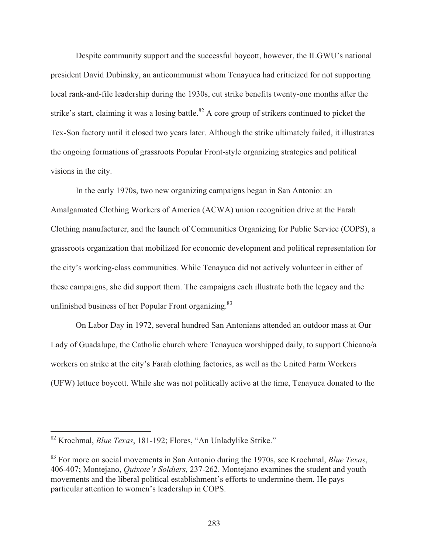Despite community support and the successful boycott, however, the ILGWU's national president David Dubinsky, an anticommunist whom Tenayuca had criticized for not supporting local rank-and-file leadership during the 1930s, cut strike benefits twenty-one months after the strike's start, claiming it was a losing battle.<sup>82</sup> A core group of strikers continued to picket the Tex-Son factory until it closed two years later. Although the strike ultimately failed, it illustrates the ongoing formations of grassroots Popular Front-style organizing strategies and political visions in the city.

 In the early 1970s, two new organizing campaigns began in San Antonio: an Amalgamated Clothing Workers of America (ACWA) union recognition drive at the Farah Clothing manufacturer, and the launch of Communities Organizing for Public Service (COPS), a grassroots organization that mobilized for economic development and political representation for the city's working-class communities. While Tenayuca did not actively volunteer in either of these campaigns, she did support them. The campaigns each illustrate both the legacy and the unfinished business of her Popular Front organizing.<sup>83</sup>

 On Labor Day in 1972, several hundred San Antonians attended an outdoor mass at Our Lady of Guadalupe, the Catholic church where Tenayuca worshipped daily, to support Chicano/a workers on strike at the city's Farah clothing factories, as well as the United Farm Workers (UFW) lettuce boycott. While she was not politically active at the time, Tenayuca donated to the

<sup>82</sup> Krochmal, *Blue Texas*, 181-192; Flores, "An Unladylike Strike."

<sup>83</sup> For more on social movements in San Antonio during the 1970s, see Krochmal, *Blue Texas*, 406-407; Montejano, *Quixote's Soldiers,* 237-262. Montejano examines the student and youth movements and the liberal political establishment's efforts to undermine them. He pays particular attention to women's leadership in COPS.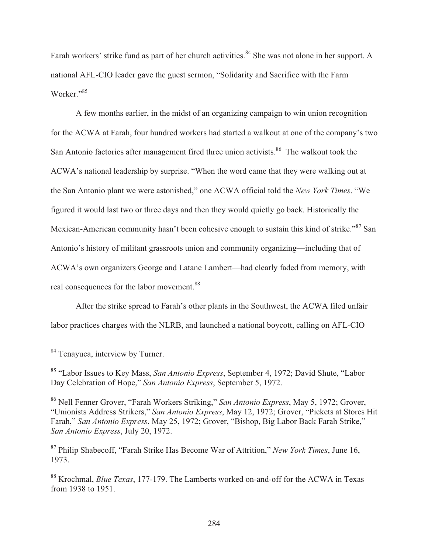Farah workers' strike fund as part of her church activities.<sup>84</sup> She was not alone in her support. A national AFL-CIO leader gave the guest sermon, "Solidarity and Sacrifice with the Farm Worker."<sup>85</sup>

 A few months earlier, in the midst of an organizing campaign to win union recognition for the ACWA at Farah, four hundred workers had started a walkout at one of the company's two San Antonio factories after management fired three union activists.<sup>86</sup> The walkout took the ACWA's national leadership by surprise. "When the word came that they were walking out at the San Antonio plant we were astonished," one ACWA official told the *New York Times*. "We figured it would last two or three days and then they would quietly go back. Historically the Mexican-American community hasn't been cohesive enough to sustain this kind of strike."<sup>87</sup> San Antonio's history of militant grassroots union and community organizing—including that of ACWA's own organizers George and Latane Lambert—had clearly faded from memory, with real consequences for the labor movement.<sup>88</sup>

 After the strike spread to Farah's other plants in the Southwest, the ACWA filed unfair labor practices charges with the NLRB, and launched a national boycott, calling on AFL-CIO

 $\overline{\phantom{a}}$ <sup>84</sup> Tenayuca, interview by Turner.

<sup>85 &</sup>quot;Labor Issues to Key Mass, *San Antonio Express*, September 4, 1972; David Shute, "Labor Day Celebration of Hope," *San Antonio Express*, September 5, 1972.

<sup>86</sup> Nell Fenner Grover, "Farah Workers Striking," *San Antonio Express*, May 5, 1972; Grover, "Unionists Address Strikers," *San Antonio Express*, May 12, 1972; Grover, "Pickets at Stores Hit Farah," *San Antonio Express*, May 25, 1972; Grover, "Bishop, Big Labor Back Farah Strike," *San Antonio Express*, July 20, 1972.

<sup>87</sup> Philip Shabecoff, "Farah Strike Has Become War of Attrition," *New York Times*, June 16, 1973.

<sup>88</sup> Krochmal, *Blue Texas*, 177-179. The Lamberts worked on-and-off for the ACWA in Texas from 1938 to 1951.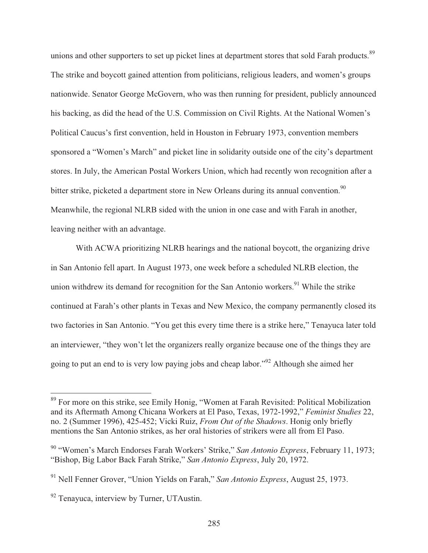unions and other supporters to set up picket lines at department stores that sold Farah products.<sup>89</sup> The strike and boycott gained attention from politicians, religious leaders, and women's groups nationwide. Senator George McGovern, who was then running for president, publicly announced his backing, as did the head of the U.S. Commission on Civil Rights. At the National Women's Political Caucus's first convention, held in Houston in February 1973, convention members sponsored a "Women's March" and picket line in solidarity outside one of the city's department stores. In July, the American Postal Workers Union, which had recently won recognition after a bitter strike, picketed a department store in New Orleans during its annual convention.<sup>90</sup> Meanwhile, the regional NLRB sided with the union in one case and with Farah in another, leaving neither with an advantage.

 With ACWA prioritizing NLRB hearings and the national boycott, the organizing drive in San Antonio fell apart. In August 1973, one week before a scheduled NLRB election, the union withdrew its demand for recognition for the San Antonio workers.<sup>91</sup> While the strike continued at Farah's other plants in Texas and New Mexico, the company permanently closed its two factories in San Antonio. "You get this every time there is a strike here," Tenayuca later told an interviewer, "they won't let the organizers really organize because one of the things they are going to put an end to is very low paying jobs and cheap labor."92 Although she aimed her

<sup>&</sup>lt;sup>89</sup> For more on this strike, see Emily Honig, "Women at Farah Revisited: Political Mobilization and its Aftermath Among Chicana Workers at El Paso, Texas, 1972-1992," *Feminist Studies* 22, no. 2 (Summer 1996), 425-452; Vicki Ruiz, *From Out of the Shadows*. Honig only briefly mentions the San Antonio strikes, as her oral histories of strikers were all from El Paso.

<sup>90 &</sup>quot;Women's March Endorses Farah Workers' Strike," *San Antonio Express*, February 11, 1973; "Bishop, Big Labor Back Farah Strike," *San Antonio Express*, July 20, 1972.

<sup>91</sup> Nell Fenner Grover, "Union Yields on Farah," *San Antonio Express*, August 25, 1973.

 $92$  Tenayuca, interview by Turner, UTAustin.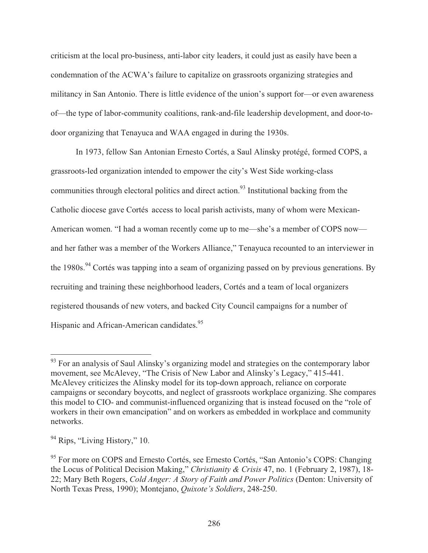criticism at the local pro-business, anti-labor city leaders, it could just as easily have been a condemnation of the ACWA's failure to capitalize on grassroots organizing strategies and militancy in San Antonio. There is little evidence of the union's support for—or even awareness of—the type of labor-community coalitions, rank-and-file leadership development, and door-todoor organizing that Tenayuca and WAA engaged in during the 1930s.

 In 1973, fellow San Antonian Ernesto Cortés, a Saul Alinsky protégé, formed COPS, a grassroots-led organization intended to empower the city's West Side working-class communities through electoral politics and direct action.<sup>93</sup> Institutional backing from the Catholic diocese gave Cortés access to local parish activists, many of whom were Mexican-American women. "I had a woman recently come up to me—she's a member of COPS now and her father was a member of the Workers Alliance," Tenayuca recounted to an interviewer in the 1980s.<sup>94</sup> Cortés was tapping into a seam of organizing passed on by previous generations. By recruiting and training these neighborhood leaders, Cortés and a team of local organizers registered thousands of new voters, and backed City Council campaigns for a number of Hispanic and African-American candidates.<sup>95</sup>

<sup>&</sup>lt;sup>93</sup> For an analysis of Saul Alinsky's organizing model and strategies on the contemporary labor movement, see McAlevey, "The Crisis of New Labor and Alinsky's Legacy," 415-441. McAlevey criticizes the Alinsky model for its top-down approach, reliance on corporate campaigns or secondary boycotts, and neglect of grassroots workplace organizing. She compares this model to CIO- and communist-influenced organizing that is instead focused on the "role of workers in their own emancipation" and on workers as embedded in workplace and community networks.

<sup>&</sup>lt;sup>94</sup> Rips, "Living History," 10.

<sup>&</sup>lt;sup>95</sup> For more on COPS and Ernesto Cortés, see Ernesto Cortés, "San Antonio's COPS: Changing the Locus of Political Decision Making," *Christianity & Crisis* 47, no. 1 (February 2, 1987), 18- 22; Mary Beth Rogers, *Cold Anger: A Story of Faith and Power Politics* (Denton: University of North Texas Press, 1990); Montejano, *Quixote's Soldiers*, 248-250.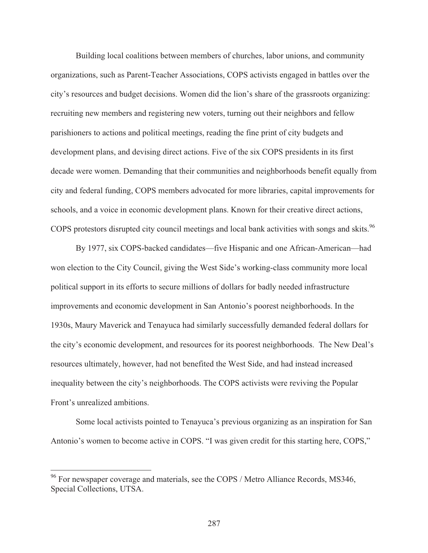Building local coalitions between members of churches, labor unions, and community organizations, such as Parent-Teacher Associations, COPS activists engaged in battles over the city's resources and budget decisions. Women did the lion's share of the grassroots organizing: recruiting new members and registering new voters, turning out their neighbors and fellow parishioners to actions and political meetings, reading the fine print of city budgets and development plans, and devising direct actions. Five of the six COPS presidents in its first decade were women. Demanding that their communities and neighborhoods benefit equally from city and federal funding, COPS members advocated for more libraries, capital improvements for schools, and a voice in economic development plans. Known for their creative direct actions, COPS protestors disrupted city council meetings and local bank activities with songs and skits.<sup>96</sup>

 By 1977, six COPS-backed candidates—five Hispanic and one African-American—had won election to the City Council, giving the West Side's working-class community more local political support in its efforts to secure millions of dollars for badly needed infrastructure improvements and economic development in San Antonio's poorest neighborhoods. In the 1930s, Maury Maverick and Tenayuca had similarly successfully demanded federal dollars for the city's economic development, and resources for its poorest neighborhoods. The New Deal's resources ultimately, however, had not benefited the West Side, and had instead increased inequality between the city's neighborhoods. The COPS activists were reviving the Popular Front's unrealized ambitions.

 Some local activists pointed to Tenayuca's previous organizing as an inspiration for San Antonio's women to become active in COPS. "I was given credit for this starting here, COPS,"

<sup>&</sup>lt;sup>96</sup> For newspaper coverage and materials, see the COPS / Metro Alliance Records, MS346, Special Collections, UTSA.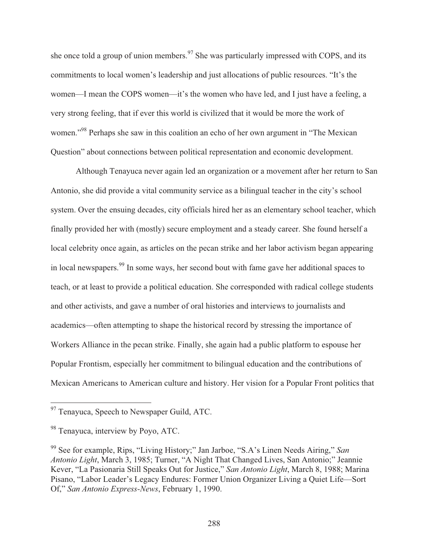she once told a group of union members.<sup>97</sup> She was particularly impressed with COPS, and its commitments to local women's leadership and just allocations of public resources. "It's the women—I mean the COPS women—it's the women who have led, and I just have a feeling, a very strong feeling, that if ever this world is civilized that it would be more the work of women."<sup>98</sup> Perhaps she saw in this coalition an echo of her own argument in "The Mexican" Question" about connections between political representation and economic development.

 Although Tenayuca never again led an organization or a movement after her return to San Antonio, she did provide a vital community service as a bilingual teacher in the city's school system. Over the ensuing decades, city officials hired her as an elementary school teacher, which finally provided her with (mostly) secure employment and a steady career. She found herself a local celebrity once again, as articles on the pecan strike and her labor activism began appearing in local newspapers.99 In some ways, her second bout with fame gave her additional spaces to teach, or at least to provide a political education. She corresponded with radical college students and other activists, and gave a number of oral histories and interviews to journalists and academics—often attempting to shape the historical record by stressing the importance of Workers Alliance in the pecan strike. Finally, she again had a public platform to espouse her Popular Frontism, especially her commitment to bilingual education and the contributions of Mexican Americans to American culture and history. Her vision for a Popular Front politics that

<sup>&</sup>lt;sup>97</sup> Tenayuca, Speech to Newspaper Guild, ATC.

<sup>&</sup>lt;sup>98</sup> Tenavuca, interview by Povo, ATC.

<sup>99</sup> See for example, Rips, "Living History;" Jan Jarboe, "S.A's Linen Needs Airing," *San Antonio Light*, March 3, 1985; Turner, "A Night That Changed Lives, San Antonio;" Jeannie Kever, "La Pasionaria Still Speaks Out for Justice," *San Antonio Light*, March 8, 1988; Marina Pisano, "Labor Leader's Legacy Endures: Former Union Organizer Living a Quiet Life—Sort Of," *San Antonio Express-News*, February 1, 1990.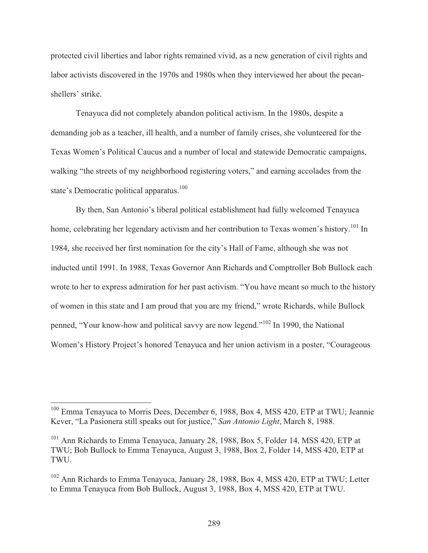protected civil liberties and labor rights remained vivid, as a new generation of civil rights and labor activists discovered in the 1970s and 1980s when they interviewed her about the pecanshellers' strike.

 Tenayuca did not completely abandon political activism. In the 1980s, despite a demanding job as a teacher, ill health, and a number of family crises, she volunteered for the Texas Women's Political Caucus and a number of local and statewide Democratic campaigns, walking "the streets of my neighborhood registering voters," and earning accolades from the state's Democratic political apparatus.<sup>100</sup>

 By then, San Antonio's liberal political establishment had fully welcomed Tenayuca home, celebrating her legendary activism and her contribution to Texas women's history.<sup>101</sup> In 1984, she received her first nomination for the city's Hall of Fame, although she was not inducted until 1991. In 1988, Texas Governor Ann Richards and Comptroller Bob Bullock each wrote to her to express admiration for her past activism. "You have meant so much to the history of women in this state and I am proud that you are my friend," wrote Richards, while Bullock penned, "Your know-how and political savvy are now legend."102 In 1990, the National Women's History Project's honored Tenayuca and her union activism in a poster, "Courageous

<sup>&</sup>lt;sup>100</sup> Emma Tenayuca to Morris Dees, December 6, 1988, Box 4, MSS 420, ETP at TWU; Jeannie Kever, "La Pasionera still speaks out for justice," *San Antonio Light*, March 8, 1988.

<sup>&</sup>lt;sup>101</sup> Ann Richards to Emma Tenayuca, January 28, 1988, Box 5, Folder 14, MSS 420, ETP at TWU; Bob Bullock to Emma Tenayuca, August 3, 1988, Box 2, Folder 14, MSS 420, ETP at TWU.

<sup>&</sup>lt;sup>102</sup> Ann Richards to Emma Tenayuca, January 28, 1988, Box 4, MSS 420, ETP at TWU; Letter to Emma Tenayuca from Bob Bullock, August 3, 1988, Box 4, MSS 420, ETP at TWU.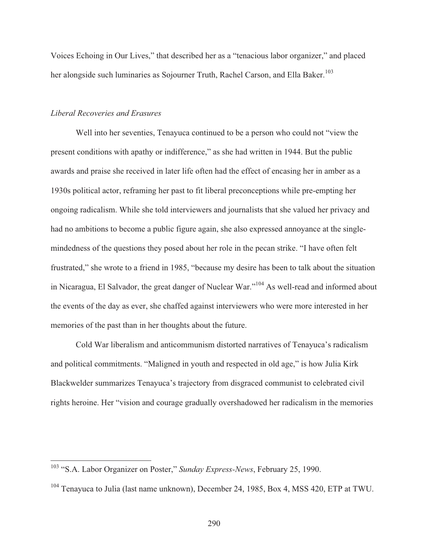Voices Echoing in Our Lives," that described her as a "tenacious labor organizer," and placed her alongside such luminaries as Sojourner Truth, Rachel Carson, and Ella Baker.<sup>103</sup>

## *Liberal Recoveries and Erasures*

 $\overline{a}$ 

 Well into her seventies, Tenayuca continued to be a person who could not "view the present conditions with apathy or indifference," as she had written in 1944. But the public awards and praise she received in later life often had the effect of encasing her in amber as a 1930s political actor, reframing her past to fit liberal preconceptions while pre-empting her ongoing radicalism. While she told interviewers and journalists that she valued her privacy and had no ambitions to become a public figure again, she also expressed annoyance at the singlemindedness of the questions they posed about her role in the pecan strike. "I have often felt frustrated," she wrote to a friend in 1985, "because my desire has been to talk about the situation in Nicaragua, El Salvador, the great danger of Nuclear War."104 As well-read and informed about the events of the day as ever, she chaffed against interviewers who were more interested in her memories of the past than in her thoughts about the future.

 Cold War liberalism and anticommunism distorted narratives of Tenayuca's radicalism and political commitments. "Maligned in youth and respected in old age," is how Julia Kirk Blackwelder summarizes Tenayuca's trajectory from disgraced communist to celebrated civil rights heroine. Her "vision and courage gradually overshadowed her radicalism in the memories

<sup>103 &</sup>quot;S.A. Labor Organizer on Poster," *Sunday Express-News*, February 25, 1990.

<sup>&</sup>lt;sup>104</sup> Tenayuca to Julia (last name unknown), December 24, 1985, Box 4, MSS 420, ETP at TWU.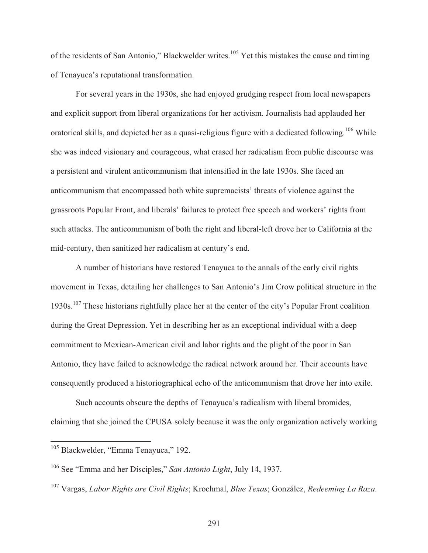of the residents of San Antonio," Blackwelder writes.<sup>105</sup> Yet this mistakes the cause and timing of Tenayuca's reputational transformation.

 For several years in the 1930s, she had enjoyed grudging respect from local newspapers and explicit support from liberal organizations for her activism. Journalists had applauded her oratorical skills, and depicted her as a quasi-religious figure with a dedicated following.<sup>106</sup> While she was indeed visionary and courageous, what erased her radicalism from public discourse was a persistent and virulent anticommunism that intensified in the late 1930s. She faced an anticommunism that encompassed both white supremacists' threats of violence against the grassroots Popular Front, and liberals' failures to protect free speech and workers' rights from such attacks. The anticommunism of both the right and liberal-left drove her to California at the mid-century, then sanitized her radicalism at century's end.

 A number of historians have restored Tenayuca to the annals of the early civil rights movement in Texas, detailing her challenges to San Antonio's Jim Crow political structure in the 1930s.107 These historians rightfully place her at the center of the city's Popular Front coalition during the Great Depression. Yet in describing her as an exceptional individual with a deep commitment to Mexican-American civil and labor rights and the plight of the poor in San Antonio, they have failed to acknowledge the radical network around her. Their accounts have consequently produced a historiographical echo of the anticommunism that drove her into exile.

Such accounts obscure the depths of Tenayuca's radicalism with liberal bromides, claiming that she joined the CPUSA solely because it was the only organization actively working

<sup>&</sup>lt;sup>105</sup> Blackwelder, "Emma Tenayuca," 192.

<sup>106</sup> See "Emma and her Disciples," *San Antonio Light*, July 14, 1937.

<sup>107</sup> Vargas, *Labor Rights are Civil Rights*; Krochmal, *Blue Texas*; González, *Redeeming La Raza*.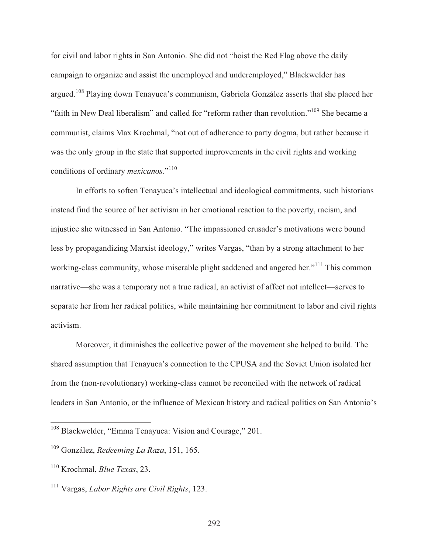for civil and labor rights in San Antonio. She did not "hoist the Red Flag above the daily campaign to organize and assist the unemployed and underemployed," Blackwelder has argued.108 Playing down Tenayuca's communism, Gabriela González asserts that she placed her "faith in New Deal liberalism" and called for "reform rather than revolution."109 She became a communist, claims Max Krochmal, "not out of adherence to party dogma, but rather because it was the only group in the state that supported improvements in the civil rights and working conditions of ordinary *mexicanos*."110

 In efforts to soften Tenayuca's intellectual and ideological commitments, such historians instead find the source of her activism in her emotional reaction to the poverty, racism, and injustice she witnessed in San Antonio. "The impassioned crusader's motivations were bound less by propagandizing Marxist ideology," writes Vargas, "than by a strong attachment to her working-class community, whose miserable plight saddened and angered her."<sup>111</sup> This common narrative—she was a temporary not a true radical, an activist of affect not intellect—serves to separate her from her radical politics, while maintaining her commitment to labor and civil rights activism.

Moreover, it diminishes the collective power of the movement she helped to build. The shared assumption that Tenayuca's connection to the CPUSA and the Soviet Union isolated her from the (non-revolutionary) working-class cannot be reconciled with the network of radical leaders in San Antonio, or the influence of Mexican history and radical politics on San Antonio's

<sup>&</sup>lt;sup>108</sup> Blackwelder, "Emma Tenayuca: Vision and Courage," 201.

<sup>109</sup> González, *Redeeming La Raza*, 151, 165.

<sup>110</sup> Krochmal, *Blue Texas*, 23.

<sup>111</sup> Vargas, *Labor Rights are Civil Rights*, 123.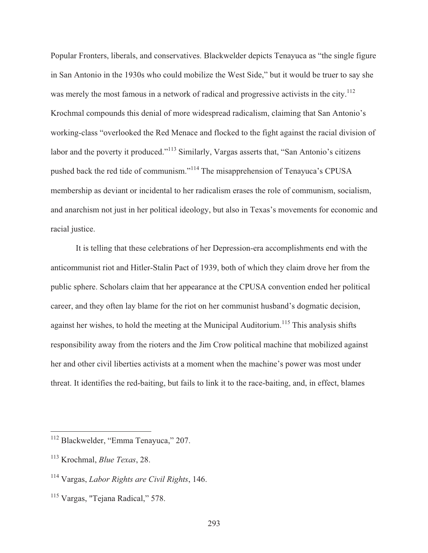Popular Fronters, liberals, and conservatives. Blackwelder depicts Tenayuca as "the single figure in San Antonio in the 1930s who could mobilize the West Side," but it would be truer to say she was merely the most famous in a network of radical and progressive activists in the city.<sup>112</sup> Krochmal compounds this denial of more widespread radicalism, claiming that San Antonio's working-class "overlooked the Red Menace and flocked to the fight against the racial division of labor and the poverty it produced."<sup>113</sup> Similarly, Vargas asserts that, "San Antonio's citizens pushed back the red tide of communism."114 The misapprehension of Tenayuca's CPUSA membership as deviant or incidental to her radicalism erases the role of communism, socialism, and anarchism not just in her political ideology, but also in Texas's movements for economic and racial justice.

 It is telling that these celebrations of her Depression-era accomplishments end with the anticommunist riot and Hitler-Stalin Pact of 1939, both of which they claim drove her from the public sphere. Scholars claim that her appearance at the CPUSA convention ended her political career, and they often lay blame for the riot on her communist husband's dogmatic decision, against her wishes, to hold the meeting at the Municipal Auditorium.<sup>115</sup> This analysis shifts responsibility away from the rioters and the Jim Crow political machine that mobilized against her and other civil liberties activists at a moment when the machine's power was most under threat. It identifies the red-baiting, but fails to link it to the race-baiting, and, in effect, blames

<sup>&</sup>lt;sup>112</sup> Blackwelder, "Emma Tenayuca," 207.

<sup>113</sup> Krochmal, *Blue Texas*, 28.

<sup>114</sup> Vargas, *Labor Rights are Civil Rights*, 146.

<sup>115</sup> Vargas, "Tejana Radical," 578.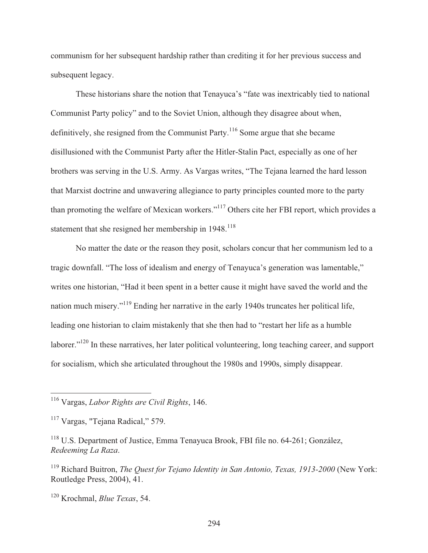communism for her subsequent hardship rather than crediting it for her previous success and subsequent legacy.

 These historians share the notion that Tenayuca's "fate was inextricably tied to national Communist Party policy" and to the Soviet Union, although they disagree about when, definitively, she resigned from the Communist Party.<sup>116</sup> Some argue that she became disillusioned with the Communist Party after the Hitler-Stalin Pact, especially as one of her brothers was serving in the U.S. Army. As Vargas writes, "The Tejana learned the hard lesson that Marxist doctrine and unwavering allegiance to party principles counted more to the party than promoting the welfare of Mexican workers."117 Others cite her FBI report, which provides a statement that she resigned her membership in  $1948$ <sup>118</sup>

 No matter the date or the reason they posit, scholars concur that her communism led to a tragic downfall. "The loss of idealism and energy of Tenayuca's generation was lamentable," writes one historian, "Had it been spent in a better cause it might have saved the world and the nation much misery."119 Ending her narrative in the early 1940s truncates her political life, leading one historian to claim mistakenly that she then had to "restart her life as a humble laborer."<sup>120</sup> In these narratives, her later political volunteering, long teaching career, and support for socialism, which she articulated throughout the 1980s and 1990s, simply disappear.

<sup>116</sup> Vargas, *Labor Rights are Civil Rights*, 146.

<sup>&</sup>lt;sup>117</sup> Vargas, "Tejana Radical," 579.

<sup>&</sup>lt;sup>118</sup> U.S. Department of Justice, Emma Tenayuca Brook, FBI file no. 64-261; González, *Redeeming La Raza*.

<sup>119</sup> Richard Buitron, *The Quest for Tejano Identity in San Antonio, Texas, 1913-2000* (New York: Routledge Press, 2004), 41.

<sup>120</sup> Krochmal, *Blue Texas*, 54.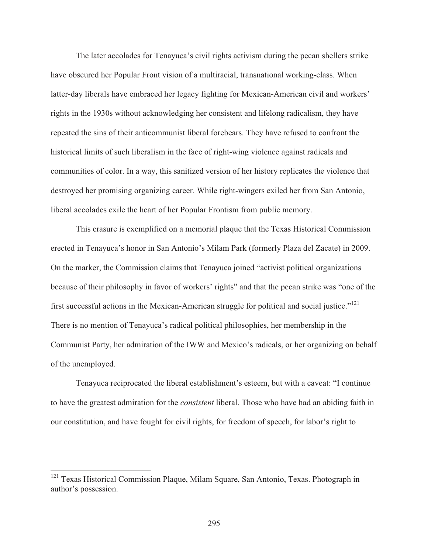The later accolades for Tenayuca's civil rights activism during the pecan shellers strike have obscured her Popular Front vision of a multiracial, transnational working-class. When latter-day liberals have embraced her legacy fighting for Mexican-American civil and workers' rights in the 1930s without acknowledging her consistent and lifelong radicalism, they have repeated the sins of their anticommunist liberal forebears. They have refused to confront the historical limits of such liberalism in the face of right-wing violence against radicals and communities of color. In a way, this sanitized version of her history replicates the violence that destroyed her promising organizing career. While right-wingers exiled her from San Antonio, liberal accolades exile the heart of her Popular Frontism from public memory.

 This erasure is exemplified on a memorial plaque that the Texas Historical Commission erected in Tenayuca's honor in San Antonio's Milam Park (formerly Plaza del Zacate) in 2009. On the marker, the Commission claims that Tenayuca joined "activist political organizations because of their philosophy in favor of workers' rights" and that the pecan strike was "one of the first successful actions in the Mexican-American struggle for political and social justice."121 There is no mention of Tenayuca's radical political philosophies, her membership in the Communist Party, her admiration of the IWW and Mexico's radicals, or her organizing on behalf of the unemployed.

 Tenayuca reciprocated the liberal establishment's esteem, but with a caveat: "I continue to have the greatest admiration for the *consistent* liberal. Those who have had an abiding faith in our constitution, and have fought for civil rights, for freedom of speech, for labor's right to

<sup>&</sup>lt;sup>121</sup> Texas Historical Commission Plaque, Milam Square, San Antonio, Texas. Photograph in author's possession.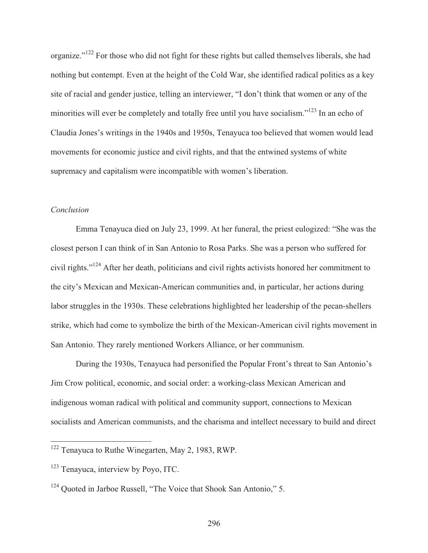organize."122 For those who did not fight for these rights but called themselves liberals, she had nothing but contempt. Even at the height of the Cold War, she identified radical politics as a key site of racial and gender justice, telling an interviewer, "I don't think that women or any of the minorities will ever be completely and totally free until you have socialism."<sup>123</sup> In an echo of Claudia Jones's writings in the 1940s and 1950s, Tenayuca too believed that women would lead movements for economic justice and civil rights, and that the entwined systems of white supremacy and capitalism were incompatible with women's liberation.

## *Conclusion*

 $\overline{a}$ 

 Emma Tenayuca died on July 23, 1999. At her funeral, the priest eulogized: "She was the closest person I can think of in San Antonio to Rosa Parks. She was a person who suffered for civil rights."124 After her death, politicians and civil rights activists honored her commitment to the city's Mexican and Mexican-American communities and, in particular, her actions during labor struggles in the 1930s. These celebrations highlighted her leadership of the pecan-shellers strike, which had come to symbolize the birth of the Mexican-American civil rights movement in San Antonio. They rarely mentioned Workers Alliance, or her communism.

 During the 1930s, Tenayuca had personified the Popular Front's threat to San Antonio's Jim Crow political, economic, and social order: a working-class Mexican American and indigenous woman radical with political and community support, connections to Mexican socialists and American communists, and the charisma and intellect necessary to build and direct

<sup>&</sup>lt;sup>122</sup> Tenayuca to Ruthe Winegarten, May 2, 1983, RWP.

<sup>&</sup>lt;sup>123</sup> Tenayuca, interview by Poyo, ITC.

<sup>&</sup>lt;sup>124</sup> Ouoted in Jarboe Russell, "The Voice that Shook San Antonio," 5.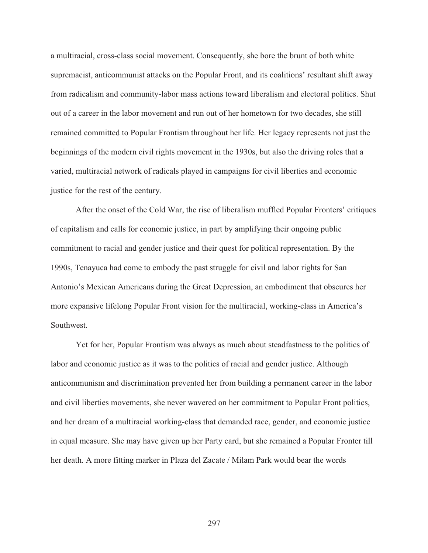a multiracial, cross-class social movement. Consequently, she bore the brunt of both white supremacist, anticommunist attacks on the Popular Front, and its coalitions' resultant shift away from radicalism and community-labor mass actions toward liberalism and electoral politics. Shut out of a career in the labor movement and run out of her hometown for two decades, she still remained committed to Popular Frontism throughout her life. Her legacy represents not just the beginnings of the modern civil rights movement in the 1930s, but also the driving roles that a varied, multiracial network of radicals played in campaigns for civil liberties and economic justice for the rest of the century.

 After the onset of the Cold War, the rise of liberalism muffled Popular Fronters' critiques of capitalism and calls for economic justice, in part by amplifying their ongoing public commitment to racial and gender justice and their quest for political representation. By the 1990s, Tenayuca had come to embody the past struggle for civil and labor rights for San Antonio's Mexican Americans during the Great Depression, an embodiment that obscures her more expansive lifelong Popular Front vision for the multiracial, working-class in America's Southwest.

 Yet for her, Popular Frontism was always as much about steadfastness to the politics of labor and economic justice as it was to the politics of racial and gender justice. Although anticommunism and discrimination prevented her from building a permanent career in the labor and civil liberties movements, she never wavered on her commitment to Popular Front politics, and her dream of a multiracial working-class that demanded race, gender, and economic justice in equal measure. She may have given up her Party card, but she remained a Popular Fronter till her death. A more fitting marker in Plaza del Zacate / Milam Park would bear the words

297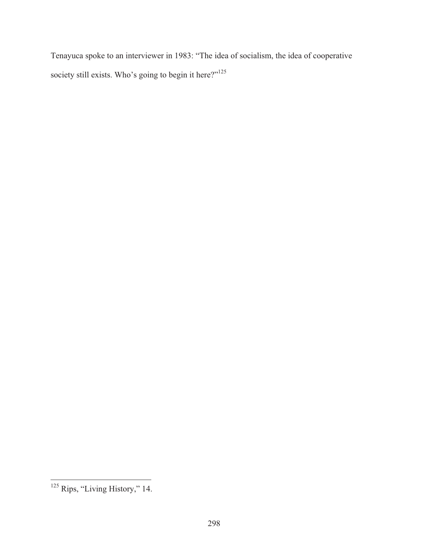Tenayuca spoke to an interviewer in 1983: "The idea of socialism, the idea of cooperative society still exists. Who's going to begin it here?"<sup>125</sup>

 $\overline{a}$ <sup>125</sup> Rips, "Living History," 14.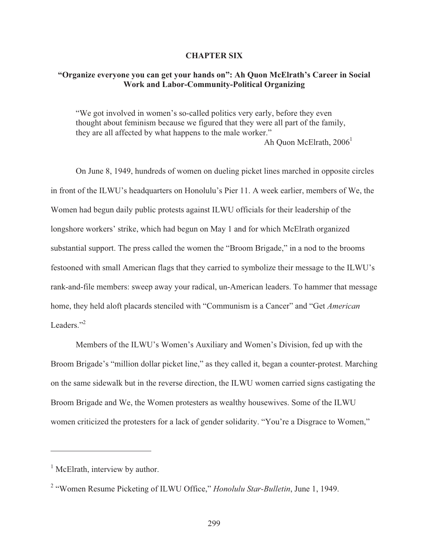## **CHAPTER SIX**

# **"Organize everyone you can get your hands on": Ah Quon McElrath's Career in Social Work and Labor-Community-Political Organizing**

"We got involved in women's so-called politics very early, before they even thought about feminism because we figured that they were all part of the family, they are all affected by what happens to the male worker." Ah Quon McElrath,  $2006<sup>1</sup>$ 

 On June 8, 1949, hundreds of women on dueling picket lines marched in opposite circles in front of the ILWU's headquarters on Honolulu's Pier 11. A week earlier, members of We, the Women had begun daily public protests against ILWU officials for their leadership of the longshore workers' strike, which had begun on May 1 and for which McElrath organized substantial support. The press called the women the "Broom Brigade," in a nod to the brooms festooned with small American flags that they carried to symbolize their message to the ILWU's rank-and-file members: sweep away your radical, un-American leaders. To hammer that message home, they held aloft placards stenciled with "Communism is a Cancer" and "Get *American* Leaders $"$ <sup>2</sup>

 Members of the ILWU's Women's Auxiliary and Women's Division, fed up with the Broom Brigade's "million dollar picket line," as they called it, began a counter-protest. Marching on the same sidewalk but in the reverse direction, the ILWU women carried signs castigating the Broom Brigade and We, the Women protesters as wealthy housewives. Some of the ILWU women criticized the protesters for a lack of gender solidarity. "You're a Disgrace to Women,"

<sup>&</sup>lt;sup>1</sup> McElrath, interview by author.

<sup>&</sup>lt;sup>2</sup> "Women Resume Picketing of ILWU Office," *Honolulu Star-Bulletin*, June 1, 1949.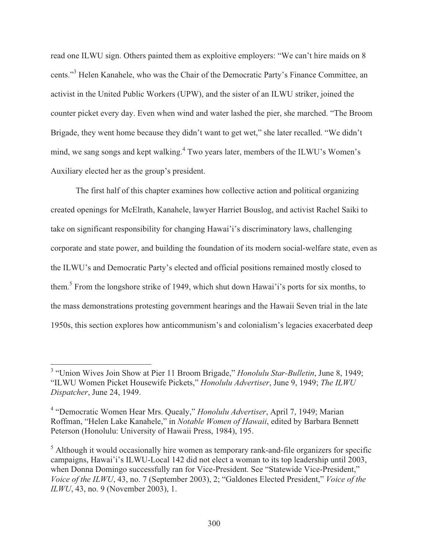read one ILWU sign. Others painted them as exploitive employers: "We can't hire maids on 8 cents."<sup>3</sup> Helen Kanahele, who was the Chair of the Democratic Party's Finance Committee, an activist in the United Public Workers (UPW), and the sister of an ILWU striker, joined the counter picket every day. Even when wind and water lashed the pier, she marched. "The Broom Brigade, they went home because they didn't want to get wet," she later recalled. "We didn't mind, we sang songs and kept walking.<sup>4</sup> Two years later, members of the ILWU's Women's Auxiliary elected her as the group's president.

 The first half of this chapter examines how collective action and political organizing created openings for McElrath, Kanahele, lawyer Harriet Bouslog, and activist Rachel Saiki to take on significant responsibility for changing Hawai'i's discriminatory laws, challenging corporate and state power, and building the foundation of its modern social-welfare state, even as the ILWU's and Democratic Party's elected and official positions remained mostly closed to them.<sup>5</sup> From the longshore strike of 1949, which shut down Hawai'i's ports for six months, to the mass demonstrations protesting government hearings and the Hawaii Seven trial in the late 1950s, this section explores how anticommunism's and colonialism's legacies exacerbated deep

<sup>&</sup>lt;sup>3</sup> "Union Wives Join Show at Pier 11 Broom Brigade," *Honolulu Star-Bulletin*, June 8, 1949; "ILWU Women Picket Housewife Pickets," *Honolulu Advertiser*, June 9, 1949; *The ILWU Dispatcher*, June 24, 1949.

<sup>4</sup> "Democratic Women Hear Mrs. Quealy," *Honolulu Advertiser*, April 7, 1949; Marian Roffman, "Helen Lake Kanahele," in *Notable Women of Hawaii*, edited by Barbara Bennett Peterson (Honolulu: University of Hawaii Press, 1984), 195.

 $<sup>5</sup>$  Although it would occasionally hire women as temporary rank-and-file organizers for specific</sup> campaigns, Hawai'i's ILWU-Local 142 did not elect a woman to its top leadership until 2003, when Donna Domingo successfully ran for Vice-President. See "Statewide Vice-President," *Voice of the ILWU*, 43, no. 7 (September 2003), 2; "Galdones Elected President," *Voice of the ILWU*, 43, no. 9 (November 2003), 1.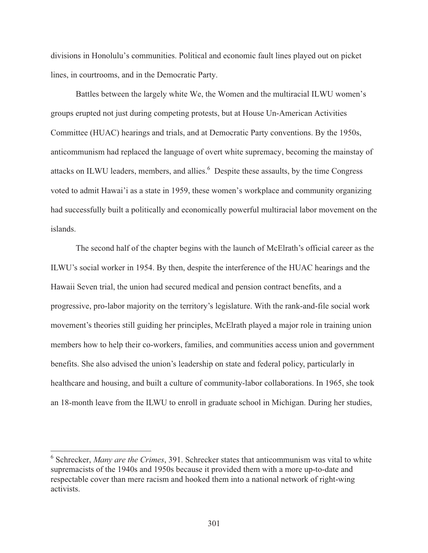divisions in Honolulu's communities. Political and economic fault lines played out on picket lines, in courtrooms, and in the Democratic Party.

 Battles between the largely white We, the Women and the multiracial ILWU women's groups erupted not just during competing protests, but at House Un-American Activities Committee (HUAC) hearings and trials, and at Democratic Party conventions. By the 1950s, anticommunism had replaced the language of overt white supremacy, becoming the mainstay of attacks on ILWU leaders, members, and allies.<sup>6</sup> Despite these assaults, by the time Congress voted to admit Hawai'i as a state in 1959, these women's workplace and community organizing had successfully built a politically and economically powerful multiracial labor movement on the islands.

 The second half of the chapter begins with the launch of McElrath's official career as the ILWU's social worker in 1954. By then, despite the interference of the HUAC hearings and the Hawaii Seven trial, the union had secured medical and pension contract benefits, and a progressive, pro-labor majority on the territory's legislature. With the rank-and-file social work movement's theories still guiding her principles, McElrath played a major role in training union members how to help their co-workers, families, and communities access union and government benefits. She also advised the union's leadership on state and federal policy, particularly in healthcare and housing, and built a culture of community-labor collaborations. In 1965, she took an 18-month leave from the ILWU to enroll in graduate school in Michigan. During her studies,

<sup>&</sup>lt;sup>6</sup> Schrecker, *Many are the Crimes*, 391. Schrecker states that anticommunism was vital to white supremacists of the 1940s and 1950s because it provided them with a more up-to-date and respectable cover than mere racism and hooked them into a national network of right-wing activists.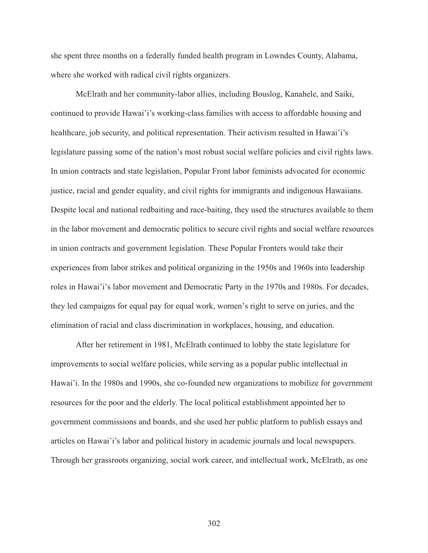she spent three months on a federally funded health program in Lowndes County, Alabama, where she worked with radical civil rights organizers.

 McElrath and her community-labor allies, including Bouslog, Kanahele, and Saiki, continued to provide Hawai'i's working-class families with access to affordable housing and healthcare, job security, and political representation. Their activism resulted in Hawai'i's legislature passing some of the nation's most robust social welfare policies and civil rights laws. In union contracts and state legislation, Popular Front labor feminists advocated for economic justice, racial and gender equality, and civil rights for immigrants and indigenous Hawaiians. Despite local and national redbaiting and race-baiting, they used the structures available to them in the labor movement and democratic politics to secure civil rights and social welfare resources in union contracts and government legislation. These Popular Fronters would take their experiences from labor strikes and political organizing in the 1950s and 1960s into leadership roles in Hawai'i's labor movement and Democratic Party in the 1970s and 1980s. For decades, they led campaigns for equal pay for equal work, women's right to serve on juries, and the elimination of racial and class discrimination in workplaces, housing, and education.

 After her retirement in 1981, McElrath continued to lobby the state legislature for improvements to social welfare policies, while serving as a popular public intellectual in Hawai'i. In the 1980s and 1990s, she co-founded new organizations to mobilize for government resources for the poor and the elderly. The local political establishment appointed her to government commissions and boards, and she used her public platform to publish essays and articles on Hawai'i's labor and political history in academic journals and local newspapers. Through her grassroots organizing, social work career, and intellectual work, McElrath, as one

302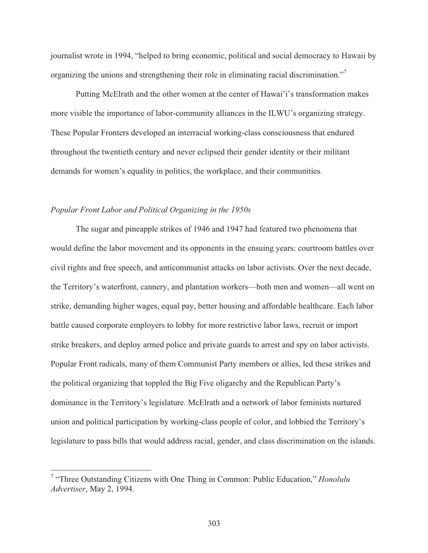journalist wrote in 1994, "helped to bring economic, political and social democracy to Hawaii by organizing the unions and strengthening their role in eliminating racial discrimination."<sup>7</sup>

 Putting McElrath and the other women at the center of Hawai'i's transformation makes more visible the importance of labor-community alliances in the ILWU's organizing strategy. These Popular Fronters developed an interracial working-class consciousness that endured throughout the twentieth century and never eclipsed their gender identity or their militant demands for women's equality in politics, the workplace, and their communities.

#### *Popular Front Labor and Political Organizing in the 1950s*

 The sugar and pineapple strikes of 1946 and 1947 had featured two phenomena that would define the labor movement and its opponents in the ensuing years: courtroom battles over civil rights and free speech, and anticommunist attacks on labor activists. Over the next decade, the Territory's waterfront, cannery, and plantation workers—both men and women—all went on strike, demanding higher wages, equal pay, better housing and affordable healthcare. Each labor battle caused corporate employers to lobby for more restrictive labor laws, recruit or import strike breakers, and deploy armed police and private guards to arrest and spy on labor activists. Popular Front radicals, many of them Communist Party members or allies, led these strikes and the political organizing that toppled the Big Five oligarchy and the Republican Party's dominance in the Territory's legislature. McElrath and a network of labor feminists nurtured union and political participation by working-class people of color, and lobbied the Territory's legislature to pass bills that would address racial, gender, and class discrimination on the islands.

 7 "Three Outstanding Citizens with One Thing in Common: Public Education," *Honolulu Advertiser*, May 2, 1994.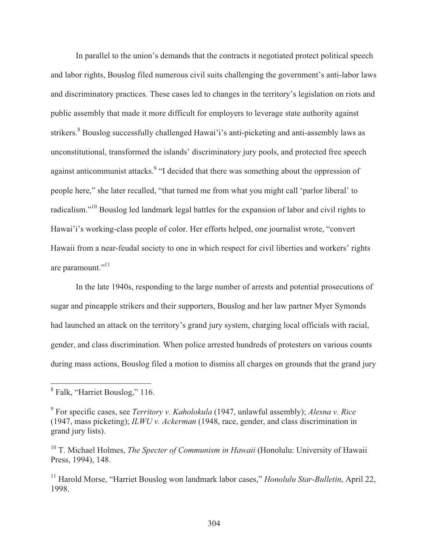In parallel to the union's demands that the contracts it negotiated protect political speech and labor rights, Bouslog filed numerous civil suits challenging the government's anti-labor laws and discriminatory practices. These cases led to changes in the territory's legislation on riots and public assembly that made it more difficult for employers to leverage state authority against strikers.<sup>8</sup> Bouslog successfully challenged Hawai'i's anti-picketing and anti-assembly laws as unconstitutional, transformed the islands' discriminatory jury pools, and protected free speech against anticommunist attacks.<sup>9</sup> "I decided that there was something about the oppression of people here," she later recalled, "that turned me from what you might call 'parlor liberal' to radicalism."10 Bouslog led landmark legal battles for the expansion of labor and civil rights to Hawai'i's working-class people of color. Her efforts helped, one journalist wrote, "convert Hawaii from a near-feudal society to one in which respect for civil liberties and workers' rights are paramount."<sup>11</sup>

 In the late 1940s, responding to the large number of arrests and potential prosecutions of sugar and pineapple strikers and their supporters, Bouslog and her law partner Myer Symonds had launched an attack on the territory's grand jury system, charging local officials with racial, gender, and class discrimination. When police arrested hundreds of protesters on various counts during mass actions, Bouslog filed a motion to dismiss all charges on grounds that the grand jury

<sup>&</sup>lt;sup>8</sup> Falk, "Harriet Bouslog," 116.

<sup>9</sup> For specific cases, see *Territory v. Kaholokula* (1947, unlawful assembly); *Alesna v. Rice* (1947, mass picketing); *ILWU v. Ackerman* (1948, race, gender, and class discrimination in grand jury lists).

<sup>10</sup> T. Michael Holmes, *The Specter of Communism in Hawaii* (Honolulu: University of Hawaii Press, 1994), 148.

<sup>11</sup> Harold Morse, "Harriet Bouslog won landmark labor cases," *Honolulu Star-Bulletin*, April 22, 1998.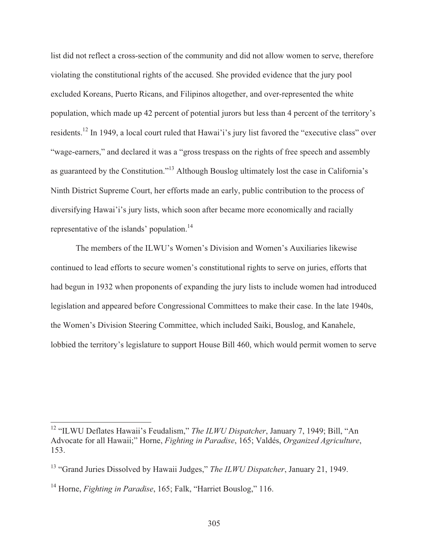list did not reflect a cross-section of the community and did not allow women to serve, therefore violating the constitutional rights of the accused. She provided evidence that the jury pool excluded Koreans, Puerto Ricans, and Filipinos altogether, and over-represented the white population, which made up 42 percent of potential jurors but less than 4 percent of the territory's residents.12 In 1949, a local court ruled that Hawai'i's jury list favored the "executive class" over "wage-earners," and declared it was a "gross trespass on the rights of free speech and assembly as guaranteed by the Constitution."13 Although Bouslog ultimately lost the case in California's Ninth District Supreme Court, her efforts made an early, public contribution to the process of diversifying Hawai'i's jury lists, which soon after became more economically and racially representative of the islands' population.<sup>14</sup>

 The members of the ILWU's Women's Division and Women's Auxiliaries likewise continued to lead efforts to secure women's constitutional rights to serve on juries, efforts that had begun in 1932 when proponents of expanding the jury lists to include women had introduced legislation and appeared before Congressional Committees to make their case. In the late 1940s, the Women's Division Steering Committee, which included Saiki, Bouslog, and Kanahele, lobbied the territory's legislature to support House Bill 460, which would permit women to serve

<sup>12 &</sup>quot;ILWU Deflates Hawaii's Feudalism," *The ILWU Dispatcher*, January 7, 1949; Bill, "An Advocate for all Hawaii;" Horne, *Fighting in Paradise*, 165; Valdés, *Organized Agriculture*, 153.

<sup>13 &</sup>quot;Grand Juries Dissolved by Hawaii Judges," *The ILWU Dispatcher*, January 21, 1949.

<sup>14</sup> Horne, *Fighting in Paradise*, 165; Falk, "Harriet Bouslog," 116.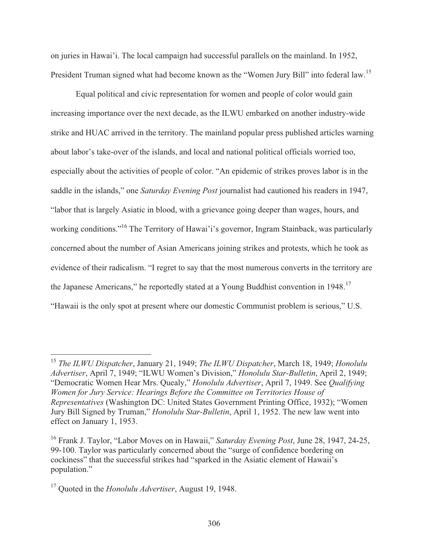on juries in Hawai'i. The local campaign had successful parallels on the mainland. In 1952, President Truman signed what had become known as the "Women Jury Bill" into federal law.<sup>15</sup>

 Equal political and civic representation for women and people of color would gain increasing importance over the next decade, as the ILWU embarked on another industry-wide strike and HUAC arrived in the territory. The mainland popular press published articles warning about labor's take-over of the islands, and local and national political officials worried too, especially about the activities of people of color. "An epidemic of strikes proves labor is in the saddle in the islands," one *Saturday Evening Post* journalist had cautioned his readers in 1947, "labor that is largely Asiatic in blood, with a grievance going deeper than wages, hours, and working conditions."<sup>16</sup> The Territory of Hawai'i's governor, Ingram Stainback, was particularly concerned about the number of Asian Americans joining strikes and protests, which he took as evidence of their radicalism. "I regret to say that the most numerous converts in the territory are the Japanese Americans," he reportedly stated at a Young Buddhist convention in 1948.<sup>17</sup> "Hawaii is the only spot at present where our domestic Communist problem is serious," U.S.

<sup>15</sup> *The ILWU Dispatcher*, January 21, 1949; *The ILWU Dispatcher*, March 18, 1949; *Honolulu Advertiser*, April 7, 1949; "ILWU Women's Division," *Honolulu Star-Bulletin*, April 2, 1949; "Democratic Women Hear Mrs. Quealy," *Honolulu Advertiser*, April 7, 1949. See *Qualifying Women for Jury Service: Hearings Before the Committee on Territories House of Representatives* (Washington DC: United States Government Printing Office, 1932); "Women Jury Bill Signed by Truman," *Honolulu Star-Bulletin*, April 1, 1952. The new law went into effect on January 1, 1953.

<sup>16</sup> Frank J. Taylor, "Labor Moves on in Hawaii," *Saturday Evening Post*, June 28, 1947, 24-25, 99-100. Taylor was particularly concerned about the "surge of confidence bordering on cockiness" that the successful strikes had "sparked in the Asiatic element of Hawaii's population."

<sup>17</sup> Quoted in the *Honolulu Advertiser*, August 19, 1948.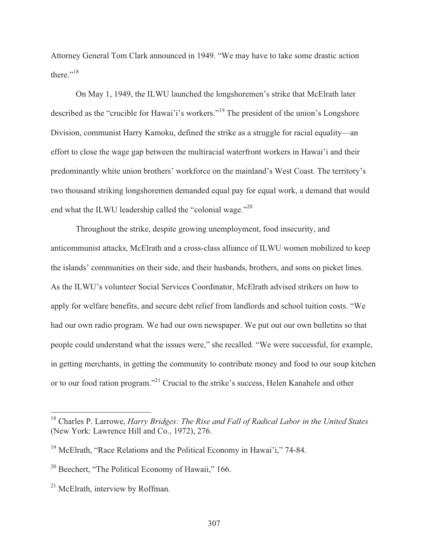Attorney General Tom Clark announced in 1949. "We may have to take some drastic action there."<sup>18</sup>

 On May 1, 1949, the ILWU launched the longshoremen's strike that McElrath later described as the "crucible for Hawai'i's workers."19 The president of the union's Longshore Division, communist Harry Kamoku, defined the strike as a struggle for racial equality—an effort to close the wage gap between the multiracial waterfront workers in Hawai'i and their predominantly white union brothers' workforce on the mainland's West Coast. The territory's two thousand striking longshoremen demanded equal pay for equal work, a demand that would end what the ILWU leadership called the "colonial wage."<sup>20</sup>

 Throughout the strike, despite growing unemployment, food insecurity, and anticommunist attacks, McElrath and a cross-class alliance of ILWU women mobilized to keep the islands' communities on their side, and their husbands, brothers, and sons on picket lines. As the ILWU's volunteer Social Services Coordinator, McElrath advised strikers on how to apply for welfare benefits, and secure debt relief from landlords and school tuition costs. "We had our own radio program. We had our own newspaper. We put out our own bulletins so that people could understand what the issues were," she recalled. "We were successful, for example, in getting merchants, in getting the community to contribute money and food to our soup kitchen or to our food ration program."<sup>21</sup> Crucial to the strike's success, Helen Kanahele and other

<sup>18</sup> Charles P. Larrowe, *Harry Bridges: The Rise and Fall of Radical Labor in the United States* (New York: Lawrence Hill and Co., 1972), 276.

<sup>&</sup>lt;sup>19</sup> McElrath, "Race Relations and the Political Economy in Hawai'i," 74-84.

<sup>&</sup>lt;sup>20</sup> Beechert, "The Political Economy of Hawaii," 166.

 $21$  McElrath, interview by Roffman.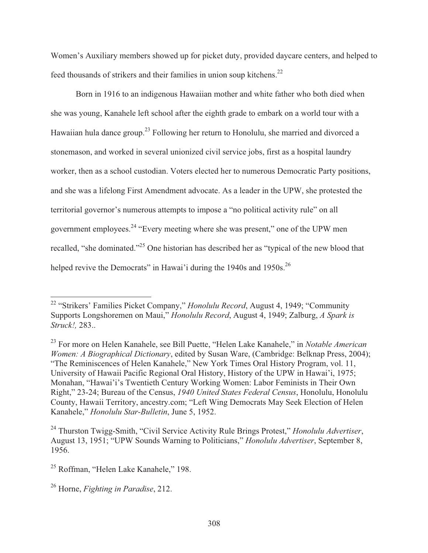Women's Auxiliary members showed up for picket duty, provided daycare centers, and helped to feed thousands of strikers and their families in union soup kitchens.22

 Born in 1916 to an indigenous Hawaiian mother and white father who both died when she was young, Kanahele left school after the eighth grade to embark on a world tour with a Hawaiian hula dance group.23 Following her return to Honolulu, she married and divorced a stonemason, and worked in several unionized civil service jobs, first as a hospital laundry worker, then as a school custodian. Voters elected her to numerous Democratic Party positions, and she was a lifelong First Amendment advocate. As a leader in the UPW, she protested the territorial governor's numerous attempts to impose a "no political activity rule" on all government employees.24 "Every meeting where she was present," one of the UPW men recalled, "she dominated."25 One historian has described her as "typical of the new blood that helped revive the Democrats" in Hawai'i during the 1940s and 1950s.<sup>26</sup>

<sup>22 &</sup>quot;Strikers' Families Picket Company," *Honolulu Record*, August 4, 1949; "Community Supports Longshoremen on Maui," *Honolulu Record*, August 4, 1949; Zalburg, *A Spark is Struck!,* 283..

<sup>23</sup> For more on Helen Kanahele, see Bill Puette, "Helen Lake Kanahele," in *Notable American Women: A Biographical Dictionary*, edited by Susan Ware, (Cambridge: Belknap Press, 2004); "The Reminiscences of Helen Kanahele," New York Times Oral History Program, vol. 11, University of Hawaii Pacific Regional Oral History, History of the UPW in Hawai'i, 1975; Monahan, "Hawai'i's Twentieth Century Working Women: Labor Feminists in Their Own Right," 23-24; Bureau of the Census, *1940 United States Federal Census*, Honolulu, Honolulu County, Hawaii Territory, ancestry.com; "Left Wing Democrats May Seek Election of Helen Kanahele," *Honolulu Star-Bulletin*, June 5, 1952.

<sup>24</sup> Thurston Twigg-Smith, "Civil Service Activity Rule Brings Protest," *Honolulu Advertiser*, August 13, 1951; "UPW Sounds Warning to Politicians," *Honolulu Advertiser*, September 8, 1956.

<sup>&</sup>lt;sup>25</sup> Roffman, "Helen Lake Kanahele," 198.

<sup>26</sup> Horne, *Fighting in Paradise*, 212.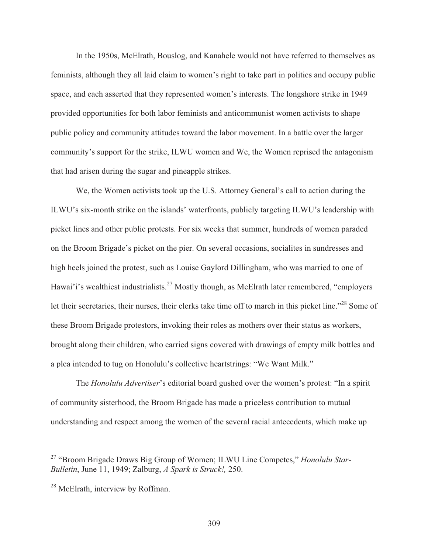In the 1950s, McElrath, Bouslog, and Kanahele would not have referred to themselves as feminists, although they all laid claim to women's right to take part in politics and occupy public space, and each asserted that they represented women's interests. The longshore strike in 1949 provided opportunities for both labor feminists and anticommunist women activists to shape public policy and community attitudes toward the labor movement. In a battle over the larger community's support for the strike, ILWU women and We, the Women reprised the antagonism that had arisen during the sugar and pineapple strikes.

 We, the Women activists took up the U.S. Attorney General's call to action during the ILWU's six-month strike on the islands' waterfronts, publicly targeting ILWU's leadership with picket lines and other public protests. For six weeks that summer, hundreds of women paraded on the Broom Brigade's picket on the pier. On several occasions, socialites in sundresses and high heels joined the protest, such as Louise Gaylord Dillingham, who was married to one of Hawai'i's wealthiest industrialists.<sup>27</sup> Mostly though, as McElrath later remembered, "employers" let their secretaries, their nurses, their clerks take time off to march in this picket line."<sup>28</sup> Some of these Broom Brigade protestors, invoking their roles as mothers over their status as workers, brought along their children, who carried signs covered with drawings of empty milk bottles and a plea intended to tug on Honolulu's collective heartstrings: "We Want Milk."

 The *Honolulu Advertiser*'s editorial board gushed over the women's protest: "In a spirit of community sisterhood, the Broom Brigade has made a priceless contribution to mutual understanding and respect among the women of the several racial antecedents, which make up

<sup>27 &</sup>quot;Broom Brigade Draws Big Group of Women; ILWU Line Competes," *Honolulu Star-Bulletin*, June 11, 1949; Zalburg, *A Spark is Struck!,* 250.

<sup>&</sup>lt;sup>28</sup> McElrath, interview by Roffman.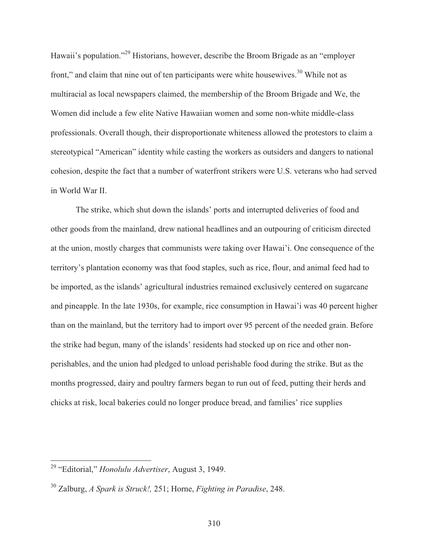Hawaii's population."29 Historians, however, describe the Broom Brigade as an "employer front," and claim that nine out of ten participants were white housewives.<sup>30</sup> While not as multiracial as local newspapers claimed, the membership of the Broom Brigade and We, the Women did include a few elite Native Hawaiian women and some non-white middle-class professionals. Overall though, their disproportionate whiteness allowed the protestors to claim a stereotypical "American" identity while casting the workers as outsiders and dangers to national cohesion, despite the fact that a number of waterfront strikers were U.S. veterans who had served in World War II.

 The strike, which shut down the islands' ports and interrupted deliveries of food and other goods from the mainland, drew national headlines and an outpouring of criticism directed at the union, mostly charges that communists were taking over Hawai'i. One consequence of the territory's plantation economy was that food staples, such as rice, flour, and animal feed had to be imported, as the islands' agricultural industries remained exclusively centered on sugarcane and pineapple. In the late 1930s, for example, rice consumption in Hawai'i was 40 percent higher than on the mainland, but the territory had to import over 95 percent of the needed grain. Before the strike had begun, many of the islands' residents had stocked up on rice and other nonperishables, and the union had pledged to unload perishable food during the strike. But as the months progressed, dairy and poultry farmers began to run out of feed, putting their herds and chicks at risk, local bakeries could no longer produce bread, and families' rice supplies

<sup>29 &</sup>quot;Editorial," *Honolulu Advertiser*, August 3, 1949.

<sup>30</sup> Zalburg, *A Spark is Struck!,* 251; Horne, *Fighting in Paradise*, 248.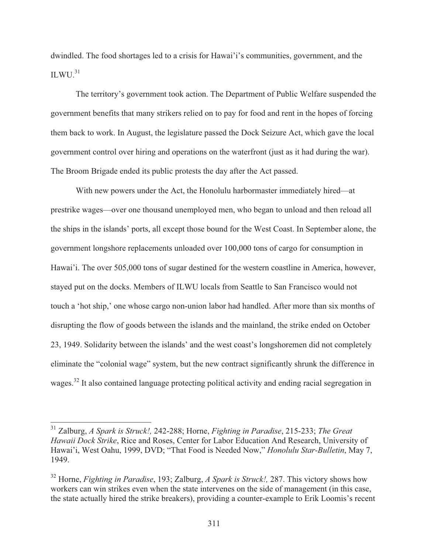dwindled. The food shortages led to a crisis for Hawai'i's communities, government, and the ILWU. $^{31}$ 

 The territory's government took action. The Department of Public Welfare suspended the government benefits that many strikers relied on to pay for food and rent in the hopes of forcing them back to work. In August, the legislature passed the Dock Seizure Act, which gave the local government control over hiring and operations on the waterfront (just as it had during the war). The Broom Brigade ended its public protests the day after the Act passed.

 With new powers under the Act, the Honolulu harbormaster immediately hired—at prestrike wages—over one thousand unemployed men, who began to unload and then reload all the ships in the islands' ports, all except those bound for the West Coast. In September alone, the government longshore replacements unloaded over 100,000 tons of cargo for consumption in Hawai'i. The over 505,000 tons of sugar destined for the western coastline in America, however, stayed put on the docks. Members of ILWU locals from Seattle to San Francisco would not touch a 'hot ship,' one whose cargo non-union labor had handled. After more than six months of disrupting the flow of goods between the islands and the mainland, the strike ended on October 23, 1949. Solidarity between the islands' and the west coast's longshoremen did not completely eliminate the "colonial wage" system, but the new contract significantly shrunk the difference in wages.<sup>32</sup> It also contained language protecting political activity and ending racial segregation in

<sup>31</sup> Zalburg, *A Spark is Struck!,* 242-288; Horne, *Fighting in Paradise*, 215-233; *The Great Hawaii Dock Strike*, Rice and Roses, Center for Labor Education And Research, University of Hawai'i, West Oahu, 1999, DVD; "That Food is Needed Now," *Honolulu Star-Bulletin*, May 7, 1949.

<sup>32</sup> Horne, *Fighting in Paradise*, 193; Zalburg, *A Spark is Struck!,* 287. This victory shows how workers can win strikes even when the state intervenes on the side of management (in this case, the state actually hired the strike breakers), providing a counter-example to Erik Loomis's recent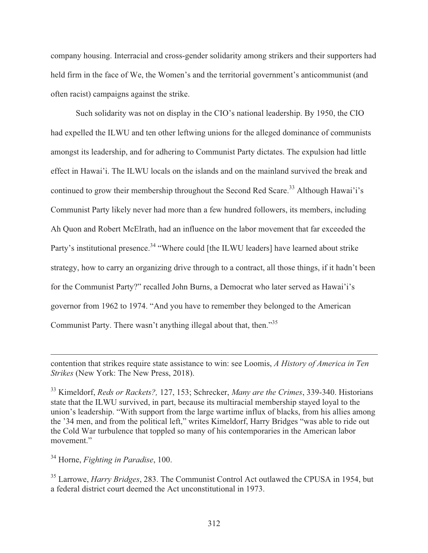company housing. Interracial and cross-gender solidarity among strikers and their supporters had held firm in the face of We, the Women's and the territorial government's anticommunist (and often racist) campaigns against the strike.

 Such solidarity was not on display in the CIO's national leadership. By 1950, the CIO had expelled the ILWU and ten other leftwing unions for the alleged dominance of communists amongst its leadership, and for adhering to Communist Party dictates. The expulsion had little effect in Hawai'i. The ILWU locals on the islands and on the mainland survived the break and continued to grow their membership throughout the Second Red Scare.<sup>33</sup> Although Hawai'i's Communist Party likely never had more than a few hundred followers, its members, including Ah Quon and Robert McElrath, had an influence on the labor movement that far exceeded the Party's institutional presence.<sup>34</sup> "Where could [the ILWU leaders] have learned about strike strategy, how to carry an organizing drive through to a contract, all those things, if it hadn't been for the Communist Party?" recalled John Burns, a Democrat who later served as Hawai'i's governor from 1962 to 1974. "And you have to remember they belonged to the American Communist Party. There wasn't anything illegal about that, then."<sup>35</sup>

34 Horne, *Fighting in Paradise*, 100.

contention that strikes require state assistance to win: see Loomis, *A History of America in Ten Strikes* (New York: The New Press, 2018).

<sup>33</sup> Kimeldorf, *Reds or Rackets?,* 127, 153; Schrecker, *Many are the Crimes*, 339-340. Historians state that the ILWU survived, in part, because its multiracial membership stayed loyal to the union's leadership. "With support from the large wartime influx of blacks, from his allies among the '34 men, and from the political left," writes Kimeldorf, Harry Bridges "was able to ride out the Cold War turbulence that toppled so many of his contemporaries in the American labor movement."

<sup>35</sup> Larrowe, *Harry Bridges*, 283. The Communist Control Act outlawed the CPUSA in 1954, but a federal district court deemed the Act unconstitutional in 1973.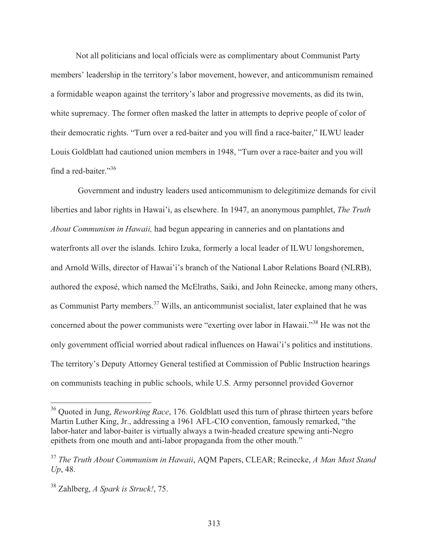Not all politicians and local officials were as complimentary about Communist Party members' leadership in the territory's labor movement, however, and anticommunism remained a formidable weapon against the territory's labor and progressive movements, as did its twin, white supremacy. The former often masked the latter in attempts to deprive people of color of their democratic rights. "Turn over a red-baiter and you will find a race-baiter," ILWU leader Louis Goldblatt had cautioned union members in 1948, "Turn over a race-baiter and you will find a red-baiter."<sup>36</sup>

 Government and industry leaders used anticommunism to delegitimize demands for civil liberties and labor rights in Hawai'i, as elsewhere. In 1947, an anonymous pamphlet, *The Truth About Communism in Hawaii,* had begun appearing in canneries and on plantations and waterfronts all over the islands. Ichiro Izuka, formerly a local leader of ILWU longshoremen, and Arnold Wills, director of Hawai'i's branch of the National Labor Relations Board (NLRB), authored the exposé, which named the McElraths, Saiki, and John Reinecke, among many others, as Communist Party members.<sup>37</sup> Wills, an anticommunist socialist, later explained that he was concerned about the power communists were "exerting over labor in Hawaii."<sup>38</sup> He was not the only government official worried about radical influences on Hawai'i's politics and institutions. The territory's Deputy Attorney General testified at Commission of Public Instruction hearings on communists teaching in public schools, while U.S. Army personnel provided Governor

<sup>36</sup> Quoted in Jung, *Reworking Race*, 176. Goldblatt used this turn of phrase thirteen years before Martin Luther King, Jr., addressing a 1961 AFL-CIO convention, famously remarked, "the labor-hater and labor-baiter is virtually always a twin-headed creature spewing anti-Negro epithets from one mouth and anti-labor propaganda from the other mouth."

<sup>37</sup> *The Truth About Communism in Hawaii*, AQM Papers, CLEAR; Reinecke, *A Man Must Stand Up*, 48.

<sup>38</sup> Zahlberg, *A Spark is Struck!*, 75.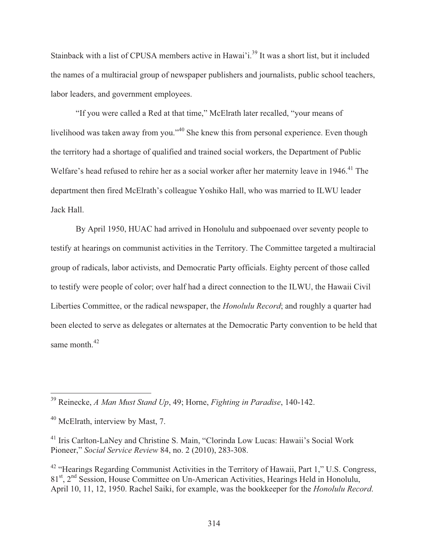Stainback with a list of CPUSA members active in Hawai'i.<sup>39</sup> It was a short list, but it included the names of a multiracial group of newspaper publishers and journalists, public school teachers, labor leaders, and government employees.

 "If you were called a Red at that time," McElrath later recalled, "your means of livelihood was taken away from you."<sup>40</sup> She knew this from personal experience. Even though the territory had a shortage of qualified and trained social workers, the Department of Public Welfare's head refused to rehire her as a social worker after her maternity leave in 1946.<sup>41</sup> The department then fired McElrath's colleague Yoshiko Hall, who was married to ILWU leader Jack Hall.

 By April 1950, HUAC had arrived in Honolulu and subpoenaed over seventy people to testify at hearings on communist activities in the Territory. The Committee targeted a multiracial group of radicals, labor activists, and Democratic Party officials. Eighty percent of those called to testify were people of color; over half had a direct connection to the ILWU, the Hawaii Civil Liberties Committee, or the radical newspaper, the *Honolulu Record*; and roughly a quarter had been elected to serve as delegates or alternates at the Democratic Party convention to be held that same month  $42$ 

<sup>39</sup> Reinecke, *A Man Must Stand Up*, 49; Horne, *Fighting in Paradise*, 140-142.

<sup>40</sup> McElrath, interview by Mast, 7.

<sup>41</sup> Iris Carlton-LaNey and Christine S. Main, "Clorinda Low Lucas: Hawaii's Social Work Pioneer," *Social Service Review* 84, no. 2 (2010), 283-308.

<sup>&</sup>lt;sup>42</sup> "Hearings Regarding Communist Activities in the Territory of Hawaii, Part 1," U.S. Congress, 81<sup>st</sup>, 2<sup>nd</sup> Session, House Committee on Un-American Activities, Hearings Held in Honolulu, April 10, 11, 12, 1950. Rachel Saiki, for example, was the bookkeeper for the *Honolulu Record*.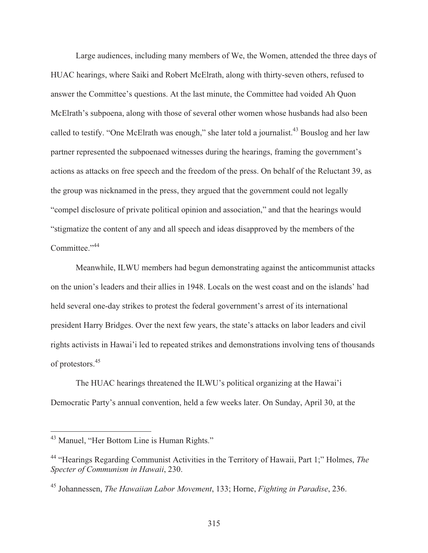Large audiences, including many members of We, the Women, attended the three days of HUAC hearings, where Saiki and Robert McElrath, along with thirty-seven others, refused to answer the Committee's questions. At the last minute, the Committee had voided Ah Quon McElrath's subpoena, along with those of several other women whose husbands had also been called to testify. "One McElrath was enough," she later told a journalist.<sup>43</sup> Bouslog and her law partner represented the subpoenaed witnesses during the hearings, framing the government's actions as attacks on free speech and the freedom of the press. On behalf of the Reluctant 39, as the group was nicknamed in the press, they argued that the government could not legally "compel disclosure of private political opinion and association," and that the hearings would "stigmatize the content of any and all speech and ideas disapproved by the members of the Committee."<sup>44</sup>

 Meanwhile, ILWU members had begun demonstrating against the anticommunist attacks on the union's leaders and their allies in 1948. Locals on the west coast and on the islands' had held several one-day strikes to protest the federal government's arrest of its international president Harry Bridges. Over the next few years, the state's attacks on labor leaders and civil rights activists in Hawai'i led to repeated strikes and demonstrations involving tens of thousands of protestors.45

 The HUAC hearings threatened the ILWU's political organizing at the Hawai'i Democratic Party's annual convention, held a few weeks later. On Sunday, April 30, at the

<sup>&</sup>lt;sup>43</sup> Manuel, "Her Bottom Line is Human Rights."

<sup>44 &</sup>quot;Hearings Regarding Communist Activities in the Territory of Hawaii, Part 1;" Holmes, *The Specter of Communism in Hawaii*, 230.

<sup>45</sup> Johannessen, *The Hawaiian Labor Movement*, 133; Horne, *Fighting in Paradise*, 236.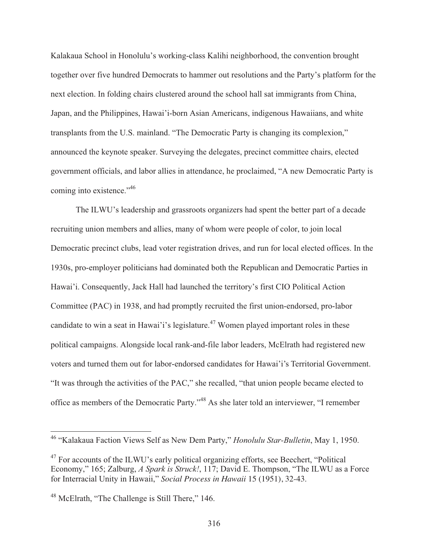Kalakaua School in Honolulu's working-class Kalihi neighborhood, the convention brought together over five hundred Democrats to hammer out resolutions and the Party's platform for the next election. In folding chairs clustered around the school hall sat immigrants from China, Japan, and the Philippines, Hawai'i-born Asian Americans, indigenous Hawaiians, and white transplants from the U.S. mainland. "The Democratic Party is changing its complexion," announced the keynote speaker. Surveying the delegates, precinct committee chairs, elected government officials, and labor allies in attendance, he proclaimed, "A new Democratic Party is coming into existence."<sup>46</sup>

 The ILWU's leadership and grassroots organizers had spent the better part of a decade recruiting union members and allies, many of whom were people of color, to join local Democratic precinct clubs, lead voter registration drives, and run for local elected offices. In the 1930s, pro-employer politicians had dominated both the Republican and Democratic Parties in Hawai'i. Consequently, Jack Hall had launched the territory's first CIO Political Action Committee (PAC) in 1938, and had promptly recruited the first union-endorsed, pro-labor candidate to win a seat in Hawai'i's legislature.<sup>47</sup> Women played important roles in these political campaigns. Alongside local rank-and-file labor leaders, McElrath had registered new voters and turned them out for labor-endorsed candidates for Hawai'i's Territorial Government. "It was through the activities of the PAC," she recalled, "that union people became elected to office as members of the Democratic Party."48 As she later told an interviewer, "I remember

<sup>46 &</sup>quot;Kalakaua Faction Views Self as New Dem Party," *Honolulu Star-Bulletin*, May 1, 1950.

<sup>&</sup>lt;sup>47</sup> For accounts of the ILWU's early political organizing efforts, see Beechert, "Political" Economy," 165; Zalburg, *A Spark is Struck!*, 117; David E. Thompson, "The ILWU as a Force for Interracial Unity in Hawaii," *Social Process in Hawaii* 15 (1951), 32-43.

<sup>48</sup> McElrath, "The Challenge is Still There," 146.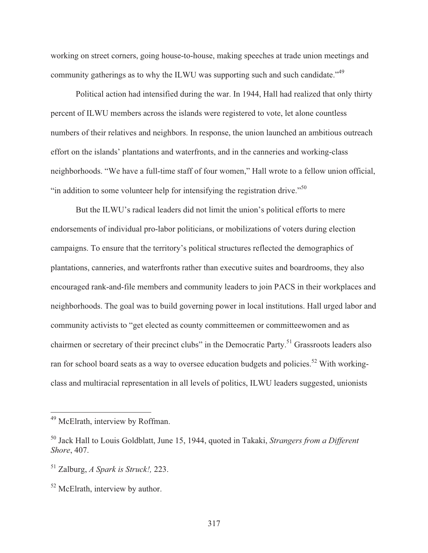working on street corners, going house-to-house, making speeches at trade union meetings and community gatherings as to why the ILWU was supporting such and such candidate."<sup>49</sup>

 Political action had intensified during the war. In 1944, Hall had realized that only thirty percent of ILWU members across the islands were registered to vote, let alone countless numbers of their relatives and neighbors. In response, the union launched an ambitious outreach effort on the islands' plantations and waterfronts, and in the canneries and working-class neighborhoods. "We have a full-time staff of four women," Hall wrote to a fellow union official, "in addition to some volunteer help for intensifying the registration drive."<sup>50</sup>

 But the ILWU's radical leaders did not limit the union's political efforts to mere endorsements of individual pro-labor politicians, or mobilizations of voters during election campaigns. To ensure that the territory's political structures reflected the demographics of plantations, canneries, and waterfronts rather than executive suites and boardrooms, they also encouraged rank-and-file members and community leaders to join PACS in their workplaces and neighborhoods. The goal was to build governing power in local institutions. Hall urged labor and community activists to "get elected as county committeemen or committeewomen and as chairmen or secretary of their precinct clubs" in the Democratic Party.<sup>51</sup> Grassroots leaders also ran for school board seats as a way to oversee education budgets and policies.<sup>52</sup> With workingclass and multiracial representation in all levels of politics, ILWU leaders suggested, unionists

<sup>&</sup>lt;sup>49</sup> McElrath, interview by Roffman.

<sup>50</sup> Jack Hall to Louis Goldblatt, June 15, 1944, quoted in Takaki, *Strangers from a Different Shore*, 407.

<sup>51</sup> Zalburg, *A Spark is Struck!,* 223.

<sup>&</sup>lt;sup>52</sup> McElrath, interview by author.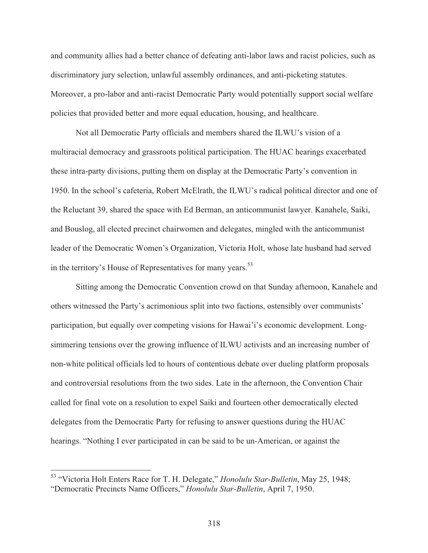and community allies had a better chance of defeating anti-labor laws and racist policies, such as discriminatory jury selection, unlawful assembly ordinances, and anti-picketing statutes. Moreover, a pro-labor and anti-racist Democratic Party would potentially support social welfare policies that provided better and more equal education, housing, and healthcare.

 Not all Democratic Party officials and members shared the ILWU's vision of a multiracial democracy and grassroots political participation. The HUAC hearings exacerbated these intra-party divisions, putting them on display at the Democratic Party's convention in 1950. In the school's cafeteria, Robert McElrath, the ILWU's radical political director and one of the Reluctant 39, shared the space with Ed Berman, an anticommunist lawyer. Kanahele, Saiki, and Bouslog, all elected precinct chairwomen and delegates, mingled with the anticommunist leader of the Democratic Women's Organization, Victoria Holt, whose late husband had served in the territory's House of Representatives for many years.<sup>53</sup>

 Sitting among the Democratic Convention crowd on that Sunday afternoon, Kanahele and others witnessed the Party's acrimonious split into two factions, ostensibly over communists' participation, but equally over competing visions for Hawai'i's economic development. Longsimmering tensions over the growing influence of ILWU activists and an increasing number of non-white political officials led to hours of contentious debate over dueling platform proposals and controversial resolutions from the two sides. Late in the afternoon, the Convention Chair called for final vote on a resolution to expel Saiki and fourteen other democratically elected delegates from the Democratic Party for refusing to answer questions during the HUAC hearings. "Nothing I ever participated in can be said to be un-American, or against the

<sup>53 &</sup>quot;Victoria Holt Enters Race for T. H. Delegate," *Honolulu Star-Bulletin*, May 25, 1948; "Democratic Precincts Name Officers," *Honolulu Star-Bulletin*, April 7, 1950.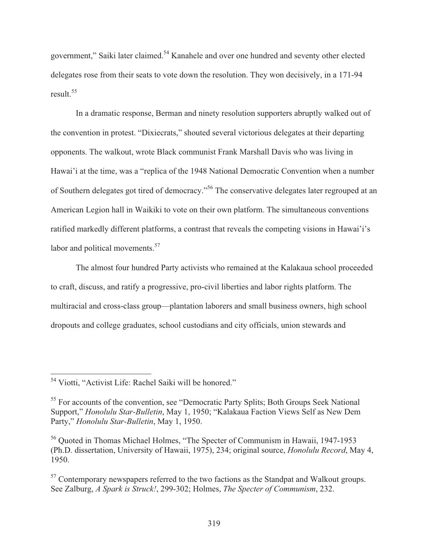government," Saiki later claimed.<sup>54</sup> Kanahele and over one hundred and seventy other elected delegates rose from their seats to vote down the resolution. They won decisively, in a 171-94 result.<sup>55</sup>

 In a dramatic response, Berman and ninety resolution supporters abruptly walked out of the convention in protest. "Dixiecrats," shouted several victorious delegates at their departing opponents. The walkout, wrote Black communist Frank Marshall Davis who was living in Hawai'i at the time, was a "replica of the 1948 National Democratic Convention when a number of Southern delegates got tired of democracy."56 The conservative delegates later regrouped at an American Legion hall in Waikiki to vote on their own platform. The simultaneous conventions ratified markedly different platforms, a contrast that reveals the competing visions in Hawai'i's labor and political movements.<sup>57</sup>

 The almost four hundred Party activists who remained at the Kalakaua school proceeded to craft, discuss, and ratify a progressive, pro-civil liberties and labor rights platform. The multiracial and cross-class group—plantation laborers and small business owners, high school dropouts and college graduates, school custodians and city officials, union stewards and

 $\overline{a}$ <sup>54</sup> Viotti, "Activist Life: Rachel Saiki will be honored."

<sup>&</sup>lt;sup>55</sup> For accounts of the convention, see "Democratic Party Splits; Both Groups Seek National Support," *Honolulu Star-Bulletin*, May 1, 1950; "Kalakaua Faction Views Self as New Dem Party," *Honolulu Star-Bulletin*, May 1, 1950.

<sup>56</sup> Quoted in Thomas Michael Holmes, "The Specter of Communism in Hawaii, 1947-1953 (Ph.D. dissertation, University of Hawaii, 1975), 234; original source, *Honolulu Record*, May 4, 1950.

 $57$  Contemporary newspapers referred to the two factions as the Standpat and Walkout groups. See Zalburg, *A Spark is Struck!*, 299-302; Holmes, *The Specter of Communism*, 232.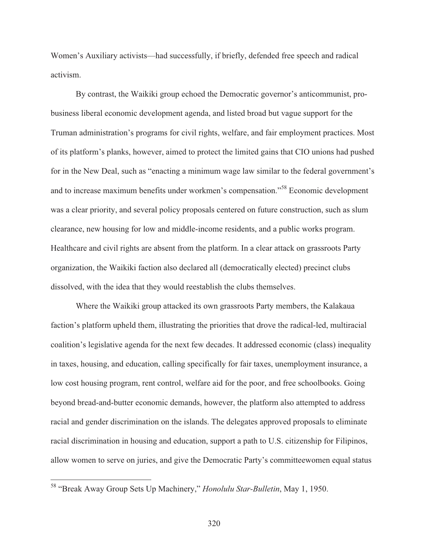Women's Auxiliary activists—had successfully, if briefly, defended free speech and radical activism.

 By contrast, the Waikiki group echoed the Democratic governor's anticommunist, probusiness liberal economic development agenda, and listed broad but vague support for the Truman administration's programs for civil rights, welfare, and fair employment practices. Most of its platform's planks, however, aimed to protect the limited gains that CIO unions had pushed for in the New Deal, such as "enacting a minimum wage law similar to the federal government's and to increase maximum benefits under workmen's compensation."58 Economic development was a clear priority, and several policy proposals centered on future construction, such as slum clearance, new housing for low and middle-income residents, and a public works program. Healthcare and civil rights are absent from the platform. In a clear attack on grassroots Party organization, the Waikiki faction also declared all (democratically elected) precinct clubs dissolved, with the idea that they would reestablish the clubs themselves.

 Where the Waikiki group attacked its own grassroots Party members, the Kalakaua faction's platform upheld them, illustrating the priorities that drove the radical-led, multiracial coalition's legislative agenda for the next few decades. It addressed economic (class) inequality in taxes, housing, and education, calling specifically for fair taxes, unemployment insurance, a low cost housing program, rent control, welfare aid for the poor, and free schoolbooks. Going beyond bread-and-butter economic demands, however, the platform also attempted to address racial and gender discrimination on the islands. The delegates approved proposals to eliminate racial discrimination in housing and education, support a path to U.S. citizenship for Filipinos, allow women to serve on juries, and give the Democratic Party's committeewomen equal status

<sup>58 &</sup>quot;Break Away Group Sets Up Machinery," *Honolulu Star-Bulletin*, May 1, 1950.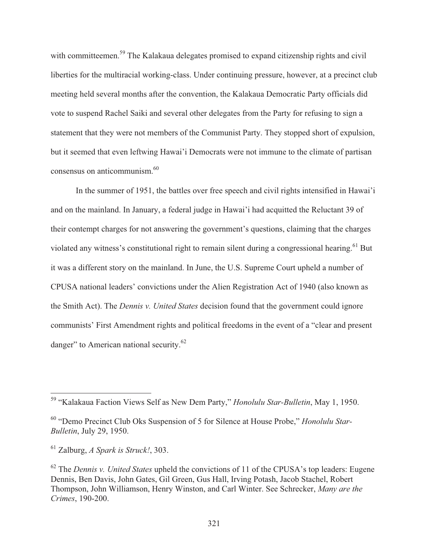with committeemen.<sup>59</sup> The Kalakaua delegates promised to expand citizenship rights and civil liberties for the multiracial working-class. Under continuing pressure, however, at a precinct club meeting held several months after the convention, the Kalakaua Democratic Party officials did vote to suspend Rachel Saiki and several other delegates from the Party for refusing to sign a statement that they were not members of the Communist Party. They stopped short of expulsion, but it seemed that even leftwing Hawai'i Democrats were not immune to the climate of partisan consensus on anticommunism.60

 In the summer of 1951, the battles over free speech and civil rights intensified in Hawai'i and on the mainland. In January, a federal judge in Hawai'i had acquitted the Reluctant 39 of their contempt charges for not answering the government's questions, claiming that the charges violated any witness's constitutional right to remain silent during a congressional hearing.<sup>61</sup> But it was a different story on the mainland. In June, the U.S. Supreme Court upheld a number of CPUSA national leaders' convictions under the Alien Registration Act of 1940 (also known as the Smith Act). The *Dennis v. United States* decision found that the government could ignore communists' First Amendment rights and political freedoms in the event of a "clear and present danger" to American national security.<sup>62</sup>

<sup>59 &</sup>quot;Kalakaua Faction Views Self as New Dem Party," *Honolulu Star-Bulletin*, May 1, 1950.

<sup>60 &</sup>quot;Demo Precinct Club Oks Suspension of 5 for Silence at House Probe," *Honolulu Star-Bulletin*, July 29, 1950.

<sup>61</sup> Zalburg, *A Spark is Struck!*, 303.

<sup>62</sup> The *Dennis v. United States* upheld the convictions of 11 of the CPUSA's top leaders: Eugene Dennis, Ben Davis, John Gates, Gil Green, Gus Hall, Irving Potash, Jacob Stachel, Robert Thompson, John Williamson, Henry Winston, and Carl Winter. See Schrecker, *Many are the Crimes*, 190-200.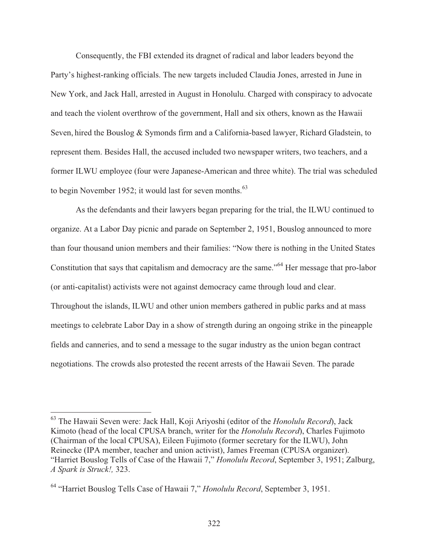Consequently, the FBI extended its dragnet of radical and labor leaders beyond the Party's highest-ranking officials. The new targets included Claudia Jones, arrested in June in New York, and Jack Hall, arrested in August in Honolulu. Charged with conspiracy to advocate and teach the violent overthrow of the government, Hall and six others, known as the Hawaii Seven, hired the Bouslog & Symonds firm and a California-based lawyer, Richard Gladstein, to represent them. Besides Hall, the accused included two newspaper writers, two teachers, and a former ILWU employee (four were Japanese-American and three white). The trial was scheduled to begin November 1952; it would last for seven months. $^{63}$ 

 As the defendants and their lawyers began preparing for the trial, the ILWU continued to organize. At a Labor Day picnic and parade on September 2, 1951, Bouslog announced to more than four thousand union members and their families: "Now there is nothing in the United States Constitution that says that capitalism and democracy are the same."64 Her message that pro-labor (or anti-capitalist) activists were not against democracy came through loud and clear. Throughout the islands, ILWU and other union members gathered in public parks and at mass meetings to celebrate Labor Day in a show of strength during an ongoing strike in the pineapple fields and canneries, and to send a message to the sugar industry as the union began contract negotiations. The crowds also protested the recent arrests of the Hawaii Seven. The parade

<sup>63</sup> The Hawaii Seven were: Jack Hall, Koji Ariyoshi (editor of the *Honolulu Record*), Jack Kimoto (head of the local CPUSA branch, writer for the *Honolulu Record*), Charles Fujimoto (Chairman of the local CPUSA), Eileen Fujimoto (former secretary for the ILWU), John Reinecke (IPA member, teacher and union activist), James Freeman (CPUSA organizer). "Harriet Bouslog Tells of Case of the Hawaii 7," *Honolulu Record*, September 3, 1951; Zalburg, *A Spark is Struck!,* 323.

<sup>64 &</sup>quot;Harriet Bouslog Tells Case of Hawaii 7," *Honolulu Record*, September 3, 1951.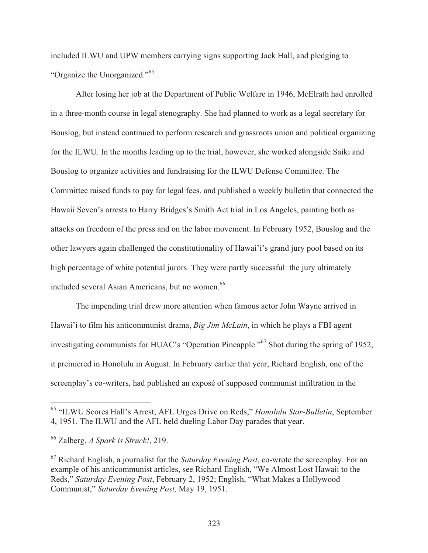included ILWU and UPW members carrying signs supporting Jack Hall, and pledging to "Organize the Unorganized."65

 After losing her job at the Department of Public Welfare in 1946, McElrath had enrolled in a three-month course in legal stenography. She had planned to work as a legal secretary for Bouslog, but instead continued to perform research and grassroots union and political organizing for the ILWU. In the months leading up to the trial, however, she worked alongside Saiki and Bouslog to organize activities and fundraising for the ILWU Defense Committee. The Committee raised funds to pay for legal fees, and published a weekly bulletin that connected the Hawaii Seven's arrests to Harry Bridges's Smith Act trial in Los Angeles, painting both as attacks on freedom of the press and on the labor movement. In February 1952, Bouslog and the other lawyers again challenged the constitutionality of Hawai'i's grand jury pool based on its high percentage of white potential jurors. They were partly successful: the jury ultimately included several Asian Americans, but no women.<sup>66</sup>

 The impending trial drew more attention when famous actor John Wayne arrived in Hawai'i to film his anticommunist drama, *Big Jim McLain*, in which he plays a FBI agent investigating communists for HUAC's "Operation Pineapple."<sup>67</sup> Shot during the spring of 1952, it premiered in Honolulu in August. In February earlier that year, Richard English, one of the screenplay's co-writers, had published an exposé of supposed communist infiltration in the

<sup>65 &</sup>quot;ILWU Scores Hall's Arrest; AFL Urges Drive on Reds," *Honolulu Star-Bulletin*, September 4, 1951. The ILWU and the AFL held dueling Labor Day parades that year.

<sup>66</sup> Zalberg, *A Spark is Struck!*, 219.

<sup>67</sup> Richard English, a journalist for the *Saturday Evening Post*, co-wrote the screenplay. For an example of his anticommunist articles, see Richard English, "We Almost Lost Hawaii to the Reds," *Saturday Evening Post*, February 2, 1952; English, "What Makes a Hollywood Communist," *Saturday Evening Post,* May 19, 1951.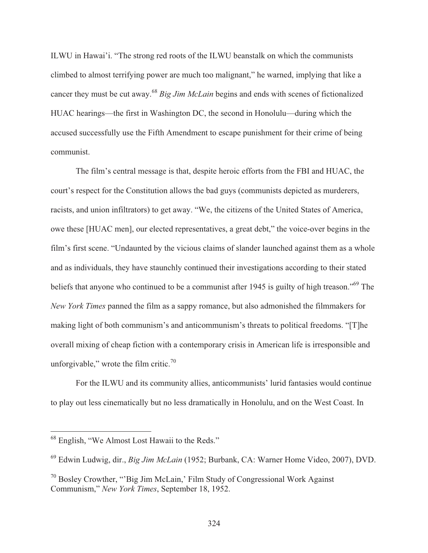ILWU in Hawai'i. "The strong red roots of the ILWU beanstalk on which the communists climbed to almost terrifying power are much too malignant," he warned, implying that like a cancer they must be cut away.<sup>68</sup> *Big Jim McLain* begins and ends with scenes of fictionalized HUAC hearings—the first in Washington DC, the second in Honolulu—during which the accused successfully use the Fifth Amendment to escape punishment for their crime of being communist.

 The film's central message is that, despite heroic efforts from the FBI and HUAC, the court's respect for the Constitution allows the bad guys (communists depicted as murderers, racists, and union infiltrators) to get away. "We, the citizens of the United States of America, owe these [HUAC men], our elected representatives, a great debt," the voice-over begins in the film's first scene. "Undaunted by the vicious claims of slander launched against them as a whole and as individuals, they have staunchly continued their investigations according to their stated beliefs that anyone who continued to be a communist after 1945 is guilty of high treason."<sup>69</sup> The *New York Times* panned the film as a sappy romance, but also admonished the filmmakers for making light of both communism's and anticommunism's threats to political freedoms. "[T]he overall mixing of cheap fiction with a contemporary crisis in American life is irresponsible and unforgivable," wrote the film critic. $\frac{70}{2}$ 

 For the ILWU and its community allies, anticommunists' lurid fantasies would continue to play out less cinematically but no less dramatically in Honolulu, and on the West Coast. In

<sup>&</sup>lt;sup>68</sup> English, "We Almost Lost Hawaii to the Reds."

<sup>69</sup> Edwin Ludwig, dir., *Big Jim McLain* (1952; Burbank, CA: Warner Home Video, 2007), DVD.

<sup>70</sup> Bosley Crowther, "'Big Jim McLain,' Film Study of Congressional Work Against Communism," *New York Times*, September 18, 1952.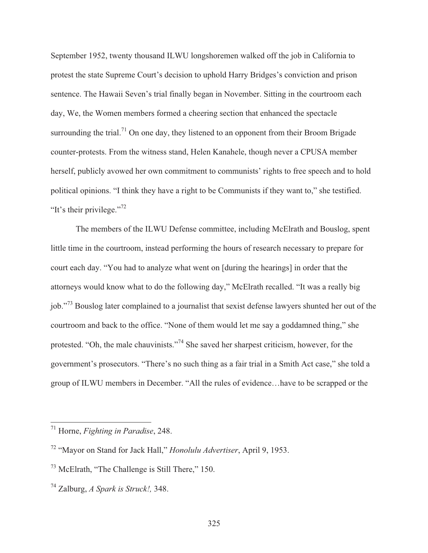September 1952, twenty thousand ILWU longshoremen walked off the job in California to protest the state Supreme Court's decision to uphold Harry Bridges's conviction and prison sentence. The Hawaii Seven's trial finally began in November. Sitting in the courtroom each day, We, the Women members formed a cheering section that enhanced the spectacle surrounding the trial.<sup>71</sup> On one day, they listened to an opponent from their Broom Brigade counter-protests. From the witness stand, Helen Kanahele, though never a CPUSA member herself, publicly avowed her own commitment to communists' rights to free speech and to hold political opinions. "I think they have a right to be Communists if they want to," she testified. "It's their privilege."<sup>72</sup>

 The members of the ILWU Defense committee, including McElrath and Bouslog, spent little time in the courtroom, instead performing the hours of research necessary to prepare for court each day. "You had to analyze what went on [during the hearings] in order that the attorneys would know what to do the following day," McElrath recalled. "It was a really big job."73 Bouslog later complained to a journalist that sexist defense lawyers shunted her out of the courtroom and back to the office. "None of them would let me say a goddamned thing," she protested. "Oh, the male chauvinists."<sup>74</sup> She saved her sharpest criticism, however, for the government's prosecutors. "There's no such thing as a fair trial in a Smith Act case," she told a group of ILWU members in December. "All the rules of evidence…have to be scrapped or the

<sup>71</sup> Horne, *Fighting in Paradise*, 248.

<sup>72 &</sup>quot;Mayor on Stand for Jack Hall," *Honolulu Advertiser*, April 9, 1953.

<sup>73</sup> McElrath, "The Challenge is Still There," 150.

<sup>74</sup> Zalburg, *A Spark is Struck!,* 348.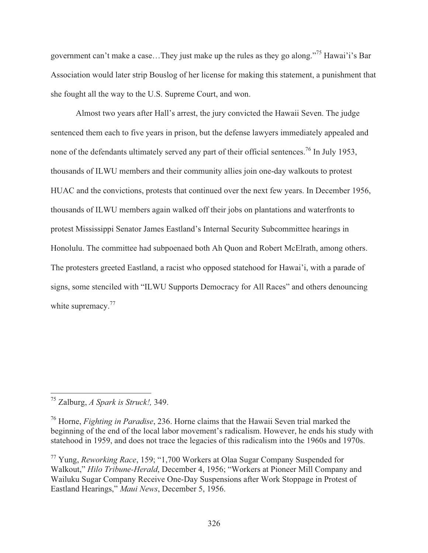government can't make a case…They just make up the rules as they go along."75 Hawai'i's Bar Association would later strip Bouslog of her license for making this statement, a punishment that she fought all the way to the U.S. Supreme Court, and won.

 Almost two years after Hall's arrest, the jury convicted the Hawaii Seven. The judge sentenced them each to five years in prison, but the defense lawyers immediately appealed and none of the defendants ultimately served any part of their official sentences.<sup>76</sup> In July 1953, thousands of ILWU members and their community allies join one-day walkouts to protest HUAC and the convictions, protests that continued over the next few years. In December 1956, thousands of ILWU members again walked off their jobs on plantations and waterfronts to protest Mississippi Senator James Eastland's Internal Security Subcommittee hearings in Honolulu. The committee had subpoenaed both Ah Quon and Robert McElrath, among others. The protesters greeted Eastland, a racist who opposed statehood for Hawai'i, with a parade of signs, some stenciled with "ILWU Supports Democracy for All Races" and others denouncing white supremacy.<sup>77</sup>

<sup>75</sup> Zalburg, *A Spark is Struck!,* 349.

<sup>76</sup> Horne, *Fighting in Paradise*, 236. Horne claims that the Hawaii Seven trial marked the beginning of the end of the local labor movement's radicalism. However, he ends his study with statehood in 1959, and does not trace the legacies of this radicalism into the 1960s and 1970s.

<sup>77</sup> Yung, *Reworking Race*, 159; "1,700 Workers at Olaa Sugar Company Suspended for Walkout," *Hilo Tribune-Herald*, December 4, 1956; "Workers at Pioneer Mill Company and Wailuku Sugar Company Receive One-Day Suspensions after Work Stoppage in Protest of Eastland Hearings," *Maui News*, December 5, 1956.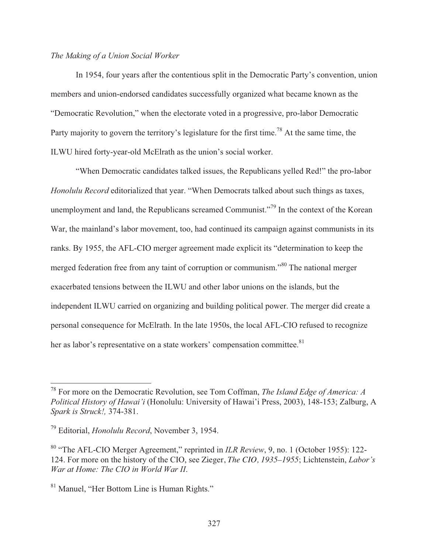## *The Making of a Union Social Worker*

 In 1954, four years after the contentious split in the Democratic Party's convention, union members and union-endorsed candidates successfully organized what became known as the "Democratic Revolution," when the electorate voted in a progressive, pro-labor Democratic Party majority to govern the territory's legislature for the first time.<sup>78</sup> At the same time, the ILWU hired forty-year-old McElrath as the union's social worker.

 "When Democratic candidates talked issues, the Republicans yelled Red!" the pro-labor *Honolulu Record* editorialized that year. "When Democrats talked about such things as taxes, unemployment and land, the Republicans screamed Communist."<sup>79</sup> In the context of the Korean War, the mainland's labor movement, too, had continued its campaign against communists in its ranks. By 1955, the AFL-CIO merger agreement made explicit its "determination to keep the merged federation free from any taint of corruption or communism."<sup>80</sup> The national merger exacerbated tensions between the ILWU and other labor unions on the islands, but the independent ILWU carried on organizing and building political power. The merger did create a personal consequence for McElrath. In the late 1950s, the local AFL-CIO refused to recognize her as labor's representative on a state workers' compensation committee.<sup>81</sup>

<sup>78</sup> For more on the Democratic Revolution, see Tom Coffman, *The Island Edge of America: A Political History of Hawai'i* (Honolulu: University of Hawai'i Press, 2003), 148-153; Zalburg, A *Spark is Struck!,* 374-381.

<sup>79</sup> Editorial, *Honolulu Record*, November 3, 1954.

<sup>80 &</sup>quot;The AFL-CIO Merger Agreement," reprinted in *ILR Review*, 9, no. 1 (October 1955): 122- 124. For more on the history of the CIO, see Zieger, *The CIO, 1935–1955*; Lichtenstein, *Labor's War at Home: The CIO in World War II*.

<sup>&</sup>lt;sup>81</sup> Manuel, "Her Bottom Line is Human Rights."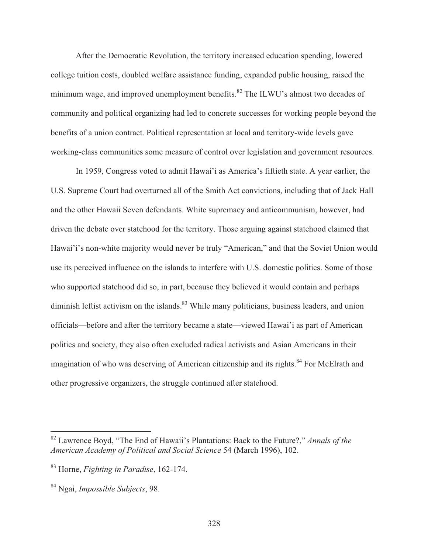After the Democratic Revolution, the territory increased education spending, lowered college tuition costs, doubled welfare assistance funding, expanded public housing, raised the minimum wage, and improved unemployment benefits.<sup>82</sup> The ILWU's almost two decades of community and political organizing had led to concrete successes for working people beyond the benefits of a union contract. Political representation at local and territory-wide levels gave working-class communities some measure of control over legislation and government resources.

 In 1959, Congress voted to admit Hawai'i as America's fiftieth state. A year earlier, the U.S. Supreme Court had overturned all of the Smith Act convictions, including that of Jack Hall and the other Hawaii Seven defendants. White supremacy and anticommunism, however, had driven the debate over statehood for the territory. Those arguing against statehood claimed that Hawai'i's non-white majority would never be truly "American," and that the Soviet Union would use its perceived influence on the islands to interfere with U.S. domestic politics. Some of those who supported statehood did so, in part, because they believed it would contain and perhaps diminish leftist activism on the islands.<sup>83</sup> While many politicians, business leaders, and union officials—before and after the territory became a state—viewed Hawai'i as part of American politics and society, they also often excluded radical activists and Asian Americans in their imagination of who was deserving of American citizenship and its rights.<sup>84</sup> For McElrath and other progressive organizers, the struggle continued after statehood.

<sup>82</sup> Lawrence Boyd, "The End of Hawaii's Plantations: Back to the Future?," *Annals of the American Academy of Political and Social Science* 54 (March 1996), 102.

<sup>83</sup> Horne, *Fighting in Paradise*, 162-174.

<sup>84</sup> Ngai, *Impossible Subjects*, 98.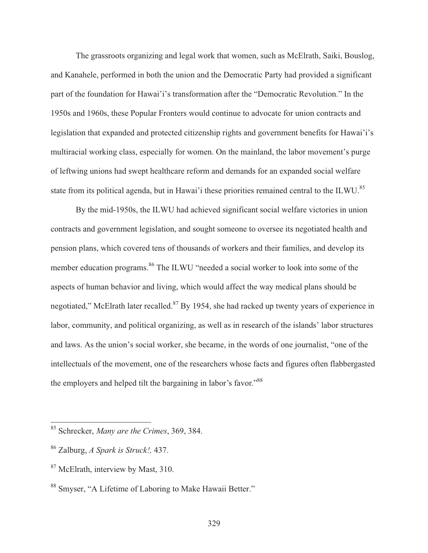The grassroots organizing and legal work that women, such as McElrath, Saiki, Bouslog, and Kanahele, performed in both the union and the Democratic Party had provided a significant part of the foundation for Hawai'i's transformation after the "Democratic Revolution." In the 1950s and 1960s, these Popular Fronters would continue to advocate for union contracts and legislation that expanded and protected citizenship rights and government benefits for Hawai'i's multiracial working class, especially for women. On the mainland, the labor movement's purge of leftwing unions had swept healthcare reform and demands for an expanded social welfare state from its political agenda, but in Hawai'i these priorities remained central to the ILWU.<sup>85</sup>

 By the mid-1950s, the ILWU had achieved significant social welfare victories in union contracts and government legislation, and sought someone to oversee its negotiated health and pension plans, which covered tens of thousands of workers and their families, and develop its member education programs.<sup>86</sup> The ILWU "needed a social worker to look into some of the aspects of human behavior and living, which would affect the way medical plans should be negotiated," McElrath later recalled.<sup>87</sup> By 1954, she had racked up twenty years of experience in labor, community, and political organizing, as well as in research of the islands' labor structures and laws. As the union's social worker, she became, in the words of one journalist, "one of the intellectuals of the movement, one of the researchers whose facts and figures often flabbergasted the employers and helped tilt the bargaining in labor's favor."<sup>88</sup>

<sup>85</sup> Schrecker, *Many are the Crimes*, 369, 384.

<sup>86</sup> Zalburg, *A Spark is Struck!,* 437.

<sup>&</sup>lt;sup>87</sup> McElrath, interview by Mast, 310.

<sup>88</sup> Smyser, "A Lifetime of Laboring to Make Hawaii Better."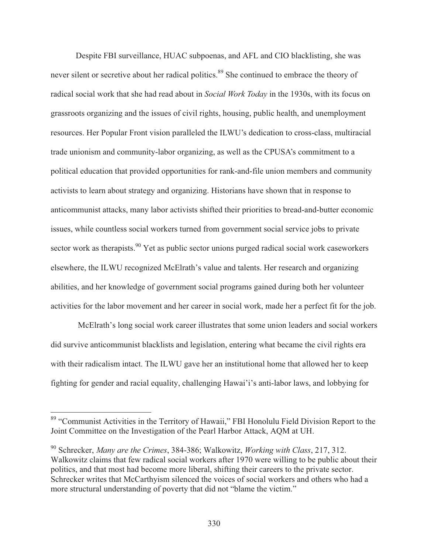Despite FBI surveillance, HUAC subpoenas, and AFL and CIO blacklisting, she was never silent or secretive about her radical politics.<sup>89</sup> She continued to embrace the theory of radical social work that she had read about in *Social Work Today* in the 1930s, with its focus on grassroots organizing and the issues of civil rights, housing, public health, and unemployment resources. Her Popular Front vision paralleled the ILWU's dedication to cross-class, multiracial trade unionism and community-labor organizing, as well as the CPUSA's commitment to a political education that provided opportunities for rank-and-file union members and community activists to learn about strategy and organizing. Historians have shown that in response to anticommunist attacks, many labor activists shifted their priorities to bread-and-butter economic issues, while countless social workers turned from government social service jobs to private sector work as therapists.<sup>90</sup> Yet as public sector unions purged radical social work caseworkers elsewhere, the ILWU recognized McElrath's value and talents. Her research and organizing abilities, and her knowledge of government social programs gained during both her volunteer activities for the labor movement and her career in social work, made her a perfect fit for the job.

 McElrath's long social work career illustrates that some union leaders and social workers did survive anticommunist blacklists and legislation, entering what became the civil rights era with their radicalism intact. The ILWU gave her an institutional home that allowed her to keep fighting for gender and racial equality, challenging Hawai'i's anti-labor laws, and lobbying for

<sup>&</sup>lt;sup>89</sup> "Communist Activities in the Territory of Hawaii," FBI Honolulu Field Division Report to the Joint Committee on the Investigation of the Pearl Harbor Attack, AQM at UH.

<sup>90</sup> Schrecker, *Many are the Crimes*, 384-386; Walkowitz, *Working with Class*, 217, 312. Walkowitz claims that few radical social workers after 1970 were willing to be public about their politics, and that most had become more liberal, shifting their careers to the private sector. Schrecker writes that McCarthyism silenced the voices of social workers and others who had a more structural understanding of poverty that did not "blame the victim."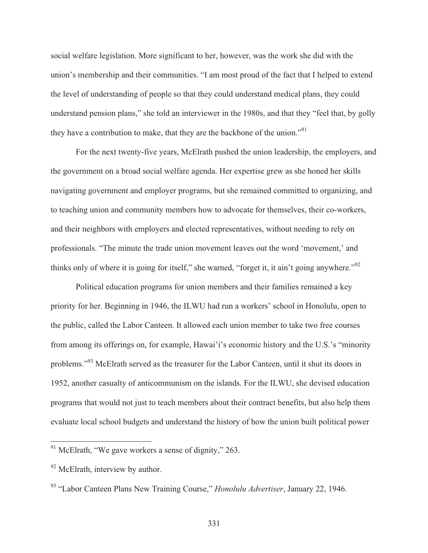social welfare legislation. More significant to her, however, was the work she did with the union's membership and their communities. "I am most proud of the fact that I helped to extend the level of understanding of people so that they could understand medical plans, they could understand pension plans," she told an interviewer in the 1980s, and that they "feel that, by golly they have a contribution to make, that they are the backbone of the union."<sup>91</sup>

 For the next twenty-five years, McElrath pushed the union leadership, the employers, and the government on a broad social welfare agenda. Her expertise grew as she honed her skills navigating government and employer programs, but she remained committed to organizing, and to teaching union and community members how to advocate for themselves, their co-workers, and their neighbors with employers and elected representatives, without needing to rely on professionals. "The minute the trade union movement leaves out the word 'movement,' and thinks only of where it is going for itself," she warned, "forget it, it ain't going anywhere."<sup>92</sup>

 Political education programs for union members and their families remained a key priority for her. Beginning in 1946, the ILWU had run a workers' school in Honolulu, open to the public, called the Labor Canteen. It allowed each union member to take two free courses from among its offerings on, for example, Hawai'i's economic history and the U.S.'s "minority problems."93 McElrath served as the treasurer for the Labor Canteen, until it shut its doors in 1952, another casualty of anticommunism on the islands. For the ILWU, she devised education programs that would not just to teach members about their contract benefits, but also help them evaluate local school budgets and understand the history of how the union built political power

 $\overline{\phantom{a}}$ 

 $91$  McElrath, "We gave workers a sense of dignity," 263.

<sup>&</sup>lt;sup>92</sup> McElrath, interview by author.

<sup>93 &</sup>quot;Labor Canteen Plans New Training Course," *Honolulu Advertiser*, January 22, 1946.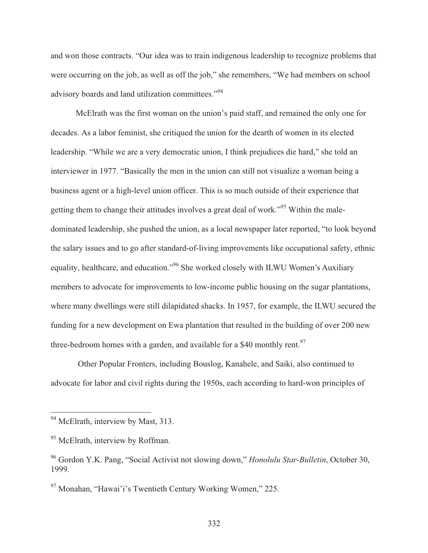and won those contracts. "Our idea was to train indigenous leadership to recognize problems that were occurring on the job, as well as off the job," she remembers, "We had members on school advisory boards and land utilization committees."<sup>94</sup>

 McElrath was the first woman on the union's paid staff, and remained the only one for decades. As a labor feminist, she critiqued the union for the dearth of women in its elected leadership. "While we are a very democratic union, I think prejudices die hard," she told an interviewer in 1977. "Basically the men in the union can still not visualize a woman being a business agent or a high-level union officer. This is so much outside of their experience that getting them to change their attitudes involves a great deal of work."95 Within the maledominated leadership, she pushed the union, as a local newspaper later reported, "to look beyond the salary issues and to go after standard-of-living improvements like occupational safety, ethnic equality, healthcare, and education."96 She worked closely with ILWU Women's Auxiliary members to advocate for improvements to low-income public housing on the sugar plantations, where many dwellings were still dilapidated shacks. In 1957, for example, the ILWU secured the funding for a new development on Ewa plantation that resulted in the building of over 200 new three-bedroom homes with a garden, and available for a \$40 monthly rent.<sup>97</sup>

 Other Popular Fronters, including Bouslog, Kanahele, and Saiki, also continued to advocate for labor and civil rights during the 1950s, each according to hard-won principles of

<sup>&</sup>lt;sup>94</sup> McElrath, interview by Mast, 313.

<sup>&</sup>lt;sup>95</sup> McElrath, interview by Roffman.

<sup>96</sup> Gordon Y.K. Pang, "Social Activist not slowing down," *Honolulu Star-Bulletin*, October 30, 1999.

<sup>97</sup> Monahan, "Hawai'i's Twentieth Century Working Women," 225.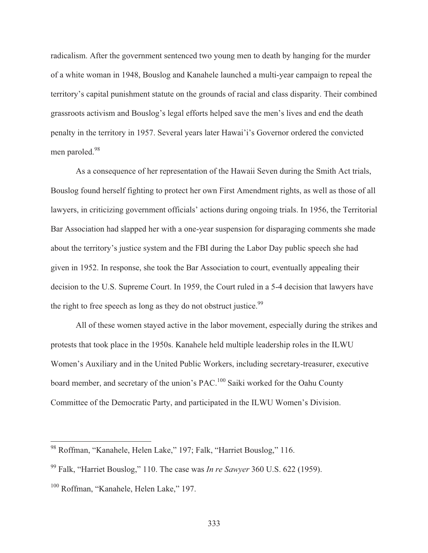radicalism. After the government sentenced two young men to death by hanging for the murder of a white woman in 1948, Bouslog and Kanahele launched a multi-year campaign to repeal the territory's capital punishment statute on the grounds of racial and class disparity. Their combined grassroots activism and Bouslog's legal efforts helped save the men's lives and end the death penalty in the territory in 1957. Several years later Hawai'i's Governor ordered the convicted men paroled.<sup>98</sup>

 As a consequence of her representation of the Hawaii Seven during the Smith Act trials, Bouslog found herself fighting to protect her own First Amendment rights, as well as those of all lawyers, in criticizing government officials' actions during ongoing trials. In 1956, the Territorial Bar Association had slapped her with a one-year suspension for disparaging comments she made about the territory's justice system and the FBI during the Labor Day public speech she had given in 1952. In response, she took the Bar Association to court, eventually appealing their decision to the U.S. Supreme Court. In 1959, the Court ruled in a 5-4 decision that lawyers have the right to free speech as long as they do not obstruct justice.<sup>99</sup>

 All of these women stayed active in the labor movement, especially during the strikes and protests that took place in the 1950s. Kanahele held multiple leadership roles in the ILWU Women's Auxiliary and in the United Public Workers, including secretary-treasurer, executive board member, and secretary of the union's PAC.<sup>100</sup> Saiki worked for the Oahu County Committee of the Democratic Party, and participated in the ILWU Women's Division.

 $\overline{\phantom{a}}$ 

<sup>&</sup>lt;sup>98</sup> Roffman, "Kanahele, Helen Lake," 197; Falk, "Harriet Bouslog," 116.

<sup>99</sup> Falk, "Harriet Bouslog," 110. The case was *In re Sawyer* 360 U.S. 622 (1959).

<sup>&</sup>lt;sup>100</sup> Roffman, "Kanahele, Helen Lake," 197.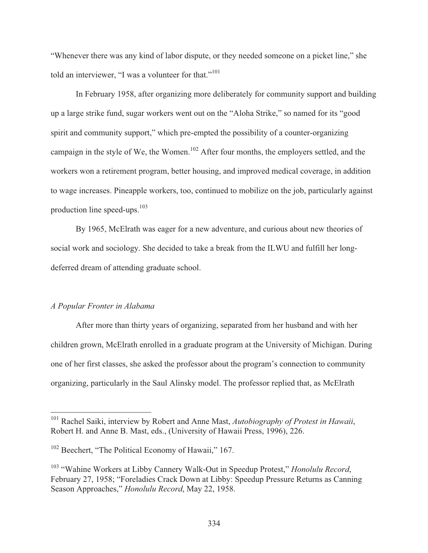"Whenever there was any kind of labor dispute, or they needed someone on a picket line," she told an interviewer, "I was a volunteer for that."<sup>101</sup>

 In February 1958, after organizing more deliberately for community support and building up a large strike fund, sugar workers went out on the "Aloha Strike," so named for its "good spirit and community support," which pre-empted the possibility of a counter-organizing campaign in the style of We, the Women.<sup>102</sup> After four months, the employers settled, and the workers won a retirement program, better housing, and improved medical coverage, in addition to wage increases. Pineapple workers, too, continued to mobilize on the job, particularly against production line speed-ups. $103$ 

 By 1965, McElrath was eager for a new adventure, and curious about new theories of social work and sociology. She decided to take a break from the ILWU and fulfill her longdeferred dream of attending graduate school.

## *A Popular Fronter in Alabama*

 $\overline{a}$ 

 After more than thirty years of organizing, separated from her husband and with her children grown, McElrath enrolled in a graduate program at the University of Michigan. During one of her first classes, she asked the professor about the program's connection to community organizing, particularly in the Saul Alinsky model. The professor replied that, as McElrath

<sup>101</sup> Rachel Saiki, interview by Robert and Anne Mast, *Autobiography of Protest in Hawaii*, Robert H. and Anne B. Mast, eds., (University of Hawaii Press, 1996), 226.

 $102$  Beechert, "The Political Economy of Hawaii," 167.

<sup>103 &</sup>quot;Wahine Workers at Libby Cannery Walk-Out in Speedup Protest," *Honolulu Record*, February 27, 1958; "Foreladies Crack Down at Libby: Speedup Pressure Returns as Canning Season Approaches," *Honolulu Record*, May 22, 1958.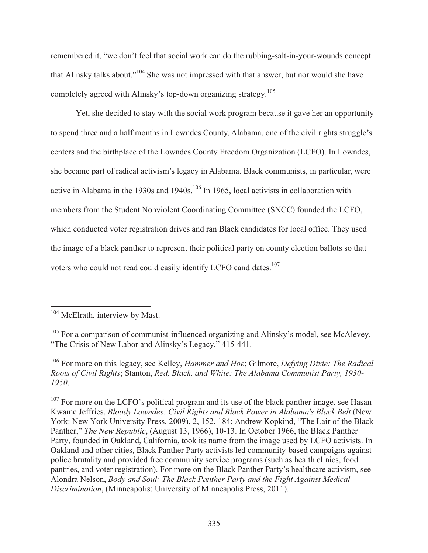remembered it, "we don't feel that social work can do the rubbing-salt-in-your-wounds concept that Alinsky talks about."104 She was not impressed with that answer, but nor would she have completely agreed with Alinsky's top-down organizing strategy.105

 Yet, she decided to stay with the social work program because it gave her an opportunity to spend three and a half months in Lowndes County, Alabama, one of the civil rights struggle's centers and the birthplace of the Lowndes County Freedom Organization (LCFO). In Lowndes, she became part of radical activism's legacy in Alabama. Black communists, in particular, were active in Alabama in the 1930s and 1940s.<sup>106</sup> In 1965, local activists in collaboration with members from the Student Nonviolent Coordinating Committee (SNCC) founded the LCFO, which conducted voter registration drives and ran Black candidates for local office. They used the image of a black panther to represent their political party on county election ballots so that voters who could not read could easily identify LCFO candidates.<sup>107</sup>

<sup>&</sup>lt;sup>104</sup> McElrath, interview by Mast.

 $105$  For a comparison of communist-influenced organizing and Alinsky's model, see McAlevey, "The Crisis of New Labor and Alinsky's Legacy," 415-441.

<sup>106</sup> For more on this legacy, see Kelley, *Hammer and Hoe*; Gilmore, *Defying Dixie: The Radical Roots of Civil Rights*; Stanton, *Red, Black, and White: The Alabama Communist Party, 1930- 1950*.

 $107$  For more on the LCFO's political program and its use of the black panther image, see Hasan Kwame Jeffries, *Bloody Lowndes: Civil Rights and Black Power in Alabama's Black Belt* (New York: New York University Press, 2009), 2, 152, 184; Andrew Kopkind, "The Lair of the Black Panther," *The New Republic*, (August 13, 1966), 10-13. In October 1966, the Black Panther Party, founded in Oakland, California, took its name from the image used by LCFO activists. In Oakland and other cities, Black Panther Party activists led community-based campaigns against police brutality and provided free community service programs (such as health clinics, food pantries, and voter registration). For more on the Black Panther Party's healthcare activism, see Alondra Nelson, *Body and Soul: The Black Panther Party and the Fight Against Medical Discrimination*, (Minneapolis: University of Minneapolis Press, 2011).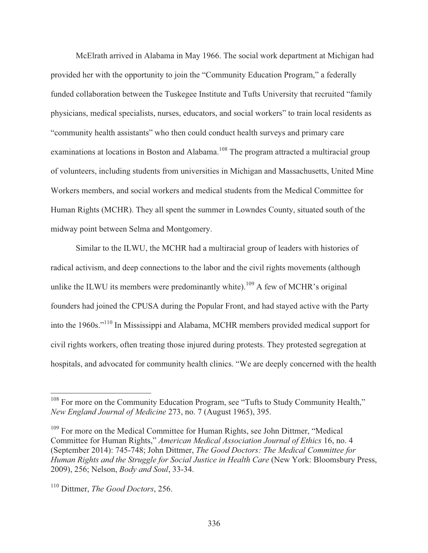McElrath arrived in Alabama in May 1966. The social work department at Michigan had provided her with the opportunity to join the "Community Education Program," a federally funded collaboration between the Tuskegee Institute and Tufts University that recruited "family physicians, medical specialists, nurses, educators, and social workers" to train local residents as "community health assistants" who then could conduct health surveys and primary care examinations at locations in Boston and Alabama.<sup>108</sup> The program attracted a multiracial group of volunteers, including students from universities in Michigan and Massachusetts, United Mine Workers members, and social workers and medical students from the Medical Committee for Human Rights (MCHR). They all spent the summer in Lowndes County, situated south of the midway point between Selma and Montgomery.

 Similar to the ILWU, the MCHR had a multiracial group of leaders with histories of radical activism, and deep connections to the labor and the civil rights movements (although unlike the ILWU its members were predominantly white).<sup>109</sup> A few of MCHR's original founders had joined the CPUSA during the Popular Front, and had stayed active with the Party into the 1960s."110 In Mississippi and Alabama, MCHR members provided medical support for civil rights workers, often treating those injured during protests. They protested segregation at hospitals, and advocated for community health clinics. "We are deeply concerned with the health

 $108$  For more on the Community Education Program, see "Tufts to Study Community Health," *New England Journal of Medicine* 273, no. 7 (August 1965), 395.

<sup>&</sup>lt;sup>109</sup> For more on the Medical Committee for Human Rights, see John Dittmer, "Medical Committee for Human Rights," *American Medical Association Journal of Ethics* 16, no. 4 (September 2014): 745-748; John Dittmer, *The Good Doctors: The Medical Committee for Human Rights and the Struggle for Social Justice in Health Care* (New York: Bloomsbury Press, 2009), 256; Nelson, *Body and Soul*, 33-34.

<sup>110</sup> Dittmer, *The Good Doctors*, 256.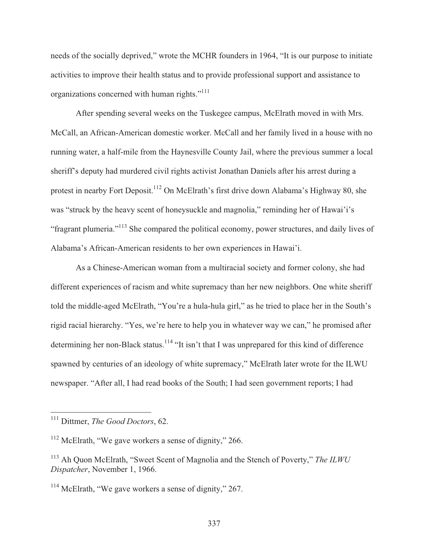needs of the socially deprived," wrote the MCHR founders in 1964, "It is our purpose to initiate activities to improve their health status and to provide professional support and assistance to organizations concerned with human rights."111

 After spending several weeks on the Tuskegee campus, McElrath moved in with Mrs. McCall, an African-American domestic worker. McCall and her family lived in a house with no running water, a half-mile from the Haynesville County Jail, where the previous summer a local sheriff's deputy had murdered civil rights activist Jonathan Daniels after his arrest during a protest in nearby Fort Deposit.<sup>112</sup> On McElrath's first drive down Alabama's Highway 80, she was "struck by the heavy scent of honeysuckle and magnolia," reminding her of Hawai'i's "fragrant plumeria."113 She compared the political economy, power structures, and daily lives of Alabama's African-American residents to her own experiences in Hawai'i.

 As a Chinese-American woman from a multiracial society and former colony, she had different experiences of racism and white supremacy than her new neighbors. One white sheriff told the middle-aged McElrath, "You're a hula-hula girl," as he tried to place her in the South's rigid racial hierarchy. "Yes, we're here to help you in whatever way we can," he promised after determining her non-Black status.<sup>114</sup> "It isn't that I was unprepared for this kind of difference spawned by centuries of an ideology of white supremacy," McElrath later wrote for the ILWU newspaper. "After all, I had read books of the South; I had seen government reports; I had

<sup>111</sup> Dittmer, *The Good Doctors*, 62.

<sup>&</sup>lt;sup>112</sup> McElrath, "We gave workers a sense of dignity," 266.

<sup>113</sup> Ah Quon McElrath, "Sweet Scent of Magnolia and the Stench of Poverty," *The ILWU Dispatcher*, November 1, 1966.

<sup>&</sup>lt;sup>114</sup> McElrath, "We gave workers a sense of dignity," 267.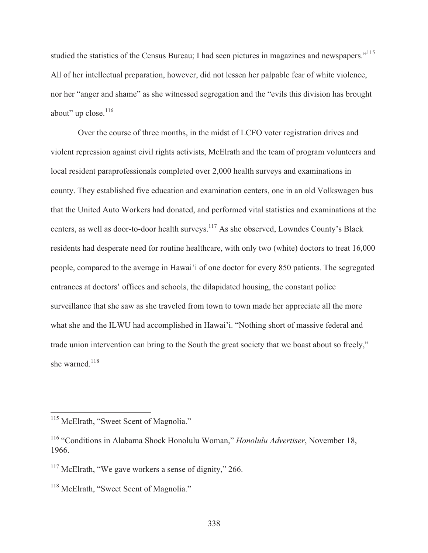studied the statistics of the Census Bureau; I had seen pictures in magazines and newspapers."<sup>115</sup> All of her intellectual preparation, however, did not lessen her palpable fear of white violence, nor her "anger and shame" as she witnessed segregation and the "evils this division has brought about" up close.<sup>116</sup>

 Over the course of three months, in the midst of LCFO voter registration drives and violent repression against civil rights activists, McElrath and the team of program volunteers and local resident paraprofessionals completed over 2,000 health surveys and examinations in county. They established five education and examination centers, one in an old Volkswagen bus that the United Auto Workers had donated, and performed vital statistics and examinations at the centers, as well as door-to-door health surveys.117 As she observed, Lowndes County's Black residents had desperate need for routine healthcare, with only two (white) doctors to treat 16,000 people, compared to the average in Hawai'i of one doctor for every 850 patients. The segregated entrances at doctors' offices and schools, the dilapidated housing, the constant police surveillance that she saw as she traveled from town to town made her appreciate all the more what she and the ILWU had accomplished in Hawai'i. "Nothing short of massive federal and trade union intervention can bring to the South the great society that we boast about so freely," she warned.<sup>118</sup>

<sup>&</sup>lt;sup>115</sup> McElrath, "Sweet Scent of Magnolia."

<sup>116 &</sup>quot;Conditions in Alabama Shock Honolulu Woman," *Honolulu Advertiser*, November 18, 1966.

 $117$  McElrath, "We gave workers a sense of dignity," 266.

<sup>&</sup>lt;sup>118</sup> McElrath, "Sweet Scent of Magnolia."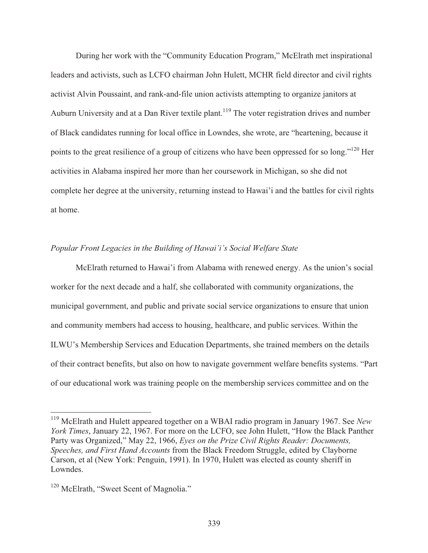During her work with the "Community Education Program," McElrath met inspirational leaders and activists, such as LCFO chairman John Hulett, MCHR field director and civil rights activist Alvin Poussaint, and rank-and-file union activists attempting to organize janitors at Auburn University and at a Dan River textile plant.<sup>119</sup> The voter registration drives and number of Black candidates running for local office in Lowndes, she wrote, are "heartening, because it points to the great resilience of a group of citizens who have been oppressed for so long."<sup>120</sup> Her activities in Alabama inspired her more than her coursework in Michigan, so she did not complete her degree at the university, returning instead to Hawai'i and the battles for civil rights at home.

## *Popular Front Legacies in the Building of Hawai'i's Social Welfare State*

 McElrath returned to Hawai'i from Alabama with renewed energy. As the union's social worker for the next decade and a half, she collaborated with community organizations, the municipal government, and public and private social service organizations to ensure that union and community members had access to housing, healthcare, and public services. Within the ILWU's Membership Services and Education Departments, she trained members on the details of their contract benefits, but also on how to navigate government welfare benefits systems. "Part of our educational work was training people on the membership services committee and on the

<sup>119</sup> McElrath and Hulett appeared together on a WBAI radio program in January 1967. See *New York Times*, January 22, 1967. For more on the LCFO, see John Hulett, "How the Black Panther Party was Organized," May 22, 1966, *Eyes on the Prize Civil Rights Reader: Documents, Speeches, and First Hand Accounts* from the Black Freedom Struggle, edited by Clayborne Carson, et al (New York: Penguin, 1991). In 1970, Hulett was elected as county sheriff in Lowndes.

<sup>&</sup>lt;sup>120</sup> McElrath, "Sweet Scent of Magnolia."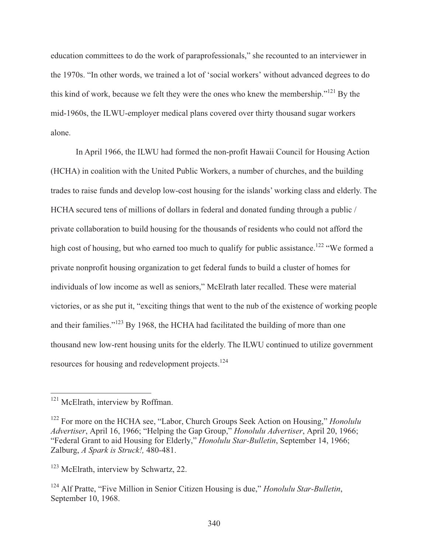education committees to do the work of paraprofessionals," she recounted to an interviewer in the 1970s. "In other words, we trained a lot of 'social workers' without advanced degrees to do this kind of work, because we felt they were the ones who knew the membership."121 By the mid-1960s, the ILWU-employer medical plans covered over thirty thousand sugar workers alone.

 In April 1966, the ILWU had formed the non-profit Hawaii Council for Housing Action (HCHA) in coalition with the United Public Workers, a number of churches, and the building trades to raise funds and develop low-cost housing for the islands' working class and elderly. The HCHA secured tens of millions of dollars in federal and donated funding through a public / private collaboration to build housing for the thousands of residents who could not afford the high cost of housing, but who earned too much to qualify for public assistance.<sup>122</sup> "We formed a private nonprofit housing organization to get federal funds to build a cluster of homes for individuals of low income as well as seniors," McElrath later recalled. These were material victories, or as she put it, "exciting things that went to the nub of the existence of working people and their families."<sup>123</sup> By 1968, the HCHA had facilitated the building of more than one thousand new low-rent housing units for the elderly. The ILWU continued to utilize government resources for housing and redevelopment projects.124

<sup>&</sup>lt;sup>121</sup> McElrath, interview by Roffman.

<sup>122</sup> For more on the HCHA see, "Labor, Church Groups Seek Action on Housing," *Honolulu Advertiser*, April 16, 1966; "Helping the Gap Group," *Honolulu Advertiser*, April 20, 1966; "Federal Grant to aid Housing for Elderly," *Honolulu Star-Bulletin*, September 14, 1966; Zalburg, *A Spark is Struck!,* 480-481.

<sup>&</sup>lt;sup>123</sup> McElrath, interview by Schwartz, 22.

<sup>124</sup> Alf Pratte, "Five Million in Senior Citizen Housing is due," *Honolulu Star-Bulletin*, September 10, 1968.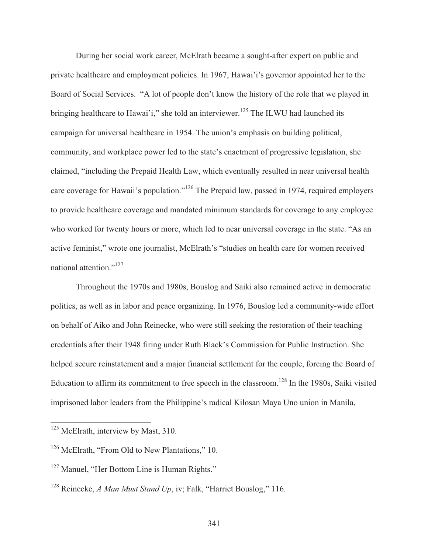During her social work career, McElrath became a sought-after expert on public and private healthcare and employment policies. In 1967, Hawai'i's governor appointed her to the Board of Social Services. "A lot of people don't know the history of the role that we played in bringing healthcare to Hawai'i," she told an interviewer.<sup>125</sup> The ILWU had launched its campaign for universal healthcare in 1954. The union's emphasis on building political, community, and workplace power led to the state's enactment of progressive legislation, she claimed, "including the Prepaid Health Law, which eventually resulted in near universal health care coverage for Hawaii's population."<sup>126</sup> The Prepaid law, passed in 1974, required employers to provide healthcare coverage and mandated minimum standards for coverage to any employee who worked for twenty hours or more, which led to near universal coverage in the state. "As an active feminist," wrote one journalist, McElrath's "studies on health care for women received national attention."<sup>127</sup>

 Throughout the 1970s and 1980s, Bouslog and Saiki also remained active in democratic politics, as well as in labor and peace organizing. In 1976, Bouslog led a community-wide effort on behalf of Aiko and John Reinecke, who were still seeking the restoration of their teaching credentials after their 1948 firing under Ruth Black's Commission for Public Instruction. She helped secure reinstatement and a major financial settlement for the couple, forcing the Board of Education to affirm its commitment to free speech in the classroom.<sup>128</sup> In the 1980s, Saiki visited imprisoned labor leaders from the Philippine's radical Kilosan Maya Uno union in Manila,

<sup>&</sup>lt;sup>125</sup> McElrath, interview by Mast, 310.

<sup>&</sup>lt;sup>126</sup> McElrath, "From Old to New Plantations," 10.

<sup>&</sup>lt;sup>127</sup> Manuel, "Her Bottom Line is Human Rights."

<sup>&</sup>lt;sup>128</sup> Reinecke, *A Man Must Stand Up*, iv; Falk, "Harriet Bouslog," 116.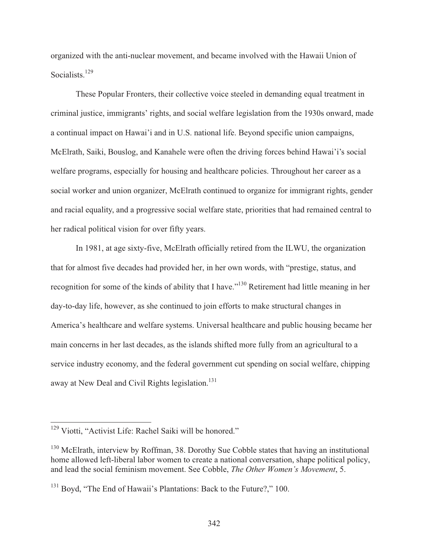organized with the anti-nuclear movement, and became involved with the Hawaii Union of Socialists.<sup>129</sup>

 These Popular Fronters, their collective voice steeled in demanding equal treatment in criminal justice, immigrants' rights, and social welfare legislation from the 1930s onward, made a continual impact on Hawai'i and in U.S. national life. Beyond specific union campaigns, McElrath, Saiki, Bouslog, and Kanahele were often the driving forces behind Hawai'i's social welfare programs, especially for housing and healthcare policies. Throughout her career as a social worker and union organizer, McElrath continued to organize for immigrant rights, gender and racial equality, and a progressive social welfare state, priorities that had remained central to her radical political vision for over fifty years.

 In 1981, at age sixty-five, McElrath officially retired from the ILWU, the organization that for almost five decades had provided her, in her own words, with "prestige, status, and recognition for some of the kinds of ability that I have."130 Retirement had little meaning in her day-to-day life, however, as she continued to join efforts to make structural changes in America's healthcare and welfare systems. Universal healthcare and public housing became her main concerns in her last decades, as the islands shifted more fully from an agricultural to a service industry economy, and the federal government cut spending on social welfare, chipping away at New Deal and Civil Rights legislation.<sup>131</sup>

<sup>&</sup>lt;sup>129</sup> Viotti, "Activist Life: Rachel Saiki will be honored."

<sup>&</sup>lt;sup>130</sup> McElrath, interview by Roffman, 38. Dorothy Sue Cobble states that having an institutional home allowed left-liberal labor women to create a national conversation, shape political policy, and lead the social feminism movement. See Cobble, *The Other Women's Movement*, 5.

<sup>&</sup>lt;sup>131</sup> Boyd, "The End of Hawaii's Plantations: Back to the Future?," 100.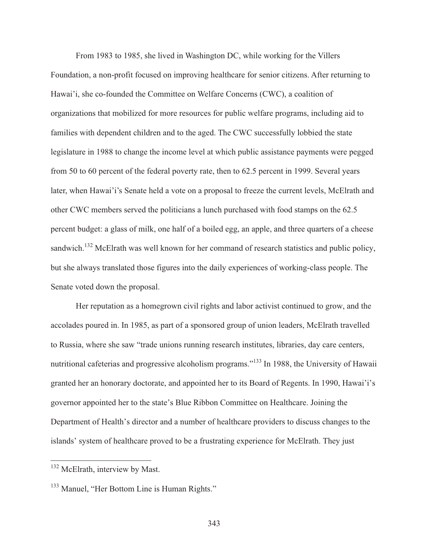From 1983 to 1985, she lived in Washington DC, while working for the Villers Foundation, a non-profit focused on improving healthcare for senior citizens. After returning to Hawai'i, she co-founded the Committee on Welfare Concerns (CWC), a coalition of organizations that mobilized for more resources for public welfare programs, including aid to families with dependent children and to the aged. The CWC successfully lobbied the state legislature in 1988 to change the income level at which public assistance payments were pegged from 50 to 60 percent of the federal poverty rate, then to 62.5 percent in 1999. Several years later, when Hawai'i's Senate held a vote on a proposal to freeze the current levels, McElrath and other CWC members served the politicians a lunch purchased with food stamps on the 62.5 percent budget: a glass of milk, one half of a boiled egg, an apple, and three quarters of a cheese sandwich.<sup>132</sup> McElrath was well known for her command of research statistics and public policy, but she always translated those figures into the daily experiences of working-class people. The Senate voted down the proposal.

 Her reputation as a homegrown civil rights and labor activist continued to grow, and the accolades poured in. In 1985, as part of a sponsored group of union leaders, McElrath travelled to Russia, where she saw "trade unions running research institutes, libraries, day care centers, nutritional cafeterias and progressive alcoholism programs."133 In 1988, the University of Hawaii granted her an honorary doctorate, and appointed her to its Board of Regents. In 1990, Hawai'i's governor appointed her to the state's Blue Ribbon Committee on Healthcare. Joining the Department of Health's director and a number of healthcare providers to discuss changes to the islands' system of healthcare proved to be a frustrating experience for McElrath. They just

<sup>&</sup>lt;sup>132</sup> McElrath, interview by Mast.

<sup>&</sup>lt;sup>133</sup> Manuel, "Her Bottom Line is Human Rights."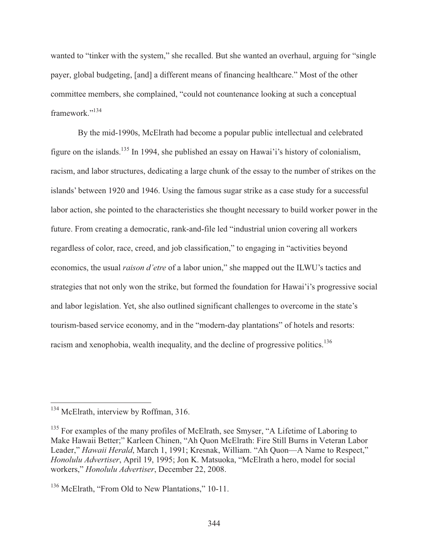wanted to "tinker with the system," she recalled. But she wanted an overhaul, arguing for "single payer, global budgeting, [and] a different means of financing healthcare." Most of the other committee members, she complained, "could not countenance looking at such a conceptual framework."134

 By the mid-1990s, McElrath had become a popular public intellectual and celebrated figure on the islands.135 In 1994, she published an essay on Hawai'i's history of colonialism, racism, and labor structures, dedicating a large chunk of the essay to the number of strikes on the islands' between 1920 and 1946. Using the famous sugar strike as a case study for a successful labor action, she pointed to the characteristics she thought necessary to build worker power in the future. From creating a democratic, rank-and-file led "industrial union covering all workers regardless of color, race, creed, and job classification," to engaging in "activities beyond economics, the usual *raison d'etre* of a labor union," she mapped out the ILWU's tactics and strategies that not only won the strike, but formed the foundation for Hawai'i's progressive social and labor legislation. Yet, she also outlined significant challenges to overcome in the state's tourism-based service economy, and in the "modern-day plantations" of hotels and resorts: racism and xenophobia, wealth inequality, and the decline of progressive politics.<sup>136</sup>

<sup>&</sup>lt;sup>134</sup> McElrath, interview by Roffman, 316.

<sup>&</sup>lt;sup>135</sup> For examples of the many profiles of McElrath, see Smyser, "A Lifetime of Laboring to Make Hawaii Better;" Karleen Chinen, "Ah Quon McElrath: Fire Still Burns in Veteran Labor Leader," *Hawaii Herald*, March 1, 1991; Kresnak, William. "Ah Quon—A Name to Respect," *Honolulu Advertiser*, April 19, 1995; Jon K. Matsuoka, "McElrath a hero, model for social workers," *Honolulu Advertiser*, December 22, 2008.

<sup>&</sup>lt;sup>136</sup> McElrath, "From Old to New Plantations," 10-11.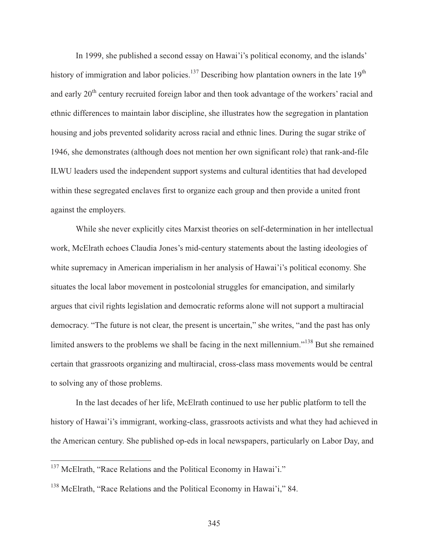In 1999, she published a second essay on Hawai'i's political economy, and the islands' history of immigration and labor policies.<sup>137</sup> Describing how plantation owners in the late  $19<sup>th</sup>$ and early 20<sup>th</sup> century recruited foreign labor and then took advantage of the workers' racial and ethnic differences to maintain labor discipline, she illustrates how the segregation in plantation housing and jobs prevented solidarity across racial and ethnic lines. During the sugar strike of 1946, she demonstrates (although does not mention her own significant role) that rank-and-file ILWU leaders used the independent support systems and cultural identities that had developed within these segregated enclaves first to organize each group and then provide a united front against the employers.

 While she never explicitly cites Marxist theories on self-determination in her intellectual work, McElrath echoes Claudia Jones's mid-century statements about the lasting ideologies of white supremacy in American imperialism in her analysis of Hawai'i's political economy. She situates the local labor movement in postcolonial struggles for emancipation, and similarly argues that civil rights legislation and democratic reforms alone will not support a multiracial democracy. "The future is not clear, the present is uncertain," she writes, "and the past has only limited answers to the problems we shall be facing in the next millennium."<sup>138</sup> But she remained certain that grassroots organizing and multiracial, cross-class mass movements would be central to solving any of those problems.

 In the last decades of her life, McElrath continued to use her public platform to tell the history of Hawai'i's immigrant, working-class, grassroots activists and what they had achieved in the American century. She published op-eds in local newspapers, particularly on Labor Day, and

<sup>&</sup>lt;sup>137</sup> McElrath, "Race Relations and the Political Economy in Hawai'i."

<sup>138</sup> McElrath, "Race Relations and the Political Economy in Hawai'i," 84.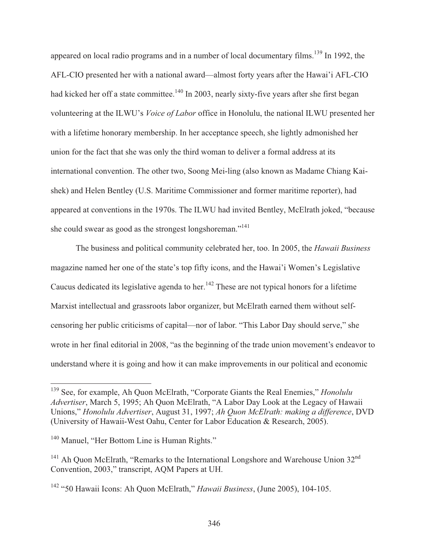appeared on local radio programs and in a number of local documentary films.<sup>139</sup> In 1992, the AFL-CIO presented her with a national award—almost forty years after the Hawai'i AFL-CIO had kicked her off a state committee.<sup>140</sup> In 2003, nearly sixty-five years after she first began volunteering at the ILWU's *Voice of Labor* office in Honolulu, the national ILWU presented her with a lifetime honorary membership. In her acceptance speech, she lightly admonished her union for the fact that she was only the third woman to deliver a formal address at its international convention. The other two, Soong Mei-ling (also known as Madame Chiang Kaishek) and Helen Bentley (U.S. Maritime Commissioner and former maritime reporter), had appeared at conventions in the 1970s. The ILWU had invited Bentley, McElrath joked, "because she could swear as good as the strongest longshoreman."<sup>141</sup>

 The business and political community celebrated her, too. In 2005, the *Hawaii Business* magazine named her one of the state's top fifty icons, and the Hawai'i Women's Legislative Caucus dedicated its legislative agenda to her.<sup>142</sup> These are not typical honors for a lifetime Marxist intellectual and grassroots labor organizer, but McElrath earned them without selfcensoring her public criticisms of capital—nor of labor. "This Labor Day should serve," she wrote in her final editorial in 2008, "as the beginning of the trade union movement's endeavor to understand where it is going and how it can make improvements in our political and economic

 $\overline{\phantom{a}}$ 

<sup>139</sup> See, for example, Ah Quon McElrath, "Corporate Giants the Real Enemies," *Honolulu Advertiser*, March 5, 1995; Ah Quon McElrath, "A Labor Day Look at the Legacy of Hawaii Unions," *Honolulu Advertiser*, August 31, 1997; *Ah Quon McElrath: making a difference*, DVD (University of Hawaii-West Oahu, Center for Labor Education & Research, 2005).

<sup>&</sup>lt;sup>140</sup> Manuel, "Her Bottom Line is Human Rights."

 $141$  Ah Quon McElrath, "Remarks to the International Longshore and Warehouse Union  $32<sup>nd</sup>$ Convention, 2003," transcript, AQM Papers at UH.

<sup>142 &</sup>quot;50 Hawaii Icons: Ah Quon McElrath," *Hawaii Business*, (June 2005), 104-105.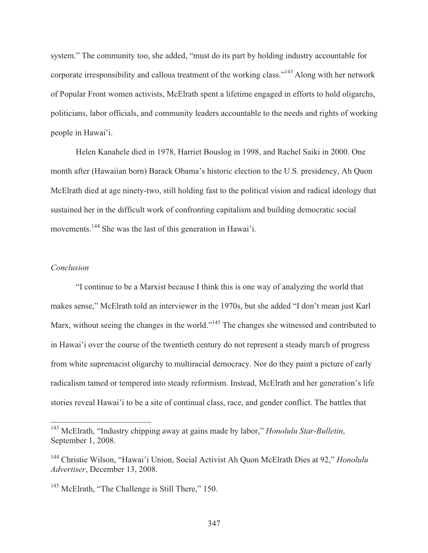system." The community too, she added, "must do its part by holding industry accountable for corporate irresponsibility and callous treatment of the working class."143 Along with her network of Popular Front women activists, McElrath spent a lifetime engaged in efforts to hold oligarchs, politicians, labor officials, and community leaders accountable to the needs and rights of working people in Hawai'i.

 Helen Kanahele died in 1978, Harriet Bouslog in 1998, and Rachel Saiki in 2000. One month after (Hawaiian born) Barack Obama's historic election to the U.S. presidency, Ah Quon McElrath died at age ninety-two, still holding fast to the political vision and radical ideology that sustained her in the difficult work of confronting capitalism and building democratic social movements.<sup>144</sup> She was the last of this generation in Hawai'i.

### *Conclusion*

 $\overline{a}$ 

 "I continue to be a Marxist because I think this is one way of analyzing the world that makes sense," McElrath told an interviewer in the 1970s, but she added "I don't mean just Karl Marx, without seeing the changes in the world."<sup>145</sup> The changes she witnessed and contributed to in Hawai'i over the course of the twentieth century do not represent a steady march of progress from white supremacist oligarchy to multiracial democracy. Nor do they paint a picture of early radicalism tamed or tempered into steady reformism. Instead, McElrath and her generation's life stories reveal Hawai'i to be a site of continual class, race, and gender conflict. The battles that

<sup>143</sup> McElrath, "Industry chipping away at gains made by labor," *Honolulu Star-Bulletin*, September 1, 2008.

<sup>144</sup> Christie Wilson, "Hawai'i Union, Social Activist Ah Quon McElrath Dies at 92," *Honolulu Advertiser*, December 13, 2008.

<sup>&</sup>lt;sup>145</sup> McElrath, "The Challenge is Still There," 150.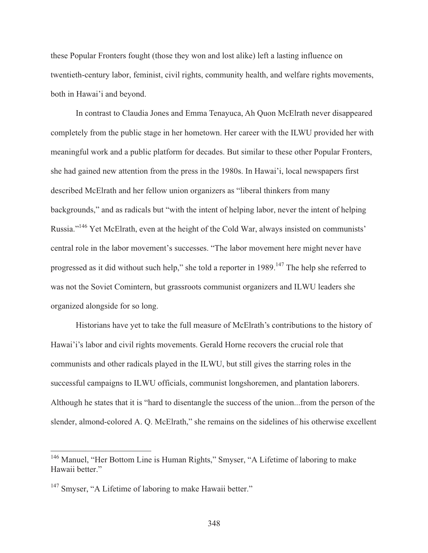these Popular Fronters fought (those they won and lost alike) left a lasting influence on twentieth-century labor, feminist, civil rights, community health, and welfare rights movements, both in Hawai'i and beyond.

 In contrast to Claudia Jones and Emma Tenayuca, Ah Quon McElrath never disappeared completely from the public stage in her hometown. Her career with the ILWU provided her with meaningful work and a public platform for decades. But similar to these other Popular Fronters, she had gained new attention from the press in the 1980s. In Hawai'i, local newspapers first described McElrath and her fellow union organizers as "liberal thinkers from many backgrounds," and as radicals but "with the intent of helping labor, never the intent of helping Russia."146 Yet McElrath, even at the height of the Cold War, always insisted on communists' central role in the labor movement's successes. "The labor movement here might never have progressed as it did without such help," she told a reporter in  $1989$ .<sup>147</sup> The help she referred to was not the Soviet Comintern, but grassroots communist organizers and ILWU leaders she organized alongside for so long.

 Historians have yet to take the full measure of McElrath's contributions to the history of Hawai'i's labor and civil rights movements. Gerald Horne recovers the crucial role that communists and other radicals played in the ILWU, but still gives the starring roles in the successful campaigns to ILWU officials, communist longshoremen, and plantation laborers. Although he states that it is "hard to disentangle the success of the union...from the person of the slender, almond-colored A. Q. McElrath," she remains on the sidelines of his otherwise excellent

 $\overline{a}$ 

<sup>&</sup>lt;sup>146</sup> Manuel, "Her Bottom Line is Human Rights," Smyser, "A Lifetime of laboring to make Hawaii better."

<sup>&</sup>lt;sup>147</sup> Smyser, "A Lifetime of laboring to make Hawaii better."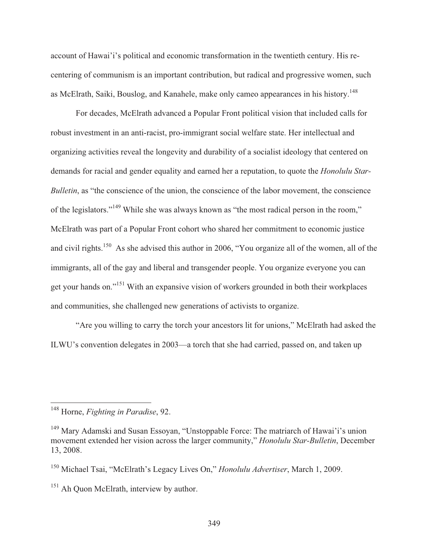account of Hawai'i's political and economic transformation in the twentieth century. His recentering of communism is an important contribution, but radical and progressive women, such as McElrath, Saiki, Bouslog, and Kanahele, make only cameo appearances in his history.<sup>148</sup>

 For decades, McElrath advanced a Popular Front political vision that included calls for robust investment in an anti-racist, pro-immigrant social welfare state. Her intellectual and organizing activities reveal the longevity and durability of a socialist ideology that centered on demands for racial and gender equality and earned her a reputation, to quote the *Honolulu Star-Bulletin*, as "the conscience of the union, the conscience of the labor movement, the conscience of the legislators."149 While she was always known as "the most radical person in the room," McElrath was part of a Popular Front cohort who shared her commitment to economic justice and civil rights.<sup>150</sup> As she advised this author in 2006, "You organize all of the women, all of the immigrants, all of the gay and liberal and transgender people. You organize everyone you can get your hands on."<sup>151</sup> With an expansive vision of workers grounded in both their workplaces and communities, she challenged new generations of activists to organize.

"Are you willing to carry the torch your ancestors lit for unions," McElrath had asked the ILWU's convention delegates in 2003—a torch that she had carried, passed on, and taken up

 $\overline{a}$ 

<sup>148</sup> Horne, *Fighting in Paradise*, 92.

<sup>149</sup> Mary Adamski and Susan Essoyan, "Unstoppable Force: The matriarch of Hawai'i's union movement extended her vision across the larger community," *Honolulu Star-Bulletin*, December 13, 2008.

<sup>150</sup> Michael Tsai, "McElrath's Legacy Lives On," *Honolulu Advertiser*, March 1, 2009.

<sup>&</sup>lt;sup>151</sup> Ah Quon McElrath, interview by author.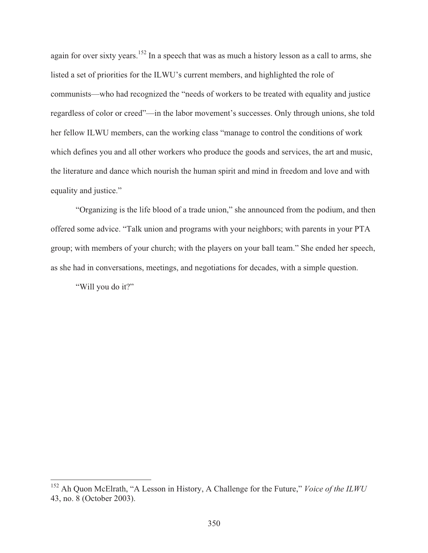again for over sixty years.<sup>152</sup> In a speech that was as much a history lesson as a call to arms, she listed a set of priorities for the ILWU's current members, and highlighted the role of communists—who had recognized the "needs of workers to be treated with equality and justice regardless of color or creed"—in the labor movement's successes. Only through unions, she told her fellow ILWU members, can the working class "manage to control the conditions of work which defines you and all other workers who produce the goods and services, the art and music, the literature and dance which nourish the human spirit and mind in freedom and love and with equality and justice."

"Organizing is the life blood of a trade union," she announced from the podium, and then offered some advice. "Talk union and programs with your neighbors; with parents in your PTA group; with members of your church; with the players on your ball team." She ended her speech, as she had in conversations, meetings, and negotiations for decades, with a simple question.

"Will you do it?"

 $\overline{\phantom{a}}$ 

<sup>152</sup> Ah Quon McElrath, "A Lesson in History, A Challenge for the Future," *Voice of the ILWU* 43, no. 8 (October 2003).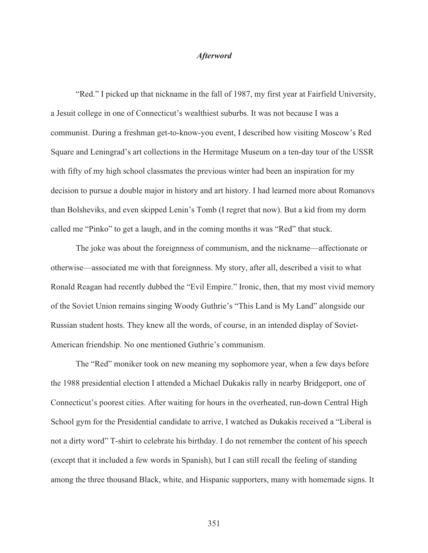#### *Afterword*

 "Red." I picked up that nickname in the fall of 1987, my first year at Fairfield University, a Jesuit college in one of Connecticut's wealthiest suburbs. It was not because I was a communist. During a freshman get-to-know-you event, I described how visiting Moscow's Red Square and Leningrad's art collections in the Hermitage Museum on a ten-day tour of the USSR with fifty of my high school classmates the previous winter had been an inspiration for my decision to pursue a double major in history and art history. I had learned more about Romanovs than Bolsheviks, and even skipped Lenin's Tomb (I regret that now). But a kid from my dorm called me "Pinko" to get a laugh, and in the coming months it was "Red" that stuck.

 The joke was about the foreignness of communism, and the nickname—affectionate or otherwise—associated me with that foreignness. My story, after all, described a visit to what Ronald Reagan had recently dubbed the "Evil Empire." Ironic, then, that my most vivid memory of the Soviet Union remains singing Woody Guthrie's "This Land is My Land" alongside our Russian student hosts. They knew all the words, of course, in an intended display of Soviet-American friendship. No one mentioned Guthrie's communism.

 The "Red" moniker took on new meaning my sophomore year, when a few days before the 1988 presidential election I attended a Michael Dukakis rally in nearby Bridgeport, one of Connecticut's poorest cities. After waiting for hours in the overheated, run-down Central High School gym for the Presidential candidate to arrive, I watched as Dukakis received a "Liberal is not a dirty word" T-shirt to celebrate his birthday. I do not remember the content of his speech (except that it included a few words in Spanish), but I can still recall the feeling of standing among the three thousand Black, white, and Hispanic supporters, many with homemade signs. It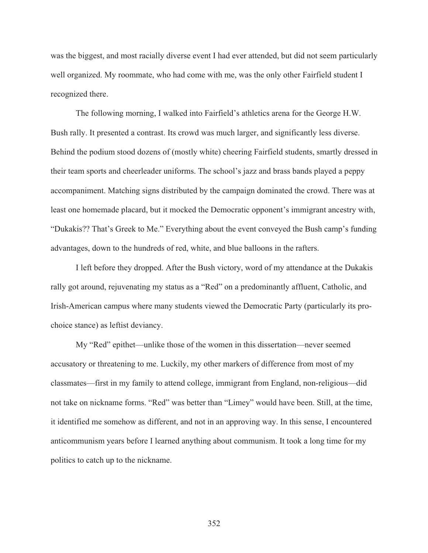was the biggest, and most racially diverse event I had ever attended, but did not seem particularly well organized. My roommate, who had come with me, was the only other Fairfield student I recognized there.

 The following morning, I walked into Fairfield's athletics arena for the George H.W. Bush rally. It presented a contrast. Its crowd was much larger, and significantly less diverse. Behind the podium stood dozens of (mostly white) cheering Fairfield students, smartly dressed in their team sports and cheerleader uniforms. The school's jazz and brass bands played a peppy accompaniment. Matching signs distributed by the campaign dominated the crowd. There was at least one homemade placard, but it mocked the Democratic opponent's immigrant ancestry with, "Dukakis?? That's Greek to Me." Everything about the event conveyed the Bush camp's funding advantages, down to the hundreds of red, white, and blue balloons in the rafters.

 I left before they dropped. After the Bush victory, word of my attendance at the Dukakis rally got around, rejuvenating my status as a "Red" on a predominantly affluent, Catholic, and Irish-American campus where many students viewed the Democratic Party (particularly its prochoice stance) as leftist deviancy.

 My "Red" epithet—unlike those of the women in this dissertation—never seemed accusatory or threatening to me. Luckily, my other markers of difference from most of my classmates—first in my family to attend college, immigrant from England, non-religious—did not take on nickname forms. "Red" was better than "Limey" would have been. Still, at the time, it identified me somehow as different, and not in an approving way. In this sense, I encountered anticommunism years before I learned anything about communism. It took a long time for my politics to catch up to the nickname.

352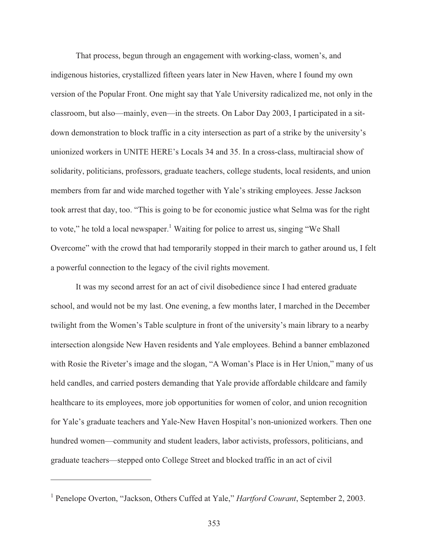That process, begun through an engagement with working-class, women's, and indigenous histories, crystallized fifteen years later in New Haven, where I found my own version of the Popular Front. One might say that Yale University radicalized me, not only in the classroom, but also—mainly, even—in the streets. On Labor Day 2003, I participated in a sitdown demonstration to block traffic in a city intersection as part of a strike by the university's unionized workers in UNITE HERE's Locals 34 and 35. In a cross-class, multiracial show of solidarity, politicians, professors, graduate teachers, college students, local residents, and union members from far and wide marched together with Yale's striking employees. Jesse Jackson took arrest that day, too. "This is going to be for economic justice what Selma was for the right to vote," he told a local newspaper.<sup>1</sup> Waiting for police to arrest us, singing "We Shall Overcome" with the crowd that had temporarily stopped in their march to gather around us, I felt a powerful connection to the legacy of the civil rights movement.

 It was my second arrest for an act of civil disobedience since I had entered graduate school, and would not be my last. One evening, a few months later, I marched in the December twilight from the Women's Table sculpture in front of the university's main library to a nearby intersection alongside New Haven residents and Yale employees. Behind a banner emblazoned with Rosie the Riveter's image and the slogan, "A Woman's Place is in Her Union," many of us held candles, and carried posters demanding that Yale provide affordable childcare and family healthcare to its employees, more job opportunities for women of color, and union recognition for Yale's graduate teachers and Yale-New Haven Hospital's non-unionized workers. Then one hundred women—community and student leaders, labor activists, professors, politicians, and graduate teachers—stepped onto College Street and blocked traffic in an act of civil

 $\overline{a}$ 

<sup>&</sup>lt;sup>1</sup> Penelope Overton, "Jackson, Others Cuffed at Yale," *Hartford Courant*, September 2, 2003.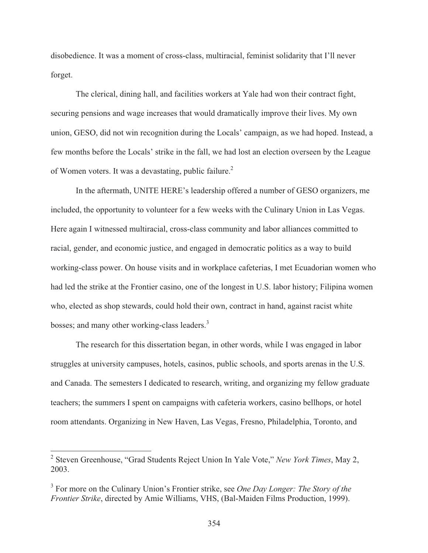disobedience. It was a moment of cross-class, multiracial, feminist solidarity that I'll never forget.

 The clerical, dining hall, and facilities workers at Yale had won their contract fight, securing pensions and wage increases that would dramatically improve their lives. My own union, GESO, did not win recognition during the Locals' campaign, as we had hoped. Instead, a few months before the Locals' strike in the fall, we had lost an election overseen by the League of Women voters. It was a devastating, public failure.<sup>2</sup>

 In the aftermath, UNITE HERE's leadership offered a number of GESO organizers, me included, the opportunity to volunteer for a few weeks with the Culinary Union in Las Vegas. Here again I witnessed multiracial, cross-class community and labor alliances committed to racial, gender, and economic justice, and engaged in democratic politics as a way to build working-class power. On house visits and in workplace cafeterias, I met Ecuadorian women who had led the strike at the Frontier casino, one of the longest in U.S. labor history; Filipina women who, elected as shop stewards, could hold their own, contract in hand, against racist white bosses; and many other working-class leaders.<sup>3</sup>

 The research for this dissertation began, in other words, while I was engaged in labor struggles at university campuses, hotels, casinos, public schools, and sports arenas in the U.S. and Canada. The semesters I dedicated to research, writing, and organizing my fellow graduate teachers; the summers I spent on campaigns with cafeteria workers, casino bellhops, or hotel room attendants. Organizing in New Haven, Las Vegas, Fresno, Philadelphia, Toronto, and

 2 Steven Greenhouse, "Grad Students Reject Union In Yale Vote," *New York Times*, May 2, 2003.

<sup>3</sup> For more on the Culinary Union's Frontier strike, see *One Day Longer: The Story of the Frontier Strike*, directed by Amie Williams, VHS, (Bal-Maiden Films Production, 1999).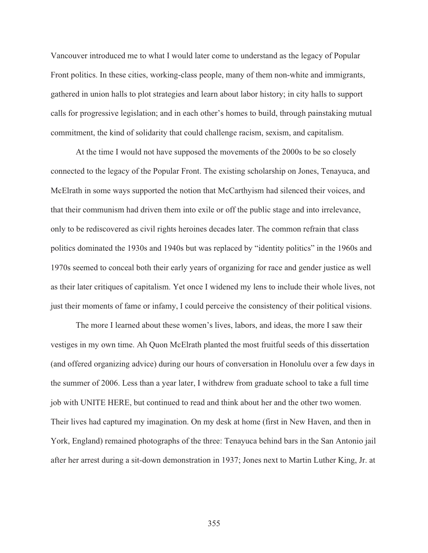Vancouver introduced me to what I would later come to understand as the legacy of Popular Front politics. In these cities, working-class people, many of them non-white and immigrants, gathered in union halls to plot strategies and learn about labor history; in city halls to support calls for progressive legislation; and in each other's homes to build, through painstaking mutual commitment, the kind of solidarity that could challenge racism, sexism, and capitalism.

 At the time I would not have supposed the movements of the 2000s to be so closely connected to the legacy of the Popular Front. The existing scholarship on Jones, Tenayuca, and McElrath in some ways supported the notion that McCarthyism had silenced their voices, and that their communism had driven them into exile or off the public stage and into irrelevance, only to be rediscovered as civil rights heroines decades later. The common refrain that class politics dominated the 1930s and 1940s but was replaced by "identity politics" in the 1960s and 1970s seemed to conceal both their early years of organizing for race and gender justice as well as their later critiques of capitalism. Yet once I widened my lens to include their whole lives, not just their moments of fame or infamy, I could perceive the consistency of their political visions.

 The more I learned about these women's lives, labors, and ideas, the more I saw their vestiges in my own time. Ah Quon McElrath planted the most fruitful seeds of this dissertation (and offered organizing advice) during our hours of conversation in Honolulu over a few days in the summer of 2006. Less than a year later, I withdrew from graduate school to take a full time job with UNITE HERE, but continued to read and think about her and the other two women. Their lives had captured my imagination. On my desk at home (first in New Haven, and then in York, England) remained photographs of the three: Tenayuca behind bars in the San Antonio jail after her arrest during a sit-down demonstration in 1937; Jones next to Martin Luther King, Jr. at

355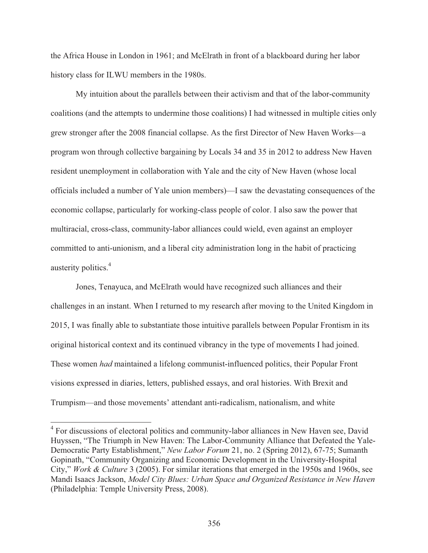the Africa House in London in 1961; and McElrath in front of a blackboard during her labor history class for ILWU members in the 1980s.

 My intuition about the parallels between their activism and that of the labor-community coalitions (and the attempts to undermine those coalitions) I had witnessed in multiple cities only grew stronger after the 2008 financial collapse. As the first Director of New Haven Works—a program won through collective bargaining by Locals 34 and 35 in 2012 to address New Haven resident unemployment in collaboration with Yale and the city of New Haven (whose local officials included a number of Yale union members)—I saw the devastating consequences of the economic collapse, particularly for working-class people of color. I also saw the power that multiracial, cross-class, community-labor alliances could wield, even against an employer committed to anti-unionism, and a liberal city administration long in the habit of practicing austerity politics.<sup>4</sup>

 Jones, Tenayuca, and McElrath would have recognized such alliances and their challenges in an instant. When I returned to my research after moving to the United Kingdom in 2015, I was finally able to substantiate those intuitive parallels between Popular Frontism in its original historical context and its continued vibrancy in the type of movements I had joined. These women *had* maintained a lifelong communist-influenced politics, their Popular Front visions expressed in diaries, letters, published essays, and oral histories. With Brexit and Trumpism—and those movements' attendant anti-radicalism, nationalism, and white

<sup>&</sup>lt;sup>4</sup> For discussions of electoral politics and community-labor alliances in New Haven see, David Huyssen, "The Triumph in New Haven: The Labor-Community Alliance that Defeated the Yale-Democratic Party Establishment," *New Labor Forum* 21, no. 2 (Spring 2012), 67-75; Sumanth Gopinath, "Community Organizing and Economic Development in the University-Hospital City," *Work & Culture* 3 (2005). For similar iterations that emerged in the 1950s and 1960s, see Mandi Isaacs Jackson, *Model City Blues: Urban Space and Organized Resistance in New Haven* (Philadelphia: Temple University Press, 2008).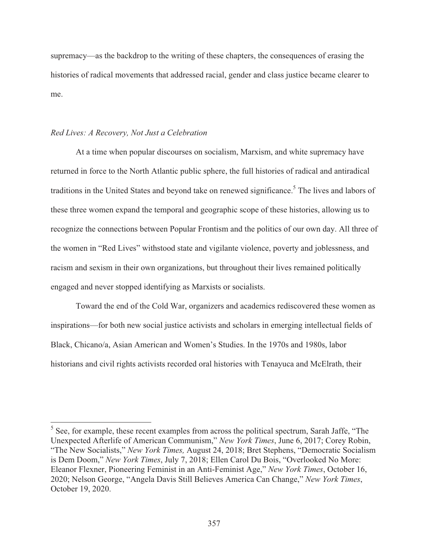supremacy—as the backdrop to the writing of these chapters, the consequences of erasing the histories of radical movements that addressed racial, gender and class justice became clearer to me.

#### *Red Lives: A Recovery, Not Just a Celebration*

 At a time when popular discourses on socialism, Marxism, and white supremacy have returned in force to the North Atlantic public sphere, the full histories of radical and antiradical traditions in the United States and beyond take on renewed significance.<sup>5</sup> The lives and labors of these three women expand the temporal and geographic scope of these histories, allowing us to recognize the connections between Popular Frontism and the politics of our own day. All three of the women in "Red Lives" withstood state and vigilante violence, poverty and joblessness, and racism and sexism in their own organizations, but throughout their lives remained politically engaged and never stopped identifying as Marxists or socialists.

 Toward the end of the Cold War, organizers and academics rediscovered these women as inspirations—for both new social justice activists and scholars in emerging intellectual fields of Black, Chicano/a, Asian American and Women's Studies. In the 1970s and 1980s, labor historians and civil rights activists recorded oral histories with Tenayuca and McElrath, their

<sup>&</sup>lt;sup>5</sup> See, for example, these recent examples from across the political spectrum, Sarah Jaffe, "The Unexpected Afterlife of American Communism," *New York Times*, June 6, 2017; Corey Robin, "The New Socialists," *New York Times,* August 24, 2018; Bret Stephens, "Democratic Socialism is Dem Doom," *New York Times*, July 7, 2018; Ellen Carol Du Bois, "Overlooked No More: Eleanor Flexner, Pioneering Feminist in an Anti-Feminist Age," *New York Times*, October 16, 2020; Nelson George, "Angela Davis Still Believes America Can Change," *New York Times*, October 19, 2020.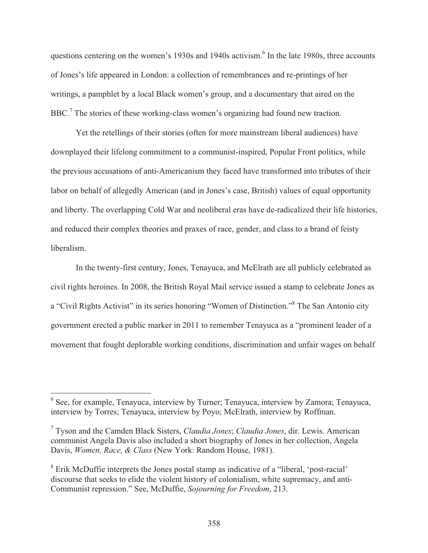questions centering on the women's 1930s and 1940s activism.<sup>6</sup> In the late 1980s, three accounts of Jones's life appeared in London: a collection of remembrances and re-printings of her writings, a pamphlet by a local Black women's group, and a documentary that aired on the BBC.<sup>7</sup> The stories of these working-class women's organizing had found new traction.

 Yet the retellings of their stories (often for more mainstream liberal audiences) have downplayed their lifelong commitment to a communist-inspired, Popular Front politics, while the previous accusations of anti-Americanism they faced have transformed into tributes of their labor on behalf of allegedly American (and in Jones's case, British) values of equal opportunity and liberty. The overlapping Cold War and neoliberal eras have de-radicalized their life histories, and reduced their complex theories and praxes of race, gender, and class to a brand of feisty liberalism.

 In the twenty-first century, Jones, Tenayuca, and McElrath are all publicly celebrated as civil rights heroines. In 2008, the British Royal Mail service issued a stamp to celebrate Jones as a "Civil Rights Activist" in its series honoring "Women of Distinction."<sup>8</sup> The San Antonio city government erected a public marker in 2011 to remember Tenayuca as a "prominent leader of a movement that fought deplorable working conditions, discrimination and unfair wages on behalf

<sup>&</sup>lt;sup>6</sup> See, for example, Tenayuca, interview by Turner; Tenayuca, interview by Zamora; Tenayuca, interview by Torres; Tenayuca, interview by Poyo; McElrath, interview by Roffman.

<sup>7</sup> Tyson and the Camden Black Sisters, *Claudia Jones*; *Claudia Jones*, dir. Lewis. American communist Angela Davis also included a short biography of Jones in her collection, Angela Davis, *Women, Race, & Class* (New York: Random House, 1981).

<sup>&</sup>lt;sup>8</sup> Erik McDuffie interprets the Jones postal stamp as indicative of a "liberal, 'post-racial' discourse that seeks to elide the violent history of colonialism, white supremacy, and anti-Communist repression." See, McDuffie, *Sojourning for Freedom*, 213.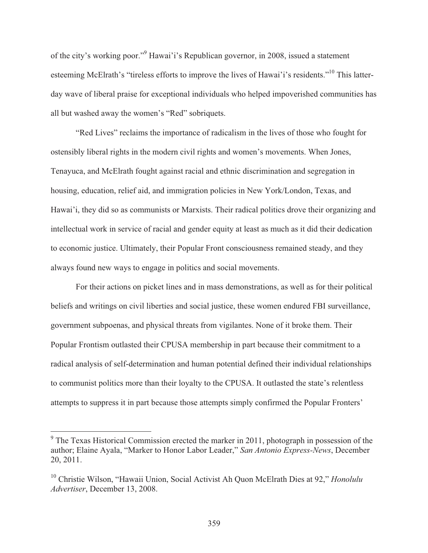of the city's working poor."<sup>9</sup> Hawai'i's Republican governor, in 2008, issued a statement esteeming McElrath's "tireless efforts to improve the lives of Hawai'i's residents."<sup>10</sup> This latterday wave of liberal praise for exceptional individuals who helped impoverished communities has all but washed away the women's "Red" sobriquets.

 "Red Lives" reclaims the importance of radicalism in the lives of those who fought for ostensibly liberal rights in the modern civil rights and women's movements. When Jones, Tenayuca, and McElrath fought against racial and ethnic discrimination and segregation in housing, education, relief aid, and immigration policies in New York/London, Texas, and Hawai'i, they did so as communists or Marxists. Their radical politics drove their organizing and intellectual work in service of racial and gender equity at least as much as it did their dedication to economic justice. Ultimately, their Popular Front consciousness remained steady, and they always found new ways to engage in politics and social movements.

 For their actions on picket lines and in mass demonstrations, as well as for their political beliefs and writings on civil liberties and social justice, these women endured FBI surveillance, government subpoenas, and physical threats from vigilantes. None of it broke them. Their Popular Frontism outlasted their CPUSA membership in part because their commitment to a radical analysis of self-determination and human potential defined their individual relationships to communist politics more than their loyalty to the CPUSA. It outlasted the state's relentless attempts to suppress it in part because those attempts simply confirmed the Popular Fronters'

<sup>&</sup>lt;sup>9</sup> The Texas Historical Commission erected the marker in 2011, photograph in possession of the author; Elaine Ayala, "Marker to Honor Labor Leader," *San Antonio Express-News*, December 20, 2011.

<sup>10</sup> Christie Wilson, "Hawaii Union, Social Activist Ah Quon McElrath Dies at 92," *Honolulu Advertiser*, December 13, 2008.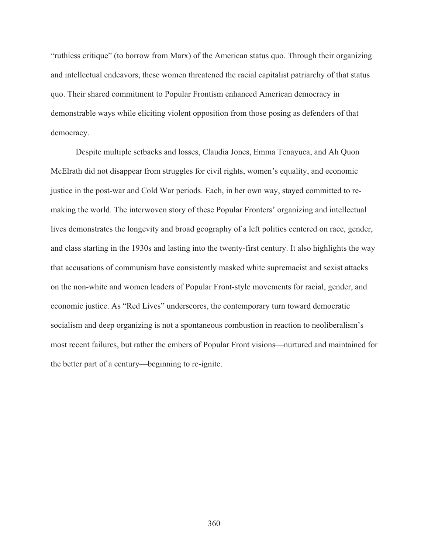"ruthless critique" (to borrow from Marx) of the American status quo. Through their organizing and intellectual endeavors, these women threatened the racial capitalist patriarchy of that status quo. Their shared commitment to Popular Frontism enhanced American democracy in demonstrable ways while eliciting violent opposition from those posing as defenders of that democracy.

Despite multiple setbacks and losses, Claudia Jones, Emma Tenayuca, and Ah Quon McElrath did not disappear from struggles for civil rights, women's equality, and economic justice in the post-war and Cold War periods. Each, in her own way, stayed committed to remaking the world. The interwoven story of these Popular Fronters' organizing and intellectual lives demonstrates the longevity and broad geography of a left politics centered on race, gender, and class starting in the 1930s and lasting into the twenty-first century. It also highlights the way that accusations of communism have consistently masked white supremacist and sexist attacks on the non-white and women leaders of Popular Front-style movements for racial, gender, and economic justice. As "Red Lives" underscores, the contemporary turn toward democratic socialism and deep organizing is not a spontaneous combustion in reaction to neoliberalism's most recent failures, but rather the embers of Popular Front visions—nurtured and maintained for the better part of a century—beginning to re-ignite.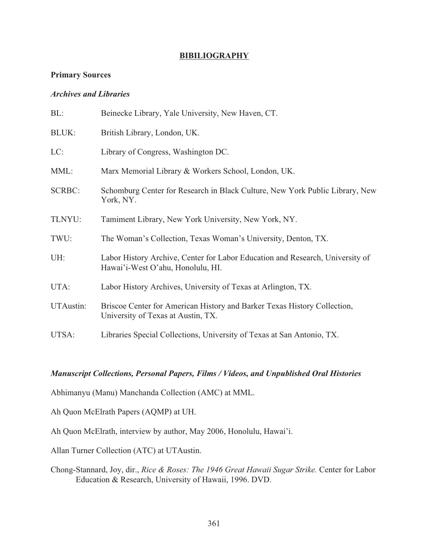# **BIBILIOGRAPHY**

# **Primary Sources**

# *Archives and Libraries*

| BL:           | Beinecke Library, Yale University, New Haven, CT.                                                                  |
|---------------|--------------------------------------------------------------------------------------------------------------------|
| <b>BLUK:</b>  | British Library, London, UK.                                                                                       |
| LC:           | Library of Congress, Washington DC.                                                                                |
| MML:          | Marx Memorial Library & Workers School, London, UK.                                                                |
| <b>SCRBC:</b> | Schomburg Center for Research in Black Culture, New York Public Library, New<br>York, NY.                          |
| TLNYU:        | Tamiment Library, New York University, New York, NY.                                                               |
| TWU:          | The Woman's Collection, Texas Woman's University, Denton, TX.                                                      |
| UH:           | Labor History Archive, Center for Labor Education and Research, University of<br>Hawai'i-West O'ahu, Honolulu, HI. |
| UTA:          | Labor History Archives, University of Texas at Arlington, TX.                                                      |
| UTAustin:     | Briscoe Center for American History and Barker Texas History Collection,<br>University of Texas at Austin, TX.     |
| UTSA:         | Libraries Special Collections, University of Texas at San Antonio, TX.                                             |

## *Manuscript Collections, Personal Papers, Films / Videos, and Unpublished Oral Histories*

Abhimanyu (Manu) Manchanda Collection (AMC) at MML.

Ah Quon McElrath Papers (AQMP) at UH.

Ah Quon McElrath, interview by author, May 2006, Honolulu, Hawai'i.

Allan Turner Collection (ATC) at UTAustin.

Chong-Stannard, Joy, dir., *Rice & Roses: The 1946 Great Hawaii Sugar Strike.* Center for Labor Education & Research, University of Hawaii, 1996. DVD.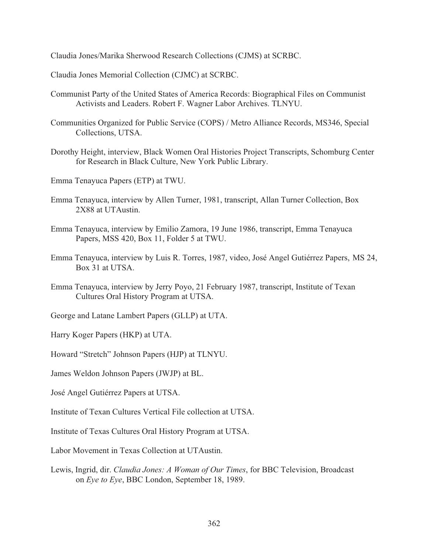Claudia Jones/Marika Sherwood Research Collections (CJMS) at SCRBC.

Claudia Jones Memorial Collection (CJMC) at SCRBC.

- Communist Party of the United States of America Records: Biographical Files on Communist Activists and Leaders. Robert F. Wagner Labor Archives. TLNYU.
- Communities Organized for Public Service (COPS) / Metro Alliance Records, MS346, Special Collections, UTSA.
- Dorothy Height, interview, Black Women Oral Histories Project Transcripts, Schomburg Center for Research in Black Culture, New York Public Library.
- Emma Tenayuca Papers (ETP) at TWU.
- Emma Tenayuca, interview by Allen Turner, 1981, transcript, Allan Turner Collection, Box 2X88 at UTAustin.
- Emma Tenayuca, interview by Emilio Zamora, 19 June 1986, transcript, Emma Tenayuca Papers, MSS 420, Box 11, Folder 5 at TWU.
- Emma Tenayuca, interview by Luis R. Torres, 1987, video, José Angel Gutiérrez Papers, MS 24, Box 31 at UTSA.
- Emma Tenayuca, interview by Jerry Poyo, 21 February 1987, transcript, Institute of Texan Cultures Oral History Program at UTSA.
- George and Latane Lambert Papers (GLLP) at UTA.
- Harry Koger Papers (HKP) at UTA.
- Howard "Stretch" Johnson Papers (HJP) at TLNYU.
- James Weldon Johnson Papers (JWJP) at BL.
- José Angel Gutiérrez Papers at UTSA.
- Institute of Texan Cultures Vertical File collection at UTSA.
- Institute of Texas Cultures Oral History Program at UTSA.
- Labor Movement in Texas Collection at UTAustin.
- Lewis, Ingrid, dir. *Claudia Jones: A Woman of Our Times*, for BBC Television, Broadcast on *Eye to Eye*, BBC London, September 18, 1989.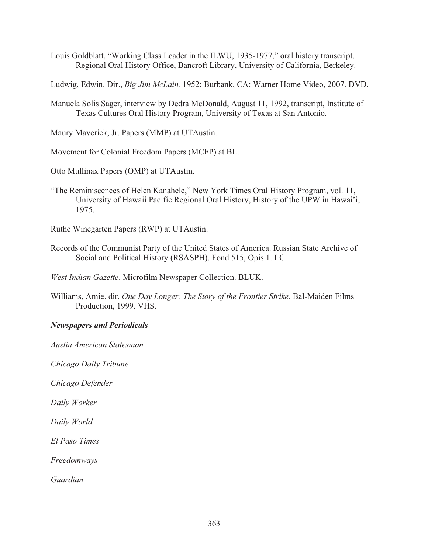- Louis Goldblatt, "Working Class Leader in the ILWU, 1935-1977," oral history transcript, Regional Oral History Office, Bancroft Library, University of California, Berkeley.
- Ludwig, Edwin. Dir., *Big Jim McLain.* 1952; Burbank, CA: Warner Home Video, 2007. DVD.
- Manuela Solis Sager, interview by Dedra McDonald, August 11, 1992, transcript, Institute of Texas Cultures Oral History Program, University of Texas at San Antonio.

Maury Maverick, Jr. Papers (MMP) at UTAustin.

Movement for Colonial Freedom Papers (MCFP) at BL.

Otto Mullinax Papers (OMP) at UTAustin.

"The Reminiscences of Helen Kanahele," New York Times Oral History Program, vol. 11, University of Hawaii Pacific Regional Oral History, History of the UPW in Hawai'i, 1975.

Ruthe Winegarten Papers (RWP) at UTAustin.

Records of the Communist Party of the United States of America. Russian State Archive of Social and Political History (RSASPH). Fond 515, Opis 1. LC.

*West Indian Gazette*. Microfilm Newspaper Collection. BLUK.

Williams, Amie. dir. *One Day Longer: The Story of the Frontier Strike*. Bal-Maiden Films Production, 1999. VHS.

#### *Newspapers and Periodicals*

*Austin American Statesman* 

*Chicago Daily Tribune* 

*Chicago Defender* 

*Daily Worker* 

*Daily World* 

*El Paso Times* 

*Freedomways* 

*Guardian*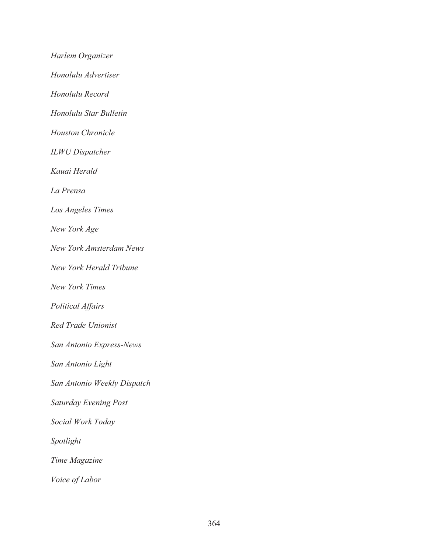*Harlem Organizer Honolulu Advertiser Honolulu Record Honolulu Star Bulletin Houston Chronicle ILWU Dispatcher Kauai Herald La Prensa Los Angeles Times New York Age New York Amsterdam News New York Herald Tribune New York Times Political Affairs Red Trade Unionist San Antonio Express-News San Antonio Light San Antonio Weekly Dispatch Saturday Evening Post Social Work Today Spotlight Time Magazine Voice of Labor*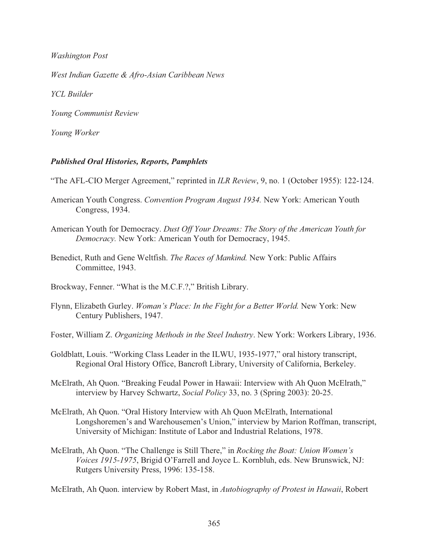*Washington Post* 

*West Indian Gazette & Afro-Asian Caribbean News* 

*YCL Builder* 

*Young Communist Review* 

*Young Worker* 

## *Published Oral Histories, Reports, Pamphlets*

"The AFL-CIO Merger Agreement," reprinted in *ILR Review*, 9, no. 1 (October 1955): 122-124.

- American Youth Congress. *Convention Program August 1934.* New York: American Youth Congress, 1934.
- American Youth for Democracy. *Dust Off Your Dreams: The Story of the American Youth for Democracy.* New York: American Youth for Democracy, 1945.
- Benedict, Ruth and Gene Weltfish. *The Races of Mankind.* New York: Public Affairs Committee, 1943.

Brockway, Fenner. "What is the M.C.F.?," British Library.

Flynn, Elizabeth Gurley. *Woman's Place: In the Fight for a Better World.* New York: New Century Publishers, 1947.

Foster, William Z. *Organizing Methods in the Steel Industry*. New York: Workers Library, 1936.

- Goldblatt, Louis. "Working Class Leader in the ILWU, 1935-1977," oral history transcript, Regional Oral History Office, Bancroft Library, University of California, Berkeley.
- McElrath, Ah Quon. "Breaking Feudal Power in Hawaii: Interview with Ah Quon McElrath," interview by Harvey Schwartz, *Social Policy* 33, no. 3 (Spring 2003): 20-25.
- McElrath, Ah Quon. "Oral History Interview with Ah Quon McElrath, International Longshoremen's and Warehousemen's Union," interview by Marion Roffman, transcript, University of Michigan: Institute of Labor and Industrial Relations, 1978.
- McElrath, Ah Quon. "The Challenge is Still There," in *Rocking the Boat: Union Women's Voices 1915-1975*, Brigid O'Farrell and Joyce L. Kornbluh, eds. New Brunswick, NJ: Rutgers University Press, 1996: 135-158.

McElrath, Ah Quon. interview by Robert Mast, in *Autobiography of Protest in Hawaii*, Robert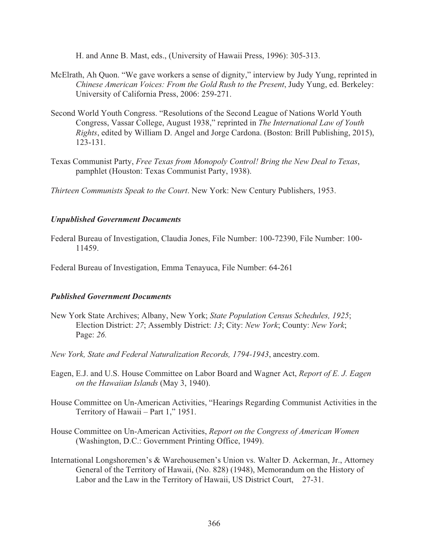H. and Anne B. Mast, eds., (University of Hawaii Press, 1996): 305-313.

- McElrath, Ah Quon. "We gave workers a sense of dignity," interview by Judy Yung, reprinted in *Chinese American Voices: From the Gold Rush to the Present*, Judy Yung, ed. Berkeley: University of California Press, 2006: 259-271.
- Second World Youth Congress. "Resolutions of the Second League of Nations World Youth Congress, Vassar College, August 1938," reprinted in *The International Law of Youth Rights*, edited by William D. Angel and Jorge Cardona. (Boston: Brill Publishing, 2015), 123-131.
- Texas Communist Party, *Free Texas from Monopoly Control! Bring the New Deal to Texas*, pamphlet (Houston: Texas Communist Party, 1938).

*Thirteen Communists Speak to the Court*. New York: New Century Publishers, 1953.

### *Unpublished Government Documents*

Federal Bureau of Investigation, Claudia Jones, File Number: 100-72390, File Number: 100- 11459.

Federal Bureau of Investigation, Emma Tenayuca, File Number: 64-261

## *Published Government Documents*

- New York State Archives; Albany, New York; *State Population Census Schedules, 1925*; Election District: *27*; Assembly District: *13*; City: *New York*; County: *New York*; Page: *26.*
- *New York, State and Federal Naturalization Records, 1794-1943*, ancestry.com.
- Eagen, E.J. and U.S. House Committee on Labor Board and Wagner Act, *Report of E. J. Eagen on the Hawaiian Islands* (May 3, 1940).
- House Committee on Un-American Activities, "Hearings Regarding Communist Activities in the Territory of Hawaii – Part 1," 1951.
- House Committee on Un-American Activities, *Report on the Congress of American Women* (Washington, D.C.: Government Printing Office, 1949).
- International Longshoremen's & Warehousemen's Union vs. Walter D. Ackerman, Jr., Attorney General of the Territory of Hawaii, (No. 828) (1948), Memorandum on the History of Labor and the Law in the Territory of Hawaii, US District Court, 27-31.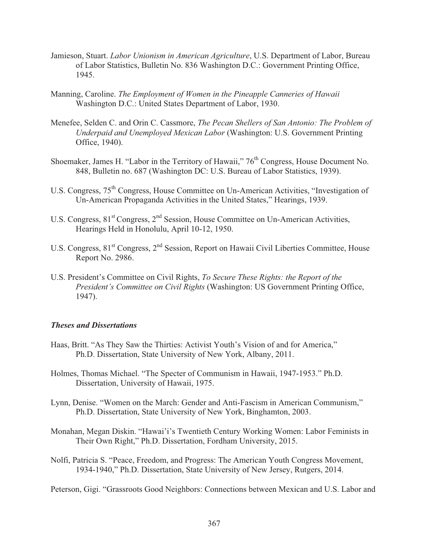- Jamieson, Stuart. *Labor Unionism in American Agriculture*, U.S. Department of Labor, Bureau of Labor Statistics, Bulletin No. 836 Washington D.C.: Government Printing Office, 1945.
- Manning, Caroline. *The Employment of Women in the Pineapple Canneries of Hawaii* Washington D.C.: United States Department of Labor, 1930.
- Menefee, Selden C. and Orin C. Cassmore, *The Pecan Shellers of San Antonio: The Problem of Underpaid and Unemployed Mexican Labor* (Washington: U.S. Government Printing Office, 1940).
- Shoemaker, James H. "Labor in the Territory of Hawaii," 76<sup>th</sup> Congress, House Document No. 848, Bulletin no. 687 (Washington DC: U.S. Bureau of Labor Statistics, 1939).
- U.S. Congress,  $75<sup>th</sup>$  Congress, House Committee on Un-American Activities, "Investigation of Un-American Propaganda Activities in the United States," Hearings, 1939.
- U.S. Congress, 81<sup>st</sup> Congress, 2<sup>nd</sup> Session, House Committee on Un-American Activities, Hearings Held in Honolulu, April 10-12, 1950.
- U.S. Congress, 81<sup>st</sup> Congress, 2<sup>nd</sup> Session, Report on Hawaii Civil Liberties Committee, House Report No. 2986.
- U.S. President's Committee on Civil Rights, *To Secure These Rights: the Report of the President's Committee on Civil Rights* (Washington: US Government Printing Office, 1947).

#### *Theses and Dissertations*

- Haas, Britt. "As They Saw the Thirties: Activist Youth's Vision of and for America," Ph.D. Dissertation, State University of New York, Albany, 2011.
- Holmes, Thomas Michael. "The Specter of Communism in Hawaii, 1947-1953." Ph.D. Dissertation, University of Hawaii, 1975.
- Lynn, Denise. "Women on the March: Gender and Anti-Fascism in American Communism," Ph.D. Dissertation, State University of New York, Binghamton, 2003.
- Monahan, Megan Diskin. "Hawai'i's Twentieth Century Working Women: Labor Feminists in Their Own Right," Ph.D. Dissertation, Fordham University, 2015.
- Nolfi, Patricia S. "Peace, Freedom, and Progress: The American Youth Congress Movement, 1934-1940," Ph.D. Dissertation, State University of New Jersey, Rutgers, 2014.

Peterson, Gigi. "Grassroots Good Neighbors: Connections between Mexican and U.S. Labor and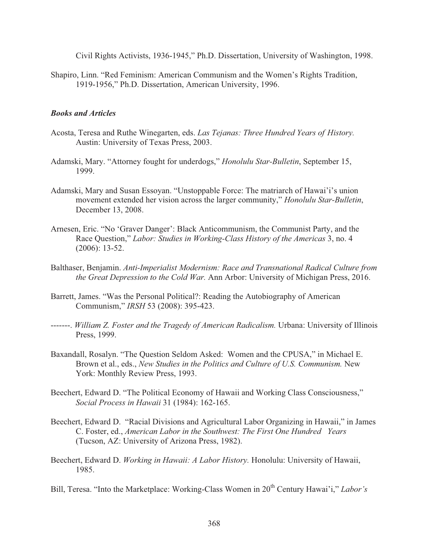Civil Rights Activists, 1936-1945," Ph.D. Dissertation, University of Washington, 1998.

Shapiro, Linn. "Red Feminism: American Communism and the Women's Rights Tradition, 1919-1956," Ph.D. Dissertation, American University, 1996.

### *Books and Articles*

- Acosta, Teresa and Ruthe Winegarten, eds. *Las Tejanas: Three Hundred Years of History.* Austin: University of Texas Press, 2003.
- Adamski, Mary. "Attorney fought for underdogs," *Honolulu Star-Bulletin*, September 15, 1999.
- Adamski, Mary and Susan Essoyan. "Unstoppable Force: The matriarch of Hawai'i's union movement extended her vision across the larger community," *Honolulu Star-Bulletin*, December 13, 2008.
- Arnesen, Eric. "No 'Graver Danger': Black Anticommunism, the Communist Party, and the Race Question," *Labor: Studies in Working-Class History of the Americas* 3, no. 4 (2006): 13-52.
- Balthaser, Benjamin. *Anti-Imperialist Modernism: Race and Transnational Radical Culture from the Great Depression to the Cold War.* Ann Arbor: University of Michigan Press, 2016.
- Barrett, James. "Was the Personal Political?: Reading the Autobiography of American Communism," *IRSH* 53 (2008): 395-423.
- -------. *William Z. Foster and the Tragedy of American Radicalism.* Urbana: University of Illinois Press, 1999.
- Baxandall, Rosalyn. "The Question Seldom Asked: Women and the CPUSA," in Michael E. Brown et al., eds., *New Studies in the Politics and Culture of U.S. Communism.* New York: Monthly Review Press, 1993.
- Beechert, Edward D. "The Political Economy of Hawaii and Working Class Consciousness," *Social Process in Hawaii* 31 (1984): 162-165.
- Beechert, Edward D. "Racial Divisions and Agricultural Labor Organizing in Hawaii," in James C. Foster, ed., *American Labor in the Southwest: The First One Hundred Years* (Tucson, AZ: University of Arizona Press, 1982).
- Beechert, Edward D. *Working in Hawaii: A Labor History.* Honolulu: University of Hawaii, 1985.
- Bill, Teresa. "Into the Marketplace: Working-Class Women in 20<sup>th</sup> Century Hawai'i," *Labor's*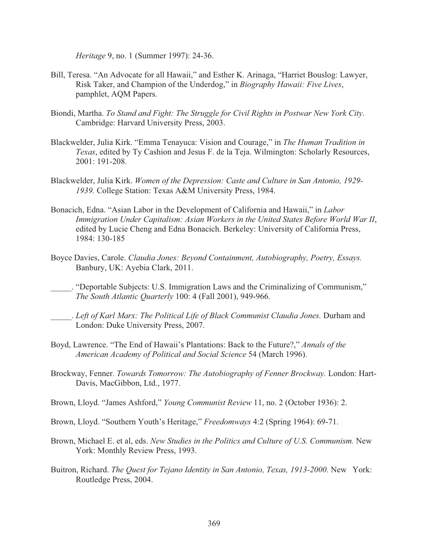*Heritage* 9, no. 1 (Summer 1997): 24-36.

- Bill, Teresa. "An Advocate for all Hawaii," and Esther K. Arinaga, "Harriet Bouslog: Lawyer, Risk Taker, and Champion of the Underdog," in *Biography Hawaii: Five Lives*, pamphlet, AQM Papers.
- Biondi, Martha. *To Stand and Fight: The Struggle for Civil Rights in Postwar New York City*. Cambridge: Harvard University Press, 2003.
- Blackwelder, Julia Kirk. "Emma Tenayuca: Vision and Courage," in *The Human Tradition in Texas*, edited by Ty Cashion and Jesus F. de la Teja. Wilmington: Scholarly Resources, 2001: 191-208.
- Blackwelder, Julia Kirk. *Women of the Depression: Caste and Culture in San Antonio, 1929- 1939.* College Station: Texas A&M University Press, 1984.
- Bonacich, Edna. "Asian Labor in the Development of California and Hawaii," in *Labor Immigration Under Capitalism: Asian Workers in the United States Before World War II*, edited by Lucie Cheng and Edna Bonacich. Berkeley: University of California Press, 1984: 130-185
- Boyce Davies, Carole. *Claudia Jones: Beyond Containment, Autobiography, Poetry, Essays.* Banbury, UK: Ayebia Clark, 2011.
- \_\_\_\_\_. "Deportable Subjects: U.S. Immigration Laws and the Criminalizing of Communism," *The South Atlantic Quarterly* 100: 4 (Fall 2001), 949-966.
- \_\_\_\_\_. *Left of Karl Marx: The Political Life of Black Communist Claudia Jones.* Durham and London: Duke University Press, 2007.
- Boyd, Lawrence. "The End of Hawaii's Plantations: Back to the Future?," *Annals of the American Academy of Political and Social Science* 54 (March 1996).
- Brockway, Fenner. *Towards Tomorrow: The Autobiography of Fenner Brockway.* London: Hart-Davis, MacGibbon, Ltd., 1977.
- Brown, Lloyd. "James Ashford," *Young Communist Review* 11, no. 2 (October 1936): 2.
- Brown, Lloyd. "Southern Youth's Heritage," *Freedomways* 4:2 (Spring 1964): 69-71.
- Brown, Michael E. et al, eds. *New Studies in the Politics and Culture of U.S. Communism.* New York: Monthly Review Press, 1993.
- Buitron, Richard. *The Quest for Tejano Identity in San Antonio, Texas, 1913-2000.* New York: Routledge Press, 2004.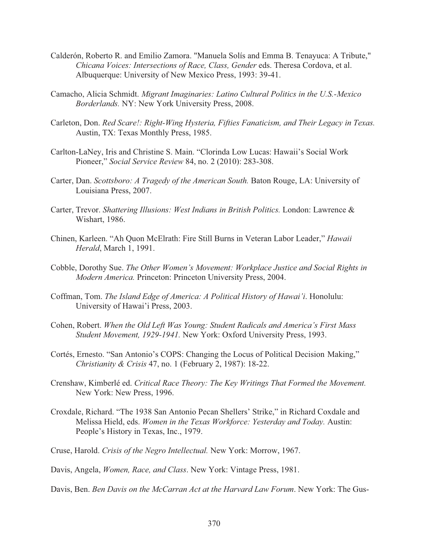- Calderón, Roberto R. and Emilio Zamora. "Manuela Solís and Emma B. Tenayuca: A Tribute," *Chicana Voices: Intersections of Race, Class, Gender* eds. Theresa Cordova, et al. Albuquerque: University of New Mexico Press, 1993: 39-41.
- Camacho, Alicia Schmidt. *Migrant Imaginaries: Latino Cultural Politics in the U.S.-Mexico Borderlands.* NY: New York University Press, 2008.
- Carleton, Don. *Red Scare!: Right-Wing Hysteria, Fifties Fanaticism, and Their Legacy in Texas.* Austin, TX: Texas Monthly Press, 1985.
- Carlton-LaNey, Iris and Christine S. Main. "Clorinda Low Lucas: Hawaii's Social Work Pioneer," *Social Service Review* 84, no. 2 (2010): 283-308.
- Carter, Dan. *Scottsboro: A Tragedy of the American South.* Baton Rouge, LA: University of Louisiana Press, 2007.
- Carter, Trevor. *Shattering Illusions: West Indians in British Politics.* London: Lawrence & Wishart, 1986.
- Chinen, Karleen. "Ah Quon McElrath: Fire Still Burns in Veteran Labor Leader," *Hawaii Herald*, March 1, 1991.
- Cobble, Dorothy Sue. *The Other Women's Movement: Workplace Justice and Social Rights in Modern America.* Princeton: Princeton University Press, 2004.
- Coffman, Tom. *The Island Edge of America: A Political History of Hawai'i*. Honolulu: University of Hawai'i Press, 2003.
- Cohen, Robert. *When the Old Left Was Young: Student Radicals and America's First Mass Student Movement, 1929-1941.* New York: Oxford University Press, 1993.
- Cortés, Ernesto. "San Antonio's COPS: Changing the Locus of Political Decision Making," *Christianity & Crisis* 47, no. 1 (February 2, 1987): 18-22.
- Crenshaw, Kimberlé ed. *Critical Race Theory: The Key Writings That Formed the Movement.*  New York: New Press, 1996.
- Croxdale, Richard. "The 1938 San Antonio Pecan Shellers' Strike," in Richard Coxdale and Melissa Hield, eds. *Women in the Texas Workforce: Yesterday and Today.* Austin: People's History in Texas, Inc., 1979.
- Cruse, Harold. *Crisis of the Negro Intellectual.* New York: Morrow, 1967.
- Davis, Angela, *Women, Race, and Class*. New York: Vintage Press, 1981.
- Davis, Ben. *Ben Davis on the McCarran Act at the Harvard Law Forum*. New York: The Gus-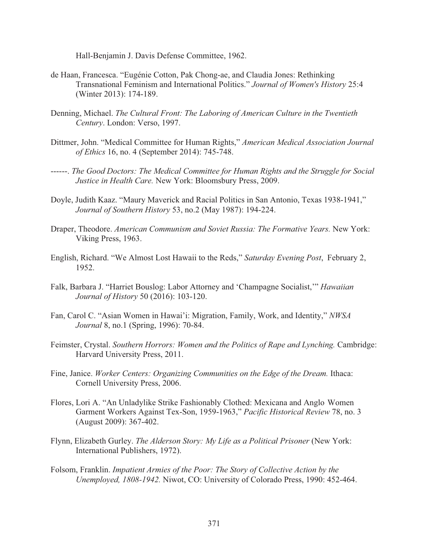Hall-Benjamin J. Davis Defense Committee, 1962.

- de Haan, Francesca. "Eugénie Cotton, Pak Chong-ae, and Claudia Jones: Rethinking Transnational Feminism and International Politics." *Journal of Women's History* 25:4 (Winter 2013): 174-189.
- Denning, Michael. *The Cultural Front: The Laboring of American Culture in the Twentieth Century*. London: Verso, 1997.
- Dittmer, John. "Medical Committee for Human Rights," *American Medical Association Journal of Ethics* 16, no. 4 (September 2014): 745-748.
- ------. *The Good Doctors: The Medical Committee for Human Rights and the Struggle for Social Justice in Health Care.* New York: Bloomsbury Press, 2009.
- Doyle, Judith Kaaz. "Maury Maverick and Racial Politics in San Antonio, Texas 1938-1941," *Journal of Southern History* 53, no.2 (May 1987): 194-224.
- Draper, Theodore. *American Communism and Soviet Russia: The Formative Years.* New York: Viking Press, 1963.
- English, Richard. "We Almost Lost Hawaii to the Reds," *Saturday Evening Post*, February 2, 1952.
- Falk, Barbara J. "Harriet Bouslog: Labor Attorney and 'Champagne Socialist,'" *Hawaiian Journal of History* 50 (2016): 103-120.
- Fan, Carol C. "Asian Women in Hawai'i: Migration, Family, Work, and Identity," *NWSA Journal* 8, no.1 (Spring, 1996): 70-84.
- Feimster, Crystal. *Southern Horrors: Women and the Politics of Rape and Lynching.* Cambridge: Harvard University Press, 2011.
- Fine, Janice. *Worker Centers: Organizing Communities on the Edge of the Dream.* Ithaca: Cornell University Press, 2006.
- Flores, Lori A. "An Unladylike Strike Fashionably Clothed: Mexicana and Anglo Women Garment Workers Against Tex-Son, 1959-1963," *Pacific Historical Review* 78, no. 3 (August 2009): 367-402.
- Flynn, Elizabeth Gurley. *The Alderson Story: My Life as a Political Prisoner* (New York: International Publishers, 1972).
- Folsom, Franklin. *Impatient Armies of the Poor: The Story of Collective Action by the Unemployed, 1808-1942.* Niwot, CO: University of Colorado Press, 1990: 452-464.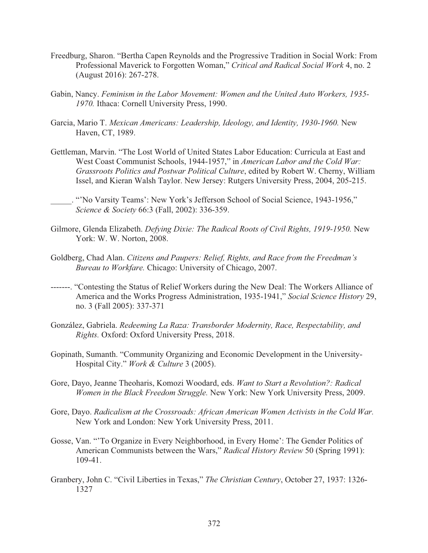- Freedburg, Sharon. "Bertha Capen Reynolds and the Progressive Tradition in Social Work: From Professional Maverick to Forgotten Woman," *Critical and Radical Social Work* 4, no. 2 (August 2016): 267-278.
- Gabin, Nancy. *Feminism in the Labor Movement: Women and the United Auto Workers, 1935- 1970.* Ithaca: Cornell University Press, 1990.
- Garcia, Mario T. *Mexican Americans: Leadership, Ideology, and Identity, 1930-1960.* New Haven, CT, 1989.
- Gettleman, Marvin. "The Lost World of United States Labor Education: Curricula at East and West Coast Communist Schools, 1944-1957," in *American Labor and the Cold War: Grassroots Politics and Postwar Political Culture*, edited by Robert W. Cherny, William Issel, and Kieran Walsh Taylor. New Jersey: Rutgers University Press, 2004, 205-215.
	- \_\_\_\_\_. "'No Varsity Teams': New York's Jefferson School of Social Science, 1943-1956," *Science & Society* 66:3 (Fall, 2002): 336-359.
- Gilmore, Glenda Elizabeth. *Defying Dixie: The Radical Roots of Civil Rights, 1919-1950.* New York: W. W. Norton, 2008.
- Goldberg, Chad Alan. *Citizens and Paupers: Relief, Rights, and Race from the Freedman's Bureau to Workfare.* Chicago: University of Chicago, 2007.
- -------. "Contesting the Status of Relief Workers during the New Deal: The Workers Alliance of America and the Works Progress Administration, 1935-1941," *Social Science History* 29, no. 3 (Fall 2005): 337-371
- González, Gabriela. *Redeeming La Raza: Transborder Modernity, Race, Respectability, and Rights.* Oxford: Oxford University Press, 2018.
- Gopinath, Sumanth. "Community Organizing and Economic Development in the University-Hospital City." *Work & Culture* 3 (2005).
- Gore, Dayo, Jeanne Theoharis, Komozi Woodard, eds. *Want to Start a Revolution?: Radical Women in the Black Freedom Struggle.* New York: New York University Press, 2009.
- Gore, Dayo. *Radicalism at the Crossroads: African American Women Activists in the Cold War.* New York and London: New York University Press, 2011.
- Gosse, Van. "'To Organize in Every Neighborhood, in Every Home': The Gender Politics of American Communists between the Wars," *Radical History Review* 50 (Spring 1991): 109-41.
- Granbery, John C. "Civil Liberties in Texas," *The Christian Century*, October 27, 1937: 1326- 1327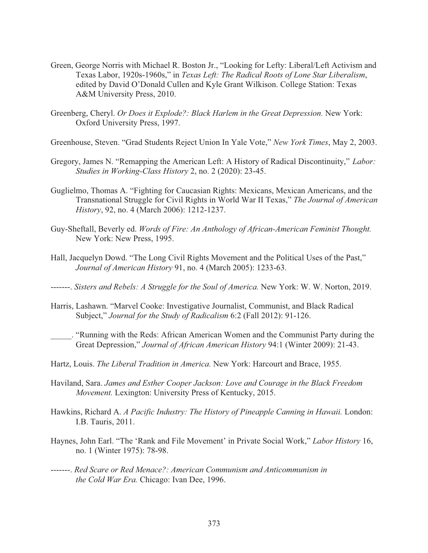- Green, George Norris with Michael R. Boston Jr., "Looking for Lefty: Liberal/Left Activism and Texas Labor, 1920s-1960s," in *Texas Left: The Radical Roots of Lone Star Liberalism*, edited by David O'Donald Cullen and Kyle Grant Wilkison. College Station: Texas A&M University Press, 2010.
- Greenberg, Cheryl. *Or Does it Explode?: Black Harlem in the Great Depression.* New York: Oxford University Press, 1997.
- Greenhouse, Steven. "Grad Students Reject Union In Yale Vote," *New York Times*, May 2, 2003.
- Gregory, James N. "Remapping the American Left: A History of Radical Discontinuity," *Labor: Studies in Working-Class History* 2, no. 2 (2020): 23-45.
- Guglielmo, Thomas A. "Fighting for Caucasian Rights: Mexicans, Mexican Americans, and the Transnational Struggle for Civil Rights in World War II Texas," *The Journal of American History*, 92, no. 4 (March 2006): 1212-1237.
- Guy-Sheftall, Beverly ed. *Words of Fire: An Anthology of African-American Feminist Thought.* New York: New Press, 1995.
- Hall, Jacquelyn Dowd. "The Long Civil Rights Movement and the Political Uses of the Past," *Journal of American History* 91, no. 4 (March 2005): 1233-63.
- -------. *Sisters and Rebels: A Struggle for the Soul of America.* New York: W. W. Norton, 2019.
- Harris, Lashawn. "Marvel Cooke: Investigative Journalist, Communist, and Black Radical Subject," *Journal for the Study of Radicalism* 6:2 (Fall 2012): 91-126.
- \_\_\_\_\_. "Running with the Reds: African American Women and the Communist Party during the Great Depression," *Journal of African American History* 94:1 (Winter 2009): 21-43.
- Hartz, Louis. *The Liberal Tradition in America.* New York: Harcourt and Brace, 1955.
- Haviland, Sara. *James and Esther Cooper Jackson: Love and Courage in the Black Freedom Movement.* Lexington: University Press of Kentucky, 2015.
- Hawkins, Richard A. *A Pacific Industry: The History of Pineapple Canning in Hawaii.* London: I.B. Tauris, 2011.
- Haynes, John Earl. "The 'Rank and File Movement' in Private Social Work," *Labor History* 16, no. 1 (Winter 1975): 78-98.
- -------. *Red Scare or Red Menace?: American Communism and Anticommunism in the Cold War Era.* Chicago: Ivan Dee, 1996.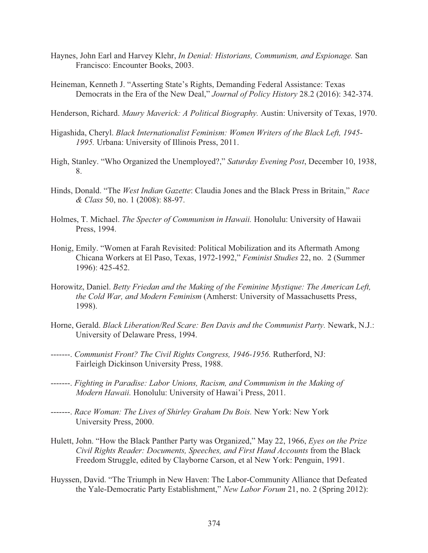- Haynes, John Earl and Harvey Klehr, *In Denial: Historians, Communism, and Espionage.* San Francisco: Encounter Books, 2003.
- Heineman, Kenneth J. "Asserting State's Rights, Demanding Federal Assistance: Texas Democrats in the Era of the New Deal," *Journal of Policy History* 28.2 (2016): 342-374.

Henderson, Richard. *Maury Maverick: A Political Biography.* Austin: University of Texas, 1970.

- Higashida, Cheryl. *Black Internationalist Feminism: Women Writers of the Black Left, 1945- 1995.* Urbana: University of Illinois Press, 2011.
- High, Stanley. "Who Organized the Unemployed?," *Saturday Evening Post*, December 10, 1938, 8.
- Hinds, Donald. "The *West Indian Gazette*: Claudia Jones and the Black Press in Britain," *Race & Class* 50, no. 1 (2008): 88-97.
- Holmes, T. Michael. *The Specter of Communism in Hawaii.* Honolulu: University of Hawaii Press, 1994.
- Honig, Emily. "Women at Farah Revisited: Political Mobilization and its Aftermath Among Chicana Workers at El Paso, Texas, 1972-1992," *Feminist Studies* 22, no. 2 (Summer 1996): 425-452.
- Horowitz, Daniel. *Betty Friedan and the Making of the Feminine Mystique: The American Left, the Cold War, and Modern Feminism* (Amherst: University of Massachusetts Press, 1998).
- Horne, Gerald. *Black Liberation/Red Scare: Ben Davis and the Communist Party.* Newark, N.J.: University of Delaware Press, 1994.
- -------. *Communist Front? The Civil Rights Congress, 1946-1956.* Rutherford, NJ: Fairleigh Dickinson University Press, 1988.
- -------. *Fighting in Paradise: Labor Unions, Racism, and Communism in the Making of Modern Hawaii.* Honolulu: University of Hawai'i Press, 2011.
- -------. *Race Woman: The Lives of Shirley Graham Du Bois.* New York: New York University Press, 2000.
- Hulett, John. "How the Black Panther Party was Organized," May 22, 1966, *Eyes on the Prize Civil Rights Reader: Documents, Speeches, and First Hand Accounts* from the Black Freedom Struggle, edited by Clayborne Carson, et al New York: Penguin, 1991.
- Huyssen, David. "The Triumph in New Haven: The Labor-Community Alliance that Defeated the Yale-Democratic Party Establishment," *New Labor Forum* 21, no. 2 (Spring 2012):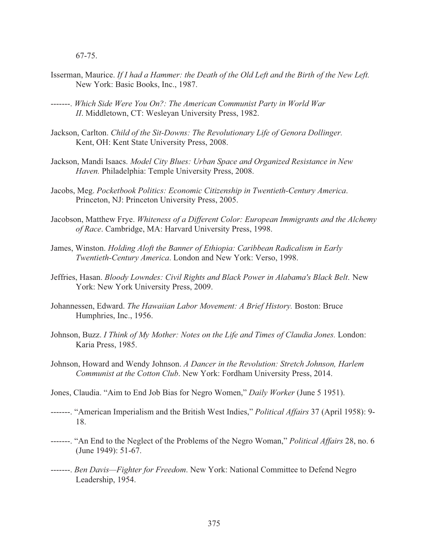67-75.

- Isserman, Maurice. *If I had a Hammer: the Death of the Old Left and the Birth of the New Left.* New York: Basic Books, Inc., 1987.
- -------. *Which Side Were You On?: The American Communist Party in World War II*. Middletown, CT: Wesleyan University Press, 1982.
- Jackson, Carlton. *Child of the Sit-Downs: The Revolutionary Life of Genora Dollinger.* Kent, OH: Kent State University Press, 2008.
- Jackson, Mandi Isaacs. *Model City Blues: Urban Space and Organized Resistance in New Haven.* Philadelphia: Temple University Press, 2008.
- Jacobs, Meg. *Pocketbook Politics: Economic Citizenship in Twentieth-Century America*. Princeton, NJ: Princeton University Press, 2005.
- Jacobson, Matthew Frye. *Whiteness of a Different Color: European Immigrants and the Alchemy of Race*. Cambridge, MA: Harvard University Press, 1998.
- James, Winston. *Holding Aloft the Banner of Ethiopia: Caribbean Radicalism in Early Twentieth-Century America*. London and New York: Verso, 1998.
- Jeffries, Hasan. *Bloody Lowndes: Civil Rights and Black Power in Alabama's Black Belt*. New York: New York University Press, 2009.
- Johannessen, Edward. *The Hawaiian Labor Movement: A Brief History.* Boston: Bruce Humphries, Inc., 1956.
- Johnson, Buzz. *I Think of My Mother: Notes on the Life and Times of Claudia Jones.* London: Karia Press, 1985.
- Johnson, Howard and Wendy Johnson. *A Dancer in the Revolution: Stretch Johnson, Harlem Communist at the Cotton Club*. New York: Fordham University Press, 2014.
- Jones, Claudia. "Aim to End Job Bias for Negro Women," *Daily Worker* (June 5 1951).
- -------. "American Imperialism and the British West Indies," *Political Affairs* 37 (April 1958): 9- 18.
- -------. "An End to the Neglect of the Problems of the Negro Woman," *Political Affairs* 28, no. 6 (June 1949): 51-67.
- -------. *Ben Davis—Fighter for Freedom*. New York: National Committee to Defend Negro Leadership, 1954.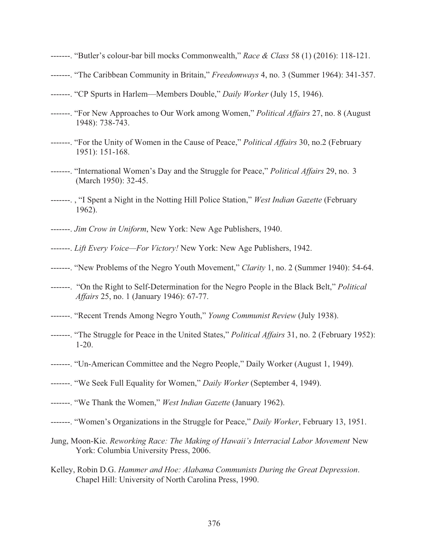- -------. "Butler's colour-bar bill mocks Commonwealth," *Race & Class* 58 (1) (2016): 118-121.
- -------. "The Caribbean Community in Britain," *Freedomways* 4, no. 3 (Summer 1964): 341-357.
- -------. "CP Spurts in Harlem—Members Double," *Daily Worker* (July 15, 1946).
- -------. "For New Approaches to Our Work among Women," *Political Affairs* 27, no. 8 (August 1948): 738-743.
- -------. "For the Unity of Women in the Cause of Peace," *Political Affairs* 30, no.2 (February 1951): 151-168.
- -------. "International Women's Day and the Struggle for Peace," *Political Affairs* 29, no. 3 (March 1950): 32-45.
- -------. , "I Spent a Night in the Notting Hill Police Station," *West Indian Gazette* (February 1962).
- -------. *Jim Crow in Uniform*, New York: New Age Publishers, 1940.
- -------. *Lift Every Voice—For Victory!* New York: New Age Publishers, 1942.
- -------. "New Problems of the Negro Youth Movement," *Clarity* 1, no. 2 (Summer 1940): 54-64.
- -------. "On the Right to Self-Determination for the Negro People in the Black Belt," *Political Affairs* 25, no. 1 (January 1946): 67-77.
- -------. "Recent Trends Among Negro Youth," *Young Communist Review* (July 1938).
- -------. "The Struggle for Peace in the United States," *Political Affairs* 31, no. 2 (February 1952): 1-20.
- -------. "Un-American Committee and the Negro People," Daily Worker (August 1, 1949).
- -------. "We Seek Full Equality for Women," *Daily Worker* (September 4, 1949).
- -------. "We Thank the Women," *West Indian Gazette* (January 1962).
- -------. "Women's Organizations in the Struggle for Peace," *Daily Worker*, February 13, 1951.
- Jung, Moon-Kie. *Reworking Race: The Making of Hawaii's Interracial Labor Movement* New York: Columbia University Press, 2006.
- Kelley, Robin D.G. *Hammer and Hoe: Alabama Communists During the Great Depression*. Chapel Hill: University of North Carolina Press, 1990.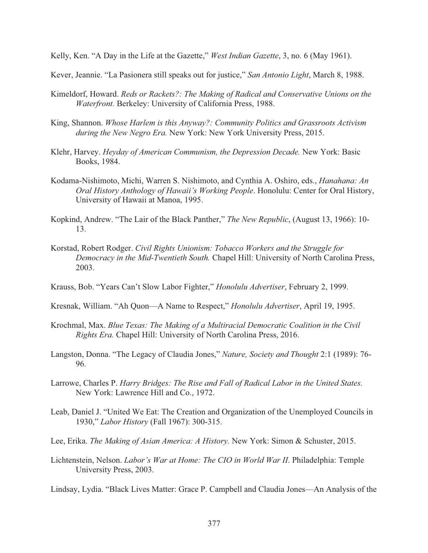Kelly, Ken. "A Day in the Life at the Gazette," *West Indian Gazette*, 3, no. 6 (May 1961).

Kever, Jeannie. "La Pasionera still speaks out for justice," *San Antonio Light*, March 8, 1988.

- Kimeldorf, Howard. *Reds or Rackets?: The Making of Radical and Conservative Unions on the Waterfront.* Berkeley: University of California Press, 1988.
- King, Shannon. *Whose Harlem is this Anyway?: Community Politics and Grassroots Activism during the New Negro Era.* New York: New York University Press, 2015.
- Klehr, Harvey. *Heyday of American Communism, the Depression Decade.* New York: Basic Books, 1984.
- Kodama-Nishimoto, Michi, Warren S. Nishimoto, and Cynthia A. Oshiro, eds., *Hanahana: An Oral History Anthology of Hawaii's Working People*. Honolulu: Center for Oral History, University of Hawaii at Manoa, 1995.
- Kopkind, Andrew. "The Lair of the Black Panther," *The New Republic*, (August 13, 1966): 10- 13.
- Korstad, Robert Rodger. *Civil Rights Unionism: Tobacco Workers and the Struggle for Democracy in the Mid-Twentieth South.* Chapel Hill: University of North Carolina Press, 2003.
- Krauss, Bob. "Years Can't Slow Labor Fighter," *Honolulu Advertiser*, February 2, 1999.
- Kresnak, William. "Ah Quon—A Name to Respect," *Honolulu Advertiser*, April 19, 1995.
- Krochmal, Max. *Blue Texas: The Making of a Multiracial Democratic Coalition in the Civil Rights Era.* Chapel Hill: University of North Carolina Press, 2016.
- Langston, Donna. "The Legacy of Claudia Jones," *Nature, Society and Thought* 2:1 (1989): 76- 96.
- Larrowe, Charles P. *Harry Bridges: The Rise and Fall of Radical Labor in the United States.* New York: Lawrence Hill and Co., 1972.
- Leab, Daniel J. "United We Eat: The Creation and Organization of the Unemployed Councils in 1930," *Labor History* (Fall 1967): 300-315.
- Lee, Erika. *The Making of Asian America: A History.* New York: Simon & Schuster, 2015.
- Lichtenstein, Nelson. *Labor's War at Home: The CIO in World War II*. Philadelphia: Temple University Press, 2003.

Lindsay, Lydia. "Black Lives Matter: Grace P. Campbell and Claudia Jones—An Analysis of the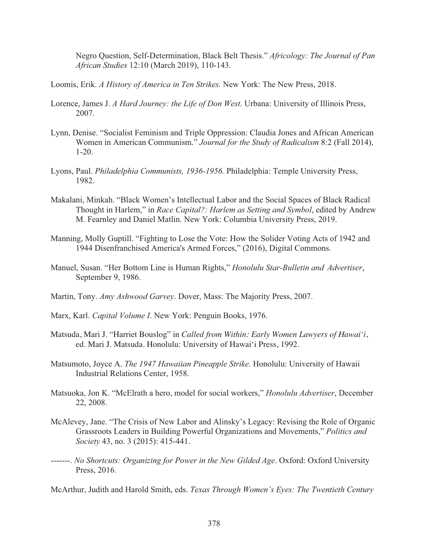Negro Question, Self-Determination, Black Belt Thesis." *Africology: The Journal of Pan African Studies* 12:10 (March 2019), 110-143.

- Loomis, Erik. *A History of America in Ten Strikes.* New York: The New Press, 2018.
- Lorence, James J. *A Hard Journey: the Life of Don West.* Urbana: University of Illinois Press, 2007.
- Lynn, Denise. "Socialist Feminism and Triple Oppression: Claudia Jones and African American Women in American Communism." *Journal for the Study of Radicalism* 8:2 (Fall 2014), 1-20.
- Lyons, Paul. *Philadelphia Communists, 1936-1956.* Philadelphia: Temple University Press, 1982.
- Makalani, Minkah. "Black Women's Intellectual Labor and the Social Spaces of Black Radical Thought in Harlem," in *Race Capital?: Harlem as Setting and Symbol*, edited by Andrew M. Fearnley and Daniel Matlin. New York: Columbia University Press, 2019.
- Manning, Molly Guptill. "Fighting to Lose the Vote: How the Solider Voting Acts of 1942 and 1944 Disenfranchised America's Armed Forces," (2016), Digital Commons.
- Manuel, Susan. "Her Bottom Line is Human Rights," *Honolulu Star-Bulletin and Advertiser*, September 9, 1986.
- Martin, Tony. *Amy Ashwood Garvey*. Dover, Mass: The Majority Press, 2007.
- Marx, Karl. *Capital Volume I*. New York: Penguin Books, 1976.
- Matsuda, Mari J. "Harriet Bouslog" in *Called from Within: Early Women Lawyers of Hawai'i*, ed. Mari J. Matsuda. Honolulu: University of Hawai'i Press, 1992.
- Matsumoto, Joyce A. *The 1947 Hawaiian Pineapple Strike.* Honolulu: University of Hawaii Industrial Relations Center, 1958.
- Matsuoka, Jon K. "McElrath a hero, model for social workers," *Honolulu Advertiser*, December 22, 2008.
- McAlevey, Jane. "The Crisis of New Labor and Alinsky's Legacy: Revising the Role of Organic Grassroots Leaders in Building Powerful Organizations and Movements," *Politics and Society* 43, no. 3 (2015): 415-441.
- -------. *No Shortcuts: Organizing for Power in the New Gilded Age*. Oxford: Oxford University Press, 2016.

McArthur, Judith and Harold Smith, eds. *Texas Through Women's Eyes: The Twentieth Century*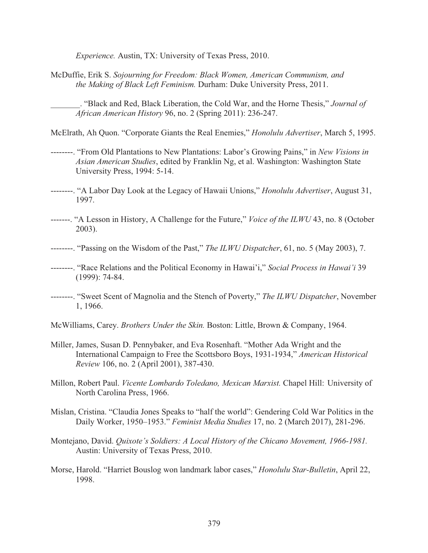*Experience.* Austin, TX: University of Texas Press, 2010.

McDuffie, Erik S. *Sojourning for Freedom: Black Women, American Communism, and the Making of Black Left Feminism.* Durham: Duke University Press, 2011.

\_\_\_\_\_\_\_. "Black and Red, Black Liberation, the Cold War, and the Horne Thesis," *Journal of African American History* 96, no. 2 (Spring 2011): 236-247.

McElrath, Ah Quon. "Corporate Giants the Real Enemies," *Honolulu Advertiser*, March 5, 1995.

- --------. "From Old Plantations to New Plantations: Labor's Growing Pains," in *New Visions in Asian American Studies*, edited by Franklin Ng, et al. Washington: Washington State University Press, 1994: 5-14.
- --------. "A Labor Day Look at the Legacy of Hawaii Unions," *Honolulu Advertiser*, August 31, 1997.
- -------. "A Lesson in History, A Challenge for the Future," *Voice of the ILWU* 43, no. 8 (October 2003).
- --------. "Passing on the Wisdom of the Past," *The ILWU Dispatcher*, 61, no. 5 (May 2003), 7.
- --------. "Race Relations and the Political Economy in Hawai'i," *Social Process in Hawai'i* 39 (1999): 74-84.
- --------. "Sweet Scent of Magnolia and the Stench of Poverty," *The ILWU Dispatcher*, November 1, 1966.
- McWilliams, Carey. *Brothers Under the Skin.* Boston: Little, Brown & Company, 1964.
- Miller, James, Susan D. Pennybaker, and Eva Rosenhaft. "Mother Ada Wright and the International Campaign to Free the Scottsboro Boys, 1931-1934," *American Historical Review* 106, no. 2 (April 2001), 387-430.
- Millon, Robert Paul. *Vicente Lombardo Toledano, Mexican Marxist.* Chapel Hill: University of North Carolina Press, 1966.
- Mislan, Cristina. "Claudia Jones Speaks to "half the world": Gendering Cold War Politics in the Daily Worker, 1950–1953." *Feminist Media Studies* 17, no. 2 (March 2017), 281-296.
- Montejano, David. *Quixote's Soldiers: A Local History of the Chicano Movement, 1966-1981.* Austin: University of Texas Press, 2010.
- Morse, Harold. "Harriet Bouslog won landmark labor cases," *Honolulu Star-Bulletin*, April 22, 1998.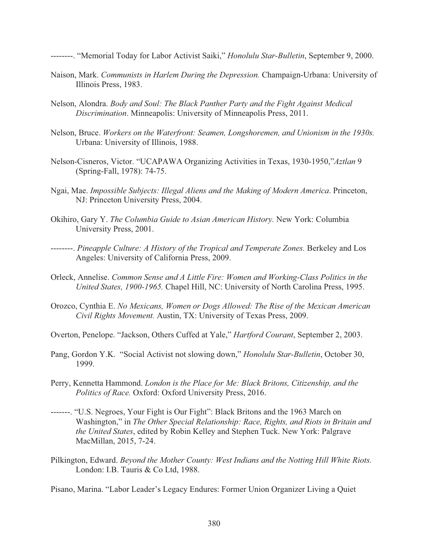--------. "Memorial Today for Labor Activist Saiki," *Honolulu Star-Bulletin*, September 9, 2000.

- Naison, Mark. *Communists in Harlem During the Depression.* Champaign-Urbana: University of Illinois Press, 1983.
- Nelson, Alondra. *Body and Soul: The Black Panther Party and the Fight Against Medical Discrimination*. Minneapolis: University of Minneapolis Press, 2011.
- Nelson, Bruce. *Workers on the Waterfront: Seamen, Longshoremen, and Unionism in the 1930s.* Urbana: University of Illinois, 1988.
- Nelson-Cisneros, Victor. "UCAPAWA Organizing Activities in Texas, 1930-1950,"*Aztlan* 9 (Spring-Fall, 1978): 74-75.
- Ngai, Mae. *Impossible Subjects: Illegal Aliens and the Making of Modern America*. Princeton, NJ: Princeton University Press, 2004.
- Okihiro, Gary Y. *The Columbia Guide to Asian American History.* New York: Columbia University Press, 2001.
- --------. *Pineapple Culture: A History of the Tropical and Temperate Zones.* Berkeley and Los Angeles: University of California Press, 2009.
- Orleck, Annelise. *Common Sense and A Little Fire: Women and Working-Class Politics in the United States, 1900-1965.* Chapel Hill, NC: University of North Carolina Press, 1995.
- Orozco, Cynthia E. *No Mexicans, Women or Dogs Allowed: The Rise of the Mexican American Civil Rights Movement.* Austin, TX: University of Texas Press, 2009.
- Overton, Penelope. "Jackson, Others Cuffed at Yale," *Hartford Courant*, September 2, 2003.
- Pang, Gordon Y.K. "Social Activist not slowing down," *Honolulu Star-Bulletin*, October 30, 1999.
- Perry, Kennetta Hammond. *London is the Place for Me: Black Britons, Citizenship, and the Politics of Race.* Oxford: Oxford University Press, 2016.
- -------. "U.S. Negroes, Your Fight is Our Fight": Black Britons and the 1963 March on Washington," in *The Other Special Relationship: Race, Rights, and Riots in Britain and the United States*, edited by Robin Kelley and Stephen Tuck. New York: Palgrave MacMillan, 2015, 7-24.
- Pilkington, Edward. *Beyond the Mother County: West Indians and the Notting Hill White Riots.* London: I.B. Tauris & Co Ltd, 1988.

Pisano, Marina. "Labor Leader's Legacy Endures: Former Union Organizer Living a Quiet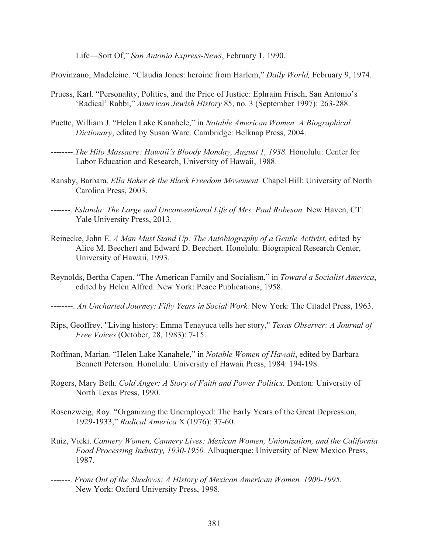Life—Sort Of," *San Antonio Express-News*, February 1, 1990.

Provinzano, Madeleine. "Claudia Jones: heroine from Harlem," *Daily World,* February 9, 1974.

- Pruess, Karl. "Personality, Politics, and the Price of Justice: Ephraim Frisch, San Antonio's 'Radical' Rabbi," *American Jewish History* 85, no. 3 (September 1997): 263-288.
- Puette, William J. "Helen Lake Kanahele," in *Notable American Women: A Biographical Dictionary*, edited by Susan Ware. Cambridge: Belknap Press, 2004.
- --------.*The Hilo Massacre: Hawaii's Bloody Monday, August 1, 1938.* Honolulu: Center for Labor Education and Research, University of Hawaii, 1988.
- Ransby, Barbara. *Ella Baker & the Black Freedom Movement.* Chapel Hill: University of North Carolina Press, 2003.
- -------. *Eslanda: The Large and Unconventional Life of Mrs. Paul Robeson.* New Haven, CT: Yale University Press, 2013.
- Reinecke, John E. *A Man Must Stand Up: The Autobiography of a Gentle Activist*, edited by Alice M. Beechert and Edward D. Beechert. Honolulu: Biograpical Research Center, University of Hawaii, 1993.
- Reynolds, Bertha Capen. "The American Family and Socialism," in *Toward a Socialist America*, edited by Helen Alfred. New York: Peace Publications, 1958.
- --------. *An Uncharted Journey: Fifty Years in Social Work.* New York: The Citadel Press, 1963.
- Rips, Geoffrey. "Living history: Emma Tenayuca tells her story," *Texas Observer: A Journal of Free Voices* (October, 28, 1983): 7-15.
- Roffman, Marian. "Helen Lake Kanahele," in *Notable Women of Hawaii*, edited by Barbara Bennett Peterson. Honolulu: University of Hawaii Press, 1984: 194-198.
- Rogers, Mary Beth. *Cold Anger: A Story of Faith and Power Politics.* Denton: University of North Texas Press, 1990.
- Rosenzweig, Roy. "Organizing the Unemployed: The Early Years of the Great Depression, 1929-1933," *Radical America* X (1976): 37-60.
- Ruiz, Vicki. *Cannery Women, Cannery Lives: Mexican Women, Unionization, and the California Food Processing Industry, 1930-1950.* Albuquerque: University of New Mexico Press, 1987.
- -------. *From Out of the Shadows: A History of Mexican American Women, 1900-1995.* New York: Oxford University Press, 1998.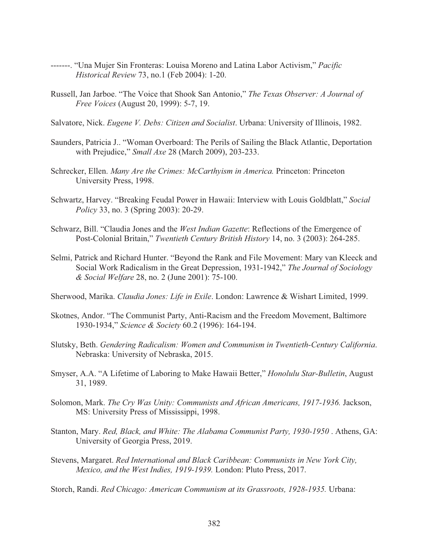- -------. "Una Mujer Sin Fronteras: Louisa Moreno and Latina Labor Activism," *Pacific Historical Review* 73, no.1 (Feb 2004): 1-20.
- Russell, Jan Jarboe. "The Voice that Shook San Antonio," *The Texas Observer: A Journal of Free Voices* (August 20, 1999): 5-7, 19.
- Salvatore, Nick. *Eugene V. Debs: Citizen and Socialist*. Urbana: University of Illinois, 1982.
- Saunders, Patricia J.. "Woman Overboard: The Perils of Sailing the Black Atlantic, Deportation with Prejudice," *Small Axe* 28 (March 2009), 203-233.
- Schrecker, Ellen. *Many Are the Crimes: McCarthyism in America.* Princeton: Princeton University Press, 1998.
- Schwartz, Harvey. "Breaking Feudal Power in Hawaii: Interview with Louis Goldblatt," *Social Policy* 33, no. 3 (Spring 2003): 20-29.
- Schwarz, Bill. "Claudia Jones and the *West Indian Gazette*: Reflections of the Emergence of Post-Colonial Britain," *Twentieth Century British History* 14, no. 3 (2003): 264-285.
- Selmi, Patrick and Richard Hunter. "Beyond the Rank and File Movement: Mary van Kleeck and Social Work Radicalism in the Great Depression, 1931-1942," *The Journal of Sociology & Social Welfare* 28, no. 2 (June 2001): 75-100.
- Sherwood, Marika. *Claudia Jones: Life in Exile*. London: Lawrence & Wishart Limited, 1999.
- Skotnes, Andor. "The Communist Party, Anti-Racism and the Freedom Movement, Baltimore 1930-1934," *Science & Society* 60.2 (1996): 164-194.
- Slutsky, Beth. *Gendering Radicalism: Women and Communism in Twentieth-Century California*. Nebraska: University of Nebraska, 2015.
- Smyser, A.A. "A Lifetime of Laboring to Make Hawaii Better," *Honolulu Star-Bulletin*, August 31, 1989.
- Solomon, Mark. *The Cry Was Unity: Communists and African Americans, 1917-1936.* Jackson, MS: University Press of Mississippi, 1998.
- Stanton, Mary. *Red, Black, and White: The Alabama Communist Party, 1930-1950* . Athens, GA: University of Georgia Press, 2019.
- Stevens, Margaret. *Red International and Black Caribbean: Communists in New York City, Mexico, and the West Indies, 1919-1939.* London: Pluto Press, 2017.

Storch, Randi. *Red Chicago: American Communism at its Grassroots, 1928-1935.* Urbana: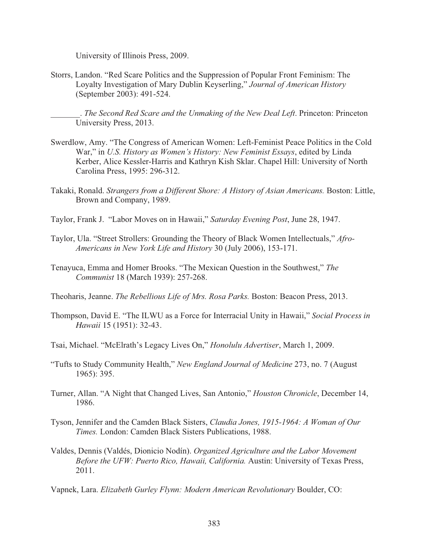University of Illinois Press, 2009.

Storrs, Landon. "Red Scare Politics and the Suppression of Popular Front Feminism: The Loyalty Investigation of Mary Dublin Keyserling," *Journal of American History*  (September 2003): 491-524.

\_\_\_\_\_\_\_. *The Second Red Scare and the Unmaking of the New Deal Left*. Princeton: Princeton University Press, 2013.

- Swerdlow, Amy. "The Congress of American Women: Left-Feminist Peace Politics in the Cold War," in *U.S. History as Women's History: New Feminist Essays*, edited by Linda Kerber, Alice Kessler-Harris and Kathryn Kish Sklar. Chapel Hill: University of North Carolina Press, 1995: 296-312.
- Takaki, Ronald. *Strangers from a Different Shore: A History of Asian Americans.* Boston: Little, Brown and Company, 1989.
- Taylor, Frank J. "Labor Moves on in Hawaii," *Saturday Evening Post*, June 28, 1947.
- Taylor, Ula. "Street Strollers: Grounding the Theory of Black Women Intellectuals," *Afro-Americans in New York Life and History* 30 (July 2006), 153-171.
- Tenayuca, Emma and Homer Brooks. "The Mexican Question in the Southwest," *The Communist* 18 (March 1939): 257-268.
- Theoharis, Jeanne. *The Rebellious Life of Mrs. Rosa Parks.* Boston: Beacon Press, 2013.
- Thompson, David E. "The ILWU as a Force for Interracial Unity in Hawaii," *Social Process in Hawaii* 15 (1951): 32-43.
- Tsai, Michael. "McElrath's Legacy Lives On," *Honolulu Advertiser*, March 1, 2009.
- "Tufts to Study Community Health," *New England Journal of Medicine* 273, no. 7 (August 1965): 395.
- Turner, Allan. "A Night that Changed Lives, San Antonio," *Houston Chronicle*, December 14, 1986.
- Tyson, Jennifer and the Camden Black Sisters, *Claudia Jones, 1915-1964: A Woman of Our Times.* London: Camden Black Sisters Publications, 1988.
- Valdes, Dennis (Valdés, Dionicio Nodín). *Organized Agriculture and the Labor Movement Before the UFW: Puerto Rico, Hawaii, California.* Austin: University of Texas Press, 2011.

Vapnek, Lara. *Elizabeth Gurley Flynn: Modern American Revolutionary* Boulder, CO: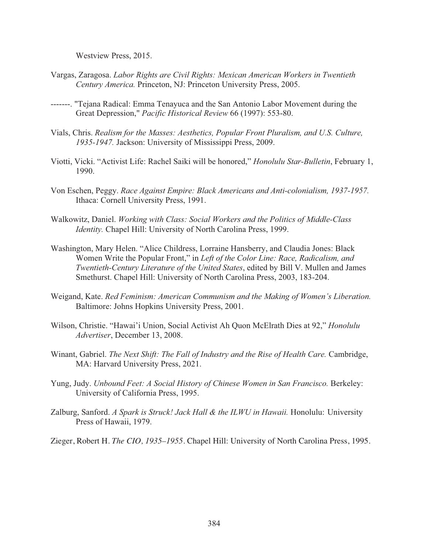Westview Press, 2015.

- Vargas, Zaragosa. *Labor Rights are Civil Rights: Mexican American Workers in Twentieth Century America.* Princeton, NJ: Princeton University Press, 2005.
- -------. "Tejana Radical: Emma Tenayuca and the San Antonio Labor Movement during the Great Depression," *Pacific Historical Review* 66 (1997): 553-80.
- Vials, Chris. *Realism for the Masses: Aesthetics, Popular Front Pluralism, and U.S. Culture, 1935-1947.* Jackson: University of Mississippi Press, 2009.
- Viotti, Vicki. "Activist Life: Rachel Saiki will be honored," *Honolulu Star-Bulletin*, February 1, 1990.
- Von Eschen, Peggy. *Race Against Empire: Black Americans and Anti-colonialism, 1937-1957.* Ithaca: Cornell University Press, 1991.
- Walkowitz, Daniel. *Working with Class: Social Workers and the Politics of Middle-Class Identity.* Chapel Hill: University of North Carolina Press, 1999.
- Washington, Mary Helen. "Alice Childress, Lorraine Hansberry, and Claudia Jones: Black Women Write the Popular Front," in *Left of the Color Line: Race, Radicalism, and Twentieth-Century Literature of the United States*, edited by Bill V. Mullen and James Smethurst. Chapel Hill: University of North Carolina Press, 2003, 183-204.
- Weigand, Kate. *Red Feminism: American Communism and the Making of Women's Liberation.* Baltimore: Johns Hopkins University Press, 2001.
- Wilson, Christie. "Hawai'i Union, Social Activist Ah Quon McElrath Dies at 92," *Honolulu Advertiser*, December 13, 2008.
- Winant, Gabriel. *The Next Shift: The Fall of Industry and the Rise of Health Care.* Cambridge, MA: Harvard University Press, 2021.
- Yung, Judy. *Unbound Feet: A Social History of Chinese Women in San Francisco.* Berkeley: University of California Press, 1995.
- Zalburg, Sanford. *A Spark is Struck! Jack Hall & the ILWU in Hawaii.* Honolulu: University Press of Hawaii, 1979.
- Zieger, Robert H. *The CIO, 1935–1955*. Chapel Hill: University of North Carolina Press, 1995.